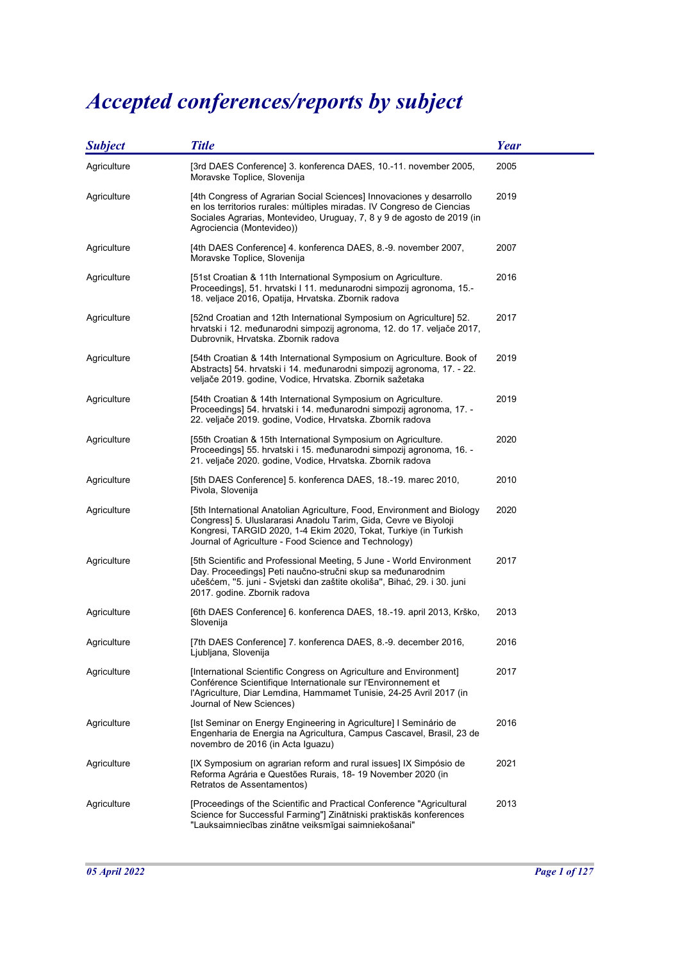## Accepted conferences/reports by subject

| <b>Subject</b> | <b>Title</b>                                                                                                                                                                                                                                                             | <b>Year</b> |
|----------------|--------------------------------------------------------------------------------------------------------------------------------------------------------------------------------------------------------------------------------------------------------------------------|-------------|
| Agriculture    | [3rd DAES Conference] 3. konferenca DAES, 10.-11. november 2005,<br>Moravske Toplice, Slovenija                                                                                                                                                                          | 2005        |
| Agriculture    | [4th Congress of Agrarian Social Sciences] Innovaciones y desarrollo<br>en los territorios rurales: múltiples miradas. IV Congreso de Ciencias<br>Sociales Agrarias, Montevideo, Uruguay, 7, 8 y 9 de agosto de 2019 (in<br>Agrociencia (Montevideo))                    | 2019        |
| Agriculture    | [4th DAES Conference] 4. konferenca DAES, 8.-9. november 2007,<br>Moravske Toplice, Slovenija                                                                                                                                                                            | 2007        |
| Agriculture    | [51st Croatian & 11th International Symposium on Agriculture.<br>Proceedings], 51. hrvatski I 11. medunarodni simpozij agronoma, 15.-<br>18. veljace 2016, Opatija, Hrvatska. Zbornik radova                                                                             | 2016        |
| Agriculture    | [52nd Croatian and 12th International Symposium on Agriculture] 52.<br>hrvatski i 12. međunarodni simpozij agronoma, 12. do 17. veljače 2017,<br>Dubrovnik, Hrvatska. Zbornik radova                                                                                     | 2017        |
| Agriculture    | [54th Croatian & 14th International Symposium on Agriculture. Book of<br>Abstracts] 54. hrvatski i 14. međunarodni simpozij agronoma, 17. - 22.<br>veljače 2019. godine, Vodice, Hrvatska. Zbornik sažetaka                                                              | 2019        |
| Agriculture    | [54th Croatian & 14th International Symposium on Agriculture.<br>Proceedings] 54. hrvatski i 14. međunarodni simpozij agronoma, 17. -<br>22. veljače 2019. godine, Vodice, Hrvatska. Zbornik radova                                                                      | 2019        |
| Agriculture    | [55th Croatian & 15th International Symposium on Agriculture.<br>Proceedings] 55. hrvatski i 15. međunarodni simpozij agronoma, 16. -<br>21. veljače 2020. godine, Vodice, Hrvatska. Zbornik radova                                                                      | 2020        |
| Agriculture    | [5th DAES Conference] 5. konferenca DAES, 18.-19. marec 2010,<br>Pivola, Slovenija                                                                                                                                                                                       | 2010        |
| Agriculture    | [5th International Anatolian Agriculture, Food, Environment and Biology<br>Congress] 5. Uluslararasi Anadolu Tarim, Gida, Cevre ve Biyoloji<br>Kongresi, TARGID 2020, 1-4 Ekim 2020, Tokat, Turkiye (in Turkish<br>Journal of Agriculture - Food Science and Technology) | 2020        |
| Agriculture    | [5th Scientific and Professional Meeting, 5 June - World Environment<br>Day. Proceedings] Peti naučno-stručni skup sa međunarodnim<br>učešćem, "5. juni - Svjetski dan zaštite okoliša", Bihać, 29. i 30. juni<br>2017. godine. Zbornik radova                           | 2017        |
| Agriculture    | [6th DAES Conference] 6. konferenca DAES, 18.-19. april 2013, Krško,<br>Slovenija                                                                                                                                                                                        | 2013        |
| Agriculture    | [7th DAES Conference] 7. konferenca DAES, 8.-9. december 2016,<br>Ljubljana, Slovenija                                                                                                                                                                                   | 2016        |
| Agriculture    | [International Scientific Congress on Agriculture and Environment]<br>Conférence Scientifique Internationale sur l'Environnement et<br>l'Agriculture, Diar Lemdina, Hammamet Tunisie, 24-25 Avril 2017 (in<br>Journal of New Sciences)                                   | 2017        |
| Agriculture    | [Ist Seminar on Energy Engineering in Agriculture] I Seminário de<br>Engenharia de Energia na Agricultura, Campus Cascavel, Brasil, 23 de<br>novembro de 2016 (in Acta Iguazu)                                                                                           | 2016        |
| Agriculture    | [IX Symposium on agrarian reform and rural issues] IX Simpósio de<br>Reforma Agrária e Questões Rurais, 18- 19 November 2020 (in<br>Retratos de Assentamentos)                                                                                                           | 2021        |
| Agriculture    | [Proceedings of the Scientific and Practical Conference "Agricultural<br>Science for Successful Farming"] Zinātniski praktiskās konferences<br>"Lauksaimniecības zinātne veiksmīgai saimniekošanai"                                                                      | 2013        |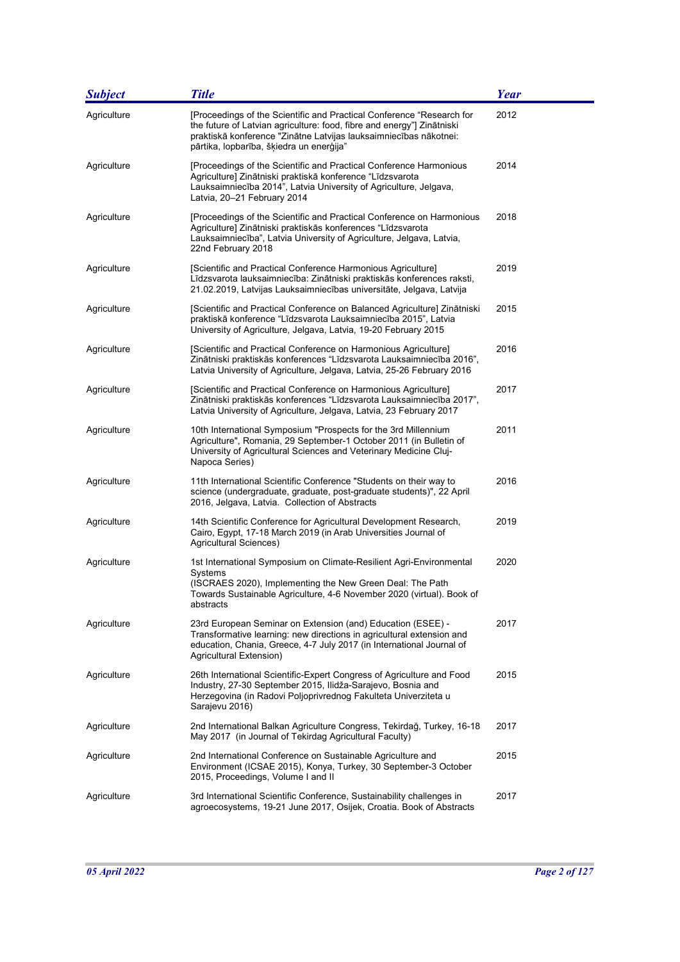| <b>Subject</b> | <b>Title</b>                                                                                                                                                                                                                                                     | Year |
|----------------|------------------------------------------------------------------------------------------------------------------------------------------------------------------------------------------------------------------------------------------------------------------|------|
| Agriculture    | [Proceedings of the Scientific and Practical Conference "Research for<br>the future of Latvian agriculture: food, fibre and energy"] Zinātniski<br>praktiskā konference "Zinātne Latvijas lauksaimniecības nākotnei:<br>pārtika, lopbarība, šķiedra un enerģija" | 2012 |
| Agriculture    | [Proceedings of the Scientific and Practical Conference Harmonious<br>Agriculture] Zinātniski praktiskā konference "Līdzsvarota<br>Lauksaimniecība 2014", Latvia University of Agriculture, Jelgava,<br>Latvia, 20-21 February 2014                              | 2014 |
| Agriculture    | [Proceedings of the Scientific and Practical Conference on Harmonious<br>Agriculture] Zinātniski praktiskās konferences "Līdzsvarota<br>Lauksaimniecība", Latvia University of Agriculture, Jelgava, Latvia,<br>22nd February 2018                               | 2018 |
| Agriculture    | [Scientific and Practical Conference Harmonious Agriculture]<br>Līdzsvarota lauksaimniecība: Zinātniski praktiskās konferences raksti,<br>21.02.2019, Latvijas Lauksaimniecības universitāte, Jelgava, Latvija                                                   | 2019 |
| Agriculture    | [Scientific and Practical Conference on Balanced Agriculture] Zinātniski<br>praktiskā konference "Līdzsvarota Lauksaimniecība 2015", Latvia<br>University of Agriculture, Jelgava, Latvia, 19-20 February 2015                                                   | 2015 |
| Agriculture    | [Scientific and Practical Conference on Harmonious Agriculture]<br>Zinātniski praktiskās konferences "Līdzsvarota Lauksaimniecība 2016",<br>Latvia University of Agriculture, Jelgava, Latvia, 25-26 February 2016                                               | 2016 |
| Agriculture    | [Scientific and Practical Conference on Harmonious Agriculture]<br>Zinātniski praktiskās konferences "Līdzsvarota Lauksaimniecība 2017",<br>Latvia University of Agriculture, Jelgava, Latvia, 23 February 2017                                                  | 2017 |
| Agriculture    | 10th International Symposium "Prospects for the 3rd Millennium<br>Agriculture", Romania, 29 September-1 October 2011 (in Bulletin of<br>University of Agricultural Sciences and Veterinary Medicine Cluj-<br>Napoca Series)                                      | 2011 |
| Agriculture    | 11th International Scientific Conference "Students on their way to<br>science (undergraduate, graduate, post-graduate students)", 22 April<br>2016, Jelgava, Latvia. Collection of Abstracts                                                                     | 2016 |
| Agriculture    | 14th Scientific Conference for Agricultural Development Research,<br>Cairo, Egypt, 17-18 March 2019 (in Arab Universities Journal of<br>Agricultural Sciences)                                                                                                   | 2019 |
| Agriculture    | 1st International Symposium on Climate-Resilient Agri-Environmental<br>Systems<br>(ISCRAES 2020), Implementing the New Green Deal: The Path<br>Towards Sustainable Agriculture, 4-6 November 2020 (virtual). Book of<br>abstracts                                | 2020 |
| Agriculture    | 23rd European Seminar on Extension (and) Education (ESEE) -<br>Transformative learning: new directions in agricultural extension and<br>education, Chania, Greece, 4-7 July 2017 (in International Journal of<br>Agricultural Extension)                         | 2017 |
| Agriculture    | 26th International Scientific-Expert Congress of Agriculture and Food<br>Industry, 27-30 September 2015, Ilidža-Sarajevo, Bosnia and<br>Herzegovina (in Radovi Poljoprivrednog Fakulteta Univerziteta u<br>Sarajevu 2016)                                        | 2015 |
| Agriculture    | 2nd International Balkan Agriculture Congress, Tekirdağ, Turkey, 16-18<br>May 2017 (in Journal of Tekirdag Agricultural Faculty)                                                                                                                                 | 2017 |
| Agriculture    | 2nd International Conference on Sustainable Agriculture and<br>Environment (ICSAE 2015), Konya, Turkey, 30 September-3 October<br>2015, Proceedings, Volume I and II                                                                                             | 2015 |
| Agriculture    | 3rd International Scientific Conference, Sustainability challenges in<br>agroecosystems, 19-21 June 2017, Osijek, Croatia. Book of Abstracts                                                                                                                     | 2017 |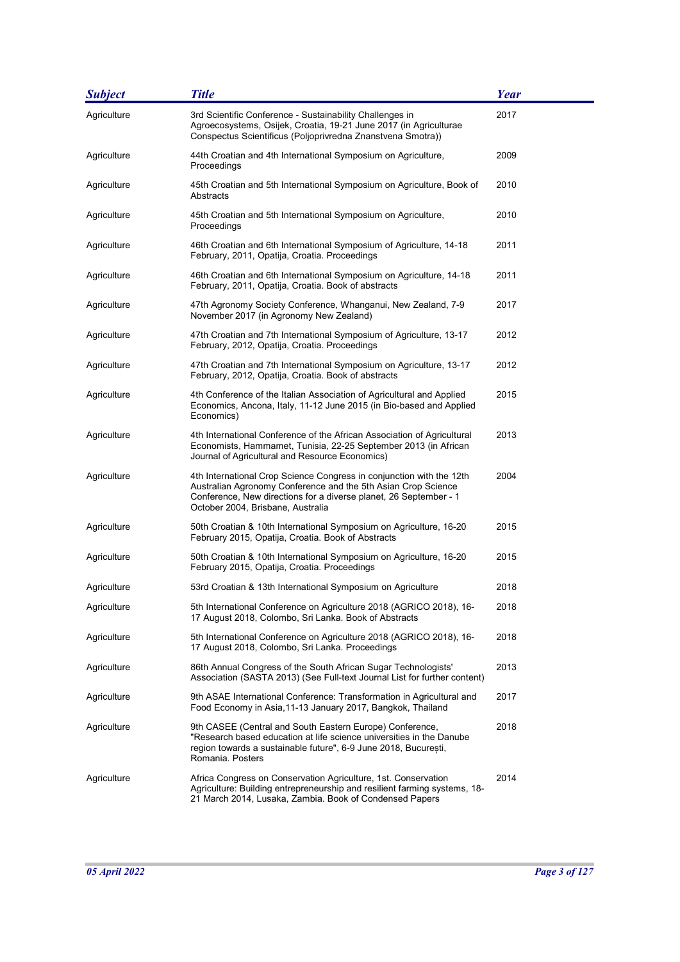| <b>Subject</b> | <b>Title</b>                                                                                                                                                                                                                                    | <b>Year</b> |
|----------------|-------------------------------------------------------------------------------------------------------------------------------------------------------------------------------------------------------------------------------------------------|-------------|
| Agriculture    | 3rd Scientific Conference - Sustainability Challenges in<br>Agroecosystems, Osijek, Croatia, 19-21 June 2017 (in Agriculturae<br>Conspectus Scientificus (Poljoprivredna Znanstvena Smotra))                                                    | 2017        |
| Agriculture    | 44th Croatian and 4th International Symposium on Agriculture,<br>Proceedings                                                                                                                                                                    | 2009        |
| Agriculture    | 45th Croatian and 5th International Symposium on Agriculture, Book of<br>Abstracts                                                                                                                                                              | 2010        |
| Agriculture    | 45th Croatian and 5th International Symposium on Agriculture,<br>Proceedings                                                                                                                                                                    | 2010        |
| Agriculture    | 46th Croatian and 6th International Symposium of Agriculture, 14-18<br>February, 2011, Opatija, Croatia. Proceedings                                                                                                                            | 2011        |
| Agriculture    | 46th Croatian and 6th International Symposium on Agriculture, 14-18<br>February, 2011, Opatija, Croatia. Book of abstracts                                                                                                                      | 2011        |
| Agriculture    | 47th Agronomy Society Conference, Whanganui, New Zealand, 7-9<br>November 2017 (in Agronomy New Zealand)                                                                                                                                        | 2017        |
| Agriculture    | 47th Croatian and 7th International Symposium of Agriculture, 13-17<br>February, 2012, Opatija, Croatia. Proceedings                                                                                                                            | 2012        |
| Agriculture    | 47th Croatian and 7th International Symposium on Agriculture, 13-17<br>February, 2012, Opatija, Croatia. Book of abstracts                                                                                                                      | 2012        |
| Agriculture    | 4th Conference of the Italian Association of Agricultural and Applied<br>Economics, Ancona, Italy, 11-12 June 2015 (in Bio-based and Applied<br>Economics)                                                                                      | 2015        |
| Agriculture    | 4th International Conference of the African Association of Agricultural<br>Economists, Hammamet, Tunisia, 22-25 September 2013 (in African<br>Journal of Agricultural and Resource Economics)                                                   | 2013        |
| Agriculture    | 4th International Crop Science Congress in conjunction with the 12th<br>Australian Agronomy Conference and the 5th Asian Crop Science<br>Conference, New directions for a diverse planet, 26 September - 1<br>October 2004, Brisbane, Australia | 2004        |
| Agriculture    | 50th Croatian & 10th International Symposium on Agriculture, 16-20<br>February 2015, Opatija, Croatia. Book of Abstracts                                                                                                                        | 2015        |
| Agriculture    | 50th Croatian & 10th International Symposium on Agriculture, 16-20<br>February 2015, Opatija, Croatia. Proceedings                                                                                                                              | 2015        |
| Agriculture    | 53rd Croatian & 13th International Symposium on Agriculture                                                                                                                                                                                     | 2018        |
| Agriculture    | 5th International Conference on Agriculture 2018 (AGRICO 2018), 16-<br>17 August 2018, Colombo, Sri Lanka. Book of Abstracts                                                                                                                    | 2018        |
| Agriculture    | 5th International Conference on Agriculture 2018 (AGRICO 2018), 16-<br>17 August 2018, Colombo, Sri Lanka. Proceedings                                                                                                                          | 2018        |
| Agriculture    | 86th Annual Congress of the South African Sugar Technologists'<br>Association (SASTA 2013) (See Full-text Journal List for further content)                                                                                                     | 2013        |
| Agriculture    | 9th ASAE International Conference: Transformation in Agricultural and<br>Food Economy in Asia, 11-13 January 2017, Bangkok, Thailand                                                                                                            | 2017        |
| Agriculture    | 9th CASEE (Central and South Eastern Europe) Conference,<br>"Research based education at life science universities in the Danube<br>region towards a sustainable future", 6-9 June 2018, București,<br>Romania. Posters                         | 2018        |
| Agriculture    | Africa Congress on Conservation Agriculture, 1st. Conservation<br>Agriculture: Building entrepreneurship and resilient farming systems, 18-<br>21 March 2014, Lusaka, Zambia. Book of Condensed Papers                                          | 2014        |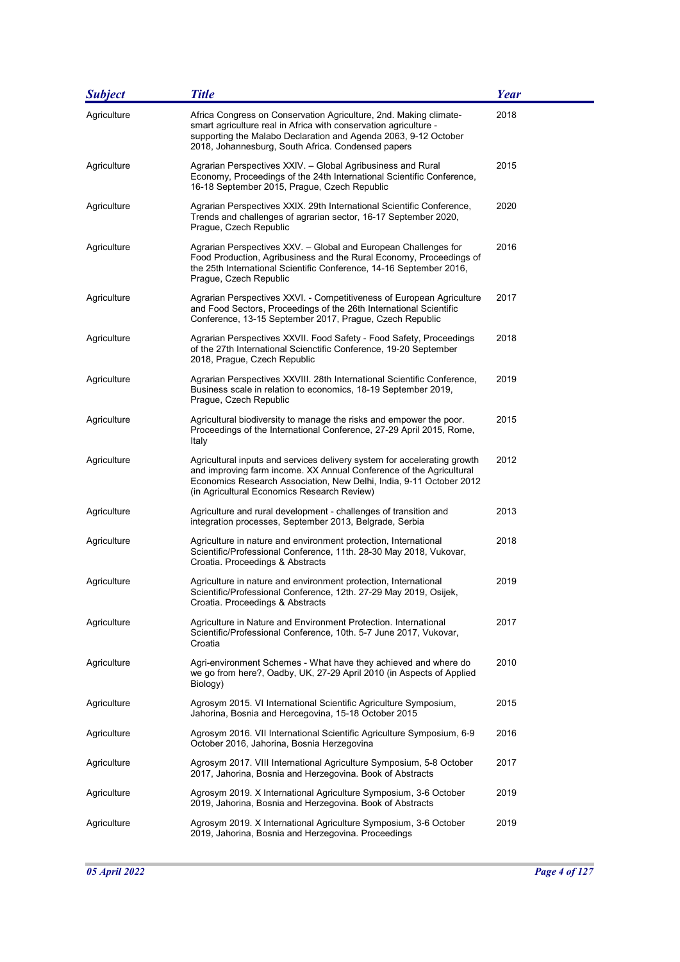| <b>Subject</b> | <b>Title</b>                                                                                                                                                                                                                                                          | Year |
|----------------|-----------------------------------------------------------------------------------------------------------------------------------------------------------------------------------------------------------------------------------------------------------------------|------|
| Agriculture    | Africa Congress on Conservation Agriculture, 2nd. Making climate-<br>smart agriculture real in Africa with conservation agriculture -<br>supporting the Malabo Declaration and Agenda 2063, 9-12 October<br>2018, Johannesburg, South Africa. Condensed papers        | 2018 |
| Agriculture    | Agrarian Perspectives XXIV. - Global Agribusiness and Rural<br>Economy, Proceedings of the 24th International Scientific Conference,<br>16-18 September 2015, Prague, Czech Republic                                                                                  | 2015 |
| Agriculture    | Agrarian Perspectives XXIX. 29th International Scientific Conference,<br>Trends and challenges of agrarian sector, 16-17 September 2020,<br>Prague, Czech Republic                                                                                                    | 2020 |
| Agriculture    | Agrarian Perspectives XXV. - Global and European Challenges for<br>Food Production, Agribusiness and the Rural Economy, Proceedings of<br>the 25th International Scientific Conference, 14-16 September 2016,<br>Prague, Czech Republic                               | 2016 |
| Agriculture    | Agrarian Perspectives XXVI. - Competitiveness of European Agriculture<br>and Food Sectors, Proceedings of the 26th International Scientific<br>Conference, 13-15 September 2017, Prague, Czech Republic                                                               | 2017 |
| Agriculture    | Agrarian Perspectives XXVII. Food Safety - Food Safety, Proceedings<br>of the 27th International Scienctific Conference, 19-20 September<br>2018, Prague, Czech Republic                                                                                              | 2018 |
| Agriculture    | Agrarian Perspectives XXVIII. 28th International Scientific Conference,<br>Business scale in relation to economics, 18-19 September 2019,<br>Prague, Czech Republic                                                                                                   | 2019 |
| Agriculture    | Agricultural biodiversity to manage the risks and empower the poor.<br>Proceedings of the International Conference, 27-29 April 2015, Rome,<br>Italy                                                                                                                  | 2015 |
| Agriculture    | Agricultural inputs and services delivery system for accelerating growth<br>and improving farm income. XX Annual Conference of the Agricultural<br>Economics Research Association, New Delhi, India, 9-11 October 2012<br>(in Agricultural Economics Research Review) | 2012 |
| Agriculture    | Agriculture and rural development - challenges of transition and<br>integration processes, September 2013, Belgrade, Serbia                                                                                                                                           | 2013 |
| Agriculture    | Agriculture in nature and environment protection, International<br>Scientific/Professional Conference, 11th. 28-30 May 2018, Vukovar,<br>Croatia. Proceedings & Abstracts                                                                                             | 2018 |
| Agriculture    | Agriculture in nature and environment protection, International<br>Scientific/Professional Conference, 12th. 27-29 May 2019, Osijek,<br>Croatia. Proceedings & Abstracts                                                                                              | 2019 |
| Agriculture    | Agriculture in Nature and Environment Protection. International<br>Scientific/Professional Conference, 10th. 5-7 June 2017, Vukovar,<br>Croatia                                                                                                                       | 2017 |
| Agriculture    | Agri-environment Schemes - What have they achieved and where do<br>we go from here?, Oadby, UK, 27-29 April 2010 (in Aspects of Applied<br>Biology)                                                                                                                   | 2010 |
| Agriculture    | Agrosym 2015. VI International Scientific Agriculture Symposium,<br>Jahorina, Bosnia and Hercegovina, 15-18 October 2015                                                                                                                                              | 2015 |
| Agriculture    | Agrosym 2016. VII International Scientific Agriculture Symposium, 6-9<br>October 2016, Jahorina, Bosnia Herzegovina                                                                                                                                                   | 2016 |
| Agriculture    | Agrosym 2017. VIII International Agriculture Symposium, 5-8 October<br>2017, Jahorina, Bosnia and Herzegovina. Book of Abstracts                                                                                                                                      | 2017 |
| Agriculture    | Agrosym 2019. X International Agriculture Symposium, 3-6 October<br>2019, Jahorina, Bosnia and Herzegovina. Book of Abstracts                                                                                                                                         | 2019 |
| Agriculture    | Agrosym 2019. X International Agriculture Symposium, 3-6 October<br>2019, Jahorina, Bosnia and Herzegovina. Proceedings                                                                                                                                               | 2019 |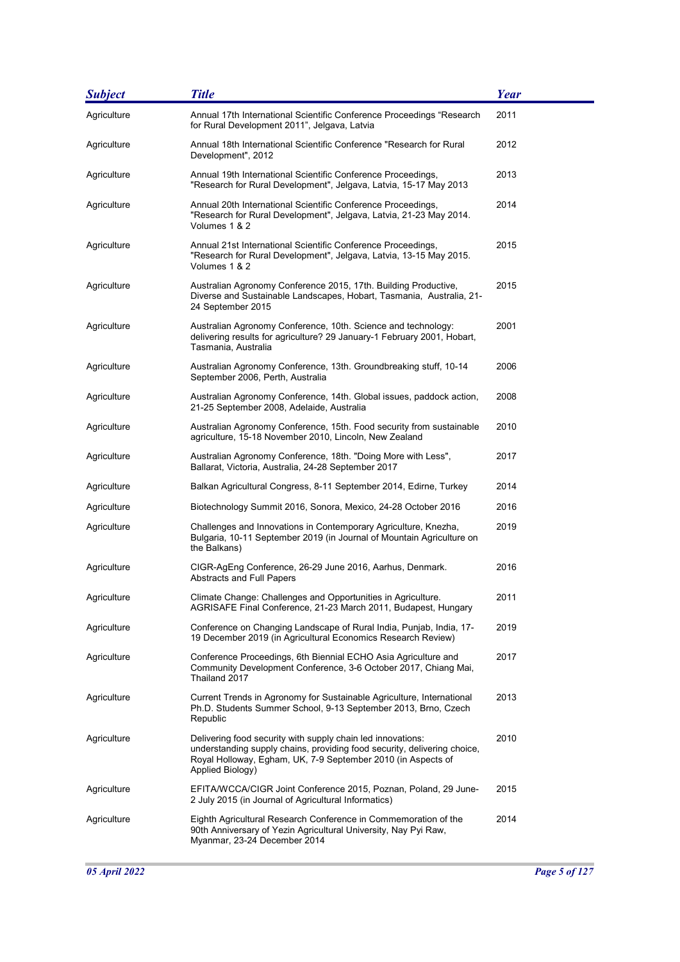| <b>Subject</b> | <b>Title</b>                                                                                                                                                                                                                | <b>Year</b> |
|----------------|-----------------------------------------------------------------------------------------------------------------------------------------------------------------------------------------------------------------------------|-------------|
| Agriculture    | Annual 17th International Scientific Conference Proceedings "Research<br>for Rural Development 2011", Jelgava, Latvia                                                                                                       | 2011        |
| Agriculture    | Annual 18th International Scientific Conference "Research for Rural<br>Development", 2012                                                                                                                                   | 2012        |
| Agriculture    | Annual 19th International Scientific Conference Proceedings,<br>"Research for Rural Development", Jelgava, Latvia, 15-17 May 2013                                                                                           | 2013        |
| Agriculture    | Annual 20th International Scientific Conference Proceedings,<br>"Research for Rural Development", Jelgava, Latvia, 21-23 May 2014.<br>Volumes 1 & 2                                                                         | 2014        |
| Agriculture    | Annual 21st International Scientific Conference Proceedings,<br>"Research for Rural Development", Jelgava, Latvia, 13-15 May 2015.<br>Volumes 1 & 2                                                                         | 2015        |
| Agriculture    | Australian Agronomy Conference 2015, 17th. Building Productive,<br>Diverse and Sustainable Landscapes, Hobart, Tasmania, Australia, 21-<br>24 September 2015                                                                | 2015        |
| Agriculture    | Australian Agronomy Conference, 10th. Science and technology:<br>delivering results for agriculture? 29 January-1 February 2001, Hobart,<br>Tasmania, Australia                                                             | 2001        |
| Agriculture    | Australian Agronomy Conference, 13th. Groundbreaking stuff, 10-14<br>September 2006, Perth, Australia                                                                                                                       | 2006        |
| Agriculture    | Australian Agronomy Conference, 14th. Global issues, paddock action,<br>21-25 September 2008, Adelaide, Australia                                                                                                           | 2008        |
| Agriculture    | Australian Agronomy Conference, 15th. Food security from sustainable<br>agriculture, 15-18 November 2010, Lincoln, New Zealand                                                                                              | 2010        |
| Agriculture    | Australian Agronomy Conference, 18th. "Doing More with Less",<br>Ballarat, Victoria, Australia, 24-28 September 2017                                                                                                        | 2017        |
| Agriculture    | Balkan Agricultural Congress, 8-11 September 2014, Edirne, Turkey                                                                                                                                                           | 2014        |
| Agriculture    | Biotechnology Summit 2016, Sonora, Mexico, 24-28 October 2016                                                                                                                                                               | 2016        |
| Agriculture    | Challenges and Innovations in Contemporary Agriculture, Knezha,<br>Bulgaria, 10-11 September 2019 (in Journal of Mountain Agriculture on<br>the Balkans)                                                                    | 2019        |
| Agriculture    | CIGR-AgEng Conference, 26-29 June 2016, Aarhus, Denmark.<br>Abstracts and Full Papers                                                                                                                                       | 2016        |
| Agriculture    | Climate Change: Challenges and Opportunities in Agriculture.<br>AGRISAFE Final Conference, 21-23 March 2011, Budapest, Hungary                                                                                              | 2011        |
| Agriculture    | Conference on Changing Landscape of Rural India, Punjab, India, 17-<br>19 December 2019 (in Agricultural Economics Research Review)                                                                                         | 2019        |
| Agriculture    | Conference Proceedings, 6th Biennial ECHO Asia Agriculture and<br>Community Development Conference, 3-6 October 2017, Chiang Mai,<br>Thailand 2017                                                                          | 2017        |
| Agriculture    | Current Trends in Agronomy for Sustainable Agriculture, International<br>Ph.D. Students Summer School, 9-13 September 2013, Brno, Czech<br>Republic                                                                         | 2013        |
| Agriculture    | Delivering food security with supply chain led innovations:<br>understanding supply chains, providing food security, delivering choice,<br>Royal Holloway, Egham, UK, 7-9 September 2010 (in Aspects of<br>Applied Biology) | 2010        |
| Agriculture    | EFITA/WCCA/CIGR Joint Conference 2015, Poznan, Poland, 29 June-<br>2 July 2015 (in Journal of Agricultural Informatics)                                                                                                     | 2015        |
| Agriculture    | Eighth Agricultural Research Conference in Commemoration of the<br>90th Anniversary of Yezin Agricultural University, Nay Pyi Raw,<br>Myanmar, 23-24 December 2014                                                          | 2014        |

۰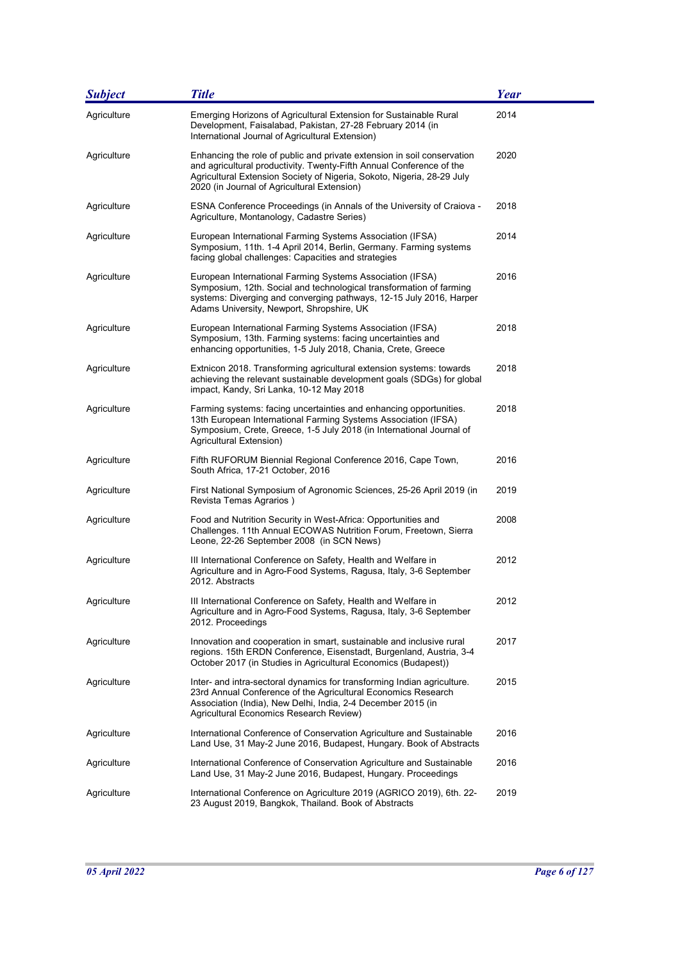| <b>Subject</b> | <b>Title</b>                                                                                                                                                                                                                                                             | Year |
|----------------|--------------------------------------------------------------------------------------------------------------------------------------------------------------------------------------------------------------------------------------------------------------------------|------|
| Agriculture    | Emerging Horizons of Agricultural Extension for Sustainable Rural<br>Development, Faisalabad, Pakistan, 27-28 February 2014 (in<br>International Journal of Agricultural Extension)                                                                                      | 2014 |
| Agriculture    | Enhancing the role of public and private extension in soil conservation<br>and agricultural productivity. Twenty-Fifth Annual Conference of the<br>Agricultural Extension Society of Nigeria, Sokoto, Nigeria, 28-29 July<br>2020 (in Journal of Agricultural Extension) | 2020 |
| Agriculture    | ESNA Conference Proceedings (in Annals of the University of Craiova -<br>Agriculture, Montanology, Cadastre Series)                                                                                                                                                      | 2018 |
| Agriculture    | European International Farming Systems Association (IFSA)<br>Symposium, 11th. 1-4 April 2014, Berlin, Germany. Farming systems<br>facing global challenges: Capacities and strategies                                                                                    | 2014 |
| Agriculture    | European International Farming Systems Association (IFSA)<br>Symposium, 12th. Social and technological transformation of farming<br>systems: Diverging and converging pathways, 12-15 July 2016, Harper<br>Adams University, Newport, Shropshire, UK                     | 2016 |
| Agriculture    | European International Farming Systems Association (IFSA)<br>Symposium, 13th. Farming systems: facing uncertainties and<br>enhancing opportunities, 1-5 July 2018, Chania, Crete, Greece                                                                                 | 2018 |
| Agriculture    | Extnicon 2018. Transforming agricultural extension systems: towards<br>achieving the relevant sustainable development goals (SDGs) for global<br>impact, Kandy, Sri Lanka, 10-12 May 2018                                                                                | 2018 |
| Agriculture    | Farming systems: facing uncertainties and enhancing opportunities.<br>13th European International Farming Systems Association (IFSA)<br>Symposium, Crete, Greece, 1-5 July 2018 (in International Journal of<br>Agricultural Extension)                                  | 2018 |
| Agriculture    | Fifth RUFORUM Biennial Regional Conference 2016, Cape Town,<br>South Africa, 17-21 October, 2016                                                                                                                                                                         | 2016 |
| Agriculture    | First National Symposium of Agronomic Sciences, 25-26 April 2019 (in<br>Revista Temas Agrarios)                                                                                                                                                                          | 2019 |
| Agriculture    | Food and Nutrition Security in West-Africa: Opportunities and<br>Challenges. 11th Annual ECOWAS Nutrition Forum, Freetown, Sierra<br>Leone, 22-26 September 2008 (in SCN News)                                                                                           | 2008 |
| Agriculture    | III International Conference on Safety, Health and Welfare in<br>Agriculture and in Agro-Food Systems, Ragusa, Italy, 3-6 September<br>2012. Abstracts                                                                                                                   | 2012 |
| Agriculture    | III International Conference on Safety, Health and Welfare in<br>Agriculture and in Agro-Food Systems, Ragusa, Italy, 3-6 September<br>2012. Proceedings                                                                                                                 | 2012 |
| Agriculture    | Innovation and cooperation in smart, sustainable and inclusive rural<br>regions. 15th ERDN Conference, Eisenstadt, Burgenland, Austria, 3-4<br>October 2017 (in Studies in Agricultural Economics (Budapest))                                                            | 2017 |
| Agriculture    | Inter- and intra-sectoral dynamics for transforming Indian agriculture.<br>23rd Annual Conference of the Agricultural Economics Research<br>Association (India), New Delhi, India, 2-4 December 2015 (in<br>Agricultural Economics Research Review)                      | 2015 |
| Agriculture    | International Conference of Conservation Agriculture and Sustainable<br>Land Use, 31 May-2 June 2016, Budapest, Hungary. Book of Abstracts                                                                                                                               | 2016 |
| Agriculture    | International Conference of Conservation Agriculture and Sustainable<br>Land Use, 31 May-2 June 2016, Budapest, Hungary. Proceedings                                                                                                                                     | 2016 |
| Agriculture    | International Conference on Agriculture 2019 (AGRICO 2019), 6th. 22-<br>23 August 2019, Bangkok, Thailand. Book of Abstracts                                                                                                                                             | 2019 |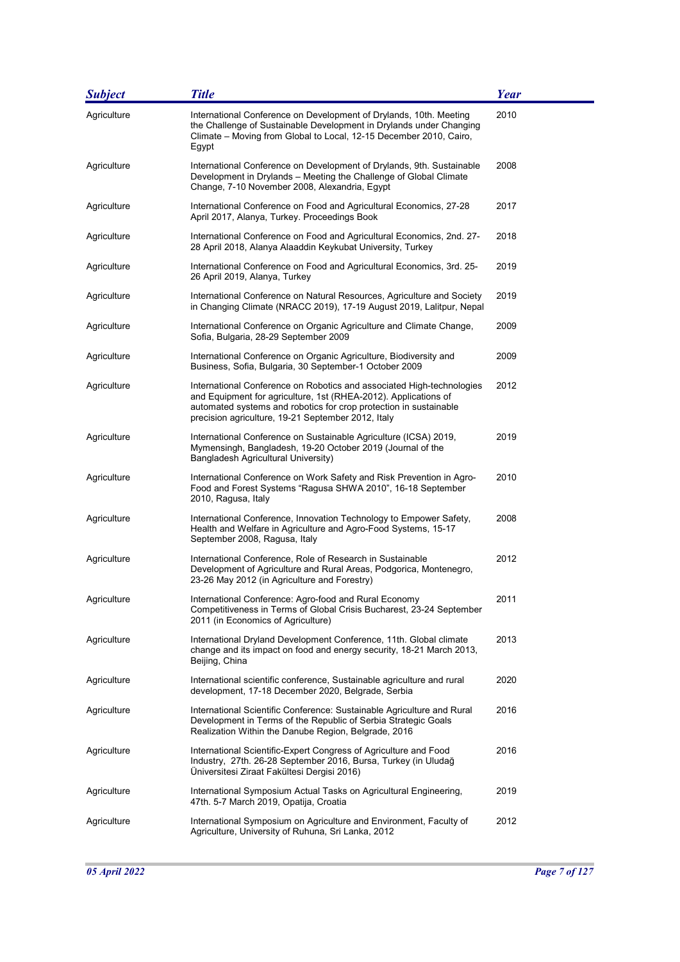| <b>Subject</b> | <b>Title</b>                                                                                                                                                                                                                                                        | <b>Year</b> |
|----------------|---------------------------------------------------------------------------------------------------------------------------------------------------------------------------------------------------------------------------------------------------------------------|-------------|
| Agriculture    | International Conference on Development of Drylands, 10th. Meeting<br>the Challenge of Sustainable Development in Drylands under Changing<br>Climate - Moving from Global to Local, 12-15 December 2010, Cairo,<br>Egypt                                            | 2010        |
| Agriculture    | International Conference on Development of Drylands, 9th. Sustainable<br>Development in Drylands - Meeting the Challenge of Global Climate<br>Change, 7-10 November 2008, Alexandria, Egypt                                                                         | 2008        |
| Agriculture    | International Conference on Food and Agricultural Economics, 27-28<br>April 2017, Alanya, Turkey. Proceedings Book                                                                                                                                                  | 2017        |
| Agriculture    | International Conference on Food and Agricultural Economics, 2nd. 27-<br>28 April 2018, Alanya Alaaddin Keykubat University, Turkey                                                                                                                                 | 2018        |
| Agriculture    | International Conference on Food and Agricultural Economics, 3rd. 25-<br>26 April 2019, Alanya, Turkey                                                                                                                                                              | 2019        |
| Agriculture    | International Conference on Natural Resources, Agriculture and Society<br>in Changing Climate (NRACC 2019), 17-19 August 2019, Lalitpur, Nepal                                                                                                                      | 2019        |
| Agriculture    | International Conference on Organic Agriculture and Climate Change,<br>Sofia, Bulgaria, 28-29 September 2009                                                                                                                                                        | 2009        |
| Agriculture    | International Conference on Organic Agriculture, Biodiversity and<br>Business, Sofia, Bulgaria, 30 September-1 October 2009                                                                                                                                         | 2009        |
| Agriculture    | International Conference on Robotics and associated High-technologies<br>and Equipment for agriculture, 1st (RHEA-2012). Applications of<br>automated systems and robotics for crop protection in sustainable<br>precision agriculture, 19-21 September 2012, Italy | 2012        |
| Agriculture    | International Conference on Sustainable Agriculture (ICSA) 2019,<br>Mymensingh, Bangladesh, 19-20 October 2019 (Journal of the<br>Bangladesh Agricultural University)                                                                                               | 2019        |
| Agriculture    | International Conference on Work Safety and Risk Prevention in Agro-<br>Food and Forest Systems "Ragusa SHWA 2010", 16-18 September<br>2010, Ragusa, Italy                                                                                                          | 2010        |
| Agriculture    | International Conference, Innovation Technology to Empower Safety,<br>Health and Welfare in Agriculture and Agro-Food Systems, 15-17<br>September 2008, Ragusa, Italy                                                                                               | 2008        |
| Agriculture    | International Conference, Role of Research in Sustainable<br>Development of Agriculture and Rural Areas, Podgorica, Montenegro,<br>23-26 May 2012 (in Agriculture and Forestry)                                                                                     | 2012        |
| Agriculture    | International Conference: Agro-food and Rural Economy<br>Competitiveness in Terms of Global Crisis Bucharest, 23-24 September<br>2011 (in Economics of Agriculture)                                                                                                 | 2011        |
| Agriculture    | International Dryland Development Conference, 11th. Global climate<br>change and its impact on food and energy security, 18-21 March 2013,<br>Beijing, China                                                                                                        | 2013        |
| Agriculture    | International scientific conference, Sustainable agriculture and rural<br>development, 17-18 December 2020, Belgrade, Serbia                                                                                                                                        | 2020        |
| Agriculture    | International Scientific Conference: Sustainable Agriculture and Rural<br>Development in Terms of the Republic of Serbia Strategic Goals<br>Realization Within the Danube Region, Belgrade, 2016                                                                    | 2016        |
| Agriculture    | International Scientific-Expert Congress of Agriculture and Food<br>Industry, 27th. 26-28 September 2016, Bursa, Turkey (in Uludağ<br>Üniversitesi Ziraat Fakültesi Dergisi 2016)                                                                                   | 2016        |
| Agriculture    | International Symposium Actual Tasks on Agricultural Engineering,<br>47th. 5-7 March 2019, Opatija, Croatia                                                                                                                                                         | 2019        |
| Agriculture    | International Symposium on Agriculture and Environment, Faculty of<br>Agriculture, University of Ruhuna, Sri Lanka, 2012                                                                                                                                            | 2012        |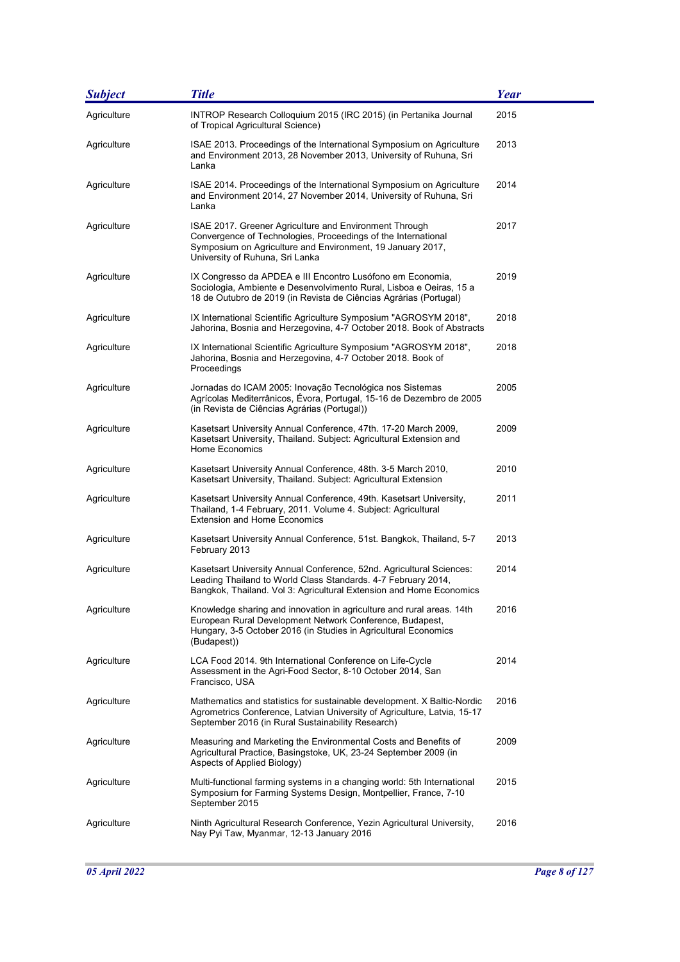| <b>Subject</b> | <b>Title</b>                                                                                                                                                                                                             | Year |
|----------------|--------------------------------------------------------------------------------------------------------------------------------------------------------------------------------------------------------------------------|------|
| Agriculture    | INTROP Research Colloquium 2015 (IRC 2015) (in Pertanika Journal<br>of Tropical Agricultural Science)                                                                                                                    | 2015 |
| Agriculture    | ISAE 2013. Proceedings of the International Symposium on Agriculture<br>and Environment 2013, 28 November 2013, University of Ruhuna, Sri<br>Lanka                                                                       | 2013 |
| Agriculture    | ISAE 2014. Proceedings of the International Symposium on Agriculture<br>and Environment 2014, 27 November 2014, University of Ruhuna, Sri<br>Lanka                                                                       | 2014 |
| Agriculture    | ISAE 2017. Greener Agriculture and Environment Through<br>Convergence of Technologies, Proceedings of the International<br>Symposium on Agriculture and Environment, 19 January 2017,<br>University of Ruhuna, Sri Lanka | 2017 |
| Agriculture    | IX Congresso da APDEA e III Encontro Lusófono em Economia,<br>Sociologia, Ambiente e Desenvolvimento Rural, Lisboa e Oeiras, 15 a<br>18 de Outubro de 2019 (in Revista de Ciências Agrárias (Portugal)                   | 2019 |
| Agriculture    | IX International Scientific Agriculture Symposium "AGROSYM 2018".<br>Jahorina, Bosnia and Herzegovina, 4-7 October 2018. Book of Abstracts                                                                               | 2018 |
| Agriculture    | IX International Scientific Agriculture Symposium "AGROSYM 2018",<br>Jahorina, Bosnia and Herzegovina, 4-7 October 2018. Book of<br>Proceedings                                                                          | 2018 |
| Agriculture    | Jornadas do ICAM 2005: Inovação Tecnológica nos Sistemas<br>Agrícolas Mediterrânicos, Évora, Portugal, 15-16 de Dezembro de 2005<br>(in Revista de Ciências Agrárias (Portugal))                                         | 2005 |
| Agriculture    | Kasetsart University Annual Conference, 47th. 17-20 March 2009,<br>Kasetsart University, Thailand. Subject: Agricultural Extension and<br>Home Economics                                                                 | 2009 |
| Agriculture    | Kasetsart University Annual Conference, 48th. 3-5 March 2010,<br>Kasetsart University, Thailand. Subject: Agricultural Extension                                                                                         | 2010 |
| Agriculture    | Kasetsart University Annual Conference, 49th. Kasetsart University,<br>Thailand, 1-4 February, 2011. Volume 4. Subject: Agricultural<br><b>Extension and Home Economics</b>                                              | 2011 |
| Agriculture    | Kasetsart University Annual Conference, 51st. Bangkok, Thailand, 5-7<br>February 2013                                                                                                                                    | 2013 |
| Agriculture    | Kasetsart University Annual Conference, 52nd. Agricultural Sciences:<br>Leading Thailand to World Class Standards. 4-7 February 2014,<br>Bangkok, Thailand. Vol 3: Agricultural Extension and Home Economics             | 2014 |
| Agriculture    | Knowledge sharing and innovation in agriculture and rural areas. 14th<br>European Rural Development Network Conference, Budapest,<br>Hungary, 3-5 October 2016 (in Studies in Agricultural Economics<br>(Budapest))      | 2016 |
| Agriculture    | LCA Food 2014. 9th International Conference on Life-Cycle<br>Assessment in the Agri-Food Sector, 8-10 October 2014, San<br>Francisco, USA                                                                                | 2014 |
| Agriculture    | Mathematics and statistics for sustainable development. X Baltic-Nordic<br>Agrometrics Conference, Latvian University of Agriculture, Latvia, 15-17<br>September 2016 (in Rural Sustainability Research)                 | 2016 |
| Agriculture    | Measuring and Marketing the Environmental Costs and Benefits of<br>Agricultural Practice, Basingstoke, UK, 23-24 September 2009 (in<br>Aspects of Applied Biology)                                                       | 2009 |
| Agriculture    | Multi-functional farming systems in a changing world: 5th International<br>Symposium for Farming Systems Design, Montpellier, France, 7-10<br>September 2015                                                             | 2015 |
| Agriculture    | Ninth Agricultural Research Conference, Yezin Agricultural University,<br>Nay Pyi Taw, Myanmar, 12-13 January 2016                                                                                                       | 2016 |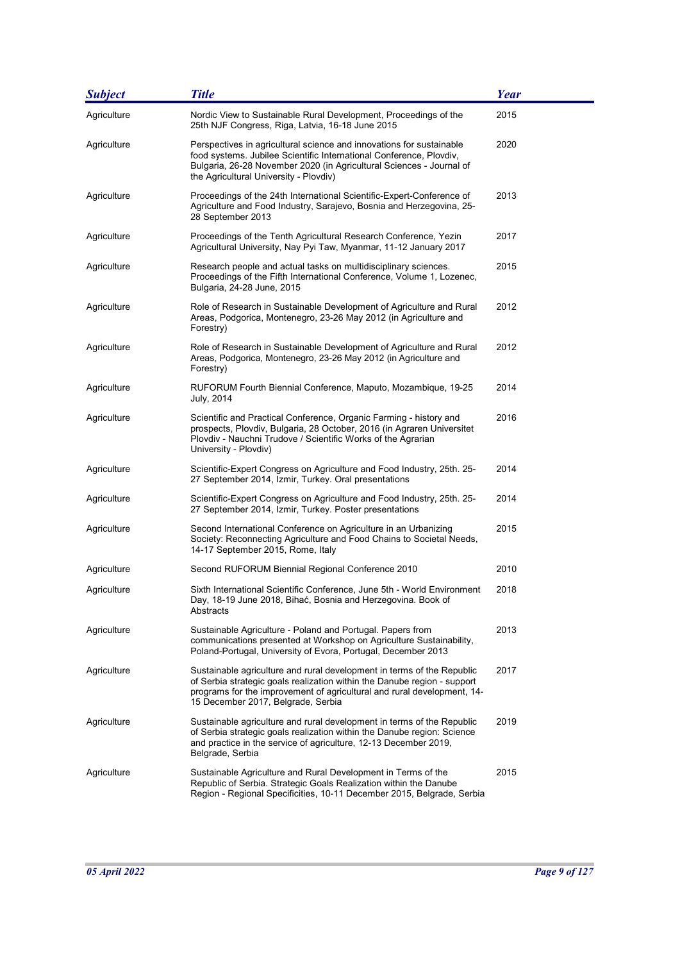| <b>Subject</b> | <b>Title</b>                                                                                                                                                                                                                                                        | <b>Year</b> |
|----------------|---------------------------------------------------------------------------------------------------------------------------------------------------------------------------------------------------------------------------------------------------------------------|-------------|
| Agriculture    | Nordic View to Sustainable Rural Development, Proceedings of the<br>25th NJF Congress, Riga, Latvia, 16-18 June 2015                                                                                                                                                | 2015        |
| Agriculture    | Perspectives in agricultural science and innovations for sustainable<br>food systems. Jubilee Scientific International Conference, Plovdiv,<br>Bulgaria, 26-28 November 2020 (in Agricultural Sciences - Journal of<br>the Agricultural University - Plovdiv)       | 2020        |
| Agriculture    | Proceedings of the 24th International Scientific-Expert-Conference of<br>Agriculture and Food Industry, Sarajevo, Bosnia and Herzegovina, 25-<br>28 September 2013                                                                                                  | 2013        |
| Agriculture    | Proceedings of the Tenth Agricultural Research Conference, Yezin<br>Agricultural University, Nay Pyi Taw, Myanmar, 11-12 January 2017                                                                                                                               | 2017        |
| Agriculture    | Research people and actual tasks on multidisciplinary sciences.<br>Proceedings of the Fifth International Conference, Volume 1, Lozenec,<br>Bulgaria, 24-28 June, 2015                                                                                              | 2015        |
| Agriculture    | Role of Research in Sustainable Development of Agriculture and Rural<br>Areas, Podgorica, Montenegro, 23-26 May 2012 (in Agriculture and<br>Forestry)                                                                                                               | 2012        |
| Agriculture    | Role of Research in Sustainable Development of Agriculture and Rural<br>Areas, Podgorica, Montenegro, 23-26 May 2012 (in Agriculture and<br>Forestry)                                                                                                               | 2012        |
| Agriculture    | RUFORUM Fourth Biennial Conference, Maputo, Mozambique, 19-25<br>July, 2014                                                                                                                                                                                         | 2014        |
| Agriculture    | Scientific and Practical Conference, Organic Farming - history and<br>prospects, Plovdiv, Bulgaria, 28 October, 2016 (in Agraren Universitet<br>Plovdiv - Nauchni Trudove / Scientific Works of the Agrarian<br>University - Plovdiv)                               | 2016        |
| Agriculture    | Scientific-Expert Congress on Agriculture and Food Industry, 25th. 25-<br>27 September 2014, Izmir, Turkey. Oral presentations                                                                                                                                      | 2014        |
| Agriculture    | Scientific-Expert Congress on Agriculture and Food Industry, 25th. 25-<br>27 September 2014, Izmir, Turkey. Poster presentations                                                                                                                                    | 2014        |
| Agriculture    | Second International Conference on Agriculture in an Urbanizing<br>Society: Reconnecting Agriculture and Food Chains to Societal Needs,<br>14-17 September 2015, Rome, Italy                                                                                        | 2015        |
| Agriculture    | Second RUFORUM Biennial Regional Conference 2010                                                                                                                                                                                                                    | 2010        |
| Agriculture    | Sixth International Scientific Conference, June 5th - World Environment<br>Day, 18-19 June 2018, Bihać, Bosnia and Herzegovina. Book of<br>Abstracts                                                                                                                | 2018        |
| Agriculture    | Sustainable Agriculture - Poland and Portugal. Papers from<br>communications presented at Workshop on Agriculture Sustainability,<br>Poland-Portugal, University of Evora, Portugal, December 2013                                                                  | 2013        |
| Agriculture    | Sustainable agriculture and rural development in terms of the Republic<br>of Serbia strategic goals realization within the Danube region - support<br>programs for the improvement of agricultural and rural development, 14-<br>15 December 2017, Belgrade, Serbia | 2017        |
| Agriculture    | Sustainable agriculture and rural development in terms of the Republic<br>of Serbia strategic goals realization within the Danube region: Science<br>and practice in the service of agriculture, 12-13 December 2019,<br>Belgrade, Serbia                           | 2019        |
| Agriculture    | Sustainable Agriculture and Rural Development in Terms of the<br>Republic of Serbia. Strategic Goals Realization within the Danube<br>Region - Regional Specificities, 10-11 December 2015, Belgrade, Serbia                                                        | 2015        |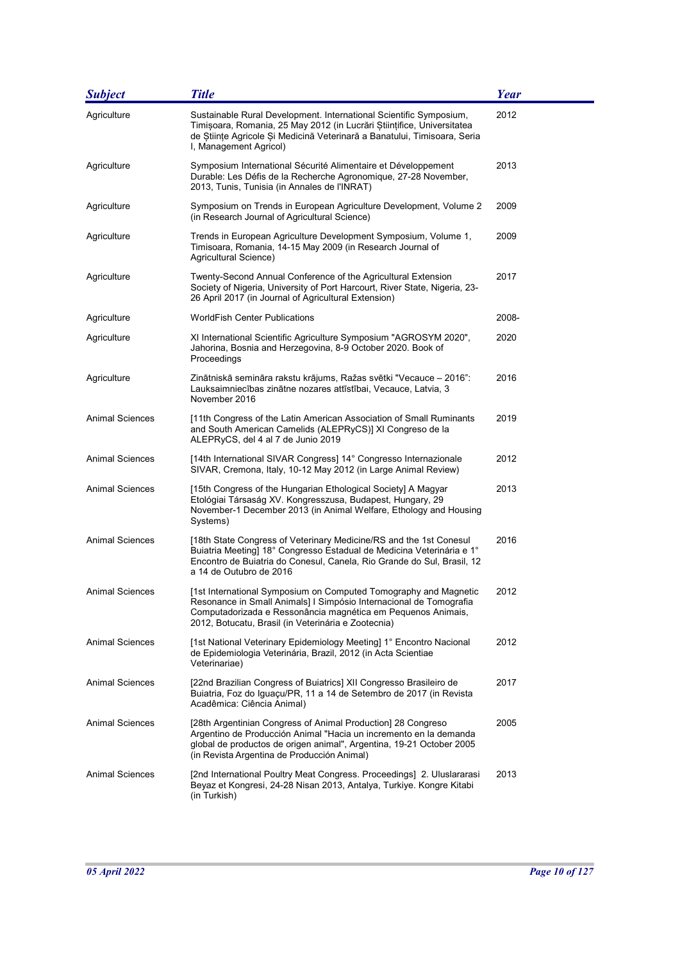| <b>Subject</b>         | <b>Title</b>                                                                                                                                                                                                                                                  | <b>Year</b> |
|------------------------|---------------------------------------------------------------------------------------------------------------------------------------------------------------------------------------------------------------------------------------------------------------|-------------|
| Agriculture            | Sustainable Rural Development. International Scientific Symposium,<br>Timișoara, Romania, 25 May 2012 (in Lucrări Științifice, Universitatea<br>de Științe Agricole Și Medicină Veterinară a Banatului, Timisoara, Seria<br>I, Management Agricol)            | 2012        |
| Agriculture            | Symposium International Sécurité Alimentaire et Développement<br>Durable: Les Défis de la Recherche Agronomique, 27-28 November,<br>2013, Tunis, Tunisia (in Annales de l'INRAT)                                                                              | 2013        |
| Agriculture            | Symposium on Trends in European Agriculture Development, Volume 2<br>(in Research Journal of Agricultural Science)                                                                                                                                            | 2009        |
| Agriculture            | Trends in European Agriculture Development Symposium, Volume 1,<br>Timisoara, Romania, 14-15 May 2009 (in Research Journal of<br>Agricultural Science)                                                                                                        | 2009        |
| Agriculture            | Twenty-Second Annual Conference of the Agricultural Extension<br>Society of Nigeria, University of Port Harcourt, River State, Nigeria, 23-<br>26 April 2017 (in Journal of Agricultural Extension)                                                           | 2017        |
| Agriculture            | <b>WorldFish Center Publications</b>                                                                                                                                                                                                                          | 2008-       |
| Agriculture            | XI International Scientific Agriculture Symposium "AGROSYM 2020",<br>Jahorina, Bosnia and Herzegovina, 8-9 October 2020. Book of<br>Proceedings                                                                                                               | 2020        |
| Agriculture            | Zinātniskā semināra rakstu krājums, Ražas svētki "Vecauce - 2016":<br>Lauksaimniecības zinātne nozares attīstībai, Vecauce, Latvia, 3<br>November 2016                                                                                                        | 2016        |
| <b>Animal Sciences</b> | [11th Congress of the Latin American Association of Small Ruminants<br>and South American Camelids (ALEPRyCS)] XI Congreso de la<br>ALEPRyCS, del 4 al 7 de Junio 2019                                                                                        | 2019        |
| <b>Animal Sciences</b> | [14th International SIVAR Congress] 14° Congresso Internazionale<br>SIVAR, Cremona, Italy, 10-12 May 2012 (in Large Animal Review)                                                                                                                            | 2012        |
| Animal Sciences        | [15th Congress of the Hungarian Ethological Society] A Magyar<br>Etológiai Társaság XV. Kongresszusa, Budapest, Hungary, 29<br>November-1 December 2013 (in Animal Welfare, Ethology and Housing<br>Systems)                                                  | 2013        |
| <b>Animal Sciences</b> | [18th State Congress of Veterinary Medicine/RS and the 1st Conesul<br>Buiatria Meeting] 18° Congresso Estadual de Medicina Veterinária e 1°<br>Encontro de Buiatria do Conesul, Canela, Rio Grande do Sul, Brasil, 12<br>a 14 de Outubro de 2016              | 2016        |
| <b>Animal Sciences</b> | [1st International Symposium on Computed Tomography and Magnetic<br>Resonance in Small Animals] I Simpósio Internacional de Tomografia<br>Computadorizada e Ressonância magnética em Pequenos Animais,<br>2012, Botucatu, Brasil (in Veterinária e Zootecnia) | 2012        |
| <b>Animal Sciences</b> | [1st National Veterinary Epidemiology Meeting] 1° Encontro Nacional<br>de Epidemiologia Veterinária, Brazil, 2012 (in Acta Scientiae<br>Veterinariae)                                                                                                         | 2012        |
| <b>Animal Sciences</b> | [22nd Brazilian Congress of Buiatrics] XII Congresso Brasileiro de<br>Buiatria, Foz do Iguaçu/PR, 11 a 14 de Setembro de 2017 (in Revista<br>Acadêmica: Ciência Animal)                                                                                       | 2017        |
| <b>Animal Sciences</b> | [28th Argentinian Congress of Animal Production] 28 Congreso<br>Argentino de Producción Animal "Hacia un incremento en la demanda<br>global de productos de origen animal", Argentina, 19-21 October 2005<br>(in Revista Argentina de Producción Animal)      | 2005        |
| Animal Sciences        | [2nd International Poultry Meat Congress. Proceedings] 2. Uluslararasi<br>Beyaz et Kongresi, 24-28 Nisan 2013, Antalya, Turkiye. Kongre Kitabi<br>(in Turkish)                                                                                                | 2013        |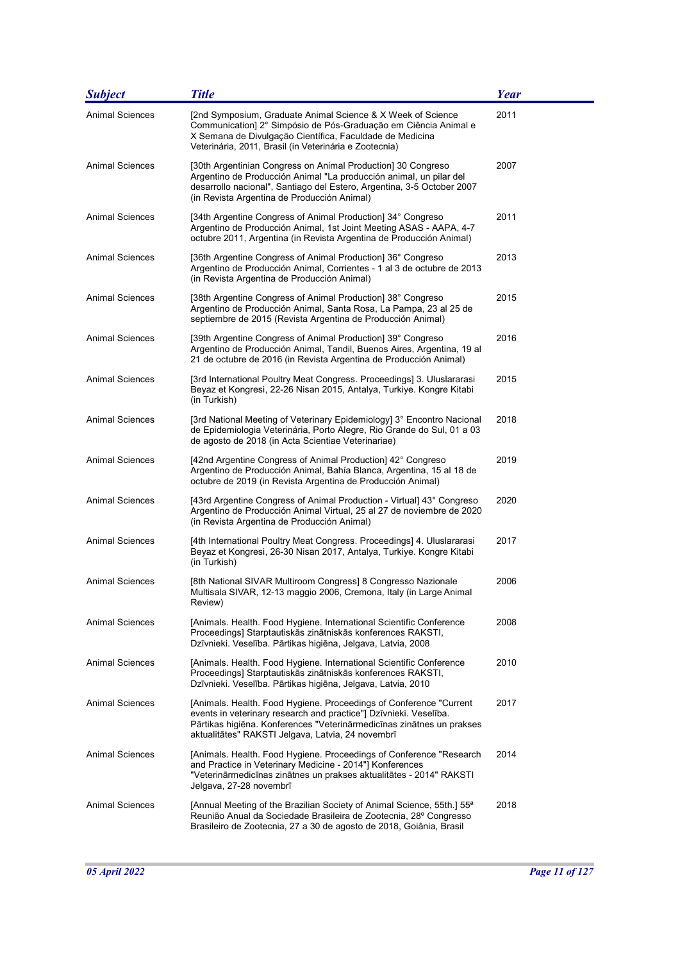| <b>Subject</b>         | <b>Title</b>                                                                                                                                                                                                                                                           | <b>Year</b> |
|------------------------|------------------------------------------------------------------------------------------------------------------------------------------------------------------------------------------------------------------------------------------------------------------------|-------------|
| <b>Animal Sciences</b> | [2nd Symposium, Graduate Animal Science & X Week of Science<br>Communication] 2° Simpósio de Pós-Graduação em Ciência Animal e<br>X Semana de Divulgação Científica, Faculdade de Medicina<br>Veterinária, 2011, Brasil (in Veterinária e Zootecnia)                   | 2011        |
| Animal Sciences        | [30th Argentinian Congress on Animal Production] 30 Congreso<br>Argentino de Producción Animal "La producción animal, un pilar del<br>desarrollo nacional", Santiago del Estero, Argentina, 3-5 October 2007<br>(in Revista Argentina de Producción Animal)            | 2007        |
| Animal Sciences        | [34th Argentine Congress of Animal Production] 34° Congreso<br>Argentino de Producción Animal, 1st Joint Meeting ASAS - AAPA, 4-7<br>octubre 2011, Argentina (in Revista Argentina de Producción Animal)                                                               | 2011        |
| <b>Animal Sciences</b> | [36th Argentine Congress of Animal Production] 36° Congreso<br>Argentino de Producción Animal, Corrientes - 1 al 3 de octubre de 2013<br>(in Revista Argentina de Producción Animal)                                                                                   | 2013        |
| <b>Animal Sciences</b> | [38th Argentine Congress of Animal Production] 38° Congreso<br>Argentino de Producción Animal, Santa Rosa, La Pampa, 23 al 25 de<br>septiembre de 2015 (Revista Argentina de Producción Animal)                                                                        | 2015        |
| <b>Animal Sciences</b> | [39th Argentine Congress of Animal Production] 39° Congreso<br>Argentino de Producción Animal, Tandil, Buenos Aires, Argentina, 19 al<br>21 de octubre de 2016 (in Revista Argentina de Producción Animal)                                                             | 2016        |
| <b>Animal Sciences</b> | [3rd International Poultry Meat Congress. Proceedings] 3. Uluslararasi<br>Beyaz et Kongresi, 22-26 Nisan 2015, Antalya, Turkiye. Kongre Kitabi<br>(in Turkish)                                                                                                         | 2015        |
| <b>Animal Sciences</b> | [3rd National Meeting of Veterinary Epidemiology] 3° Encontro Nacional<br>de Epidemiologia Veterinária, Porto Alegre, Rio Grande do Sul, 01 a 03<br>de agosto de 2018 (in Acta Scientiae Veterinariae)                                                                 | 2018        |
| <b>Animal Sciences</b> | [42nd Argentine Congress of Animal Production] 42° Congreso<br>Argentino de Producción Animal, Bahía Blanca, Argentina, 15 al 18 de<br>octubre de 2019 (in Revista Argentina de Producción Animal)                                                                     | 2019        |
| <b>Animal Sciences</b> | [43rd Argentine Congress of Animal Production - Virtual] 43° Congreso<br>Argentino de Producción Animal Virtual, 25 al 27 de noviembre de 2020<br>(in Revista Argentina de Producción Animal)                                                                          | 2020        |
| <b>Animal Sciences</b> | [4th International Poultry Meat Congress. Proceedings] 4. Uluslararasi<br>Beyaz et Kongresi, 26-30 Nisan 2017, Antalya, Turkiye. Kongre Kitabi<br>(in Turkish)                                                                                                         | 2017        |
| <b>Animal Sciences</b> | [8th National SIVAR Multiroom Congress] 8 Congresso Nazionale<br>Multisala SIVAR, 12-13 maggio 2006, Cremona, Italy (in Large Animal<br>Review)                                                                                                                        | 2006        |
| <b>Animal Sciences</b> | [Animals. Health. Food Hygiene. International Scientific Conference<br>Proceedings] Starptautiskās zinātniskās konferences RAKSTI,<br>Dzīvnieki. Veselība. Pārtikas higiēna, Jelgava, Latvia, 2008                                                                     | 2008        |
| <b>Animal Sciences</b> | [Animals. Health. Food Hygiene. International Scientific Conference<br>Proceedings] Starptautiskās zinātniskās konferences RAKSTI,<br>Dzīvnieki. Veselība. Pārtikas higiēna, Jelgava, Latvia, 2010                                                                     | 2010        |
| <b>Animal Sciences</b> | [Animals. Health. Food Hygiene. Proceedings of Conference "Current"<br>events in veterinary research and practice"] Dzīvnieki. Veselība.<br>Pārtikas higiēna. Konferences "Veterinārmedicīnas zinātnes un prakses<br>aktualitātes" RAKSTI Jelgava, Latvia, 24 novembrī | 2017        |
| <b>Animal Sciences</b> | [Animals. Health. Food Hygiene. Proceedings of Conference "Research<br>and Practice in Veterinary Medicine - 2014"] Konferences<br>"Veterinārmedicīnas zinātnes un prakses aktualitātes - 2014" RAKSTI<br>Jelgava, 27-28 novembrī                                      | 2014        |
| Animal Sciences        | [Annual Meeting of the Brazilian Society of Animal Science, 55th.] 55 <sup>a</sup><br>Reunião Anual da Sociedade Brasileira de Zootecnia, 28º Congresso<br>Brasileiro de Zootecnia, 27 a 30 de agosto de 2018, Goiânia, Brasil                                         | 2018        |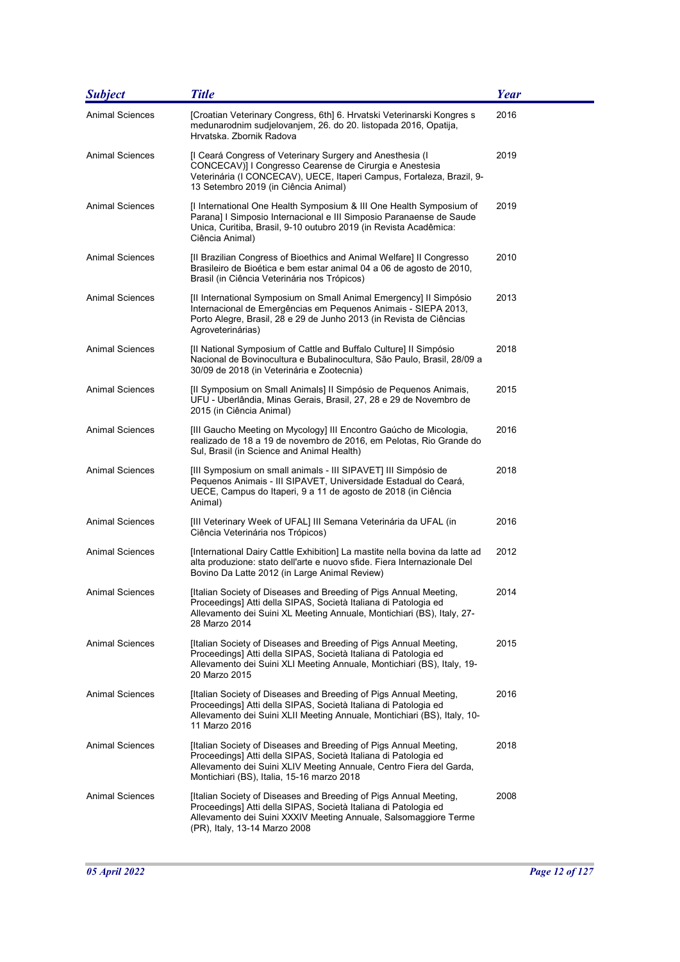| <b>Subject</b>         | <b>Title</b>                                                                                                                                                                                                                                              | Year |
|------------------------|-----------------------------------------------------------------------------------------------------------------------------------------------------------------------------------------------------------------------------------------------------------|------|
| <b>Animal Sciences</b> | [Croatian Veterinary Congress, 6th] 6. Hrvatski Veterinarski Kongres s<br>medunarodnim sudjelovanjem, 26. do 20. listopada 2016, Opatija,<br>Hrvatska. Zbornik Radova                                                                                     | 2016 |
| <b>Animal Sciences</b> | [I Ceará Congress of Veterinary Surgery and Anesthesia (I<br>CONCECAV)] I Congresso Cearense de Cirurgia e Anestesia<br>Veterinária (I CONCECAV), UECE, Itaperi Campus, Fortaleza, Brazil, 9-<br>13 Setembro 2019 (in Ciência Animal)                     | 2019 |
| Animal Sciences        | [I International One Health Symposium & III One Health Symposium of<br>Parana] I Simposio Internacional e III Simposio Paranaense de Saude<br>Unica, Curitiba, Brasil, 9-10 outubro 2019 (in Revista Acadêmica:<br>Ciência Animal)                        | 2019 |
| <b>Animal Sciences</b> | [II Brazilian Congress of Bioethics and Animal Welfare] II Congresso<br>Brasileiro de Bioética e bem estar animal 04 a 06 de agosto de 2010,<br>Brasil (in Ciência Veterinária nos Trópicos)                                                              | 2010 |
| <b>Animal Sciences</b> | [II International Symposium on Small Animal Emergency] II Simpósio<br>Internacional de Emergências em Pequenos Animais - SIEPA 2013,<br>Porto Alegre, Brasil, 28 e 29 de Junho 2013 (in Revista de Ciências<br>Agroveterinárias)                          | 2013 |
| <b>Animal Sciences</b> | [Il National Symposium of Cattle and Buffalo Culture] Il Simpósio<br>Nacional de Bovinocultura e Bubalinocultura, São Paulo, Brasil, 28/09 a<br>30/09 de 2018 (in Veterinária e Zootecnia)                                                                | 2018 |
| <b>Animal Sciences</b> | [Il Symposium on Small Animals] Il Simpósio de Pequenos Animais,<br>UFU - Uberlândia, Minas Gerais, Brasil, 27, 28 e 29 de Novembro de<br>2015 (in Ciência Animal)                                                                                        | 2015 |
| <b>Animal Sciences</b> | [III Gaucho Meeting on Mycology] III Encontro Gaúcho de Micologia,<br>realizado de 18 a 19 de novembro de 2016, em Pelotas, Rio Grande do<br>Sul, Brasil (in Science and Animal Health)                                                                   | 2016 |
| <b>Animal Sciences</b> | [III Symposium on small animals - III SIPAVET] III Simpósio de<br>Pequenos Animais - III SIPAVET, Universidade Estadual do Ceará,<br>UECE, Campus do Itaperi, 9 a 11 de agosto de 2018 (in Ciência<br>Animal)                                             | 2018 |
| <b>Animal Sciences</b> | [III Veterinary Week of UFAL] III Semana Veterinária da UFAL (in<br>Ciência Veterinária nos Trópicos)                                                                                                                                                     | 2016 |
| <b>Animal Sciences</b> | [International Dairy Cattle Exhibition] La mastite nella bovina da latte ad<br>alta produzione: stato dell'arte e nuovo sfide. Fiera Internazionale Del<br>Bovino Da Latte 2012 (in Large Animal Review)                                                  | 2012 |
| Animal Sciences        | [Italian Society of Diseases and Breeding of Pigs Annual Meeting,<br>Proceedings] Atti della SIPAS, Società Italiana di Patologia ed<br>Allevamento dei Suini XL Meeting Annuale, Montichiari (BS), Italy, 27-<br>28 Marzo 2014                           | 2014 |
| Animal Sciences        | [Italian Society of Diseases and Breeding of Pigs Annual Meeting,<br>Proceedings] Atti della SIPAS, Società Italiana di Patologia ed<br>Allevamento dei Suini XLI Meeting Annuale, Montichiari (BS), Italy, 19-<br>20 Marzo 2015                          | 2015 |
| Animal Sciences        | [Italian Society of Diseases and Breeding of Pigs Annual Meeting,<br>Proceedings] Atti della SIPAS, Società Italiana di Patologia ed<br>Allevamento dei Suini XLII Meeting Annuale, Montichiari (BS), Italy, 10-<br>11 Marzo 2016                         | 2016 |
| Animal Sciences        | [Italian Society of Diseases and Breeding of Pigs Annual Meeting,<br>Proceedings] Atti della SIPAS, Società Italiana di Patologia ed<br>Allevamento dei Suini XLIV Meeting Annuale, Centro Fiera del Garda,<br>Montichiari (BS), Italia, 15-16 marzo 2018 | 2018 |
| <b>Animal Sciences</b> | [Italian Society of Diseases and Breeding of Pigs Annual Meeting,<br>Proceedings] Atti della SIPAS, Società Italiana di Patologia ed<br>Allevamento dei Suini XXXIV Meeting Annuale, Salsomaggiore Terme<br>(PR), Italy, 13-14 Marzo 2008                 | 2008 |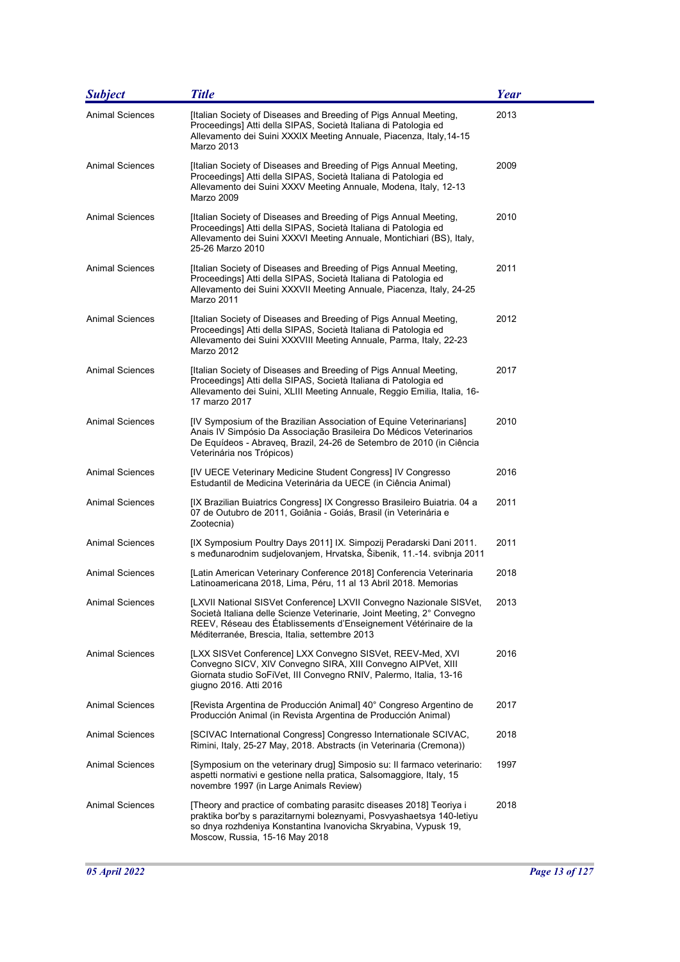| <b>Subject</b>         | <b>Title</b>                                                                                                                                                                                                                                                       | <b>Year</b> |
|------------------------|--------------------------------------------------------------------------------------------------------------------------------------------------------------------------------------------------------------------------------------------------------------------|-------------|
| <b>Animal Sciences</b> | [Italian Society of Diseases and Breeding of Pigs Annual Meeting,<br>Proceedings] Atti della SIPAS, Società Italiana di Patologia ed<br>Allevamento dei Suini XXXIX Meeting Annuale, Piacenza, Italy, 14-15<br>Marzo 2013                                          | 2013        |
| Animal Sciences        | [Italian Society of Diseases and Breeding of Pigs Annual Meeting,<br>Proceedings] Atti della SIPAS, Società Italiana di Patologia ed<br>Allevamento dei Suini XXXV Meeting Annuale, Modena, Italy, 12-13<br>Marzo 2009                                             | 2009        |
| <b>Animal Sciences</b> | [Italian Society of Diseases and Breeding of Pigs Annual Meeting,<br>Proceedings] Atti della SIPAS, Società Italiana di Patologia ed<br>Allevamento dei Suini XXXVI Meeting Annuale, Montichiari (BS), Italy,<br>25-26 Marzo 2010                                  | 2010        |
| <b>Animal Sciences</b> | [Italian Society of Diseases and Breeding of Pigs Annual Meeting,<br>Proceedings] Atti della SIPAS, Società Italiana di Patologia ed<br>Allevamento dei Suini XXXVII Meeting Annuale, Piacenza, Italy, 24-25<br>Marzo 2011                                         | 2011        |
| <b>Animal Sciences</b> | [Italian Society of Diseases and Breeding of Pigs Annual Meeting,<br>Proceedings] Atti della SIPAS, Società Italiana di Patologia ed<br>Allevamento dei Suini XXXVIII Meeting Annuale, Parma, Italy, 22-23<br>Marzo 2012                                           | 2012        |
| <b>Animal Sciences</b> | [Italian Society of Diseases and Breeding of Pigs Annual Meeting,<br>Proceedings] Atti della SIPAS, Società Italiana di Patologia ed<br>Allevamento dei Suini, XLIII Meeting Annuale, Reggio Emilia, Italia, 16-<br>17 marzo 2017                                  | 2017        |
| <b>Animal Sciences</b> | [IV Symposium of the Brazilian Association of Equine Veterinarians]<br>Anais IV Simpósio Da Associação Brasileira Do Médicos Veterinarios<br>De Equídeos - Abraveq, Brazil, 24-26 de Setembro de 2010 (in Ciência<br>Veterinária nos Trópicos)                     | 2010        |
| <b>Animal Sciences</b> | [IV UECE Veterinary Medicine Student Congress] IV Congresso<br>Estudantil de Medicina Veterinária da UECE (in Ciência Animal)                                                                                                                                      | 2016        |
| <b>Animal Sciences</b> | [IX Brazilian Buiatrics Congress] IX Congresso Brasileiro Buiatria. 04 a<br>07 de Outubro de 2011, Goiânia - Goiás, Brasil (in Veterinária e<br>Zootecnia)                                                                                                         | 2011        |
| <b>Animal Sciences</b> | [IX Symposium Poultry Days 2011] IX. Simpozij Peradarski Dani 2011.<br>s međunarodnim sudjelovanjem, Hrvatska, Šibenik, 11.-14. svibnja 2011                                                                                                                       | 2011        |
| Animal Sciences        | [Latin American Veterinary Conference 2018] Conferencia Veterinaria<br>Latinoamericana 2018, Lima, Péru, 11 al 13 Abril 2018. Memorias                                                                                                                             | 2018        |
| Animal Sciences        | [LXVII National SISVet Conference] LXVII Convegno Nazionale SISVet,<br>Società Italiana delle Scienze Veterinarie, Joint Meeting, 2° Convegno<br>REEV, Réseau des Établissements d'Enseignement Vétérinaire de la<br>Méditerranée, Brescia, Italia, settembre 2013 | 2013        |
| <b>Animal Sciences</b> | [LXX SISVet Conference] LXX Convegno SISVet, REEV-Med, XVI<br>Convegno SICV, XIV Convegno SIRA, XIII Convegno AIPVet, XIII<br>Giornata studio SoFiVet, III Convegno RNIV, Palermo, Italia, 13-16<br>giugno 2016. Atti 2016                                         | 2016        |
| <b>Animal Sciences</b> | [Revista Argentina de Producción Animal] 40° Congreso Argentino de<br>Producción Animal (in Revista Argentina de Producción Animal)                                                                                                                                | 2017        |
| Animal Sciences        | [SCIVAC International Congress] Congresso Internationale SCIVAC,<br>Rimini, Italy, 25-27 May, 2018. Abstracts (in Veterinaria (Cremona))                                                                                                                           | 2018        |
| Animal Sciences        | [Symposium on the veterinary drug] Simposio su: Il farmaco veterinario:<br>aspetti normativi e gestione nella pratica, Salsomaggiore, Italy, 15<br>novembre 1997 (in Large Animals Review)                                                                         | 1997        |
| <b>Animal Sciences</b> | [Theory and practice of combating parasitc diseases 2018] Teoriya i<br>praktika bor'by s parazitarnymi boleznyami, Posvyashaetsya 140-letiyu<br>so dnya rozhdeniya Konstantina Ivanovicha Skryabina, Vypusk 19,<br>Moscow, Russia, 15-16 May 2018                  | 2018        |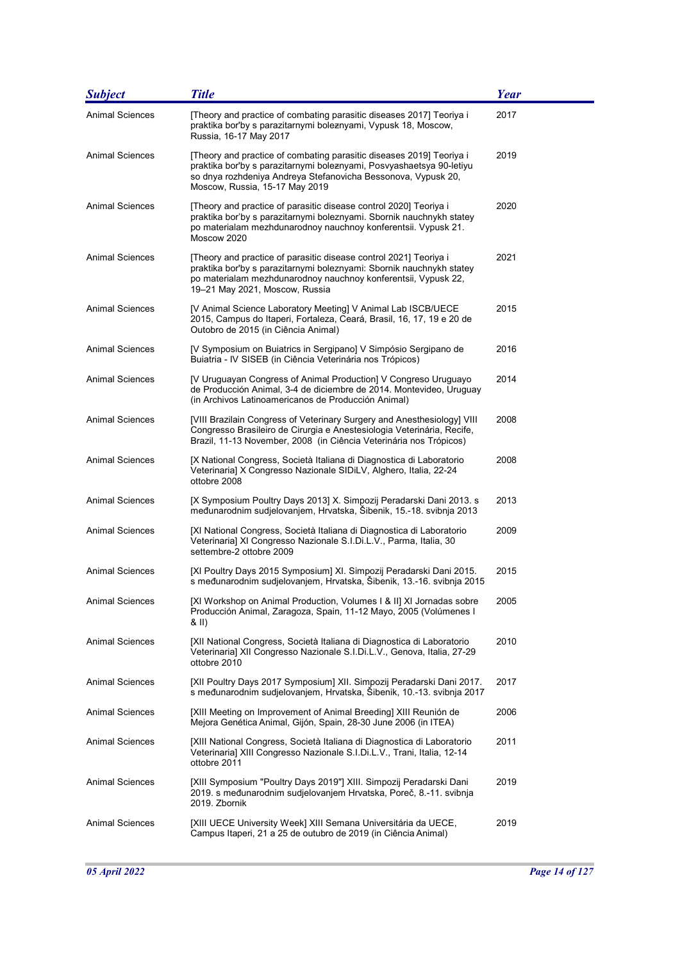| <b>Subject</b>         | <b>Title</b>                                                                                                                                                                                                                                    | <b>Year</b> |
|------------------------|-------------------------------------------------------------------------------------------------------------------------------------------------------------------------------------------------------------------------------------------------|-------------|
| <b>Animal Sciences</b> | [Theory and practice of combating parasitic diseases 2017] Teoriya i<br>praktika bor'by s parazitarnymi boleznyami, Vypusk 18, Moscow,<br>Russia, 16-17 May 2017                                                                                | 2017        |
| <b>Animal Sciences</b> | [Theory and practice of combating parasitic diseases 2019] Teoriya i<br>praktika bor'by s parazitarnymi boleznyami, Posvyashaetsya 90-letiyu<br>so dnya rozhdeniya Andreya Stefanovicha Bessonova, Vypusk 20,<br>Moscow, Russia, 15-17 May 2019 | 2019        |
| Animal Sciences        | [Theory and practice of parasitic disease control 2020] Teoriya i<br>praktika bor'by s parazitarnymi boleznyami. Sbornik nauchnykh statey<br>po materialam mezhdunarodnoy nauchnoy konferentsii. Vypusk 21.<br>Moscow 2020                      | 2020        |
| <b>Animal Sciences</b> | [Theory and practice of parasitic disease control 2021] Teoriya i<br>praktika bor'by s parazitarnymi boleznyami: Sbornik nauchnykh statey<br>po materialam mezhdunarodnoy nauchnoy konferentsii, Vypusk 22,<br>19-21 May 2021, Moscow, Russia   | 2021        |
| <b>Animal Sciences</b> | [V Animal Science Laboratory Meeting] V Animal Lab ISCB/UECE<br>2015, Campus do Itaperi, Fortaleza, Ceará, Brasil, 16, 17, 19 e 20 de<br>Outobro de 2015 (in Ciência Animal)                                                                    | 2015        |
| <b>Animal Sciences</b> | [V Symposium on Buiatrics in Sergipano] V Simpósio Sergipano de<br>Buiatria - IV SISEB (in Ciência Veterinária nos Trópicos)                                                                                                                    | 2016        |
| <b>Animal Sciences</b> | [V Uruguayan Congress of Animal Production] V Congreso Uruguayo<br>de Producción Animal, 3-4 de diciembre de 2014. Montevideo, Uruguay<br>(in Archivos Latinoamericanos de Producción Animal)                                                   | 2014        |
| <b>Animal Sciences</b> | [VIII Brazilain Congress of Veterinary Surgery and Anesthesiology] VIII<br>Congresso Brasileiro de Cirurgia e Anestesiologia Veterinária, Recife,<br>Brazil, 11-13 November, 2008 (in Ciência Veterinária nos Trópicos)                         | 2008        |
| <b>Animal Sciences</b> | [X National Congress, Società Italiana di Diagnostica di Laboratorio<br>Veterinaria] X Congresso Nazionale SIDiLV, Alghero, Italia, 22-24<br>ottobre 2008                                                                                       | 2008        |
| <b>Animal Sciences</b> | [X Symposium Poultry Days 2013] X. Simpozij Peradarski Dani 2013. s<br>međunarodnim sudjelovanjem, Hrvatska, Šibenik, 15.-18. svibnja 2013                                                                                                      | 2013        |
| Animal Sciences        | [XI National Congress, Società Italiana di Diagnostica di Laboratorio<br>Veterinaria] XI Congresso Nazionale S.I.Di.L.V., Parma, Italia, 30<br>settembre-2 ottobre 2009                                                                         | 2009        |
| <b>Animal Sciences</b> | [XI Poultry Days 2015 Symposium] XI. Simpozij Peradarski Dani 2015.<br>s međunarodnim sudjelovanjem, Hrvatska, Šibenik, 13.-16. svibnja 2015                                                                                                    | 2015        |
| Animal Sciences        | [XI Workshop on Animal Production, Volumes I & II] XI Jornadas sobre<br>Producción Animal, Zaragoza, Spain, 11-12 Mayo, 2005 (Volúmenes I<br>& II)                                                                                              | 2005        |
| <b>Animal Sciences</b> | [XII National Congress, Società Italiana di Diagnostica di Laboratorio<br>Veterinaria] XII Congresso Nazionale S.I.Di.L.V., Genova, Italia, 27-29<br>ottobre 2010                                                                               | 2010        |
| <b>Animal Sciences</b> | [XII Poultry Days 2017 Symposium] XII. Simpozij Peradarski Dani 2017.<br>s međunarodnim sudjelovanjem, Hrvatska, Šibenik, 10.-13. svibnja 2017                                                                                                  | 2017        |
| <b>Animal Sciences</b> | [XIII Meeting on Improvement of Animal Breeding] XIII Reunión de<br>Mejora Genética Animal, Gijón, Spain, 28-30 June 2006 (in ITEA)                                                                                                             | 2006        |
| <b>Animal Sciences</b> | [XIII National Congress, Società Italiana di Diagnostica di Laboratorio<br>Veterinaria] XIII Congresso Nazionale S.I.Di.L.V., Trani, Italia, 12-14<br>ottobre 2011                                                                              | 2011        |
| <b>Animal Sciences</b> | [XIII Symposium "Poultry Days 2019"] XIII. Simpozij Peradarski Dani<br>2019. s međunarodnim sudjelovanjem Hrvatska, Poreč, 8.-11. svibnja<br>2019. Zbornik                                                                                      | 2019        |
| <b>Animal Sciences</b> | [XIII UECE University Week] XIII Semana Universitária da UECE,<br>Campus Itaperi, 21 a 25 de outubro de 2019 (in Ciência Animal)                                                                                                                | 2019        |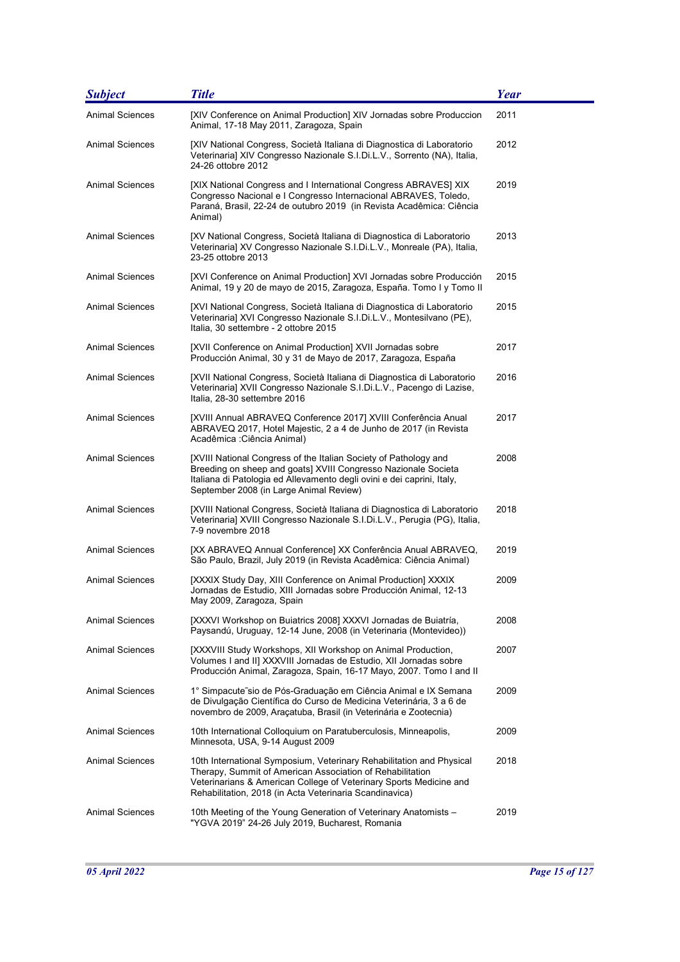| <b>Subject</b>         | <b>Title</b>                                                                                                                                                                                                                                                       | <b>Year</b> |
|------------------------|--------------------------------------------------------------------------------------------------------------------------------------------------------------------------------------------------------------------------------------------------------------------|-------------|
| <b>Animal Sciences</b> | [XIV Conference on Animal Production] XIV Jornadas sobre Produccion<br>Animal, 17-18 May 2011, Zaragoza, Spain                                                                                                                                                     | 2011        |
| <b>Animal Sciences</b> | [XIV National Congress, Società Italiana di Diagnostica di Laboratorio<br>Veterinaria] XIV Congresso Nazionale S.I.Di.L.V., Sorrento (NA), Italia,<br>24-26 ottobre 2012                                                                                           | 2012        |
| <b>Animal Sciences</b> | [XIX National Congress and I International Congress ABRAVES] XIX<br>Congresso Nacional e I Congresso Internacional ABRAVES, Toledo,<br>Paraná, Brasil, 22-24 de outubro 2019 (in Revista Acadêmica: Ciência<br>Animal)                                             | 2019        |
| <b>Animal Sciences</b> | [XV National Congress, Società Italiana di Diagnostica di Laboratorio<br>Veterinaria] XV Congresso Nazionale S.I.Di.L.V., Monreale (PA), Italia,<br>23-25 ottobre 2013                                                                                             | 2013        |
| Animal Sciences        | [XVI Conference on Animal Production] XVI Jornadas sobre Producción<br>Animal, 19 y 20 de mayo de 2015, Zaragoza, España. Tomo I y Tomo II                                                                                                                         | 2015        |
| <b>Animal Sciences</b> | [XVI National Congress, Società Italiana di Diagnostica di Laboratorio<br>Veterinaria] XVI Congresso Nazionale S.I.Di.L.V., Montesilvano (PE),<br>Italia, 30 settembre - 2 ottobre 2015                                                                            | 2015        |
| <b>Animal Sciences</b> | [XVII Conference on Animal Production] XVII Jornadas sobre<br>Producción Animal, 30 y 31 de Mayo de 2017, Zaragoza, España                                                                                                                                         | 2017        |
| <b>Animal Sciences</b> | [XVII National Congress, Società Italiana di Diagnostica di Laboratorio<br>Veterinaria] XVII Congresso Nazionale S.I.Di.L.V., Pacengo di Lazise,<br>Italia, 28-30 settembre 2016                                                                                   | 2016        |
| <b>Animal Sciences</b> | [XVIII Annual ABRAVEQ Conference 2017] XVIII Conferência Anual<br>ABRAVEQ 2017, Hotel Majestic, 2 a 4 de Junho de 2017 (in Revista<br>Acadêmica : Ciência Animal)                                                                                                  | 2017        |
| <b>Animal Sciences</b> | [XVIII National Congress of the Italian Society of Pathology and<br>Breeding on sheep and goats] XVIII Congresso Nazionale Societa<br>Italiana di Patologia ed Allevamento degli ovini e dei caprini, Italy,<br>September 2008 (in Large Animal Review)            | 2008        |
| Animal Sciences        | [XVIII National Congress, Società Italiana di Diagnostica di Laboratorio<br>Veterinaria] XVIII Congresso Nazionale S.I.Di.L.V., Perugia (PG), Italia,<br>7-9 novembre 2018                                                                                         | 2018        |
| Animal Sciences        | [XX ABRAVEQ Annual Conference] XX Conferência Anual ABRAVEQ,<br>São Paulo, Brazil, July 2019 (in Revista Acadêmica: Ciência Animal)                                                                                                                                | 2019        |
| <b>Animal Sciences</b> | [XXXIX Study Day, XIII Conference on Animal Production] XXXIX<br>Jornadas de Estudio, XIII Jornadas sobre Producción Animal, 12-13<br>May 2009, Zaragoza, Spain                                                                                                    | 2009        |
| <b>Animal Sciences</b> | [XXXVI Workshop on Buiatrics 2008] XXXVI Jornadas de Buiatría,<br>Paysandú, Uruguay, 12-14 June, 2008 (in Veterinaria (Montevideo))                                                                                                                                | 2008        |
| <b>Animal Sciences</b> | [XXXVIII Study Workshops, XII Workshop on Animal Production,<br>Volumes I and II] XXXVIII Jornadas de Estudio, XII Jornadas sobre<br>Producción Animal, Zaragoza, Spain, 16-17 Mayo, 2007. Tomo I and II                                                           | 2007        |
| <b>Animal Sciences</b> | 1° Simpacute sio de Pós-Graduação em Ciência Animal e IX Semana<br>de Divulgação Científica do Curso de Medicina Veterinária, 3 a 6 de<br>novembro de 2009, Aracatuba, Brasil (in Veterinária e Zootecnia)                                                         | 2009        |
| <b>Animal Sciences</b> | 10th International Colloquium on Paratuberculosis, Minneapolis,<br>Minnesota, USA, 9-14 August 2009                                                                                                                                                                | 2009        |
| <b>Animal Sciences</b> | 10th International Symposium, Veterinary Rehabilitation and Physical<br>Therapy, Summit of American Association of Rehabilitation<br>Veterinarians & American College of Veterinary Sports Medicine and<br>Rehabilitation, 2018 (in Acta Veterinaria Scandinavica) | 2018        |
| <b>Animal Sciences</b> | 10th Meeting of the Young Generation of Veterinary Anatomists -<br>"YGVA 2019" 24-26 July 2019, Bucharest, Romania                                                                                                                                                 | 2019        |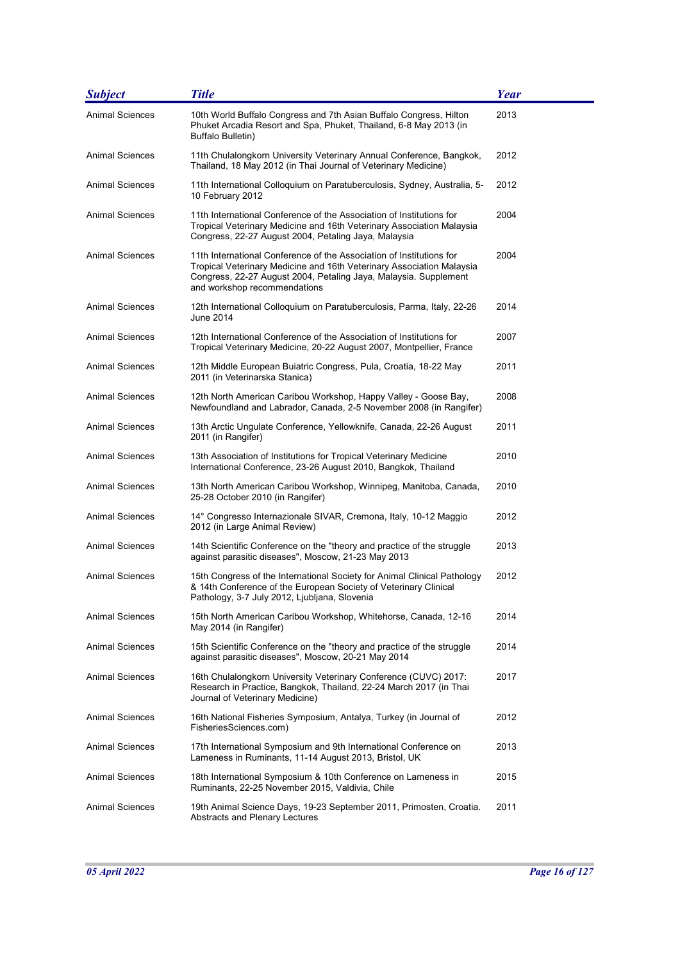| <b>Subject</b>         | <b>Title</b>                                                                                                                                                                                                                                      | <b>Year</b> |
|------------------------|---------------------------------------------------------------------------------------------------------------------------------------------------------------------------------------------------------------------------------------------------|-------------|
| <b>Animal Sciences</b> | 10th World Buffalo Congress and 7th Asian Buffalo Congress, Hilton<br>Phuket Arcadia Resort and Spa, Phuket, Thailand, 6-8 May 2013 (in<br>Buffalo Bulletin)                                                                                      | 2013        |
| <b>Animal Sciences</b> | 11th Chulalongkorn University Veterinary Annual Conference, Bangkok,<br>Thailand, 18 May 2012 (in Thai Journal of Veterinary Medicine)                                                                                                            | 2012        |
| <b>Animal Sciences</b> | 11th International Colloquium on Paratuberculosis, Sydney, Australia, 5-<br>10 February 2012                                                                                                                                                      | 2012        |
| Animal Sciences        | 11th International Conference of the Association of Institutions for<br>Tropical Veterinary Medicine and 16th Veterinary Association Malaysia<br>Congress, 22-27 August 2004, Petaling Jaya, Malaysia                                             | 2004        |
| <b>Animal Sciences</b> | 11th International Conference of the Association of Institutions for<br>Tropical Veterinary Medicine and 16th Veterinary Association Malaysia<br>Congress, 22-27 August 2004, Petaling Jaya, Malaysia. Supplement<br>and workshop recommendations | 2004        |
| <b>Animal Sciences</b> | 12th International Colloquium on Paratuberculosis, Parma, Italy, 22-26<br>June 2014                                                                                                                                                               | 2014        |
| <b>Animal Sciences</b> | 12th International Conference of the Association of Institutions for<br>Tropical Veterinary Medicine, 20-22 August 2007, Montpellier, France                                                                                                      | 2007        |
| Animal Sciences        | 12th Middle European Buiatric Congress, Pula, Croatia, 18-22 May<br>2011 (in Veterinarska Stanica)                                                                                                                                                | 2011        |
| <b>Animal Sciences</b> | 12th North American Caribou Workshop, Happy Valley - Goose Bay,<br>Newfoundland and Labrador, Canada, 2-5 November 2008 (in Rangifer)                                                                                                             | 2008        |
| <b>Animal Sciences</b> | 13th Arctic Ungulate Conference, Yellowknife, Canada, 22-26 August<br>2011 (in Rangifer)                                                                                                                                                          | 2011        |
| <b>Animal Sciences</b> | 13th Association of Institutions for Tropical Veterinary Medicine<br>International Conference, 23-26 August 2010, Bangkok, Thailand                                                                                                               | 2010        |
| <b>Animal Sciences</b> | 13th North American Caribou Workshop, Winnipeg, Manitoba, Canada,<br>25-28 October 2010 (in Rangifer)                                                                                                                                             | 2010        |
| Animal Sciences        | 14° Congresso Internazionale SIVAR, Cremona, Italy, 10-12 Maggio<br>2012 (in Large Animal Review)                                                                                                                                                 | 2012        |
| <b>Animal Sciences</b> | 14th Scientific Conference on the "theory and practice of the struggle<br>against parasitic diseases", Moscow, 21-23 May 2013                                                                                                                     | 2013        |
| <b>Animal Sciences</b> | 15th Congress of the International Society for Animal Clinical Pathology<br>& 14th Conference of the European Society of Veterinary Clinical<br>Pathology, 3-7 July 2012, Ljubljana, Slovenia                                                     | 2012        |
| <b>Animal Sciences</b> | 15th North American Caribou Workshop, Whitehorse, Canada, 12-16<br>May 2014 (in Rangifer)                                                                                                                                                         | 2014        |
| Animal Sciences        | 15th Scientific Conference on the "theory and practice of the struggle<br>against parasitic diseases", Moscow, 20-21 May 2014                                                                                                                     | 2014        |
| <b>Animal Sciences</b> | 16th Chulalongkorn University Veterinary Conference (CUVC) 2017:<br>Research in Practice, Bangkok, Thailand, 22-24 March 2017 (in Thai<br>Journal of Veterinary Medicine)                                                                         | 2017        |
| <b>Animal Sciences</b> | 16th National Fisheries Symposium, Antalya, Turkey (in Journal of<br>FisheriesSciences.com)                                                                                                                                                       | 2012        |
| Animal Sciences        | 17th International Symposium and 9th International Conference on<br>Lameness in Ruminants, 11-14 August 2013, Bristol, UK                                                                                                                         | 2013        |
| Animal Sciences        | 18th International Symposium & 10th Conference on Lameness in<br>Ruminants, 22-25 November 2015, Valdivia, Chile                                                                                                                                  | 2015        |
| <b>Animal Sciences</b> | 19th Animal Science Days, 19-23 September 2011, Primosten, Croatia.<br>Abstracts and Plenary Lectures                                                                                                                                             | 2011        |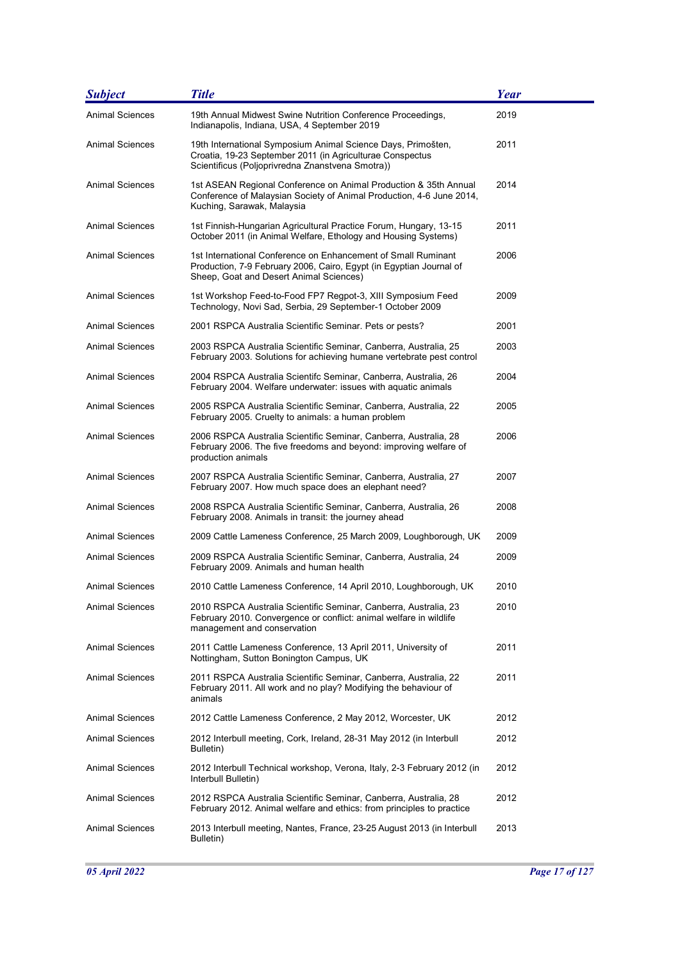| <b>Subject</b>         | <b>Title</b>                                                                                                                                                                    | Year |
|------------------------|---------------------------------------------------------------------------------------------------------------------------------------------------------------------------------|------|
| <b>Animal Sciences</b> | 19th Annual Midwest Swine Nutrition Conference Proceedings,<br>Indianapolis, Indiana, USA, 4 September 2019                                                                     | 2019 |
| <b>Animal Sciences</b> | 19th International Symposium Animal Science Days, Primošten,<br>Croatia, 19-23 September 2011 (in Agriculturae Conspectus<br>Scientificus (Poljoprivredna Znanstvena Smotra))   | 2011 |
| <b>Animal Sciences</b> | 1st ASEAN Regional Conference on Animal Production & 35th Annual<br>Conference of Malaysian Society of Animal Production, 4-6 June 2014,<br>Kuching, Sarawak, Malaysia          | 2014 |
| <b>Animal Sciences</b> | 1st Finnish-Hungarian Agricultural Practice Forum, Hungary, 13-15<br>October 2011 (in Animal Welfare, Ethology and Housing Systems)                                             | 2011 |
| <b>Animal Sciences</b> | 1st International Conference on Enhancement of Small Ruminant<br>Production, 7-9 February 2006, Cairo, Egypt (in Egyptian Journal of<br>Sheep, Goat and Desert Animal Sciences) | 2006 |
| <b>Animal Sciences</b> | 1st Workshop Feed-to-Food FP7 Regpot-3, XIII Symposium Feed<br>Technology, Novi Sad, Serbia, 29 September-1 October 2009                                                        | 2009 |
| <b>Animal Sciences</b> | 2001 RSPCA Australia Scientific Seminar. Pets or pests?                                                                                                                         | 2001 |
| Animal Sciences        | 2003 RSPCA Australia Scientific Seminar, Canberra, Australia, 25<br>February 2003. Solutions for achieving humane vertebrate pest control                                       | 2003 |
| <b>Animal Sciences</b> | 2004 RSPCA Australia Scientifc Seminar, Canberra, Australia, 26<br>February 2004. Welfare underwater: issues with aquatic animals                                               | 2004 |
| <b>Animal Sciences</b> | 2005 RSPCA Australia Scientific Seminar, Canberra, Australia, 22<br>February 2005. Cruelty to animals: a human problem                                                          | 2005 |
| <b>Animal Sciences</b> | 2006 RSPCA Australia Scientific Seminar, Canberra, Australia, 28<br>February 2006. The five freedoms and beyond: improving welfare of<br>production animals                     | 2006 |
| <b>Animal Sciences</b> | 2007 RSPCA Australia Scientific Seminar, Canberra, Australia, 27<br>February 2007. How much space does an elephant need?                                                        | 2007 |
| <b>Animal Sciences</b> | 2008 RSPCA Australia Scientific Seminar, Canberra, Australia, 26<br>February 2008. Animals in transit: the journey ahead                                                        | 2008 |
| <b>Animal Sciences</b> | 2009 Cattle Lameness Conference, 25 March 2009, Loughborough, UK                                                                                                                | 2009 |
| <b>Animal Sciences</b> | 2009 RSPCA Australia Scientific Seminar, Canberra, Australia, 24<br>February 2009. Animals and human health                                                                     | 2009 |
| <b>Animal Sciences</b> | 2010 Cattle Lameness Conference, 14 April 2010, Loughborough, UK                                                                                                                | 2010 |
| <b>Animal Sciences</b> | 2010 RSPCA Australia Scientific Seminar, Canberra, Australia, 23<br>February 2010. Convergence or conflict: animal welfare in wildlife<br>management and conservation           | 2010 |
| Animal Sciences        | 2011 Cattle Lameness Conference, 13 April 2011, University of<br>Nottingham, Sutton Bonington Campus, UK                                                                        | 2011 |
| <b>Animal Sciences</b> | 2011 RSPCA Australia Scientific Seminar, Canberra, Australia, 22<br>February 2011. All work and no play? Modifying the behaviour of<br>animals                                  | 2011 |
| <b>Animal Sciences</b> | 2012 Cattle Lameness Conference, 2 May 2012, Worcester, UK                                                                                                                      | 2012 |
| Animal Sciences        | 2012 Interbull meeting, Cork, Ireland, 28-31 May 2012 (in Interbull<br>Bulletin)                                                                                                | 2012 |
| <b>Animal Sciences</b> | 2012 Interbull Technical workshop, Verona, Italy, 2-3 February 2012 (in<br>Interbull Bulletin)                                                                                  | 2012 |
| Animal Sciences        | 2012 RSPCA Australia Scientific Seminar, Canberra, Australia, 28<br>February 2012. Animal welfare and ethics: from principles to practice                                       | 2012 |
| <b>Animal Sciences</b> | 2013 Interbull meeting, Nantes, France, 23-25 August 2013 (in Interbull<br>Bulletin)                                                                                            | 2013 |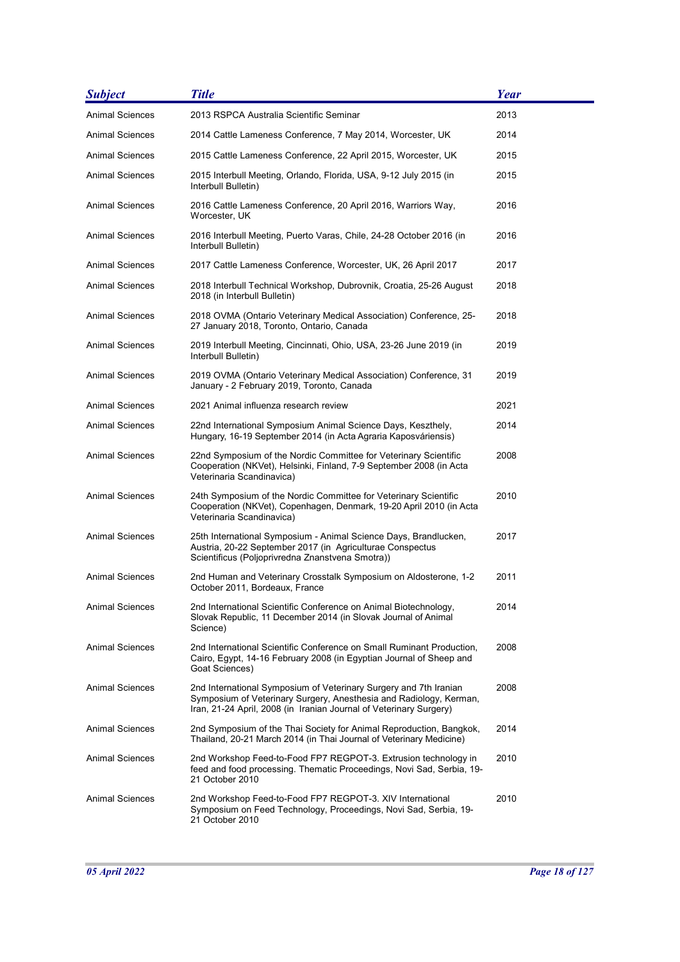| <b>Subject</b>         | <b>Title</b>                                                                                                                                                                                                  | Year |
|------------------------|---------------------------------------------------------------------------------------------------------------------------------------------------------------------------------------------------------------|------|
| <b>Animal Sciences</b> | 2013 RSPCA Australia Scientific Seminar                                                                                                                                                                       | 2013 |
| Animal Sciences        | 2014 Cattle Lameness Conference, 7 May 2014, Worcester, UK                                                                                                                                                    | 2014 |
| Animal Sciences        | 2015 Cattle Lameness Conference, 22 April 2015, Worcester, UK                                                                                                                                                 | 2015 |
| Animal Sciences        | 2015 Interbull Meeting, Orlando, Florida, USA, 9-12 July 2015 (in<br>Interbull Bulletin)                                                                                                                      | 2015 |
| Animal Sciences        | 2016 Cattle Lameness Conference, 20 April 2016, Warriors Way,<br>Worcester, UK                                                                                                                                | 2016 |
| Animal Sciences        | 2016 Interbull Meeting, Puerto Varas, Chile, 24-28 October 2016 (in<br>Interbull Bulletin)                                                                                                                    | 2016 |
| <b>Animal Sciences</b> | 2017 Cattle Lameness Conference, Worcester, UK, 26 April 2017                                                                                                                                                 | 2017 |
| Animal Sciences        | 2018 Interbull Technical Workshop, Dubrovnik, Croatia, 25-26 August<br>2018 (in Interbull Bulletin)                                                                                                           | 2018 |
| <b>Animal Sciences</b> | 2018 OVMA (Ontario Veterinary Medical Association) Conference, 25-<br>27 January 2018, Toronto, Ontario, Canada                                                                                               | 2018 |
| Animal Sciences        | 2019 Interbull Meeting, Cincinnati, Ohio, USA, 23-26 June 2019 (in<br>Interbull Bulletin)                                                                                                                     | 2019 |
| <b>Animal Sciences</b> | 2019 OVMA (Ontario Veterinary Medical Association) Conference, 31<br>January - 2 February 2019, Toronto, Canada                                                                                               | 2019 |
| <b>Animal Sciences</b> | 2021 Animal influenza research review                                                                                                                                                                         | 2021 |
| Animal Sciences        | 22nd International Symposium Animal Science Days, Keszthely,<br>Hungary, 16-19 September 2014 (in Acta Agraria Kaposváriensis)                                                                                | 2014 |
| Animal Sciences        | 22nd Symposium of the Nordic Committee for Veterinary Scientific<br>Cooperation (NKVet), Helsinki, Finland, 7-9 September 2008 (in Acta<br>Veterinaria Scandinavica)                                          | 2008 |
| <b>Animal Sciences</b> | 24th Symposium of the Nordic Committee for Veterinary Scientific<br>Cooperation (NKVet), Copenhagen, Denmark, 19-20 April 2010 (in Acta<br>Veterinaria Scandinavica)                                          | 2010 |
| <b>Animal Sciences</b> | 25th International Symposium - Animal Science Days, Brandlucken,<br>Austria, 20-22 September 2017 (in Agriculturae Conspectus<br>Scientificus (Poljoprivredna Znanstvena Smotra))                             | 2017 |
| <b>Animal Sciences</b> | 2nd Human and Veterinary Crosstalk Symposium on Aldosterone, 1-2<br>October 2011, Bordeaux, France                                                                                                            | 2011 |
| Animal Sciences        | 2nd International Scientific Conference on Animal Biotechnology,<br>Slovak Republic, 11 December 2014 (in Slovak Journal of Animal<br>Science)                                                                | 2014 |
| Animal Sciences        | 2nd International Scientific Conference on Small Ruminant Production,<br>Cairo, Egypt, 14-16 February 2008 (in Egyptian Journal of Sheep and<br>Goat Sciences)                                                | 2008 |
| <b>Animal Sciences</b> | 2nd International Symposium of Veterinary Surgery and 7th Iranian<br>Symposium of Veterinary Surgery, Anesthesia and Radiology, Kerman,<br>Iran, 21-24 April, 2008 (in Iranian Journal of Veterinary Surgery) | 2008 |
| <b>Animal Sciences</b> | 2nd Symposium of the Thai Society for Animal Reproduction, Bangkok,<br>Thailand, 20-21 March 2014 (in Thai Journal of Veterinary Medicine)                                                                    | 2014 |
| <b>Animal Sciences</b> | 2nd Workshop Feed-to-Food FP7 REGPOT-3. Extrusion technology in<br>feed and food processing. Thematic Proceedings, Novi Sad, Serbia, 19-<br>21 October 2010                                                   | 2010 |
| <b>Animal Sciences</b> | 2nd Workshop Feed-to-Food FP7 REGPOT-3. XIV International<br>Symposium on Feed Technology, Proceedings, Novi Sad, Serbia, 19-<br>21 October 2010                                                              | 2010 |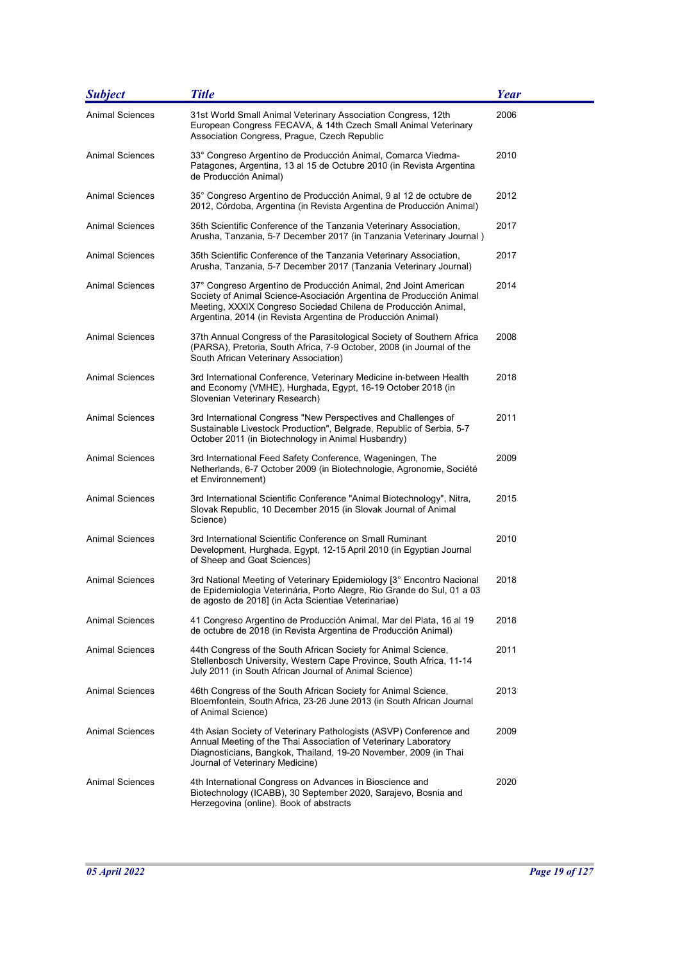| <b>Subject</b>         | <b>Title</b>                                                                                                                                                                                                                                                            | <b>Year</b> |
|------------------------|-------------------------------------------------------------------------------------------------------------------------------------------------------------------------------------------------------------------------------------------------------------------------|-------------|
| <b>Animal Sciences</b> | 31st World Small Animal Veterinary Association Congress, 12th<br>European Congress FECAVA, & 14th Czech Small Animal Veterinary<br>Association Congress, Prague, Czech Republic                                                                                         | 2006        |
| <b>Animal Sciences</b> | 33° Congreso Argentino de Producción Animal, Comarca Viedma-<br>Patagones, Argentina, 13 al 15 de Octubre 2010 (in Revista Argentina<br>de Producción Animal)                                                                                                           | 2010        |
| <b>Animal Sciences</b> | 35° Congreso Argentino de Producción Animal, 9 al 12 de octubre de<br>2012, Córdoba, Argentina (in Revista Argentina de Producción Animal)                                                                                                                              | 2012        |
| <b>Animal Sciences</b> | 35th Scientific Conference of the Tanzania Veterinary Association,<br>Arusha, Tanzania, 5-7 December 2017 (in Tanzania Veterinary Journal)                                                                                                                              | 2017        |
| <b>Animal Sciences</b> | 35th Scientific Conference of the Tanzania Veterinary Association,<br>Arusha, Tanzania, 5-7 December 2017 (Tanzania Veterinary Journal)                                                                                                                                 | 2017        |
| <b>Animal Sciences</b> | 37° Congreso Argentino de Producción Animal, 2nd Joint American<br>Society of Animal Science-Asociación Argentina de Producción Animal<br>Meeting, XXXIX Congreso Sociedad Chilena de Producción Animal,<br>Argentina, 2014 (in Revista Argentina de Producción Animal) | 2014        |
| <b>Animal Sciences</b> | 37th Annual Congress of the Parasitological Society of Southern Africa<br>(PARSA), Pretoria, South Africa, 7-9 October, 2008 (in Journal of the<br>South African Veterinary Association)                                                                                | 2008        |
| <b>Animal Sciences</b> | 3rd International Conference, Veterinary Medicine in-between Health<br>and Economy (VMHE), Hurghada, Egypt, 16-19 October 2018 (in<br>Slovenian Veterinary Research)                                                                                                    | 2018        |
| <b>Animal Sciences</b> | 3rd International Congress "New Perspectives and Challenges of<br>Sustainable Livestock Production", Belgrade, Republic of Serbia, 5-7<br>October 2011 (in Biotechnology in Animal Husbandry)                                                                           | 2011        |
| <b>Animal Sciences</b> | 3rd International Feed Safety Conference, Wageningen, The<br>Netherlands, 6-7 October 2009 (in Biotechnologie, Agronomie, Société<br>et Environnement)                                                                                                                  | 2009        |
| <b>Animal Sciences</b> | 3rd International Scientific Conference "Animal Biotechnology", Nitra,<br>Slovak Republic, 10 December 2015 (in Slovak Journal of Animal<br>Science)                                                                                                                    | 2015        |
| <b>Animal Sciences</b> | 3rd International Scientific Conference on Small Ruminant<br>Development, Hurghada, Egypt, 12-15 April 2010 (in Egyptian Journal<br>of Sheep and Goat Sciences)                                                                                                         | 2010        |
| <b>Animal Sciences</b> | 3rd National Meeting of Veterinary Epidemiology [3° Encontro Nacional<br>de Epidemiologia Veterinária, Porto Alegre, Rio Grande do Sul, 01 a 03<br>de agosto de 2018] (in Acta Scientiae Veterinariae)                                                                  | 2018        |
| <b>Animal Sciences</b> | 41 Congreso Argentino de Producción Animal, Mar del Plata, 16 al 19<br>de octubre de 2018 (in Revista Argentina de Producción Animal)                                                                                                                                   | 2018        |
| Animal Sciences        | 44th Congress of the South African Society for Animal Science,<br>Stellenbosch University, Western Cape Province, South Africa, 11-14<br>July 2011 (in South African Journal of Animal Science)                                                                         | 2011        |
| <b>Animal Sciences</b> | 46th Congress of the South African Society for Animal Science,<br>Bloemfontein, South Africa, 23-26 June 2013 (in South African Journal<br>of Animal Science)                                                                                                           | 2013        |
| <b>Animal Sciences</b> | 4th Asian Society of Veterinary Pathologists (ASVP) Conference and<br>Annual Meeting of the Thai Association of Veterinary Laboratory<br>Diagnosticians, Bangkok, Thailand, 19-20 November, 2009 (in Thai<br>Journal of Veterinary Medicine)                            | 2009        |
| <b>Animal Sciences</b> | 4th International Congress on Advances in Bioscience and<br>Biotechnology (ICABB), 30 September 2020, Sarajevo, Bosnia and<br>Herzegovina (online). Book of abstracts                                                                                                   | 2020        |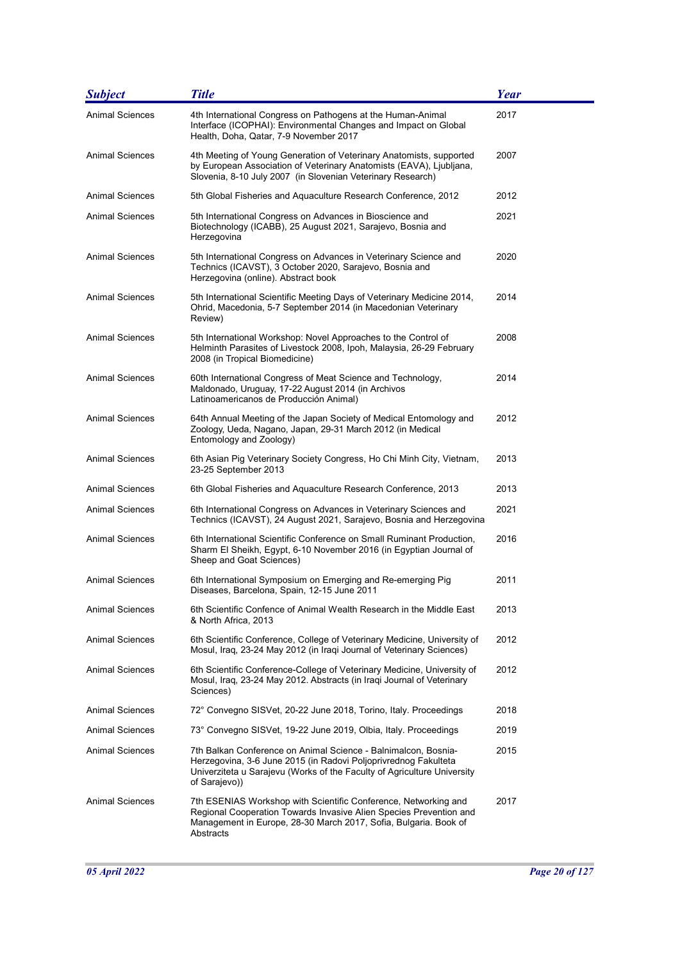| <b>Subject</b>         | <b>Title</b>                                                                                                                                                                                                                  | <b>Year</b> |
|------------------------|-------------------------------------------------------------------------------------------------------------------------------------------------------------------------------------------------------------------------------|-------------|
| <b>Animal Sciences</b> | 4th International Congress on Pathogens at the Human-Animal<br>Interface (ICOPHAI): Environmental Changes and Impact on Global<br>Health, Doha, Qatar, 7-9 November 2017                                                      | 2017        |
| <b>Animal Sciences</b> | 4th Meeting of Young Generation of Veterinary Anatomists, supported<br>by European Association of Veterinary Anatomists (EAVA), Ljubljana,<br>Slovenia, 8-10 July 2007 (in Slovenian Veterinary Research)                     | 2007        |
| Animal Sciences        | 5th Global Fisheries and Aquaculture Research Conference, 2012                                                                                                                                                                | 2012        |
| Animal Sciences        | 5th International Congress on Advances in Bioscience and<br>Biotechnology (ICABB), 25 August 2021, Sarajevo, Bosnia and<br>Herzegovina                                                                                        | 2021        |
| <b>Animal Sciences</b> | 5th International Congress on Advances in Veterinary Science and<br>Technics (ICAVST), 3 October 2020, Sarajevo, Bosnia and<br>Herzegovina (online). Abstract book                                                            | 2020        |
| <b>Animal Sciences</b> | 5th International Scientific Meeting Days of Veterinary Medicine 2014,<br>Ohrid, Macedonia, 5-7 September 2014 (in Macedonian Veterinary<br>Review)                                                                           | 2014        |
| <b>Animal Sciences</b> | 5th International Workshop: Novel Approaches to the Control of<br>Helminth Parasites of Livestock 2008, Ipoh, Malaysia, 26-29 February<br>2008 (in Tropical Biomedicine)                                                      | 2008        |
| <b>Animal Sciences</b> | 60th International Congress of Meat Science and Technology,<br>Maldonado, Uruguay, 17-22 August 2014 (in Archivos<br>Latinoamericanos de Producción Animal)                                                                   | 2014        |
| <b>Animal Sciences</b> | 64th Annual Meeting of the Japan Society of Medical Entomology and<br>Zoology, Ueda, Nagano, Japan, 29-31 March 2012 (in Medical<br>Entomology and Zoology)                                                                   | 2012        |
| <b>Animal Sciences</b> | 6th Asian Pig Veterinary Society Congress, Ho Chi Minh City, Vietnam,<br>23-25 September 2013                                                                                                                                 | 2013        |
| Animal Sciences        | 6th Global Fisheries and Aquaculture Research Conference, 2013                                                                                                                                                                | 2013        |
| Animal Sciences        | 6th International Congress on Advances in Veterinary Sciences and<br>Technics (ICAVST), 24 August 2021, Sarajevo, Bosnia and Herzegovina                                                                                      | 2021        |
| <b>Animal Sciences</b> | 6th International Scientific Conference on Small Ruminant Production,<br>Sharm El Sheikh, Egypt, 6-10 November 2016 (in Egyptian Journal of<br>Sheep and Goat Sciences)                                                       | 2016        |
| <b>Animal Sciences</b> | 6th International Symposium on Emerging and Re-emerging Pig<br>Diseases, Barcelona, Spain, 12-15 June 2011                                                                                                                    | 2011        |
| Animal Sciences        | 6th Scientific Confence of Animal Wealth Research in the Middle East<br>& North Africa, 2013                                                                                                                                  | 2013        |
| Animal Sciences        | 6th Scientific Conference, College of Veterinary Medicine, University of<br>Mosul, Iraq, 23-24 May 2012 (in Iraqi Journal of Veterinary Sciences)                                                                             | 2012        |
| <b>Animal Sciences</b> | 6th Scientific Conference-College of Veterinary Medicine, University of<br>Mosul, Iraq, 23-24 May 2012. Abstracts (in Iraqi Journal of Veterinary<br>Sciences)                                                                | 2012        |
| <b>Animal Sciences</b> | 72° Convegno SISVet, 20-22 June 2018, Torino, Italy. Proceedings                                                                                                                                                              | 2018        |
| Animal Sciences        | 73° Convegno SISVet, 19-22 June 2019, Olbia, Italy. Proceedings                                                                                                                                                               | 2019        |
| <b>Animal Sciences</b> | 7th Balkan Conference on Animal Science - Balnimalcon, Bosnia-<br>Herzegovina, 3-6 June 2015 (in Radovi Poljoprivrednog Fakulteta<br>Univerziteta u Sarajevu (Works of the Faculty of Agriculture University<br>of Sarajevo)) | 2015        |
| <b>Animal Sciences</b> | 7th ESENIAS Workshop with Scientific Conference, Networking and<br>Regional Cooperation Towards Invasive Alien Species Prevention and<br>Management in Europe, 28-30 March 2017, Sofia, Bulgaria. Book of<br>Abstracts        | 2017        |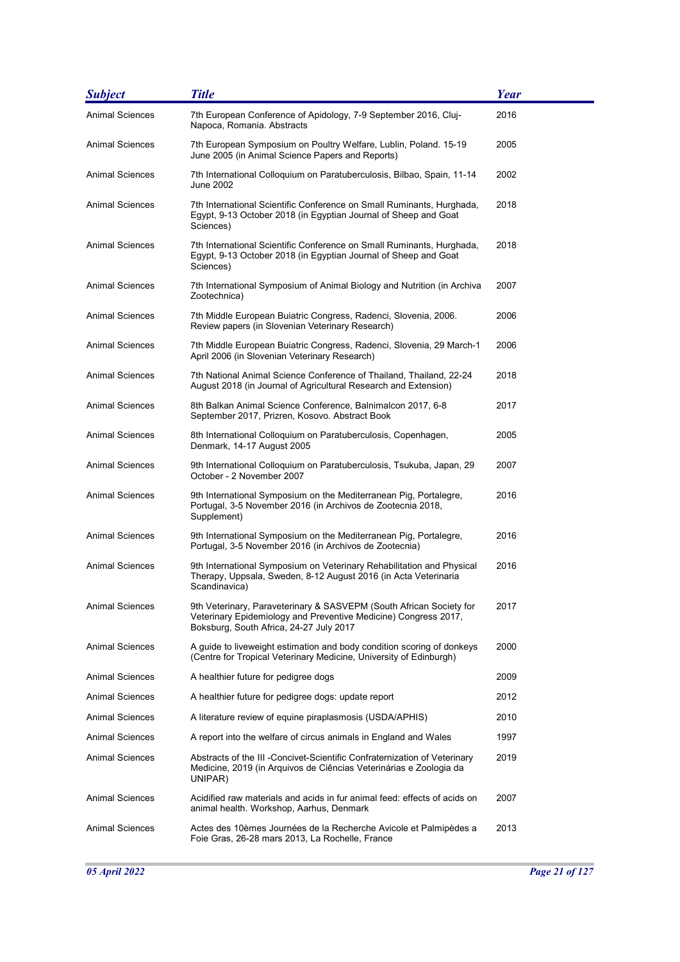| <b>Subject</b>         | <b>Title</b>                                                                                                                                                                      | Year |
|------------------------|-----------------------------------------------------------------------------------------------------------------------------------------------------------------------------------|------|
| <b>Animal Sciences</b> | 7th European Conference of Apidology, 7-9 September 2016, Cluj-<br>Napoca, Romania. Abstracts                                                                                     | 2016 |
| <b>Animal Sciences</b> | 7th European Symposium on Poultry Welfare, Lublin, Poland. 15-19<br>June 2005 (in Animal Science Papers and Reports)                                                              | 2005 |
| <b>Animal Sciences</b> | 7th International Colloquium on Paratuberculosis, Bilbao, Spain, 11-14<br>June 2002                                                                                               | 2002 |
| <b>Animal Sciences</b> | 7th International Scientific Conference on Small Ruminants, Hurghada,<br>Egypt, 9-13 October 2018 (in Egyptian Journal of Sheep and Goat<br>Sciences)                             | 2018 |
| <b>Animal Sciences</b> | 7th International Scientific Conference on Small Ruminants, Hurghada,<br>Egypt, 9-13 October 2018 (in Egyptian Journal of Sheep and Goat<br>Sciences)                             | 2018 |
| <b>Animal Sciences</b> | 7th International Symposium of Animal Biology and Nutrition (in Archiva<br>Zootechnica)                                                                                           | 2007 |
| Animal Sciences        | 7th Middle European Buiatric Congress, Radenci, Slovenia, 2006.<br>Review papers (in Slovenian Veterinary Research)                                                               | 2006 |
| <b>Animal Sciences</b> | 7th Middle European Buiatric Congress, Radenci, Slovenia, 29 March-1<br>April 2006 (in Slovenian Veterinary Research)                                                             | 2006 |
| <b>Animal Sciences</b> | 7th National Animal Science Conference of Thailand, Thailand, 22-24<br>August 2018 (in Journal of Agricultural Research and Extension)                                            | 2018 |
| <b>Animal Sciences</b> | 8th Balkan Animal Science Conference, Balnimalcon 2017, 6-8<br>September 2017, Prizren, Kosovo. Abstract Book                                                                     | 2017 |
| <b>Animal Sciences</b> | 8th International Colloquium on Paratuberculosis, Copenhagen,<br>Denmark, 14-17 August 2005                                                                                       | 2005 |
| <b>Animal Sciences</b> | 9th International Colloquium on Paratuberculosis, Tsukuba, Japan, 29<br>October - 2 November 2007                                                                                 | 2007 |
| <b>Animal Sciences</b> | 9th International Symposium on the Mediterranean Pig, Portalegre,<br>Portugal, 3-5 November 2016 (in Archivos de Zootecnia 2018,<br>Supplement)                                   | 2016 |
| Animal Sciences        | 9th International Symposium on the Mediterranean Pig, Portalegre,<br>Portugal, 3-5 November 2016 (in Archivos de Zootecnia)                                                       | 2016 |
| <b>Animal Sciences</b> | 9th International Symposium on Veterinary Rehabilitation and Physical<br>Therapy, Uppsala, Sweden, 8-12 August 2016 (in Acta Veterinaria<br>Scandinavica)                         | 2016 |
| <b>Animal Sciences</b> | 9th Veterinary, Paraveterinary & SASVEPM (South African Society for<br>Veterinary Epidemiology and Preventive Medicine) Congress 2017,<br>Boksburg, South Africa, 24-27 July 2017 | 2017 |
| <b>Animal Sciences</b> | A guide to liveweight estimation and body condition scoring of donkeys<br>(Centre for Tropical Veterinary Medicine, University of Edinburgh)                                      | 2000 |
| <b>Animal Sciences</b> | A healthier future for pedigree dogs                                                                                                                                              | 2009 |
| <b>Animal Sciences</b> | A healthier future for pedigree dogs: update report                                                                                                                               | 2012 |
| Animal Sciences        | A literature review of equine piraplasmosis (USDA/APHIS)                                                                                                                          | 2010 |
| Animal Sciences        | A report into the welfare of circus animals in England and Wales                                                                                                                  | 1997 |
| Animal Sciences        | Abstracts of the III - Concivet-Scientific Confraternization of Veterinary<br>Medicine, 2019 (in Arquivos de Ciências Veterinárias e Zoologia da<br>UNIPAR)                       | 2019 |
| <b>Animal Sciences</b> | Acidified raw materials and acids in fur animal feed: effects of acids on<br>animal health. Workshop, Aarhus, Denmark                                                             | 2007 |
| <b>Animal Sciences</b> | Actes des 10èmes Journées de la Recherche Avicole et Palmipèdes a<br>Foie Gras, 26-28 mars 2013, La Rochelle, France                                                              | 2013 |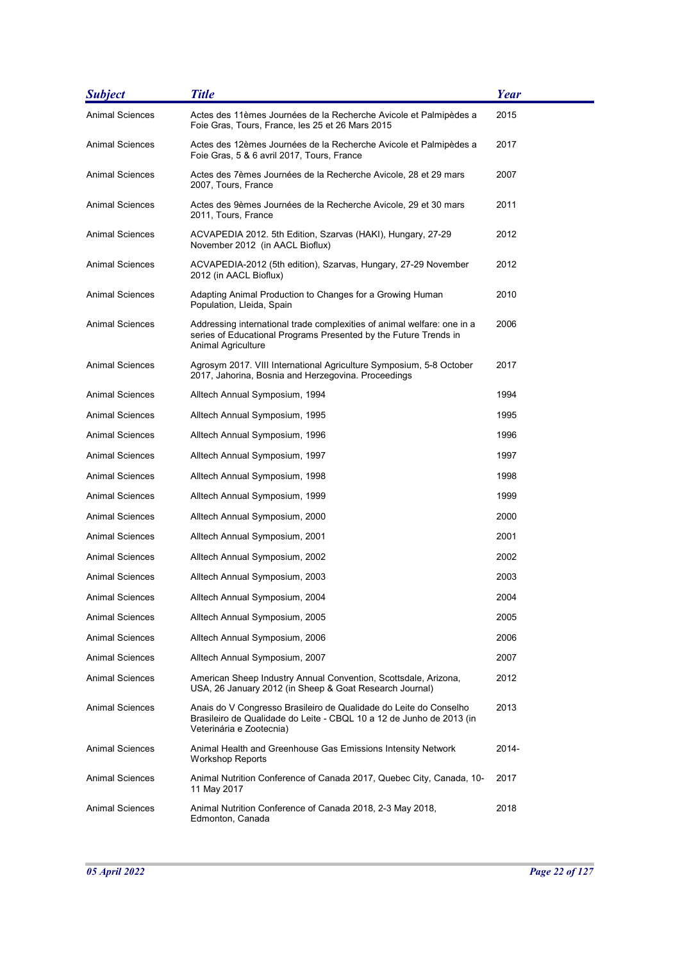| <b>Subject</b>         | <b>Title</b>                                                                                                                                                          | Year  |
|------------------------|-----------------------------------------------------------------------------------------------------------------------------------------------------------------------|-------|
| <b>Animal Sciences</b> | Actes des 11èmes Journées de la Recherche Avicole et Palmipèdes a<br>Foie Gras, Tours, France, les 25 et 26 Mars 2015                                                 | 2015  |
| Animal Sciences        | Actes des 12èmes Journées de la Recherche Avicole et Palmipèdes a<br>Foie Gras, 5 & 6 avril 2017, Tours, France                                                       | 2017  |
| Animal Sciences        | Actes des 7èmes Journées de la Recherche Avicole, 28 et 29 mars<br>2007, Tours, France                                                                                | 2007  |
| <b>Animal Sciences</b> | Actes des 9èmes Journées de la Recherche Avicole, 29 et 30 mars<br>2011, Tours, France                                                                                | 2011  |
| Animal Sciences        | ACVAPEDIA 2012. 5th Edition, Szarvas (HAKI), Hungary, 27-29<br>November 2012 (in AACL Bioflux)                                                                        | 2012  |
| Animal Sciences        | ACVAPEDIA-2012 (5th edition), Szarvas, Hungary, 27-29 November<br>2012 (in AACL Bioflux)                                                                              | 2012  |
| <b>Animal Sciences</b> | Adapting Animal Production to Changes for a Growing Human<br>Population, Lleida, Spain                                                                                | 2010  |
| <b>Animal Sciences</b> | Addressing international trade complexities of animal welfare: one in a<br>series of Educational Programs Presented by the Future Trends in<br>Animal Agriculture     | 2006  |
| <b>Animal Sciences</b> | Agrosym 2017. VIII International Agriculture Symposium, 5-8 October<br>2017, Jahorina, Bosnia and Herzegovina. Proceedings                                            | 2017  |
| Animal Sciences        | Alltech Annual Symposium, 1994                                                                                                                                        | 1994  |
| <b>Animal Sciences</b> | Alltech Annual Symposium, 1995                                                                                                                                        | 1995  |
| Animal Sciences        | Alltech Annual Symposium, 1996                                                                                                                                        | 1996  |
| Animal Sciences        | Alltech Annual Symposium, 1997                                                                                                                                        | 1997  |
| Animal Sciences        | Alltech Annual Symposium, 1998                                                                                                                                        | 1998  |
| Animal Sciences        | Alltech Annual Symposium, 1999                                                                                                                                        | 1999  |
| Animal Sciences        | Alltech Annual Symposium, 2000                                                                                                                                        | 2000  |
| Animal Sciences        | Alltech Annual Symposium, 2001                                                                                                                                        | 2001  |
| <b>Animal Sciences</b> | Alltech Annual Symposium, 2002                                                                                                                                        | 2002  |
| <b>Animal Sciences</b> | Alltech Annual Symposium, 2003                                                                                                                                        | 2003  |
| Animal Sciences        | Alltech Annual Symposium, 2004                                                                                                                                        | 2004  |
| Animal Sciences        | Alltech Annual Symposium, 2005                                                                                                                                        | 2005  |
| <b>Animal Sciences</b> | Alltech Annual Symposium, 2006                                                                                                                                        | 2006  |
| <b>Animal Sciences</b> | Alltech Annual Symposium, 2007                                                                                                                                        | 2007  |
| Animal Sciences        | American Sheep Industry Annual Convention, Scottsdale, Arizona,<br>USA, 26 January 2012 (in Sheep & Goat Research Journal)                                            | 2012  |
| <b>Animal Sciences</b> | Anais do V Congresso Brasileiro de Qualidade do Leite do Conselho<br>Brasileiro de Qualidade do Leite - CBQL 10 a 12 de Junho de 2013 (in<br>Veterinária e Zootecnia) | 2013  |
| Animal Sciences        | Animal Health and Greenhouse Gas Emissions Intensity Network<br><b>Workshop Reports</b>                                                                               | 2014- |
| <b>Animal Sciences</b> | Animal Nutrition Conference of Canada 2017, Quebec City, Canada, 10-<br>11 May 2017                                                                                   | 2017  |
| <b>Animal Sciences</b> | Animal Nutrition Conference of Canada 2018, 2-3 May 2018,<br>Edmonton, Canada                                                                                         | 2018  |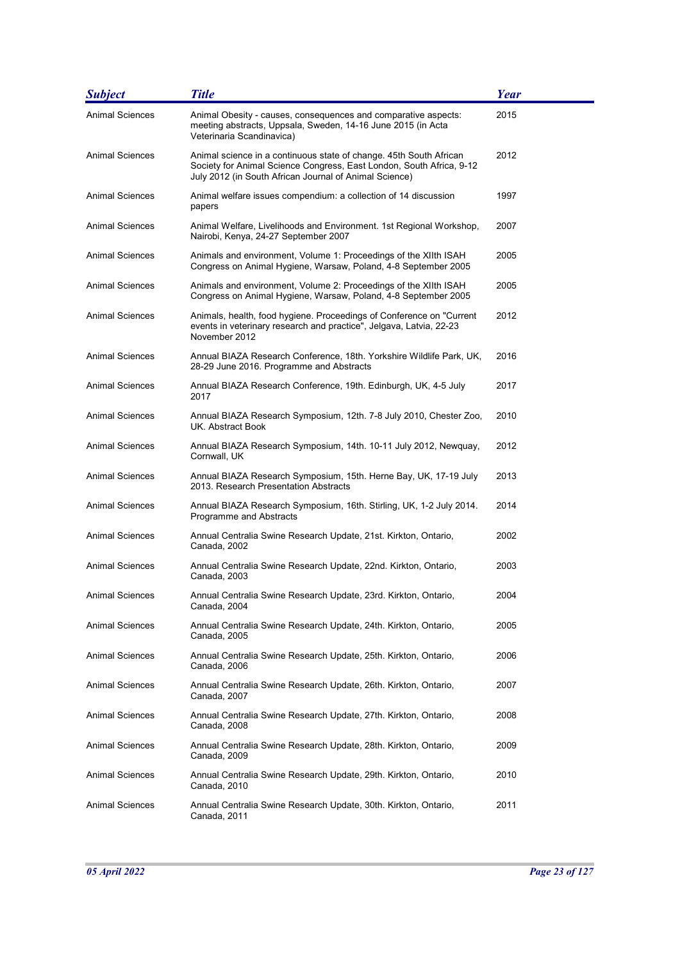| <b>Subject</b>         | <b>Title</b>                                                                                                                                                                                         | Year |
|------------------------|------------------------------------------------------------------------------------------------------------------------------------------------------------------------------------------------------|------|
| <b>Animal Sciences</b> | Animal Obesity - causes, consequences and comparative aspects:<br>meeting abstracts, Uppsala, Sweden, 14-16 June 2015 (in Acta<br>Veterinaria Scandinavica)                                          | 2015 |
| <b>Animal Sciences</b> | Animal science in a continuous state of change. 45th South African<br>Society for Animal Science Congress, East London, South Africa, 9-12<br>July 2012 (in South African Journal of Animal Science) | 2012 |
| Animal Sciences        | Animal welfare issues compendium: a collection of 14 discussion<br>papers                                                                                                                            | 1997 |
| <b>Animal Sciences</b> | Animal Welfare, Livelihoods and Environment. 1st Regional Workshop,<br>Nairobi, Kenya, 24-27 September 2007                                                                                          | 2007 |
| Animal Sciences        | Animals and environment, Volume 1: Proceedings of the XIIth ISAH<br>Congress on Animal Hygiene, Warsaw, Poland, 4-8 September 2005                                                                   | 2005 |
| <b>Animal Sciences</b> | Animals and environment, Volume 2: Proceedings of the XIIth ISAH<br>Congress on Animal Hygiene, Warsaw, Poland, 4-8 September 2005                                                                   | 2005 |
| <b>Animal Sciences</b> | Animals, health, food hygiene. Proceedings of Conference on "Current"<br>events in veterinary research and practice", Jelgava, Latvia, 22-23<br>November 2012                                        | 2012 |
| Animal Sciences        | Annual BIAZA Research Conference, 18th. Yorkshire Wildlife Park, UK,<br>28-29 June 2016. Programme and Abstracts                                                                                     | 2016 |
| Animal Sciences        | Annual BIAZA Research Conference, 19th. Edinburgh, UK, 4-5 July<br>2017                                                                                                                              | 2017 |
| <b>Animal Sciences</b> | Annual BIAZA Research Symposium, 12th. 7-8 July 2010, Chester Zoo,<br>UK. Abstract Book                                                                                                              | 2010 |
| <b>Animal Sciences</b> | Annual BIAZA Research Symposium, 14th. 10-11 July 2012, Newquay,<br>Cornwall, UK                                                                                                                     | 2012 |
| Animal Sciences        | Annual BIAZA Research Symposium, 15th. Herne Bay, UK, 17-19 July<br>2013. Research Presentation Abstracts                                                                                            | 2013 |
| Animal Sciences        | Annual BIAZA Research Symposium, 16th. Stirling, UK, 1-2 July 2014.<br>Programme and Abstracts                                                                                                       | 2014 |
| Animal Sciences        | Annual Centralia Swine Research Update, 21st. Kirkton, Ontario,<br>Canada, 2002                                                                                                                      | 2002 |
| <b>Animal Sciences</b> | Annual Centralia Swine Research Update, 22nd. Kirkton, Ontario,<br>Canada, 2003                                                                                                                      | 2003 |
| Animal Sciences        | Annual Centralia Swine Research Update, 23rd. Kirkton, Ontario,<br>Canada, 2004                                                                                                                      | 2004 |
| Animal Sciences        | Annual Centralia Swine Research Update, 24th. Kirkton, Ontario,<br>Canada, 2005                                                                                                                      | 2005 |
| <b>Animal Sciences</b> | Annual Centralia Swine Research Update, 25th. Kirkton, Ontario,<br>Canada, 2006                                                                                                                      | 2006 |
| <b>Animal Sciences</b> | Annual Centralia Swine Research Update, 26th. Kirkton, Ontario,<br>Canada, 2007                                                                                                                      | 2007 |
| Animal Sciences        | Annual Centralia Swine Research Update, 27th. Kirkton, Ontario,<br>Canada, 2008                                                                                                                      | 2008 |
| <b>Animal Sciences</b> | Annual Centralia Swine Research Update, 28th. Kirkton, Ontario,<br>Canada, 2009                                                                                                                      | 2009 |
| Animal Sciences        | Annual Centralia Swine Research Update, 29th. Kirkton, Ontario,<br>Canada, 2010                                                                                                                      | 2010 |
| Animal Sciences        | Annual Centralia Swine Research Update, 30th. Kirkton, Ontario,<br>Canada, 2011                                                                                                                      | 2011 |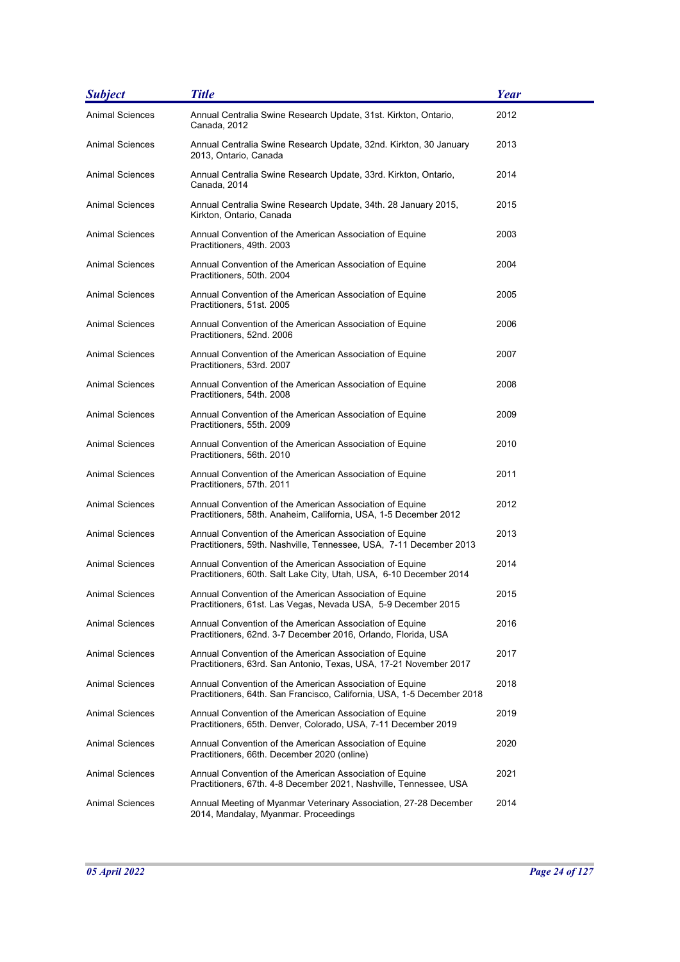| <b>Subject</b>         | <b>Title</b>                                                                                                                      | <b>Year</b> |
|------------------------|-----------------------------------------------------------------------------------------------------------------------------------|-------------|
| <b>Animal Sciences</b> | Annual Centralia Swine Research Update, 31st. Kirkton, Ontario,<br>Canada, 2012                                                   | 2012        |
| <b>Animal Sciences</b> | Annual Centralia Swine Research Update, 32nd. Kirkton, 30 January<br>2013, Ontario, Canada                                        | 2013        |
| <b>Animal Sciences</b> | Annual Centralia Swine Research Update, 33rd. Kirkton, Ontario,<br>Canada, 2014                                                   | 2014        |
| <b>Animal Sciences</b> | Annual Centralia Swine Research Update, 34th. 28 January 2015,<br>Kirkton, Ontario, Canada                                        | 2015        |
| Animal Sciences        | Annual Convention of the American Association of Equine<br>Practitioners, 49th. 2003                                              | 2003        |
| <b>Animal Sciences</b> | Annual Convention of the American Association of Equine<br>Practitioners, 50th. 2004                                              | 2004        |
| <b>Animal Sciences</b> | Annual Convention of the American Association of Equine<br>Practitioners, 51st. 2005                                              | 2005        |
| <b>Animal Sciences</b> | Annual Convention of the American Association of Equine<br>Practitioners, 52nd. 2006                                              | 2006        |
| <b>Animal Sciences</b> | Annual Convention of the American Association of Equine<br>Practitioners, 53rd. 2007                                              | 2007        |
| <b>Animal Sciences</b> | Annual Convention of the American Association of Equine<br>Practitioners, 54th. 2008                                              | 2008        |
| Animal Sciences        | Annual Convention of the American Association of Equine<br>Practitioners, 55th. 2009                                              | 2009        |
| <b>Animal Sciences</b> | Annual Convention of the American Association of Equine<br>Practitioners, 56th. 2010                                              | 2010        |
| <b>Animal Sciences</b> | Annual Convention of the American Association of Equine<br>Practitioners, 57th. 2011                                              | 2011        |
| Animal Sciences        | Annual Convention of the American Association of Equine<br>Practitioners, 58th. Anaheim, California, USA, 1-5 December 2012       | 2012        |
| <b>Animal Sciences</b> | Annual Convention of the American Association of Equine<br>Practitioners, 59th. Nashville, Tennessee, USA, 7-11 December 2013     | 2013        |
| <b>Animal Sciences</b> | Annual Convention of the American Association of Equine<br>Practitioners, 60th. Salt Lake City, Utah, USA, 6-10 December 2014     | 2014        |
| Animal Sciences        | Annual Convention of the American Association of Equine<br>Practitioners, 61st. Las Vegas, Nevada USA, 5-9 December 2015          | 2015        |
| Animal Sciences        | Annual Convention of the American Association of Equine<br>Practitioners, 62nd. 3-7 December 2016, Orlando, Florida, USA          | 2016        |
| <b>Animal Sciences</b> | Annual Convention of the American Association of Equine<br>Practitioners, 63rd. San Antonio, Texas, USA, 17-21 November 2017      | 2017        |
| <b>Animal Sciences</b> | Annual Convention of the American Association of Equine<br>Practitioners, 64th. San Francisco, California, USA, 1-5 December 2018 | 2018        |
| <b>Animal Sciences</b> | Annual Convention of the American Association of Equine<br>Practitioners, 65th. Denver, Colorado, USA, 7-11 December 2019         | 2019        |
| Animal Sciences        | Annual Convention of the American Association of Equine<br>Practitioners, 66th. December 2020 (online)                            | 2020        |
| <b>Animal Sciences</b> | Annual Convention of the American Association of Equine<br>Practitioners, 67th. 4-8 December 2021, Nashville, Tennessee, USA      | 2021        |
| Animal Sciences        | Annual Meeting of Myanmar Veterinary Association, 27-28 December<br>2014, Mandalay, Myanmar. Proceedings                          | 2014        |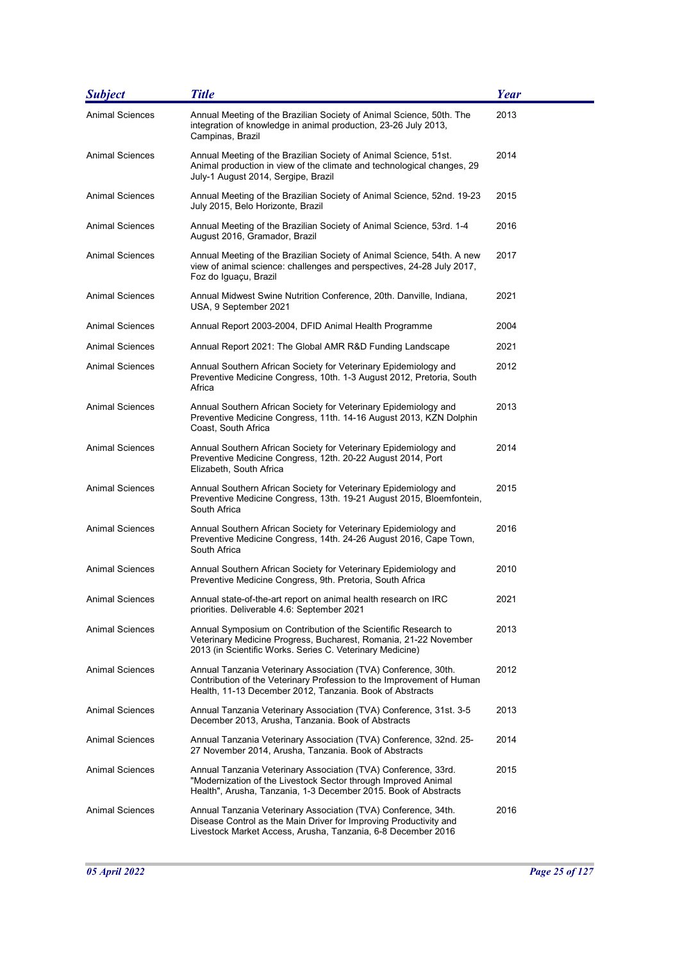| <b>Subject</b>         | <b>Title</b>                                                                                                                                                                                        | <b>Year</b> |
|------------------------|-----------------------------------------------------------------------------------------------------------------------------------------------------------------------------------------------------|-------------|
| Animal Sciences        | Annual Meeting of the Brazilian Society of Animal Science, 50th. The<br>integration of knowledge in animal production, 23-26 July 2013,<br>Campinas, Brazil                                         | 2013        |
| Animal Sciences        | Annual Meeting of the Brazilian Society of Animal Science, 51st.<br>Animal production in view of the climate and technological changes, 29<br>July-1 August 2014, Sergipe, Brazil                   | 2014        |
| Animal Sciences        | Annual Meeting of the Brazilian Society of Animal Science, 52nd. 19-23<br>July 2015, Belo Horizonte, Brazil                                                                                         | 2015        |
| Animal Sciences        | Annual Meeting of the Brazilian Society of Animal Science, 53rd. 1-4<br>August 2016, Gramador, Brazil                                                                                               | 2016        |
| Animal Sciences        | Annual Meeting of the Brazilian Society of Animal Science, 54th. A new<br>view of animal science: challenges and perspectives, 24-28 July 2017,<br>Foz do Iguaçu, Brazil                            | 2017        |
| <b>Animal Sciences</b> | Annual Midwest Swine Nutrition Conference, 20th. Danville, Indiana,<br>USA, 9 September 2021                                                                                                        | 2021        |
| Animal Sciences        | Annual Report 2003-2004, DFID Animal Health Programme                                                                                                                                               | 2004        |
| Animal Sciences        | Annual Report 2021: The Global AMR R&D Funding Landscape                                                                                                                                            | 2021        |
| Animal Sciences        | Annual Southern African Society for Veterinary Epidemiology and<br>Preventive Medicine Congress, 10th. 1-3 August 2012, Pretoria, South<br>Africa                                                   | 2012        |
| <b>Animal Sciences</b> | Annual Southern African Society for Veterinary Epidemiology and<br>Preventive Medicine Congress, 11th. 14-16 August 2013, KZN Dolphin<br>Coast, South Africa                                        | 2013        |
| <b>Animal Sciences</b> | Annual Southern African Society for Veterinary Epidemiology and<br>Preventive Medicine Congress, 12th. 20-22 August 2014, Port<br>Elizabeth, South Africa                                           | 2014        |
| <b>Animal Sciences</b> | Annual Southern African Society for Veterinary Epidemiology and<br>Preventive Medicine Congress, 13th. 19-21 August 2015, Bloemfontein,<br>South Africa                                             | 2015        |
| <b>Animal Sciences</b> | Annual Southern African Society for Veterinary Epidemiology and<br>Preventive Medicine Congress, 14th. 24-26 August 2016, Cape Town,<br>South Africa                                                | 2016        |
| <b>Animal Sciences</b> | Annual Southern African Society for Veterinary Epidemiology and<br>Preventive Medicine Congress, 9th. Pretoria, South Africa                                                                        | 2010        |
| <b>Animal Sciences</b> | Annual state-of-the-art report on animal health research on IRC<br>priorities. Deliverable 4.6. September 2021                                                                                      | 2021        |
| <b>Animal Sciences</b> | Annual Symposium on Contribution of the Scientific Research to<br>Veterinary Medicine Progress, Bucharest, Romania, 21-22 November<br>2013 (in Scientific Works. Series C. Veterinary Medicine)     | 2013        |
| <b>Animal Sciences</b> | Annual Tanzania Veterinary Association (TVA) Conference, 30th.<br>Contribution of the Veterinary Profession to the Improvement of Human<br>Health, 11-13 December 2012, Tanzania. Book of Abstracts | 2012        |
| <b>Animal Sciences</b> | Annual Tanzania Veterinary Association (TVA) Conference, 31st. 3-5<br>December 2013, Arusha, Tanzania. Book of Abstracts                                                                            | 2013        |
| <b>Animal Sciences</b> | Annual Tanzania Veterinary Association (TVA) Conference, 32nd. 25-<br>27 November 2014, Arusha, Tanzania. Book of Abstracts                                                                         | 2014        |
| Animal Sciences        | Annual Tanzania Veterinary Association (TVA) Conference, 33rd.<br>"Modernization of the Livestock Sector through Improved Animal<br>Health", Arusha, Tanzania, 1-3 December 2015. Book of Abstracts | 2015        |
| <b>Animal Sciences</b> | Annual Tanzania Veterinary Association (TVA) Conference, 34th.<br>Disease Control as the Main Driver for Improving Productivity and<br>Livestock Market Access, Arusha, Tanzania, 6-8 December 2016 | 2016        |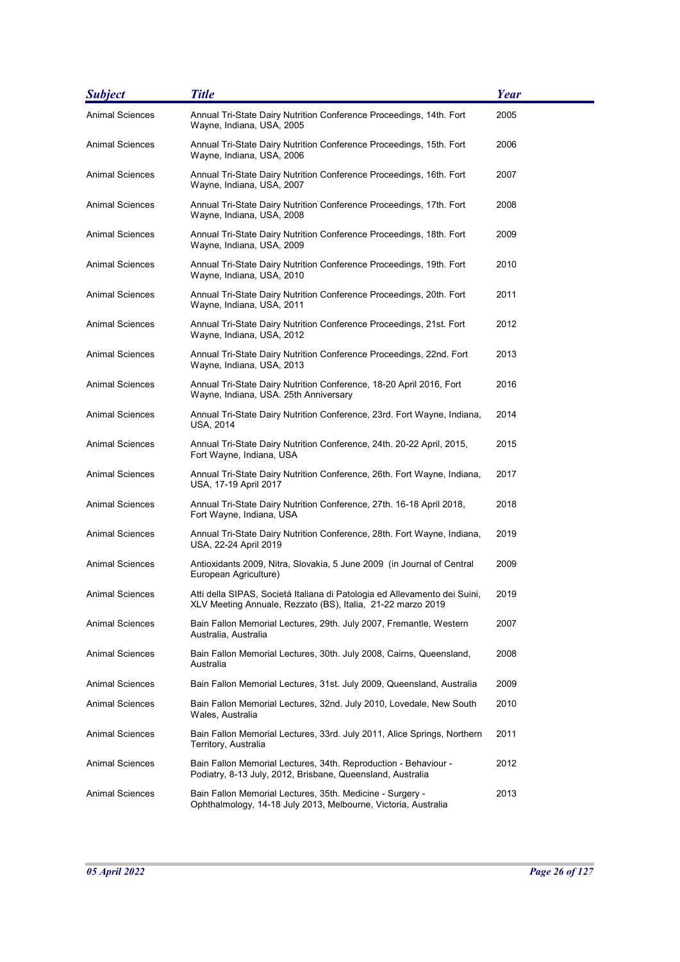| <b>Subject</b>         | <b>Title</b>                                                                                                                             | <b>Year</b> |
|------------------------|------------------------------------------------------------------------------------------------------------------------------------------|-------------|
| <b>Animal Sciences</b> | Annual Tri-State Dairy Nutrition Conference Proceedings, 14th. Fort<br>Wayne, Indiana, USA, 2005                                         | 2005        |
| <b>Animal Sciences</b> | Annual Tri-State Dairy Nutrition Conference Proceedings, 15th. Fort<br>Wayne, Indiana, USA, 2006                                         | 2006        |
| Animal Sciences        | Annual Tri-State Dairy Nutrition Conference Proceedings, 16th. Fort<br>Wayne, Indiana, USA, 2007                                         | 2007        |
| Animal Sciences        | Annual Tri-State Dairy Nutrition Conference Proceedings, 17th. Fort<br>Wayne, Indiana, USA, 2008                                         | 2008        |
| Animal Sciences        | Annual Tri-State Dairy Nutrition Conference Proceedings, 18th. Fort<br>Wayne, Indiana, USA, 2009                                         | 2009        |
| Animal Sciences        | Annual Tri-State Dairy Nutrition Conference Proceedings, 19th. Fort<br>Wayne, Indiana, USA, 2010                                         | 2010        |
| Animal Sciences        | Annual Tri-State Dairy Nutrition Conference Proceedings, 20th. Fort<br>Wayne, Indiana, USA, 2011                                         | 2011        |
| <b>Animal Sciences</b> | Annual Tri-State Dairy Nutrition Conference Proceedings, 21st. Fort<br>Wayne, Indiana, USA, 2012                                         | 2012        |
| Animal Sciences        | Annual Tri-State Dairy Nutrition Conference Proceedings, 22nd. Fort<br>Wayne, Indiana, USA, 2013                                         | 2013        |
| Animal Sciences        | Annual Tri-State Dairy Nutrition Conference, 18-20 April 2016, Fort<br>Wayne, Indiana, USA. 25th Anniversary                             | 2016        |
| <b>Animal Sciences</b> | Annual Tri-State Dairy Nutrition Conference, 23rd. Fort Wayne, Indiana,<br>USA, 2014                                                     | 2014        |
| <b>Animal Sciences</b> | Annual Tri-State Dairy Nutrition Conference, 24th. 20-22 April, 2015,<br>Fort Wayne, Indiana, USA                                        | 2015        |
| Animal Sciences        | Annual Tri-State Dairy Nutrition Conference, 26th. Fort Wayne, Indiana,<br>USA, 17-19 April 2017                                         | 2017        |
| Animal Sciences        | Annual Tri-State Dairy Nutrition Conference, 27th. 16-18 April 2018,<br>Fort Wayne, Indiana, USA                                         | 2018        |
| Animal Sciences        | Annual Tri-State Dairy Nutrition Conference, 28th. Fort Wayne, Indiana,<br>USA, 22-24 April 2019                                         | 2019        |
| Animal Sciences        | Antioxidants 2009, Nitra, Slovakia, 5 June 2009  (in Journal of Central<br>European Agriculture)                                         | 2009        |
| Animal Sciences        | Atti della SIPAS, Società Italiana di Patologia ed Allevamento dei Suini,<br>XLV Meeting Annuale, Rezzato (BS), Italia, 21-22 marzo 2019 | 2019        |
| Animal Sciences        | Bain Fallon Memorial Lectures, 29th. July 2007, Fremantle, Western<br>Australia, Australia                                               | 2007        |
| Animal Sciences        | Bain Fallon Memorial Lectures, 30th. July 2008, Cairns, Queensland,<br>Australia                                                         | 2008        |
| <b>Animal Sciences</b> | Bain Fallon Memorial Lectures, 31st. July 2009, Queensland, Australia                                                                    | 2009        |
| Animal Sciences        | Bain Fallon Memorial Lectures, 32nd. July 2010, Lovedale, New South<br>Wales, Australia                                                  | 2010        |
| <b>Animal Sciences</b> | Bain Fallon Memorial Lectures, 33rd. July 2011, Alice Springs, Northern<br>Territory, Australia                                          | 2011        |
| Animal Sciences        | Bain Fallon Memorial Lectures, 34th. Reproduction - Behaviour -<br>Podiatry, 8-13 July, 2012, Brisbane, Queensland, Australia            | 2012        |
| <b>Animal Sciences</b> | Bain Fallon Memorial Lectures, 35th. Medicine - Surgery -<br>Ophthalmology, 14-18 July 2013, Melbourne, Victoria, Australia              | 2013        |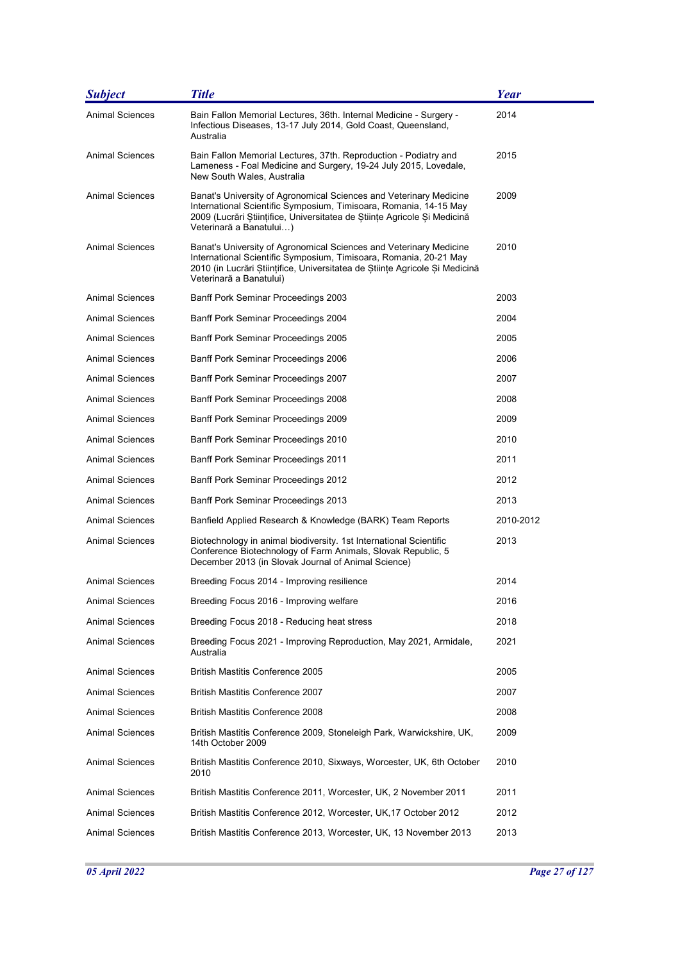| <b>Subject</b>         | <b>Title</b>                                                                                                                                                                                                                                      | Year      |
|------------------------|---------------------------------------------------------------------------------------------------------------------------------------------------------------------------------------------------------------------------------------------------|-----------|
| <b>Animal Sciences</b> | Bain Fallon Memorial Lectures, 36th. Internal Medicine - Surgery -<br>Infectious Diseases, 13-17 July 2014, Gold Coast, Queensland,<br>Australia                                                                                                  | 2014      |
| Animal Sciences        | Bain Fallon Memorial Lectures, 37th. Reproduction - Podiatry and<br>Lameness - Foal Medicine and Surgery, 19-24 July 2015, Lovedale,<br>New South Wales, Australia                                                                                | 2015      |
| <b>Animal Sciences</b> | Banat's University of Agronomical Sciences and Veterinary Medicine<br>International Scientific Symposium, Timisoara, Romania, 14-15 May<br>2009 (Lucrări Stiințifice, Universitatea de Stiințe Agricole Și Medicină<br>Veterinară a Banatului)    | 2009      |
| <b>Animal Sciences</b> | Banat's University of Agronomical Sciences and Veterinary Medicine<br>International Scientific Symposium, Timisoara, Romania, 20-21 May<br>2010 (in Lucrări Științifice, Universitatea de Științe Agricole Și Medicină<br>Veterinară a Banatului) | 2010      |
| <b>Animal Sciences</b> | Banff Pork Seminar Proceedings 2003                                                                                                                                                                                                               | 2003      |
| Animal Sciences        | Banff Pork Seminar Proceedings 2004                                                                                                                                                                                                               | 2004      |
| <b>Animal Sciences</b> | Banff Pork Seminar Proceedings 2005                                                                                                                                                                                                               | 2005      |
| Animal Sciences        | Banff Pork Seminar Proceedings 2006                                                                                                                                                                                                               | 2006      |
| <b>Animal Sciences</b> | Banff Pork Seminar Proceedings 2007                                                                                                                                                                                                               | 2007      |
| <b>Animal Sciences</b> | Banff Pork Seminar Proceedings 2008                                                                                                                                                                                                               | 2008      |
| Animal Sciences        | Banff Pork Seminar Proceedings 2009                                                                                                                                                                                                               | 2009      |
| Animal Sciences        | Banff Pork Seminar Proceedings 2010                                                                                                                                                                                                               | 2010      |
| <b>Animal Sciences</b> | <b>Banff Pork Seminar Proceedings 2011</b>                                                                                                                                                                                                        | 2011      |
| Animal Sciences        | Banff Pork Seminar Proceedings 2012                                                                                                                                                                                                               | 2012      |
| <b>Animal Sciences</b> | Banff Pork Seminar Proceedings 2013                                                                                                                                                                                                               | 2013      |
| Animal Sciences        | Banfield Applied Research & Knowledge (BARK) Team Reports                                                                                                                                                                                         | 2010-2012 |
| <b>Animal Sciences</b> | Biotechnology in animal biodiversity. 1st International Scientific<br>Conference Biotechnology of Farm Animals, Slovak Republic, 5<br>December 2013 (in Slovak Journal of Animal Science)                                                         | 2013      |
| <b>Animal Sciences</b> | Breeding Focus 2014 - Improving resilience                                                                                                                                                                                                        | 2014      |
| Animal Sciences        | Breeding Focus 2016 - Improving welfare                                                                                                                                                                                                           | 2016      |
| <b>Animal Sciences</b> | Breeding Focus 2018 - Reducing heat stress                                                                                                                                                                                                        | 2018      |
| <b>Animal Sciences</b> | Breeding Focus 2021 - Improving Reproduction, May 2021, Armidale,<br>Australia                                                                                                                                                                    | 2021      |
| <b>Animal Sciences</b> | <b>British Mastitis Conference 2005</b>                                                                                                                                                                                                           | 2005      |
| <b>Animal Sciences</b> | British Mastitis Conference 2007                                                                                                                                                                                                                  | 2007      |
| <b>Animal Sciences</b> | <b>British Mastitis Conference 2008</b>                                                                                                                                                                                                           | 2008      |
| <b>Animal Sciences</b> | British Mastitis Conference 2009, Stoneleigh Park, Warwickshire, UK,<br>14th October 2009                                                                                                                                                         | 2009      |
| Animal Sciences        | British Mastitis Conference 2010, Sixways, Worcester, UK, 6th October<br>2010                                                                                                                                                                     | 2010      |
| <b>Animal Sciences</b> | British Mastitis Conference 2011, Worcester, UK, 2 November 2011                                                                                                                                                                                  | 2011      |
| Animal Sciences        | British Mastitis Conference 2012, Worcester, UK, 17 October 2012                                                                                                                                                                                  | 2012      |
| <b>Animal Sciences</b> | British Mastitis Conference 2013, Worcester, UK, 13 November 2013                                                                                                                                                                                 | 2013      |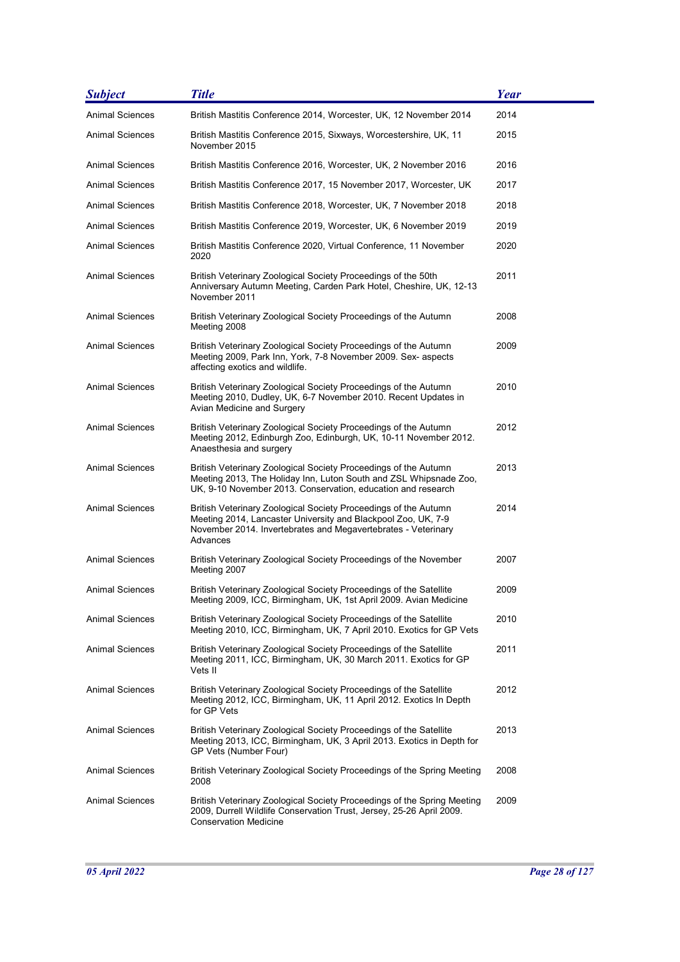| <b>Subject</b>         | <b>Title</b>                                                                                                                                                                                                  | Year |
|------------------------|---------------------------------------------------------------------------------------------------------------------------------------------------------------------------------------------------------------|------|
| <b>Animal Sciences</b> | British Mastitis Conference 2014, Worcester, UK, 12 November 2014                                                                                                                                             | 2014 |
| Animal Sciences        | British Mastitis Conference 2015, Sixways, Worcestershire, UK, 11<br>November 2015                                                                                                                            | 2015 |
| Animal Sciences        | British Mastitis Conference 2016, Worcester, UK, 2 November 2016                                                                                                                                              | 2016 |
| <b>Animal Sciences</b> | British Mastitis Conference 2017, 15 November 2017, Worcester, UK                                                                                                                                             | 2017 |
| Animal Sciences        | British Mastitis Conference 2018, Worcester, UK, 7 November 2018                                                                                                                                              | 2018 |
| <b>Animal Sciences</b> | British Mastitis Conference 2019, Worcester, UK, 6 November 2019                                                                                                                                              | 2019 |
| Animal Sciences        | British Mastitis Conference 2020, Virtual Conference, 11 November<br>2020                                                                                                                                     | 2020 |
| Animal Sciences        | British Veterinary Zoological Society Proceedings of the 50th<br>Anniversary Autumn Meeting, Carden Park Hotel, Cheshire, UK, 12-13<br>November 2011                                                          | 2011 |
| Animal Sciences        | British Veterinary Zoological Society Proceedings of the Autumn<br>Meeting 2008                                                                                                                               | 2008 |
| <b>Animal Sciences</b> | British Veterinary Zoological Society Proceedings of the Autumn<br>Meeting 2009, Park Inn, York, 7-8 November 2009. Sex- aspects<br>affecting exotics and wildlife.                                           | 2009 |
| Animal Sciences        | British Veterinary Zoological Society Proceedings of the Autumn<br>Meeting 2010, Dudley, UK, 6-7 November 2010. Recent Updates in<br>Avian Medicine and Surgery                                               | 2010 |
| Animal Sciences        | British Veterinary Zoological Society Proceedings of the Autumn<br>Meeting 2012, Edinburgh Zoo, Edinburgh, UK, 10-11 November 2012.<br>Anaesthesia and surgery                                                | 2012 |
| <b>Animal Sciences</b> | British Veterinary Zoological Society Proceedings of the Autumn<br>Meeting 2013, The Holiday Inn, Luton South and ZSL Whipsnade Zoo,<br>UK, 9-10 November 2013. Conservation, education and research          | 2013 |
| <b>Animal Sciences</b> | British Veterinary Zoological Society Proceedings of the Autumn<br>Meeting 2014, Lancaster University and Blackpool Zoo, UK, 7-9<br>November 2014. Invertebrates and Megavertebrates - Veterinary<br>Advances | 2014 |
| <b>Animal Sciences</b> | British Veterinary Zoological Society Proceedings of the November<br>Meeting 2007                                                                                                                             | 2007 |
| Animal Sciences        | British Veterinary Zoological Society Proceedings of the Satellite<br>Meeting 2009, ICC, Birmingham, UK, 1st April 2009. Avian Medicine                                                                       | 2009 |
| <b>Animal Sciences</b> | British Veterinary Zoological Society Proceedings of the Satellite<br>Meeting 2010, ICC, Birmingham, UK, 7 April 2010. Exotics for GP Vets                                                                    | 2010 |
| <b>Animal Sciences</b> | British Veterinary Zoological Society Proceedings of the Satellite<br>Meeting 2011, ICC, Birmingham, UK, 30 March 2011. Exotics for GP<br>Vets II                                                             | 2011 |
| <b>Animal Sciences</b> | British Veterinary Zoological Society Proceedings of the Satellite<br>Meeting 2012, ICC, Birmingham, UK, 11 April 2012. Exotics In Depth<br>for GP Vets                                                       | 2012 |
| <b>Animal Sciences</b> | British Veterinary Zoological Society Proceedings of the Satellite<br>Meeting 2013, ICC, Birmingham, UK, 3 April 2013. Exotics in Depth for<br>GP Vets (Number Four)                                          | 2013 |
| <b>Animal Sciences</b> | British Veterinary Zoological Society Proceedings of the Spring Meeting<br>2008                                                                                                                               | 2008 |
| <b>Animal Sciences</b> | British Veterinary Zoological Society Proceedings of the Spring Meeting<br>2009, Durrell Wildlife Conservation Trust, Jersey, 25-26 April 2009.<br><b>Conservation Medicine</b>                               | 2009 |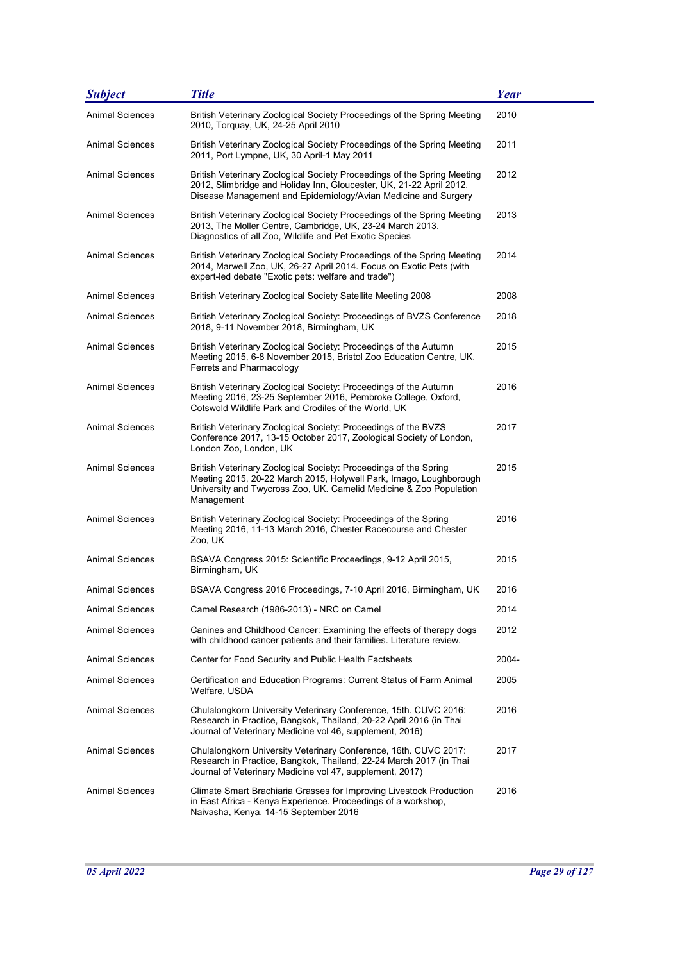| <b>Subject</b>         | <b>Title</b>                                                                                                                                                                                                               | <b>Year</b> |
|------------------------|----------------------------------------------------------------------------------------------------------------------------------------------------------------------------------------------------------------------------|-------------|
| <b>Animal Sciences</b> | British Veterinary Zoological Society Proceedings of the Spring Meeting<br>2010, Torquay, UK, 24-25 April 2010                                                                                                             | 2010        |
| <b>Animal Sciences</b> | British Veterinary Zoological Society Proceedings of the Spring Meeting<br>2011, Port Lympne, UK, 30 April-1 May 2011                                                                                                      | 2011        |
| <b>Animal Sciences</b> | British Veterinary Zoological Society Proceedings of the Spring Meeting<br>2012, Slimbridge and Holiday Inn, Gloucester, UK, 21-22 April 2012.<br>Disease Management and Epidemiology/Avian Medicine and Surgery           | 2012        |
| <b>Animal Sciences</b> | British Veterinary Zoological Society Proceedings of the Spring Meeting<br>2013, The Moller Centre, Cambridge, UK, 23-24 March 2013.<br>Diagnostics of all Zoo, Wildlife and Pet Exotic Species                            | 2013        |
| <b>Animal Sciences</b> | British Veterinary Zoological Society Proceedings of the Spring Meeting<br>2014, Marwell Zoo, UK, 26-27 April 2014. Focus on Exotic Pets (with<br>expert-led debate "Exotic pets: welfare and trade")                      | 2014        |
| <b>Animal Sciences</b> | British Veterinary Zoological Society Satellite Meeting 2008                                                                                                                                                               | 2008        |
| Animal Sciences        | British Veterinary Zoological Society: Proceedings of BVZS Conference<br>2018, 9-11 November 2018, Birmingham, UK                                                                                                          | 2018        |
| <b>Animal Sciences</b> | British Veterinary Zoological Society: Proceedings of the Autumn<br>Meeting 2015, 6-8 November 2015, Bristol Zoo Education Centre, UK.<br>Ferrets and Pharmacology                                                         | 2015        |
| <b>Animal Sciences</b> | British Veterinary Zoological Society: Proceedings of the Autumn<br>Meeting 2016, 23-25 September 2016, Pembroke College, Oxford,<br>Cotswold Wildlife Park and Crodiles of the World, UK                                  | 2016        |
| Animal Sciences        | British Veterinary Zoological Society: Proceedings of the BVZS<br>Conference 2017, 13-15 October 2017, Zoological Society of London,<br>London Zoo, London, UK                                                             | 2017        |
| Animal Sciences        | British Veterinary Zoological Society: Proceedings of the Spring<br>Meeting 2015, 20-22 March 2015, Holywell Park, Imago, Loughborough<br>University and Twycross Zoo, UK. Camelid Medicine & Zoo Population<br>Management | 2015        |
| Animal Sciences        | British Veterinary Zoological Society: Proceedings of the Spring<br>Meeting 2016, 11-13 March 2016, Chester Racecourse and Chester<br>Zoo, UK                                                                              | 2016        |
| <b>Animal Sciences</b> | BSAVA Congress 2015: Scientific Proceedings, 9-12 April 2015,<br>Birmingham, UK                                                                                                                                            | 2015        |
| Animal Sciences        | BSAVA Congress 2016 Proceedings, 7-10 April 2016, Birmingham, UK                                                                                                                                                           | 2016        |
| <b>Animal Sciences</b> | Camel Research (1986-2013) - NRC on Camel                                                                                                                                                                                  | 2014        |
| <b>Animal Sciences</b> | Canines and Childhood Cancer: Examining the effects of therapy dogs<br>with childhood cancer patients and their families. Literature review.                                                                               | 2012        |
| <b>Animal Sciences</b> | Center for Food Security and Public Health Factsheets                                                                                                                                                                      | 2004-       |
| <b>Animal Sciences</b> | Certification and Education Programs: Current Status of Farm Animal<br>Welfare, USDA                                                                                                                                       | 2005        |
| <b>Animal Sciences</b> | Chulalongkorn University Veterinary Conference, 15th. CUVC 2016:<br>Research in Practice, Bangkok, Thailand, 20-22 April 2016 (in Thai<br>Journal of Veterinary Medicine vol 46, supplement, 2016)                         | 2016        |
| Animal Sciences        | Chulalongkorn University Veterinary Conference, 16th. CUVC 2017:<br>Research in Practice, Bangkok, Thailand, 22-24 March 2017 (in Thai<br>Journal of Veterinary Medicine vol 47, supplement, 2017)                         | 2017        |
| Animal Sciences        | Climate Smart Brachiaria Grasses for Improving Livestock Production<br>in East Africa - Kenya Experience. Proceedings of a workshop,<br>Naivasha, Kenya, 14-15 September 2016                                              | 2016        |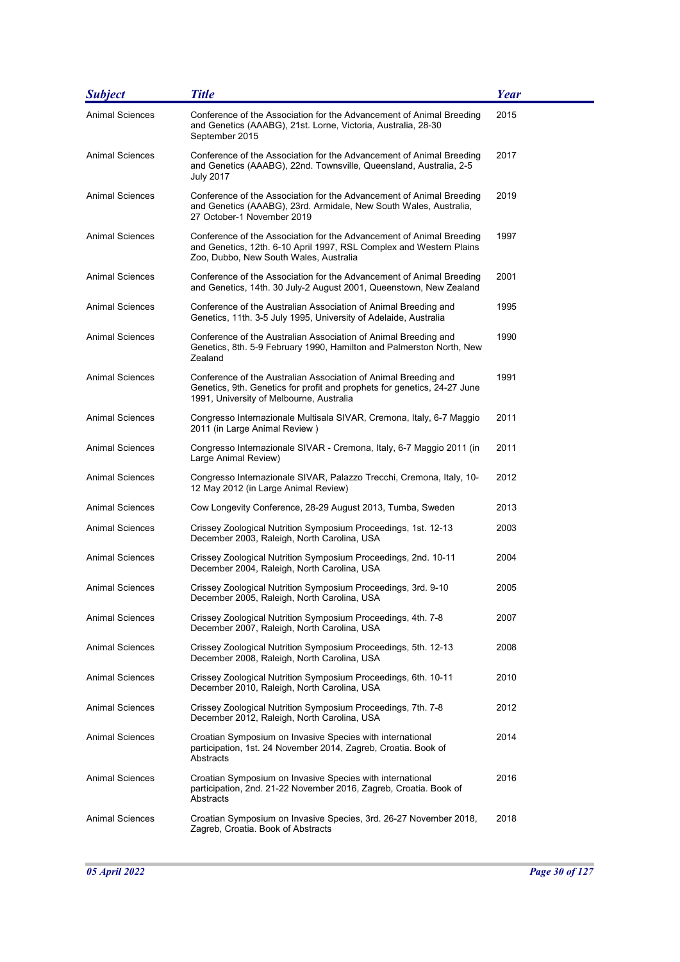| <b>Subject</b>         | <b>Title</b>                                                                                                                                                                            | Year |
|------------------------|-----------------------------------------------------------------------------------------------------------------------------------------------------------------------------------------|------|
| <b>Animal Sciences</b> | Conference of the Association for the Advancement of Animal Breeding<br>and Genetics (AAABG), 21st. Lorne, Victoria, Australia, 28-30<br>September 2015                                 | 2015 |
| <b>Animal Sciences</b> | Conference of the Association for the Advancement of Animal Breeding<br>and Genetics (AAABG), 22nd. Townsville, Queensland, Australia, 2-5<br><b>July 2017</b>                          | 2017 |
| Animal Sciences        | Conference of the Association for the Advancement of Animal Breeding<br>and Genetics (AAABG), 23rd. Armidale, New South Wales, Australia,<br>27 October-1 November 2019                 | 2019 |
| Animal Sciences        | Conference of the Association for the Advancement of Animal Breeding<br>and Genetics, 12th. 6-10 April 1997, RSL Complex and Western Plains<br>Zoo, Dubbo, New South Wales, Australia   | 1997 |
| Animal Sciences        | Conference of the Association for the Advancement of Animal Breeding<br>and Genetics, 14th. 30 July-2 August 2001, Queenstown, New Zealand                                              | 2001 |
| <b>Animal Sciences</b> | Conference of the Australian Association of Animal Breeding and<br>Genetics, 11th. 3-5 July 1995, University of Adelaide, Australia                                                     | 1995 |
| <b>Animal Sciences</b> | Conference of the Australian Association of Animal Breeding and<br>Genetics, 8th. 5-9 February 1990, Hamilton and Palmerston North, New<br>Zealand                                      | 1990 |
| <b>Animal Sciences</b> | Conference of the Australian Association of Animal Breeding and<br>Genetics, 9th. Genetics for profit and prophets for genetics, 24-27 June<br>1991, University of Melbourne, Australia | 1991 |
| <b>Animal Sciences</b> | Congresso Internazionale Multisala SIVAR, Cremona, Italy, 6-7 Maggio<br>2011 (in Large Animal Review)                                                                                   | 2011 |
| Animal Sciences        | Congresso Internazionale SIVAR - Cremona, Italy, 6-7 Maggio 2011 (in<br>Large Animal Review)                                                                                            | 2011 |
| <b>Animal Sciences</b> | Congresso Internazionale SIVAR, Palazzo Trecchi, Cremona, Italy, 10-<br>12 May 2012 (in Large Animal Review)                                                                            | 2012 |
| <b>Animal Sciences</b> | Cow Longevity Conference, 28-29 August 2013, Tumba, Sweden                                                                                                                              | 2013 |
| <b>Animal Sciences</b> | Crissey Zoological Nutrition Symposium Proceedings, 1st. 12-13<br>December 2003, Raleigh, North Carolina, USA                                                                           | 2003 |
| Animal Sciences        | Crissey Zoological Nutrition Symposium Proceedings, 2nd. 10-11<br>December 2004, Raleigh, North Carolina, USA                                                                           | 2004 |
| Animal Sciences        | Crissey Zoological Nutrition Symposium Proceedings, 3rd. 9-10<br>December 2005, Raleigh, North Carolina, USA                                                                            | 2005 |
| Animal Sciences        | Crissey Zoological Nutrition Symposium Proceedings, 4th. 7-8<br>December 2007, Raleigh, North Carolina, USA                                                                             | 2007 |
| Animal Sciences        | Crissey Zoological Nutrition Symposium Proceedings, 5th. 12-13<br>December 2008, Raleigh, North Carolina, USA                                                                           | 2008 |
| Animal Sciences        | Crissey Zoological Nutrition Symposium Proceedings, 6th. 10-11<br>December 2010, Raleigh, North Carolina, USA                                                                           | 2010 |
| Animal Sciences        | Crissey Zoological Nutrition Symposium Proceedings, 7th. 7-8<br>December 2012, Raleigh, North Carolina, USA                                                                             | 2012 |
| Animal Sciences        | Croatian Symposium on Invasive Species with international<br>participation, 1st. 24 November 2014, Zagreb, Croatia. Book of<br>Abstracts                                                | 2014 |
| Animal Sciences        | Croatian Symposium on Invasive Species with international<br>participation, 2nd. 21-22 November 2016, Zagreb, Croatia. Book of<br>Abstracts                                             | 2016 |
| Animal Sciences        | Croatian Symposium on Invasive Species, 3rd. 26-27 November 2018,<br>Zagreb, Croatia. Book of Abstracts                                                                                 | 2018 |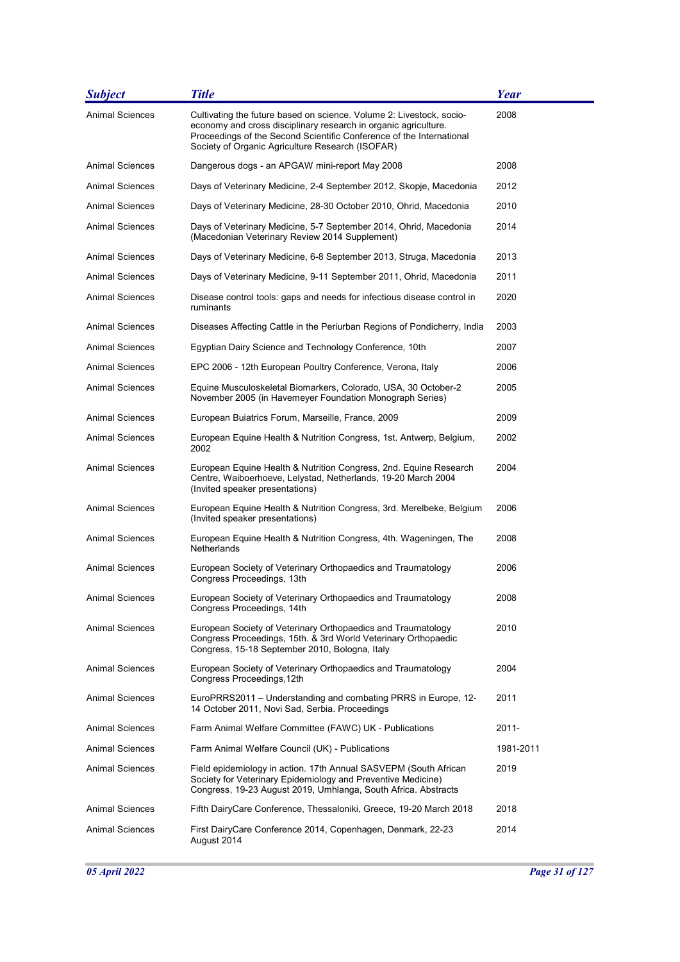| <b>Subject</b>         | <b>Title</b>                                                                                                                                                                                                                                                        | Year      |
|------------------------|---------------------------------------------------------------------------------------------------------------------------------------------------------------------------------------------------------------------------------------------------------------------|-----------|
| Animal Sciences        | Cultivating the future based on science. Volume 2: Livestock, socio-<br>economy and cross disciplinary research in organic agriculture.<br>Proceedings of the Second Scientific Conference of the International<br>Society of Organic Agriculture Research (ISOFAR) | 2008      |
| <b>Animal Sciences</b> | Dangerous dogs - an APGAW mini-report May 2008                                                                                                                                                                                                                      | 2008      |
| Animal Sciences        | Days of Veterinary Medicine, 2-4 September 2012, Skopje, Macedonia                                                                                                                                                                                                  | 2012      |
| <b>Animal Sciences</b> | Days of Veterinary Medicine, 28-30 October 2010, Ohrid, Macedonia                                                                                                                                                                                                   | 2010      |
| <b>Animal Sciences</b> | Days of Veterinary Medicine, 5-7 September 2014, Ohrid, Macedonia<br>(Macedonian Veterinary Review 2014 Supplement)                                                                                                                                                 | 2014      |
| Animal Sciences        | Days of Veterinary Medicine, 6-8 September 2013, Struga, Macedonia                                                                                                                                                                                                  | 2013      |
| Animal Sciences        | Days of Veterinary Medicine, 9-11 September 2011, Ohrid, Macedonia                                                                                                                                                                                                  | 2011      |
| Animal Sciences        | Disease control tools: gaps and needs for infectious disease control in<br>ruminants                                                                                                                                                                                | 2020      |
| <b>Animal Sciences</b> | Diseases Affecting Cattle in the Periurban Regions of Pondicherry, India                                                                                                                                                                                            | 2003      |
| <b>Animal Sciences</b> | Egyptian Dairy Science and Technology Conference, 10th                                                                                                                                                                                                              | 2007      |
| Animal Sciences        | EPC 2006 - 12th European Poultry Conference, Verona, Italy                                                                                                                                                                                                          | 2006      |
| Animal Sciences        | Equine Musculoskeletal Biomarkers, Colorado, USA, 30 October-2<br>November 2005 (in Havemeyer Foundation Monograph Series)                                                                                                                                          | 2005      |
| <b>Animal Sciences</b> | European Buiatrics Forum, Marseille, France, 2009                                                                                                                                                                                                                   | 2009      |
| Animal Sciences        | European Equine Health & Nutrition Congress, 1st. Antwerp, Belgium,<br>2002                                                                                                                                                                                         | 2002      |
| Animal Sciences        | European Equine Health & Nutrition Congress, 2nd. Equine Research<br>Centre, Waiboerhoeve, Lelystad, Netherlands, 19-20 March 2004<br>(Invited speaker presentations)                                                                                               | 2004      |
| <b>Animal Sciences</b> | European Equine Health & Nutrition Congress, 3rd. Merelbeke, Belgium<br>(Invited speaker presentations)                                                                                                                                                             | 2006      |
| Animal Sciences        | European Equine Health & Nutrition Congress, 4th. Wageningen, The<br>Netherlands                                                                                                                                                                                    | 2008      |
| <b>Animal Sciences</b> | European Society of Veterinary Orthopaedics and Traumatology<br>Congress Proceedings, 13th                                                                                                                                                                          | 2006      |
| Animal Sciences        | European Society of Veterinary Orthopaedics and Traumatology<br>Congress Proceedings, 14th                                                                                                                                                                          | 2008      |
| <b>Animal Sciences</b> | European Society of Veterinary Orthopaedics and Traumatology<br>Congress Proceedings, 15th. & 3rd World Veterinary Orthopaedic<br>Congress, 15-18 September 2010, Bologna, Italy                                                                                    | 2010      |
| <b>Animal Sciences</b> | European Society of Veterinary Orthopaedics and Traumatology<br>Congress Proceedings, 12th                                                                                                                                                                          | 2004      |
| <b>Animal Sciences</b> | EuroPRRS2011 - Understanding and combating PRRS in Europe, 12-<br>14 October 2011, Novi Sad, Serbia. Proceedings                                                                                                                                                    | 2011      |
| <b>Animal Sciences</b> | Farm Animal Welfare Committee (FAWC) UK - Publications                                                                                                                                                                                                              | 2011-     |
| Animal Sciences        | Farm Animal Welfare Council (UK) - Publications                                                                                                                                                                                                                     | 1981-2011 |
| Animal Sciences        | Field epidemiology in action. 17th Annual SASVEPM (South African<br>Society for Veterinary Epidemiology and Preventive Medicine)<br>Congress, 19-23 August 2019, Umhlanga, South Africa. Abstracts                                                                  | 2019      |
| <b>Animal Sciences</b> | Fifth DairyCare Conference, Thessaloniki, Greece, 19-20 March 2018                                                                                                                                                                                                  | 2018      |
| Animal Sciences        | First DairyCare Conference 2014, Copenhagen, Denmark, 22-23<br>August 2014                                                                                                                                                                                          | 2014      |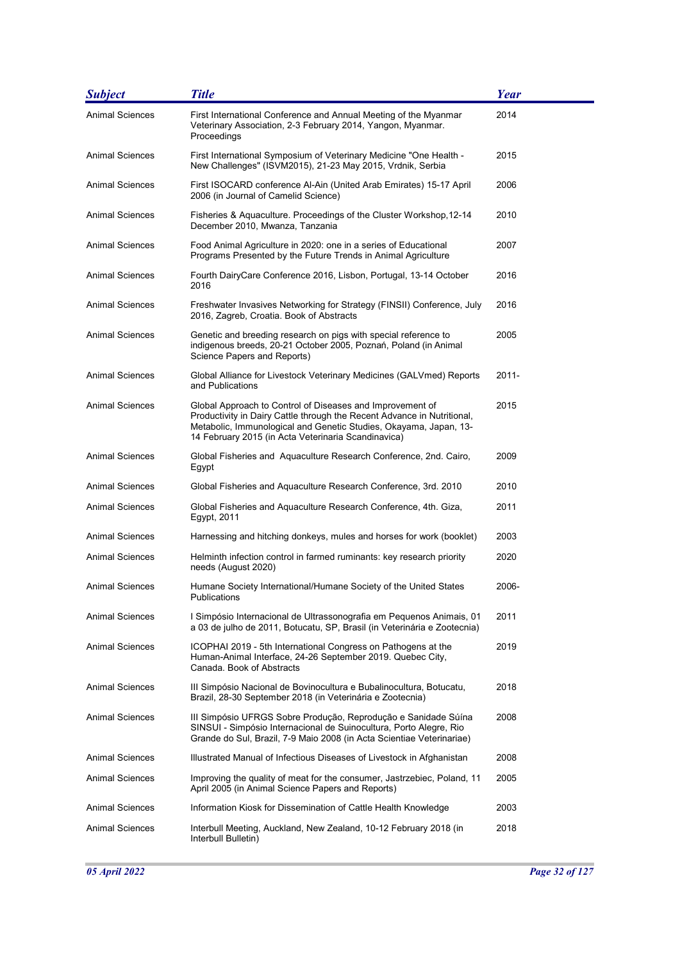| <b>Subject</b>         | <b>Title</b>                                                                                                                                                                                                                                                     | <b>Year</b> |
|------------------------|------------------------------------------------------------------------------------------------------------------------------------------------------------------------------------------------------------------------------------------------------------------|-------------|
| <b>Animal Sciences</b> | First International Conference and Annual Meeting of the Myanmar<br>Veterinary Association, 2-3 February 2014, Yangon, Myanmar.<br>Proceedings                                                                                                                   | 2014        |
| <b>Animal Sciences</b> | First International Symposium of Veterinary Medicine "One Health -<br>New Challenges" (ISVM2015), 21-23 May 2015, Vrdnik, Serbia                                                                                                                                 | 2015        |
| <b>Animal Sciences</b> | First ISOCARD conference Al-Ain (United Arab Emirates) 15-17 April<br>2006 (in Journal of Camelid Science)                                                                                                                                                       | 2006        |
| Animal Sciences        | Fisheries & Aquaculture. Proceedings of the Cluster Workshop, 12-14<br>December 2010, Mwanza, Tanzania                                                                                                                                                           | 2010        |
| <b>Animal Sciences</b> | Food Animal Agriculture in 2020: one in a series of Educational<br>Programs Presented by the Future Trends in Animal Agriculture                                                                                                                                 | 2007        |
| <b>Animal Sciences</b> | Fourth DairyCare Conference 2016, Lisbon, Portugal, 13-14 October<br>2016                                                                                                                                                                                        | 2016        |
| <b>Animal Sciences</b> | Freshwater Invasives Networking for Strategy (FINSII) Conference, July<br>2016, Zagreb, Croatia. Book of Abstracts                                                                                                                                               | 2016        |
| <b>Animal Sciences</b> | Genetic and breeding research on pigs with special reference to<br>indigenous breeds, 20-21 October 2005, Poznań, Poland (in Animal<br>Science Papers and Reports)                                                                                               | 2005        |
| <b>Animal Sciences</b> | Global Alliance for Livestock Veterinary Medicines (GALVmed) Reports<br>and Publications                                                                                                                                                                         | $2011 -$    |
| <b>Animal Sciences</b> | Global Approach to Control of Diseases and Improvement of<br>Productivity in Dairy Cattle through the Recent Advance in Nutritional,<br>Metabolic, Immunological and Genetic Studies, Okayama, Japan, 13-<br>14 February 2015 (in Acta Veterinaria Scandinavica) | 2015        |
| <b>Animal Sciences</b> | Global Fisheries and Aquaculture Research Conference, 2nd. Cairo,<br>Egypt                                                                                                                                                                                       | 2009        |
| <b>Animal Sciences</b> | Global Fisheries and Aquaculture Research Conference, 3rd. 2010                                                                                                                                                                                                  | 2010        |
| Animal Sciences        | Global Fisheries and Aquaculture Research Conference, 4th. Giza,<br>Egypt, 2011                                                                                                                                                                                  | 2011        |
| <b>Animal Sciences</b> | Harnessing and hitching donkeys, mules and horses for work (booklet)                                                                                                                                                                                             | 2003        |
| <b>Animal Sciences</b> | Helminth infection control in farmed ruminants: key research priority<br>needs (August 2020)                                                                                                                                                                     | 2020        |
| Animal Sciences        | Humane Society International/Humane Society of the United States<br>Publications                                                                                                                                                                                 | 2006-       |
| Animal Sciences        | I Simpósio Internacional de Ultrassonografia em Pequenos Animais, 01<br>a 03 de julho de 2011, Botucatu, SP, Brasil (in Veterinária e Zootecnia)                                                                                                                 | 2011        |
| Animal Sciences        | ICOPHAI 2019 - 5th International Congress on Pathogens at the<br>Human-Animal Interface, 24-26 September 2019. Quebec City,<br>Canada. Book of Abstracts                                                                                                         | 2019        |
| <b>Animal Sciences</b> | III Simpósio Nacional de Bovinocultura e Bubalinocultura, Botucatu,<br>Brazil, 28-30 September 2018 (in Veterinária e Zootecnia)                                                                                                                                 | 2018        |
| <b>Animal Sciences</b> | III Simpósio UFRGS Sobre Produção, Reprodução e Sanidade Súína<br>SINSUI - Simpósio Internacional de Suinocultura, Porto Alegre, Rio<br>Grande do Sul, Brazil, 7-9 Maio 2008 (in Acta Scientiae Veterinariae)                                                    | 2008        |
| <b>Animal Sciences</b> | Illustrated Manual of Infectious Diseases of Livestock in Afghanistan                                                                                                                                                                                            | 2008        |
| Animal Sciences        | Improving the quality of meat for the consumer, Jastrzebiec, Poland, 11<br>April 2005 (in Animal Science Papers and Reports)                                                                                                                                     | 2005        |
| <b>Animal Sciences</b> | Information Kiosk for Dissemination of Cattle Health Knowledge                                                                                                                                                                                                   | 2003        |
| Animal Sciences        | Interbull Meeting, Auckland, New Zealand, 10-12 February 2018 (in<br>Interbull Bulletin)                                                                                                                                                                         | 2018        |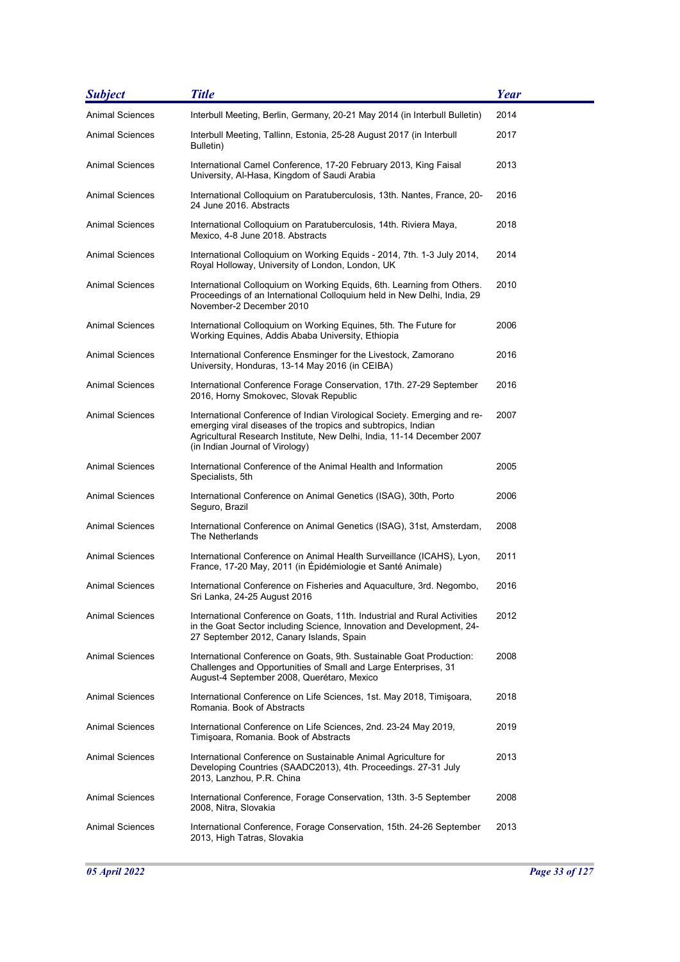| <b>Subject</b>         | <b>Title</b>                                                                                                                                                                                                                                           | Year |
|------------------------|--------------------------------------------------------------------------------------------------------------------------------------------------------------------------------------------------------------------------------------------------------|------|
| <b>Animal Sciences</b> | Interbull Meeting, Berlin, Germany, 20-21 May 2014 (in Interbull Bulletin)                                                                                                                                                                             | 2014 |
| Animal Sciences        | Interbull Meeting, Tallinn, Estonia, 25-28 August 2017 (in Interbull<br>Bulletin)                                                                                                                                                                      | 2017 |
| Animal Sciences        | International Camel Conference, 17-20 February 2013, King Faisal<br>University, Al-Hasa, Kingdom of Saudi Arabia                                                                                                                                       | 2013 |
| Animal Sciences        | International Colloquium on Paratuberculosis, 13th. Nantes, France, 20-<br>24 June 2016. Abstracts                                                                                                                                                     | 2016 |
| <b>Animal Sciences</b> | International Colloquium on Paratuberculosis, 14th. Riviera Maya,<br>Mexico, 4-8 June 2018. Abstracts                                                                                                                                                  | 2018 |
| <b>Animal Sciences</b> | International Colloquium on Working Equids - 2014, 7th. 1-3 July 2014,<br>Royal Holloway, University of London, London, UK                                                                                                                             | 2014 |
| <b>Animal Sciences</b> | International Colloquium on Working Equids, 6th. Learning from Others.<br>Proceedings of an International Colloquium held in New Delhi, India, 29<br>November-2 December 2010                                                                          | 2010 |
| <b>Animal Sciences</b> | International Colloquium on Working Equines, 5th. The Future for<br>Working Equines, Addis Ababa University, Ethiopia                                                                                                                                  | 2006 |
| <b>Animal Sciences</b> | International Conference Ensminger for the Livestock, Zamorano<br>University, Honduras, 13-14 May 2016 (in CEIBA)                                                                                                                                      | 2016 |
| Animal Sciences        | International Conference Forage Conservation, 17th. 27-29 September<br>2016, Horny Smokovec, Slovak Republic                                                                                                                                           | 2016 |
| <b>Animal Sciences</b> | International Conference of Indian Virological Society. Emerging and re-<br>emerging viral diseases of the tropics and subtropics, Indian<br>Agricultural Research Institute, New Delhi, India, 11-14 December 2007<br>(in Indian Journal of Virology) | 2007 |
| <b>Animal Sciences</b> | International Conference of the Animal Health and Information<br>Specialists, 5th                                                                                                                                                                      | 2005 |
| Animal Sciences        | International Conference on Animal Genetics (ISAG), 30th, Porto<br>Seguro, Brazil                                                                                                                                                                      | 2006 |
| <b>Animal Sciences</b> | International Conference on Animal Genetics (ISAG), 31st, Amsterdam,<br>The Netherlands                                                                                                                                                                | 2008 |
| <b>Animal Sciences</b> | International Conference on Animal Health Surveillance (ICAHS), Lyon,<br>France, 17-20 May, 2011 (in Épidémiologie et Santé Animale)                                                                                                                   | 2011 |
| <b>Animal Sciences</b> | International Conference on Fisheries and Aquaculture, 3rd. Negombo,<br>Sri Lanka, 24-25 August 2016                                                                                                                                                   | 2016 |
| Animal Sciences        | International Conference on Goats, 11th. Industrial and Rural Activities<br>in the Goat Sector including Science, Innovation and Development, 24-<br>27 September 2012, Canary Islands, Spain                                                          | 2012 |
| <b>Animal Sciences</b> | International Conference on Goats, 9th. Sustainable Goat Production:<br>Challenges and Opportunities of Small and Large Enterprises, 31<br>August-4 September 2008, Querétaro, Mexico                                                                  | 2008 |
| Animal Sciences        | International Conference on Life Sciences, 1st. May 2018, Timişoara,<br>Romania. Book of Abstracts                                                                                                                                                     | 2018 |
| <b>Animal Sciences</b> | International Conference on Life Sciences, 2nd. 23-24 May 2019,<br>Timişoara, Romania. Book of Abstracts                                                                                                                                               | 2019 |
| Animal Sciences        | International Conference on Sustainable Animal Agriculture for<br>Developing Countries (SAADC2013), 4th. Proceedings. 27-31 July<br>2013, Lanzhou, P.R. China                                                                                          | 2013 |
| <b>Animal Sciences</b> | International Conference, Forage Conservation, 13th. 3-5 September<br>2008, Nitra, Slovakia                                                                                                                                                            | 2008 |
| <b>Animal Sciences</b> | International Conference, Forage Conservation, 15th. 24-26 September<br>2013, High Tatras, Slovakia                                                                                                                                                    | 2013 |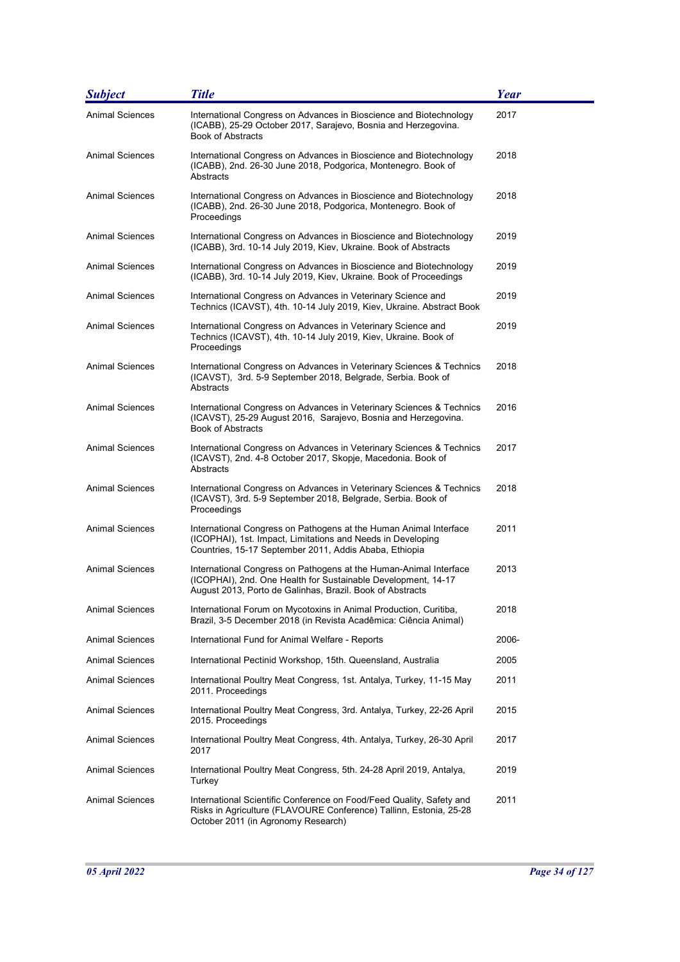| <b>Subject</b>         | <b>Title</b>                                                                                                                                                                                    | <b>Year</b> |
|------------------------|-------------------------------------------------------------------------------------------------------------------------------------------------------------------------------------------------|-------------|
| <b>Animal Sciences</b> | International Congress on Advances in Bioscience and Biotechnology<br>(ICABB), 25-29 October 2017, Sarajevo, Bosnia and Herzegovina.<br><b>Book of Abstracts</b>                                | 2017        |
| Animal Sciences        | International Congress on Advances in Bioscience and Biotechnology<br>(ICABB), 2nd. 26-30 June 2018, Podgorica, Montenegro. Book of<br>Abstracts                                                | 2018        |
| Animal Sciences        | International Congress on Advances in Bioscience and Biotechnology<br>(ICABB), 2nd. 26-30 June 2018, Podgorica, Montenegro. Book of<br>Proceedings                                              | 2018        |
| Animal Sciences        | International Congress on Advances in Bioscience and Biotechnology<br>(ICABB), 3rd. 10-14 July 2019, Kiev, Ukraine. Book of Abstracts                                                           | 2019        |
| <b>Animal Sciences</b> | International Congress on Advances in Bioscience and Biotechnology<br>(ICABB), 3rd. 10-14 July 2019, Kiev, Ukraine. Book of Proceedings                                                         | 2019        |
| <b>Animal Sciences</b> | International Congress on Advances in Veterinary Science and<br>Technics (ICAVST), 4th. 10-14 July 2019, Kiev, Ukraine. Abstract Book                                                           | 2019        |
| Animal Sciences        | International Congress on Advances in Veterinary Science and<br>Technics (ICAVST), 4th. 10-14 July 2019, Kiev, Ukraine. Book of<br>Proceedings                                                  | 2019        |
| <b>Animal Sciences</b> | International Congress on Advances in Veterinary Sciences & Technics<br>(ICAVST), 3rd. 5-9 September 2018, Belgrade, Serbia. Book of<br>Abstracts                                               | 2018        |
| <b>Animal Sciences</b> | International Congress on Advances in Veterinary Sciences & Technics<br>(ICAVST), 25-29 August 2016, Sarajevo, Bosnia and Herzegovina.<br><b>Book of Abstracts</b>                              | 2016        |
| <b>Animal Sciences</b> | International Congress on Advances in Veterinary Sciences & Technics<br>(ICAVST), 2nd. 4-8 October 2017, Skopje, Macedonia. Book of<br>Abstracts                                                | 2017        |
| <b>Animal Sciences</b> | International Congress on Advances in Veterinary Sciences & Technics<br>(ICAVST), 3rd. 5-9 September 2018, Belgrade, Serbia. Book of<br>Proceedings                                             | 2018        |
| <b>Animal Sciences</b> | International Congress on Pathogens at the Human Animal Interface<br>(ICOPHAI), 1st. Impact, Limitations and Needs in Developing<br>Countries, 15-17 September 2011, Addis Ababa, Ethiopia      | 2011        |
| <b>Animal Sciences</b> | International Congress on Pathogens at the Human-Animal Interface<br>(ICOPHAI), 2nd. One Health for Sustainable Development, 14-17<br>August 2013, Porto de Galinhas, Brazil. Book of Abstracts | 2013        |
| <b>Animal Sciences</b> | International Forum on Mycotoxins in Animal Production, Curitiba,<br>Brazil, 3-5 December 2018 (in Revista Acadêmica: Ciência Animal)                                                           | 2018        |
| Animal Sciences        | International Fund for Animal Welfare - Reports                                                                                                                                                 | 2006-       |
| Animal Sciences        | International Pectinid Workshop, 15th. Queensland, Australia                                                                                                                                    | 2005        |
| Animal Sciences        | International Poultry Meat Congress, 1st. Antalya, Turkey, 11-15 May<br>2011. Proceedings                                                                                                       | 2011        |
| <b>Animal Sciences</b> | International Poultry Meat Congress, 3rd. Antalya, Turkey, 22-26 April<br>2015. Proceedings                                                                                                     | 2015        |
| <b>Animal Sciences</b> | International Poultry Meat Congress, 4th. Antalya, Turkey, 26-30 April<br>2017                                                                                                                  | 2017        |
| <b>Animal Sciences</b> | International Poultry Meat Congress, 5th. 24-28 April 2019, Antalya,<br>Turkey                                                                                                                  | 2019        |
| <b>Animal Sciences</b> | International Scientific Conference on Food/Feed Quality, Safety and<br>Risks in Agriculture (FLAVOURE Conference) Tallinn, Estonia, 25-28<br>October 2011 (in Agronomy Research)               | 2011        |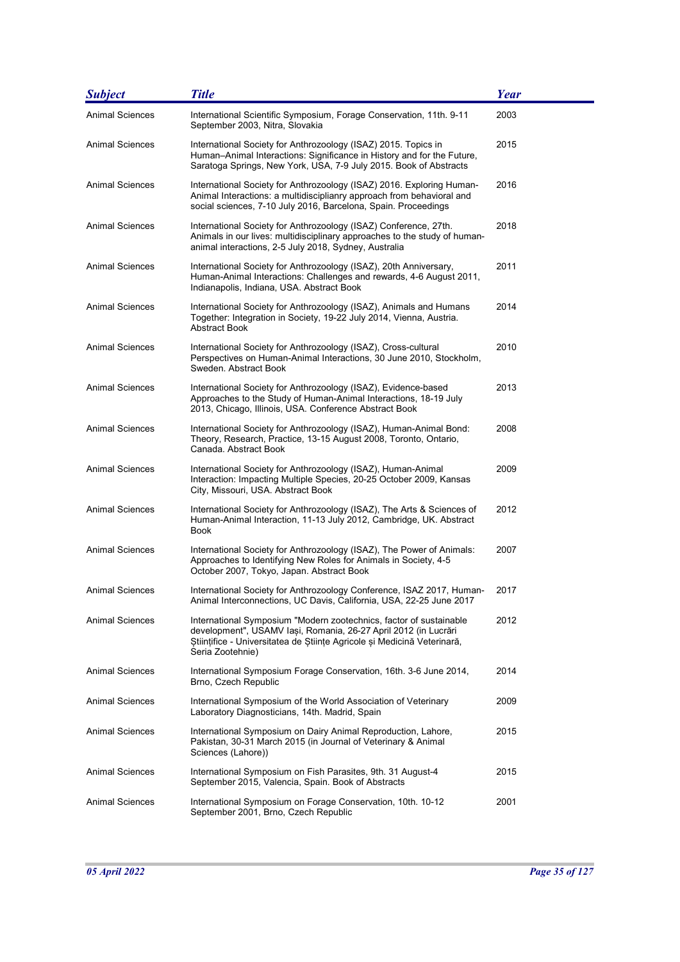| <b>Subject</b>         | <b>Title</b>                                                                                                                                                                                                                         | <b>Year</b> |
|------------------------|--------------------------------------------------------------------------------------------------------------------------------------------------------------------------------------------------------------------------------------|-------------|
| <b>Animal Sciences</b> | International Scientific Symposium, Forage Conservation, 11th. 9-11<br>September 2003, Nitra, Slovakia                                                                                                                               | 2003        |
| <b>Animal Sciences</b> | International Society for Anthrozoology (ISAZ) 2015. Topics in<br>Human-Animal Interactions: Significance in History and for the Future,<br>Saratoga Springs, New York, USA, 7-9 July 2015. Book of Abstracts                        | 2015        |
| <b>Animal Sciences</b> | International Society for Anthrozoology (ISAZ) 2016. Exploring Human-<br>Animal Interactions: a multidisciplianry approach from behavioral and<br>social sciences, 7-10 July 2016, Barcelona, Spain. Proceedings                     | 2016        |
| <b>Animal Sciences</b> | International Society for Anthrozoology (ISAZ) Conference, 27th.<br>Animals in our lives: multidisciplinary approaches to the study of human-<br>animal interactions, 2-5 July 2018, Sydney, Australia                               | 2018        |
| <b>Animal Sciences</b> | International Society for Anthrozoology (ISAZ), 20th Anniversary,<br>Human-Animal Interactions: Challenges and rewards, 4-6 August 2011,<br>Indianapolis, Indiana, USA. Abstract Book                                                | 2011        |
| <b>Animal Sciences</b> | International Society for Anthrozoology (ISAZ), Animals and Humans<br>Together: Integration in Society, 19-22 July 2014, Vienna, Austria.<br><b>Abstract Book</b>                                                                    | 2014        |
| <b>Animal Sciences</b> | International Society for Anthrozoology (ISAZ), Cross-cultural<br>Perspectives on Human-Animal Interactions, 30 June 2010, Stockholm,<br>Sweden. Abstract Book                                                                       | 2010        |
| <b>Animal Sciences</b> | International Society for Anthrozoology (ISAZ), Evidence-based<br>Approaches to the Study of Human-Animal Interactions, 18-19 July<br>2013, Chicago, Illinois, USA. Conference Abstract Book                                         | 2013        |
| <b>Animal Sciences</b> | International Society for Anthrozoology (ISAZ), Human-Animal Bond:<br>Theory, Research, Practice, 13-15 August 2008, Toronto, Ontario,<br>Canada, Abstract Book                                                                      | 2008        |
| Animal Sciences        | International Society for Anthrozoology (ISAZ), Human-Animal<br>Interaction: Impacting Multiple Species, 20-25 October 2009, Kansas<br>City, Missouri, USA. Abstract Book                                                            | 2009        |
| <b>Animal Sciences</b> | International Society for Anthrozoology (ISAZ), The Arts & Sciences of<br>Human-Animal Interaction, 11-13 July 2012, Cambridge, UK. Abstract<br>Book                                                                                 | 2012        |
| Animal Sciences        | International Society for Anthrozoology (ISAZ), The Power of Animals:<br>Approaches to Identifying New Roles for Animals in Society, 4-5<br>October 2007, Tokyo, Japan. Abstract Book                                                | 2007        |
| Animal Sciences        | International Society for Anthrozoology Conference, ISAZ 2017, Human-<br>Animal Interconnections, UC Davis, California, USA, 22-25 June 2017                                                                                         | 2017        |
| Animal Sciences        | International Symposium "Modern zootechnics, factor of sustainable<br>development", USAMV Iași, Romania, 26-27 April 2012 (in Lucrări<br>Stiințifice - Universitatea de Științe Agricole și Medicină Veterinară,<br>Seria Zootehnie) | 2012        |
| <b>Animal Sciences</b> | International Symposium Forage Conservation, 16th. 3-6 June 2014,<br>Brno, Czech Republic                                                                                                                                            | 2014        |
| <b>Animal Sciences</b> | International Symposium of the World Association of Veterinary<br>Laboratory Diagnosticians, 14th. Madrid, Spain                                                                                                                     | 2009        |
| <b>Animal Sciences</b> | International Symposium on Dairy Animal Reproduction, Lahore,<br>Pakistan, 30-31 March 2015 (in Journal of Veterinary & Animal<br>Sciences (Lahore))                                                                                 | 2015        |
| <b>Animal Sciences</b> | International Symposium on Fish Parasites, 9th. 31 August-4<br>September 2015, Valencia, Spain. Book of Abstracts                                                                                                                    | 2015        |
| <b>Animal Sciences</b> | International Symposium on Forage Conservation, 10th. 10-12<br>September 2001, Brno, Czech Republic                                                                                                                                  | 2001        |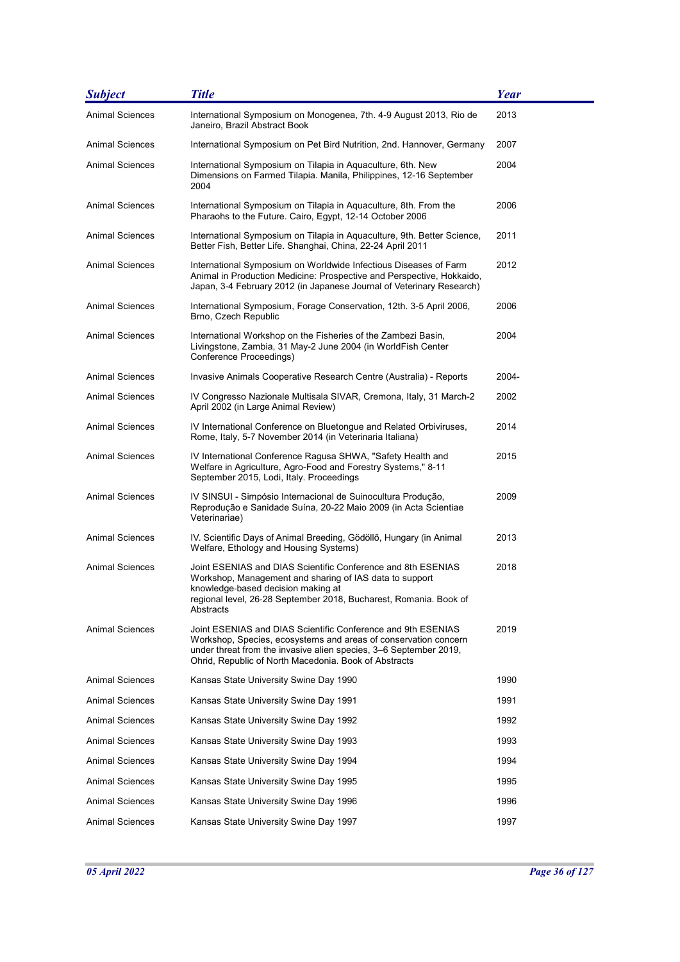| <b>Subject</b>         | <b>Title</b>                                                                                                                                                                                                                                                  | Year  |
|------------------------|---------------------------------------------------------------------------------------------------------------------------------------------------------------------------------------------------------------------------------------------------------------|-------|
| <b>Animal Sciences</b> | International Symposium on Monogenea, 7th. 4-9 August 2013, Rio de<br>Janeiro, Brazil Abstract Book                                                                                                                                                           | 2013  |
| Animal Sciences        | International Symposium on Pet Bird Nutrition, 2nd. Hannover, Germany                                                                                                                                                                                         | 2007  |
| Animal Sciences        | International Symposium on Tilapia in Aquaculture, 6th. New<br>Dimensions on Farmed Tilapia. Manila, Philippines, 12-16 September<br>2004                                                                                                                     | 2004  |
| <b>Animal Sciences</b> | International Symposium on Tilapia in Aquaculture, 8th. From the<br>Pharaohs to the Future. Cairo, Egypt, 12-14 October 2006                                                                                                                                  | 2006  |
| <b>Animal Sciences</b> | International Symposium on Tilapia in Aquaculture, 9th. Better Science,<br>Better Fish, Better Life. Shanghai, China, 22-24 April 2011                                                                                                                        | 2011  |
| <b>Animal Sciences</b> | International Symposium on Worldwide Infectious Diseases of Farm<br>Animal in Production Medicine: Prospective and Perspective, Hokkaido,<br>Japan, 3-4 February 2012 (in Japanese Journal of Veterinary Research)                                            | 2012  |
| <b>Animal Sciences</b> | International Symposium, Forage Conservation, 12th. 3-5 April 2006,<br>Brno, Czech Republic                                                                                                                                                                   | 2006  |
| <b>Animal Sciences</b> | International Workshop on the Fisheries of the Zambezi Basin,<br>Livingstone, Zambia, 31 May-2 June 2004 (in WorldFish Center<br>Conference Proceedings)                                                                                                      | 2004  |
| <b>Animal Sciences</b> | Invasive Animals Cooperative Research Centre (Australia) - Reports                                                                                                                                                                                            | 2004- |
| <b>Animal Sciences</b> | IV Congresso Nazionale Multisala SIVAR, Cremona, Italy, 31 March-2<br>April 2002 (in Large Animal Review)                                                                                                                                                     | 2002  |
| Animal Sciences        | IV International Conference on Bluetongue and Related Orbiviruses,<br>Rome, Italy, 5-7 November 2014 (in Veterinaria Italiana)                                                                                                                                | 2014  |
| <b>Animal Sciences</b> | IV International Conference Ragusa SHWA, "Safety Health and<br>Welfare in Agriculture, Agro-Food and Forestry Systems," 8-11<br>September 2015, Lodi, Italy. Proceedings                                                                                      | 2015  |
| <b>Animal Sciences</b> | IV SINSUI - Simpósio Internacional de Suinocultura Produção,<br>Reprodução e Sanidade Suína, 20-22 Maio 2009 (in Acta Scientiae<br>Veterinariae)                                                                                                              | 2009  |
| Animal Sciences        | IV. Scientific Days of Animal Breeding, Gödöllő, Hungary (in Animal<br>Welfare, Ethology and Housing Systems)                                                                                                                                                 | 2013  |
| <b>Animal Sciences</b> | Joint ESENIAS and DIAS Scientific Conference and 8th ESENIAS<br>Workshop, Management and sharing of IAS data to support<br>knowledge-based decision making at<br>regional level, 26-28 September 2018, Bucharest, Romania. Book of<br>Abstracts               | 2018  |
| <b>Animal Sciences</b> | Joint ESENIAS and DIAS Scientific Conference and 9th ESENIAS<br>Workshop, Species, ecosystems and areas of conservation concern<br>under threat from the invasive alien species, 3–6 September 2019,<br>Ohrid, Republic of North Macedonia. Book of Abstracts | 2019  |
| Animal Sciences        | Kansas State University Swine Day 1990                                                                                                                                                                                                                        | 1990  |
| <b>Animal Sciences</b> | Kansas State University Swine Day 1991                                                                                                                                                                                                                        | 1991  |
| Animal Sciences        | Kansas State University Swine Day 1992                                                                                                                                                                                                                        | 1992  |
| <b>Animal Sciences</b> | Kansas State University Swine Day 1993                                                                                                                                                                                                                        | 1993  |
| Animal Sciences        | Kansas State University Swine Day 1994                                                                                                                                                                                                                        | 1994  |
| <b>Animal Sciences</b> | Kansas State University Swine Day 1995                                                                                                                                                                                                                        | 1995  |
| Animal Sciences        | Kansas State University Swine Day 1996                                                                                                                                                                                                                        | 1996  |
| <b>Animal Sciences</b> | Kansas State University Swine Day 1997                                                                                                                                                                                                                        | 1997  |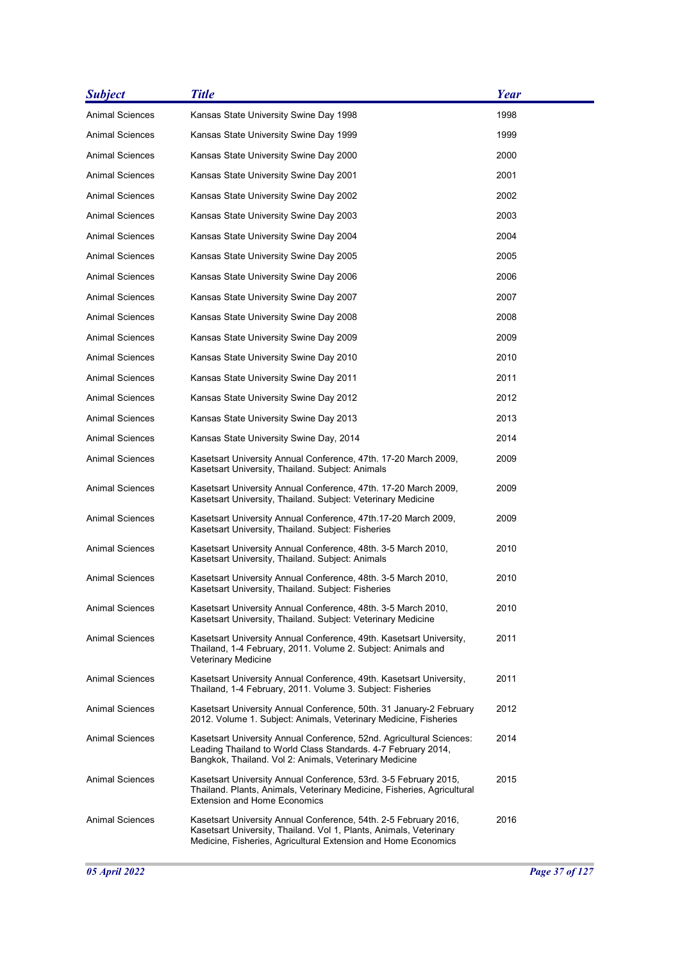| <b>Subject</b>         | <b>Title</b>                                                                                                                                                                                             | <b>Year</b> |
|------------------------|----------------------------------------------------------------------------------------------------------------------------------------------------------------------------------------------------------|-------------|
| <b>Animal Sciences</b> | Kansas State University Swine Day 1998                                                                                                                                                                   | 1998        |
| Animal Sciences        | Kansas State University Swine Day 1999                                                                                                                                                                   | 1999        |
| <b>Animal Sciences</b> | Kansas State University Swine Day 2000                                                                                                                                                                   | 2000        |
| Animal Sciences        | Kansas State University Swine Day 2001                                                                                                                                                                   | 2001        |
| Animal Sciences        | Kansas State University Swine Day 2002                                                                                                                                                                   | 2002        |
| Animal Sciences        | Kansas State University Swine Day 2003                                                                                                                                                                   | 2003        |
| Animal Sciences        | Kansas State University Swine Day 2004                                                                                                                                                                   | 2004        |
| Animal Sciences        | Kansas State University Swine Day 2005                                                                                                                                                                   | 2005        |
| Animal Sciences        | Kansas State University Swine Day 2006                                                                                                                                                                   | 2006        |
| Animal Sciences        | Kansas State University Swine Day 2007                                                                                                                                                                   | 2007        |
| Animal Sciences        | Kansas State University Swine Day 2008                                                                                                                                                                   | 2008        |
| Animal Sciences        | Kansas State University Swine Day 2009                                                                                                                                                                   | 2009        |
| Animal Sciences        | Kansas State University Swine Day 2010                                                                                                                                                                   | 2010        |
| <b>Animal Sciences</b> | Kansas State University Swine Day 2011                                                                                                                                                                   | 2011        |
| Animal Sciences        | Kansas State University Swine Day 2012                                                                                                                                                                   | 2012        |
| Animal Sciences        | Kansas State University Swine Day 2013                                                                                                                                                                   | 2013        |
| Animal Sciences        | Kansas State University Swine Day, 2014                                                                                                                                                                  | 2014        |
| <b>Animal Sciences</b> | Kasetsart University Annual Conference, 47th. 17-20 March 2009,<br>Kasetsart University, Thailand. Subject: Animals                                                                                      | 2009        |
| <b>Animal Sciences</b> | Kasetsart University Annual Conference, 47th. 17-20 March 2009,<br>Kasetsart University, Thailand. Subject: Veterinary Medicine                                                                          | 2009        |
| Animal Sciences        | Kasetsart University Annual Conference, 47th.17-20 March 2009,<br>Kasetsart University, Thailand. Subject: Fisheries                                                                                     | 2009        |
| Animal Sciences        | Kasetsart University Annual Conference, 48th. 3-5 March 2010,<br>Kasetsart University, Thailand. Subject: Animals                                                                                        | 2010        |
| Animal Sciences        | Kasetsart University Annual Conference, 48th. 3-5 March 2010,<br>Kasetsart University, Thailand. Subject: Fisheries                                                                                      | 2010        |
| <b>Animal Sciences</b> | Kasetsart University Annual Conference, 48th. 3-5 March 2010,<br>Kasetsart University, Thailand. Subject: Veterinary Medicine                                                                            | 2010        |
| <b>Animal Sciences</b> | Kasetsart University Annual Conference, 49th. Kasetsart University,<br>Thailand, 1-4 February, 2011. Volume 2. Subject: Animals and<br>Veterinary Medicine                                               | 2011        |
| <b>Animal Sciences</b> | Kasetsart University Annual Conference, 49th. Kasetsart University,<br>Thailand, 1-4 February, 2011. Volume 3. Subject: Fisheries                                                                        | 2011        |
| Animal Sciences        | Kasetsart University Annual Conference, 50th. 31 January-2 February<br>2012. Volume 1. Subject: Animals, Veterinary Medicine, Fisheries                                                                  | 2012        |
| <b>Animal Sciences</b> | Kasetsart University Annual Conference, 52nd. Agricultural Sciences:<br>Leading Thailand to World Class Standards. 4-7 February 2014,<br>Bangkok, Thailand. Vol 2: Animals, Veterinary Medicine          | 2014        |
| <b>Animal Sciences</b> | Kasetsart University Annual Conference, 53rd. 3-5 February 2015,<br>Thailand. Plants, Animals, Veterinary Medicine, Fisheries, Agricultural<br><b>Extension and Home Economics</b>                       | 2015        |
| <b>Animal Sciences</b> | Kasetsart University Annual Conference, 54th. 2-5 February 2016,<br>Kasetsart University, Thailand. Vol 1, Plants, Animals, Veterinary<br>Medicine, Fisheries, Agricultural Extension and Home Economics | 2016        |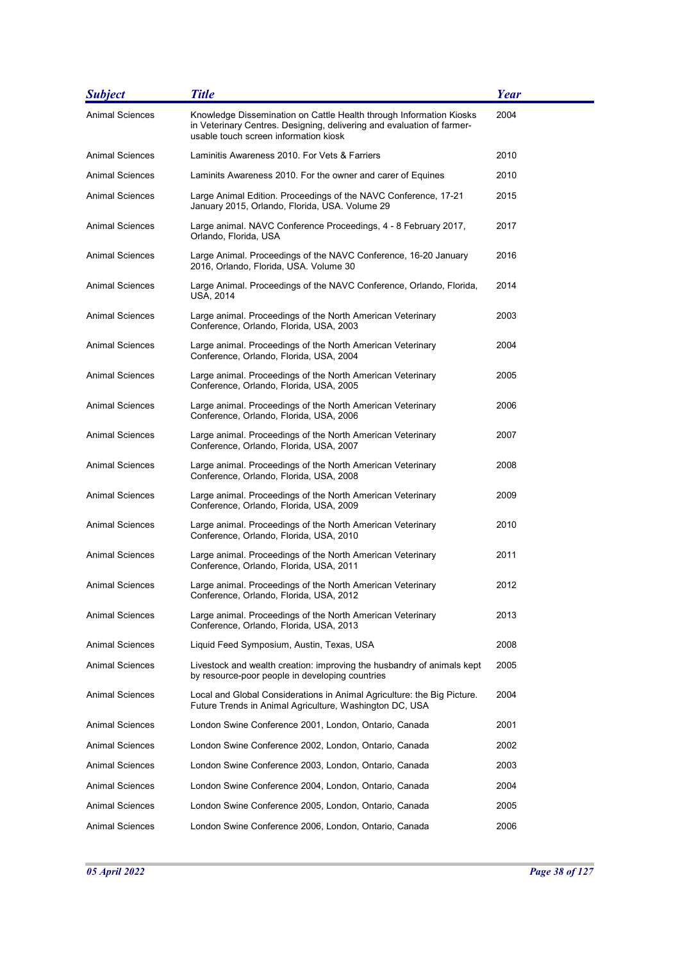| <b>Subject</b>         | <b>Title</b>                                                                                                                                                                           | Year |
|------------------------|----------------------------------------------------------------------------------------------------------------------------------------------------------------------------------------|------|
| <b>Animal Sciences</b> | Knowledge Dissemination on Cattle Health through Information Kiosks<br>in Veterinary Centres. Designing, delivering and evaluation of farmer-<br>usable touch screen information kiosk | 2004 |
| <b>Animal Sciences</b> | Laminitis Awareness 2010. For Vets & Farriers                                                                                                                                          | 2010 |
| <b>Animal Sciences</b> | Laminits Awareness 2010. For the owner and carer of Equines                                                                                                                            | 2010 |
| Animal Sciences        | Large Animal Edition. Proceedings of the NAVC Conference, 17-21<br>January 2015, Orlando, Florida, USA. Volume 29                                                                      | 2015 |
| <b>Animal Sciences</b> | Large animal. NAVC Conference Proceedings, 4 - 8 February 2017,<br>Orlando, Florida, USA                                                                                               | 2017 |
| Animal Sciences        | Large Animal. Proceedings of the NAVC Conference, 16-20 January<br>2016, Orlando, Florida, USA. Volume 30                                                                              | 2016 |
| <b>Animal Sciences</b> | Large Animal. Proceedings of the NAVC Conference, Orlando, Florida,<br>USA, 2014                                                                                                       | 2014 |
| Animal Sciences        | Large animal. Proceedings of the North American Veterinary<br>Conference, Orlando, Florida, USA, 2003                                                                                  | 2003 |
| <b>Animal Sciences</b> | Large animal. Proceedings of the North American Veterinary<br>Conference, Orlando, Florida, USA, 2004                                                                                  | 2004 |
| <b>Animal Sciences</b> | Large animal. Proceedings of the North American Veterinary<br>Conference, Orlando, Florida, USA, 2005                                                                                  | 2005 |
| <b>Animal Sciences</b> | Large animal. Proceedings of the North American Veterinary<br>Conference, Orlando, Florida, USA, 2006                                                                                  | 2006 |
| <b>Animal Sciences</b> | Large animal. Proceedings of the North American Veterinary<br>Conference, Orlando, Florida, USA, 2007                                                                                  | 2007 |
| Animal Sciences        | Large animal. Proceedings of the North American Veterinary<br>Conference, Orlando, Florida, USA, 2008                                                                                  | 2008 |
| Animal Sciences        | Large animal. Proceedings of the North American Veterinary<br>Conference, Orlando, Florida, USA, 2009                                                                                  | 2009 |
| <b>Animal Sciences</b> | Large animal. Proceedings of the North American Veterinary<br>Conference, Orlando, Florida, USA, 2010                                                                                  | 2010 |
| <b>Animal Sciences</b> | Large animal. Proceedings of the North American Veterinary<br>Conference, Orlando, Florida, USA, 2011                                                                                  | 2011 |
| Animal Sciences        | Large animal. Proceedings of the North American Veterinary<br>Conference, Orlando, Florida, USA, 2012                                                                                  | 2012 |
| <b>Animal Sciences</b> | Large animal. Proceedings of the North American Veterinary<br>Conference, Orlando, Florida, USA, 2013                                                                                  | 2013 |
| <b>Animal Sciences</b> | Liquid Feed Symposium, Austin, Texas, USA                                                                                                                                              | 2008 |
| Animal Sciences        | Livestock and wealth creation: improving the husbandry of animals kept<br>by resource-poor people in developing countries                                                              | 2005 |
| Animal Sciences        | Local and Global Considerations in Animal Agriculture: the Big Picture.<br>Future Trends in Animal Agriculture, Washington DC, USA                                                     | 2004 |
| <b>Animal Sciences</b> | London Swine Conference 2001, London, Ontario, Canada                                                                                                                                  | 2001 |
| Animal Sciences        | London Swine Conference 2002, London, Ontario, Canada                                                                                                                                  | 2002 |
| <b>Animal Sciences</b> | London Swine Conference 2003, London, Ontario, Canada                                                                                                                                  | 2003 |
| Animal Sciences        | London Swine Conference 2004, London, Ontario, Canada                                                                                                                                  | 2004 |
| <b>Animal Sciences</b> | London Swine Conference 2005, London, Ontario, Canada                                                                                                                                  | 2005 |
| <b>Animal Sciences</b> | London Swine Conference 2006, London, Ontario, Canada                                                                                                                                  | 2006 |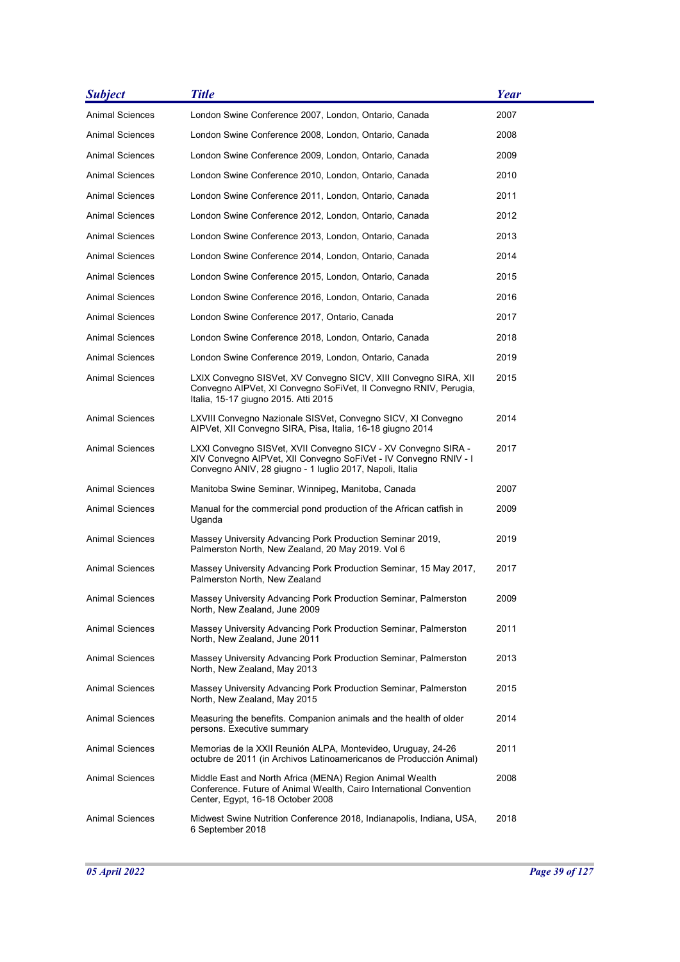| <b>Subject</b>         | <b>Title</b>                                                                                                                                                                                  | Year |
|------------------------|-----------------------------------------------------------------------------------------------------------------------------------------------------------------------------------------------|------|
| <b>Animal Sciences</b> | London Swine Conference 2007, London, Ontario, Canada                                                                                                                                         | 2007 |
| Animal Sciences        | London Swine Conference 2008, London, Ontario, Canada                                                                                                                                         | 2008 |
| Animal Sciences        | London Swine Conference 2009, London, Ontario, Canada                                                                                                                                         | 2009 |
| Animal Sciences        | London Swine Conference 2010, London, Ontario, Canada                                                                                                                                         | 2010 |
| Animal Sciences        | London Swine Conference 2011, London, Ontario, Canada                                                                                                                                         | 2011 |
| Animal Sciences        | London Swine Conference 2012, London, Ontario, Canada                                                                                                                                         | 2012 |
| Animal Sciences        | London Swine Conference 2013, London, Ontario, Canada                                                                                                                                         | 2013 |
| Animal Sciences        | London Swine Conference 2014, London, Ontario, Canada                                                                                                                                         | 2014 |
| Animal Sciences        | London Swine Conference 2015, London, Ontario, Canada                                                                                                                                         | 2015 |
| <b>Animal Sciences</b> | London Swine Conference 2016, London, Ontario, Canada                                                                                                                                         | 2016 |
| Animal Sciences        | London Swine Conference 2017, Ontario, Canada                                                                                                                                                 | 2017 |
| <b>Animal Sciences</b> | London Swine Conference 2018, London, Ontario, Canada                                                                                                                                         | 2018 |
| Animal Sciences        | London Swine Conference 2019, London, Ontario, Canada                                                                                                                                         | 2019 |
| <b>Animal Sciences</b> | LXIX Convegno SISVet, XV Convegno SICV, XIII Convegno SIRA, XII<br>Convegno AIPVet, XI Convegno SoFiVet, II Convegno RNIV, Perugia,<br>Italia, 15-17 giugno 2015. Atti 2015                   | 2015 |
| <b>Animal Sciences</b> | LXVIII Convegno Nazionale SISVet, Convegno SICV, XI Convegno<br>AIPVet, XII Convegno SIRA, Pisa, Italia, 16-18 giugno 2014                                                                    | 2014 |
| Animal Sciences        | LXXI Convegno SISVet, XVII Convegno SICV - XV Convegno SIRA -<br>XIV Convegno AIPVet, XII Convegno SoFiVet - IV Convegno RNIV - I<br>Convegno ANIV, 28 giugno - 1 luglio 2017, Napoli, Italia | 2017 |
| <b>Animal Sciences</b> | Manitoba Swine Seminar, Winnipeg, Manitoba, Canada                                                                                                                                            | 2007 |
| Animal Sciences        | Manual for the commercial pond production of the African catfish in<br>Uganda                                                                                                                 | 2009 |
| Animal Sciences        | Massey University Advancing Pork Production Seminar 2019,<br>Palmerston North, New Zealand, 20 May 2019. Vol 6                                                                                | 2019 |
| <b>Animal Sciences</b> | Massey University Advancing Pork Production Seminar, 15 May 2017,<br>Palmerston North, New Zealand                                                                                            | 2017 |
| <b>Animal Sciences</b> | Massey University Advancing Pork Production Seminar, Palmerston<br>North, New Zealand, June 2009                                                                                              | 2009 |
| <b>Animal Sciences</b> | Massey University Advancing Pork Production Seminar, Palmerston<br>North, New Zealand, June 2011                                                                                              | 2011 |
| <b>Animal Sciences</b> | Massey University Advancing Pork Production Seminar, Palmerston<br>North, New Zealand, May 2013                                                                                               | 2013 |
| Animal Sciences        | Massey University Advancing Pork Production Seminar, Palmerston<br>North, New Zealand, May 2015                                                                                               | 2015 |
| <b>Animal Sciences</b> | Measuring the benefits. Companion animals and the health of older<br>persons. Executive summary                                                                                               | 2014 |
| Animal Sciences        | Memorias de la XXII Reunión ALPA, Montevideo, Uruguay, 24-26<br>octubre de 2011 (in Archivos Latinoamericanos de Producción Animal)                                                           | 2011 |
| <b>Animal Sciences</b> | Middle East and North Africa (MENA) Region Animal Wealth<br>Conference. Future of Animal Wealth, Cairo International Convention<br>Center, Egypt, 16-18 October 2008                          | 2008 |
| Animal Sciences        | Midwest Swine Nutrition Conference 2018, Indianapolis, Indiana, USA,<br>6 September 2018                                                                                                      | 2018 |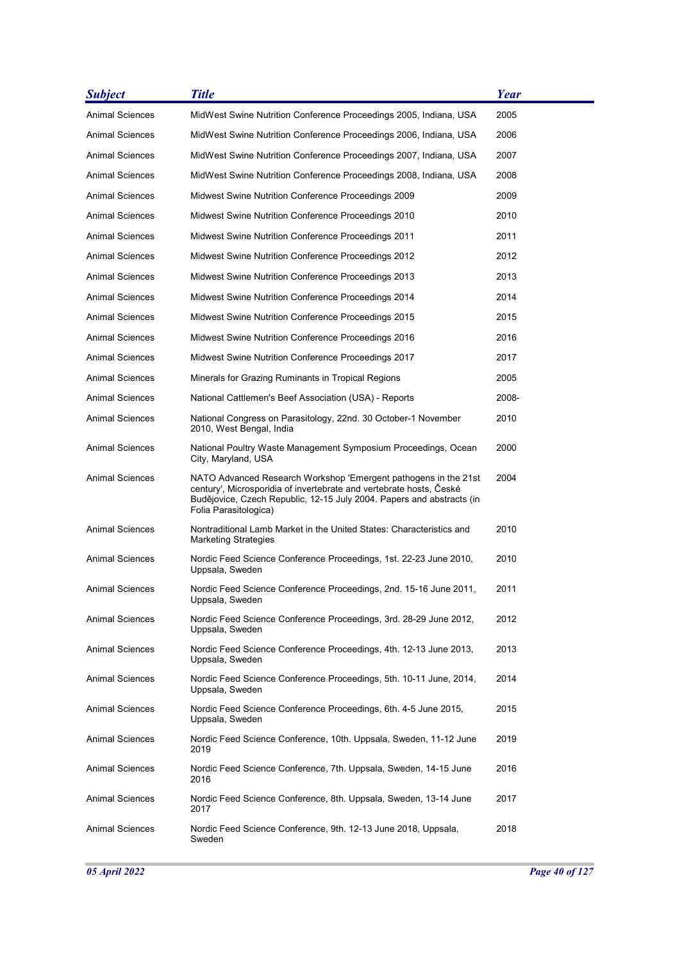| <b>Subject</b>         | <b>Title</b>                                                                                                                                                                                                                             | <b>Year</b> |
|------------------------|------------------------------------------------------------------------------------------------------------------------------------------------------------------------------------------------------------------------------------------|-------------|
| <b>Animal Sciences</b> | MidWest Swine Nutrition Conference Proceedings 2005, Indiana, USA                                                                                                                                                                        | 2005        |
| Animal Sciences        | MidWest Swine Nutrition Conference Proceedings 2006, Indiana, USA                                                                                                                                                                        | 2006        |
| Animal Sciences        | MidWest Swine Nutrition Conference Proceedings 2007, Indiana, USA                                                                                                                                                                        | 2007        |
| Animal Sciences        | MidWest Swine Nutrition Conference Proceedings 2008, Indiana, USA                                                                                                                                                                        | 2008        |
| Animal Sciences        | Midwest Swine Nutrition Conference Proceedings 2009                                                                                                                                                                                      | 2009        |
| Animal Sciences        | Midwest Swine Nutrition Conference Proceedings 2010                                                                                                                                                                                      | 2010        |
| Animal Sciences        | Midwest Swine Nutrition Conference Proceedings 2011                                                                                                                                                                                      | 2011        |
| Animal Sciences        | Midwest Swine Nutrition Conference Proceedings 2012                                                                                                                                                                                      | 2012        |
| <b>Animal Sciences</b> | Midwest Swine Nutrition Conference Proceedings 2013                                                                                                                                                                                      | 2013        |
| Animal Sciences        | Midwest Swine Nutrition Conference Proceedings 2014                                                                                                                                                                                      | 2014        |
| Animal Sciences        | Midwest Swine Nutrition Conference Proceedings 2015                                                                                                                                                                                      | 2015        |
| Animal Sciences        | Midwest Swine Nutrition Conference Proceedings 2016                                                                                                                                                                                      | 2016        |
| Animal Sciences        | Midwest Swine Nutrition Conference Proceedings 2017                                                                                                                                                                                      | 2017        |
| Animal Sciences        | Minerals for Grazing Ruminants in Tropical Regions                                                                                                                                                                                       | 2005        |
| <b>Animal Sciences</b> | National Cattlemen's Beef Association (USA) - Reports                                                                                                                                                                                    | 2008-       |
| <b>Animal Sciences</b> | National Congress on Parasitology, 22nd. 30 October-1 November<br>2010, West Bengal, India                                                                                                                                               | 2010        |
| <b>Animal Sciences</b> | National Poultry Waste Management Symposium Proceedings, Ocean<br>City, Maryland, USA                                                                                                                                                    | 2000        |
| <b>Animal Sciences</b> | NATO Advanced Research Workshop 'Emergent pathogens in the 21st<br>century', Microsporidia of invertebrate and vertebrate hosts, České<br>Budějovice, Czech Republic, 12-15 July 2004. Papers and abstracts (in<br>Folia Parasitologica) | 2004        |
| <b>Animal Sciences</b> | Nontraditional Lamb Market in the United States: Characteristics and<br><b>Marketing Strategies</b>                                                                                                                                      | 2010        |
| <b>Animal Sciences</b> | Nordic Feed Science Conference Proceedings, 1st. 22-23 June 2010,<br>Uppsala, Sweden                                                                                                                                                     | 2010        |
| Animal Sciences        | Nordic Feed Science Conference Proceedings, 2nd. 15-16 June 2011,<br>Uppsala, Sweden                                                                                                                                                     | 2011        |
| <b>Animal Sciences</b> | Nordic Feed Science Conference Proceedings, 3rd. 28-29 June 2012,<br>Uppsala, Sweden                                                                                                                                                     | 2012        |
| <b>Animal Sciences</b> | Nordic Feed Science Conference Proceedings, 4th. 12-13 June 2013,<br>Uppsala, Sweden                                                                                                                                                     | 2013        |
| <b>Animal Sciences</b> | Nordic Feed Science Conference Proceedings, 5th. 10-11 June, 2014,<br>Uppsala, Sweden                                                                                                                                                    | 2014        |
| Animal Sciences        | Nordic Feed Science Conference Proceedings, 6th. 4-5 June 2015,<br>Uppsala, Sweden                                                                                                                                                       | 2015        |
| <b>Animal Sciences</b> | Nordic Feed Science Conference, 10th. Uppsala, Sweden, 11-12 June<br>2019                                                                                                                                                                | 2019        |
| <b>Animal Sciences</b> | Nordic Feed Science Conference, 7th. Uppsala, Sweden, 14-15 June<br>2016                                                                                                                                                                 | 2016        |
| <b>Animal Sciences</b> | Nordic Feed Science Conference, 8th. Uppsala, Sweden, 13-14 June<br>2017                                                                                                                                                                 | 2017        |
| <b>Animal Sciences</b> | Nordic Feed Science Conference, 9th. 12-13 June 2018, Uppsala,<br>Sweden                                                                                                                                                                 | 2018        |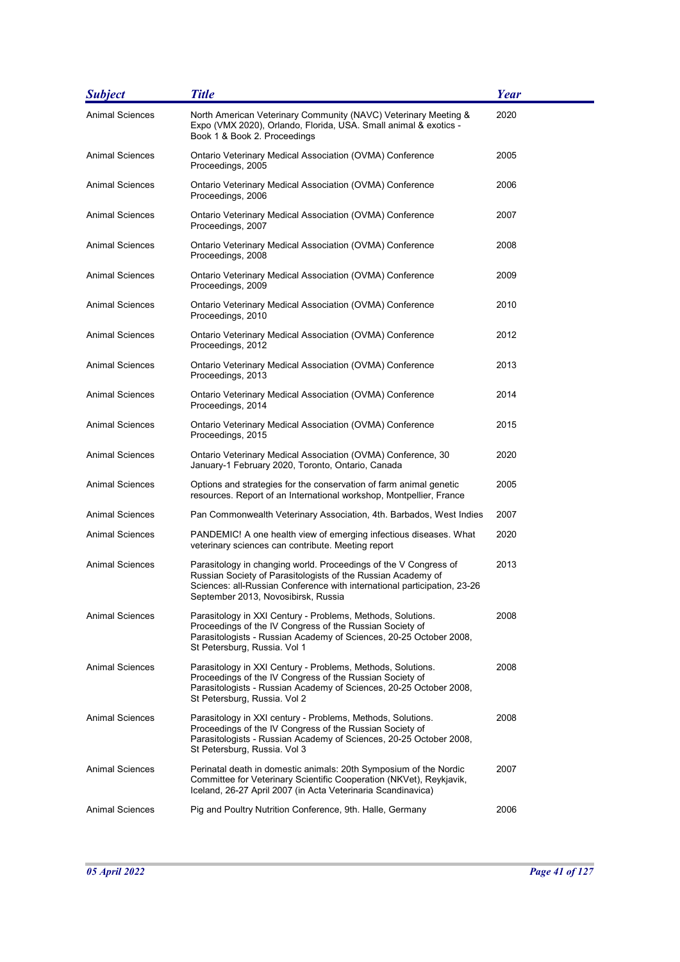| <b>Subject</b>         | <b>Title</b>                                                                                                                                                                                                                                        | <b>Year</b> |
|------------------------|-----------------------------------------------------------------------------------------------------------------------------------------------------------------------------------------------------------------------------------------------------|-------------|
| <b>Animal Sciences</b> | North American Veterinary Community (NAVC) Veterinary Meeting &<br>Expo (VMX 2020), Orlando, Florida, USA. Small animal & exotics -<br>Book 1 & Book 2. Proceedings                                                                                 | 2020        |
| <b>Animal Sciences</b> | Ontario Veterinary Medical Association (OVMA) Conference<br>Proceedings, 2005                                                                                                                                                                       | 2005        |
| <b>Animal Sciences</b> | Ontario Veterinary Medical Association (OVMA) Conference<br>Proceedings, 2006                                                                                                                                                                       | 2006        |
| <b>Animal Sciences</b> | Ontario Veterinary Medical Association (OVMA) Conference<br>Proceedings, 2007                                                                                                                                                                       | 2007        |
| <b>Animal Sciences</b> | Ontario Veterinary Medical Association (OVMA) Conference<br>Proceedings, 2008                                                                                                                                                                       | 2008        |
| Animal Sciences        | Ontario Veterinary Medical Association (OVMA) Conference<br>Proceedings, 2009                                                                                                                                                                       | 2009        |
| <b>Animal Sciences</b> | Ontario Veterinary Medical Association (OVMA) Conference<br>Proceedings, 2010                                                                                                                                                                       | 2010        |
| <b>Animal Sciences</b> | Ontario Veterinary Medical Association (OVMA) Conference<br>Proceedings, 2012                                                                                                                                                                       | 2012        |
| <b>Animal Sciences</b> | Ontario Veterinary Medical Association (OVMA) Conference<br>Proceedings, 2013                                                                                                                                                                       | 2013        |
| <b>Animal Sciences</b> | Ontario Veterinary Medical Association (OVMA) Conference<br>Proceedings, 2014                                                                                                                                                                       | 2014        |
| Animal Sciences        | Ontario Veterinary Medical Association (OVMA) Conference<br>Proceedings, 2015                                                                                                                                                                       | 2015        |
| Animal Sciences        | Ontario Veterinary Medical Association (OVMA) Conference, 30<br>January-1 February 2020, Toronto, Ontario, Canada                                                                                                                                   | 2020        |
| <b>Animal Sciences</b> | Options and strategies for the conservation of farm animal genetic<br>resources. Report of an International workshop, Montpellier, France                                                                                                           | 2005        |
| <b>Animal Sciences</b> | Pan Commonwealth Veterinary Association, 4th. Barbados, West Indies                                                                                                                                                                                 | 2007        |
| Animal Sciences        | PANDEMIC! A one health view of emerging infectious diseases. What<br>veterinary sciences can contribute. Meeting report                                                                                                                             | 2020        |
| <b>Animal Sciences</b> | Parasitology in changing world. Proceedings of the V Congress of<br>Russian Society of Parasitologists of the Russian Academy of<br>Sciences: all-Russian Conference with international participation, 23-26<br>September 2013, Novosibirsk, Russia | 2013        |
| <b>Animal Sciences</b> | Parasitology in XXI Century - Problems, Methods, Solutions.<br>Proceedings of the IV Congress of the Russian Society of<br>Parasitologists - Russian Academy of Sciences, 20-25 October 2008,<br>St Petersburg, Russia. Vol 1                       | 2008        |
| <b>Animal Sciences</b> | Parasitology in XXI Century - Problems, Methods, Solutions.<br>Proceedings of the IV Congress of the Russian Society of<br>Parasitologists - Russian Academy of Sciences, 20-25 October 2008,<br>St Petersburg, Russia. Vol 2                       | 2008        |
| <b>Animal Sciences</b> | Parasitology in XXI century - Problems, Methods, Solutions.<br>Proceedings of the IV Congress of the Russian Society of<br>Parasitologists - Russian Academy of Sciences, 20-25 October 2008,<br>St Petersburg, Russia. Vol 3                       | 2008        |
| <b>Animal Sciences</b> | Perinatal death in domestic animals: 20th Symposium of the Nordic<br>Committee for Veterinary Scientific Cooperation (NKVet), Reykjavik,<br>Iceland, 26-27 April 2007 (in Acta Veterinaria Scandinavica)                                            | 2007        |
| <b>Animal Sciences</b> | Pig and Poultry Nutrition Conference, 9th. Halle, Germany                                                                                                                                                                                           | 2006        |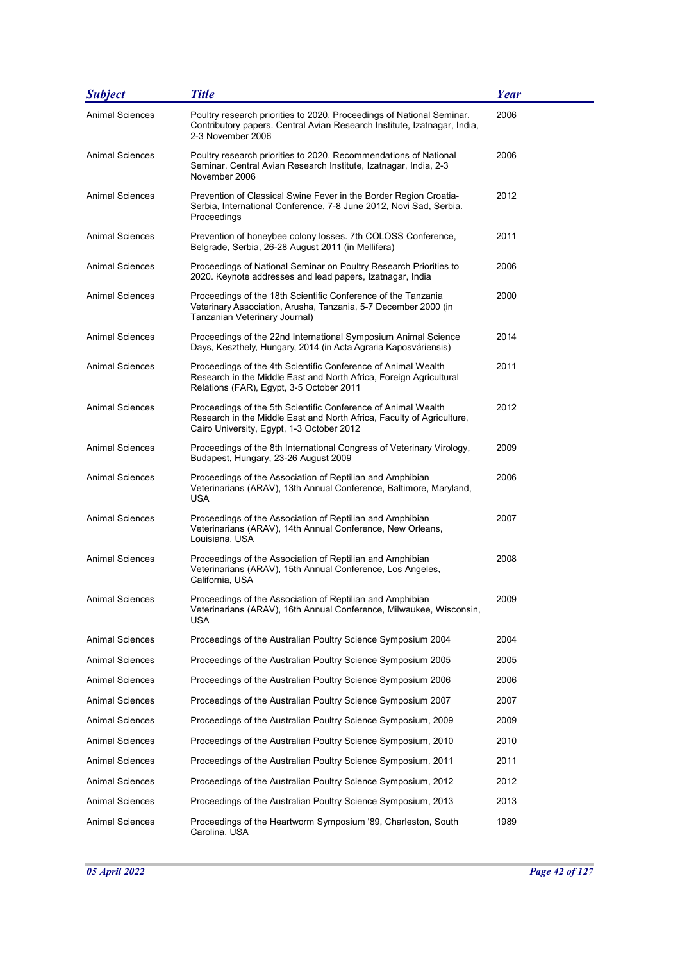| <b>Subject</b>         | <b>Title</b>                                                                                                                                                                        | Year |
|------------------------|-------------------------------------------------------------------------------------------------------------------------------------------------------------------------------------|------|
| <b>Animal Sciences</b> | Poultry research priorities to 2020. Proceedings of National Seminar.<br>Contributory papers. Central Avian Research Institute, Izatnagar, India,<br>2-3 November 2006              | 2006 |
| <b>Animal Sciences</b> | Poultry research priorities to 2020. Recommendations of National<br>Seminar. Central Avian Research Institute, Izatnagar, India, 2-3<br>November 2006                               | 2006 |
| Animal Sciences        | Prevention of Classical Swine Fever in the Border Region Croatia-<br>Serbia, International Conference, 7-8 June 2012, Novi Sad, Serbia.<br>Proceedings                              | 2012 |
| Animal Sciences        | Prevention of honeybee colony losses. 7th COLOSS Conference,<br>Belgrade, Serbia, 26-28 August 2011 (in Mellifera)                                                                  | 2011 |
| Animal Sciences        | Proceedings of National Seminar on Poultry Research Priorities to<br>2020. Keynote addresses and lead papers, Izatnagar, India                                                      | 2006 |
| Animal Sciences        | Proceedings of the 18th Scientific Conference of the Tanzania<br>Veterinary Association, Arusha, Tanzania, 5-7 December 2000 (in<br>Tanzanian Veterinary Journal)                   | 2000 |
| <b>Animal Sciences</b> | Proceedings of the 22nd International Symposium Animal Science<br>Days, Keszthely, Hungary, 2014 (in Acta Agraria Kaposváriensis)                                                   | 2014 |
| Animal Sciences        | Proceedings of the 4th Scientific Conference of Animal Wealth<br>Research in the Middle East and North Africa, Foreign Agricultural<br>Relations (FAR), Egypt, 3-5 October 2011     | 2011 |
| <b>Animal Sciences</b> | Proceedings of the 5th Scientific Conference of Animal Wealth<br>Research in the Middle East and North Africa, Faculty of Agriculture,<br>Cairo University, Egypt, 1-3 October 2012 | 2012 |
| <b>Animal Sciences</b> | Proceedings of the 8th International Congress of Veterinary Virology,<br>Budapest, Hungary, 23-26 August 2009                                                                       | 2009 |
| <b>Animal Sciences</b> | Proceedings of the Association of Reptilian and Amphibian<br>Veterinarians (ARAV), 13th Annual Conference, Baltimore, Maryland,<br>USA                                              | 2006 |
| <b>Animal Sciences</b> | Proceedings of the Association of Reptilian and Amphibian<br>Veterinarians (ARAV), 14th Annual Conference, New Orleans,<br>Louisiana, USA                                           | 2007 |
| <b>Animal Sciences</b> | Proceedings of the Association of Reptilian and Amphibian<br>Veterinarians (ARAV), 15th Annual Conference, Los Angeles,<br>California, USA                                          | 2008 |
| <b>Animal Sciences</b> | Proceedings of the Association of Reptilian and Amphibian<br>Veterinarians (ARAV), 16th Annual Conference, Milwaukee, Wisconsin,<br>USA                                             | 2009 |
| <b>Animal Sciences</b> | Proceedings of the Australian Poultry Science Symposium 2004                                                                                                                        | 2004 |
| Animal Sciences        | Proceedings of the Australian Poultry Science Symposium 2005                                                                                                                        | 2005 |
| Animal Sciences        | Proceedings of the Australian Poultry Science Symposium 2006                                                                                                                        | 2006 |
| Animal Sciences        | Proceedings of the Australian Poultry Science Symposium 2007                                                                                                                        | 2007 |
| Animal Sciences        | Proceedings of the Australian Poultry Science Symposium, 2009                                                                                                                       | 2009 |
| Animal Sciences        | Proceedings of the Australian Poultry Science Symposium, 2010                                                                                                                       | 2010 |
| Animal Sciences        | Proceedings of the Australian Poultry Science Symposium, 2011                                                                                                                       | 2011 |
| Animal Sciences        | Proceedings of the Australian Poultry Science Symposium, 2012                                                                                                                       | 2012 |
| Animal Sciences        | Proceedings of the Australian Poultry Science Symposium, 2013                                                                                                                       | 2013 |
| <b>Animal Sciences</b> | Proceedings of the Heartworm Symposium '89, Charleston, South<br>Carolina, USA                                                                                                      | 1989 |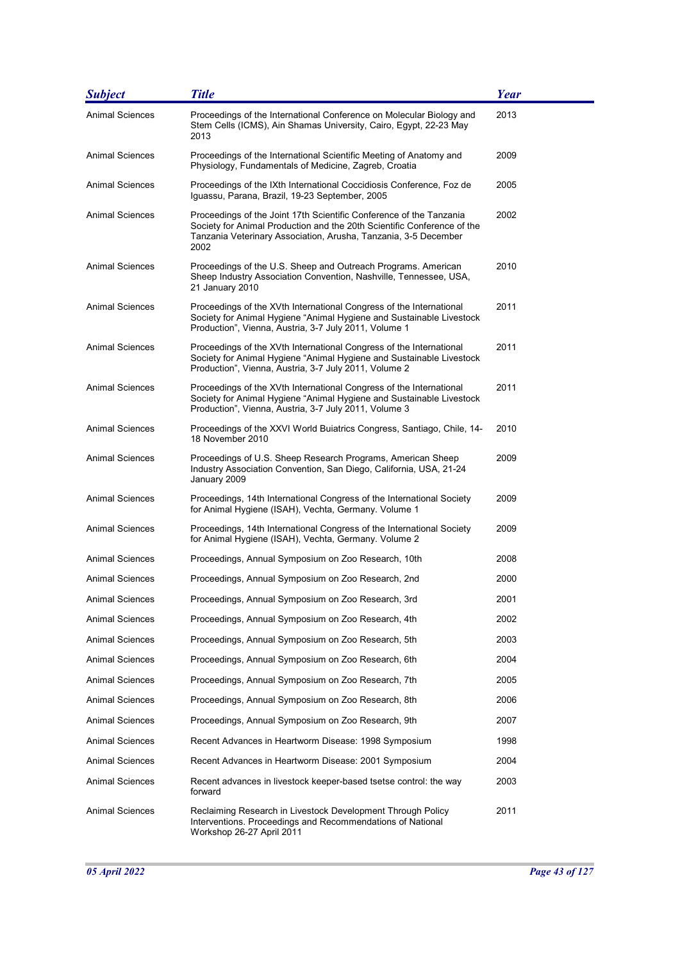| <b>Subject</b>         | <b>Title</b>                                                                                                                                                                                                              | <b>Year</b> |
|------------------------|---------------------------------------------------------------------------------------------------------------------------------------------------------------------------------------------------------------------------|-------------|
| <b>Animal Sciences</b> | Proceedings of the International Conference on Molecular Biology and<br>Stem Cells (ICMS), Ain Shamas University, Cairo, Egypt, 22-23 May<br>2013                                                                         | 2013        |
| Animal Sciences        | Proceedings of the International Scientific Meeting of Anatomy and<br>Physiology, Fundamentals of Medicine, Zagreb, Croatia                                                                                               | 2009        |
| <b>Animal Sciences</b> | Proceedings of the IXth International Coccidiosis Conference, Foz de<br>Iguassu, Parana, Brazil, 19-23 September, 2005                                                                                                    | 2005        |
| Animal Sciences        | Proceedings of the Joint 17th Scientific Conference of the Tanzania<br>Society for Animal Production and the 20th Scientific Conference of the<br>Tanzania Veterinary Association, Arusha, Tanzania, 3-5 December<br>2002 | 2002        |
| <b>Animal Sciences</b> | Proceedings of the U.S. Sheep and Outreach Programs. American<br>Sheep Industry Association Convention, Nashville, Tennessee, USA,<br>21 January 2010                                                                     | 2010        |
| <b>Animal Sciences</b> | Proceedings of the XVth International Congress of the International<br>Society for Animal Hygiene "Animal Hygiene and Sustainable Livestock<br>Production", Vienna, Austria, 3-7 July 2011, Volume 1                      | 2011        |
| <b>Animal Sciences</b> | Proceedings of the XVth International Congress of the International<br>Society for Animal Hygiene "Animal Hygiene and Sustainable Livestock<br>Production", Vienna, Austria, 3-7 July 2011, Volume 2                      | 2011        |
| <b>Animal Sciences</b> | Proceedings of the XVth International Congress of the International<br>Society for Animal Hygiene "Animal Hygiene and Sustainable Livestock<br>Production", Vienna, Austria, 3-7 July 2011, Volume 3                      | 2011        |
| <b>Animal Sciences</b> | Proceedings of the XXVI World Buiatrics Congress, Santiago, Chile, 14-<br>18 November 2010                                                                                                                                | 2010        |
| <b>Animal Sciences</b> | Proceedings of U.S. Sheep Research Programs, American Sheep<br>Industry Association Convention, San Diego, California, USA, 21-24<br>January 2009                                                                         | 2009        |
| <b>Animal Sciences</b> | Proceedings, 14th International Congress of the International Society<br>for Animal Hygiene (ISAH), Vechta, Germany. Volume 1                                                                                             | 2009        |
| <b>Animal Sciences</b> | Proceedings, 14th International Congress of the International Society<br>for Animal Hygiene (ISAH), Vechta, Germany. Volume 2                                                                                             | 2009        |
| <b>Animal Sciences</b> | Proceedings, Annual Symposium on Zoo Research, 10th                                                                                                                                                                       | 2008        |
| Animal Sciences        | Proceedings, Annual Symposium on Zoo Research, 2nd                                                                                                                                                                        | 2000        |
| Animal Sciences        | Proceedings, Annual Symposium on Zoo Research, 3rd                                                                                                                                                                        | 2001        |
| Animal Sciences        | Proceedings, Annual Symposium on Zoo Research, 4th                                                                                                                                                                        | 2002        |
| Animal Sciences        | Proceedings, Annual Symposium on Zoo Research, 5th                                                                                                                                                                        | 2003        |
| Animal Sciences        | Proceedings, Annual Symposium on Zoo Research, 6th                                                                                                                                                                        | 2004        |
| <b>Animal Sciences</b> | Proceedings, Annual Symposium on Zoo Research, 7th                                                                                                                                                                        | 2005        |
| Animal Sciences        | Proceedings, Annual Symposium on Zoo Research, 8th                                                                                                                                                                        | 2006        |
| Animal Sciences        | Proceedings, Annual Symposium on Zoo Research, 9th                                                                                                                                                                        | 2007        |
| Animal Sciences        | Recent Advances in Heartworm Disease: 1998 Symposium                                                                                                                                                                      | 1998        |
| Animal Sciences        | Recent Advances in Heartworm Disease: 2001 Symposium                                                                                                                                                                      | 2004        |
| Animal Sciences        | Recent advances in livestock keeper-based tsetse control: the way<br>forward                                                                                                                                              | 2003        |
| <b>Animal Sciences</b> | Reclaiming Research in Livestock Development Through Policy<br>Interventions. Proceedings and Recommendations of National<br>Workshop 26-27 April 2011                                                                    | 2011        |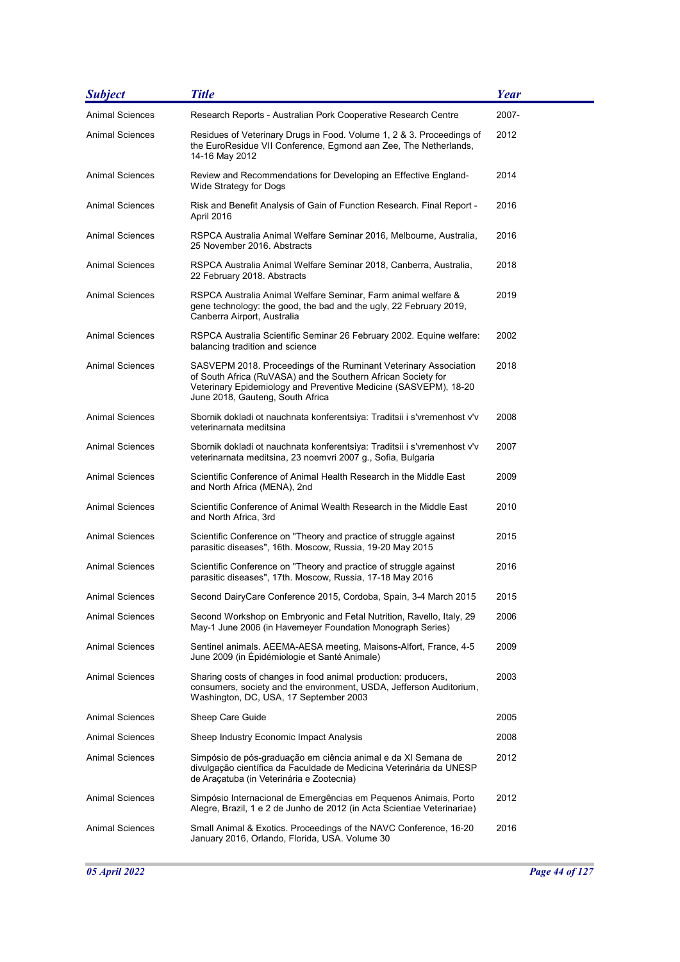| <b>Subject</b>         | <b>Title</b>                                                                                                                                                                                                                              | <b>Year</b> |
|------------------------|-------------------------------------------------------------------------------------------------------------------------------------------------------------------------------------------------------------------------------------------|-------------|
| <b>Animal Sciences</b> | Research Reports - Australian Pork Cooperative Research Centre                                                                                                                                                                            | 2007-       |
| Animal Sciences        | Residues of Veterinary Drugs in Food. Volume 1, 2 & 3. Proceedings of<br>the EuroResidue VII Conference, Egmond aan Zee, The Netherlands,<br>14-16 May 2012                                                                               | 2012        |
| <b>Animal Sciences</b> | Review and Recommendations for Developing an Effective England-<br>Wide Strategy for Dogs                                                                                                                                                 | 2014        |
| Animal Sciences        | Risk and Benefit Analysis of Gain of Function Research. Final Report -<br>April 2016                                                                                                                                                      | 2016        |
| Animal Sciences        | RSPCA Australia Animal Welfare Seminar 2016, Melbourne, Australia,<br>25 November 2016, Abstracts                                                                                                                                         | 2016        |
| <b>Animal Sciences</b> | RSPCA Australia Animal Welfare Seminar 2018, Canberra, Australia,<br>22 February 2018. Abstracts                                                                                                                                          | 2018        |
| <b>Animal Sciences</b> | RSPCA Australia Animal Welfare Seminar, Farm animal welfare &<br>gene technology: the good, the bad and the ugly, 22 February 2019,<br>Canberra Airport, Australia                                                                        | 2019        |
| <b>Animal Sciences</b> | RSPCA Australia Scientific Seminar 26 February 2002. Equine welfare:<br>balancing tradition and science                                                                                                                                   | 2002        |
| <b>Animal Sciences</b> | SASVEPM 2018. Proceedings of the Ruminant Veterinary Association<br>of South Africa (RuVASA) and the Southern African Society for<br>Veterinary Epidemiology and Preventive Medicine (SASVEPM), 18-20<br>June 2018, Gauteng, South Africa | 2018        |
| <b>Animal Sciences</b> | Sbornik dokladi ot nauchnata konferentsiya: Traditsii i s'vremenhost v'v<br>veterinarnata meditsina                                                                                                                                       | 2008        |
| <b>Animal Sciences</b> | Sbornik dokladi ot nauchnata konferentsiya: Traditsii i s'vremenhost v'v<br>veterinarnata meditsina, 23 noemvri 2007 g., Sofia, Bulgaria                                                                                                  | 2007        |
| <b>Animal Sciences</b> | Scientific Conference of Animal Health Research in the Middle East<br>and North Africa (MENA), 2nd                                                                                                                                        | 2009        |
| Animal Sciences        | Scientific Conference of Animal Wealth Research in the Middle East<br>and North Africa, 3rd                                                                                                                                               | 2010        |
| Animal Sciences        | Scientific Conference on "Theory and practice of struggle against<br>parasitic diseases", 16th. Moscow, Russia, 19-20 May 2015                                                                                                            | 2015        |
| <b>Animal Sciences</b> | Scientific Conference on "Theory and practice of struggle against<br>parasitic diseases", 17th. Moscow, Russia, 17-18 May 2016                                                                                                            | 2016        |
| Animal Sciences        | Second DairyCare Conference 2015, Cordoba, Spain, 3-4 March 2015                                                                                                                                                                          | 2015        |
| Animal Sciences        | Second Workshop on Embryonic and Fetal Nutrition, Ravello, Italy, 29<br>May-1 June 2006 (in Havemeyer Foundation Monograph Series)                                                                                                        | 2006        |
| Animal Sciences        | Sentinel animals. AEEMA-AESA meeting, Maisons-Alfort, France, 4-5<br>June 2009 (in Épidémiologie et Santé Animale)                                                                                                                        | 2009        |
| Animal Sciences        | Sharing costs of changes in food animal production: producers,<br>consumers, society and the environment, USDA, Jefferson Auditorium,<br>Washington, DC, USA, 17 September 2003                                                           | 2003        |
| Animal Sciences        | Sheep Care Guide                                                                                                                                                                                                                          | 2005        |
| Animal Sciences        | Sheep Industry Economic Impact Analysis                                                                                                                                                                                                   | 2008        |
| Animal Sciences        | Simpósio de pós-graduação em ciência animal e da XI Semana de<br>divulgação científica da Faculdade de Medicina Veterinária da UNESP<br>de Araçatuba (in Veterinária e Zootecnia)                                                         | 2012        |
| Animal Sciences        | Simpósio Internacional de Emergências em Pequenos Animais, Porto<br>Alegre, Brazil, 1 e 2 de Junho de 2012 (in Acta Scientiae Veterinariae)                                                                                               | 2012        |
| <b>Animal Sciences</b> | Small Animal & Exotics. Proceedings of the NAVC Conference, 16-20<br>January 2016, Orlando, Florida, USA. Volume 30                                                                                                                       | 2016        |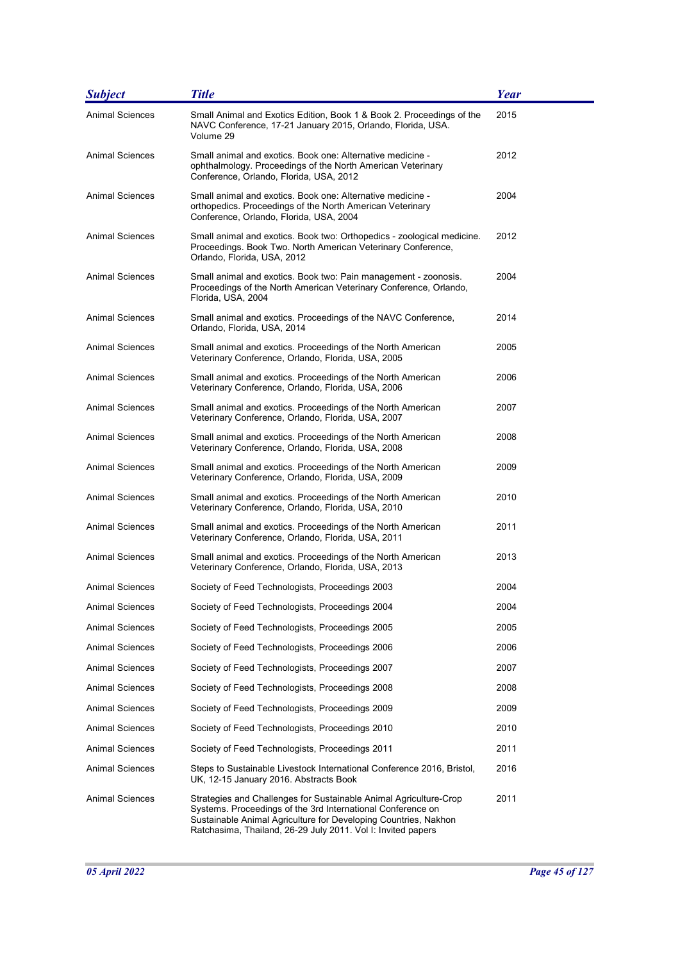| <b>Subject</b>         | <b>Title</b>                                                                                                                                                                                                                                                        | <b>Year</b> |
|------------------------|---------------------------------------------------------------------------------------------------------------------------------------------------------------------------------------------------------------------------------------------------------------------|-------------|
| <b>Animal Sciences</b> | Small Animal and Exotics Edition, Book 1 & Book 2. Proceedings of the<br>NAVC Conference, 17-21 January 2015, Orlando, Florida, USA.<br>Volume 29                                                                                                                   | 2015        |
| <b>Animal Sciences</b> | Small animal and exotics. Book one: Alternative medicine -<br>ophthalmology. Proceedings of the North American Veterinary<br>Conference, Orlando, Florida, USA, 2012                                                                                                | 2012        |
| <b>Animal Sciences</b> | Small animal and exotics. Book one: Alternative medicine -<br>orthopedics. Proceedings of the North American Veterinary<br>Conference, Orlando, Florida, USA, 2004                                                                                                  | 2004        |
| <b>Animal Sciences</b> | Small animal and exotics. Book two: Orthopedics - zoological medicine.<br>Proceedings. Book Two. North American Veterinary Conference,<br>Orlando, Florida, USA, 2012                                                                                               | 2012        |
| Animal Sciences        | Small animal and exotics. Book two: Pain management - zoonosis.<br>Proceedings of the North American Veterinary Conference, Orlando,<br>Florida, USA, 2004                                                                                                          | 2004        |
| Animal Sciences        | Small animal and exotics. Proceedings of the NAVC Conference,<br>Orlando, Florida, USA, 2014                                                                                                                                                                        | 2014        |
| <b>Animal Sciences</b> | Small animal and exotics. Proceedings of the North American<br>Veterinary Conference, Orlando, Florida, USA, 2005                                                                                                                                                   | 2005        |
| <b>Animal Sciences</b> | Small animal and exotics. Proceedings of the North American<br>Veterinary Conference, Orlando, Florida, USA, 2006                                                                                                                                                   | 2006        |
| Animal Sciences        | Small animal and exotics. Proceedings of the North American<br>Veterinary Conference, Orlando, Florida, USA, 2007                                                                                                                                                   | 2007        |
| <b>Animal Sciences</b> | Small animal and exotics. Proceedings of the North American<br>Veterinary Conference, Orlando, Florida, USA, 2008                                                                                                                                                   | 2008        |
| Animal Sciences        | Small animal and exotics. Proceedings of the North American<br>Veterinary Conference, Orlando, Florida, USA, 2009                                                                                                                                                   | 2009        |
| <b>Animal Sciences</b> | Small animal and exotics. Proceedings of the North American<br>Veterinary Conference, Orlando, Florida, USA, 2010                                                                                                                                                   | 2010        |
| <b>Animal Sciences</b> | Small animal and exotics. Proceedings of the North American<br>Veterinary Conference, Orlando, Florida, USA, 2011                                                                                                                                                   | 2011        |
| <b>Animal Sciences</b> | Small animal and exotics. Proceedings of the North American<br>Veterinary Conference, Orlando, Florida, USA, 2013                                                                                                                                                   | 2013        |
| <b>Animal Sciences</b> | Society of Feed Technologists, Proceedings 2003                                                                                                                                                                                                                     | 2004        |
| <b>Animal Sciences</b> | Society of Feed Technologists, Proceedings 2004                                                                                                                                                                                                                     | 2004        |
| Animal Sciences        | Society of Feed Technologists, Proceedings 2005                                                                                                                                                                                                                     | 2005        |
| Animal Sciences        | Society of Feed Technologists, Proceedings 2006                                                                                                                                                                                                                     | 2006        |
| Animal Sciences        | Society of Feed Technologists, Proceedings 2007                                                                                                                                                                                                                     | 2007        |
| Animal Sciences        | Society of Feed Technologists, Proceedings 2008                                                                                                                                                                                                                     | 2008        |
| Animal Sciences        | Society of Feed Technologists, Proceedings 2009                                                                                                                                                                                                                     | 2009        |
| Animal Sciences        | Society of Feed Technologists, Proceedings 2010                                                                                                                                                                                                                     | 2010        |
| Animal Sciences        | Society of Feed Technologists, Proceedings 2011                                                                                                                                                                                                                     | 2011        |
| Animal Sciences        | Steps to Sustainable Livestock International Conference 2016, Bristol,<br>UK, 12-15 January 2016. Abstracts Book                                                                                                                                                    | 2016        |
| <b>Animal Sciences</b> | Strategies and Challenges for Sustainable Animal Agriculture-Crop<br>Systems. Proceedings of the 3rd International Conference on<br>Sustainable Animal Agriculture for Developing Countries, Nakhon<br>Ratchasima, Thailand, 26-29 July 2011. Vol I: Invited papers | 2011        |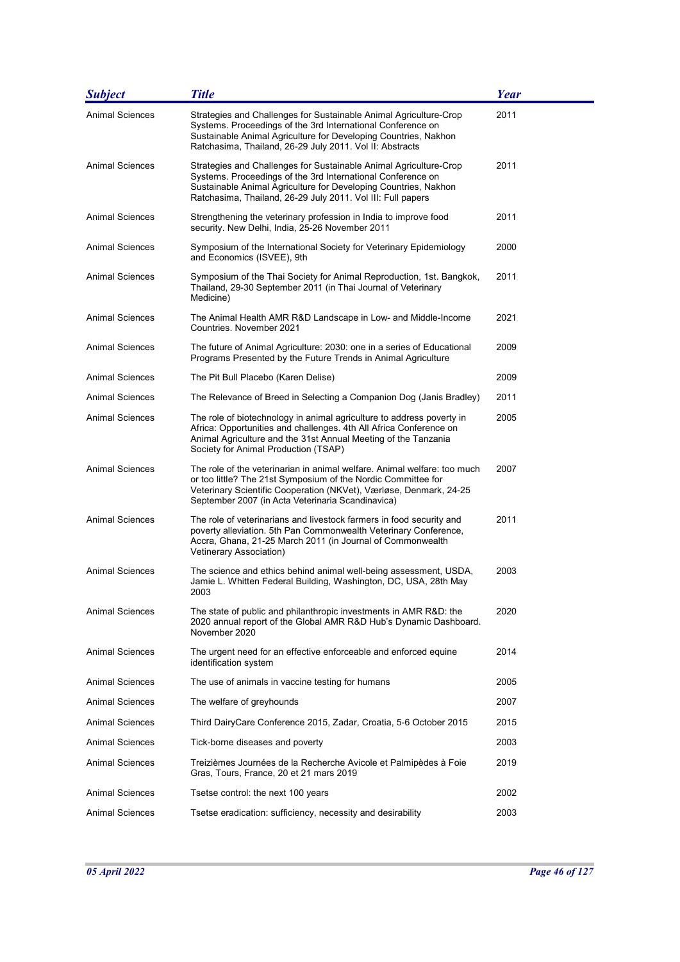| <b>Subject</b>         | <b>Title</b>                                                                                                                                                                                                                                                         | <b>Year</b> |
|------------------------|----------------------------------------------------------------------------------------------------------------------------------------------------------------------------------------------------------------------------------------------------------------------|-------------|
| <b>Animal Sciences</b> | Strategies and Challenges for Sustainable Animal Agriculture-Crop<br>Systems. Proceedings of the 3rd International Conference on<br>Sustainable Animal Agriculture for Developing Countries, Nakhon<br>Ratchasima, Thailand, 26-29 July 2011. Vol II: Abstracts      | 2011        |
| Animal Sciences        | Strategies and Challenges for Sustainable Animal Agriculture-Crop<br>Systems. Proceedings of the 3rd International Conference on<br>Sustainable Animal Agriculture for Developing Countries, Nakhon<br>Ratchasima, Thailand, 26-29 July 2011. Vol III: Full papers   | 2011        |
| <b>Animal Sciences</b> | Strengthening the veterinary profession in India to improve food<br>security. New Delhi, India, 25-26 November 2011                                                                                                                                                  | 2011        |
| <b>Animal Sciences</b> | Symposium of the International Society for Veterinary Epidemiology<br>and Economics (ISVEE), 9th                                                                                                                                                                     | 2000        |
| Animal Sciences        | Symposium of the Thai Society for Animal Reproduction, 1st. Bangkok,<br>Thailand, 29-30 September 2011 (in Thai Journal of Veterinary<br>Medicine)                                                                                                                   | 2011        |
| Animal Sciences        | The Animal Health AMR R&D Landscape in Low- and Middle-Income<br>Countries. November 2021                                                                                                                                                                            | 2021        |
| <b>Animal Sciences</b> | The future of Animal Agriculture: 2030: one in a series of Educational<br>Programs Presented by the Future Trends in Animal Agriculture                                                                                                                              | 2009        |
| <b>Animal Sciences</b> | The Pit Bull Placebo (Karen Delise)                                                                                                                                                                                                                                  | 2009        |
| Animal Sciences        | The Relevance of Breed in Selecting a Companion Dog (Janis Bradley)                                                                                                                                                                                                  | 2011        |
| <b>Animal Sciences</b> | The role of biotechnology in animal agriculture to address poverty in<br>Africa: Opportunities and challenges. 4th All Africa Conference on<br>Animal Agriculture and the 31st Annual Meeting of the Tanzania<br>Society for Animal Production (TSAP)                | 2005        |
| <b>Animal Sciences</b> | The role of the veterinarian in animal welfare. Animal welfare: too much<br>or too little? The 21st Symposium of the Nordic Committee for<br>Veterinary Scientific Cooperation (NKVet), Værløse, Denmark, 24-25<br>September 2007 (in Acta Veterinaria Scandinavica) | 2007        |
| <b>Animal Sciences</b> | The role of veterinarians and livestock farmers in food security and<br>poverty alleviation. 5th Pan Commonwealth Veterinary Conference,<br>Accra, Ghana, 21-25 March 2011 (in Journal of Commonwealth<br>Vetinerary Association)                                    | 2011        |
| <b>Animal Sciences</b> | The science and ethics behind animal well-being assessment, USDA,<br>Jamie L. Whitten Federal Building, Washington, DC, USA, 28th May<br>2003                                                                                                                        | 2003        |
| Animal Sciences        | The state of public and philanthropic investments in AMR R&D: the<br>2020 annual report of the Global AMR R&D Hub's Dynamic Dashboard.<br>November 2020                                                                                                              | 2020        |
| Animal Sciences        | The urgent need for an effective enforceable and enforced equine<br>identification system                                                                                                                                                                            | 2014        |
| <b>Animal Sciences</b> | The use of animals in vaccine testing for humans                                                                                                                                                                                                                     | 2005        |
| Animal Sciences        | The welfare of greyhounds                                                                                                                                                                                                                                            | 2007        |
| <b>Animal Sciences</b> | Third DairyCare Conference 2015, Zadar, Croatia, 5-6 October 2015                                                                                                                                                                                                    | 2015        |
| Animal Sciences        | Tick-borne diseases and poverty                                                                                                                                                                                                                                      | 2003        |
| Animal Sciences        | Treizièmes Journées de la Recherche Avicole et Palmipèdes à Foie<br>Gras, Tours, France, 20 et 21 mars 2019                                                                                                                                                          | 2019        |
| <b>Animal Sciences</b> | Tsetse control: the next 100 years                                                                                                                                                                                                                                   | 2002        |
| Animal Sciences        | Tsetse eradication: sufficiency, necessity and desirability                                                                                                                                                                                                          | 2003        |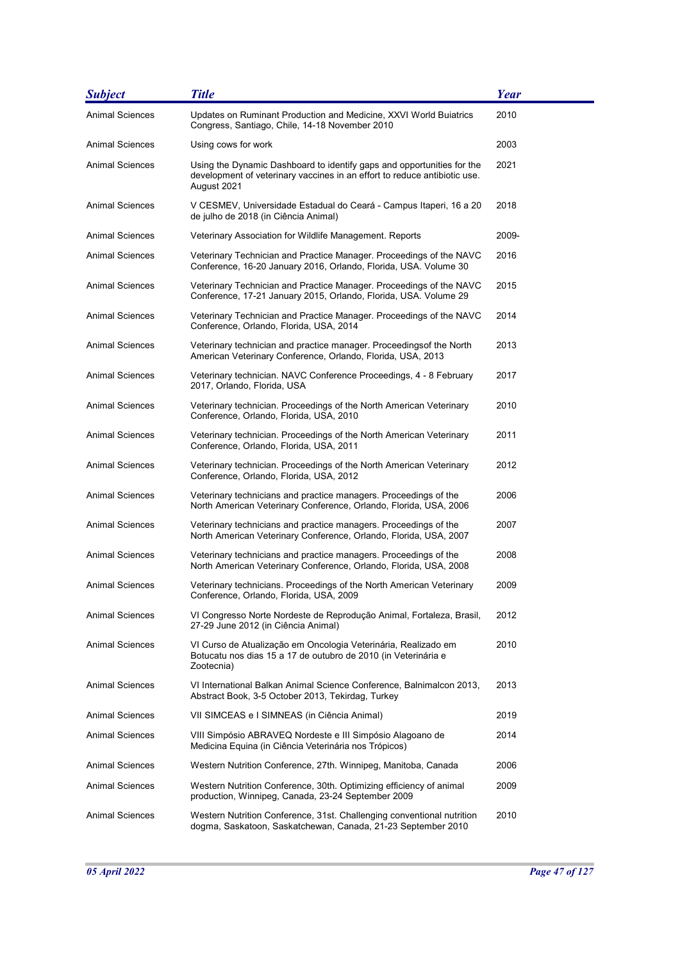| <b>Subject</b>         | <b>Title</b>                                                                                                                                                       | Year  |
|------------------------|--------------------------------------------------------------------------------------------------------------------------------------------------------------------|-------|
| <b>Animal Sciences</b> | Updates on Ruminant Production and Medicine, XXVI World Buiatrics<br>Congress, Santiago, Chile, 14-18 November 2010                                                | 2010  |
| <b>Animal Sciences</b> | Using cows for work                                                                                                                                                | 2003  |
| Animal Sciences        | Using the Dynamic Dashboard to identify gaps and opportunities for the<br>development of veterinary vaccines in an effort to reduce antibiotic use.<br>August 2021 | 2021  |
| Animal Sciences        | V CESMEV, Universidade Estadual do Ceará - Campus Itaperi, 16 a 20<br>de julho de 2018 (in Ciência Animal)                                                         | 2018  |
| Animal Sciences        | Veterinary Association for Wildlife Management. Reports                                                                                                            | 2009- |
| Animal Sciences        | Veterinary Technician and Practice Manager. Proceedings of the NAVC<br>Conference, 16-20 January 2016, Orlando, Florida, USA. Volume 30                            | 2016  |
| Animal Sciences        | Veterinary Technician and Practice Manager. Proceedings of the NAVC<br>Conference, 17-21 January 2015, Orlando, Florida, USA. Volume 29                            | 2015  |
| <b>Animal Sciences</b> | Veterinary Technician and Practice Manager. Proceedings of the NAVC<br>Conference, Orlando, Florida, USA, 2014                                                     | 2014  |
| Animal Sciences        | Veterinary technician and practice manager. Proceedings of the North<br>American Veterinary Conference, Orlando, Florida, USA, 2013                                | 2013  |
| <b>Animal Sciences</b> | Veterinary technician. NAVC Conference Proceedings, 4 - 8 February<br>2017, Orlando, Florida, USA                                                                  | 2017  |
| <b>Animal Sciences</b> | Veterinary technician. Proceedings of the North American Veterinary<br>Conference, Orlando, Florida, USA, 2010                                                     | 2010  |
| Animal Sciences        | Veterinary technician. Proceedings of the North American Veterinary<br>Conference, Orlando, Florida, USA, 2011                                                     | 2011  |
| Animal Sciences        | Veterinary technician. Proceedings of the North American Veterinary<br>Conference, Orlando, Florida, USA, 2012                                                     | 2012  |
| Animal Sciences        | Veterinary technicians and practice managers. Proceedings of the<br>North American Veterinary Conference, Orlando, Florida, USA, 2006                              | 2006  |
| <b>Animal Sciences</b> | Veterinary technicians and practice managers. Proceedings of the<br>North American Veterinary Conference, Orlando, Florida, USA, 2007                              | 2007  |
| <b>Animal Sciences</b> | Veterinary technicians and practice managers. Proceedings of the<br>North American Veterinary Conference, Orlando, Florida, USA, 2008                              | 2008  |
| Animal Sciences        | Veterinary technicians. Proceedings of the North American Veterinary<br>Conference, Orlando, Florida, USA, 2009                                                    | 2009  |
| Animal Sciences        | VI Congresso Norte Nordeste de Reprodução Animal, Fortaleza, Brasil,<br>27-29 June 2012 (in Ciência Animal)                                                        | 2012  |
| <b>Animal Sciences</b> | VI Curso de Atualização em Oncologia Veterinária, Realizado em<br>Botucatu nos dias 15 a 17 de outubro de 2010 (in Veterinária e<br>Zootecnia)                     | 2010  |
| <b>Animal Sciences</b> | VI International Balkan Animal Science Conference, Balnimalcon 2013,<br>Abstract Book, 3-5 October 2013, Tekirdag, Turkey                                          | 2013  |
| Animal Sciences        | VII SIMCEAS e I SIMNEAS (in Ciência Animal)                                                                                                                        | 2019  |
| <b>Animal Sciences</b> | VIII Simpósio ABRAVEQ Nordeste e III Simpósio Alagoano de<br>Medicina Equina (in Ciência Veterinária nos Trópicos)                                                 | 2014  |
| <b>Animal Sciences</b> | Western Nutrition Conference, 27th. Winnipeg, Manitoba, Canada                                                                                                     | 2006  |
| Animal Sciences        | Western Nutrition Conference, 30th. Optimizing efficiency of animal<br>production, Winnipeg, Canada, 23-24 September 2009                                          | 2009  |
| <b>Animal Sciences</b> | Western Nutrition Conference, 31st. Challenging conventional nutrition<br>dogma, Saskatoon, Saskatchewan, Canada, 21-23 September 2010                             | 2010  |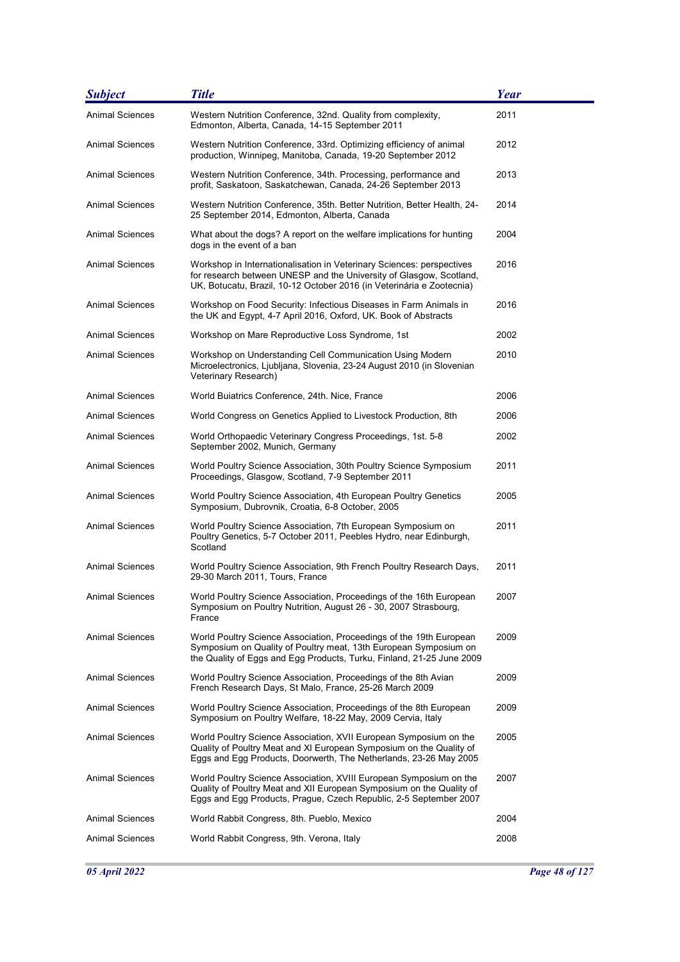| <b>Subject</b>         | <b>Title</b>                                                                                                                                                                                                          | <b>Year</b> |
|------------------------|-----------------------------------------------------------------------------------------------------------------------------------------------------------------------------------------------------------------------|-------------|
| <b>Animal Sciences</b> | Western Nutrition Conference, 32nd. Quality from complexity,<br>Edmonton, Alberta, Canada, 14-15 September 2011                                                                                                       | 2011        |
| <b>Animal Sciences</b> | Western Nutrition Conference, 33rd. Optimizing efficiency of animal<br>production, Winnipeg, Manitoba, Canada, 19-20 September 2012                                                                                   | 2012        |
| <b>Animal Sciences</b> | Western Nutrition Conference, 34th. Processing, performance and<br>profit, Saskatoon, Saskatchewan, Canada, 24-26 September 2013                                                                                      | 2013        |
| <b>Animal Sciences</b> | Western Nutrition Conference, 35th. Better Nutrition, Better Health, 24-<br>25 September 2014, Edmonton, Alberta, Canada                                                                                              | 2014        |
| <b>Animal Sciences</b> | What about the dogs? A report on the welfare implications for hunting<br>dogs in the event of a ban                                                                                                                   | 2004        |
| Animal Sciences        | Workshop in Internationalisation in Veterinary Sciences: perspectives<br>for research between UNESP and the University of Glasgow, Scotland,<br>UK, Botucatu, Brazil, 10-12 October 2016 (in Veterinária e Zootecnia) | 2016        |
| Animal Sciences        | Workshop on Food Security: Infectious Diseases in Farm Animals in<br>the UK and Egypt, 4-7 April 2016, Oxford, UK. Book of Abstracts                                                                                  | 2016        |
| <b>Animal Sciences</b> | Workshop on Mare Reproductive Loss Syndrome, 1st                                                                                                                                                                      | 2002        |
| Animal Sciences        | Workshop on Understanding Cell Communication Using Modern<br>Microelectronics, Ljubljana, Slovenia, 23-24 August 2010 (in Slovenian<br>Veterinary Research)                                                           | 2010        |
| <b>Animal Sciences</b> | World Buiatrics Conference, 24th. Nice, France                                                                                                                                                                        | 2006        |
| <b>Animal Sciences</b> | World Congress on Genetics Applied to Livestock Production, 8th                                                                                                                                                       | 2006        |
| Animal Sciences        | World Orthopaedic Veterinary Congress Proceedings, 1st. 5-8<br>September 2002, Munich, Germany                                                                                                                        | 2002        |
| Animal Sciences        | World Poultry Science Association, 30th Poultry Science Symposium<br>Proceedings, Glasgow, Scotland, 7-9 September 2011                                                                                               | 2011        |
| Animal Sciences        | World Poultry Science Association, 4th European Poultry Genetics<br>Symposium, Dubrovnik, Croatia, 6-8 October, 2005                                                                                                  | 2005        |
| <b>Animal Sciences</b> | World Poultry Science Association, 7th European Symposium on<br>Poultry Genetics, 5-7 October 2011, Peebles Hydro, near Edinburgh,<br>Scotland                                                                        | 2011        |
| <b>Animal Sciences</b> | World Poultry Science Association, 9th French Poultry Research Days,<br>29-30 March 2011, Tours, France                                                                                                               | 2011        |
| Animal Sciences        | World Poultry Science Association, Proceedings of the 16th European<br>Symposium on Poultry Nutrition, August 26 - 30, 2007 Strasbourg,<br>France                                                                     | 2007        |
| <b>Animal Sciences</b> | World Poultry Science Association, Proceedings of the 19th European<br>Symposium on Quality of Poultry meat, 13th European Symposium on<br>the Quality of Eggs and Egg Products, Turku, Finland, 21-25 June 2009      | 2009        |
| <b>Animal Sciences</b> | World Poultry Science Association, Proceedings of the 8th Avian<br>French Research Days, St Malo, France, 25-26 March 2009                                                                                            | 2009        |
| <b>Animal Sciences</b> | World Poultry Science Association, Proceedings of the 8th European<br>Symposium on Poultry Welfare, 18-22 May, 2009 Cervia, Italy                                                                                     | 2009        |
| <b>Animal Sciences</b> | World Poultry Science Association, XVII European Symposium on the<br>Quality of Poultry Meat and XI European Symposium on the Quality of<br>Eggs and Egg Products, Doorwerth, The Netherlands, 23-26 May 2005         | 2005        |
| Animal Sciences        | World Poultry Science Association, XVIII European Symposium on the<br>Quality of Poultry Meat and XII European Symposium on the Quality of<br>Eggs and Egg Products, Prague, Czech Republic, 2-5 September 2007       | 2007        |
| <b>Animal Sciences</b> | World Rabbit Congress, 8th. Pueblo, Mexico                                                                                                                                                                            | 2004        |
| <b>Animal Sciences</b> | World Rabbit Congress, 9th. Verona, Italy                                                                                                                                                                             | 2008        |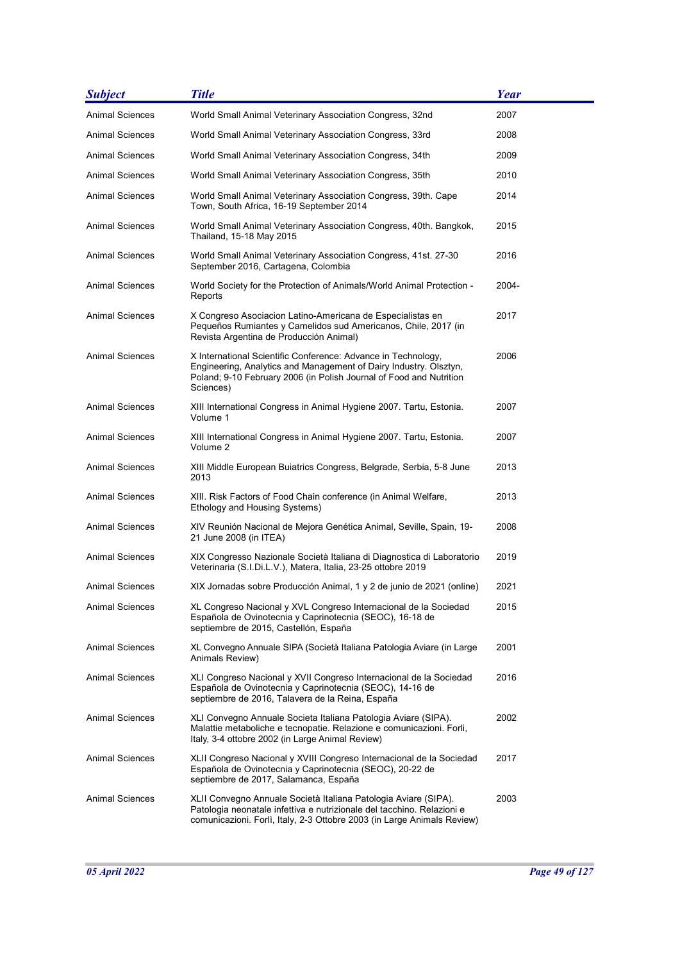| <b>Subject</b>         | <b>Title</b>                                                                                                                                                                                                           | Year  |
|------------------------|------------------------------------------------------------------------------------------------------------------------------------------------------------------------------------------------------------------------|-------|
| <b>Animal Sciences</b> | World Small Animal Veterinary Association Congress, 32nd                                                                                                                                                               | 2007  |
| Animal Sciences        | World Small Animal Veterinary Association Congress, 33rd                                                                                                                                                               | 2008  |
| Animal Sciences        | World Small Animal Veterinary Association Congress, 34th                                                                                                                                                               | 2009  |
| Animal Sciences        | World Small Animal Veterinary Association Congress, 35th                                                                                                                                                               | 2010  |
| <b>Animal Sciences</b> | World Small Animal Veterinary Association Congress, 39th. Cape<br>Town, South Africa, 16-19 September 2014                                                                                                             | 2014  |
| <b>Animal Sciences</b> | World Small Animal Veterinary Association Congress, 40th. Bangkok,<br>Thailand, 15-18 May 2015                                                                                                                         | 2015  |
| <b>Animal Sciences</b> | World Small Animal Veterinary Association Congress, 41st. 27-30<br>September 2016, Cartagena, Colombia                                                                                                                 | 2016  |
| Animal Sciences        | World Society for the Protection of Animals/World Animal Protection -<br>Reports                                                                                                                                       | 2004- |
| <b>Animal Sciences</b> | X Congreso Asociacion Latino-Americana de Especialistas en<br>Pequeños Rumiantes y Camelidos sud Americanos, Chile, 2017 (in<br>Revista Argentina de Producción Animal)                                                | 2017  |
| <b>Animal Sciences</b> | X International Scientific Conference: Advance in Technology,<br>Engineering, Analytics and Management of Dairy Industry. Olsztyn,<br>Poland; 9-10 February 2006 (in Polish Journal of Food and Nutrition<br>Sciences) | 2006  |
| <b>Animal Sciences</b> | XIII International Congress in Animal Hygiene 2007. Tartu, Estonia.<br>Volume 1                                                                                                                                        | 2007  |
| <b>Animal Sciences</b> | XIII International Congress in Animal Hygiene 2007. Tartu, Estonia.<br>Volume 2                                                                                                                                        | 2007  |
| Animal Sciences        | XIII Middle European Buiatrics Congress, Belgrade, Serbia, 5-8 June<br>2013                                                                                                                                            | 2013  |
| <b>Animal Sciences</b> | XIII. Risk Factors of Food Chain conference (in Animal Welfare,<br>Ethology and Housing Systems)                                                                                                                       | 2013  |
| <b>Animal Sciences</b> | XIV Reunión Nacional de Mejora Genética Animal, Seville, Spain, 19-<br>21 June 2008 (in ITEA)                                                                                                                          | 2008  |
| <b>Animal Sciences</b> | XIX Congresso Nazionale Società Italiana di Diagnostica di Laboratorio<br>Veterinaria (S.I.Di.L.V.), Matera, Italia, 23-25 ottobre 2019                                                                                | 2019  |
| <b>Animal Sciences</b> | XIX Jornadas sobre Producción Animal, 1 y 2 de junio de 2021 (online)                                                                                                                                                  | 2021  |
| <b>Animal Sciences</b> | XL Congreso Nacional y XVL Congreso Internacional de la Sociedad<br>Española de Ovinotecnia y Caprinotecnia (SEOC), 16-18 de<br>septiembre de 2015, Castellón, España                                                  | 2015  |
| Animal Sciences        | XL Convegno Annuale SIPA (Società Italiana Patologia Aviare (in Large<br>Animals Review)                                                                                                                               | 2001  |
| <b>Animal Sciences</b> | XLI Congreso Nacional y XVII Congreso Internacional de la Sociedad<br>Española de Ovinotecnia y Caprinotecnia (SEOC), 14-16 de<br>septiembre de 2016, Talavera de la Reina, España                                     | 2016  |
| <b>Animal Sciences</b> | XLI Convegno Annuale Societa Italiana Patologia Aviare (SIPA).<br>Malattie metaboliche e tecnopatie. Relazione e comunicazioni. Forli,<br>Italy, 3-4 ottobre 2002 (in Large Animal Review)                             | 2002  |
| <b>Animal Sciences</b> | XLII Congreso Nacional y XVIII Congreso Internacional de la Sociedad<br>Española de Ovinotecnia y Caprinotecnia (SEOC), 20-22 de<br>septiembre de 2017, Salamanca, España                                              | 2017  |
| <b>Animal Sciences</b> | XLII Convegno Annuale Società Italiana Patologia Aviare (SIPA).<br>Patologia neonatale infettiva e nutrizionale del tacchino. Relazioni e<br>comunicazioni. Forlì, Italy, 2-3 Ottobre 2003 (in Large Animals Review)   | 2003  |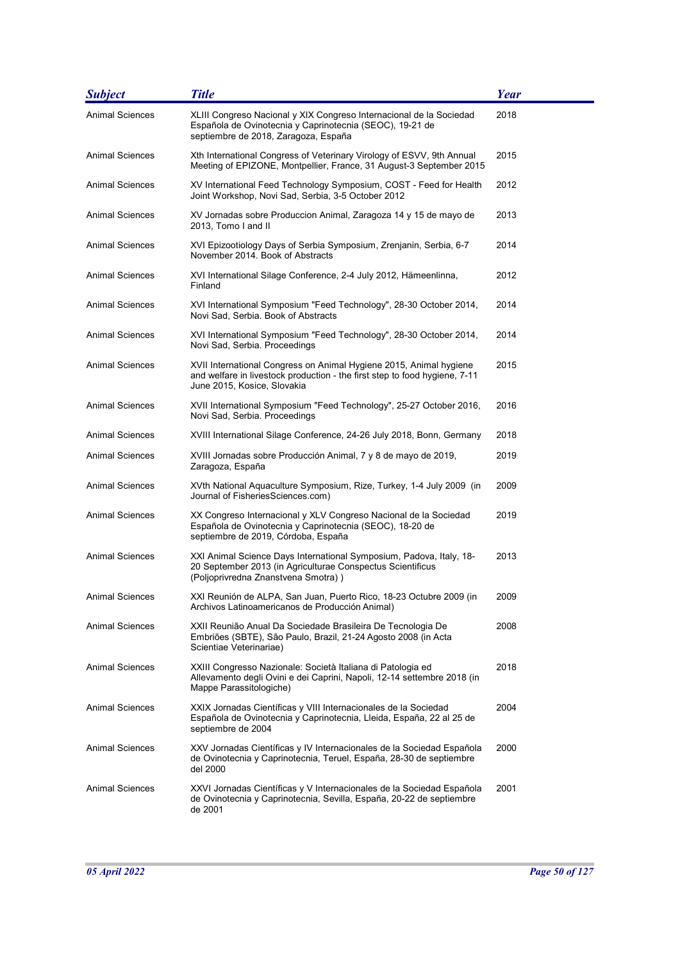| <b>Subject</b>         | <b>Title</b>                                                                                                                                                                    | <b>Year</b> |
|------------------------|---------------------------------------------------------------------------------------------------------------------------------------------------------------------------------|-------------|
| <b>Animal Sciences</b> | XLIII Congreso Nacional y XIX Congreso Internacional de la Sociedad<br>Española de Ovinotecnia y Caprinotecnia (SEOC), 19-21 de<br>septiembre de 2018, Zaragoza, España         | 2018        |
| <b>Animal Sciences</b> | Xth International Congress of Veterinary Virology of ESVV, 9th Annual<br>Meeting of EPIZONE, Montpellier, France, 31 August-3 September 2015                                    | 2015        |
| <b>Animal Sciences</b> | XV International Feed Technology Symposium, COST - Feed for Health<br>Joint Workshop, Novi Sad, Serbia, 3-5 October 2012                                                        | 2012        |
| <b>Animal Sciences</b> | XV Jornadas sobre Produccion Animal, Zaragoza 14 y 15 de mayo de<br>2013, Tomo I and II                                                                                         | 2013        |
| <b>Animal Sciences</b> | XVI Epizootiology Days of Serbia Symposium, Zrenjanin, Serbia, 6-7<br>November 2014. Book of Abstracts                                                                          | 2014        |
| Animal Sciences        | XVI International Silage Conference, 2-4 July 2012, Hämeenlinna,<br>Finland                                                                                                     | 2012        |
| Animal Sciences        | XVI International Symposium "Feed Technology", 28-30 October 2014,<br>Novi Sad, Serbia. Book of Abstracts                                                                       | 2014        |
| <b>Animal Sciences</b> | XVI International Symposium "Feed Technology", 28-30 October 2014,<br>Novi Sad, Serbia. Proceedings                                                                             | 2014        |
| <b>Animal Sciences</b> | XVII International Congress on Animal Hygiene 2015, Animal hygiene<br>and welfare in livestock production - the first step to food hygiene, 7-11<br>June 2015, Kosice, Slovakia | 2015        |
| <b>Animal Sciences</b> | XVII International Symposium "Feed Technology", 25-27 October 2016,<br>Novi Sad, Serbia. Proceedings                                                                            | 2016        |
| Animal Sciences        | XVIII International Silage Conference, 24-26 July 2018, Bonn, Germany                                                                                                           | 2018        |
| Animal Sciences        | XVIII Jornadas sobre Producción Animal, 7 y 8 de mayo de 2019,<br>Zaragoza, España                                                                                              | 2019        |
| <b>Animal Sciences</b> | XVth National Aquaculture Symposium, Rize, Turkey, 1-4 July 2009 (in<br>Journal of FisheriesSciences.com)                                                                       | 2009        |
| <b>Animal Sciences</b> | XX Congreso Internacional y XLV Congreso Nacional de la Sociedad<br>Española de Ovinotecnia y Caprinotecnia (SEOC), 18-20 de<br>septiembre de 2019, Córdoba, España             | 2019        |
| <b>Animal Sciences</b> | XXI Animal Science Days International Symposium, Padova, Italy, 18-<br>20 September 2013 (in Agriculturae Conspectus Scientificus<br>(Poljoprivredna Znanstvena Smotra))        | 2013        |
| <b>Animal Sciences</b> | XXI Reunión de ALPA, San Juan, Puerto Rico, 18-23 Octubre 2009 (in<br>Archivos Latinoamericanos de Producción Animal)                                                           | 2009        |
| Animal Sciences        | XXII Reunião Anual Da Sociedade Brasileira De Tecnologia De<br>Embriões (SBTE), São Paulo, Brazil, 21-24 Agosto 2008 (in Acta<br>Scientiae Veterinariae)                        | 2008        |
| Animal Sciences        | XXIII Congresso Nazionale: Società Italiana di Patologia ed<br>Allevamento degli Ovini e dei Caprini, Napoli, 12-14 settembre 2018 (in<br>Mappe Parassitologiche)               | 2018        |
| Animal Sciences        | XXIX Jornadas Científicas y VIII Internacionales de la Sociedad<br>Española de Ovinotecnia y Caprinotecnia, Lleida, España, 22 al 25 de<br>septiembre de 2004                   | 2004        |
| Animal Sciences        | XXV Jornadas Científicas y IV Internacionales de la Sociedad Española<br>de Ovinotecnia y Caprinotecnia, Teruel, España, 28-30 de septiembre<br>del 2000                        | 2000        |
| <b>Animal Sciences</b> | XXVI Jornadas Científicas y V Internacionales de la Sociedad Española<br>de Ovinotecnia y Caprinotecnia, Sevilla, España, 20-22 de septiembre<br>de 2001                        | 2001        |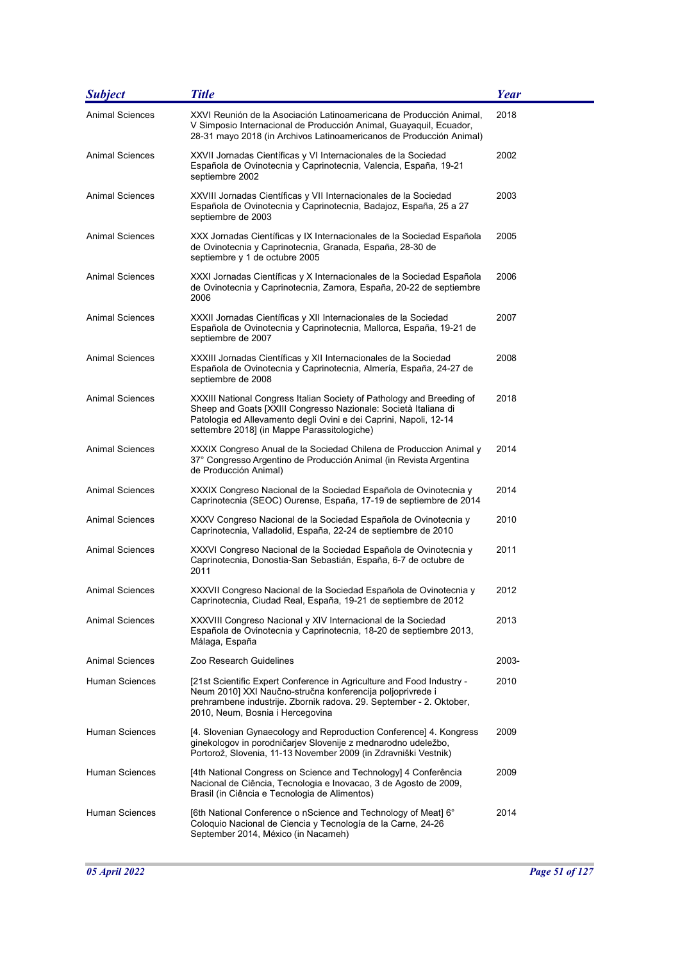| <b>Subject</b>         | <b>Title</b>                                                                                                                                                                                                                                                 | Year  |
|------------------------|--------------------------------------------------------------------------------------------------------------------------------------------------------------------------------------------------------------------------------------------------------------|-------|
| <b>Animal Sciences</b> | XXVI Reunión de la Asociación Latinoamericana de Producción Animal,<br>V Simposio Internacional de Producción Animal, Guayaquil, Ecuador,<br>28-31 mayo 2018 (in Archivos Latinoamericanos de Producción Animal)                                             | 2018  |
| <b>Animal Sciences</b> | XXVII Jornadas Científicas y VI Internacionales de la Sociedad<br>Española de Ovinotecnia y Caprinotecnia, Valencia, España, 19-21<br>septiembre 2002                                                                                                        | 2002  |
| Animal Sciences        | XXVIII Jornadas Científicas y VII Internacionales de la Sociedad<br>Española de Ovinotecnia y Caprinotecnia, Badajoz, España, 25 a 27<br>septiembre de 2003                                                                                                  | 2003  |
| Animal Sciences        | XXX Jornadas Científicas y IX Internacionales de la Sociedad Española<br>de Ovinotecnia y Caprinotecnia, Granada, España, 28-30 de<br>septiembre y 1 de octubre 2005                                                                                         | 2005  |
| Animal Sciences        | XXXI Jornadas Científicas y X Internacionales de la Sociedad Española<br>de Ovinotecnia y Caprinotecnia, Zamora, España, 20-22 de septiembre<br>2006                                                                                                         | 2006  |
| Animal Sciences        | XXXII Jornadas Científicas y XII Internacionales de la Sociedad<br>Española de Ovinotecnia y Caprinotecnia, Mallorca, España, 19-21 de<br>septiembre de 2007                                                                                                 | 2007  |
| Animal Sciences        | XXXIII Jornadas Científicas y XII Internacionales de la Sociedad<br>Española de Ovinotecnia y Caprinotecnia, Almería, España, 24-27 de<br>septiembre de 2008                                                                                                 | 2008  |
| Animal Sciences        | XXXIII National Congress Italian Society of Pathology and Breeding of<br>Sheep and Goats [XXIII Congresso Nazionale: Società Italiana di<br>Patologia ed Allevamento degli Ovini e dei Caprini, Napoli, 12-14<br>settembre 2018] (in Mappe Parassitologiche) | 2018  |
| <b>Animal Sciences</b> | XXXIX Congreso Anual de la Sociedad Chilena de Produccion Animal y<br>37° Congresso Argentino de Producción Animal (in Revista Argentina<br>de Producción Animal)                                                                                            | 2014  |
| Animal Sciences        | XXXIX Congreso Nacional de la Sociedad Española de Ovinotecnia y<br>Caprinotecnia (SEOC) Ourense, España, 17-19 de septiembre de 2014                                                                                                                        | 2014  |
| Animal Sciences        | XXXV Congreso Nacional de la Sociedad Española de Ovinotecnia y<br>Caprinotecnia, Valladolid, España, 22-24 de septiembre de 2010                                                                                                                            | 2010  |
| Animal Sciences        | XXXVI Congreso Nacional de la Sociedad Española de Ovinotecnia y<br>Caprinotecnia, Donostia-San Sebastián, España, 6-7 de octubre de<br>2011                                                                                                                 | 2011  |
| Animal Sciences        | XXXVII Congreso Nacional de la Sociedad Española de Ovinotecnia y<br>Caprinotecnia, Ciudad Real, España, 19-21 de septiembre de 2012                                                                                                                         | 2012  |
| <b>Animal Sciences</b> | XXXVIII Congreso Nacional y XIV Internacional de la Sociedad<br>Española de Ovinotecnia y Caprinotecnia, 18-20 de septiembre 2013,<br>Málaga, España                                                                                                         | 2013  |
| <b>Animal Sciences</b> | Zoo Research Guidelines                                                                                                                                                                                                                                      | 2003- |
| Human Sciences         | [21st Scientific Expert Conference in Agriculture and Food Industry -<br>Neum 2010] XXI Naučno-stručna konferencija poljoprivrede i<br>prehrambene industrije. Zbornik radova. 29. September - 2. Oktober,<br>2010, Neum, Bosnia i Hercegovina               | 2010  |
| Human Sciences         | [4. Slovenian Gynaecology and Reproduction Conference] 4. Kongress<br>ginekologov in porodničarjev Slovenije z mednarodno udeležbo,<br>Portorož, Slovenia, 11-13 November 2009 (in Zdravniški Vestnik)                                                       | 2009  |
| <b>Human Sciences</b>  | [4th National Congress on Science and Technology] 4 Conferência<br>Nacional de Ciência, Tecnologia e Inovacao, 3 de Agosto de 2009,<br>Brasil (in Ciência e Tecnologia de Alimentos)                                                                         | 2009  |
| <b>Human Sciences</b>  | [6th National Conference o nScience and Technology of Meat] 6°<br>Coloquio Nacional de Ciencia y Tecnología de la Carne, 24-26<br>September 2014, México (in Nacameh)                                                                                        | 2014  |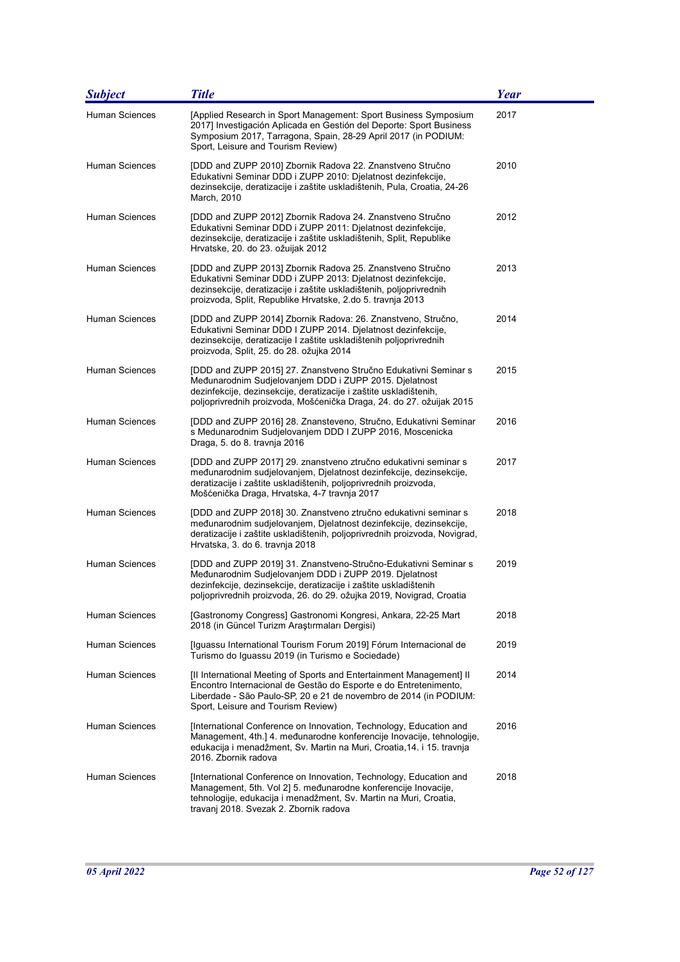| <b>Subject</b>        | <b>Title</b>                                                                                                                                                                                                                                                           | <b>Year</b> |
|-----------------------|------------------------------------------------------------------------------------------------------------------------------------------------------------------------------------------------------------------------------------------------------------------------|-------------|
| <b>Human Sciences</b> | [Applied Research in Sport Management: Sport Business Symposium<br>2017] Investigación Aplicada en Gestión del Deporte: Sport Business<br>Symposium 2017, Tarragona, Spain, 28-29 April 2017 (in PODIUM:<br>Sport, Leisure and Tourism Review)                         | 2017        |
| Human Sciences        | [DDD and ZUPP 2010] Zbornik Radova 22. Znanstveno Stručno<br>Edukativni Seminar DDD i ZUPP 2010: Djelatnost dezinfekcije,<br>dezinsekcije, deratizacije i zaštite uskladištenih, Pula, Croatia, 24-26<br>March, 2010                                                   | 2010        |
| <b>Human Sciences</b> | [DDD and ZUPP 2012] Zbornik Radova 24. Znanstveno Stručno<br>Edukativni Seminar DDD i ZUPP 2011: Djelatnost dezinfekcije,<br>dezinsekcije, deratizacije i zaštite uskladištenih, Split, Republike<br>Hrvatske, 20. do 23. ožuijak 2012                                 | 2012        |
| Human Sciences        | [DDD and ZUPP 2013] Zbornik Radova 25. Znanstveno Stručno<br>Edukativni Seminar DDD i ZUPP 2013: Djelatnost dezinfekcije,<br>dezinsekcije, deratizacije i zaštite uskladištenih, poljoprivrednih<br>proizvoda, Split, Republike Hrvatske, 2.do 5. travnja 2013         | 2013        |
| <b>Human Sciences</b> | [DDD and ZUPP 2014] Zbornik Radova: 26. Znanstveno, Stručno,<br>Edukativni Seminar DDD I ZUPP 2014. Djelatnost dezinfekcije,<br>dezinsekcije, deratizacije I zaštite uskladištenih poljoprivrednih<br>proizvoda, Split, 25. do 28. ožujka 2014                         | 2014        |
| <b>Human Sciences</b> | [DDD and ZUPP 2015] 27. Znanstveno Stručno Edukativni Seminar s<br>Međunarodnim Sudjelovanjem DDD i ZUPP 2015. Djelatnost<br>dezinfekcije, dezinsekcije, deratizacije i zaštite uskladištenih,<br>poljoprivrednih proizvoda, Mošćenička Draga, 24. do 27. ožuijak 2015 | 2015        |
| Human Sciences        | [DDD and ZUPP 2016] 28. Znansteveno, Stručno, Edukativni Seminar<br>s Medunarodnim Sudjelovanjem DDD I ZUPP 2016, Moscenicka<br>Draga, 5. do 8. travnja 2016                                                                                                           | 2016        |
| Human Sciences        | [DDD and ZUPP 2017] 29. znanstveno ztručno edukativni seminar s<br>međunarodnim sudjelovanjem, Djelatnost dezinfekcije, dezinsekcije,<br>deratizacije i zaštite uskladištenih, poljoprivrednih proizvoda,<br>Mošćenička Draga, Hrvatska, 4-7 travnja 2017              | 2017        |
| <b>Human Sciences</b> | [DDD and ZUPP 2018] 30. Znanstveno ztručno edukativni seminar s<br>međunarodnim sudjelovanjem, Djelatnost dezinfekcije, dezinsekcije,<br>deratizacije i zaštite uskladištenih, poljoprivrednih proizvoda, Novigrad,<br>Hrvatska, 3. do 6. travnja 2018                 | 2018        |
| Human Sciences        | [DDD and ZUPP 2019] 31. Znanstveno-Stručno-Edukativni Seminar s<br>Međunarodnim Sudjelovanjem DDD i ZUPP 2019. Djelatnost<br>dezinfekcije, dezinsekcije, deratizacije i zaštite uskladištenih<br>poljoprivrednih proizvoda, 26. do 29. ožujka 2019, Novigrad, Croatia  | 2019        |
| Human Sciences        | [Gastronomy Congress] Gastronomi Kongresi, Ankara, 22-25 Mart<br>2018 (in Güncel Turizm Araştırmaları Dergisi)                                                                                                                                                         | 2018        |
| Human Sciences        | [Iguassu International Tourism Forum 2019] Fórum Internacional de<br>Turismo do Iguassu 2019 (in Turismo e Sociedade)                                                                                                                                                  | 2019        |
| <b>Human Sciences</b> | [II International Meeting of Sports and Entertainment Management] II<br>Encontro Internacional de Gestão do Esporte e do Entretenimento,<br>Liberdade - São Paulo-SP, 20 e 21 de novembro de 2014 (in PODIUM:<br>Sport, Leisure and Tourism Review)                    | 2014        |
| <b>Human Sciences</b> | [International Conference on Innovation, Technology, Education and<br>Management, 4th.] 4. međunarodne konferencije Inovacije, tehnologije,<br>edukacija i menadžment, Sv. Martin na Muri, Croatia, 14. i 15. travnja<br>2016. Zbornik radova                          | 2016        |
| Human Sciences        | [International Conference on Innovation, Technology, Education and<br>Management, 5th. Vol 2] 5. međunarodne konferencije Inovacije,<br>tehnologije, edukacija i menadžment, Sv. Martin na Muri, Croatia,<br>travanj 2018. Svezak 2. Zbornik radova                    | 2018        |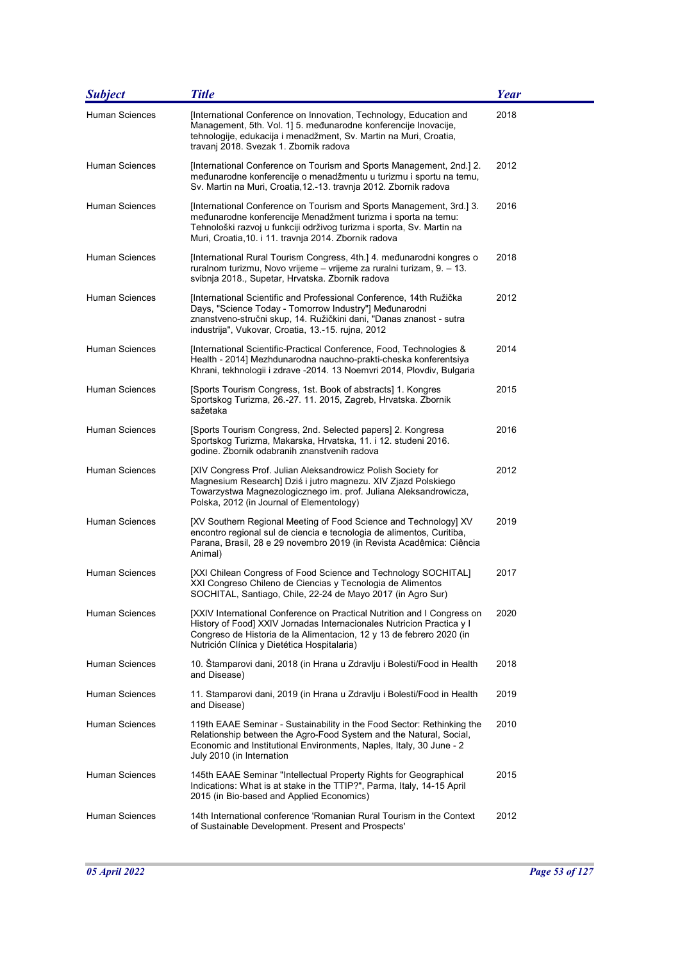| <b>Subject</b>        | <b>Title</b>                                                                                                                                                                                                                                                            | <b>Year</b> |
|-----------------------|-------------------------------------------------------------------------------------------------------------------------------------------------------------------------------------------------------------------------------------------------------------------------|-------------|
| <b>Human Sciences</b> | [International Conference on Innovation, Technology, Education and<br>Management, 5th. Vol. 1] 5. međunarodne konferencije Inovacije,<br>tehnologije, edukacija i menadžment, Sv. Martin na Muri, Croatia,<br>travanj 2018. Svezak 1. Zbornik radova                    | 2018        |
| Human Sciences        | [International Conference on Tourism and Sports Management, 2nd.] 2.<br>međunarodne konferencije o menadžmentu u turizmu i sportu na temu,<br>Sv. Martin na Muri, Croatia, 12.-13. travnja 2012. Zbornik radova                                                         | 2012        |
| Human Sciences        | [International Conference on Tourism and Sports Management, 3rd.] 3.<br>međunarodne konferencije Menadžment turizma i sporta na temu:<br>Tehnološki razvoj u funkciji održivog turizma i sporta, Sv. Martin na<br>Muri, Croatia, 10. i 11. travnja 2014. Zbornik radova | 2016        |
| <b>Human Sciences</b> | [International Rural Tourism Congress, 4th.] 4. međunarodni kongres o<br>ruralnom turizmu, Novo vrijeme – vrijeme za ruralni turizam, 9. – 13.<br>svibnja 2018., Supetar, Hrvatska. Zbornik radova                                                                      | 2018        |
| <b>Human Sciences</b> | [International Scientific and Professional Conference, 14th Ružička<br>Days, "Science Today - Tomorrow Industry"] Međunarodni<br>znanstveno-stručni skup, 14. Ružičkini dani, "Danas znanost - sutra<br>industrija", Vukovar, Croatia, 13.-15. rujna, 2012              | 2012        |
| <b>Human Sciences</b> | [International Scientific-Practical Conference, Food, Technologies &<br>Health - 2014] Mezhdunarodna nauchno-prakti-cheska konferentsiya<br>Khrani, tekhnologii i zdrave -2014. 13 Noemvri 2014, Plovdiv, Bulgaria                                                      | 2014        |
| <b>Human Sciences</b> | [Sports Tourism Congress, 1st. Book of abstracts] 1. Kongres<br>Sportskog Turizma, 26.-27. 11. 2015, Zagreb, Hrvatska. Zbornik<br>sažetaka                                                                                                                              | 2015        |
| <b>Human Sciences</b> | [Sports Tourism Congress, 2nd. Selected papers] 2. Kongresa<br>Sportskog Turizma, Makarska, Hrvatska, 11. i 12. studeni 2016.<br>godine. Zbornik odabranih znanstvenih radova                                                                                           | 2016        |
| Human Sciences        | [XIV Congress Prof. Julian Aleksandrowicz Polish Society for<br>Magnesium Research] Dziś i jutro magnezu. XIV Zjazd Polskiego<br>Towarzystwa Magnezologicznego im. prof. Juliana Aleksandrowicza,<br>Polska, 2012 (in Journal of Elementology)                          | 2012        |
| <b>Human Sciences</b> | [XV Southern Regional Meeting of Food Science and Technology] XV<br>encontro regional sul de ciencia e tecnologia de alimentos, Curitiba,<br>Parana, Brasil, 28 e 29 novembro 2019 (in Revista Acadêmica: Ciência<br>Animal)                                            | 2019        |
| Human Sciences        | [XXI Chilean Congress of Food Science and Technology SOCHITAL]<br>XXI Congreso Chileno de Ciencias y Tecnologia de Alimentos<br>SOCHITAL, Santiago, Chile, 22-24 de Mayo 2017 (in Agro Sur)                                                                             | 2017        |
| <b>Human Sciences</b> | [XXIV International Conference on Practical Nutrition and I Congress on<br>History of Food] XXIV Jornadas Internacionales Nutricion Practica y I<br>Congreso de Historia de la Alimentacion, 12 y 13 de febrero 2020 (in<br>Nutrición Clínica y Dietética Hospitalaria) | 2020        |
| <b>Human Sciences</b> | 10. Stamparovi dani, 2018 (in Hrana u Zdravlju i Bolesti/Food in Health<br>and Disease)                                                                                                                                                                                 | 2018        |
| Human Sciences        | 11. Stamparovi dani, 2019 (in Hrana u Zdravlju i Bolesti/Food in Health<br>and Disease)                                                                                                                                                                                 | 2019        |
| <b>Human Sciences</b> | 119th EAAE Seminar - Sustainability in the Food Sector: Rethinking the<br>Relationship between the Agro-Food System and the Natural, Social,<br>Economic and Institutional Environments, Naples, Italy, 30 June - 2<br>July 2010 (in Internation                        | 2010        |
| <b>Human Sciences</b> | 145th EAAE Seminar "Intellectual Property Rights for Geographical<br>Indications: What is at stake in the TTIP?", Parma, Italy, 14-15 April<br>2015 (in Bio-based and Applied Economics)                                                                                | 2015        |
| Human Sciences        | 14th International conference 'Romanian Rural Tourism in the Context<br>of Sustainable Development. Present and Prospects'                                                                                                                                              | 2012        |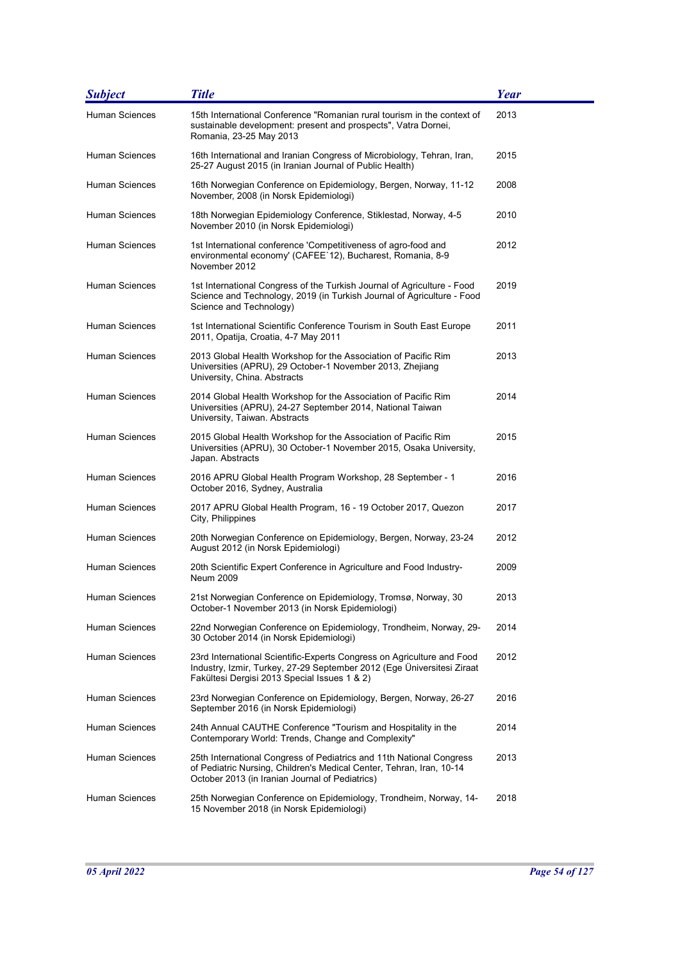| <b>Subject</b>        | <b>Title</b>                                                                                                                                                                                     | <b>Year</b> |
|-----------------------|--------------------------------------------------------------------------------------------------------------------------------------------------------------------------------------------------|-------------|
| <b>Human Sciences</b> | 15th International Conference "Romanian rural tourism in the context of<br>sustainable development: present and prospects", Vatra Dornei,<br>Romania, 23-25 May 2013                             | 2013        |
| Human Sciences        | 16th International and Iranian Congress of Microbiology, Tehran, Iran,<br>25-27 August 2015 (in Iranian Journal of Public Health)                                                                | 2015        |
| <b>Human Sciences</b> | 16th Norwegian Conference on Epidemiology, Bergen, Norway, 11-12<br>November, 2008 (in Norsk Epidemiologi)                                                                                       | 2008        |
| Human Sciences        | 18th Norwegian Epidemiology Conference, Stiklestad, Norway, 4-5<br>November 2010 (in Norsk Epidemiologi)                                                                                         | 2010        |
| <b>Human Sciences</b> | 1st International conference 'Competitiveness of agro-food and<br>environmental economy' (CAFEE`12), Bucharest, Romania, 8-9<br>November 2012                                                    | 2012        |
| <b>Human Sciences</b> | 1st International Congress of the Turkish Journal of Agriculture - Food<br>Science and Technology, 2019 (in Turkish Journal of Agriculture - Food<br>Science and Technology)                     | 2019        |
| Human Sciences        | 1st International Scientific Conference Tourism in South East Europe<br>2011, Opatija, Croatia, 4-7 May 2011                                                                                     | 2011        |
| Human Sciences        | 2013 Global Health Workshop for the Association of Pacific Rim<br>Universities (APRU), 29 October-1 November 2013, Zhejiang<br>University, China. Abstracts                                      | 2013        |
| Human Sciences        | 2014 Global Health Workshop for the Association of Pacific Rim<br>Universities (APRU), 24-27 September 2014, National Taiwan<br>University, Taiwan. Abstracts                                    | 2014        |
| <b>Human Sciences</b> | 2015 Global Health Workshop for the Association of Pacific Rim<br>Universities (APRU), 30 October-1 November 2015, Osaka University,<br>Japan. Abstracts                                         | 2015        |
| Human Sciences        | 2016 APRU Global Health Program Workshop, 28 September - 1<br>October 2016, Sydney, Australia                                                                                                    | 2016        |
| Human Sciences        | 2017 APRU Global Health Program, 16 - 19 October 2017, Quezon<br>City, Philippines                                                                                                               | 2017        |
| Human Sciences        | 20th Norwegian Conference on Epidemiology, Bergen, Norway, 23-24<br>August 2012 (in Norsk Epidemiologi)                                                                                          | 2012        |
| <b>Human Sciences</b> | 20th Scientific Expert Conference in Agriculture and Food Industry-<br>Neum 2009                                                                                                                 | 2009        |
| Human Sciences        | 21st Norwegian Conference on Epidemiology, Tromsø, Norway, 30<br>October-1 November 2013 (in Norsk Epidemiologi)                                                                                 | 2013        |
| <b>Human Sciences</b> | 22nd Norwegian Conference on Epidemiology, Trondheim, Norway, 29-<br>30 October 2014 (in Norsk Epidemiologi)                                                                                     | 2014        |
| Human Sciences        | 23rd International Scientific-Experts Congress on Agriculture and Food<br>Industry, Izmir, Turkey, 27-29 September 2012 (Ege Üniversitesi Ziraat<br>Fakültesi Dergisi 2013 Special Issues 1 & 2) | 2012        |
| Human Sciences        | 23rd Norwegian Conference on Epidemiology, Bergen, Norway, 26-27<br>September 2016 (in Norsk Epidemiologi)                                                                                       | 2016        |
| <b>Human Sciences</b> | 24th Annual CAUTHE Conference "Tourism and Hospitality in the<br>Contemporary World: Trends, Change and Complexity"                                                                              | 2014        |
| Human Sciences        | 25th International Congress of Pediatrics and 11th National Congress<br>of Pediatric Nursing, Children's Medical Center, Tehran, Iran, 10-14<br>October 2013 (in Iranian Journal of Pediatrics)  | 2013        |
| Human Sciences        | 25th Norwegian Conference on Epidemiology, Trondheim, Norway, 14-<br>15 November 2018 (in Norsk Epidemiologi)                                                                                    | 2018        |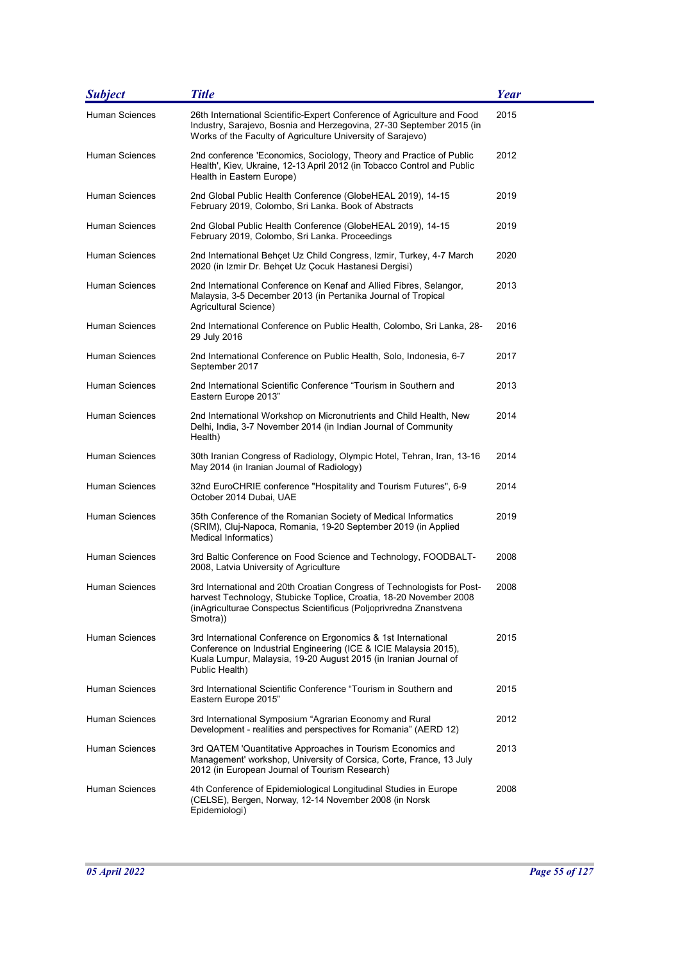| <b>Subject</b>        | <b>Title</b>                                                                                                                                                                                                                    | <b>Year</b> |
|-----------------------|---------------------------------------------------------------------------------------------------------------------------------------------------------------------------------------------------------------------------------|-------------|
| <b>Human Sciences</b> | 26th International Scientific-Expert Conference of Agriculture and Food<br>Industry, Sarajevo, Bosnia and Herzegovina, 27-30 September 2015 (in<br>Works of the Faculty of Agriculture University of Sarajevo)                  | 2015        |
| Human Sciences        | 2nd conference 'Economics, Sociology, Theory and Practice of Public<br>Health', Kiev, Ukraine, 12-13 April 2012 (in Tobacco Control and Public<br>Health in Eastern Europe)                                                     | 2012        |
| Human Sciences        | 2nd Global Public Health Conference (GlobeHEAL 2019), 14-15<br>February 2019, Colombo, Sri Lanka. Book of Abstracts                                                                                                             | 2019        |
| <b>Human Sciences</b> | 2nd Global Public Health Conference (GlobeHEAL 2019), 14-15<br>February 2019, Colombo, Sri Lanka. Proceedings                                                                                                                   | 2019        |
| Human Sciences        | 2nd International Behçet Uz Child Congress, Izmir, Turkey, 4-7 March<br>2020 (in Izmir Dr. Behçet Uz Çocuk Hastanesi Dergisi)                                                                                                   | 2020        |
| Human Sciences        | 2nd International Conference on Kenaf and Allied Fibres, Selangor,<br>Malaysia, 3-5 December 2013 (in Pertanika Journal of Tropical<br>Agricultural Science)                                                                    | 2013        |
| <b>Human Sciences</b> | 2nd International Conference on Public Health, Colombo, Sri Lanka, 28-<br>29 July 2016                                                                                                                                          | 2016        |
| Human Sciences        | 2nd International Conference on Public Health, Solo, Indonesia, 6-7<br>September 2017                                                                                                                                           | 2017        |
| Human Sciences        | 2nd International Scientific Conference "Tourism in Southern and<br>Eastern Europe 2013"                                                                                                                                        | 2013        |
| Human Sciences        | 2nd International Workshop on Micronutrients and Child Health, New<br>Delhi, India, 3-7 November 2014 (in Indian Journal of Community<br>Health)                                                                                | 2014        |
| Human Sciences        | 30th Iranian Congress of Radiology, Olympic Hotel, Tehran, Iran, 13-16<br>May 2014 (in Iranian Journal of Radiology)                                                                                                            | 2014        |
| Human Sciences        | 32nd EuroCHRIE conference "Hospitality and Tourism Futures", 6-9<br>October 2014 Dubai, UAE                                                                                                                                     | 2014        |
| Human Sciences        | 35th Conference of the Romanian Society of Medical Informatics<br>(SRIM), Cluj-Napoca, Romania, 19-20 September 2019 (in Applied<br>Medical Informatics)                                                                        | 2019        |
| Human Sciences        | 3rd Baltic Conference on Food Science and Technology, FOODBALT-<br>2008, Latvia University of Agriculture                                                                                                                       | 2008        |
| Human Sciences        | 3rd International and 20th Croatian Congress of Technologists for Post-<br>harvest Technology, Stubicke Toplice, Croatia, 18-20 November 2008<br>(inAgriculturae Conspectus Scientificus (Poljoprivredna Znanstvena<br>Smotra)) | 2008        |
| Human Sciences        | 3rd International Conference on Ergonomics & 1st International<br>Conference on Industrial Engineering (ICE & ICIE Malaysia 2015),<br>Kuala Lumpur, Malaysia, 19-20 August 2015 (in Iranian Journal of<br>Public Health)        | 2015        |
| Human Sciences        | 3rd International Scientific Conference "Tourism in Southern and<br>Eastern Europe 2015"                                                                                                                                        | 2015        |
| Human Sciences        | 3rd International Symposium "Agrarian Economy and Rural<br>Development - realities and perspectives for Romania" (AERD 12)                                                                                                      | 2012        |
| <b>Human Sciences</b> | 3rd QATEM 'Quantitative Approaches in Tourism Economics and<br>Management' workshop, University of Corsica, Corte, France, 13 July<br>2012 (in European Journal of Tourism Research)                                            | 2013        |
| Human Sciences        | 4th Conference of Epidemiological Longitudinal Studies in Europe<br>(CELSE), Bergen, Norway, 12-14 November 2008 (in Norsk<br>Epidemiologi)                                                                                     | 2008        |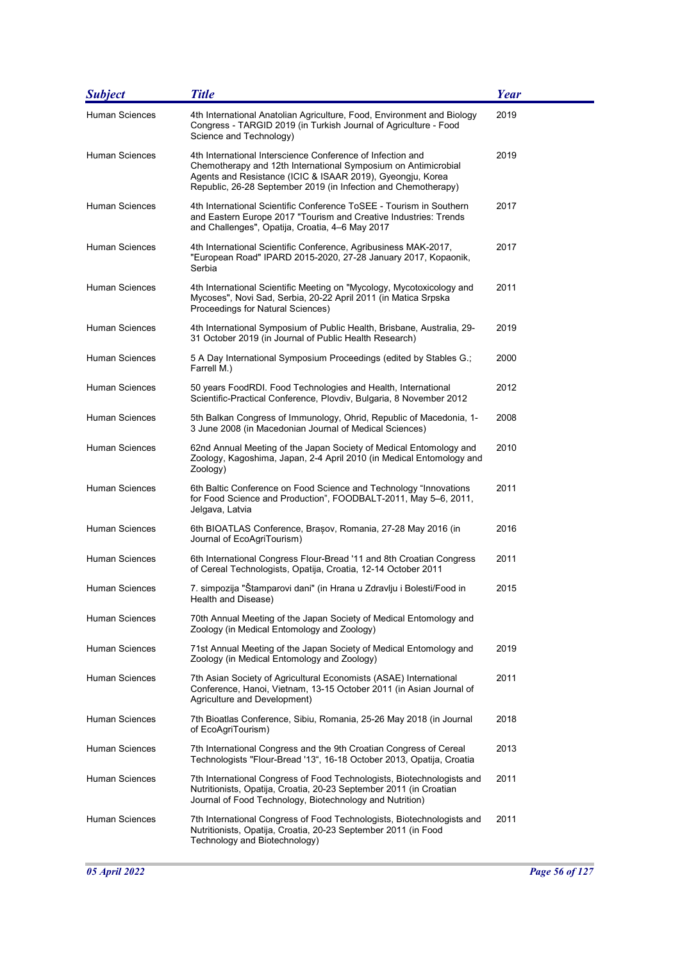| <b>Subject</b>        | <b>Title</b>                                                                                                                                                                                                                                                 | Year |
|-----------------------|--------------------------------------------------------------------------------------------------------------------------------------------------------------------------------------------------------------------------------------------------------------|------|
| Human Sciences        | 4th International Anatolian Agriculture, Food, Environment and Biology<br>Congress - TARGID 2019 (in Turkish Journal of Agriculture - Food<br>Science and Technology)                                                                                        | 2019 |
| Human Sciences        | 4th International Interscience Conference of Infection and<br>Chemotherapy and 12th International Symposium on Antimicrobial<br>Agents and Resistance (ICIC & ISAAR 2019), Gyeongju, Korea<br>Republic, 26-28 September 2019 (in Infection and Chemotherapy) | 2019 |
| Human Sciences        | 4th International Scientific Conference ToSEE - Tourism in Southern<br>and Eastern Europe 2017 "Tourism and Creative Industries: Trends<br>and Challenges", Opatija, Croatia, 4-6 May 2017                                                                   | 2017 |
| Human Sciences        | 4th International Scientific Conference, Agribusiness MAK-2017,<br>"European Road" IPARD 2015-2020, 27-28 January 2017, Kopaonik,<br>Serbia                                                                                                                  | 2017 |
| Human Sciences        | 4th International Scientific Meeting on "Mycology, Mycotoxicology and<br>Mycoses", Novi Sad, Serbia, 20-22 April 2011 (in Matica Srpska<br>Proceedings for Natural Sciences)                                                                                 | 2011 |
| <b>Human Sciences</b> | 4th International Symposium of Public Health, Brisbane, Australia, 29-<br>31 October 2019 (in Journal of Public Health Research)                                                                                                                             | 2019 |
| Human Sciences        | 5 A Day International Symposium Proceedings (edited by Stables G.;<br>Farrell M.)                                                                                                                                                                            | 2000 |
| <b>Human Sciences</b> | 50 years FoodRDI. Food Technologies and Health, International<br>Scientific-Practical Conference, Plovdiv, Bulgaria, 8 November 2012                                                                                                                         | 2012 |
| <b>Human Sciences</b> | 5th Balkan Congress of Immunology, Ohrid, Republic of Macedonia, 1-<br>3 June 2008 (in Macedonian Journal of Medical Sciences)                                                                                                                               | 2008 |
| <b>Human Sciences</b> | 62nd Annual Meeting of the Japan Society of Medical Entomology and<br>Zoology, Kagoshima, Japan, 2-4 April 2010 (in Medical Entomology and<br>Zoology)                                                                                                       | 2010 |
| Human Sciences        | 6th Baltic Conference on Food Science and Technology "Innovations<br>for Food Science and Production", FOODBALT-2011, May 5–6, 2011,<br>Jelgava, Latvia                                                                                                      | 2011 |
| <b>Human Sciences</b> | 6th BIOATLAS Conference, Brasov, Romania, 27-28 May 2016 (in<br>Journal of EcoAgriTourism)                                                                                                                                                                   | 2016 |
| Human Sciences        | 6th International Congress Flour-Bread '11 and 8th Croatian Congress<br>of Cereal Technologists, Opatija, Croatia, 12-14 October 2011                                                                                                                        | 2011 |
| Human Sciences        | 7. simpozija "Štamparovi dani" (in Hrana u Zdravlju i Bolesti/Food in<br>Health and Disease)                                                                                                                                                                 | 2015 |
| <b>Human Sciences</b> | 70th Annual Meeting of the Japan Society of Medical Entomology and<br>Zoology (in Medical Entomology and Zoology)                                                                                                                                            |      |
| <b>Human Sciences</b> | 71st Annual Meeting of the Japan Society of Medical Entomology and<br>Zoology (in Medical Entomology and Zoology)                                                                                                                                            | 2019 |
| Human Sciences        | 7th Asian Society of Agricultural Economists (ASAE) International<br>Conference, Hanoi, Vietnam, 13-15 October 2011 (in Asian Journal of<br>Agriculture and Development)                                                                                     | 2011 |
| Human Sciences        | 7th Bioatlas Conference, Sibiu, Romania, 25-26 May 2018 (in Journal<br>of EcoAgriTourism)                                                                                                                                                                    | 2018 |
| Human Sciences        | 7th International Congress and the 9th Croatian Congress of Cereal<br>Technologists "Flour-Bread '13", 16-18 October 2013, Opatija, Croatia                                                                                                                  | 2013 |
| Human Sciences        | 7th International Congress of Food Technologists, Biotechnologists and<br>Nutritionists, Opatija, Croatia, 20-23 September 2011 (in Croatian<br>Journal of Food Technology, Biotechnology and Nutrition)                                                     | 2011 |
| Human Sciences        | 7th International Congress of Food Technologists, Biotechnologists and<br>Nutritionists, Opatija, Croatia, 20-23 September 2011 (in Food<br>Technology and Biotechnology)                                                                                    | 2011 |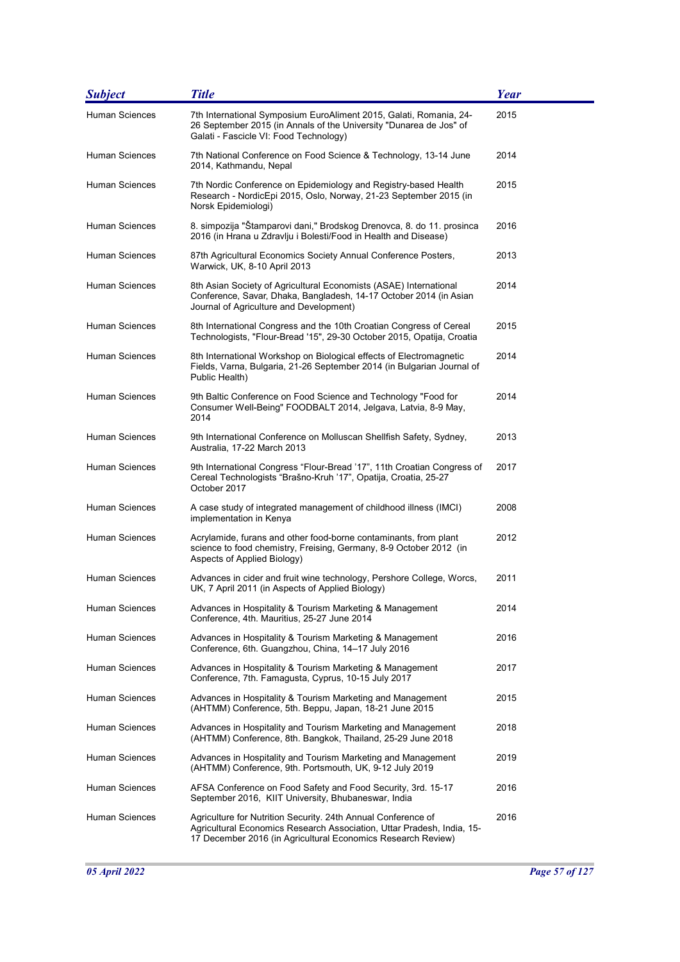| <b>Subject</b>        | <b>Title</b>                                                                                                                                                                                            | Year |
|-----------------------|---------------------------------------------------------------------------------------------------------------------------------------------------------------------------------------------------------|------|
| <b>Human Sciences</b> | 7th International Symposium EuroAliment 2015, Galati, Romania, 24-<br>26 September 2015 (in Annals of the University "Dunarea de Jos" of<br>Galati - Fascicle VI: Food Technology)                      | 2015 |
| Human Sciences        | 7th National Conference on Food Science & Technology, 13-14 June<br>2014, Kathmandu, Nepal                                                                                                              | 2014 |
| Human Sciences        | 7th Nordic Conference on Epidemiology and Registry-based Health<br>Research - NordicEpi 2015, Oslo, Norway, 21-23 September 2015 (in<br>Norsk Epidemiologi)                                             | 2015 |
| Human Sciences        | 8. simpozija "Štamparovi dani," Brodskog Drenovca, 8. do 11. prosinca<br>2016 (in Hrana u Zdravlju i Bolesti/Food in Health and Disease)                                                                | 2016 |
| Human Sciences        | 87th Agricultural Economics Society Annual Conference Posters,<br>Warwick, UK, 8-10 April 2013                                                                                                          | 2013 |
| Human Sciences        | 8th Asian Society of Agricultural Economists (ASAE) International<br>Conference, Savar, Dhaka, Bangladesh, 14-17 October 2014 (in Asian<br>Journal of Agriculture and Development)                      | 2014 |
| <b>Human Sciences</b> | 8th International Congress and the 10th Croatian Congress of Cereal<br>Technologists, "Flour-Bread '15", 29-30 October 2015, Opatija, Croatia                                                           | 2015 |
| Human Sciences        | 8th International Workshop on Biological effects of Electromagnetic<br>Fields, Varna, Bulgaria, 21-26 September 2014 (in Bulgarian Journal of<br>Public Health)                                         | 2014 |
| Human Sciences        | 9th Baltic Conference on Food Science and Technology "Food for<br>Consumer Well-Being" FOODBALT 2014, Jelgava, Latvia, 8-9 May,<br>2014                                                                 | 2014 |
| Human Sciences        | 9th International Conference on Molluscan Shellfish Safety, Sydney,<br>Australia, 17-22 March 2013                                                                                                      | 2013 |
| Human Sciences        | 9th International Congress "Flour-Bread '17", 11th Croatian Congress of<br>Cereal Technologists "Brašno-Kruh '17", Opatija, Croatia, 25-27<br>October 2017                                              | 2017 |
| Human Sciences        | A case study of integrated management of childhood illness (IMCI)<br>implementation in Kenya                                                                                                            | 2008 |
| Human Sciences        | Acrylamide, furans and other food-borne contaminants, from plant<br>science to food chemistry, Freising, Germany, 8-9 October 2012 (in<br>Aspects of Applied Biology)                                   | 2012 |
| Human Sciences        | Advances in cider and fruit wine technology, Pershore College, Worcs,<br>UK, 7 April 2011 (in Aspects of Applied Biology)                                                                               | 2011 |
| Human Sciences        | Advances in Hospitality & Tourism Marketing & Management<br>Conference, 4th. Mauritius, 25-27 June 2014                                                                                                 | 2014 |
| Human Sciences        | Advances in Hospitality & Tourism Marketing & Management<br>Conference, 6th. Guangzhou, China, 14-17 July 2016                                                                                          | 2016 |
| Human Sciences        | Advances in Hospitality & Tourism Marketing & Management<br>Conference, 7th. Famagusta, Cyprus, 10-15 July 2017                                                                                         | 2017 |
| <b>Human Sciences</b> | Advances in Hospitality & Tourism Marketing and Management<br>(AHTMM) Conference, 5th. Beppu, Japan, 18-21 June 2015                                                                                    | 2015 |
| Human Sciences        | Advances in Hospitality and Tourism Marketing and Management<br>(AHTMM) Conference, 8th. Bangkok, Thailand, 25-29 June 2018                                                                             | 2018 |
| Human Sciences        | Advances in Hospitality and Tourism Marketing and Management<br>(AHTMM) Conference, 9th. Portsmouth, UK, 9-12 July 2019                                                                                 | 2019 |
| Human Sciences        | AFSA Conference on Food Safety and Food Security, 3rd. 15-17<br>September 2016, KIIT University, Bhubaneswar, India                                                                                     | 2016 |
| Human Sciences        | Agriculture for Nutrition Security. 24th Annual Conference of<br>Agricultural Economics Research Association, Uttar Pradesh, India, 15-<br>17 December 2016 (in Agricultural Economics Research Review) | 2016 |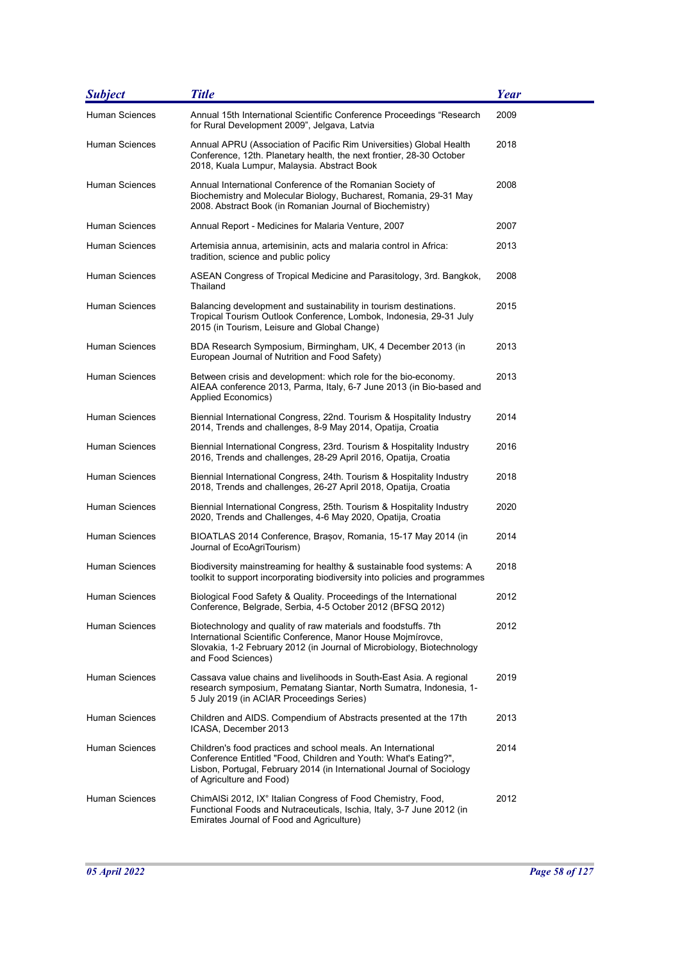| <b>Subject</b>        | <b>Title</b>                                                                                                                                                                                                                          | <b>Year</b> |
|-----------------------|---------------------------------------------------------------------------------------------------------------------------------------------------------------------------------------------------------------------------------------|-------------|
| <b>Human Sciences</b> | Annual 15th International Scientific Conference Proceedings "Research<br>for Rural Development 2009", Jelgava, Latvia                                                                                                                 | 2009        |
| Human Sciences        | Annual APRU (Association of Pacific Rim Universities) Global Health<br>Conference, 12th. Planetary health, the next frontier, 28-30 October<br>2018, Kuala Lumpur, Malaysia. Abstract Book                                            | 2018        |
| Human Sciences        | Annual International Conference of the Romanian Society of<br>Biochemistry and Molecular Biology, Bucharest, Romania, 29-31 May<br>2008. Abstract Book (in Romanian Journal of Biochemistry)                                          | 2008        |
| Human Sciences        | Annual Report - Medicines for Malaria Venture, 2007                                                                                                                                                                                   | 2007        |
| <b>Human Sciences</b> | Artemisia annua, artemisinin, acts and malaria control in Africa:<br>tradition, science and public policy                                                                                                                             | 2013        |
| Human Sciences        | ASEAN Congress of Tropical Medicine and Parasitology, 3rd. Bangkok,<br>Thailand                                                                                                                                                       | 2008        |
| <b>Human Sciences</b> | Balancing development and sustainability in tourism destinations.<br>Tropical Tourism Outlook Conference, Lombok, Indonesia, 29-31 July<br>2015 (in Tourism, Leisure and Global Change)                                               | 2015        |
| Human Sciences        | BDA Research Symposium, Birmingham, UK, 4 December 2013 (in<br>European Journal of Nutrition and Food Safety)                                                                                                                         | 2013        |
| <b>Human Sciences</b> | Between crisis and development: which role for the bio-economy.<br>AIEAA conference 2013, Parma, Italy, 6-7 June 2013 (in Bio-based and<br>Applied Economics)                                                                         | 2013        |
| <b>Human Sciences</b> | Biennial International Congress, 22nd. Tourism & Hospitality Industry<br>2014, Trends and challenges, 8-9 May 2014, Opatija, Croatia                                                                                                  | 2014        |
| Human Sciences        | Biennial International Congress, 23rd. Tourism & Hospitality Industry<br>2016, Trends and challenges, 28-29 April 2016, Opatija, Croatia                                                                                              | 2016        |
| Human Sciences        | Biennial International Congress, 24th. Tourism & Hospitality Industry<br>2018, Trends and challenges, 26-27 April 2018, Opatija, Croatia                                                                                              | 2018        |
| Human Sciences        | Biennial International Congress, 25th. Tourism & Hospitality Industry<br>2020, Trends and Challenges, 4-6 May 2020, Opatija, Croatia                                                                                                  | 2020        |
| Human Sciences        | BIOATLAS 2014 Conference, Brasov, Romania, 15-17 May 2014 (in<br>Journal of EcoAgriTourism)                                                                                                                                           | 2014        |
| Human Sciences        | Biodiversity mainstreaming for healthy & sustainable food systems: A<br>toolkit to support incorporating biodiversity into policies and programmes                                                                                    | 2018        |
| Human Sciences        | Biological Food Safety & Quality. Proceedings of the International<br>Conference, Belgrade, Serbia, 4-5 October 2012 (BFSQ 2012)                                                                                                      | 2012        |
| Human Sciences        | Biotechnology and quality of raw materials and foodstuffs. 7th<br>International Scientific Conference, Manor House Mojmírovce,<br>Slovakia, 1-2 February 2012 (in Journal of Microbiology, Biotechnology<br>and Food Sciences)        | 2012        |
| Human Sciences        | Cassava value chains and livelihoods in South-East Asia. A regional<br>research symposium, Pematang Siantar, North Sumatra, Indonesia, 1-<br>5 July 2019 (in ACIAR Proceedings Series)                                                | 2019        |
| Human Sciences        | Children and AIDS. Compendium of Abstracts presented at the 17th<br>ICASA, December 2013                                                                                                                                              | 2013        |
| Human Sciences        | Children's food practices and school meals. An International<br>Conference Entitled "Food, Children and Youth: What's Eating?",<br>Lisbon, Portugal, February 2014 (in International Journal of Sociology<br>of Agriculture and Food) | 2014        |
| Human Sciences        | ChimAISi 2012, IX° Italian Congress of Food Chemistry, Food,<br>Functional Foods and Nutraceuticals, Ischia, Italy, 3-7 June 2012 (in<br>Emirates Journal of Food and Agriculture)                                                    | 2012        |

J.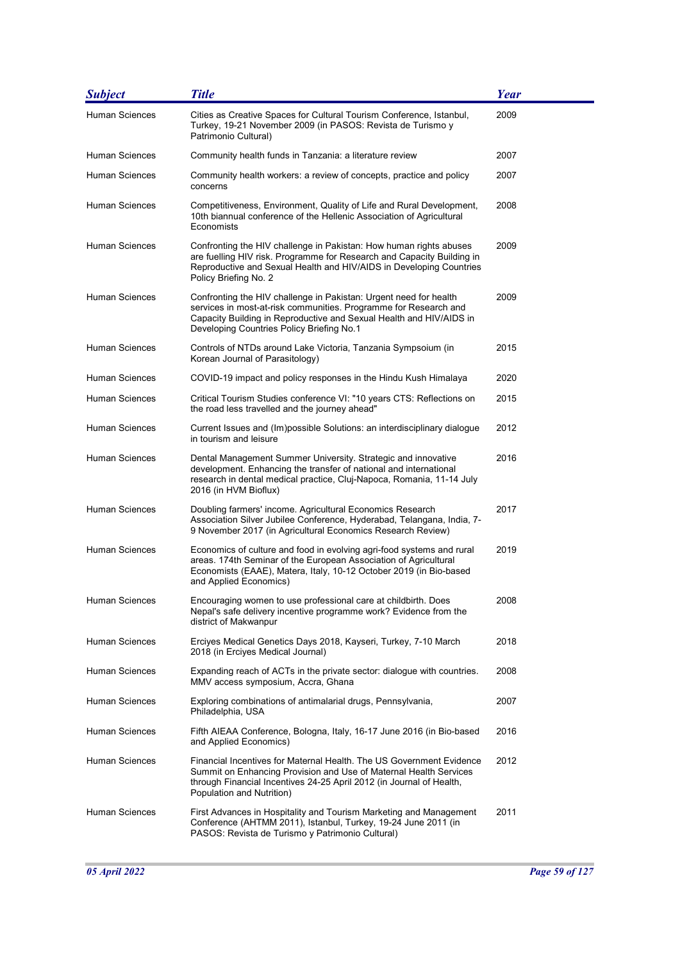| <b>Subject</b>        | <b>Title</b>                                                                                                                                                                                                                                              | <b>Year</b> |
|-----------------------|-----------------------------------------------------------------------------------------------------------------------------------------------------------------------------------------------------------------------------------------------------------|-------------|
| <b>Human Sciences</b> | Cities as Creative Spaces for Cultural Tourism Conference, Istanbul,<br>Turkey, 19-21 November 2009 (in PASOS: Revista de Turismo y<br>Patrimonio Cultural)                                                                                               | 2009        |
| <b>Human Sciences</b> | Community health funds in Tanzania: a literature review                                                                                                                                                                                                   | 2007        |
| Human Sciences        | Community health workers: a review of concepts, practice and policy<br>concerns                                                                                                                                                                           | 2007        |
| <b>Human Sciences</b> | Competitiveness, Environment, Quality of Life and Rural Development,<br>10th biannual conference of the Hellenic Association of Agricultural<br>Economists                                                                                                | 2008        |
| Human Sciences        | Confronting the HIV challenge in Pakistan: How human rights abuses<br>are fuelling HIV risk. Programme for Research and Capacity Building in<br>Reproductive and Sexual Health and HIV/AIDS in Developing Countries<br>Policy Briefing No. 2              | 2009        |
| <b>Human Sciences</b> | Confronting the HIV challenge in Pakistan: Urgent need for health<br>services in most-at-risk communities. Programme for Research and<br>Capacity Building in Reproductive and Sexual Health and HIV/AIDS in<br>Developing Countries Policy Briefing No.1 | 2009        |
| <b>Human Sciences</b> | Controls of NTDs around Lake Victoria, Tanzania Sympsoium (in<br>Korean Journal of Parasitology)                                                                                                                                                          | 2015        |
| <b>Human Sciences</b> | COVID-19 impact and policy responses in the Hindu Kush Himalaya                                                                                                                                                                                           | 2020        |
| Human Sciences        | Critical Tourism Studies conference VI: "10 years CTS: Reflections on<br>the road less travelled and the journey ahead"                                                                                                                                   | 2015        |
| <b>Human Sciences</b> | Current Issues and (Im)possible Solutions: an interdisciplinary dialogue<br>in tourism and leisure                                                                                                                                                        | 2012        |
| <b>Human Sciences</b> | Dental Management Summer University. Strategic and innovative<br>development. Enhancing the transfer of national and international<br>research in dental medical practice, Cluj-Napoca, Romania, 11-14 July<br>2016 (in HVM Bioflux)                      | 2016        |
| <b>Human Sciences</b> | Doubling farmers' income. Agricultural Economics Research<br>Association Silver Jubilee Conference, Hyderabad, Telangana, India, 7-<br>9 November 2017 (in Agricultural Economics Research Review)                                                        | 2017        |
| <b>Human Sciences</b> | Economics of culture and food in evolving agri-food systems and rural<br>areas. 174th Seminar of the European Association of Agricultural<br>Economists (EAAE), Matera, Italy, 10-12 October 2019 (in Bio-based<br>and Applied Economics)                 | 2019        |
| Human Sciences        | Encouraging women to use professional care at childbirth. Does<br>Nepal's safe delivery incentive programme work? Evidence from the<br>district of Makwanpur                                                                                              | 2008        |
| <b>Human Sciences</b> | Erciyes Medical Genetics Days 2018, Kayseri, Turkey, 7-10 March<br>2018 (in Erciyes Medical Journal)                                                                                                                                                      | 2018        |
| <b>Human Sciences</b> | Expanding reach of ACTs in the private sector: dialogue with countries.<br>MMV access symposium, Accra, Ghana                                                                                                                                             | 2008        |
| Human Sciences        | Exploring combinations of antimalarial drugs, Pennsylvania,<br>Philadelphia, USA                                                                                                                                                                          | 2007        |
| <b>Human Sciences</b> | Fifth AIEAA Conference, Bologna, Italy, 16-17 June 2016 (in Bio-based<br>and Applied Economics)                                                                                                                                                           | 2016        |
| Human Sciences        | Financial Incentives for Maternal Health. The US Government Evidence<br>Summit on Enhancing Provision and Use of Maternal Health Services<br>through Financial Incentives 24-25 April 2012 (in Journal of Health,<br>Population and Nutrition)            | 2012        |
| <b>Human Sciences</b> | First Advances in Hospitality and Tourism Marketing and Management<br>Conference (AHTMM 2011), Istanbul, Turkey, 19-24 June 2011 (in<br>PASOS: Revista de Turismo y Patrimonio Cultural)                                                                  | 2011        |

J.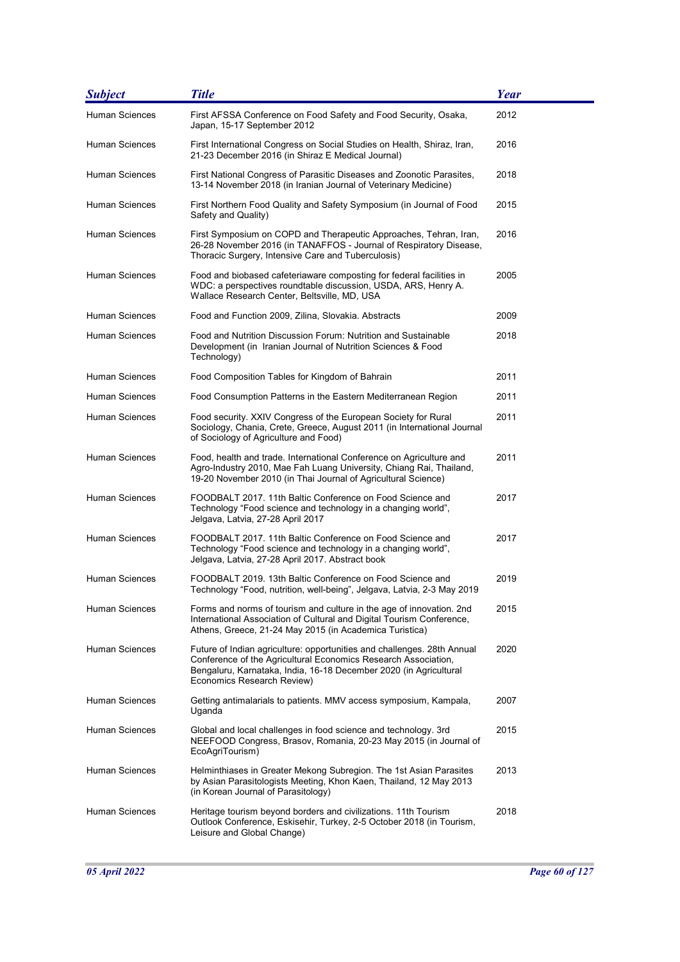| <b>Subject</b>        | <b>Title</b>                                                                                                                                                                                                                                 | <b>Year</b> |
|-----------------------|----------------------------------------------------------------------------------------------------------------------------------------------------------------------------------------------------------------------------------------------|-------------|
| <b>Human Sciences</b> | First AFSSA Conference on Food Safety and Food Security, Osaka,<br>Japan, 15-17 September 2012                                                                                                                                               | 2012        |
| <b>Human Sciences</b> | First International Congress on Social Studies on Health, Shiraz, Iran,<br>21-23 December 2016 (in Shiraz E Medical Journal)                                                                                                                 | 2016        |
| Human Sciences        | First National Congress of Parasitic Diseases and Zoonotic Parasites,<br>13-14 November 2018 (in Iranian Journal of Veterinary Medicine)                                                                                                     | 2018        |
| Human Sciences        | First Northern Food Quality and Safety Symposium (in Journal of Food<br>Safety and Quality)                                                                                                                                                  | 2015        |
| Human Sciences        | First Symposium on COPD and Therapeutic Approaches, Tehran, Iran,<br>26-28 November 2016 (in TANAFFOS - Journal of Respiratory Disease,<br>Thoracic Surgery, Intensive Care and Tuberculosis)                                                | 2016        |
| <b>Human Sciences</b> | Food and biobased cafeteriaware composting for federal facilities in<br>WDC: a perspectives roundtable discussion, USDA, ARS, Henry A.<br>Wallace Research Center, Beltsville, MD, USA                                                       | 2005        |
| Human Sciences        | Food and Function 2009, Zilina, Slovakia. Abstracts                                                                                                                                                                                          | 2009        |
| Human Sciences        | Food and Nutrition Discussion Forum: Nutrition and Sustainable<br>Development (in Iranian Journal of Nutrition Sciences & Food<br>Technology)                                                                                                | 2018        |
| <b>Human Sciences</b> | Food Composition Tables for Kingdom of Bahrain                                                                                                                                                                                               | 2011        |
| Human Sciences        | Food Consumption Patterns in the Eastern Mediterranean Region                                                                                                                                                                                | 2011        |
| <b>Human Sciences</b> | Food security. XXIV Congress of the European Society for Rural<br>Sociology, Chania, Crete, Greece, August 2011 (in International Journal<br>of Sociology of Agriculture and Food)                                                           | 2011        |
| Human Sciences        | Food, health and trade. International Conference on Agriculture and<br>Agro-Industry 2010, Mae Fah Luang University, Chiang Rai, Thailand,<br>19-20 November 2010 (in Thai Journal of Agricultural Science)                                  | 2011        |
| <b>Human Sciences</b> | FOODBALT 2017. 11th Baltic Conference on Food Science and<br>Technology "Food science and technology in a changing world",<br>Jelgava, Latvia, 27-28 April 2017                                                                              | 2017        |
| <b>Human Sciences</b> | FOODBALT 2017. 11th Baltic Conference on Food Science and<br>Technology "Food science and technology in a changing world",<br>Jelgava, Latvia, 27-28 April 2017. Abstract book                                                               | 2017        |
| Human Sciences        | FOODBALT 2019. 13th Baltic Conference on Food Science and<br>Technology "Food, nutrition, well-being", Jelgava, Latvia, 2-3 May 2019                                                                                                         | 2019        |
| <b>Human Sciences</b> | Forms and norms of tourism and culture in the age of innovation. 2nd<br>International Association of Cultural and Digital Tourism Conference,<br>Athens, Greece, 21-24 May 2015 (in Academica Turistica)                                     | 2015        |
| Human Sciences        | Future of Indian agriculture: opportunities and challenges. 28th Annual<br>Conference of the Agricultural Economics Research Association,<br>Bengaluru, Karnataka, India, 16-18 December 2020 (in Agricultural<br>Economics Research Review) | 2020        |
| <b>Human Sciences</b> | Getting antimalarials to patients. MMV access symposium, Kampala,<br>Uganda                                                                                                                                                                  | 2007        |
| Human Sciences        | Global and local challenges in food science and technology. 3rd<br>NEEFOOD Congress, Brasov, Romania, 20-23 May 2015 (in Journal of<br>EcoAgriTourism)                                                                                       | 2015        |
| Human Sciences        | Helminthiases in Greater Mekong Subregion. The 1st Asian Parasites<br>by Asian Parasitologists Meeting, Khon Kaen, Thailand, 12 May 2013<br>(in Korean Journal of Parasitology)                                                              | 2013        |
| Human Sciences        | Heritage tourism beyond borders and civilizations. 11th Tourism<br>Outlook Conference, Eskisehir, Turkey, 2-5 October 2018 (in Tourism,<br>Leisure and Global Change)                                                                        | 2018        |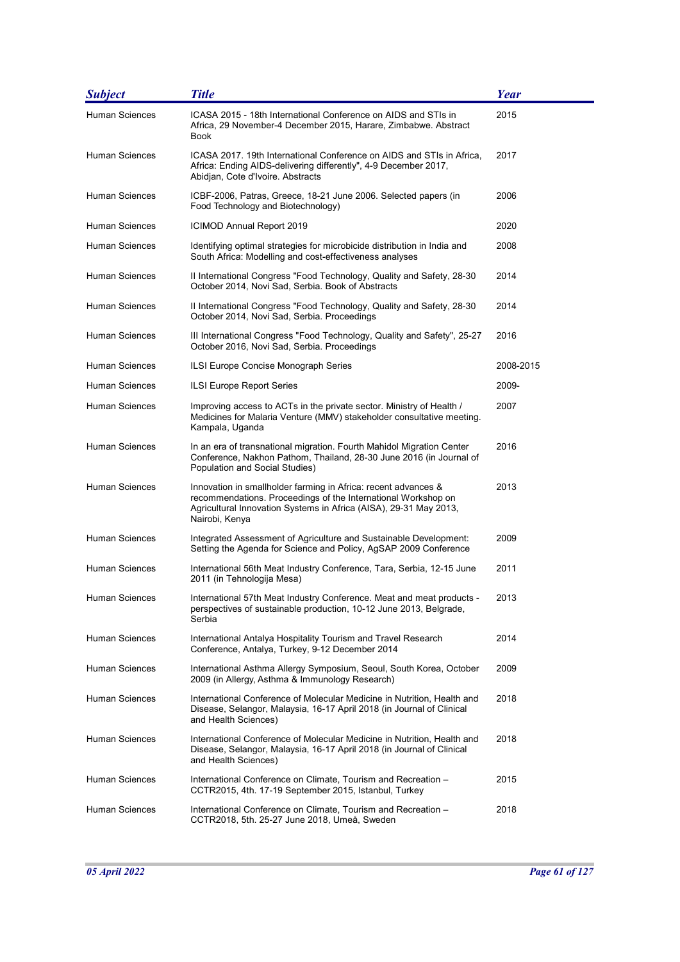| <b>Subject</b>        | <b>Title</b>                                                                                                                                                                                                           | Year      |
|-----------------------|------------------------------------------------------------------------------------------------------------------------------------------------------------------------------------------------------------------------|-----------|
| <b>Human Sciences</b> | ICASA 2015 - 18th International Conference on AIDS and STIs in<br>Africa, 29 November-4 December 2015, Harare, Zimbabwe. Abstract<br>Book                                                                              | 2015      |
| Human Sciences        | ICASA 2017. 19th International Conference on AIDS and STIs in Africa,<br>Africa: Ending AIDS-delivering differently", 4-9 December 2017,<br>Abidjan, Cote d'Ivoire. Abstracts                                          | 2017      |
| <b>Human Sciences</b> | ICBF-2006, Patras, Greece, 18-21 June 2006. Selected papers (in<br>Food Technology and Biotechnology)                                                                                                                  | 2006      |
| Human Sciences        | <b>ICIMOD Annual Report 2019</b>                                                                                                                                                                                       | 2020      |
| <b>Human Sciences</b> | Identifying optimal strategies for microbicide distribution in India and<br>South Africa: Modelling and cost-effectiveness analyses                                                                                    | 2008      |
| Human Sciences        | II International Congress "Food Technology, Quality and Safety, 28-30<br>October 2014, Novi Sad, Serbia. Book of Abstracts                                                                                             | 2014      |
| Human Sciences        | II International Congress "Food Technology, Quality and Safety, 28-30<br>October 2014, Novi Sad, Serbia. Proceedings                                                                                                   | 2014      |
| <b>Human Sciences</b> | III International Congress "Food Technology, Quality and Safety", 25-27<br>October 2016, Novi Sad, Serbia. Proceedings                                                                                                 | 2016      |
| Human Sciences        | ILSI Europe Concise Monograph Series                                                                                                                                                                                   | 2008-2015 |
| <b>Human Sciences</b> | ILSI Europe Report Series                                                                                                                                                                                              | 2009-     |
| Human Sciences        | Improving access to ACTs in the private sector. Ministry of Health /<br>Medicines for Malaria Venture (MMV) stakeholder consultative meeting.<br>Kampala, Uganda                                                       | 2007      |
| <b>Human Sciences</b> | In an era of transnational migration. Fourth Mahidol Migration Center<br>Conference, Nakhon Pathom, Thailand, 28-30 June 2016 (in Journal of<br>Population and Social Studies)                                         | 2016      |
| Human Sciences        | Innovation in smallholder farming in Africa: recent advances &<br>recommendations. Proceedings of the International Workshop on<br>Agricultural Innovation Systems in Africa (AISA), 29-31 May 2013,<br>Nairobi, Kenya | 2013      |
| <b>Human Sciences</b> | Integrated Assessment of Agriculture and Sustainable Development:<br>Setting the Agenda for Science and Policy, AgSAP 2009 Conference                                                                                  | 2009      |
| <b>Human Sciences</b> | International 56th Meat Industry Conference, Tara, Serbia, 12-15 June<br>2011 (in Tehnologija Mesa)                                                                                                                    | 2011      |
| Human Sciences        | International 57th Meat Industry Conference. Meat and meat products -<br>perspectives of sustainable production, 10-12 June 2013, Belgrade,<br>Serbia                                                                  | 2013      |
| <b>Human Sciences</b> | International Antalya Hospitality Tourism and Travel Research<br>Conference, Antalya, Turkey, 9-12 December 2014                                                                                                       | 2014      |
| <b>Human Sciences</b> | International Asthma Allergy Symposium, Seoul, South Korea, October<br>2009 (in Allergy, Asthma & Immunology Research)                                                                                                 | 2009      |
| Human Sciences        | International Conference of Molecular Medicine in Nutrition, Health and<br>Disease, Selangor, Malaysia, 16-17 April 2018 (in Journal of Clinical<br>and Health Sciences)                                               | 2018      |
| Human Sciences        | International Conference of Molecular Medicine in Nutrition, Health and<br>Disease, Selangor, Malaysia, 16-17 April 2018 (in Journal of Clinical<br>and Health Sciences)                                               | 2018      |
| <b>Human Sciences</b> | International Conference on Climate, Tourism and Recreation -<br>CCTR2015, 4th. 17-19 September 2015, Istanbul, Turkey                                                                                                 | 2015      |
| Human Sciences        | International Conference on Climate, Tourism and Recreation -<br>CCTR2018, 5th. 25-27 June 2018, Umeå, Sweden                                                                                                          | 2018      |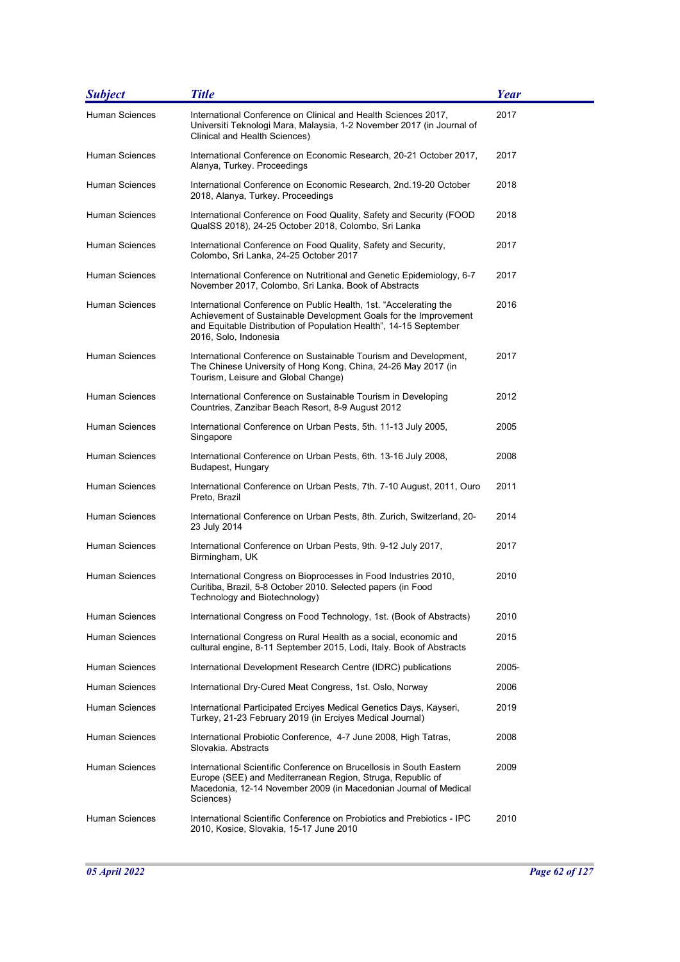| <b>Subject</b>        | <b>Title</b>                                                                                                                                                                                                                        | Year  |
|-----------------------|-------------------------------------------------------------------------------------------------------------------------------------------------------------------------------------------------------------------------------------|-------|
| Human Sciences        | International Conference on Clinical and Health Sciences 2017,<br>Universiti Teknologi Mara, Malaysia, 1-2 November 2017 (in Journal of<br>Clinical and Health Sciences)                                                            | 2017  |
| Human Sciences        | International Conference on Economic Research, 20-21 October 2017,<br>Alanya, Turkey. Proceedings                                                                                                                                   | 2017  |
| Human Sciences        | International Conference on Economic Research, 2nd.19-20 October<br>2018, Alanya, Turkey. Proceedings                                                                                                                               | 2018  |
| Human Sciences        | International Conference on Food Quality, Safety and Security (FOOD<br>QualSS 2018), 24-25 October 2018, Colombo, Sri Lanka                                                                                                         | 2018  |
| Human Sciences        | International Conference on Food Quality, Safety and Security,<br>Colombo, Sri Lanka, 24-25 October 2017                                                                                                                            | 2017  |
| Human Sciences        | International Conference on Nutritional and Genetic Epidemiology, 6-7<br>November 2017, Colombo, Sri Lanka. Book of Abstracts                                                                                                       | 2017  |
| Human Sciences        | International Conference on Public Health, 1st. "Accelerating the<br>Achievement of Sustainable Development Goals for the Improvement<br>and Equitable Distribution of Population Health", 14-15 September<br>2016, Solo, Indonesia | 2016  |
| Human Sciences        | International Conference on Sustainable Tourism and Development,<br>The Chinese University of Hong Kong, China, 24-26 May 2017 (in<br>Tourism, Leisure and Global Change)                                                           | 2017  |
| Human Sciences        | International Conference on Sustainable Tourism in Developing<br>Countries, Zanzibar Beach Resort, 8-9 August 2012                                                                                                                  | 2012  |
| Human Sciences        | International Conference on Urban Pests, 5th. 11-13 July 2005,<br>Singapore                                                                                                                                                         | 2005  |
| Human Sciences        | International Conference on Urban Pests, 6th. 13-16 July 2008,<br>Budapest, Hungary                                                                                                                                                 | 2008  |
| Human Sciences        | International Conference on Urban Pests, 7th. 7-10 August, 2011, Ouro<br>Preto, Brazil                                                                                                                                              | 2011  |
| <b>Human Sciences</b> | International Conference on Urban Pests, 8th. Zurich, Switzerland, 20-<br>23 July 2014                                                                                                                                              | 2014  |
| Human Sciences        | International Conference on Urban Pests, 9th. 9-12 July 2017,<br>Birmingham, UK                                                                                                                                                     | 2017  |
| Human Sciences        | International Congress on Bioprocesses in Food Industries 2010,<br>Curitiba, Brazil, 5-8 October 2010. Selected papers (in Food<br>Technology and Biotechnology)                                                                    | 2010  |
| Human Sciences        | International Congress on Food Technology, 1st. (Book of Abstracts)                                                                                                                                                                 | 2010  |
| Human Sciences        | International Congress on Rural Health as a social, economic and<br>cultural engine, 8-11 September 2015, Lodi, Italy. Book of Abstracts                                                                                            | 2015  |
| Human Sciences        | International Development Research Centre (IDRC) publications                                                                                                                                                                       | 2005- |
| <b>Human Sciences</b> | International Dry-Cured Meat Congress, 1st. Oslo, Norway                                                                                                                                                                            | 2006  |
| Human Sciences        | International Participated Erciyes Medical Genetics Days, Kayseri,<br>Turkey, 21-23 February 2019 (in Erciyes Medical Journal)                                                                                                      | 2019  |
| Human Sciences        | International Probiotic Conference, 4-7 June 2008, High Tatras,<br>Slovakia. Abstracts                                                                                                                                              | 2008  |
| Human Sciences        | International Scientific Conference on Brucellosis in South Eastern<br>Europe (SEE) and Mediterranean Region, Struga, Republic of<br>Macedonia, 12-14 November 2009 (in Macedonian Journal of Medical<br>Sciences)                  | 2009  |
| Human Sciences        | International Scientific Conference on Probiotics and Prebiotics - IPC<br>2010, Kosice, Slovakia, 15-17 June 2010                                                                                                                   | 2010  |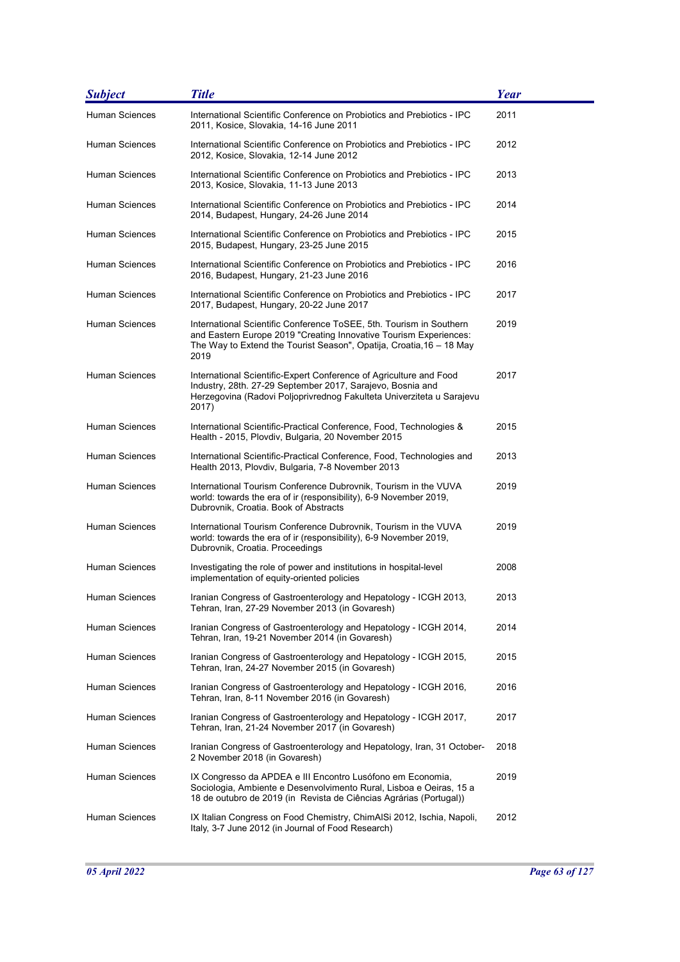| <b>Subject</b>        | <b>Title</b>                                                                                                                                                                                                             | Year |
|-----------------------|--------------------------------------------------------------------------------------------------------------------------------------------------------------------------------------------------------------------------|------|
| <b>Human Sciences</b> | International Scientific Conference on Probiotics and Prebiotics - IPC<br>2011, Kosice, Slovakia, 14-16 June 2011                                                                                                        | 2011 |
| Human Sciences        | International Scientific Conference on Probiotics and Prebiotics - IPC<br>2012, Kosice, Slovakia, 12-14 June 2012                                                                                                        | 2012 |
| Human Sciences        | International Scientific Conference on Probiotics and Prebiotics - IPC<br>2013, Kosice, Slovakia, 11-13 June 2013                                                                                                        | 2013 |
| Human Sciences        | International Scientific Conference on Probiotics and Prebiotics - IPC<br>2014, Budapest, Hungary, 24-26 June 2014                                                                                                       | 2014 |
| Human Sciences        | International Scientific Conference on Probiotics and Prebiotics - IPC<br>2015, Budapest, Hungary, 23-25 June 2015                                                                                                       | 2015 |
| Human Sciences        | International Scientific Conference on Probiotics and Prebiotics - IPC<br>2016, Budapest, Hungary, 21-23 June 2016                                                                                                       | 2016 |
| Human Sciences        | International Scientific Conference on Probiotics and Prebiotics - IPC<br>2017, Budapest, Hungary, 20-22 June 2017                                                                                                       | 2017 |
| Human Sciences        | International Scientific Conference ToSEE, 5th, Tourism in Southern<br>and Eastern Europe 2019 "Creating Innovative Tourism Experiences:<br>The Way to Extend the Tourist Season", Opatija, Croatia, 16 – 18 May<br>2019 | 2019 |
| Human Sciences        | International Scientific-Expert Conference of Agriculture and Food<br>Industry, 28th. 27-29 September 2017, Sarajevo, Bosnia and<br>Herzegovina (Radovi Poljoprivrednog Fakulteta Univerziteta u Sarajevu<br>2017)       | 2017 |
| Human Sciences        | International Scientific-Practical Conference, Food, Technologies &<br>Health - 2015, Plovdiv, Bulgaria, 20 November 2015                                                                                                | 2015 |
| Human Sciences        | International Scientific-Practical Conference, Food, Technologies and<br>Health 2013, Plovdiv, Bulgaria, 7-8 November 2013                                                                                               | 2013 |
| Human Sciences        | International Tourism Conference Dubrovnik, Tourism in the VUVA<br>world: towards the era of ir (responsibility), 6-9 November 2019,<br>Dubrovnik, Croatia. Book of Abstracts                                            | 2019 |
| Human Sciences        | International Tourism Conference Dubrovnik, Tourism in the VUVA<br>world: towards the era of ir (responsibility), 6-9 November 2019,<br>Dubrovnik, Croatia. Proceedings                                                  | 2019 |
| Human Sciences        | Investigating the role of power and institutions in hospital-level<br>implementation of equity-oriented policies                                                                                                         | 2008 |
| Human Sciences        | Iranian Congress of Gastroenterology and Hepatology - ICGH 2013,<br>Tehran, Iran, 27-29 November 2013 (in Govaresh)                                                                                                      | 2013 |
| Human Sciences        | Iranian Congress of Gastroenterology and Hepatology - ICGH 2014,<br>Tehran, Iran, 19-21 November 2014 (in Govaresh)                                                                                                      | 2014 |
| Human Sciences        | Iranian Congress of Gastroenterology and Hepatology - ICGH 2015,<br>Tehran, Iran, 24-27 November 2015 (in Govaresh)                                                                                                      | 2015 |
| Human Sciences        | Iranian Congress of Gastroenterology and Hepatology - ICGH 2016.<br>Tehran, Iran, 8-11 November 2016 (in Govaresh)                                                                                                       | 2016 |
| Human Sciences        | Iranian Congress of Gastroenterology and Hepatology - ICGH 2017,<br>Tehran, Iran, 21-24 November 2017 (in Govaresh)                                                                                                      | 2017 |
| Human Sciences        | Iranian Congress of Gastroenterology and Hepatology, Iran, 31 October-<br>2 November 2018 (in Govaresh)                                                                                                                  | 2018 |
| Human Sciences        | IX Congresso da APDEA e III Encontro Lusófono em Economia,<br>Sociologia, Ambiente e Desenvolvimento Rural, Lisboa e Oeiras, 15 a<br>18 de outubro de 2019 (in Revista de Ciências Agrárias (Portugal))                  | 2019 |
| Human Sciences        | IX Italian Congress on Food Chemistry, ChimAISi 2012, Ischia, Napoli,<br>Italy, 3-7 June 2012 (in Journal of Food Research)                                                                                              | 2012 |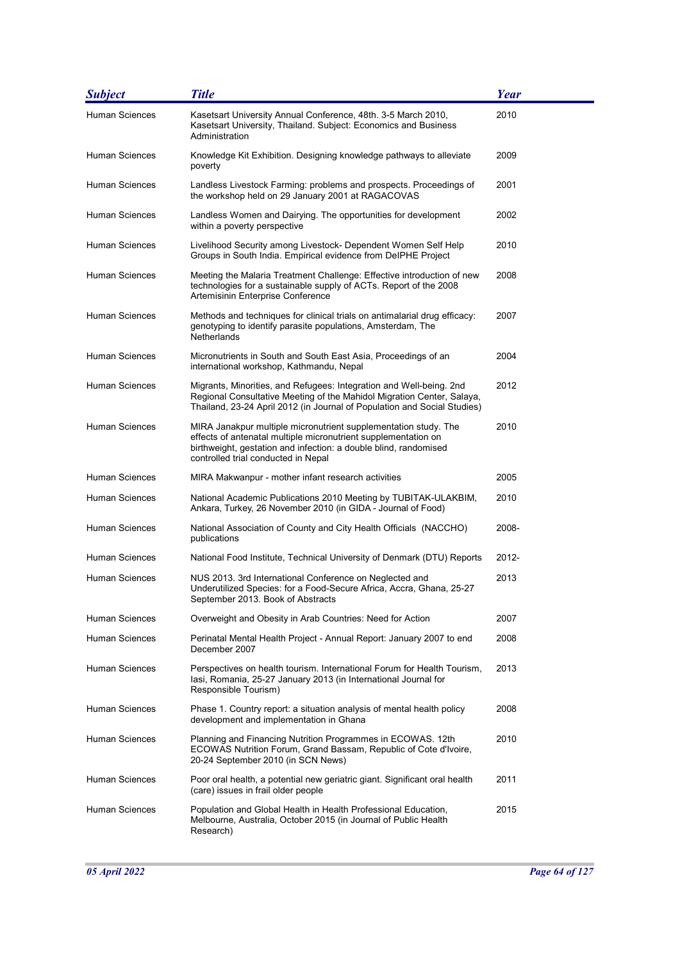| <b>Subject</b>        | <b>Title</b>                                                                                                                                                                                                                                 | <b>Year</b> |
|-----------------------|----------------------------------------------------------------------------------------------------------------------------------------------------------------------------------------------------------------------------------------------|-------------|
| Human Sciences        | Kasetsart University Annual Conference, 48th. 3-5 March 2010,<br>Kasetsart University, Thailand. Subject: Economics and Business<br>Administration                                                                                           | 2010        |
| Human Sciences        | Knowledge Kit Exhibition. Designing knowledge pathways to alleviate<br>poverty                                                                                                                                                               | 2009        |
| Human Sciences        | Landless Livestock Farming: problems and prospects. Proceedings of<br>the workshop held on 29 January 2001 at RAGACOVAS                                                                                                                      | 2001        |
| Human Sciences        | Landless Women and Dairying. The opportunities for development<br>within a poverty perspective                                                                                                                                               | 2002        |
| Human Sciences        | Livelihood Security among Livestock- Dependent Women Self Help<br>Groups in South India. Empirical evidence from DeIPHE Project                                                                                                              | 2010        |
| Human Sciences        | Meeting the Malaria Treatment Challenge: Effective introduction of new<br>technologies for a sustainable supply of ACTs. Report of the 2008<br>Artemisinin Enterprise Conference                                                             | 2008        |
| Human Sciences        | Methods and techniques for clinical trials on antimalarial drug efficacy:<br>genotyping to identify parasite populations, Amsterdam, The<br><b>Netherlands</b>                                                                               | 2007        |
| Human Sciences        | Micronutrients in South and South East Asia, Proceedings of an<br>international workshop, Kathmandu, Nepal                                                                                                                                   | 2004        |
| Human Sciences        | Migrants, Minorities, and Refugees: Integration and Well-being. 2nd<br>Regional Consultative Meeting of the Mahidol Migration Center, Salaya,<br>Thailand, 23-24 April 2012 (in Journal of Population and Social Studies)                    | 2012        |
| Human Sciences        | MIRA Janakpur multiple micronutrient supplementation study. The<br>effects of antenatal multiple micronutrient supplementation on<br>birthweight, gestation and infection: a double blind, randomised<br>controlled trial conducted in Nepal | 2010        |
| Human Sciences        | MIRA Makwanpur - mother infant research activities                                                                                                                                                                                           | 2005        |
| Human Sciences        | National Academic Publications 2010 Meeting by TUBITAK-ULAKBIM,<br>Ankara, Turkey, 26 November 2010 (in GIDA - Journal of Food)                                                                                                              | 2010        |
| Human Sciences        | National Association of County and City Health Officials (NACCHO)<br>publications                                                                                                                                                            | 2008-       |
| Human Sciences        | National Food Institute, Technical University of Denmark (DTU) Reports                                                                                                                                                                       | 2012-       |
| Human Sciences        | NUS 2013. 3rd International Conference on Neglected and<br>Underutilized Species: for a Food-Secure Africa, Accra, Ghana, 25-27<br>September 2013. Book of Abstracts                                                                         | 2013        |
| Human Sciences        | Overweight and Obesity in Arab Countries: Need for Action                                                                                                                                                                                    | 2007        |
| Human Sciences        | Perinatal Mental Health Project - Annual Report: January 2007 to end<br>December 2007                                                                                                                                                        | 2008        |
| Human Sciences        | Perspectives on health tourism. International Forum for Health Tourism,<br>lasi, Romania, 25-27 January 2013 (in International Journal for<br>Responsible Tourism)                                                                           | 2013        |
| Human Sciences        | Phase 1. Country report: a situation analysis of mental health policy<br>development and implementation in Ghana                                                                                                                             | 2008        |
| Human Sciences        | Planning and Financing Nutrition Programmes in ECOWAS. 12th<br>ECOWAS Nutrition Forum, Grand Bassam, Republic of Cote d'Ivoire,<br>20-24 September 2010 (in SCN News)                                                                        | 2010        |
| <b>Human Sciences</b> | Poor oral health, a potential new geriatric giant. Significant oral health<br>(care) issues in frail older people                                                                                                                            | 2011        |
| Human Sciences        | Population and Global Health in Health Professional Education,<br>Melbourne, Australia, October 2015 (in Journal of Public Health<br>Research)                                                                                               | 2015        |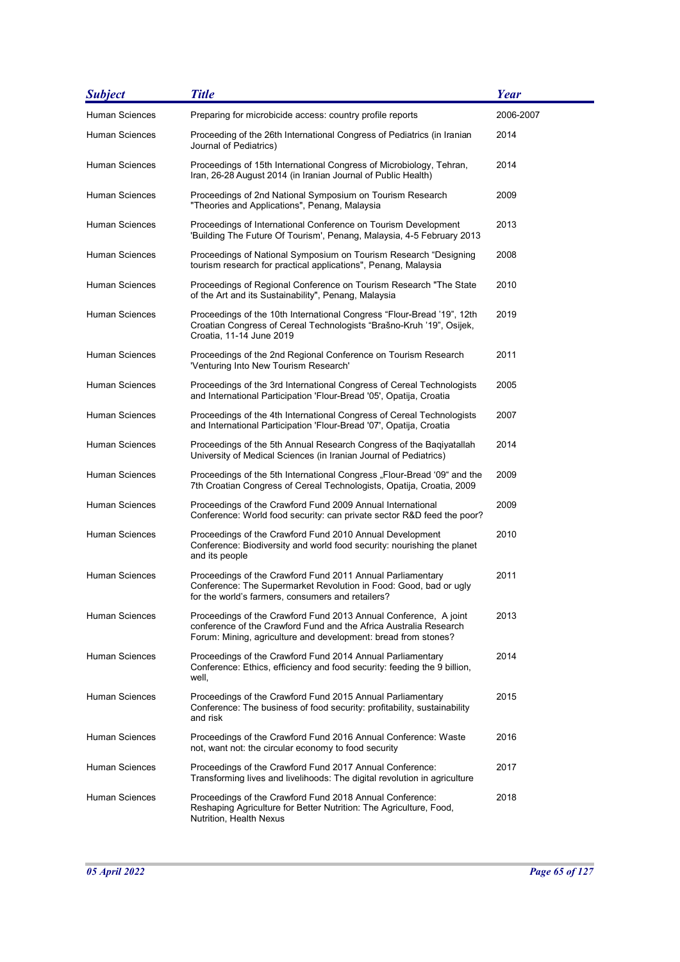| <b>Subject</b>        | <b>Title</b>                                                                                                                                                                                            | <b>Year</b> |
|-----------------------|---------------------------------------------------------------------------------------------------------------------------------------------------------------------------------------------------------|-------------|
| <b>Human Sciences</b> | Preparing for microbicide access: country profile reports                                                                                                                                               | 2006-2007   |
| Human Sciences        | Proceeding of the 26th International Congress of Pediatrics (in Iranian<br>Journal of Pediatrics)                                                                                                       | 2014        |
| Human Sciences        | Proceedings of 15th International Congress of Microbiology, Tehran,<br>Iran, 26-28 August 2014 (in Iranian Journal of Public Health)                                                                    | 2014        |
| Human Sciences        | Proceedings of 2nd National Symposium on Tourism Research<br>"Theories and Applications", Penang, Malaysia                                                                                              | 2009        |
| Human Sciences        | Proceedings of International Conference on Tourism Development<br>'Building The Future Of Tourism', Penang, Malaysia, 4-5 February 2013                                                                 | 2013        |
| Human Sciences        | Proceedings of National Symposium on Tourism Research "Designing<br>tourism research for practical applications", Penang, Malaysia                                                                      | 2008        |
| <b>Human Sciences</b> | Proceedings of Regional Conference on Tourism Research "The State<br>of the Art and its Sustainability", Penang, Malaysia                                                                               | 2010        |
| Human Sciences        | Proceedings of the 10th International Congress "Flour-Bread '19", 12th<br>Croatian Congress of Cereal Technologists "Brašno-Kruh '19", Osijek,<br>Croatia, 11-14 June 2019                              | 2019        |
| <b>Human Sciences</b> | Proceedings of the 2nd Regional Conference on Tourism Research<br>'Venturing Into New Tourism Research'                                                                                                 | 2011        |
| Human Sciences        | Proceedings of the 3rd International Congress of Cereal Technologists<br>and International Participation 'Flour-Bread '05', Opatija, Croatia                                                            | 2005        |
| Human Sciences        | Proceedings of the 4th International Congress of Cereal Technologists<br>and International Participation 'Flour-Bread '07', Opatija, Croatia                                                            | 2007        |
| Human Sciences        | Proceedings of the 5th Annual Research Congress of the Bagiyatallah<br>University of Medical Sciences (in Iranian Journal of Pediatrics)                                                                | 2014        |
| <b>Human Sciences</b> | Proceedings of the 5th International Congress "Flour-Bread '09" and the<br>7th Croatian Congress of Cereal Technologists, Opatija, Croatia, 2009                                                        | 2009        |
| Human Sciences        | Proceedings of the Crawford Fund 2009 Annual International<br>Conference: World food security: can private sector R&D feed the poor?                                                                    | 2009        |
| Human Sciences        | Proceedings of the Crawford Fund 2010 Annual Development<br>Conference: Biodiversity and world food security: nourishing the planet<br>and its people                                                   | 2010        |
| <b>Human Sciences</b> | Proceedings of the Crawford Fund 2011 Annual Parliamentary<br>Conference: The Supermarket Revolution in Food: Good, bad or ugly<br>for the world's farmers, consumers and retailers?                    | 2011        |
| <b>Human Sciences</b> | Proceedings of the Crawford Fund 2013 Annual Conference, A joint<br>conference of the Crawford Fund and the Africa Australia Research<br>Forum: Mining, agriculture and development: bread from stones? | 2013        |
| <b>Human Sciences</b> | Proceedings of the Crawford Fund 2014 Annual Parliamentary<br>Conference: Ethics, efficiency and food security: feeding the 9 billion,<br>well.                                                         | 2014        |
| <b>Human Sciences</b> | Proceedings of the Crawford Fund 2015 Annual Parliamentary<br>Conference: The business of food security: profitability, sustainability<br>and risk                                                      | 2015        |
| Human Sciences        | Proceedings of the Crawford Fund 2016 Annual Conference: Waste<br>not, want not: the circular economy to food security                                                                                  | 2016        |
| Human Sciences        | Proceedings of the Crawford Fund 2017 Annual Conference:<br>Transforming lives and livelihoods: The digital revolution in agriculture                                                                   | 2017        |
| <b>Human Sciences</b> | Proceedings of the Crawford Fund 2018 Annual Conference:<br>Reshaping Agriculture for Better Nutrition: The Agriculture, Food,<br>Nutrition, Health Nexus                                               | 2018        |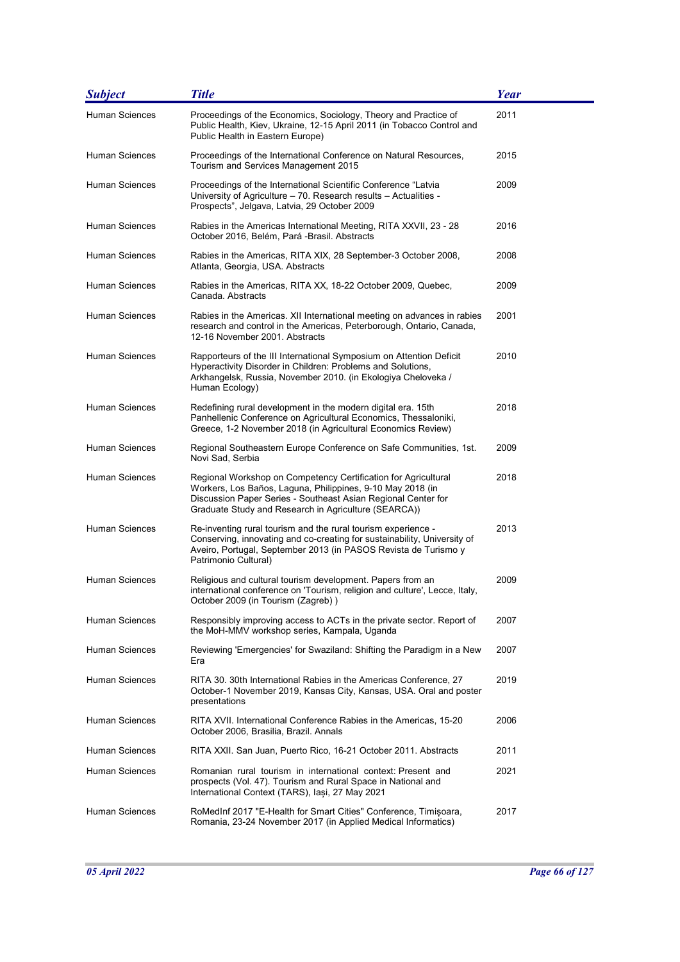| <b>Subject</b>        | <b>Title</b>                                                                                                                                                                                                                                          | <b>Year</b> |
|-----------------------|-------------------------------------------------------------------------------------------------------------------------------------------------------------------------------------------------------------------------------------------------------|-------------|
| <b>Human Sciences</b> | Proceedings of the Economics, Sociology, Theory and Practice of<br>Public Health, Kiev, Ukraine, 12-15 April 2011 (in Tobacco Control and<br>Public Health in Eastern Europe)                                                                         | 2011        |
| Human Sciences        | Proceedings of the International Conference on Natural Resources,<br>Tourism and Services Management 2015                                                                                                                                             | 2015        |
| Human Sciences        | Proceedings of the International Scientific Conference "Latvia<br>University of Agriculture – 70. Research results – Actualities -<br>Prospects", Jelgava, Latvia, 29 October 2009                                                                    | 2009        |
| Human Sciences        | Rabies in the Americas International Meeting, RITA XXVII, 23 - 28<br>October 2016, Belém, Pará -Brasil. Abstracts                                                                                                                                     | 2016        |
| Human Sciences        | Rabies in the Americas, RITA XIX, 28 September-3 October 2008,<br>Atlanta, Georgia, USA. Abstracts                                                                                                                                                    | 2008        |
| Human Sciences        | Rabies in the Americas, RITA XX, 18-22 October 2009, Quebec,<br>Canada. Abstracts                                                                                                                                                                     | 2009        |
| Human Sciences        | Rabies in the Americas. XII International meeting on advances in rabies<br>research and control in the Americas, Peterborough, Ontario, Canada,<br>12-16 November 2001. Abstracts                                                                     | 2001        |
| Human Sciences        | Rapporteurs of the III International Symposium on Attention Deficit<br>Hyperactivity Disorder in Children: Problems and Solutions,<br>Arkhangelsk, Russia, November 2010. (in Ekologiya Cheloveka /<br>Human Ecology)                                 | 2010        |
| Human Sciences        | Redefining rural development in the modern digital era. 15th<br>Panhellenic Conference on Agricultural Economics, Thessaloniki,<br>Greece, 1-2 November 2018 (in Agricultural Economics Review)                                                       | 2018        |
| Human Sciences        | Regional Southeastern Europe Conference on Safe Communities, 1st.<br>Novi Sad, Serbia                                                                                                                                                                 | 2009        |
| Human Sciences        | Regional Workshop on Competency Certification for Agricultural<br>Workers, Los Baños, Laguna, Philippines, 9-10 May 2018 (in<br>Discussion Paper Series - Southeast Asian Regional Center for<br>Graduate Study and Research in Agriculture (SEARCA)) | 2018        |
| Human Sciences        | Re-inventing rural tourism and the rural tourism experience -<br>Conserving, innovating and co-creating for sustainability, University of<br>Aveiro, Portugal, September 2013 (in PASOS Revista de Turismo y<br>Patrimonio Cultural)                  | 2013        |
| Human Sciences        | Religious and cultural tourism development. Papers from an<br>international conference on 'Tourism, religion and culture', Lecce, Italy,<br>October 2009 (in Tourism (Zagreb))                                                                        | 2009        |
| Human Sciences        | Responsibly improving access to ACTs in the private sector. Report of<br>the MoH-MMV workshop series, Kampala, Uganda                                                                                                                                 | 2007        |
| Human Sciences        | Reviewing 'Emergencies' for Swaziland: Shifting the Paradigm in a New<br>Era                                                                                                                                                                          | 2007        |
| Human Sciences        | RITA 30, 30th International Rabies in the Americas Conference, 27<br>October-1 November 2019, Kansas City, Kansas, USA. Oral and poster<br>presentations                                                                                              | 2019        |
| Human Sciences        | RITA XVII. International Conference Rabies in the Americas, 15-20<br>October 2006, Brasilia, Brazil. Annals                                                                                                                                           | 2006        |
| Human Sciences        | RITA XXII. San Juan, Puerto Rico, 16-21 October 2011. Abstracts                                                                                                                                                                                       | 2011        |
| Human Sciences        | Romanian rural tourism in international context: Present and<br>prospects (Vol. 47). Tourism and Rural Space in National and<br>International Context (TARS), Iași, 27 May 2021                                                                       | 2021        |
| Human Sciences        | RoMedInf 2017 "E-Health for Smart Cities" Conference, Timisoara,<br>Romania, 23-24 November 2017 (in Applied Medical Informatics)                                                                                                                     | 2017        |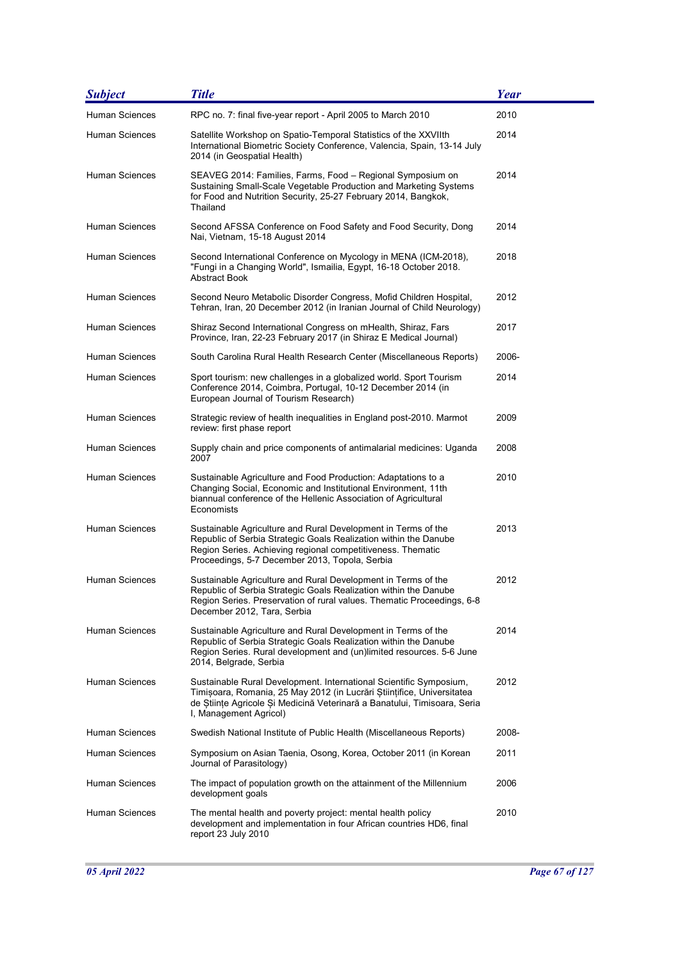| <b>Subject</b>        | <b>Title</b>                                                                                                                                                                                                                                       | Year  |
|-----------------------|----------------------------------------------------------------------------------------------------------------------------------------------------------------------------------------------------------------------------------------------------|-------|
| <b>Human Sciences</b> | RPC no. 7: final five-year report - April 2005 to March 2010                                                                                                                                                                                       | 2010  |
| Human Sciences        | Satellite Workshop on Spatio-Temporal Statistics of the XXVIIth<br>International Biometric Society Conference, Valencia, Spain, 13-14 July<br>2014 (in Geospatial Health)                                                                          | 2014  |
| Human Sciences        | SEAVEG 2014: Families, Farms, Food - Regional Symposium on<br>Sustaining Small-Scale Vegetable Production and Marketing Systems<br>for Food and Nutrition Security, 25-27 February 2014, Bangkok,<br>Thailand                                      | 2014  |
| <b>Human Sciences</b> | Second AFSSA Conference on Food Safety and Food Security, Dong<br>Nai, Vietnam, 15-18 August 2014                                                                                                                                                  | 2014  |
| Human Sciences        | Second International Conference on Mycology in MENA (ICM-2018),<br>"Fungi in a Changing World", Ismailia, Egypt, 16-18 October 2018.<br>Abstract Book                                                                                              | 2018  |
| Human Sciences        | Second Neuro Metabolic Disorder Congress, Mofid Children Hospital,<br>Tehran, Iran, 20 December 2012 (in Iranian Journal of Child Neurology)                                                                                                       | 2012  |
| Human Sciences        | Shiraz Second International Congress on mHealth, Shiraz, Fars<br>Province, Iran, 22-23 February 2017 (in Shiraz E Medical Journal)                                                                                                                 | 2017  |
| Human Sciences        | South Carolina Rural Health Research Center (Miscellaneous Reports)                                                                                                                                                                                | 2006- |
| Human Sciences        | Sport tourism: new challenges in a globalized world. Sport Tourism<br>Conference 2014, Coimbra, Portugal, 10-12 December 2014 (in<br>European Journal of Tourism Research)                                                                         | 2014  |
| Human Sciences        | Strategic review of health inequalities in England post-2010. Marmot<br>review: first phase report                                                                                                                                                 | 2009  |
| Human Sciences        | Supply chain and price components of antimalarial medicines: Uganda<br>2007                                                                                                                                                                        | 2008  |
| Human Sciences        | Sustainable Agriculture and Food Production: Adaptations to a<br>Changing Social, Economic and Institutional Environment, 11th<br>biannual conference of the Hellenic Association of Agricultural<br>Economists                                    | 2010  |
| Human Sciences        | Sustainable Agriculture and Rural Development in Terms of the<br>Republic of Serbia Strategic Goals Realization within the Danube<br>Region Series. Achieving regional competitiveness. Thematic<br>Proceedings, 5-7 December 2013, Topola, Serbia | 2013  |
| <b>Human Sciences</b> | Sustainable Agriculture and Rural Development in Terms of the<br>Republic of Serbia Strategic Goals Realization within the Danube<br>Region Series. Preservation of rural values. Thematic Proceedings, 6-8<br>December 2012, Tara, Serbia         | 2012  |
| Human Sciences        | Sustainable Agriculture and Rural Development in Terms of the<br>Republic of Serbia Strategic Goals Realization within the Danube<br>Region Series. Rural development and (un)limited resources. 5-6 June<br>2014, Belgrade, Serbia                | 2014  |
| Human Sciences        | Sustainable Rural Development. International Scientific Symposium,<br>Timișoara, Romania, 25 May 2012 (in Lucrări Științifice, Universitatea<br>de Stiințe Agricole Și Medicină Veterinară a Banatului, Timisoara, Seria<br>I, Management Agricol) | 2012  |
| <b>Human Sciences</b> | Swedish National Institute of Public Health (Miscellaneous Reports)                                                                                                                                                                                | 2008- |
| Human Sciences        | Symposium on Asian Taenia, Osong, Korea, October 2011 (in Korean<br>Journal of Parasitology)                                                                                                                                                       | 2011  |
| Human Sciences        | The impact of population growth on the attainment of the Millennium<br>development goals                                                                                                                                                           | 2006  |
| Human Sciences        | The mental health and poverty project: mental health policy<br>development and implementation in four African countries HD6, final<br>report 23 July 2010                                                                                          | 2010  |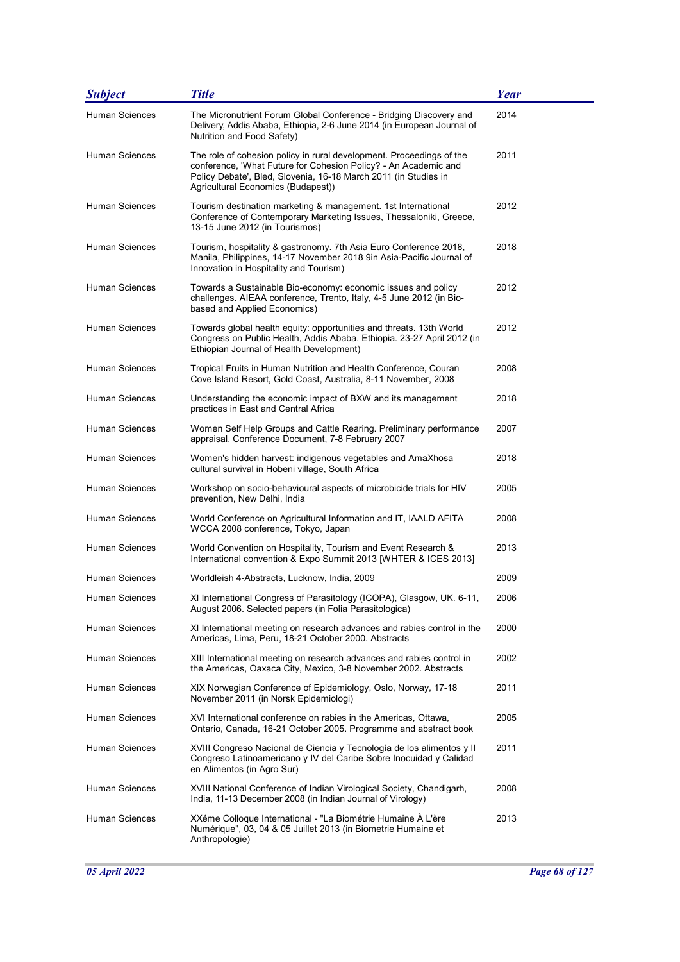| <b>Subject</b>        | <b>Title</b>                                                                                                                                                                                                                                     | <b>Year</b> |
|-----------------------|--------------------------------------------------------------------------------------------------------------------------------------------------------------------------------------------------------------------------------------------------|-------------|
| Human Sciences        | The Micronutrient Forum Global Conference - Bridging Discovery and<br>Delivery, Addis Ababa, Ethiopia, 2-6 June 2014 (in European Journal of<br>Nutrition and Food Safety)                                                                       | 2014        |
| Human Sciences        | The role of cohesion policy in rural development. Proceedings of the<br>conference, 'What Future for Cohesion Policy? - An Academic and<br>Policy Debate', Bled, Slovenia, 16-18 March 2011 (in Studies in<br>Agricultural Economics (Budapest)) | 2011        |
| Human Sciences        | Tourism destination marketing & management. 1st International<br>Conference of Contemporary Marketing Issues, Thessaloniki, Greece,<br>13-15 June 2012 (in Tourismos)                                                                            | 2012        |
| Human Sciences        | Tourism, hospitality & gastronomy. 7th Asia Euro Conference 2018,<br>Manila, Philippines, 14-17 November 2018 9in Asia-Pacific Journal of<br>Innovation in Hospitality and Tourism)                                                              | 2018        |
| Human Sciences        | Towards a Sustainable Bio-economy: economic issues and policy<br>challenges. AIEAA conference, Trento, Italy, 4-5 June 2012 (in Bio-<br>based and Applied Economics)                                                                             | 2012        |
| Human Sciences        | Towards global health equity: opportunities and threats. 13th World<br>Congress on Public Health, Addis Ababa, Ethiopia. 23-27 April 2012 (in<br>Ethiopian Journal of Health Development)                                                        | 2012        |
| <b>Human Sciences</b> | Tropical Fruits in Human Nutrition and Health Conference, Couran<br>Cove Island Resort, Gold Coast, Australia, 8-11 November, 2008                                                                                                               | 2008        |
| Human Sciences        | Understanding the economic impact of BXW and its management<br>practices in East and Central Africa                                                                                                                                              | 2018        |
| Human Sciences        | Women Self Help Groups and Cattle Rearing. Preliminary performance<br>appraisal. Conference Document, 7-8 February 2007                                                                                                                          | 2007        |
| Human Sciences        | Women's hidden harvest: indigenous vegetables and AmaXhosa<br>cultural survival in Hobeni village, South Africa                                                                                                                                  | 2018        |
| Human Sciences        | Workshop on socio-behavioural aspects of microbicide trials for HIV<br>prevention, New Delhi, India                                                                                                                                              | 2005        |
| Human Sciences        | World Conference on Agricultural Information and IT, IAALD AFITA<br>WCCA 2008 conference, Tokyo, Japan                                                                                                                                           | 2008        |
| Human Sciences        | World Convention on Hospitality, Tourism and Event Research &<br>International convention & Expo Summit 2013 [WHTER & ICES 2013]                                                                                                                 | 2013        |
| Human Sciences        | Worldleish 4-Abstracts, Lucknow, India, 2009                                                                                                                                                                                                     | 2009        |
| Human Sciences        | XI International Congress of Parasitology (ICOPA), Glasgow, UK. 6-11,<br>August 2006. Selected papers (in Folia Parasitologica)                                                                                                                  | 2006        |
| Human Sciences        | XI International meeting on research advances and rabies control in the<br>Americas, Lima, Peru, 18-21 October 2000. Abstracts                                                                                                                   | 2000        |
| Human Sciences        | XIII International meeting on research advances and rabies control in<br>the Americas, Oaxaca City, Mexico, 3-8 November 2002. Abstracts                                                                                                         | 2002        |
| Human Sciences        | XIX Norwegian Conference of Epidemiology, Oslo, Norway, 17-18<br>November 2011 (in Norsk Epidemiologi)                                                                                                                                           | 2011        |
| Human Sciences        | XVI International conference on rabies in the Americas, Ottawa,<br>Ontario, Canada, 16-21 October 2005. Programme and abstract book                                                                                                              | 2005        |
| Human Sciences        | XVIII Congreso Nacional de Ciencia y Tecnología de los alimentos y II<br>Congreso Latinoamericano y IV del Caribe Sobre Inocuidad y Calidad<br>en Alimentos (in Agro Sur)                                                                        | 2011        |
| Human Sciences        | XVIII National Conference of Indian Virological Society, Chandigarh,<br>India, 11-13 December 2008 (in Indian Journal of Virology)                                                                                                               | 2008        |
| Human Sciences        | XXéme Colloque International - "La Biométrie Humaine À L'ère<br>Numérique", 03, 04 & 05 Juillet 2013 (in Biometrie Humaine et<br>Anthropologie)                                                                                                  | 2013        |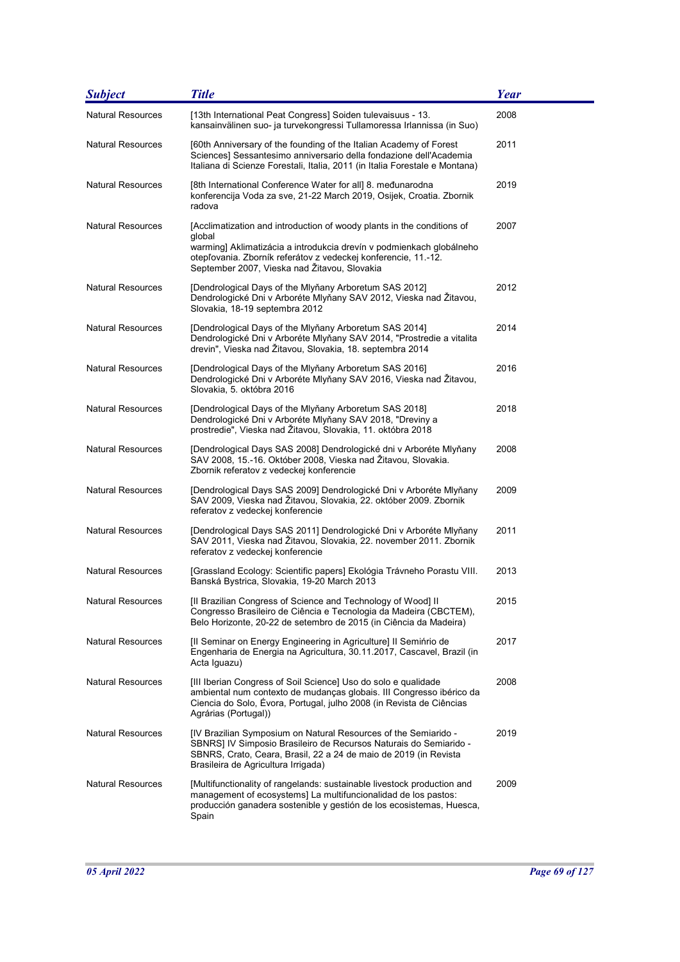| <b>Subject</b>           | <b>Title</b>                                                                                                                                                                                                                                                               | <b>Year</b> |
|--------------------------|----------------------------------------------------------------------------------------------------------------------------------------------------------------------------------------------------------------------------------------------------------------------------|-------------|
| <b>Natural Resources</b> | [13th International Peat Congress] Soiden tulevaisuus - 13.<br>kansainvälinen suo- ja turvekongressi Tullamoressa Irlannissa (in Suo)                                                                                                                                      | 2008        |
| <b>Natural Resources</b> | [60th Anniversary of the founding of the Italian Academy of Forest<br>Sciences] Sessantesimo anniversario della fondazione dell'Academia<br>Italiana di Scienze Forestali, Italia, 2011 (in Italia Forestale e Montana)                                                    | 2011        |
| <b>Natural Resources</b> | [8th International Conference Water for all] 8. međunarodna<br>konferencija Voda za sve, 21-22 March 2019, Osijek, Croatia. Zbornik<br>radova                                                                                                                              | 2019        |
| <b>Natural Resources</b> | [Acclimatization and introduction of woody plants in the conditions of<br>global<br>warming] Aklimatizácia a introdukcia drevín v podmienkach globálneho<br>otepľovania. Zborník referátov z vedeckej konferencie, 11.-12.<br>September 2007, Vieska nad Žitavou, Slovakia | 2007        |
| <b>Natural Resources</b> | [Dendrological Days of the Mlyňany Arboretum SAS 2012]<br>Dendrologické Dni v Arboréte Mlyňany SAV 2012, Vieska nad Žitavou,<br>Slovakia, 18-19 septembra 2012                                                                                                             | 2012        |
| <b>Natural Resources</b> | [Dendrological Days of the Mlyňany Arboretum SAS 2014]<br>Dendrologické Dni v Arboréte Mlyňany SAV 2014, "Prostredie a vitalita<br>drevin", Vieska nad Žitavou, Slovakia, 18. septembra 2014                                                                               | 2014        |
| <b>Natural Resources</b> | [Dendrological Days of the Mlyňany Arboretum SAS 2016]<br>Dendrologické Dni v Arboréte Mlyňany SAV 2016, Vieska nad Žitavou,<br>Slovakia, 5. októbra 2016                                                                                                                  | 2016        |
| <b>Natural Resources</b> | [Dendrological Days of the Mlyňany Arboretum SAS 2018]<br>Dendrologické Dni v Arboréte Mlyňany SAV 2018, "Dreviny a<br>prostredie", Vieska nad Žitavou, Slovakia, 11. októbra 2018                                                                                         | 2018        |
| <b>Natural Resources</b> | [Dendrological Days SAS 2008] Dendrologické dni v Arboréte Mlyňany<br>SAV 2008, 15.-16. Október 2008, Vieska nad Žitavou, Slovakia.<br>Zbornik referatov z vedeckej konferencie                                                                                            | 2008        |
| <b>Natural Resources</b> | [Dendrological Days SAS 2009] Dendrologické Dni v Arboréte Mlyňany<br>SAV 2009, Vieska nad Žitavou, Slovakia, 22. október 2009. Zbornik<br>referatov z vedeckej konferencie                                                                                                | 2009        |
| <b>Natural Resources</b> | [Dendrological Days SAS 2011] Dendrologické Dni v Arboréte Mlyňany<br>SAV 2011, Vieska nad Žitavou, Slovakia, 22. november 2011. Zbornik<br>referatov z vedeckej konferencie                                                                                               | 2011        |
| <b>Natural Resources</b> | [Grassland Ecology: Scientific papers] Ekológia Trávneho Porastu VIII.<br>Banská Bystrica, Slovakia, 19-20 March 2013                                                                                                                                                      | 2013        |
| Natural Resources        | [II Brazilian Congress of Science and Technology of Wood] II<br>Congresso Brasileiro de Ciência e Tecnologia da Madeira (CBCTEM),<br>Belo Horizonte, 20-22 de setembro de 2015 (in Ciência da Madeira)                                                                     | 2015        |
| <b>Natural Resources</b> | [Il Seminar on Energy Engineering in Agriculture] Il Seminrio de<br>Engenharia de Energia na Agricultura, 30.11.2017, Cascavel, Brazil (in<br>Acta Iguazu)                                                                                                                 | 2017        |
| <b>Natural Resources</b> | [III Iberian Congress of Soil Science] Uso do solo e qualidade<br>ambiental num contexto de mudanças globais. III Congresso ibérico da<br>Ciencia do Solo, Évora, Portugal, julho 2008 (in Revista de Ciências<br>Agrárias (Portugal))                                     | 2008        |
| <b>Natural Resources</b> | [IV Brazilian Symposium on Natural Resources of the Semiarido -<br>SBNRS] IV Simposio Brasileiro de Recursos Naturais do Semiarido -<br>SBNRS, Crato, Ceara, Brasil, 22 a 24 de maio de 2019 (in Revista<br>Brasileira de Agricultura Irrigada)                            | 2019        |
| <b>Natural Resources</b> | [Multifunctionality of rangelands: sustainable livestock production and<br>management of ecosystems] La multifuncionalidad de los pastos:<br>producción ganadera sostenible y gestión de los ecosistemas, Huesca,<br>Spain                                                 | 2009        |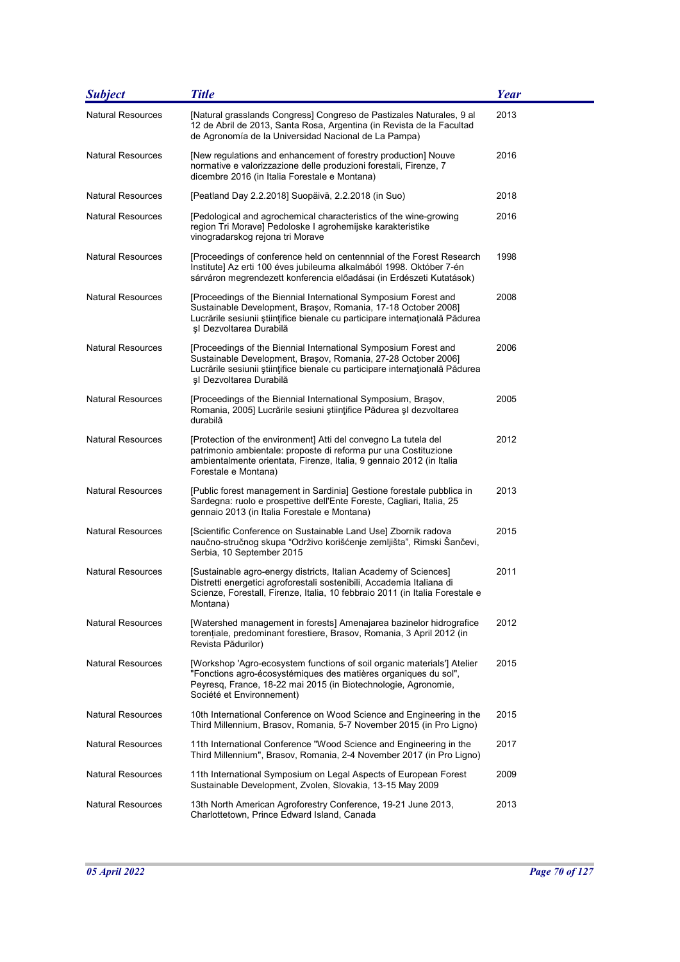| <b>Subject</b>           | <b>Title</b>                                                                                                                                                                                                                                | <b>Year</b> |
|--------------------------|---------------------------------------------------------------------------------------------------------------------------------------------------------------------------------------------------------------------------------------------|-------------|
| <b>Natural Resources</b> | [Natural grasslands Congress] Congreso de Pastizales Naturales, 9 al<br>12 de Abril de 2013, Santa Rosa, Argentina (in Revista de la Facultad<br>de Agronomía de la Universidad Nacional de La Pampa)                                       | 2013        |
| <b>Natural Resources</b> | [New regulations and enhancement of forestry production] Nouve<br>normative e valorizzazione delle produzioni forestali, Firenze, 7<br>dicembre 2016 (in Italia Forestale e Montana)                                                        | 2016        |
| <b>Natural Resources</b> | [Peatland Day 2.2.2018] Suopäivä, 2.2.2018 (in Suo)                                                                                                                                                                                         | 2018        |
| <b>Natural Resources</b> | [Pedological and agrochemical characteristics of the wine-growing<br>region Tri Morave] Pedoloske I agrohemijske karakteristike<br>vinogradarskog rejona tri Morave                                                                         | 2016        |
| <b>Natural Resources</b> | [Proceedings of conference held on centennnial of the Forest Research<br>Institute] Az erti 100 éves jubileuma alkalmából 1998. Október 7-én<br>sárváron megrendezett konferencia előadásai (in Erdészeti Kutatások)                        | 1998        |
| <b>Natural Resources</b> | [Proceedings of the Biennial International Symposium Forest and<br>Sustainable Development, Brașov, Romania, 17-18 October 2008]<br>Lucrările sesiunii științifice bienale cu participare internațională Pădurea<br>șI Dezvoltarea Durabilă | 2008        |
| <b>Natural Resources</b> | [Proceedings of the Biennial International Symposium Forest and<br>Sustainable Development, Braşov, Romania, 27-28 October 2006]<br>Lucrările sesiunii științifice bienale cu participare internațională Pădurea<br>și Dezvoltarea Durabilă | 2006        |
| <b>Natural Resources</b> | [Proceedings of the Biennial International Symposium, Brasov,<br>Romania, 2005] Lucrările sesiuni științifice Pădurea și dezvoltarea<br>durabilă                                                                                            | 2005        |
| <b>Natural Resources</b> | [Protection of the environment] Atti del convegno La tutela del<br>patrimonio ambientale: proposte di reforma pur una Costituzione<br>ambientalmente orientata, Firenze, Italia, 9 gennaio 2012 (in Italia<br>Forestale e Montana)          | 2012        |
| <b>Natural Resources</b> | [Public forest management in Sardinia] Gestione forestale pubblica in<br>Sardegna: ruolo e prospettive dell'Ente Foreste, Cagliari, Italia, 25<br>gennaio 2013 (in Italia Forestale e Montana)                                              | 2013        |
| <b>Natural Resources</b> | [Scientific Conference on Sustainable Land Use] Zbornik radova<br>naučno-stručnog skupa "Održivo korišćenje zemljišta", Rimski Šančevi,<br>Serbia, 10 September 2015                                                                        | 2015        |
| <b>Natural Resources</b> | [Sustainable agro-energy districts, Italian Academy of Sciences]<br>Distretti energetici agroforestali sostenibili, Accademia Italiana di<br>Scienze, Forestall, Firenze, Italia, 10 febbraio 2011 (in Italia Forestale e<br>Montana)       | 2011        |
| <b>Natural Resources</b> | [Watershed management in forests] Amenajarea bazinelor hidrografice<br>torențiale, predominant forestiere, Brasov, Romania, 3 April 2012 (in<br>Revista Pădurilor)                                                                          | 2012        |
| <b>Natural Resources</b> | [Workshop 'Agro-ecosystem functions of soil organic materials'] Atelier<br>"Fonctions agro-écosystémiques des matières organiques du sol",<br>Peyresg, France, 18-22 mai 2015 (in Biotechnologie, Agronomie,<br>Société et Environnement)   | 2015        |
| <b>Natural Resources</b> | 10th International Conference on Wood Science and Engineering in the<br>Third Millennium, Brasov, Romania, 5-7 November 2015 (in Pro Ligno)                                                                                                 | 2015        |
| <b>Natural Resources</b> | 11th International Conference "Wood Science and Engineering in the<br>Third Millennium", Brasov, Romania, 2-4 November 2017 (in Pro Ligno)                                                                                                  | 2017        |
| <b>Natural Resources</b> | 11th International Symposium on Legal Aspects of European Forest<br>Sustainable Development, Zvolen, Slovakia, 13-15 May 2009                                                                                                               | 2009        |
| <b>Natural Resources</b> | 13th North American Agroforestry Conference, 19-21 June 2013,<br>Charlottetown, Prince Edward Island, Canada                                                                                                                                | 2013        |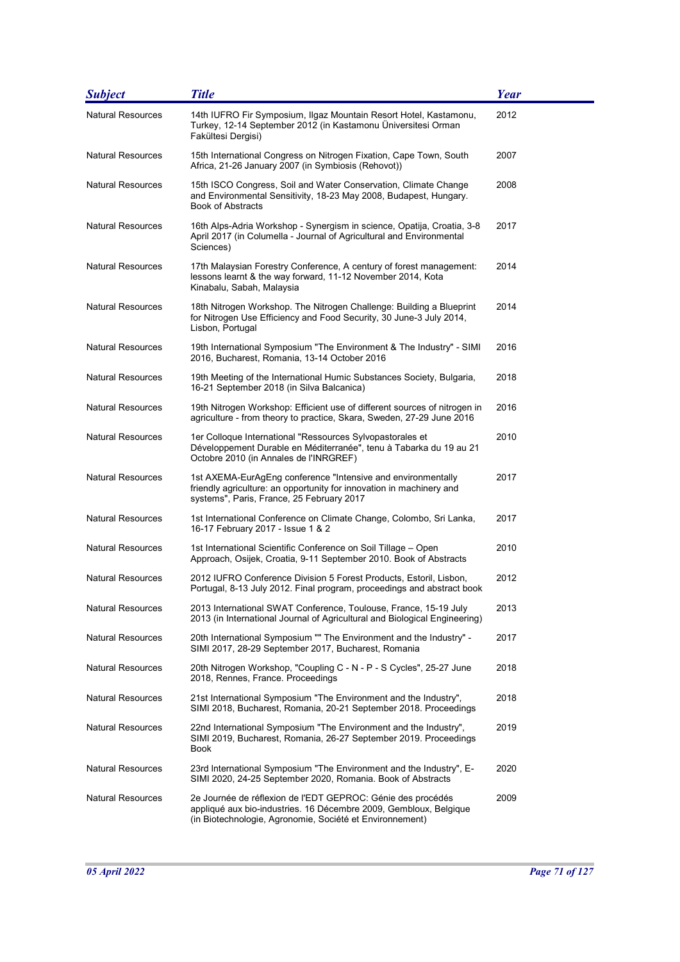| <b>Subject</b>           | <b>Title</b>                                                                                                                                                                                 | Year |
|--------------------------|----------------------------------------------------------------------------------------------------------------------------------------------------------------------------------------------|------|
| <b>Natural Resources</b> | 14th IUFRO Fir Symposium, Ilgaz Mountain Resort Hotel, Kastamonu,<br>Turkey, 12-14 September 2012 (in Kastamonu Üniversitesi Orman<br>Fakültesi Dergisi)                                     | 2012 |
| <b>Natural Resources</b> | 15th International Congress on Nitrogen Fixation, Cape Town, South<br>Africa, 21-26 January 2007 (in Symbiosis (Rehovot))                                                                    | 2007 |
| <b>Natural Resources</b> | 15th ISCO Congress, Soil and Water Conservation, Climate Change<br>and Environmental Sensitivity, 18-23 May 2008, Budapest, Hungary.<br><b>Book of Abstracts</b>                             | 2008 |
| <b>Natural Resources</b> | 16th Alps-Adria Workshop - Synergism in science, Opatija, Croatia, 3-8<br>April 2017 (in Columella - Journal of Agricultural and Environmental<br>Sciences)                                  | 2017 |
| <b>Natural Resources</b> | 17th Malaysian Forestry Conference, A century of forest management:<br>lessons learnt & the way forward, 11-12 November 2014, Kota<br>Kinabalu, Sabah, Malaysia                              | 2014 |
| <b>Natural Resources</b> | 18th Nitrogen Workshop. The Nitrogen Challenge: Building a Blueprint<br>for Nitrogen Use Efficiency and Food Security, 30 June-3 July 2014,<br>Lisbon, Portugal                              | 2014 |
| <b>Natural Resources</b> | 19th International Symposium "The Environment & The Industry" - SIMI<br>2016, Bucharest, Romania, 13-14 October 2016                                                                         | 2016 |
| <b>Natural Resources</b> | 19th Meeting of the International Humic Substances Society, Bulgaria,<br>16-21 September 2018 (in Silva Balcanica)                                                                           | 2018 |
| <b>Natural Resources</b> | 19th Nitrogen Workshop: Efficient use of different sources of nitrogen in<br>agriculture - from theory to practice, Skara, Sweden, 27-29 June 2016                                           | 2016 |
| <b>Natural Resources</b> | 1er Colloque International "Ressources Sylvopastorales et<br>Développement Durable en Méditerranée", tenu à Tabarka du 19 au 21<br>Octobre 2010 (in Annales de l'INRGREF)                    | 2010 |
| <b>Natural Resources</b> | 1st AXEMA-EurAgEng conference "Intensive and environmentally<br>friendly agriculture: an opportunity for innovation in machinery and<br>systems", Paris, France, 25 February 2017            | 2017 |
| <b>Natural Resources</b> | 1st International Conference on Climate Change, Colombo, Sri Lanka,<br>16-17 February 2017 - Issue 1 & 2                                                                                     | 2017 |
| Natural Resources        | 1st International Scientific Conference on Soil Tillage - Open<br>Approach, Osijek, Croatia, 9-11 September 2010. Book of Abstracts                                                          | 2010 |
| <b>Natural Resources</b> | 2012 IUFRO Conference Division 5 Forest Products, Estoril, Lisbon,<br>Portugal, 8-13 July 2012. Final program, proceedings and abstract book                                                 | 2012 |
| <b>Natural Resources</b> | 2013 International SWAT Conference, Toulouse, France, 15-19 July<br>2013 (in International Journal of Agricultural and Biological Engineering)                                               | 2013 |
| <b>Natural Resources</b> | 20th International Symposium "" The Environment and the Industry" -<br>SIMI 2017, 28-29 September 2017, Bucharest, Romania                                                                   | 2017 |
| Natural Resources        | 20th Nitrogen Workshop, "Coupling C - N - P - S Cycles", 25-27 June<br>2018, Rennes, France. Proceedings                                                                                     | 2018 |
| <b>Natural Resources</b> | 21st International Symposium "The Environment and the Industry",<br>SIMI 2018, Bucharest, Romania, 20-21 September 2018. Proceedings                                                         | 2018 |
| <b>Natural Resources</b> | 22nd International Symposium "The Environment and the Industry",<br>SIMI 2019, Bucharest, Romania, 26-27 September 2019. Proceedings<br>Book                                                 | 2019 |
| <b>Natural Resources</b> | 23rd International Symposium "The Environment and the Industry", E-<br>SIMI 2020, 24-25 September 2020, Romania. Book of Abstracts                                                           | 2020 |
| Natural Resources        | 2e Journée de réflexion de l'EDT GEPROC: Génie des procédés<br>appliqué aux bio-industries. 16 Décembre 2009, Gembloux, Belgique<br>(in Biotechnologie, Agronomie, Société et Environnement) | 2009 |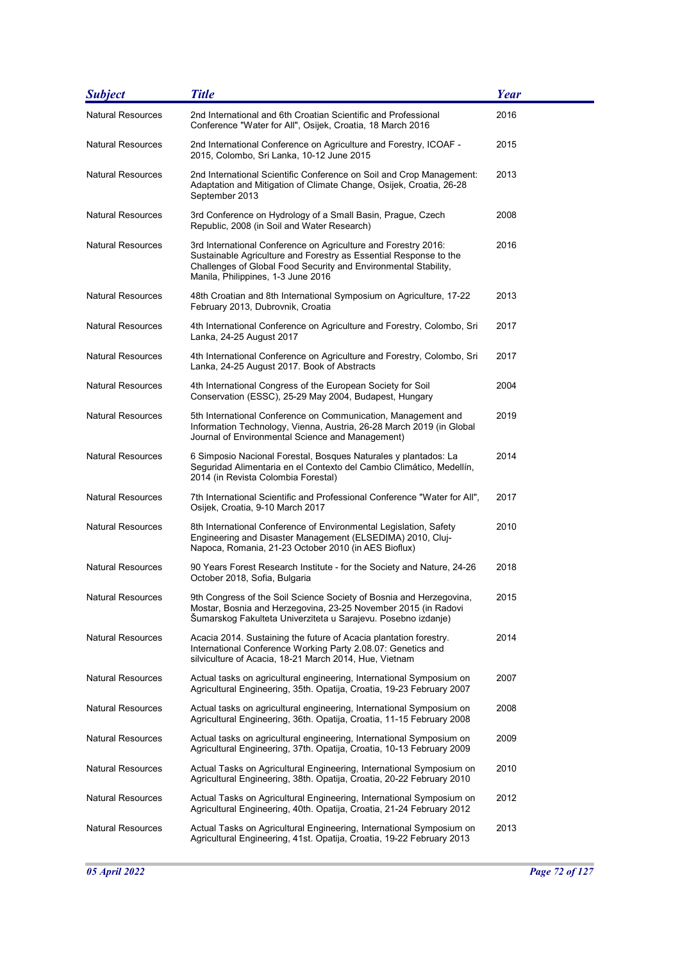| <b>Subject</b>           | <b>Title</b>                                                                                                                                                                                                                                 | Year |
|--------------------------|----------------------------------------------------------------------------------------------------------------------------------------------------------------------------------------------------------------------------------------------|------|
| <b>Natural Resources</b> | 2nd International and 6th Croatian Scientific and Professional<br>Conference "Water for All", Osijek, Croatia, 18 March 2016                                                                                                                 | 2016 |
| <b>Natural Resources</b> | 2nd International Conference on Agriculture and Forestry, ICOAF -<br>2015, Colombo, Sri Lanka, 10-12 June 2015                                                                                                                               | 2015 |
| <b>Natural Resources</b> | 2nd International Scientific Conference on Soil and Crop Management:<br>Adaptation and Mitigation of Climate Change, Osijek, Croatia, 26-28<br>September 2013                                                                                | 2013 |
| <b>Natural Resources</b> | 3rd Conference on Hydrology of a Small Basin, Prague, Czech<br>Republic, 2008 (in Soil and Water Research)                                                                                                                                   | 2008 |
| <b>Natural Resources</b> | 3rd International Conference on Agriculture and Forestry 2016:<br>Sustainable Agriculture and Forestry as Essential Response to the<br>Challenges of Global Food Security and Environmental Stability,<br>Manila, Philippines, 1-3 June 2016 | 2016 |
| <b>Natural Resources</b> | 48th Croatian and 8th International Symposium on Agriculture, 17-22<br>February 2013, Dubrovnik, Croatia                                                                                                                                     | 2013 |
| <b>Natural Resources</b> | 4th International Conference on Agriculture and Forestry, Colombo, Sri<br>Lanka, 24-25 August 2017                                                                                                                                           | 2017 |
| Natural Resources        | 4th International Conference on Agriculture and Forestry, Colombo, Sri<br>Lanka, 24-25 August 2017. Book of Abstracts                                                                                                                        | 2017 |
| Natural Resources        | 4th International Congress of the European Society for Soil<br>Conservation (ESSC), 25-29 May 2004, Budapest, Hungary                                                                                                                        | 2004 |
| <b>Natural Resources</b> | 5th International Conference on Communication, Management and<br>Information Technology, Vienna, Austria, 26-28 March 2019 (in Global<br>Journal of Environmental Science and Management)                                                    | 2019 |
| <b>Natural Resources</b> | 6 Simposio Nacional Forestal, Bosques Naturales y plantados: La<br>Seguridad Alimentaria en el Contexto del Cambio Climático, Medellín,<br>2014 (in Revista Colombia Forestal)                                                               | 2014 |
| Natural Resources        | 7th International Scientific and Professional Conference "Water for All",<br>Osijek, Croatia, 9-10 March 2017                                                                                                                                | 2017 |
| <b>Natural Resources</b> | 8th International Conference of Environmental Legislation, Safety<br>Engineering and Disaster Management (ELSEDIMA) 2010, Cluj-<br>Napoca, Romania, 21-23 October 2010 (in AES Bioflux)                                                      | 2010 |
| <b>Natural Resources</b> | 90 Years Forest Research Institute - for the Society and Nature, 24-26<br>October 2018, Sofia, Bulgaria                                                                                                                                      | 2018 |
| Natural Resources        | 9th Congress of the Soil Science Society of Bosnia and Herzegovina,<br>Mostar, Bosnia and Herzegovina, 23-25 November 2015 (in Radovi<br>Šumarskog Fakulteta Univerziteta u Sarajevu. Posebno izdanje)                                       | 2015 |
| <b>Natural Resources</b> | Acacia 2014. Sustaining the future of Acacia plantation forestry.<br>International Conference Working Party 2.08.07: Genetics and<br>silviculture of Acacia, 18-21 March 2014, Hue, Vietnam                                                  | 2014 |
| <b>Natural Resources</b> | Actual tasks on agricultural engineering, International Symposium on<br>Agricultural Engineering, 35th. Opatija, Croatia, 19-23 February 2007                                                                                                | 2007 |
| <b>Natural Resources</b> | Actual tasks on agricultural engineering, International Symposium on<br>Agricultural Engineering, 36th. Opatija, Croatia, 11-15 February 2008                                                                                                | 2008 |
| <b>Natural Resources</b> | Actual tasks on agricultural engineering, International Symposium on<br>Agricultural Engineering, 37th. Opatija, Croatia, 10-13 February 2009                                                                                                | 2009 |
| <b>Natural Resources</b> | Actual Tasks on Agricultural Engineering, International Symposium on<br>Agricultural Engineering, 38th. Opatija, Croatia, 20-22 February 2010                                                                                                | 2010 |
| Natural Resources        | Actual Tasks on Agricultural Engineering, International Symposium on<br>Agricultural Engineering, 40th. Opatija, Croatia, 21-24 February 2012                                                                                                | 2012 |
| <b>Natural Resources</b> | Actual Tasks on Agricultural Engineering, International Symposium on<br>Agricultural Engineering, 41st. Opatija, Croatia, 19-22 February 2013                                                                                                | 2013 |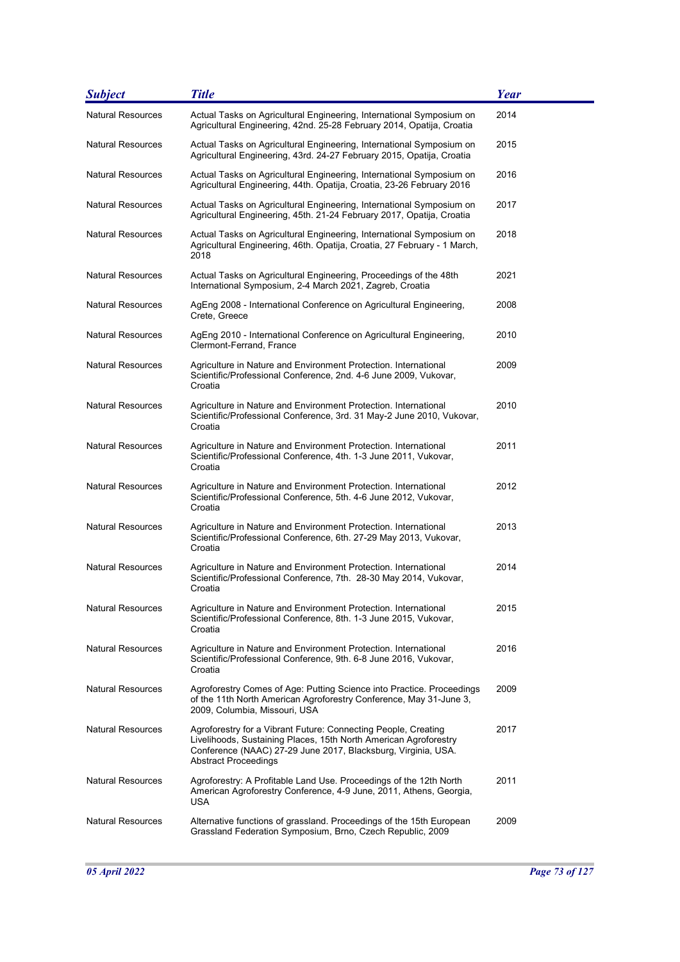| <b>Subject</b>           | <b>Title</b>                                                                                                                                                                                                                | <b>Year</b> |
|--------------------------|-----------------------------------------------------------------------------------------------------------------------------------------------------------------------------------------------------------------------------|-------------|
| <b>Natural Resources</b> | Actual Tasks on Agricultural Engineering, International Symposium on<br>Agricultural Engineering, 42nd. 25-28 February 2014, Opatija, Croatia                                                                               | 2014        |
| <b>Natural Resources</b> | Actual Tasks on Agricultural Engineering, International Symposium on<br>Agricultural Engineering, 43rd. 24-27 February 2015, Opatija, Croatia                                                                               | 2015        |
| <b>Natural Resources</b> | Actual Tasks on Agricultural Engineering, International Symposium on<br>Agricultural Engineering, 44th. Opatija, Croatia, 23-26 February 2016                                                                               | 2016        |
| <b>Natural Resources</b> | Actual Tasks on Agricultural Engineering, International Symposium on<br>Agricultural Engineering, 45th. 21-24 February 2017, Opatija, Croatia                                                                               | 2017        |
| <b>Natural Resources</b> | Actual Tasks on Agricultural Engineering, International Symposium on<br>Agricultural Engineering, 46th. Opatija, Croatia, 27 February - 1 March,<br>2018                                                                    | 2018        |
| <b>Natural Resources</b> | Actual Tasks on Agricultural Engineering, Proceedings of the 48th<br>International Symposium, 2-4 March 2021, Zagreb, Croatia                                                                                               | 2021        |
| <b>Natural Resources</b> | AgEng 2008 - International Conference on Agricultural Engineering,<br>Crete, Greece                                                                                                                                         | 2008        |
| <b>Natural Resources</b> | AgEng 2010 - International Conference on Agricultural Engineering,<br>Clermont-Ferrand, France                                                                                                                              | 2010        |
| <b>Natural Resources</b> | Agriculture in Nature and Environment Protection. International<br>Scientific/Professional Conference, 2nd. 4-6 June 2009, Vukovar,<br>Croatia                                                                              | 2009        |
| <b>Natural Resources</b> | Agriculture in Nature and Environment Protection. International<br>Scientific/Professional Conference, 3rd. 31 May-2 June 2010, Vukovar,<br>Croatia                                                                         | 2010        |
| <b>Natural Resources</b> | Agriculture in Nature and Environment Protection. International<br>Scientific/Professional Conference, 4th. 1-3 June 2011, Vukovar,<br>Croatia                                                                              | 2011        |
| <b>Natural Resources</b> | Agriculture in Nature and Environment Protection. International<br>Scientific/Professional Conference, 5th. 4-6 June 2012, Vukovar,<br>Croatia                                                                              | 2012        |
| <b>Natural Resources</b> | Agriculture in Nature and Environment Protection. International<br>Scientific/Professional Conference, 6th. 27-29 May 2013, Vukovar,<br>Croatia                                                                             | 2013        |
| <b>Natural Resources</b> | Agriculture in Nature and Environment Protection. International<br>Scientific/Professional Conference, 7th. 28-30 May 2014, Vukovar,<br>Croatia                                                                             | 2014        |
| <b>Natural Resources</b> | Agriculture in Nature and Environment Protection. International<br>Scientific/Professional Conference, 8th. 1-3 June 2015, Vukovar,<br>Croatia                                                                              | 2015        |
| <b>Natural Resources</b> | Agriculture in Nature and Environment Protection. International<br>Scientific/Professional Conference, 9th. 6-8 June 2016, Vukovar,<br>Croatia                                                                              | 2016        |
| <b>Natural Resources</b> | Agroforestry Comes of Age: Putting Science into Practice. Proceedings<br>of the 11th North American Agroforestry Conference, May 31-June 3,<br>2009, Columbia, Missouri, USA                                                | 2009        |
| <b>Natural Resources</b> | Agroforestry for a Vibrant Future: Connecting People, Creating<br>Livelihoods, Sustaining Places, 15th North American Agroforestry<br>Conference (NAAC) 27-29 June 2017, Blacksburg, Virginia, USA.<br>Abstract Proceedings | 2017        |
| <b>Natural Resources</b> | Agroforestry: A Profitable Land Use. Proceedings of the 12th North<br>American Agroforestry Conference, 4-9 June, 2011, Athens, Georgia,<br>USA                                                                             | 2011        |
| <b>Natural Resources</b> | Alternative functions of grassland. Proceedings of the 15th European<br>Grassland Federation Symposium, Brno, Czech Republic, 2009                                                                                          | 2009        |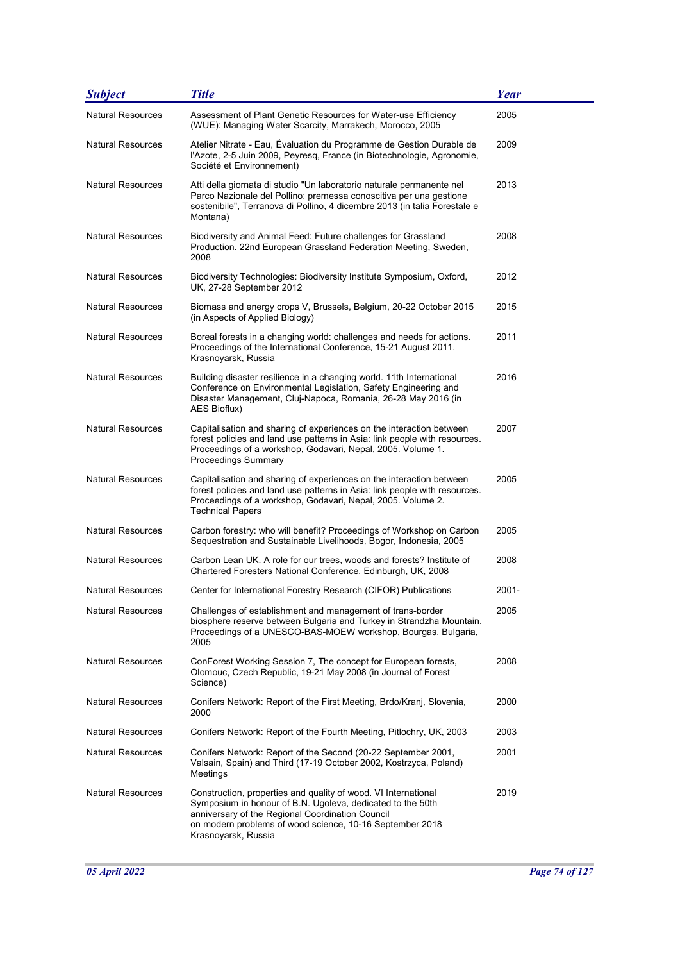| <b>Subject</b>           | <b>Title</b>                                                                                                                                                                                                                                                        | Year  |
|--------------------------|---------------------------------------------------------------------------------------------------------------------------------------------------------------------------------------------------------------------------------------------------------------------|-------|
| <b>Natural Resources</b> | Assessment of Plant Genetic Resources for Water-use Efficiency<br>(WUE): Managing Water Scarcity, Marrakech, Morocco, 2005                                                                                                                                          | 2005  |
| <b>Natural Resources</b> | Atelier Nitrate - Eau, Évaluation du Programme de Gestion Durable de<br>l'Azote, 2-5 Juin 2009, Peyresq, France (in Biotechnologie, Agronomie,<br>Société et Environnement)                                                                                         | 2009  |
| <b>Natural Resources</b> | Atti della giornata di studio "Un laboratorio naturale permanente nel<br>Parco Nazionale del Pollino: premessa conoscitiva per una gestione<br>sostenibile", Terranova di Pollino, 4 dicembre 2013 (in talia Forestale e<br>Montana)                                | 2013  |
| <b>Natural Resources</b> | Biodiversity and Animal Feed: Future challenges for Grassland<br>Production. 22nd European Grassland Federation Meeting, Sweden,<br>2008                                                                                                                            | 2008  |
| Natural Resources        | Biodiversity Technologies: Biodiversity Institute Symposium, Oxford,<br>UK, 27-28 September 2012                                                                                                                                                                    | 2012  |
| <b>Natural Resources</b> | Biomass and energy crops V, Brussels, Belgium, 20-22 October 2015<br>(in Aspects of Applied Biology)                                                                                                                                                                | 2015  |
| <b>Natural Resources</b> | Boreal forests in a changing world: challenges and needs for actions.<br>Proceedings of the International Conference, 15-21 August 2011,<br>Krasnoyarsk, Russia                                                                                                     | 2011  |
| <b>Natural Resources</b> | Building disaster resilience in a changing world. 11th International<br>Conference on Environmental Legislation, Safety Engineering and<br>Disaster Management, Cluj-Napoca, Romania, 26-28 May 2016 (in<br>AES Bioflux)                                            | 2016  |
| <b>Natural Resources</b> | Capitalisation and sharing of experiences on the interaction between<br>forest policies and land use patterns in Asia: link people with resources.<br>Proceedings of a workshop, Godavari, Nepal, 2005. Volume 1.<br><b>Proceedings Summary</b>                     | 2007  |
| Natural Resources        | Capitalisation and sharing of experiences on the interaction between<br>forest policies and land use patterns in Asia: link people with resources.<br>Proceedings of a workshop, Godavari, Nepal, 2005. Volume 2.<br><b>Technical Papers</b>                        | 2005  |
| <b>Natural Resources</b> | Carbon forestry: who will benefit? Proceedings of Workshop on Carbon<br>Sequestration and Sustainable Livelihoods, Bogor, Indonesia, 2005                                                                                                                           | 2005  |
| <b>Natural Resources</b> | Carbon Lean UK. A role for our trees, woods and forests? Institute of<br>Chartered Foresters National Conference, Edinburgh, UK, 2008                                                                                                                               | 2008  |
| Natural Resources        | Center for International Forestry Research (CIFOR) Publications                                                                                                                                                                                                     | 2001- |
| Natural Resources        | Challenges of establishment and management of trans-border<br>biosphere reserve between Bulgaria and Turkey in Strandzha Mountain.<br>Proceedings of a UNESCO-BAS-MOEW workshop, Bourgas, Bulgaria,<br>2005                                                         | 2005  |
| <b>Natural Resources</b> | ConForest Working Session 7, The concept for European forests,<br>Olomouc, Czech Republic, 19-21 May 2008 (in Journal of Forest<br>Science)                                                                                                                         | 2008  |
| <b>Natural Resources</b> | Conifers Network: Report of the First Meeting, Brdo/Kranj, Slovenia,<br>2000                                                                                                                                                                                        | 2000  |
| <b>Natural Resources</b> | Conifers Network: Report of the Fourth Meeting, Pitlochry, UK, 2003                                                                                                                                                                                                 | 2003  |
| <b>Natural Resources</b> | Conifers Network: Report of the Second (20-22 September 2001,<br>Valsain, Spain) and Third (17-19 October 2002, Kostrzyca, Poland)<br>Meetings                                                                                                                      | 2001  |
| <b>Natural Resources</b> | Construction, properties and quality of wood. VI International<br>Symposium in honour of B.N. Ugoleva, dedicated to the 50th<br>anniversary of the Regional Coordination Council<br>on modern problems of wood science, 10-16 September 2018<br>Krasnoyarsk, Russia | 2019  |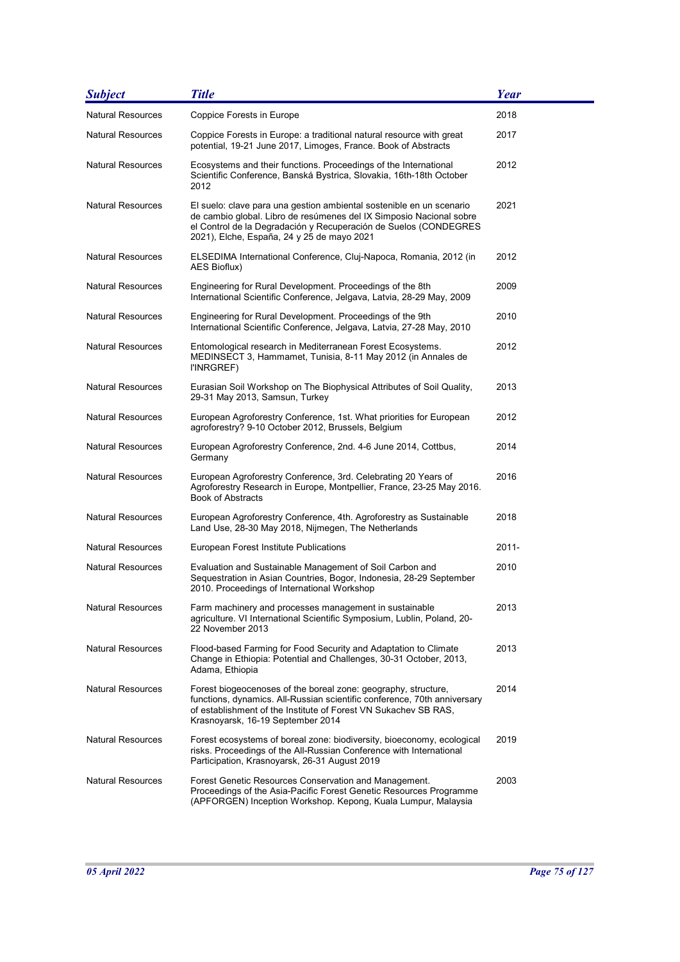| <b>Subject</b>           | <b>Title</b>                                                                                                                                                                                                                                                  | <b>Year</b> |
|--------------------------|---------------------------------------------------------------------------------------------------------------------------------------------------------------------------------------------------------------------------------------------------------------|-------------|
| <b>Natural Resources</b> | Coppice Forests in Europe                                                                                                                                                                                                                                     | 2018        |
| <b>Natural Resources</b> | Coppice Forests in Europe: a traditional natural resource with great<br>potential, 19-21 June 2017, Limoges, France. Book of Abstracts                                                                                                                        | 2017        |
| <b>Natural Resources</b> | Ecosystems and their functions. Proceedings of the International<br>Scientific Conference, Banská Bystrica, Slovakia, 16th-18th October<br>2012                                                                                                               | 2012        |
| <b>Natural Resources</b> | El suelo: clave para una gestion ambiental sostenible en un scenario<br>de cambio global. Libro de resúmenes del IX Simposio Nacional sobre<br>el Control de la Degradación y Recuperación de Suelos (CONDEGRES<br>2021), Elche, España, 24 y 25 de mayo 2021 | 2021        |
| <b>Natural Resources</b> | ELSEDIMA International Conference, Cluj-Napoca, Romania, 2012 (in<br>AES Bioflux)                                                                                                                                                                             | 2012        |
| <b>Natural Resources</b> | Engineering for Rural Development. Proceedings of the 8th<br>International Scientific Conference, Jelgava, Latvia, 28-29 May, 2009                                                                                                                            | 2009        |
| <b>Natural Resources</b> | Engineering for Rural Development. Proceedings of the 9th<br>International Scientific Conference, Jelgava, Latvia, 27-28 May, 2010                                                                                                                            | 2010        |
| <b>Natural Resources</b> | Entomological research in Mediterranean Forest Ecosystems.<br>MEDINSECT 3, Hammamet, Tunisia, 8-11 May 2012 (in Annales de<br>I'INRGREF)                                                                                                                      | 2012        |
| <b>Natural Resources</b> | Eurasian Soil Workshop on The Biophysical Attributes of Soil Quality,<br>29-31 May 2013, Samsun, Turkey                                                                                                                                                       | 2013        |
| <b>Natural Resources</b> | European Agroforestry Conference, 1st. What priorities for European<br>agroforestry? 9-10 October 2012, Brussels, Belgium                                                                                                                                     | 2012        |
| <b>Natural Resources</b> | European Agroforestry Conference, 2nd. 4-6 June 2014, Cottbus,<br>Germany                                                                                                                                                                                     | 2014        |
| <b>Natural Resources</b> | European Agroforestry Conference, 3rd. Celebrating 20 Years of<br>Agroforestry Research in Europe, Montpellier, France, 23-25 May 2016.<br><b>Book of Abstracts</b>                                                                                           | 2016        |
| <b>Natural Resources</b> | European Agroforestry Conference, 4th. Agroforestry as Sustainable<br>Land Use, 28-30 May 2018, Nijmegen, The Netherlands                                                                                                                                     | 2018        |
| <b>Natural Resources</b> | European Forest Institute Publications                                                                                                                                                                                                                        | 2011-       |
| <b>Natural Resources</b> | Evaluation and Sustainable Management of Soil Carbon and<br>Sequestration in Asian Countries, Bogor, Indonesia, 28-29 September<br>2010. Proceedings of International Workshop                                                                                | 2010        |
| <b>Natural Resources</b> | Farm machinery and processes management in sustainable<br>agriculture. VI International Scientific Symposium, Lublin, Poland, 20-<br>22 November 2013                                                                                                         | 2013        |
| <b>Natural Resources</b> | Flood-based Farming for Food Security and Adaptation to Climate<br>Change in Ethiopia: Potential and Challenges, 30-31 October, 2013,<br>Adama, Ethiopia                                                                                                      | 2013        |
| <b>Natural Resources</b> | Forest biogeocenoses of the boreal zone: geography, structure,<br>functions, dynamics. All-Russian scientific conference, 70th anniversary<br>of establishment of the Institute of Forest VN Sukachev SB RAS,<br>Krasnoyarsk, 16-19 September 2014            | 2014        |
| <b>Natural Resources</b> | Forest ecosystems of boreal zone: biodiversity, bioeconomy, ecological<br>risks. Proceedings of the All-Russian Conference with International<br>Participation, Krasnoyarsk, 26-31 August 2019                                                                | 2019        |
| <b>Natural Resources</b> | Forest Genetic Resources Conservation and Management.<br>Proceedings of the Asia-Pacific Forest Genetic Resources Programme<br>(APFORGEN) Inception Workshop. Kepong, Kuala Lumpur, Malaysia                                                                  | 2003        |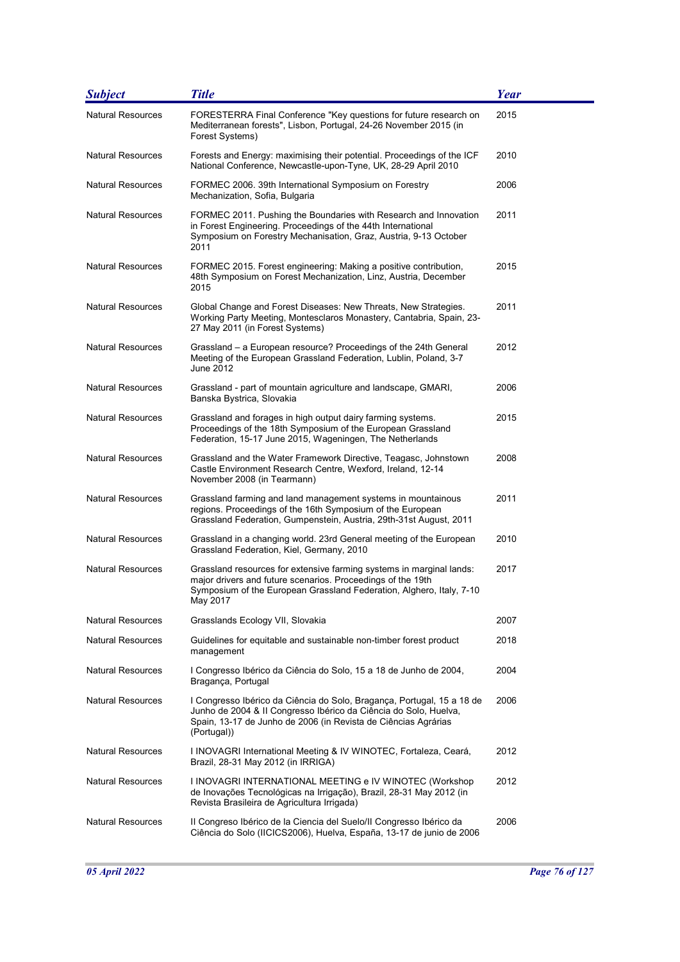| <b>Subject</b>           | <b>Title</b>                                                                                                                                                                                                                | <b>Year</b> |
|--------------------------|-----------------------------------------------------------------------------------------------------------------------------------------------------------------------------------------------------------------------------|-------------|
| <b>Natural Resources</b> | FORESTERRA Final Conference "Key questions for future research on<br>Mediterranean forests", Lisbon, Portugal, 24-26 November 2015 (in<br>Forest Systems)                                                                   | 2015        |
| <b>Natural Resources</b> | Forests and Energy: maximising their potential. Proceedings of the ICF<br>National Conference, Newcastle-upon-Tyne, UK, 28-29 April 2010                                                                                    | 2010        |
| <b>Natural Resources</b> | FORMEC 2006. 39th International Symposium on Forestry<br>Mechanization, Sofia, Bulgaria                                                                                                                                     | 2006        |
| <b>Natural Resources</b> | FORMEC 2011. Pushing the Boundaries with Research and Innovation<br>in Forest Engineering. Proceedings of the 44th International<br>Symposium on Forestry Mechanisation, Graz, Austria, 9-13 October<br>2011                | 2011        |
| <b>Natural Resources</b> | FORMEC 2015. Forest engineering: Making a positive contribution,<br>48th Symposium on Forest Mechanization, Linz, Austria, December<br>2015                                                                                 | 2015        |
| <b>Natural Resources</b> | Global Change and Forest Diseases: New Threats, New Strategies.<br>Working Party Meeting, Montesclaros Monastery, Cantabria, Spain, 23-<br>27 May 2011 (in Forest Systems)                                                  | 2011        |
| <b>Natural Resources</b> | Grassland – a European resource? Proceedings of the 24th General<br>Meeting of the European Grassland Federation, Lublin, Poland, 3-7<br>June 2012                                                                          | 2012        |
| <b>Natural Resources</b> | Grassland - part of mountain agriculture and landscape, GMARI,<br>Banska Bystrica, Slovakia                                                                                                                                 | 2006        |
| <b>Natural Resources</b> | Grassland and forages in high output dairy farming systems.<br>Proceedings of the 18th Symposium of the European Grassland<br>Federation, 15-17 June 2015, Wageningen, The Netherlands                                      | 2015        |
| <b>Natural Resources</b> | Grassland and the Water Framework Directive, Teagasc, Johnstown<br>Castle Environment Research Centre, Wexford, Ireland, 12-14<br>November 2008 (in Tearmann)                                                               | 2008        |
| <b>Natural Resources</b> | Grassland farming and land management systems in mountainous<br>regions. Proceedings of the 16th Symposium of the European<br>Grassland Federation, Gumpenstein, Austria, 29th-31st August, 2011                            | 2011        |
| <b>Natural Resources</b> | Grassland in a changing world. 23rd General meeting of the European<br>Grassland Federation, Kiel, Germany, 2010                                                                                                            | 2010        |
| <b>Natural Resources</b> | Grassland resources for extensive farming systems in marginal lands:<br>major drivers and future scenarios. Proceedings of the 19th<br>Symposium of the European Grassland Federation, Alghero, Italy, 7-10<br>May 2017     | 2017        |
| Natural Resources        | Grasslands Ecology VII, Slovakia                                                                                                                                                                                            | 2007        |
| Natural Resources        | Guidelines for equitable and sustainable non-timber forest product<br>management                                                                                                                                            | 2018        |
| <b>Natural Resources</b> | I Congresso Ibérico da Ciência do Solo, 15 a 18 de Junho de 2004,<br>Bragança, Portugal                                                                                                                                     | 2004        |
| <b>Natural Resources</b> | I Congresso Ibérico da Ciência do Solo, Bragança, Portugal, 15 a 18 de<br>Junho de 2004 & Il Congresso Ibérico da Ciência do Solo, Huelva,<br>Spain, 13-17 de Junho de 2006 (in Revista de Ciências Agrárias<br>(Portugal)) | 2006        |
| <b>Natural Resources</b> | I INOVAGRI International Meeting & IV WINOTEC, Fortaleza, Ceará,<br>Brazil, 28-31 May 2012 (in IRRIGA)                                                                                                                      | 2012        |
| <b>Natural Resources</b> | I INOVAGRI INTERNATIONAL MEETING e IV WINOTEC (Workshop<br>de Inovações Tecnológicas na Irrigação), Brazil, 28-31 May 2012 (in<br>Revista Brasileira de Agricultura Irrigada)                                               | 2012        |
| <b>Natural Resources</b> | Il Congreso Ibérico de la Ciencia del Suelo/II Congresso Ibérico da<br>Ciência do Solo (IICICS2006), Huelva, España, 13-17 de junio de 2006                                                                                 | 2006        |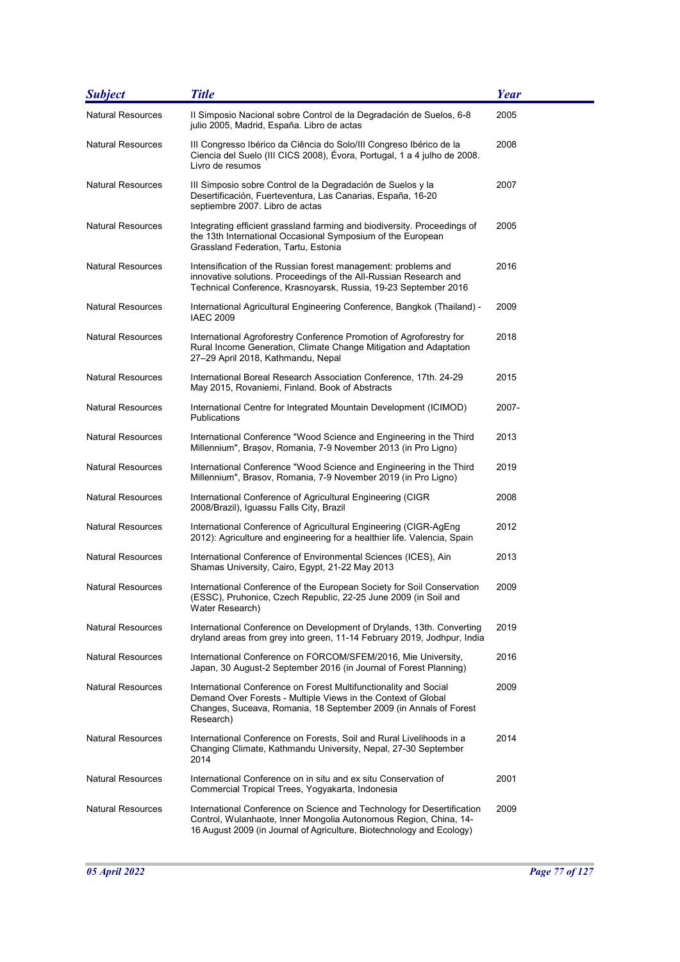| <b>Subject</b>           | <b>Title</b>                                                                                                                                                                                                         | <b>Year</b> |
|--------------------------|----------------------------------------------------------------------------------------------------------------------------------------------------------------------------------------------------------------------|-------------|
| <b>Natural Resources</b> | Il Simposio Nacional sobre Control de la Degradación de Suelos, 6-8<br>julio 2005, Madrid, España. Libro de actas                                                                                                    | 2005        |
| <b>Natural Resources</b> | III Congresso Ibérico da Ciência do Solo/III Congreso Ibérico de la<br>Ciencia del Suelo (III CICS 2008), Évora, Portugal, 1 a 4 julho de 2008.<br>Livro de resumos                                                  | 2008        |
| <b>Natural Resources</b> | III Simposio sobre Control de la Degradación de Suelos y la<br>Desertificación, Fuerteventura, Las Canarias, España, 16-20<br>septiembre 2007. Libro de actas                                                        | 2007        |
| <b>Natural Resources</b> | Integrating efficient grassland farming and biodiversity. Proceedings of<br>the 13th International Occasional Symposium of the European<br>Grassland Federation, Tartu, Estonia                                      | 2005        |
| <b>Natural Resources</b> | Intensification of the Russian forest management: problems and<br>innovative solutions. Proceedings of the All-Russian Research and<br>Technical Conference, Krasnoyarsk, Russia, 19-23 September 2016               | 2016        |
| <b>Natural Resources</b> | International Agricultural Engineering Conference, Bangkok (Thailand) -<br>IAEC 2009                                                                                                                                 | 2009        |
| <b>Natural Resources</b> | International Agroforestry Conference Promotion of Agroforestry for<br>Rural Income Generation, Climate Change Mitigation and Adaptation<br>27–29 April 2018, Kathmandu, Nepal                                       | 2018        |
| <b>Natural Resources</b> | International Boreal Research Association Conference, 17th. 24-29<br>May 2015, Rovaniemi, Finland. Book of Abstracts                                                                                                 | 2015        |
| <b>Natural Resources</b> | International Centre for Integrated Mountain Development (ICIMOD)<br><b>Publications</b>                                                                                                                             | 2007-       |
| <b>Natural Resources</b> | International Conference "Wood Science and Engineering in the Third<br>Millennium", Brașov, Romania, 7-9 November 2013 (in Pro Ligno)                                                                                | 2013        |
| Natural Resources        | International Conference "Wood Science and Engineering in the Third<br>Millennium", Brasov, Romania, 7-9 November 2019 (in Pro Ligno)                                                                                | 2019        |
| Natural Resources        | International Conference of Agricultural Engineering (CIGR<br>2008/Brazil), Iguassu Falls City, Brazil                                                                                                               | 2008        |
| <b>Natural Resources</b> | International Conference of Agricultural Engineering (CIGR-AgEng<br>2012): Agriculture and engineering for a healthier life. Valencia, Spain                                                                         | 2012        |
| <b>Natural Resources</b> | International Conference of Environmental Sciences (ICES), Ain<br>Shamas University, Cairo, Egypt, 21-22 May 2013                                                                                                    | 2013        |
| Natural Resources        | International Conference of the European Society for Soil Conservation<br>(ESSC), Pruhonice, Czech Republic, 22-25 June 2009 (in Soil and<br>Water Research)                                                         | 2009        |
| Natural Resources        | International Conference on Development of Drylands, 13th. Converting<br>dryland areas from grey into green, 11-14 February 2019, Jodhpur, India                                                                     | 2019        |
| <b>Natural Resources</b> | International Conference on FORCOM/SFEM/2016, Mie University,<br>Japan, 30 August-2 September 2016 (in Journal of Forest Planning)                                                                                   | 2016        |
| <b>Natural Resources</b> | International Conference on Forest Multifunctionality and Social<br>Demand Over Forests - Multiple Views in the Context of Global<br>Changes, Suceava, Romania, 18 September 2009 (in Annals of Forest<br>Research)  | 2009        |
| <b>Natural Resources</b> | International Conference on Forests, Soil and Rural Livelihoods in a<br>Changing Climate, Kathmandu University, Nepal, 27-30 September<br>2014                                                                       | 2014        |
| <b>Natural Resources</b> | International Conference on in situ and ex situ Conservation of<br>Commercial Tropical Trees, Yogyakarta, Indonesia                                                                                                  | 2001        |
| <b>Natural Resources</b> | International Conference on Science and Technology for Desertification<br>Control, Wulanhaote, Inner Mongolia Autonomous Region, China, 14-<br>16 August 2009 (in Journal of Agriculture, Biotechnology and Ecology) | 2009        |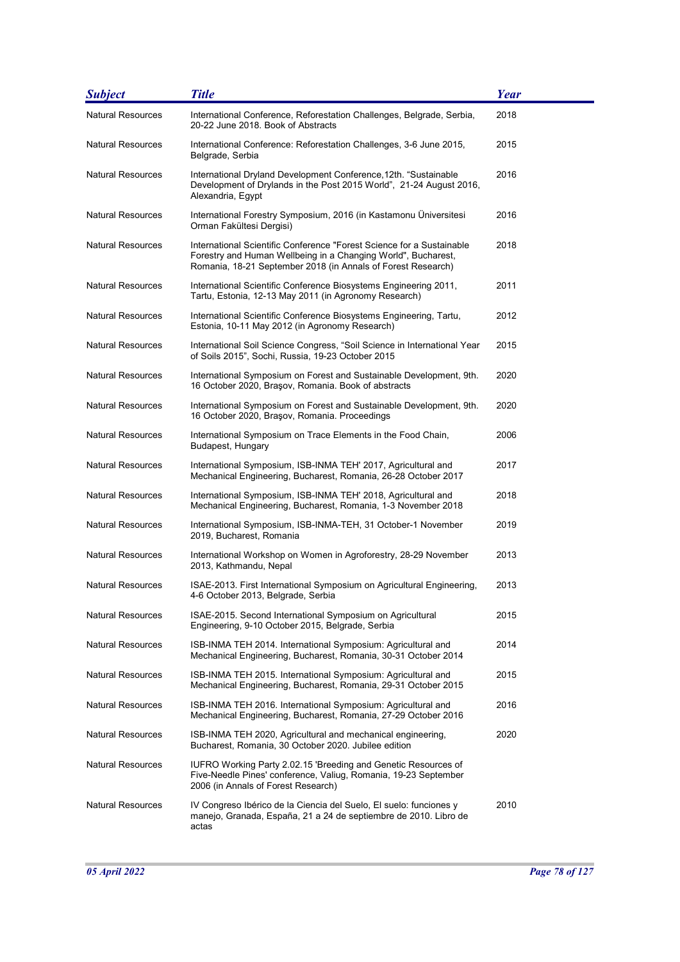| <b>Subject</b>           | <b>Title</b>                                                                                                                                                                                           | Year |
|--------------------------|--------------------------------------------------------------------------------------------------------------------------------------------------------------------------------------------------------|------|
| <b>Natural Resources</b> | International Conference, Reforestation Challenges, Belgrade, Serbia,<br>20-22 June 2018. Book of Abstracts                                                                                            | 2018 |
| <b>Natural Resources</b> | International Conference: Reforestation Challenges, 3-6 June 2015,<br>Belgrade, Serbia                                                                                                                 | 2015 |
| <b>Natural Resources</b> | International Dryland Development Conference,12th. "Sustainable<br>Development of Drylands in the Post 2015 World", 21-24 August 2016,<br>Alexandria, Egypt                                            | 2016 |
| <b>Natural Resources</b> | International Forestry Symposium, 2016 (in Kastamonu Üniversitesi<br>Orman Fakültesi Dergisi)                                                                                                          | 2016 |
| <b>Natural Resources</b> | International Scientific Conference "Forest Science for a Sustainable<br>Forestry and Human Wellbeing in a Changing World", Bucharest,<br>Romania, 18-21 September 2018 (in Annals of Forest Research) | 2018 |
| <b>Natural Resources</b> | International Scientific Conference Biosystems Engineering 2011,<br>Tartu, Estonia, 12-13 May 2011 (in Agronomy Research)                                                                              | 2011 |
| <b>Natural Resources</b> | International Scientific Conference Biosystems Engineering, Tartu,<br>Estonia, 10-11 May 2012 (in Agronomy Research)                                                                                   | 2012 |
| <b>Natural Resources</b> | International Soil Science Congress, "Soil Science in International Year<br>of Soils 2015", Sochi, Russia, 19-23 October 2015                                                                          | 2015 |
| <b>Natural Resources</b> | International Symposium on Forest and Sustainable Development, 9th.<br>16 October 2020, Braşov, Romania. Book of abstracts                                                                             | 2020 |
| <b>Natural Resources</b> | International Symposium on Forest and Sustainable Development, 9th.<br>16 October 2020, Brașov, Romania. Proceedings                                                                                   | 2020 |
| <b>Natural Resources</b> | International Symposium on Trace Elements in the Food Chain,<br>Budapest, Hungary                                                                                                                      | 2006 |
| <b>Natural Resources</b> | International Symposium, ISB-INMA TEH' 2017, Agricultural and<br>Mechanical Engineering, Bucharest, Romania, 26-28 October 2017                                                                        | 2017 |
| <b>Natural Resources</b> | International Symposium, ISB-INMA TEH' 2018, Agricultural and<br>Mechanical Engineering, Bucharest, Romania, 1-3 November 2018                                                                         | 2018 |
| <b>Natural Resources</b> | International Symposium, ISB-INMA-TEH, 31 October-1 November<br>2019, Bucharest, Romania                                                                                                               | 2019 |
| <b>Natural Resources</b> | International Workshop on Women in Agroforestry, 28-29 November<br>2013, Kathmandu, Nepal                                                                                                              | 2013 |
| <b>Natural Resources</b> | ISAE-2013. First International Symposium on Agricultural Engineering,<br>4-6 October 2013, Belgrade, Serbia                                                                                            | 2013 |
| <b>Natural Resources</b> | ISAE-2015. Second International Symposium on Agricultural<br>Engineering, 9-10 October 2015, Belgrade, Serbia                                                                                          | 2015 |
| <b>Natural Resources</b> | ISB-INMA TEH 2014. International Symposium: Agricultural and<br>Mechanical Engineering, Bucharest, Romania, 30-31 October 2014                                                                         | 2014 |
| Natural Resources        | ISB-INMA TEH 2015. International Symposium: Agricultural and<br>Mechanical Engineering, Bucharest, Romania, 29-31 October 2015                                                                         | 2015 |
| <b>Natural Resources</b> | ISB-INMA TEH 2016. International Symposium: Agricultural and<br>Mechanical Engineering, Bucharest, Romania, 27-29 October 2016                                                                         | 2016 |
| <b>Natural Resources</b> | ISB-INMA TEH 2020, Agricultural and mechanical engineering,<br>Bucharest, Romania, 30 October 2020. Jubilee edition                                                                                    | 2020 |
| <b>Natural Resources</b> | IUFRO Working Party 2.02.15 'Breeding and Genetic Resources of<br>Five-Needle Pines' conference, Valiug, Romania, 19-23 September<br>2006 (in Annals of Forest Research)                               |      |
| <b>Natural Resources</b> | IV Congreso Ibérico de la Ciencia del Suelo, El suelo: funciones y<br>manejo, Granada, España, 21 a 24 de septiembre de 2010. Libro de<br>actas                                                        | 2010 |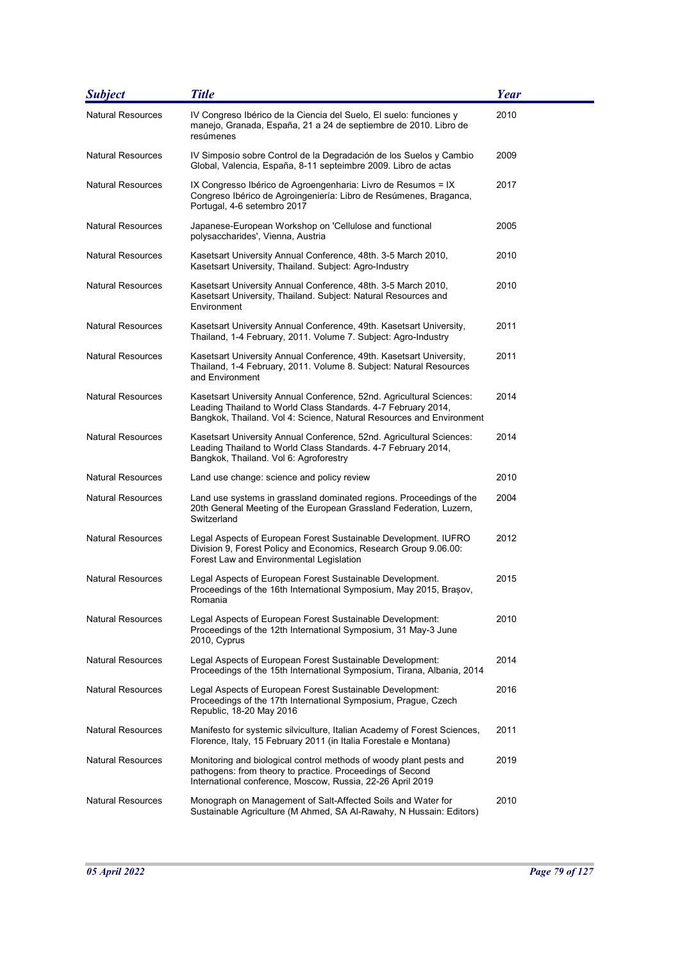| <b>Subject</b>           | <b>Title</b>                                                                                                                                                                                                  | <b>Year</b> |
|--------------------------|---------------------------------------------------------------------------------------------------------------------------------------------------------------------------------------------------------------|-------------|
| <b>Natural Resources</b> | IV Congreso Ibérico de la Ciencia del Suelo, El suelo: funciones y<br>manejo, Granada, España, 21 a 24 de septiembre de 2010. Libro de<br>resúmenes                                                           | 2010        |
| <b>Natural Resources</b> | IV Simposio sobre Control de la Degradación de los Suelos y Cambio<br>Global, Valencia, España, 8-11 septeimbre 2009. Libro de actas                                                                          | 2009        |
| <b>Natural Resources</b> | IX Congresso Ibérico de Agroengenharia: Livro de Resumos = IX<br>Congreso Ibérico de Agroingeniería: Libro de Resúmenes, Braganca,<br>Portugal, 4-6 setembro 2017                                             | 2017        |
| <b>Natural Resources</b> | Japanese-European Workshop on 'Cellulose and functional<br>polysaccharides', Vienna, Austria                                                                                                                  | 2005        |
| <b>Natural Resources</b> | Kasetsart University Annual Conference, 48th. 3-5 March 2010,<br>Kasetsart University, Thailand. Subject: Agro-Industry                                                                                       | 2010        |
| <b>Natural Resources</b> | Kasetsart University Annual Conference, 48th. 3-5 March 2010,<br>Kasetsart University, Thailand. Subject: Natural Resources and<br>Environment                                                                | 2010        |
| <b>Natural Resources</b> | Kasetsart University Annual Conference, 49th. Kasetsart University,<br>Thailand, 1-4 February, 2011. Volume 7. Subject: Agro-Industry                                                                         | 2011        |
| <b>Natural Resources</b> | Kasetsart University Annual Conference, 49th. Kasetsart University,<br>Thailand, 1-4 February, 2011. Volume 8. Subject: Natural Resources<br>and Environment                                                  | 2011        |
| <b>Natural Resources</b> | Kasetsart University Annual Conference, 52nd. Agricultural Sciences:<br>Leading Thailand to World Class Standards. 4-7 February 2014,<br>Bangkok, Thailand. Vol 4: Science, Natural Resources and Environment | 2014        |
| <b>Natural Resources</b> | Kasetsart University Annual Conference, 52nd. Agricultural Sciences:<br>Leading Thailand to World Class Standards. 4-7 February 2014,<br>Bangkok, Thailand. Vol 6: Agroforestry                               | 2014        |
| <b>Natural Resources</b> | Land use change: science and policy review                                                                                                                                                                    | 2010        |
| Natural Resources        | Land use systems in grassland dominated regions. Proceedings of the<br>20th General Meeting of the European Grassland Federation, Luzern,<br>Switzerland                                                      | 2004        |
| <b>Natural Resources</b> | Legal Aspects of European Forest Sustainable Development. IUFRO<br>Division 9, Forest Policy and Economics, Research Group 9.06.00:<br>Forest Law and Environmental Legislation                               | 2012        |
| Natural Resources        | Legal Aspects of European Forest Sustainable Development.<br>Proceedings of the 16th International Symposium, May 2015, Brasov,<br>Romania                                                                    | 2015        |
| <b>Natural Resources</b> | Legal Aspects of European Forest Sustainable Development:<br>Proceedings of the 12th International Symposium, 31 May-3 June<br>2010, Cyprus                                                                   | 2010        |
| <b>Natural Resources</b> | Legal Aspects of European Forest Sustainable Development:<br>Proceedings of the 15th International Symposium, Tirana, Albania, 2014                                                                           | 2014        |
| <b>Natural Resources</b> | Legal Aspects of European Forest Sustainable Development:<br>Proceedings of the 17th International Symposium, Prague, Czech<br>Republic, 18-20 May 2016                                                       | 2016        |
| <b>Natural Resources</b> | Manifesto for systemic silviculture, Italian Academy of Forest Sciences,<br>Florence, Italy, 15 February 2011 (in Italia Forestale e Montana)                                                                 | 2011        |
| Natural Resources        | Monitoring and biological control methods of woody plant pests and<br>pathogens: from theory to practice. Proceedings of Second<br>International conference, Moscow, Russia, 22-26 April 2019                 | 2019        |
| <b>Natural Resources</b> | Monograph on Management of Salt-Affected Soils and Water for<br>Sustainable Agriculture (M Ahmed, SA Al-Rawahy, N Hussain: Editors)                                                                           | 2010        |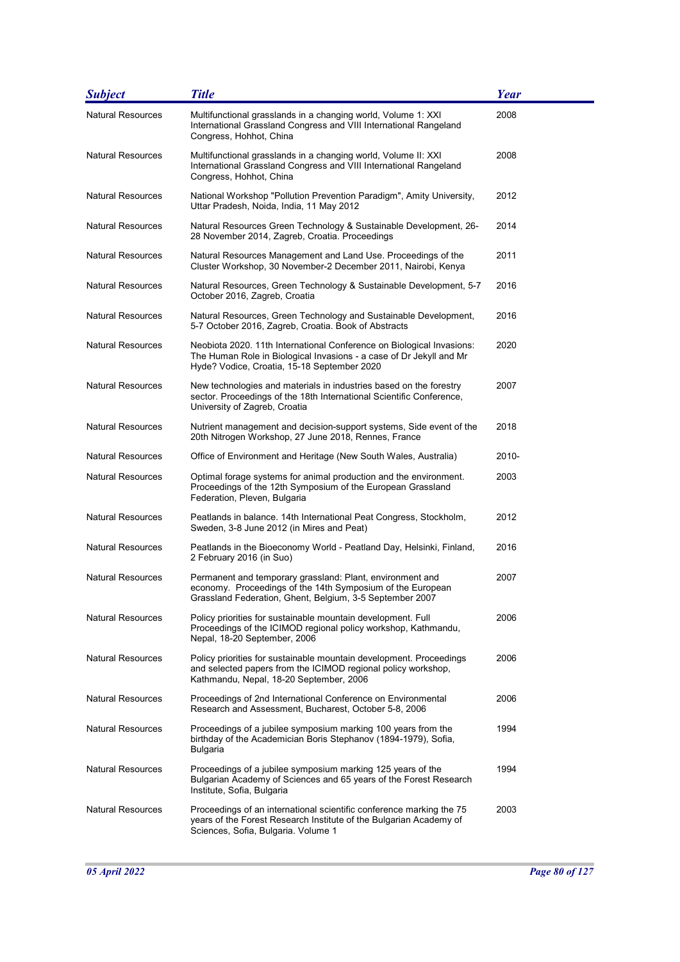| <b>Subject</b>           | <b>Title</b>                                                                                                                                                                                | <b>Year</b> |
|--------------------------|---------------------------------------------------------------------------------------------------------------------------------------------------------------------------------------------|-------------|
| <b>Natural Resources</b> | Multifunctional grasslands in a changing world, Volume 1: XXI<br>International Grassland Congress and VIII International Rangeland<br>Congress, Hohhot, China                               | 2008        |
| Natural Resources        | Multifunctional grasslands in a changing world, Volume II: XXI<br>International Grassland Congress and VIII International Rangeland<br>Congress, Hohhot, China                              | 2008        |
| Natural Resources        | National Workshop "Pollution Prevention Paradigm", Amity University,<br>Uttar Pradesh, Noida, India, 11 May 2012                                                                            | 2012        |
| <b>Natural Resources</b> | Natural Resources Green Technology & Sustainable Development, 26-<br>28 November 2014, Zagreb, Croatia. Proceedings                                                                         | 2014        |
| Natural Resources        | Natural Resources Management and Land Use. Proceedings of the<br>Cluster Workshop, 30 November-2 December 2011, Nairobi, Kenya                                                              | 2011        |
| Natural Resources        | Natural Resources, Green Technology & Sustainable Development, 5-7<br>October 2016, Zagreb, Croatia                                                                                         | 2016        |
| Natural Resources        | Natural Resources, Green Technology and Sustainable Development,<br>5-7 October 2016, Zagreb, Croatia. Book of Abstracts                                                                    | 2016        |
| Natural Resources        | Neobiota 2020. 11th International Conference on Biological Invasions:<br>The Human Role in Biological Invasions - a case of Dr Jekyll and Mr<br>Hyde? Vodice, Croatia, 15-18 September 2020 | 2020        |
| Natural Resources        | New technologies and materials in industries based on the forestry<br>sector. Proceedings of the 18th International Scientific Conference,<br>University of Zagreb, Croatia                 | 2007        |
| Natural Resources        | Nutrient management and decision-support systems, Side event of the<br>20th Nitrogen Workshop, 27 June 2018, Rennes, France                                                                 | 2018        |
| <b>Natural Resources</b> | Office of Environment and Heritage (New South Wales, Australia)                                                                                                                             | $2010 -$    |
| Natural Resources        | Optimal forage systems for animal production and the environment.<br>Proceedings of the 12th Symposium of the European Grassland<br>Federation, Pleven, Bulgaria                            | 2003        |
| Natural Resources        | Peatlands in balance. 14th International Peat Congress, Stockholm,<br>Sweden, 3-8 June 2012 (in Mires and Peat)                                                                             | 2012        |
| Natural Resources        | Peatlands in the Bioeconomy World - Peatland Day, Helsinki, Finland,<br>2 February 2016 (in Suo)                                                                                            | 2016        |
| Natural Resources        | Permanent and temporary grassland: Plant, environment and<br>economy. Proceedings of the 14th Symposium of the European<br>Grassland Federation, Ghent, Belgium, 3-5 September 2007         | 2007        |
| <b>Natural Resources</b> | Policy priorities for sustainable mountain development. Full<br>Proceedings of the ICIMOD regional policy workshop, Kathmandu,<br>Nepal, 18-20 September, 2006                              | 2006        |
| <b>Natural Resources</b> | Policy priorities for sustainable mountain development. Proceedings<br>and selected papers from the ICIMOD regional policy workshop,<br>Kathmandu, Nepal, 18-20 September, 2006             | 2006        |
| Natural Resources        | Proceedings of 2nd International Conference on Environmental<br>Research and Assessment, Bucharest, October 5-8, 2006                                                                       | 2006        |
| <b>Natural Resources</b> | Proceedings of a jubilee symposium marking 100 years from the<br>birthday of the Academician Boris Stephanov (1894-1979), Sofia,<br>Bulgaria                                                | 1994        |
| <b>Natural Resources</b> | Proceedings of a jubilee symposium marking 125 years of the<br>Bulgarian Academy of Sciences and 65 years of the Forest Research<br>Institute, Sofia, Bulgaria                              | 1994        |
| <b>Natural Resources</b> | Proceedings of an international scientific conference marking the 75<br>years of the Forest Research Institute of the Bulgarian Academy of<br>Sciences, Sofia, Bulgaria. Volume 1           | 2003        |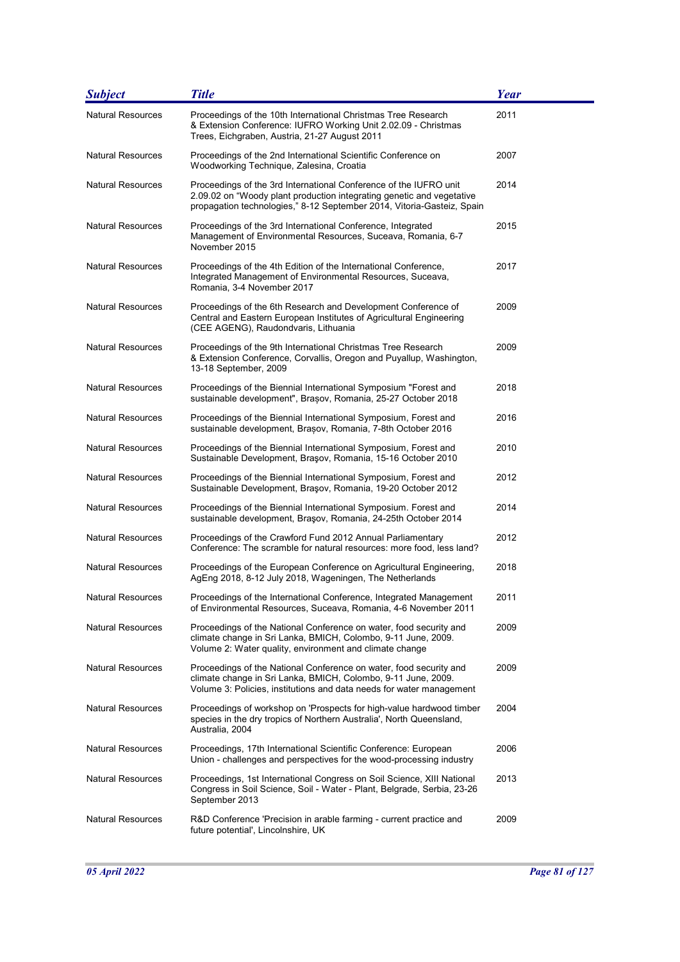| <b>Subject</b>           | <b>Title</b>                                                                                                                                                                                                         | Year |
|--------------------------|----------------------------------------------------------------------------------------------------------------------------------------------------------------------------------------------------------------------|------|
| <b>Natural Resources</b> | Proceedings of the 10th International Christmas Tree Research<br>& Extension Conference: IUFRO Working Unit 2.02.09 - Christmas<br>Trees, Eichgraben, Austria, 21-27 August 2011                                     | 2011 |
| <b>Natural Resources</b> | Proceedings of the 2nd International Scientific Conference on<br>Woodworking Technique, Zalesina, Croatia                                                                                                            | 2007 |
| Natural Resources        | Proceedings of the 3rd International Conference of the IUFRO unit<br>2.09.02 on "Woody plant production integrating genetic and vegetative<br>propagation technologies," 8-12 September 2014, Vitoria-Gasteiz, Spain | 2014 |
| <b>Natural Resources</b> | Proceedings of the 3rd International Conference, Integrated<br>Management of Environmental Resources, Suceava, Romania, 6-7<br>November 2015                                                                         | 2015 |
| <b>Natural Resources</b> | Proceedings of the 4th Edition of the International Conference,<br>Integrated Management of Environmental Resources, Suceava,<br>Romania, 3-4 November 2017                                                          | 2017 |
| <b>Natural Resources</b> | Proceedings of the 6th Research and Development Conference of<br>Central and Eastern European Institutes of Agricultural Engineering<br>(CEE AGENG), Raudondvaris, Lithuania                                         | 2009 |
| <b>Natural Resources</b> | Proceedings of the 9th International Christmas Tree Research<br>& Extension Conference, Corvallis, Oregon and Puyallup, Washington,<br>13-18 September, 2009                                                         | 2009 |
| <b>Natural Resources</b> | Proceedings of the Biennial International Symposium "Forest and<br>sustainable development", Brașov, Romania, 25-27 October 2018                                                                                     | 2018 |
| <b>Natural Resources</b> | Proceedings of the Biennial International Symposium, Forest and<br>sustainable development, Brasov, Romania, 7-8th October 2016                                                                                      | 2016 |
| <b>Natural Resources</b> | Proceedings of the Biennial International Symposium, Forest and<br>Sustainable Development, Braşov, Romania, 15-16 October 2010                                                                                      | 2010 |
| <b>Natural Resources</b> | Proceedings of the Biennial International Symposium, Forest and<br>Sustainable Development, Braşov, Romania, 19-20 October 2012                                                                                      | 2012 |
| Natural Resources        | Proceedings of the Biennial International Symposium. Forest and<br>sustainable development, Braşov, Romania, 24-25th October 2014                                                                                    | 2014 |
| <b>Natural Resources</b> | Proceedings of the Crawford Fund 2012 Annual Parliamentary<br>Conference: The scramble for natural resources: more food, less land?                                                                                  | 2012 |
| <b>Natural Resources</b> | Proceedings of the European Conference on Agricultural Engineering,<br>AgEng 2018, 8-12 July 2018, Wageningen, The Netherlands                                                                                       | 2018 |
| Natural Resources        | Proceedings of the International Conference, Integrated Management<br>of Environmental Resources, Suceava, Romania, 4-6 November 2011                                                                                | 2011 |
| Natural Resources        | Proceedings of the National Conference on water, food security and<br>climate change in Sri Lanka, BMICH, Colombo, 9-11 June, 2009.<br>Volume 2: Water quality, environment and climate change                       | 2009 |
| Natural Resources        | Proceedings of the National Conference on water, food security and<br>climate change in Sri Lanka, BMICH, Colombo, 9-11 June, 2009.<br>Volume 3: Policies, institutions and data needs for water management          | 2009 |
| <b>Natural Resources</b> | Proceedings of workshop on 'Prospects for high-value hardwood timber<br>species in the dry tropics of Northern Australia', North Queensland,<br>Australia, 2004                                                      | 2004 |
| Natural Resources        | Proceedings, 17th International Scientific Conference: European<br>Union - challenges and perspectives for the wood-processing industry                                                                              | 2006 |
| <b>Natural Resources</b> | Proceedings, 1st International Congress on Soil Science, XIII National<br>Congress in Soil Science, Soil - Water - Plant, Belgrade, Serbia, 23-26<br>September 2013                                                  | 2013 |
| Natural Resources        | R&D Conference 'Precision in arable farming - current practice and<br>future potential', Lincolnshire, UK                                                                                                            | 2009 |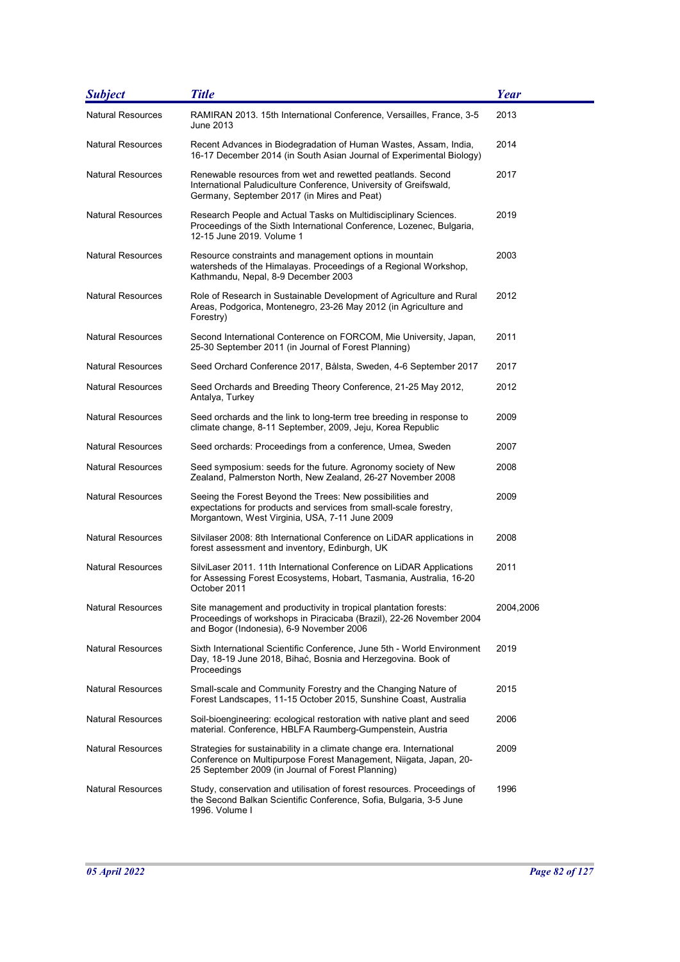| <b>Subject</b>           | <b>Title</b>                                                                                                                                                                                   | Year      |
|--------------------------|------------------------------------------------------------------------------------------------------------------------------------------------------------------------------------------------|-----------|
| <b>Natural Resources</b> | RAMIRAN 2013. 15th International Conference, Versailles, France, 3-5<br>June 2013                                                                                                              | 2013      |
| <b>Natural Resources</b> | Recent Advances in Biodegradation of Human Wastes, Assam, India,<br>16-17 December 2014 (in South Asian Journal of Experimental Biology)                                                       | 2014      |
| <b>Natural Resources</b> | Renewable resources from wet and rewetted peatlands. Second<br>International Paludiculture Conference, University of Greifswald,<br>Germany, September 2017 (in Mires and Peat)                | 2017      |
| <b>Natural Resources</b> | Research People and Actual Tasks on Multidisciplinary Sciences.<br>Proceedings of the Sixth International Conference, Lozenec, Bulgaria,<br>12-15 June 2019, Volume 1                          | 2019      |
| <b>Natural Resources</b> | Resource constraints and management options in mountain<br>watersheds of the Himalayas. Proceedings of a Regional Workshop,<br>Kathmandu, Nepal, 8-9 December 2003                             | 2003      |
| <b>Natural Resources</b> | Role of Research in Sustainable Development of Agriculture and Rural<br>Areas, Podgorica, Montenegro, 23-26 May 2012 (in Agriculture and<br>Forestry)                                          | 2012      |
| <b>Natural Resources</b> | Second International Conterence on FORCOM, Mie University, Japan,<br>25-30 September 2011 (in Journal of Forest Planning)                                                                      | 2011      |
| <b>Natural Resources</b> | Seed Orchard Conference 2017, Bålsta, Sweden, 4-6 September 2017                                                                                                                               | 2017      |
| <b>Natural Resources</b> | Seed Orchards and Breeding Theory Conference, 21-25 May 2012,<br>Antalya, Turkey                                                                                                               | 2012      |
| <b>Natural Resources</b> | Seed orchards and the link to long-term tree breeding in response to<br>climate change, 8-11 September, 2009, Jeju, Korea Republic                                                             | 2009      |
| <b>Natural Resources</b> | Seed orchards: Proceedings from a conference, Umea, Sweden                                                                                                                                     | 2007      |
| <b>Natural Resources</b> | Seed symposium: seeds for the future. Agronomy society of New<br>Zealand, Palmerston North, New Zealand, 26-27 November 2008                                                                   | 2008      |
| <b>Natural Resources</b> | Seeing the Forest Beyond the Trees: New possibilities and<br>expectations for products and services from small-scale forestry,<br>Morgantown, West Virginia, USA, 7-11 June 2009               | 2009      |
| <b>Natural Resources</b> | Silvilaser 2008: 8th International Conference on LiDAR applications in<br>forest assessment and inventory, Edinburgh, UK                                                                       | 2008      |
| <b>Natural Resources</b> | SilviLaser 2011. 11th International Conference on LiDAR Applications<br>for Assessing Forest Ecosystems, Hobart, Tasmania, Australia, 16-20<br>October 2011                                    | 2011      |
| <b>Natural Resources</b> | Site management and productivity in tropical plantation forests:<br>Proceedings of workshops in Piracicaba (Brazil), 22-26 November 2004<br>and Bogor (Indonesia), 6-9 November 2006           | 2004,2006 |
| <b>Natural Resources</b> | Sixth International Scientific Conference, June 5th - World Environment<br>Day, 18-19 June 2018, Bihać, Bosnia and Herzegovina. Book of<br>Proceedings                                         | 2019      |
| <b>Natural Resources</b> | Small-scale and Community Forestry and the Changing Nature of<br>Forest Landscapes, 11-15 October 2015, Sunshine Coast, Australia                                                              | 2015      |
| <b>Natural Resources</b> | Soil-bioengineering: ecological restoration with native plant and seed<br>material. Conference, HBLFA Raumberg-Gumpenstein, Austria                                                            | 2006      |
| <b>Natural Resources</b> | Strategies for sustainability in a climate change era. International<br>Conference on Multipurpose Forest Management, Niigata, Japan, 20-<br>25 September 2009 (in Journal of Forest Planning) | 2009      |
| <b>Natural Resources</b> | Study, conservation and utilisation of forest resources. Proceedings of<br>the Second Balkan Scientific Conference, Sofia, Bulgaria, 3-5 June<br>1996. Volume I                                | 1996      |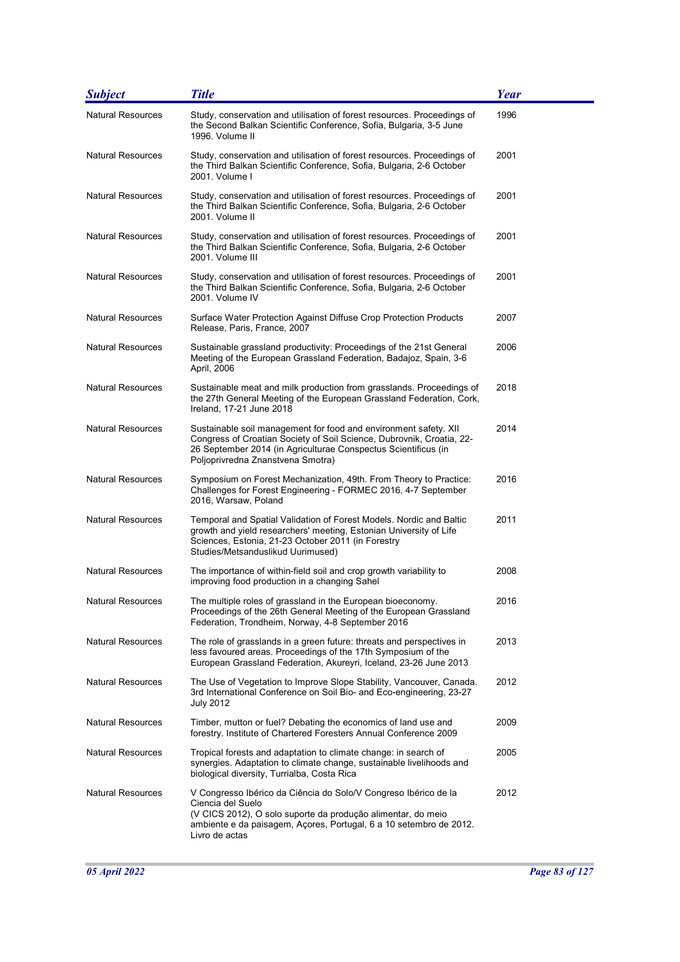| <b>Subject</b>           | <b>Title</b>                                                                                                                                                                                                                                     | Year |
|--------------------------|--------------------------------------------------------------------------------------------------------------------------------------------------------------------------------------------------------------------------------------------------|------|
| <b>Natural Resources</b> | Study, conservation and utilisation of forest resources. Proceedings of<br>the Second Balkan Scientific Conference, Sofia, Bulgaria, 3-5 June<br>1996. Volume II                                                                                 | 1996 |
| <b>Natural Resources</b> | Study, conservation and utilisation of forest resources. Proceedings of<br>the Third Balkan Scientific Conference, Sofia, Bulgaria, 2-6 October<br>2001. Volume I                                                                                | 2001 |
| <b>Natural Resources</b> | Study, conservation and utilisation of forest resources. Proceedings of<br>the Third Balkan Scientific Conference, Sofia, Bulgaria, 2-6 October<br>2001. Volume II                                                                               | 2001 |
| <b>Natural Resources</b> | Study, conservation and utilisation of forest resources. Proceedings of<br>the Third Balkan Scientific Conference, Sofia, Bulgaria, 2-6 October<br>2001. Volume III                                                                              | 2001 |
| Natural Resources        | Study, conservation and utilisation of forest resources. Proceedings of<br>the Third Balkan Scientific Conference, Sofia, Bulgaria, 2-6 October<br>2001. Volume IV                                                                               | 2001 |
| Natural Resources        | Surface Water Protection Against Diffuse Crop Protection Products<br>Release, Paris, France, 2007                                                                                                                                                | 2007 |
| <b>Natural Resources</b> | Sustainable grassland productivity: Proceedings of the 21st General<br>Meeting of the European Grassland Federation, Badajoz, Spain, 3-6<br>April, 2006                                                                                          | 2006 |
| <b>Natural Resources</b> | Sustainable meat and milk production from grasslands. Proceedings of<br>the 27th General Meeting of the European Grassland Federation, Cork,<br>Ireland, 17-21 June 2018                                                                         | 2018 |
| <b>Natural Resources</b> | Sustainable soil management for food and environment safety. XII<br>Congress of Croatian Society of Soil Science, Dubrovnik, Croatia, 22-<br>26 September 2014 (in Agriculturae Conspectus Scientificus (in<br>Poljoprivredna Znanstvena Smotra) | 2014 |
| Natural Resources        | Symposium on Forest Mechanization, 49th. From Theory to Practice:<br>Challenges for Forest Engineering - FORMEC 2016, 4-7 September<br>2016, Warsaw, Poland                                                                                      | 2016 |
| <b>Natural Resources</b> | Temporal and Spatial Validation of Forest Models. Nordic and Baltic<br>growth and yield researchers' meeting, Estonian University of Life<br>Sciences, Estonia, 21-23 October 2011 (in Forestry<br>Studies/Metsanduslikud Uurimused)             | 2011 |
| <b>Natural Resources</b> | The importance of within-field soil and crop growth variability to<br>improving food production in a changing Sahel                                                                                                                              | 2008 |
| Natural Resources        | The multiple roles of grassland in the European bioeconomy.<br>Proceedings of the 26th General Meeting of the European Grassland<br>Federation, Trondheim, Norway, 4-8 September 2016                                                            | 2016 |
| Natural Resources        | The role of grasslands in a green future: threats and perspectives in<br>less favoured areas. Proceedings of the 17th Symposium of the<br>European Grassland Federation, Akureyri, Iceland, 23-26 June 2013                                      | 2013 |
| <b>Natural Resources</b> | The Use of Vegetation to Improve Slope Stability, Vancouver, Canada.<br>3rd International Conference on Soil Bio- and Eco-engineering, 23-27<br><b>July 2012</b>                                                                                 | 2012 |
| Natural Resources        | Timber, mutton or fuel? Debating the economics of land use and<br>forestry. Institute of Chartered Foresters Annual Conference 2009                                                                                                              | 2009 |
| <b>Natural Resources</b> | Tropical forests and adaptation to climate change: in search of<br>synergies. Adaptation to climate change, sustainable livelihoods and<br>biological diversity, Turrialba, Costa Rica                                                           | 2005 |
| <b>Natural Resources</b> | V Congresso Ibérico da Ciência do Solo/V Congreso Ibérico de la<br>Ciencia del Suelo<br>(V CICS 2012), O solo suporte da produção alimentar, do meio<br>ambiente e da paisagem, Açores, Portugal, 6 a 10 setembro de 2012.<br>Livro de actas     | 2012 |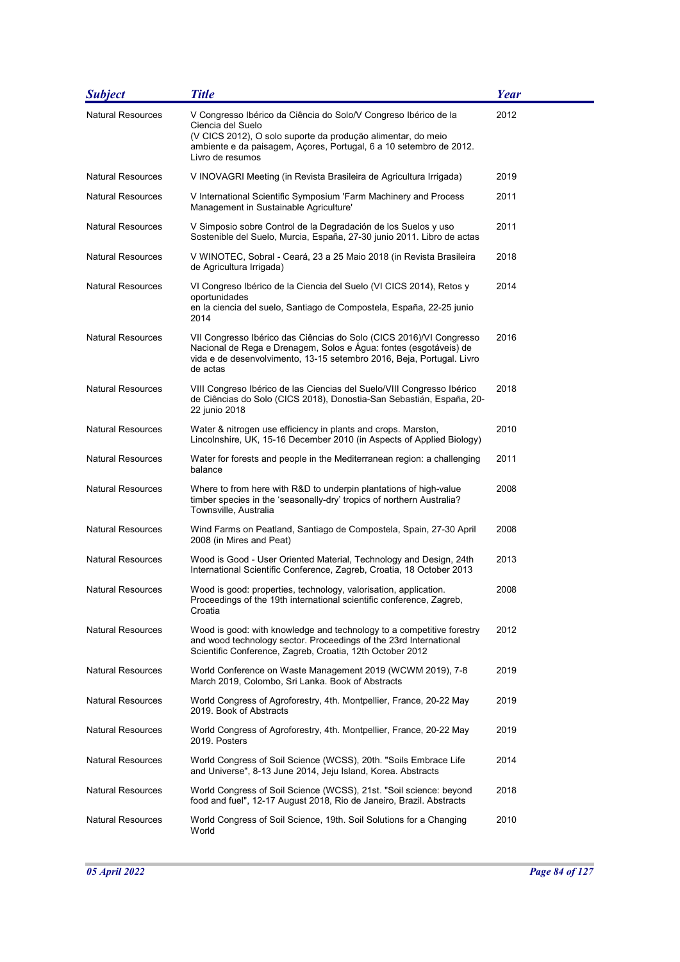| <b>Subject</b>           | <b>Title</b>                                                                                                                                                                                                                                   | <b>Year</b> |
|--------------------------|------------------------------------------------------------------------------------------------------------------------------------------------------------------------------------------------------------------------------------------------|-------------|
| <b>Natural Resources</b> | V Congresso Ibérico da Ciência do Solo/V Congreso Ibérico de la<br>Ciencia del Suelo<br>(V CICS 2012), O solo suporte da produção alimentar, do meio<br>ambiente e da paisagem, Açores, Portugal, 6 a 10 setembro de 2012.<br>Livro de resumos | 2012        |
| <b>Natural Resources</b> | V INOVAGRI Meeting (in Revista Brasileira de Agricultura Irrigada)                                                                                                                                                                             | 2019        |
| <b>Natural Resources</b> | V International Scientific Symposium 'Farm Machinery and Process<br>Management in Sustainable Agriculture'                                                                                                                                     | 2011        |
| <b>Natural Resources</b> | V Simposio sobre Control de la Degradación de los Suelos y uso<br>Sostenible del Suelo, Murcia, España, 27-30 junio 2011. Libro de actas                                                                                                       | 2011        |
| <b>Natural Resources</b> | V WINOTEC, Sobral - Ceará, 23 a 25 Maio 2018 (in Revista Brasileira<br>de Agricultura Irrigada)                                                                                                                                                | 2018        |
| <b>Natural Resources</b> | VI Congreso Ibérico de la Ciencia del Suelo (VI CICS 2014), Retos y<br>oportunidades<br>en la ciencia del suelo, Santiago de Compostela, España, 22-25 junio<br>2014                                                                           | 2014        |
| <b>Natural Resources</b> | VII Congresso Ibérico das Ciências do Solo (CICS 2016)/VI Congresso<br>Nacional de Rega e Drenagem, Solos e Água: fontes (esgotáveis) de<br>vida e de desenvolvimento, 13-15 setembro 2016, Beja, Portugal. Livro<br>de actas                  | 2016        |
| <b>Natural Resources</b> | VIII Congreso Ibérico de las Ciencias del Suelo/VIII Congresso Ibérico<br>de Ciências do Solo (CICS 2018), Donostia-San Sebastián, España, 20-<br>22 junio 2018                                                                                | 2018        |
| <b>Natural Resources</b> | Water & nitrogen use efficiency in plants and crops. Marston,<br>Lincolnshire, UK, 15-16 December 2010 (in Aspects of Applied Biology)                                                                                                         | 2010        |
| <b>Natural Resources</b> | Water for forests and people in the Mediterranean region: a challenging<br>balance                                                                                                                                                             | 2011        |
| <b>Natural Resources</b> | Where to from here with R&D to underpin plantations of high-value<br>timber species in the 'seasonally-dry' tropics of northern Australia?<br>Townsville, Australia                                                                            | 2008        |
| <b>Natural Resources</b> | Wind Farms on Peatland, Santiago de Compostela, Spain, 27-30 April<br>2008 (in Mires and Peat)                                                                                                                                                 | 2008        |
| <b>Natural Resources</b> | Wood is Good - User Oriented Material, Technology and Design, 24th<br>International Scientific Conference, Zagreb, Croatia, 18 October 2013                                                                                                    | 2013        |
| <b>Natural Resources</b> | Wood is good: properties, technology, valorisation, application.<br>Proceedings of the 19th international scientific conference, Zagreb,<br>Croatia                                                                                            | 2008        |
| <b>Natural Resources</b> | Wood is good: with knowledge and technology to a competitive forestry<br>and wood technology sector. Proceedings of the 23rd International<br>Scientific Conference, Zagreb, Croatia, 12th October 2012                                        | 2012        |
| <b>Natural Resources</b> | World Conference on Waste Management 2019 (WCWM 2019), 7-8<br>March 2019, Colombo, Sri Lanka. Book of Abstracts                                                                                                                                | 2019        |
| <b>Natural Resources</b> | World Congress of Agroforestry, 4th. Montpellier, France, 20-22 May<br>2019. Book of Abstracts                                                                                                                                                 | 2019        |
| <b>Natural Resources</b> | World Congress of Agroforestry, 4th. Montpellier, France, 20-22 May<br>2019. Posters                                                                                                                                                           | 2019        |
| <b>Natural Resources</b> | World Congress of Soil Science (WCSS), 20th. "Soils Embrace Life<br>and Universe", 8-13 June 2014, Jeju Island, Korea. Abstracts                                                                                                               | 2014        |
| <b>Natural Resources</b> | World Congress of Soil Science (WCSS), 21st. "Soil science: beyond<br>food and fuel", 12-17 August 2018, Rio de Janeiro, Brazil. Abstracts                                                                                                     | 2018        |
| <b>Natural Resources</b> | World Congress of Soil Science, 19th. Soil Solutions for a Changing<br>World                                                                                                                                                                   | 2010        |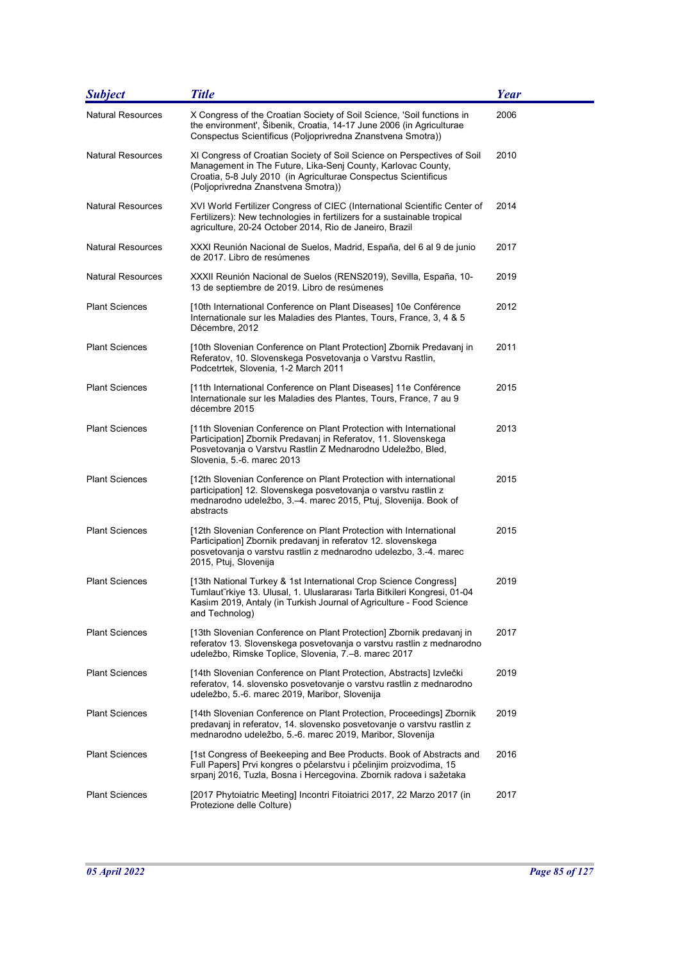| <b>Subject</b>           | <b>Title</b>                                                                                                                                                                                                                                      | Year |
|--------------------------|---------------------------------------------------------------------------------------------------------------------------------------------------------------------------------------------------------------------------------------------------|------|
| <b>Natural Resources</b> | X Congress of the Croatian Society of Soil Science, 'Soil functions in<br>the environment', Šibenik, Croatia, 14-17 June 2006 (in Agriculturae<br>Conspectus Scientificus (Poljoprivredna Znanstvena Smotra))                                     | 2006 |
| <b>Natural Resources</b> | XI Congress of Croatian Society of Soil Science on Perspectives of Soil<br>Management in The Future, Lika-Senj County, Karlovac County,<br>Croatia, 5-8 July 2010 (in Agriculturae Conspectus Scientificus<br>(Poljoprivredna Znanstvena Smotra)) | 2010 |
| <b>Natural Resources</b> | XVI World Fertilizer Congress of CIEC (International Scientific Center of<br>Fertilizers): New technologies in fertilizers for a sustainable tropical<br>agriculture, 20-24 October 2014, Rio de Janeiro, Brazil                                  | 2014 |
| <b>Natural Resources</b> | XXXI Reunión Nacional de Suelos, Madrid, España, del 6 al 9 de junio<br>de 2017. Libro de resúmenes                                                                                                                                               | 2017 |
| <b>Natural Resources</b> | XXXII Reunión Nacional de Suelos (RENS2019), Sevilla, España, 10-<br>13 de septiembre de 2019. Libro de resúmenes                                                                                                                                 | 2019 |
| <b>Plant Sciences</b>    | [10th International Conference on Plant Diseases] 10e Conférence<br>Internationale sur les Maladies des Plantes, Tours, France, 3, 4 & 5<br>Décembre, 2012                                                                                        | 2012 |
| <b>Plant Sciences</b>    | [10th Slovenian Conference on Plant Protection] Zbornik Predavanj in<br>Referatov, 10. Slovenskega Posvetovanja o Varstvu Rastlin,<br>Podcetrtek, Slovenia, 1-2 March 2011                                                                        | 2011 |
| <b>Plant Sciences</b>    | [11th International Conference on Plant Diseases] 11e Conférence<br>Internationale sur les Maladies des Plantes, Tours, France, 7 au 9<br>décembre 2015                                                                                           | 2015 |
| <b>Plant Sciences</b>    | [11th Slovenian Conference on Plant Protection with International<br>Participation] Zbornik Predavanj in Referatov, 11. Slovenskega<br>Posvetovanja o Varstvu Rastlin Z Mednarodno Udeležbo, Bled,<br>Slovenia, 5.-6. marec 2013                  | 2013 |
| <b>Plant Sciences</b>    | [12th Slovenian Conference on Plant Protection with international<br>participation] 12. Slovenskega posvetovanja o varstvu rastlin z<br>mednarodno udeležbo, 3.–4. marec 2015, Ptuj, Slovenija. Book of<br>abstracts                              | 2015 |
| <b>Plant Sciences</b>    | [12th Slovenian Conference on Plant Protection with International<br>Participation] Zbornik predavanj in referatov 12. slovenskega<br>posvetovanja o varstvu rastlin z mednarodno udelezbo, 3.-4. marec<br>2015, Ptuj, Slovenija                  | 2015 |
| <b>Plant Sciences</b>    | [13th National Turkey & 1st International Crop Science Congress]<br>Tumlaut rkiye 13. Ulusal, 1. Uluslararası Tarla Bitkileri Kongresi, 01-04<br>Kasiim 2019, Antaly (in Turkish Journal of Agriculture - Food Science<br>and Technolog)          | 2019 |
| <b>Plant Sciences</b>    | [13th Slovenian Conference on Plant Protection] Zbornik predavanj in<br>referatov 13. Slovenskega posvetovanja o varstvu rastlin z mednarodno<br>udeležbo, Rimske Toplice, Slovenia, 7.–8. marec 2017                                             | 2017 |
| <b>Plant Sciences</b>    | [14th Slovenian Conference on Plant Protection, Abstracts] Izvlečki<br>referatov, 14. slovensko posvetovanje o varstvu rastlin z mednarodno<br>udeležbo, 5.-6. marec 2019, Maribor, Slovenija                                                     | 2019 |
| <b>Plant Sciences</b>    | [14th Slovenian Conference on Plant Protection, Proceedings] Zbornik<br>predavanj in referatov, 14. slovensko posvetovanje o varstvu rastlin z<br>mednarodno udeležbo, 5.-6. marec 2019, Maribor, Slovenija                                       | 2019 |
| <b>Plant Sciences</b>    | [1st Congress of Beekeeping and Bee Products. Book of Abstracts and<br>Full Papers] Prvi kongres o pčelarstvu i pčelinjim proizvodima, 15<br>srpanj 2016, Tuzla, Bosna i Hercegovina. Zbornik radova i sažetaka                                   | 2016 |
| <b>Plant Sciences</b>    | [2017 Phytoiatric Meeting] Incontri Fitoiatrici 2017, 22 Marzo 2017 (in<br>Protezione delle Colture)                                                                                                                                              | 2017 |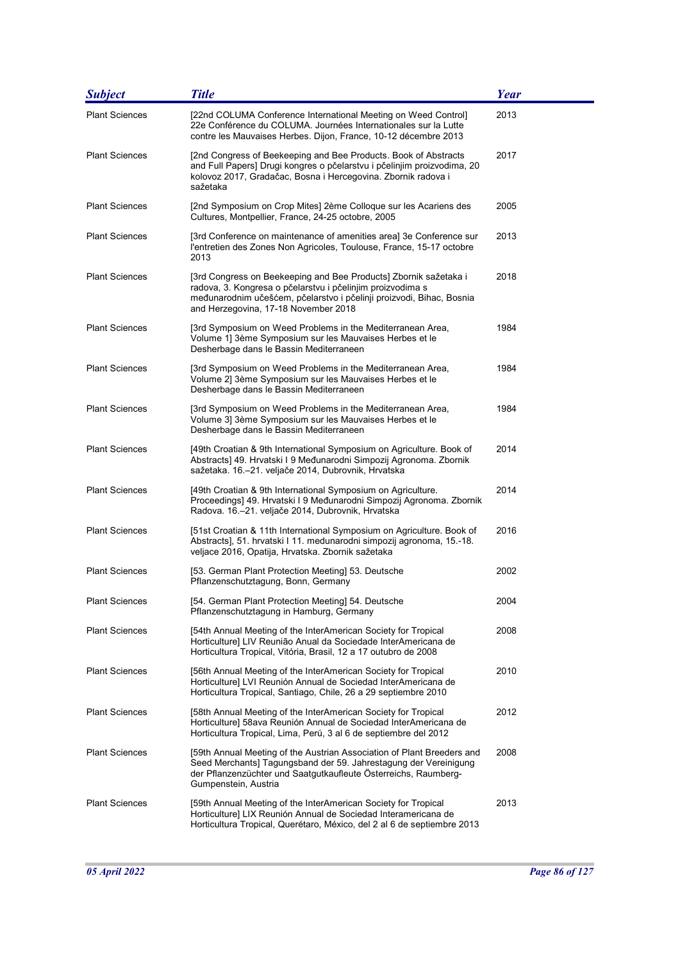| <b>Subject</b>        | <b>Title</b>                                                                                                                                                                                                                                   | Year |
|-----------------------|------------------------------------------------------------------------------------------------------------------------------------------------------------------------------------------------------------------------------------------------|------|
| <b>Plant Sciences</b> | [22nd COLUMA Conference International Meeting on Weed Control]<br>22e Conférence du COLUMA. Journées Internationales sur la Lutte<br>contre les Mauvaises Herbes. Dijon, France, 10-12 décembre 2013                                           | 2013 |
| <b>Plant Sciences</b> | [2nd Congress of Beekeeping and Bee Products. Book of Abstracts<br>and Full Papers] Drugi kongres o pčelarstvu i pčelinjim proizvodima, 20<br>kolovoz 2017, Gradačac, Bosna i Hercegovina. Zbornik radova i<br>sažetaka                        | 2017 |
| <b>Plant Sciences</b> | [2nd Symposium on Crop Mites] 2ème Colloque sur les Acariens des<br>Cultures, Montpellier, France, 24-25 octobre, 2005                                                                                                                         | 2005 |
| <b>Plant Sciences</b> | [3rd Conference on maintenance of amenities area] 3e Conference sur<br>l'entretien des Zones Non Agricoles, Toulouse, France, 15-17 octobre<br>2013                                                                                            | 2013 |
| <b>Plant Sciences</b> | [3rd Congress on Beekeeping and Bee Products] Zbornik sažetaka i<br>radova, 3. Kongresa o pčelarstvu i pčelinjim proizvodima s<br>međunarodnim učešćem, pčelarstvo i pčelinji proizvodi, Bihac, Bosnia<br>and Herzegovina, 17-18 November 2018 | 2018 |
| <b>Plant Sciences</b> | [3rd Symposium on Weed Problems in the Mediterranean Area,<br>Volume 1] 3ème Symposium sur les Mauvaises Herbes et le<br>Desherbage dans le Bassin Mediterraneen                                                                               | 1984 |
| <b>Plant Sciences</b> | [3rd Symposium on Weed Problems in the Mediterranean Area,<br>Volume 2] 3ème Symposium sur les Mauvaises Herbes et le<br>Desherbage dans le Bassin Mediterraneen                                                                               | 1984 |
| <b>Plant Sciences</b> | [3rd Symposium on Weed Problems in the Mediterranean Area,<br>Volume 3] 3ème Symposium sur les Mauvaises Herbes et le<br>Desherbage dans le Bassin Mediterraneen                                                                               | 1984 |
| <b>Plant Sciences</b> | [49th Croatian & 9th International Symposium on Agriculture. Book of<br>Abstracts] 49. Hrvatski I 9 Međunarodni Simpozij Agronoma. Zbornik<br>sažetaka. 16.–21. veljače 2014, Dubrovnik, Hrvatska                                              | 2014 |
| <b>Plant Sciences</b> | [49th Croatian & 9th International Symposium on Agriculture.<br>Proceedings] 49. Hrvatski I 9 Međunarodni Simpozij Agronoma. Zbornik<br>Radova. 16.-21. veljače 2014, Dubrovnik, Hrvatska                                                      | 2014 |
| <b>Plant Sciences</b> | [51st Croatian & 11th International Symposium on Agriculture. Book of<br>Abstracts], 51. hrvatski I 11. medunarodni simpozij agronoma, 15.-18.<br>veljace 2016, Opatija, Hrvatska. Zbornik sažetaka                                            | 2016 |
| <b>Plant Sciences</b> | [53. German Plant Protection Meeting] 53. Deutsche<br>Pflanzenschutztagung, Bonn, Germany                                                                                                                                                      | 2002 |
| <b>Plant Sciences</b> | [54. German Plant Protection Meeting] 54. Deutsche<br>Pflanzenschutztagung in Hamburg, Germany                                                                                                                                                 | 2004 |
| <b>Plant Sciences</b> | [54th Annual Meeting of the InterAmerican Society for Tropical<br>Horticulture] LIV Reunião Anual da Sociedade InterAmericana de<br>Horticultura Tropical, Vitória, Brasil, 12 a 17 outubro de 2008                                            | 2008 |
| <b>Plant Sciences</b> | [56th Annual Meeting of the InterAmerican Society for Tropical<br>Horticulture] LVI Reunión Annual de Sociedad InterAmericana de<br>Horticultura Tropical, Santiago, Chile, 26 a 29 septiembre 2010                                            | 2010 |
| <b>Plant Sciences</b> | [58th Annual Meeting of the InterAmerican Society for Tropical<br>Horticulture] 58ava Reunión Annual de Sociedad InterAmericana de<br>Horticultura Tropical, Lima, Perú, 3 al 6 de septiembre del 2012                                         | 2012 |
| <b>Plant Sciences</b> | [59th Annual Meeting of the Austrian Association of Plant Breeders and<br>Seed Merchants] Tagungsband der 59. Jahrestagung der Vereinigung<br>der Pflanzenzüchter und Saatgutkaufleute Österreichs, Raumberg-<br>Gumpenstein, Austria          | 2008 |
| <b>Plant Sciences</b> | [59th Annual Meeting of the InterAmerican Society for Tropical<br>Horticulture] LIX Reunión Annual de Sociedad Interamericana de<br>Horticultura Tropical, Querétaro, México, del 2 al 6 de septiembre 2013                                    | 2013 |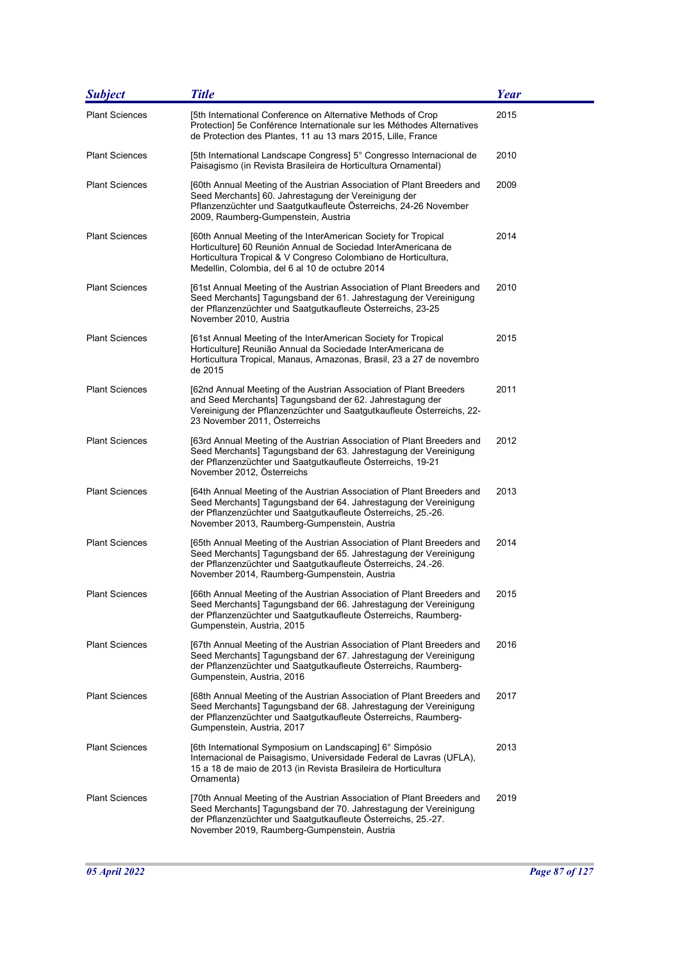| <b>Subject</b>        | <b>Title</b>                                                                                                                                                                                                                                                | <b>Year</b> |
|-----------------------|-------------------------------------------------------------------------------------------------------------------------------------------------------------------------------------------------------------------------------------------------------------|-------------|
| <b>Plant Sciences</b> | [5th International Conference on Alternative Methods of Crop<br>Protection] 5e Conférence Internationale sur les Méthodes Alternatives<br>de Protection des Plantes, 11 au 13 mars 2015, Lille, France                                                      | 2015        |
| <b>Plant Sciences</b> | [5th International Landscape Congress] 5° Congresso Internacional de<br>Paisagismo (in Revista Brasileira de Horticultura Ornamental)                                                                                                                       | 2010        |
| <b>Plant Sciences</b> | [60th Annual Meeting of the Austrian Association of Plant Breeders and<br>Seed Merchants] 60. Jahrestagung der Vereinigung der<br>Pflanzenzüchter und Saatgutkaufleute Österreichs, 24-26 November<br>2009, Raumberg-Gumpenstein, Austria                   | 2009        |
| <b>Plant Sciences</b> | [60th Annual Meeting of the InterAmerican Society for Tropical<br>Horticulture] 60 Reunión Annual de Sociedad InterAmericana de<br>Horticultura Tropical & V Congreso Colombiano de Horticultura,<br>Medellin, Colombia, del 6 al 10 de octubre 2014        | 2014        |
| <b>Plant Sciences</b> | [61st Annual Meeting of the Austrian Association of Plant Breeders and<br>Seed Merchants] Tagungsband der 61. Jahrestagung der Vereinigung<br>der Pflanzenzüchter und Saatgutkaufleute Österreichs, 23-25<br>November 2010, Austria                         | 2010        |
| <b>Plant Sciences</b> | [61st Annual Meeting of the InterAmerican Society for Tropical<br>Horticulture] Reunião Annual da Sociedade InterAmericana de<br>Horticultura Tropical, Manaus, Amazonas, Brasil, 23 a 27 de novembro<br>de 2015                                            | 2015        |
| <b>Plant Sciences</b> | [62nd Annual Meeting of the Austrian Association of Plant Breeders<br>and Seed Merchants] Tagungsband der 62. Jahrestagung der<br>Vereinigung der Pflanzenzüchter und Saatgutkaufleute Österreichs, 22-<br>23 November 2011, Österreichs                    | 2011        |
| <b>Plant Sciences</b> | [63rd Annual Meeting of the Austrian Association of Plant Breeders and<br>Seed Merchants] Tagungsband der 63. Jahrestagung der Vereinigung<br>der Pflanzenzüchter und Saatgutkaufleute Österreichs, 19-21<br>November 2012, Österreichs                     | 2012        |
| <b>Plant Sciences</b> | [64th Annual Meeting of the Austrian Association of Plant Breeders and<br>Seed Merchants] Tagungsband der 64. Jahrestagung der Vereinigung<br>der Pflanzenzüchter und Saatgutkaufleute Österreichs, 25.-26.<br>November 2013, Raumberg-Gumpenstein, Austria | 2013        |
| <b>Plant Sciences</b> | [65th Annual Meeting of the Austrian Association of Plant Breeders and<br>Seed Merchants] Tagungsband der 65. Jahrestagung der Vereinigung<br>der Pflanzenzüchter und Saatgutkaufleute Österreichs, 24.-26.<br>November 2014, Raumberg-Gumpenstein, Austria | 2014        |
| <b>Plant Sciences</b> | [66th Annual Meeting of the Austrian Association of Plant Breeders and<br>Seed Merchants] Tagungsband der 66. Jahrestagung der Vereinigung<br>der Pflanzenzüchter und Saatgutkaufleute Österreichs, Raumberg-<br>Gumpenstein, Austria, 2015                 | 2015        |
| <b>Plant Sciences</b> | [67th Annual Meeting of the Austrian Association of Plant Breeders and<br>Seed Merchants] Tagungsband der 67. Jahrestagung der Vereinigung<br>der Pflanzenzüchter und Saatgutkaufleute Österreichs, Raumberg-<br>Gumpenstein, Austria, 2016                 | 2016        |
| <b>Plant Sciences</b> | [68th Annual Meeting of the Austrian Association of Plant Breeders and<br>Seed Merchants] Tagungsband der 68. Jahrestagung der Vereinigung<br>der Pflanzenzüchter und Saatgutkaufleute Österreichs, Raumberg-<br>Gumpenstein, Austria, 2017                 | 2017        |
| <b>Plant Sciences</b> | [6th International Symposium on Landscaping] 6° Simpósio<br>Internacional de Paisagismo, Universidade Federal de Lavras (UFLA),<br>15 a 18 de maio de 2013 (in Revista Brasileira de Horticultura<br>Ornamenta)                                             | 2013        |
| <b>Plant Sciences</b> | [70th Annual Meeting of the Austrian Association of Plant Breeders and<br>Seed Merchants] Tagungsband der 70. Jahrestagung der Vereinigung<br>der Pflanzenzüchter und Saatgutkaufleute Österreichs, 25.-27.<br>November 2019, Raumberg-Gumpenstein, Austria | 2019        |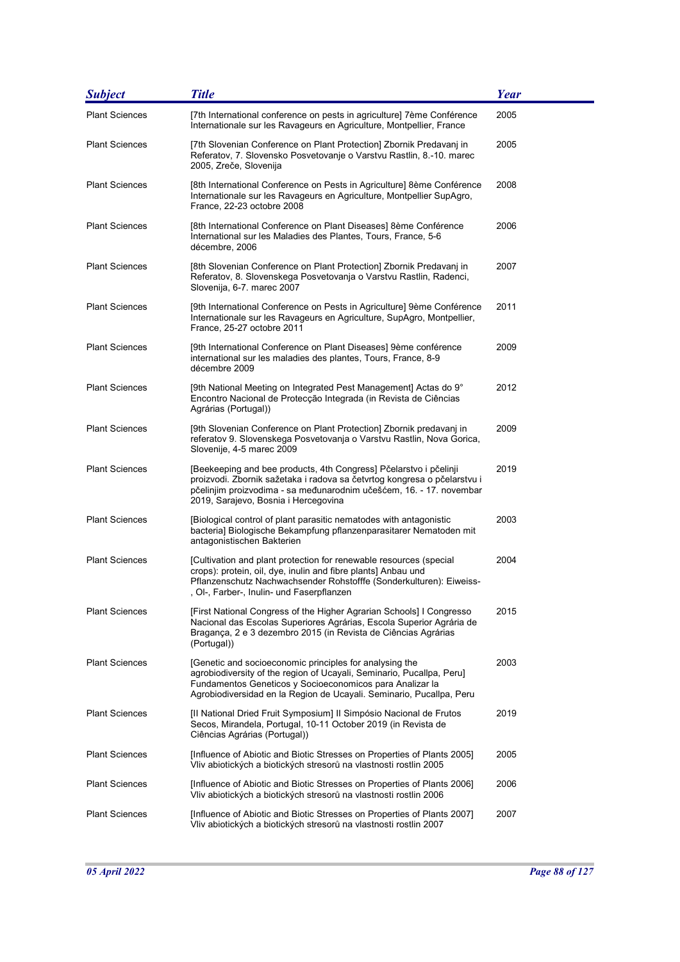| <b>Subject</b>        | <b>Title</b>                                                                                                                                                                                                                                                         | Year |
|-----------------------|----------------------------------------------------------------------------------------------------------------------------------------------------------------------------------------------------------------------------------------------------------------------|------|
| <b>Plant Sciences</b> | [7th International conference on pests in agriculture] 7ème Conférence<br>Internationale sur les Ravageurs en Agriculture, Montpellier, France                                                                                                                       | 2005 |
| <b>Plant Sciences</b> | [7th Slovenian Conference on Plant Protection] Zbornik Predavanj in<br>Referatov, 7. Slovensko Posvetovanje o Varstvu Rastlin, 8.-10. marec<br>2005, Zreče, Slovenija                                                                                                | 2005 |
| <b>Plant Sciences</b> | [8th International Conference on Pests in Agriculture] 8ème Conférence<br>Internationale sur les Ravageurs en Agriculture, Montpellier SupAgro,<br>France, 22-23 octobre 2008                                                                                        | 2008 |
| <b>Plant Sciences</b> | [8th International Conference on Plant Diseases] 8ème Conférence<br>International sur les Maladies des Plantes, Tours, France, 5-6<br>décembre, 2006                                                                                                                 | 2006 |
| <b>Plant Sciences</b> | [8th Slovenian Conference on Plant Protection] Zbornik Predavanj in<br>Referatov, 8. Slovenskega Posvetovanja o Varstvu Rastlin, Radenci,<br>Slovenija, 6-7. marec 2007                                                                                              | 2007 |
| <b>Plant Sciences</b> | [9th International Conference on Pests in Agriculture] 9ème Conférence<br>Internationale sur les Ravageurs en Agriculture, SupAgro, Montpellier,<br>France, 25-27 octobre 2011                                                                                       | 2011 |
| <b>Plant Sciences</b> | [9th International Conference on Plant Diseases] 9ème conférence<br>international sur les maladies des plantes, Tours, France, 8-9<br>décembre 2009                                                                                                                  | 2009 |
| <b>Plant Sciences</b> | [9th National Meeting on Integrated Pest Management] Actas do 9°<br>Encontro Nacional de Protecção Integrada (in Revista de Ciências<br>Agrárias (Portugal))                                                                                                         | 2012 |
| <b>Plant Sciences</b> | [9th Slovenian Conference on Plant Protection] Zbornik predavanj in<br>referatov 9. Slovenskega Posvetovanja o Varstvu Rastlin, Nova Gorica,<br>Slovenije, 4-5 marec 2009                                                                                            | 2009 |
| <b>Plant Sciences</b> | [Beekeeping and bee products, 4th Congress] Pčelarstvo i pčelinji<br>proizvodi. Zbornik sažetaka i radova sa četvrtog kongresa o pčelarstvu i<br>pčelinjim proizvodima - sa međunarodnim učešćem, 16. - 17. novembar<br>2019, Sarajevo, Bosnia i Hercegovina         | 2019 |
| <b>Plant Sciences</b> | [Biological control of plant parasitic nematodes with antagonistic<br>bacteria] Biologische Bekampfung pflanzenparasitarer Nematoden mit<br>antagonistischen Bakterien                                                                                               | 2003 |
| <b>Plant Sciences</b> | [Cultivation and plant protection for renewable resources (special<br>crops): protein, oil, dye, inulin and fibre plants] Anbau und<br>Pflanzenschutz Nachwachsender Rohstofffe (Sonderkulturen): Eiweiss-<br>, Ol-, Farber-, Inulin- und Faserpflanzen              | 2004 |
| <b>Plant Sciences</b> | [First National Congress of the Higher Agrarian Schools] I Congresso<br>Nacional das Escolas Superiores Agrárias, Escola Superior Agrária de<br>Bragança, 2 e 3 dezembro 2015 (in Revista de Ciências Agrárias<br>(Portugal))                                        | 2015 |
| <b>Plant Sciences</b> | [Genetic and socioeconomic principles for analysing the<br>agrobiodiversity of the region of Ucayali, Seminario, Pucallpa, Peru]<br>Fundamentos Geneticos y Socioeconomicos para Analizar la<br>Agrobiodiversidad en la Region de Ucayali. Seminario, Pucallpa, Peru | 2003 |
| <b>Plant Sciences</b> | [Il National Dried Fruit Symposium] Il Simpósio Nacional de Frutos<br>Secos, Mirandela, Portugal, 10-11 October 2019 (in Revista de<br>Ciências Agrárias (Portugal))                                                                                                 | 2019 |
| <b>Plant Sciences</b> | [Influence of Abiotic and Biotic Stresses on Properties of Plants 2005]<br>Vliv abiotických a biotických stresorů na vlastnosti rostlin 2005                                                                                                                         | 2005 |
| <b>Plant Sciences</b> | [Influence of Abiotic and Biotic Stresses on Properties of Plants 2006]<br>Vliv abiotických a biotických stresorů na vlastnosti rostlin 2006                                                                                                                         | 2006 |
| <b>Plant Sciences</b> | [Influence of Abiotic and Biotic Stresses on Properties of Plants 2007]<br>Vliv abiotických a biotických stresorů na vlastnosti rostlin 2007                                                                                                                         | 2007 |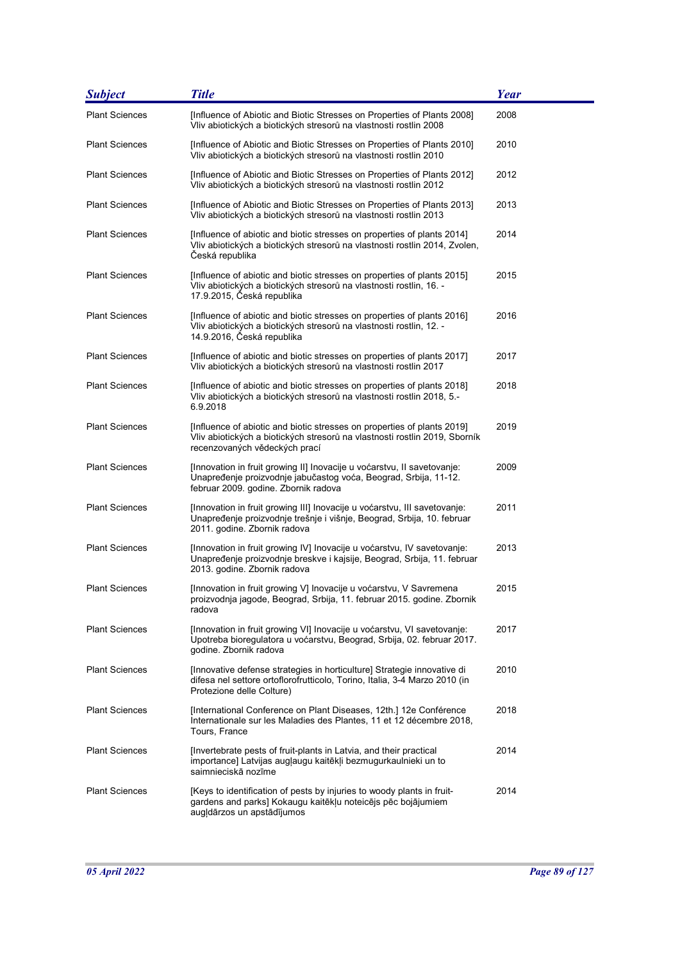| <b>Subject</b>        | <b>Title</b>                                                                                                                                                                           | <b>Year</b> |
|-----------------------|----------------------------------------------------------------------------------------------------------------------------------------------------------------------------------------|-------------|
| <b>Plant Sciences</b> | [Influence of Abiotic and Biotic Stresses on Properties of Plants 2008]<br>Vliv abiotických a biotických stresorů na vlastnosti rostlin 2008                                           | 2008        |
| <b>Plant Sciences</b> | [Influence of Abiotic and Biotic Stresses on Properties of Plants 2010]<br>Vliv abiotických a biotických stresorů na vlastnosti rostlin 2010                                           | 2010        |
| <b>Plant Sciences</b> | [Influence of Abiotic and Biotic Stresses on Properties of Plants 2012]<br>Vliv abiotických a biotických stresorů na vlastnosti rostlin 2012                                           | 2012        |
| <b>Plant Sciences</b> | [Influence of Abiotic and Biotic Stresses on Properties of Plants 2013]<br>Vliv abiotických a biotických stresorů na vlastnosti rostlin 2013                                           | 2013        |
| <b>Plant Sciences</b> | [Influence of abiotic and biotic stresses on properties of plants 2014]<br>Vliv abiotických a biotických stresorů na vlastnosti rostlin 2014, Zvolen,<br>Česká republika               | 2014        |
| <b>Plant Sciences</b> | [Influence of abiotic and biotic stresses on properties of plants 2015]<br>Vliv abiotických a biotických stresorů na vlastnosti rostlin, 16. -<br>17.9.2015, Česká republika           | 2015        |
| <b>Plant Sciences</b> | [Influence of abiotic and biotic stresses on properties of plants 2016]<br>Vliv abiotických a biotických stresorů na vlastnosti rostlin, 12. -<br>14.9.2016, Česká republika           | 2016        |
| <b>Plant Sciences</b> | [Influence of abiotic and biotic stresses on properties of plants 2017]<br>Vliv abiotických a biotických stresorů na vlastnosti rostlin 2017                                           | 2017        |
| <b>Plant Sciences</b> | [Influence of abiotic and biotic stresses on properties of plants 2018]<br>Vliv abiotických a biotických stresorů na vlastnosti rostlin 2018, 5.-<br>6.9.2018                          | 2018        |
| <b>Plant Sciences</b> | [Influence of abiotic and biotic stresses on properties of plants 2019]<br>Vliv abiotických a biotických stresorů na vlastnosti rostlin 2019, Sborník<br>recenzovaných vědeckých prací | 2019        |
| <b>Plant Sciences</b> | [Innovation in fruit growing II] Inovacije u voćarstvu, II savetovanje:<br>Unapređenje proizvodnje jabučastog voća, Beograd, Srbija, 11-12.<br>februar 2009. godine. Zbornik radova    | 2009        |
| <b>Plant Sciences</b> | [Innovation in fruit growing III] Inovacije u voćarstvu, III savetovanje:<br>Unapređenje proizvodnje trešnje i višnje, Beograd, Srbija, 10. februar<br>2011. godine. Zbornik radova    | 2011        |
| <b>Plant Sciences</b> | [Innovation in fruit growing IV] Inovacije u voćarstvu, IV savetovanje:<br>Unapređenje proizvodnje breskve i kajsije, Beograd, Srbija, 11. februar<br>2013. godine. Zbornik radova     | 2013        |
| <b>Plant Sciences</b> | [Innovation in fruit growing V] Inovacije u voćarstvu, V Savremena<br>proizvodnja jagode, Beograd, Srbija, 11. februar 2015. godine. Zbornik<br>radova                                 | 2015        |
| <b>Plant Sciences</b> | [Innovation in fruit growing VI] Inovacije u voćarstvu, VI savetovanje:<br>Upotreba bioregulatora u voćarstvu, Beograd, Srbija, 02. februar 2017.<br>godine. Zbornik radova            | 2017        |
| <b>Plant Sciences</b> | [Innovative defense strategies in horticulture] Strategie innovative di<br>difesa nel settore ortoflorofrutticolo, Torino, Italia, 3-4 Marzo 2010 (in<br>Protezione delle Colture)     | 2010        |
| <b>Plant Sciences</b> | [International Conference on Plant Diseases, 12th.] 12e Conférence<br>Internationale sur les Maladies des Plantes, 11 et 12 décembre 2018,<br>Tours, France                            | 2018        |
| <b>Plant Sciences</b> | [Invertebrate pests of fruit-plants in Latvia, and their practical<br>importance] Latvijas augļaugu kaitēkļi bezmugurkaulnieki un to<br>saimnieciskā nozīme                            | 2014        |
| <b>Plant Sciences</b> | [Keys to identification of pests by injuries to woody plants in fruit-<br>gardens and parks] Kokaugu kaitēkļu noteicējs pēc bojājumiem<br>augļdārzos un apstādījumos                   | 2014        |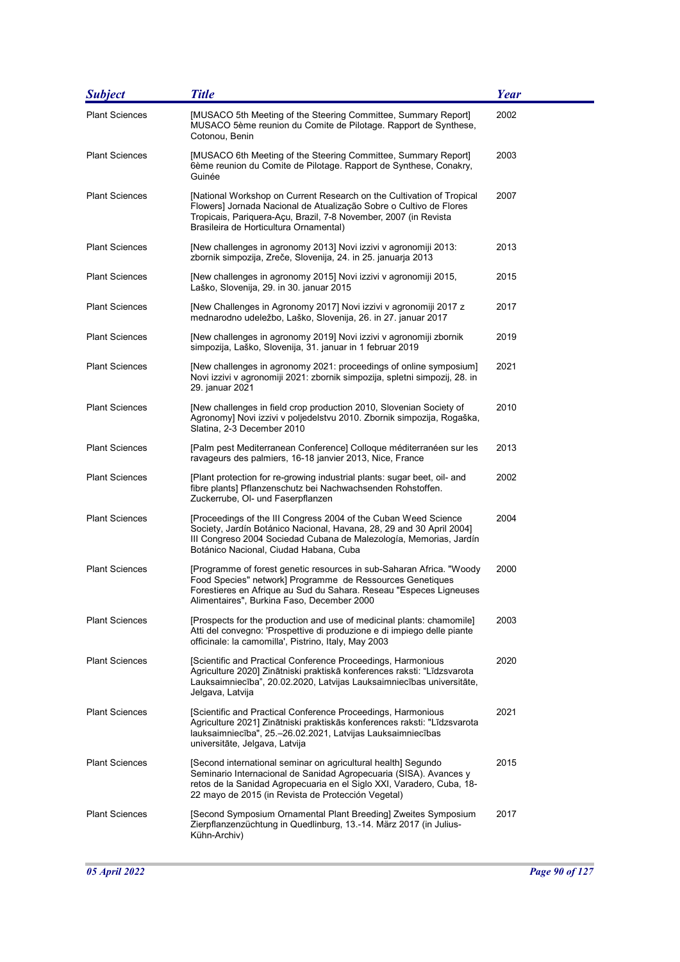| <b>Subject</b>        | <b>Title</b>                                                                                                                                                                                                                                                      | <b>Year</b> |
|-----------------------|-------------------------------------------------------------------------------------------------------------------------------------------------------------------------------------------------------------------------------------------------------------------|-------------|
| <b>Plant Sciences</b> | [MUSACO 5th Meeting of the Steering Committee, Summary Report]<br>MUSACO 5ème reunion du Comite de Pilotage. Rapport de Synthese,<br>Cotonou, Benin                                                                                                               | 2002        |
| <b>Plant Sciences</b> | [MUSACO 6th Meeting of the Steering Committee, Summary Report]<br>6ème reunion du Comite de Pilotage. Rapport de Synthese, Conakry,<br>Guinée                                                                                                                     | 2003        |
| <b>Plant Sciences</b> | [National Workshop on Current Research on the Cultivation of Tropical<br>Flowers] Jornada Nacional de Atualização Sobre o Cultivo de Flores<br>Tropicais, Pariquera-Açu, Brazil, 7-8 November, 2007 (in Revista<br>Brasileira de Horticultura Ornamental)         | 2007        |
| <b>Plant Sciences</b> | [New challenges in agronomy 2013] Novi izzivi v agronomiji 2013:<br>zbornik simpozija, Zreče, Slovenija, 24. in 25. januarja 2013                                                                                                                                 | 2013        |
| <b>Plant Sciences</b> | [New challenges in agronomy 2015] Novi izzivi v agronomiji 2015,<br>Laško, Slovenija, 29. in 30. januar 2015                                                                                                                                                      | 2015        |
| <b>Plant Sciences</b> | [New Challenges in Agronomy 2017] Novi izzivi v agronomiji 2017 z<br>mednarodno udeležbo, Laško, Slovenija, 26. in 27. januar 2017                                                                                                                                | 2017        |
| <b>Plant Sciences</b> | [New challenges in agronomy 2019] Novi izzivi v agronomiji zbornik<br>simpozija, Laško, Slovenija, 31. januar in 1 februar 2019                                                                                                                                   | 2019        |
| <b>Plant Sciences</b> | [New challenges in agronomy 2021: proceedings of online symposium]<br>Novi izzivi v agronomiji 2021: zbornik simpozija, spletni simpozij, 28. in<br>29. januar 2021                                                                                               | 2021        |
| <b>Plant Sciences</b> | [New challenges in field crop production 2010, Slovenian Society of<br>Agronomy] Novi izzivi v poljedelstvu 2010. Zbornik simpozija, Rogaška,<br>Slatina, 2-3 December 2010                                                                                       | 2010        |
| <b>Plant Sciences</b> | [Palm pest Mediterranean Conference] Colloque méditerranéen sur les<br>ravageurs des palmiers, 16-18 janvier 2013, Nice, France                                                                                                                                   | 2013        |
| <b>Plant Sciences</b> | [Plant protection for re-growing industrial plants: sugar beet, oil- and<br>fibre plants] Pflanzenschutz bei Nachwachsenden Rohstoffen.<br>Zuckerrube, OI- und Faserpflanzen                                                                                      | 2002        |
| <b>Plant Sciences</b> | [Proceedings of the III Congress 2004 of the Cuban Weed Science<br>Society, Jardín Botánico Nacional, Havana, 28, 29 and 30 April 2004]<br>III Congreso 2004 Sociedad Cubana de Malezología, Memorias, Jardín<br>Botánico Nacional, Ciudad Habana, Cuba           | 2004        |
| <b>Plant Sciences</b> | [Programme of forest genetic resources in sub-Saharan Africa. "Woody<br>Food Species" network] Programme de Ressources Genetiques<br>Forestieres en Afrique au Sud du Sahara. Reseau "Especes Ligneuses<br>Alimentaires", Burkina Faso, December 2000             | 2000        |
| <b>Plant Sciences</b> | [Prospects for the production and use of medicinal plants: chamomile]<br>Atti del convegno: 'Prospettive di produzione e di impiego delle piante<br>officinale: la camomilla', Pistrino, Italy, May 2003                                                          | 2003        |
| <b>Plant Sciences</b> | [Scientific and Practical Conference Proceedings, Harmonious<br>Agriculture 2020] Zinātniski praktiskā konferences raksti: "Līdzsvarota<br>Lauksaimniecība", 20.02.2020, Latvijas Lauksaimniecības universitāte,<br>Jelgava, Latvija                              | 2020        |
| <b>Plant Sciences</b> | [Scientific and Practical Conference Proceedings, Harmonious<br>Agriculture 2021] Zinātniski praktiskās konferences raksti: "Līdzsvarota<br>lauksaimniecība", 25.–26.02.2021, Latvijas Lauksaimniecības<br>universitāte, Jelgava, Latvija                         | 2021        |
| <b>Plant Sciences</b> | [Second international seminar on agricultural health] Segundo<br>Seminario Internacional de Sanidad Agropecuaria (SISA). Avances y<br>retos de la Sanidad Agropecuaria en el Siglo XXI, Varadero, Cuba, 18-<br>22 mayo de 2015 (in Revista de Protección Vegetal) | 2015        |
| <b>Plant Sciences</b> | [Second Symposium Ornamental Plant Breeding] Zweites Symposium<br>Zierpflanzenzüchtung in Quedlinburg, 13.-14. März 2017 (in Julius-<br>Kühn-Archiv)                                                                                                              | 2017        |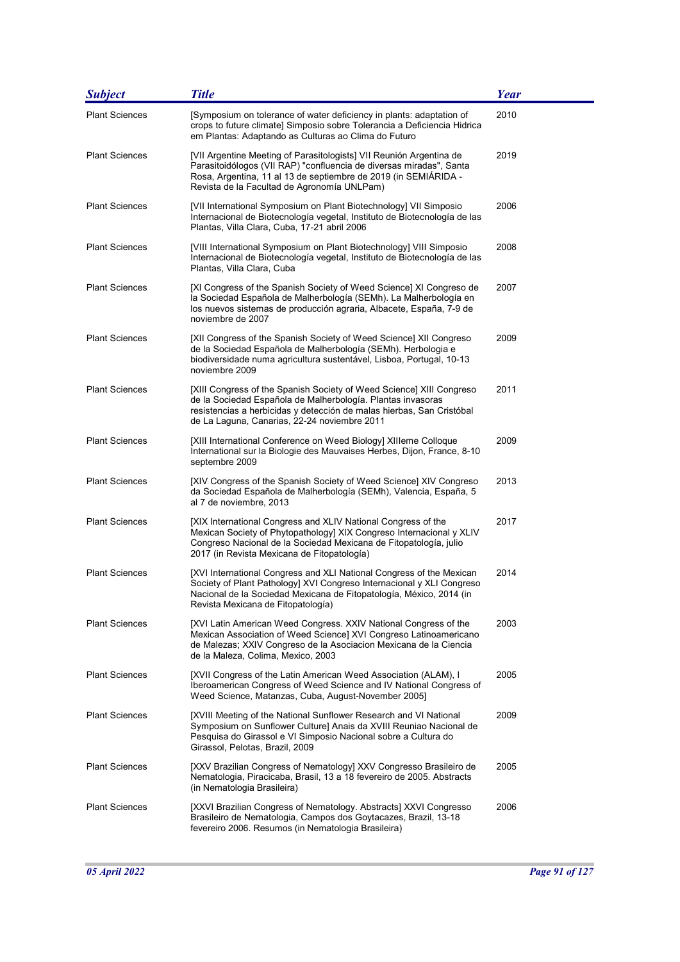| <b>Subject</b>        | <b>Title</b>                                                                                                                                                                                                                                                 | Year |
|-----------------------|--------------------------------------------------------------------------------------------------------------------------------------------------------------------------------------------------------------------------------------------------------------|------|
| <b>Plant Sciences</b> | [Symposium on tolerance of water deficiency in plants: adaptation of<br>crops to future climate] Simposio sobre Tolerancia a Deficiencia Hidrica<br>em Plantas: Adaptando as Culturas ao Clima do Futuro                                                     | 2010 |
| <b>Plant Sciences</b> | [VII Argentine Meeting of Parasitologists] VII Reunión Argentina de<br>Parasitoidólogos (VII RAP) "confluencia de diversas miradas", Santa<br>Rosa, Argentina, 11 al 13 de septiembre de 2019 (in SEMIÁRIDA -<br>Revista de la Facultad de Agronomía UNLPam) | 2019 |
| <b>Plant Sciences</b> | [VII International Symposium on Plant Biotechnology] VII Simposio<br>Internacional de Biotecnología vegetal, Instituto de Biotecnología de las<br>Plantas, Villa Clara, Cuba, 17-21 abril 2006                                                               | 2006 |
| <b>Plant Sciences</b> | [VIII International Symposium on Plant Biotechnology] VIII Simposio<br>Internacional de Biotecnología vegetal, Instituto de Biotecnología de las<br>Plantas, Villa Clara, Cuba                                                                               | 2008 |
| <b>Plant Sciences</b> | [XI Congress of the Spanish Society of Weed Science] XI Congreso de<br>la Sociedad Española de Malherbología (SEMh). La Malherbología en<br>los nuevos sistemas de producción agraria, Albacete, España, 7-9 de<br>noviembre de 2007                         | 2007 |
| <b>Plant Sciences</b> | [XII Congress of the Spanish Society of Weed Science] XII Congreso<br>de la Sociedad Española de Malherbología (SEMh). Herbologia e<br>biodiversidade numa agricultura sustentável, Lisboa, Portugal, 10-13<br>noviembre 2009                                | 2009 |
| <b>Plant Sciences</b> | [XIII Congress of the Spanish Society of Weed Science] XIII Congreso<br>de la Sociedad Española de Malherbología. Plantas invasoras<br>resistencias a herbicidas y detección de malas hierbas, San Cristóbal<br>de La Laguna, Canarias, 22-24 noviembre 2011 | 2011 |
| <b>Plant Sciences</b> | [XIII International Conference on Weed Biology] XIIIeme Colloque<br>International sur la Biologie des Mauvaises Herbes, Dijon, France, 8-10<br>septembre 2009                                                                                                | 2009 |
| <b>Plant Sciences</b> | [XIV Congress of the Spanish Society of Weed Science] XIV Congreso<br>da Sociedad Española de Malherbología (SEMh), Valencia, España, 5<br>al 7 de noviembre, 2013                                                                                           | 2013 |
| <b>Plant Sciences</b> | [XIX International Congress and XLIV National Congress of the<br>Mexican Society of Phytopathology] XIX Congreso Internacional y XLIV<br>Congreso Nacional de la Sociedad Mexicana de Fitopatología, julio<br>2017 (in Revista Mexicana de Fitopatología)    | 2017 |
| <b>Plant Sciences</b> | [XVI International Congress and XLI National Congress of the Mexican<br>Society of Plant Pathology] XVI Congreso Internacional y XLI Congreso<br>Nacional de la Sociedad Mexicana de Fitopatología, México, 2014 (in<br>Revista Mexicana de Fitopatología)   | 2014 |
| <b>Plant Sciences</b> | [XVI Latin American Weed Congress. XXIV National Congress of the<br>Mexican Association of Weed Science] XVI Congreso Latinoamericano<br>de Malezas; XXIV Congreso de la Asociacion Mexicana de la Ciencia<br>de la Maleza, Colima, Mexico, 2003             | 2003 |
| <b>Plant Sciences</b> | [XVII Congress of the Latin American Weed Association (ALAM), I<br>Iberoamerican Congress of Weed Science and IV National Congress of<br>Weed Science, Matanzas, Cuba, August-November 2005]                                                                 | 2005 |
| <b>Plant Sciences</b> | [XVIII Meeting of the National Sunflower Research and VI National<br>Symposium on Sunflower Culture] Anais da XVIII Reuniao Nacional de<br>Pesquisa do Girassol e VI Simposio Nacional sobre a Cultura do<br>Girassol, Pelotas, Brazil, 2009                 | 2009 |
| <b>Plant Sciences</b> | [XXV Brazilian Congress of Nematology] XXV Congresso Brasileiro de<br>Nematologia, Piracicaba, Brasil, 13 a 18 fevereiro de 2005. Abstracts<br>(in Nematologia Brasileira)                                                                                   | 2005 |
| <b>Plant Sciences</b> | [XXVI Brazilian Congress of Nematology. Abstracts] XXVI Congresso<br>Brasileiro de Nematologia, Campos dos Goytacazes, Brazil, 13-18<br>fevereiro 2006. Resumos (in Nematologia Brasileira)                                                                  | 2006 |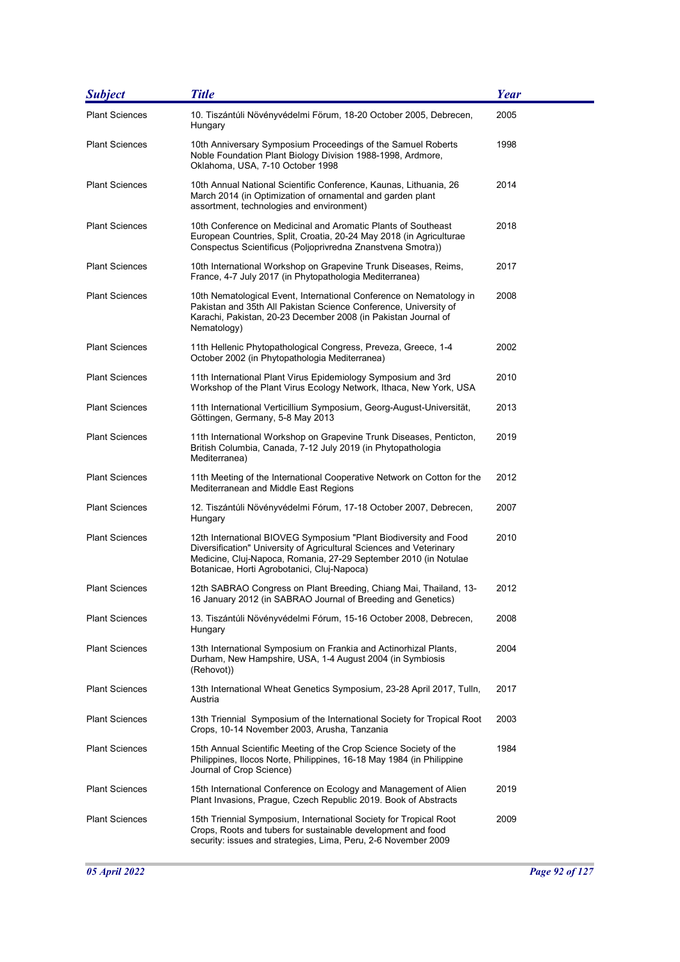| <b>Subject</b>        | <b>Title</b>                                                                                                                                                                                                                                               | <b>Year</b> |
|-----------------------|------------------------------------------------------------------------------------------------------------------------------------------------------------------------------------------------------------------------------------------------------------|-------------|
| <b>Plant Sciences</b> | 10. Tiszántúli Növényvédelmi Förum, 18-20 October 2005, Debrecen,<br>Hungary                                                                                                                                                                               | 2005        |
| <b>Plant Sciences</b> | 10th Anniversary Symposium Proceedings of the Samuel Roberts<br>Noble Foundation Plant Biology Division 1988-1998, Ardmore,<br>Oklahoma, USA, 7-10 October 1998                                                                                            | 1998        |
| <b>Plant Sciences</b> | 10th Annual National Scientific Conference, Kaunas, Lithuania, 26<br>March 2014 (in Optimization of ornamental and garden plant<br>assortment, technologies and environment)                                                                               | 2014        |
| <b>Plant Sciences</b> | 10th Conference on Medicinal and Aromatic Plants of Southeast<br>European Countries, Split, Croatia, 20-24 May 2018 (in Agriculturae<br>Conspectus Scientificus (Poljoprivredna Znanstvena Smotra))                                                        | 2018        |
| <b>Plant Sciences</b> | 10th International Workshop on Grapevine Trunk Diseases, Reims,<br>France, 4-7 July 2017 (in Phytopathologia Mediterranea)                                                                                                                                 | 2017        |
| <b>Plant Sciences</b> | 10th Nematological Event, International Conference on Nematology in<br>Pakistan and 35th All Pakistan Science Conference, University of<br>Karachi, Pakistan, 20-23 December 2008 (in Pakistan Journal of<br>Nematology)                                   | 2008        |
| <b>Plant Sciences</b> | 11th Hellenic Phytopathological Congress, Preveza, Greece, 1-4<br>October 2002 (in Phytopathologia Mediterranea)                                                                                                                                           | 2002        |
| <b>Plant Sciences</b> | 11th International Plant Virus Epidemiology Symposium and 3rd<br>Workshop of the Plant Virus Ecology Network, Ithaca, New York, USA                                                                                                                        | 2010        |
| <b>Plant Sciences</b> | 11th International Verticillium Symposium, Georg-August-Universität,<br>Göttingen, Germany, 5-8 May 2013                                                                                                                                                   | 2013        |
| <b>Plant Sciences</b> | 11th International Workshop on Grapevine Trunk Diseases, Penticton,<br>British Columbia, Canada, 7-12 July 2019 (in Phytopathologia<br>Mediterranea)                                                                                                       | 2019        |
| <b>Plant Sciences</b> | 11th Meeting of the International Cooperative Network on Cotton for the<br>Mediterranean and Middle East Regions                                                                                                                                           | 2012        |
| <b>Plant Sciences</b> | 12. Tiszántúli Növényvédelmi Fórum, 17-18 October 2007, Debrecen,<br>Hungary                                                                                                                                                                               | 2007        |
| <b>Plant Sciences</b> | 12th International BIOVEG Symposium "Plant Biodiversity and Food<br>Diversification" University of Agricultural Sciences and Veterinary<br>Medicine, Cluj-Napoca, Romania, 27-29 September 2010 (in Notulae<br>Botanicae, Horti Agrobotanici, Cluj-Napoca) | 2010        |
| <b>Plant Sciences</b> | 12th SABRAO Congress on Plant Breeding, Chiang Mai, Thailand, 13-<br>16 January 2012 (in SABRAO Journal of Breeding and Genetics)                                                                                                                          | 2012        |
| <b>Plant Sciences</b> | 13. Tiszántúli Növényvédelmi Fórum, 15-16 October 2008, Debrecen,<br>Hungary                                                                                                                                                                               | 2008        |
| <b>Plant Sciences</b> | 13th International Symposium on Frankia and Actinorhizal Plants,<br>Durham, New Hampshire, USA, 1-4 August 2004 (in Symbiosis<br>(Rehovot))                                                                                                                | 2004        |
| <b>Plant Sciences</b> | 13th International Wheat Genetics Symposium, 23-28 April 2017, Tulln,<br>Austria                                                                                                                                                                           | 2017        |
| <b>Plant Sciences</b> | 13th Triennial Symposium of the International Society for Tropical Root<br>Crops, 10-14 November 2003, Arusha, Tanzania                                                                                                                                    | 2003        |
| <b>Plant Sciences</b> | 15th Annual Scientific Meeting of the Crop Science Society of the<br>Philippines, Ilocos Norte, Philippines, 16-18 May 1984 (in Philippine<br>Journal of Crop Science)                                                                                     | 1984        |
| <b>Plant Sciences</b> | 15th International Conference on Ecology and Management of Alien<br>Plant Invasions, Prague, Czech Republic 2019. Book of Abstracts                                                                                                                        | 2019        |
| <b>Plant Sciences</b> | 15th Triennial Symposium, International Society for Tropical Root<br>Crops, Roots and tubers for sustainable development and food<br>security: issues and strategies, Lima, Peru, 2-6 November 2009                                                        | 2009        |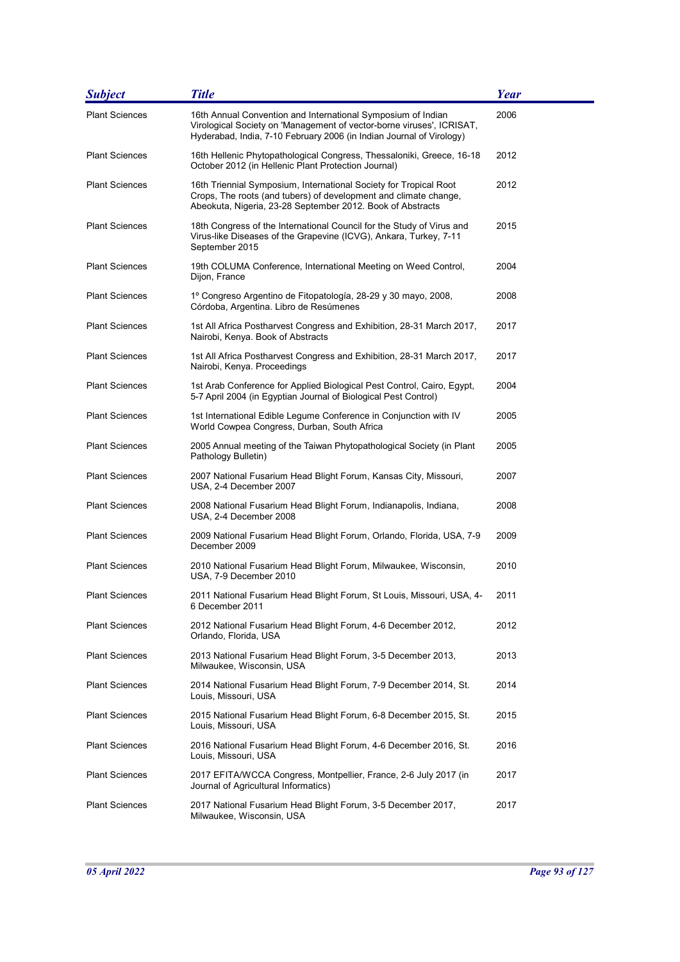| <b>Subject</b>        | <b>Title</b>                                                                                                                                                                                                  | <b>Year</b> |
|-----------------------|---------------------------------------------------------------------------------------------------------------------------------------------------------------------------------------------------------------|-------------|
| <b>Plant Sciences</b> | 16th Annual Convention and International Symposium of Indian<br>Virological Society on 'Management of vector-borne viruses', ICRISAT,<br>Hyderabad, India, 7-10 February 2006 (in Indian Journal of Virology) | 2006        |
| <b>Plant Sciences</b> | 16th Hellenic Phytopathological Congress, Thessaloniki, Greece, 16-18<br>October 2012 (in Hellenic Plant Protection Journal)                                                                                  | 2012        |
| <b>Plant Sciences</b> | 16th Triennial Symposium, International Society for Tropical Root<br>Crops, The roots (and tubers) of development and climate change,<br>Abeokuta, Nigeria, 23-28 September 2012. Book of Abstracts           | 2012        |
| <b>Plant Sciences</b> | 18th Congress of the International Council for the Study of Virus and<br>Virus-like Diseases of the Grapevine (ICVG), Ankara, Turkey, 7-11<br>September 2015                                                  | 2015        |
| <b>Plant Sciences</b> | 19th COLUMA Conference, International Meeting on Weed Control,<br>Dijon, France                                                                                                                               | 2004        |
| <b>Plant Sciences</b> | 1º Congreso Argentino de Fitopatología, 28-29 y 30 mayo, 2008,<br>Córdoba, Argentina. Libro de Resúmenes                                                                                                      | 2008        |
| <b>Plant Sciences</b> | 1st All Africa Postharvest Congress and Exhibition, 28-31 March 2017,<br>Nairobi, Kenya. Book of Abstracts                                                                                                    | 2017        |
| <b>Plant Sciences</b> | 1st All Africa Postharvest Congress and Exhibition, 28-31 March 2017,<br>Nairobi, Kenya. Proceedings                                                                                                          | 2017        |
| <b>Plant Sciences</b> | 1st Arab Conference for Applied Biological Pest Control, Cairo, Egypt,<br>5-7 April 2004 (in Egyptian Journal of Biological Pest Control)                                                                     | 2004        |
| <b>Plant Sciences</b> | 1st International Edible Legume Conference in Conjunction with IV<br>World Cowpea Congress, Durban, South Africa                                                                                              | 2005        |
| <b>Plant Sciences</b> | 2005 Annual meeting of the Taiwan Phytopathological Society (in Plant<br>Pathology Bulletin)                                                                                                                  | 2005        |
| <b>Plant Sciences</b> | 2007 National Fusarium Head Blight Forum, Kansas City, Missouri,<br>USA, 2-4 December 2007                                                                                                                    | 2007        |
| <b>Plant Sciences</b> | 2008 National Fusarium Head Blight Forum, Indianapolis, Indiana,<br>USA, 2-4 December 2008                                                                                                                    | 2008        |
| <b>Plant Sciences</b> | 2009 National Fusarium Head Blight Forum, Orlando, Florida, USA, 7-9<br>December 2009                                                                                                                         | 2009        |
| <b>Plant Sciences</b> | 2010 National Fusarium Head Blight Forum, Milwaukee, Wisconsin,<br>USA, 7-9 December 2010                                                                                                                     | 2010        |
| <b>Plant Sciences</b> | 2011 National Fusarium Head Blight Forum, St Louis, Missouri, USA, 4-<br>6 December 2011                                                                                                                      | 2011        |
| <b>Plant Sciences</b> | 2012 National Fusarium Head Blight Forum, 4-6 December 2012,<br>Orlando, Florida, USA                                                                                                                         | 2012        |
| <b>Plant Sciences</b> | 2013 National Fusarium Head Blight Forum, 3-5 December 2013,<br>Milwaukee, Wisconsin, USA                                                                                                                     | 2013        |
| <b>Plant Sciences</b> | 2014 National Fusarium Head Blight Forum, 7-9 December 2014, St.<br>Louis, Missouri, USA                                                                                                                      | 2014        |
| <b>Plant Sciences</b> | 2015 National Fusarium Head Blight Forum, 6-8 December 2015, St.<br>Louis, Missouri, USA                                                                                                                      | 2015        |
| <b>Plant Sciences</b> | 2016 National Fusarium Head Blight Forum, 4-6 December 2016, St.<br>Louis, Missouri, USA                                                                                                                      | 2016        |
| <b>Plant Sciences</b> | 2017 EFITA/WCCA Congress, Montpellier, France, 2-6 July 2017 (in<br>Journal of Agricultural Informatics)                                                                                                      | 2017        |
| <b>Plant Sciences</b> | 2017 National Fusarium Head Blight Forum, 3-5 December 2017,<br>Milwaukee, Wisconsin, USA                                                                                                                     | 2017        |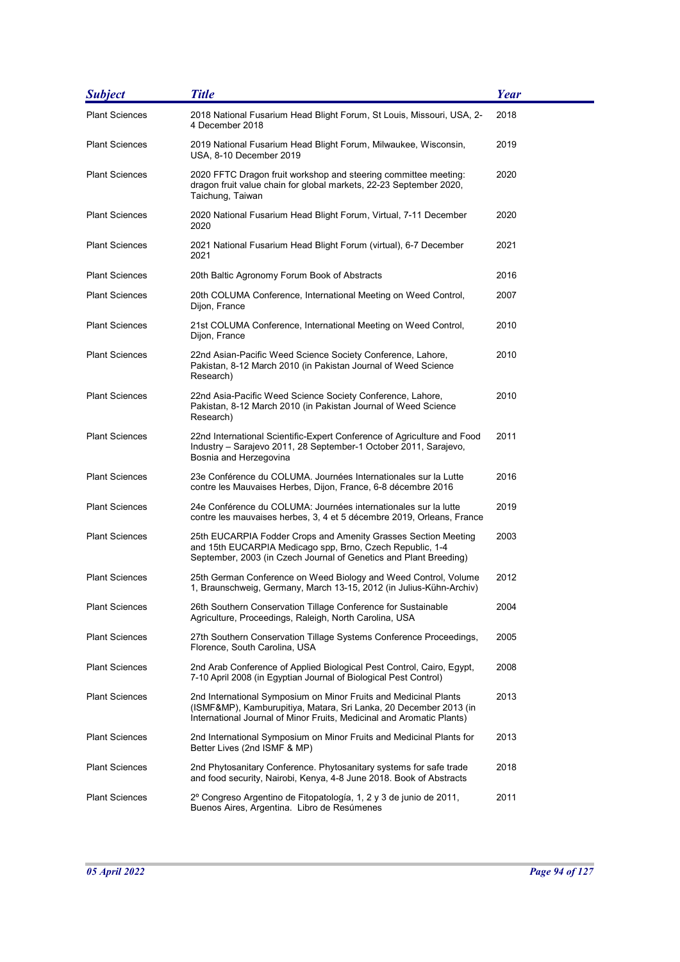| <b>Subject</b>        | <b>Title</b>                                                                                                                                                                                                   | <b>Year</b> |
|-----------------------|----------------------------------------------------------------------------------------------------------------------------------------------------------------------------------------------------------------|-------------|
| <b>Plant Sciences</b> | 2018 National Fusarium Head Blight Forum, St Louis, Missouri, USA, 2-<br>4 December 2018                                                                                                                       | 2018        |
| <b>Plant Sciences</b> | 2019 National Fusarium Head Blight Forum, Milwaukee, Wisconsin,<br>USA, 8-10 December 2019                                                                                                                     | 2019        |
| <b>Plant Sciences</b> | 2020 FFTC Dragon fruit workshop and steering committee meeting:<br>dragon fruit value chain for global markets, 22-23 September 2020,<br>Taichung, Taiwan                                                      | 2020        |
| <b>Plant Sciences</b> | 2020 National Fusarium Head Blight Forum, Virtual, 7-11 December<br>2020                                                                                                                                       | 2020        |
| <b>Plant Sciences</b> | 2021 National Fusarium Head Blight Forum (virtual), 6-7 December<br>2021                                                                                                                                       | 2021        |
| <b>Plant Sciences</b> | 20th Baltic Agronomy Forum Book of Abstracts                                                                                                                                                                   | 2016        |
| <b>Plant Sciences</b> | 20th COLUMA Conference, International Meeting on Weed Control,<br>Dijon, France                                                                                                                                | 2007        |
| <b>Plant Sciences</b> | 21st COLUMA Conference, International Meeting on Weed Control,<br>Dijon, France                                                                                                                                | 2010        |
| <b>Plant Sciences</b> | 22nd Asian-Pacific Weed Science Society Conference, Lahore,<br>Pakistan, 8-12 March 2010 (in Pakistan Journal of Weed Science<br>Research)                                                                     | 2010        |
| <b>Plant Sciences</b> | 22nd Asia-Pacific Weed Science Society Conference, Lahore,<br>Pakistan, 8-12 March 2010 (in Pakistan Journal of Weed Science<br>Research)                                                                      | 2010        |
| <b>Plant Sciences</b> | 22nd International Scientific-Expert Conference of Agriculture and Food<br>Industry - Sarajevo 2011, 28 September-1 October 2011, Sarajevo,<br>Bosnia and Herzegovina                                          | 2011        |
| <b>Plant Sciences</b> | 23e Conférence du COLUMA. Journées Internationales sur la Lutte<br>contre les Mauvaises Herbes, Dijon, France, 6-8 décembre 2016                                                                               | 2016        |
| <b>Plant Sciences</b> | 24e Conférence du COLUMA: Journées internationales sur la lutte<br>contre les mauvaises herbes, 3, 4 et 5 décembre 2019, Orleans, France                                                                       | 2019        |
| <b>Plant Sciences</b> | 25th EUCARPIA Fodder Crops and Amenity Grasses Section Meeting<br>and 15th EUCARPIA Medicago spp, Brno, Czech Republic, 1-4<br>September, 2003 (in Czech Journal of Genetics and Plant Breeding)               | 2003        |
| <b>Plant Sciences</b> | 25th German Conference on Weed Biology and Weed Control, Volume<br>1, Braunschweig, Germany, March 13-15, 2012 (in Julius-Kühn-Archiv)                                                                         | 2012        |
| <b>Plant Sciences</b> | 26th Southern Conservation Tillage Conference for Sustainable<br>Agriculture, Proceedings, Raleigh, North Carolina, USA                                                                                        | 2004        |
| <b>Plant Sciences</b> | 27th Southern Conservation Tillage Systems Conference Proceedings,<br>Florence, South Carolina, USA                                                                                                            | 2005        |
| <b>Plant Sciences</b> | 2nd Arab Conference of Applied Biological Pest Control, Cairo, Egypt,<br>7-10 April 2008 (in Egyptian Journal of Biological Pest Control)                                                                      | 2008        |
| <b>Plant Sciences</b> | 2nd International Symposium on Minor Fruits and Medicinal Plants<br>(ISMF&MP), Kamburupitiya, Matara, Sri Lanka, 20 December 2013 (in<br>International Journal of Minor Fruits, Medicinal and Aromatic Plants) | 2013        |
| <b>Plant Sciences</b> | 2nd International Symposium on Minor Fruits and Medicinal Plants for<br>Better Lives (2nd ISMF & MP)                                                                                                           | 2013        |
| <b>Plant Sciences</b> | 2nd Phytosanitary Conference. Phytosanitary systems for safe trade<br>and food security, Nairobi, Kenya, 4-8 June 2018. Book of Abstracts                                                                      | 2018        |
| <b>Plant Sciences</b> | 2º Congreso Argentino de Fitopatología, 1, 2 y 3 de junio de 2011,<br>Buenos Aires, Argentina. Libro de Resúmenes                                                                                              | 2011        |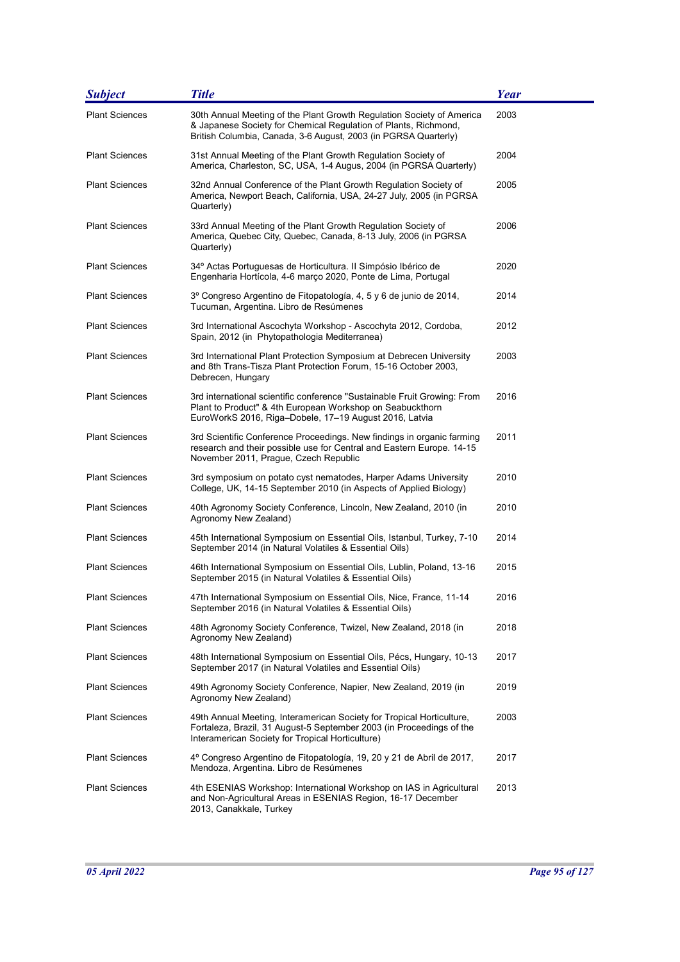| <b>Subject</b>        | <b>Title</b>                                                                                                                                                                                                | <b>Year</b> |
|-----------------------|-------------------------------------------------------------------------------------------------------------------------------------------------------------------------------------------------------------|-------------|
| <b>Plant Sciences</b> | 30th Annual Meeting of the Plant Growth Regulation Society of America<br>& Japanese Society for Chemical Regulation of Plants, Richmond,<br>British Columbia, Canada, 3-6 August, 2003 (in PGRSA Quarterly) | 2003        |
| <b>Plant Sciences</b> | 31st Annual Meeting of the Plant Growth Regulation Society of<br>America, Charleston, SC, USA, 1-4 Augus, 2004 (in PGRSA Quarterly)                                                                         | 2004        |
| <b>Plant Sciences</b> | 32nd Annual Conference of the Plant Growth Regulation Society of<br>America, Newport Beach, California, USA, 24-27 July, 2005 (in PGRSA<br>Quarterly)                                                       | 2005        |
| <b>Plant Sciences</b> | 33rd Annual Meeting of the Plant Growth Regulation Society of<br>America, Quebec City, Quebec, Canada, 8-13 July, 2006 (in PGRSA<br>Quarterly)                                                              | 2006        |
| <b>Plant Sciences</b> | 34º Actas Portuguesas de Horticultura. Il Simpósio Ibérico de<br>Engenharia Hortícola, 4-6 março 2020, Ponte de Lima, Portugal                                                                              | 2020        |
| <b>Plant Sciences</b> | 3º Congreso Argentino de Fitopatología, 4, 5 y 6 de junio de 2014,<br>Tucuman, Argentina. Libro de Resúmenes                                                                                                | 2014        |
| <b>Plant Sciences</b> | 3rd International Ascochyta Workshop - Ascochyta 2012, Cordoba,<br>Spain, 2012 (in Phytopathologia Mediterranea)                                                                                            | 2012        |
| <b>Plant Sciences</b> | 3rd International Plant Protection Symposium at Debrecen University<br>and 8th Trans-Tisza Plant Protection Forum, 15-16 October 2003,<br>Debrecen, Hungary                                                 | 2003        |
| <b>Plant Sciences</b> | 3rd international scientific conference "Sustainable Fruit Growing: From<br>Plant to Product" & 4th European Workshop on Seabuckthorn<br>EuroWorkS 2016, Riga-Dobele, 17–19 August 2016, Latvia             | 2016        |
| <b>Plant Sciences</b> | 3rd Scientific Conference Proceedings. New findings in organic farming<br>research and their possible use for Central and Eastern Europe. 14-15<br>November 2011, Prague, Czech Republic                    | 2011        |
| <b>Plant Sciences</b> | 3rd symposium on potato cyst nematodes, Harper Adams University<br>College, UK, 14-15 September 2010 (in Aspects of Applied Biology)                                                                        | 2010        |
| <b>Plant Sciences</b> | 40th Agronomy Society Conference, Lincoln, New Zealand, 2010 (in<br>Agronomy New Zealand)                                                                                                                   | 2010        |
| <b>Plant Sciences</b> | 45th International Symposium on Essential Oils, Istanbul, Turkey, 7-10<br>September 2014 (in Natural Volatiles & Essential Oils)                                                                            | 2014        |
| <b>Plant Sciences</b> | 46th International Symposium on Essential Oils, Lublin, Poland, 13-16<br>September 2015 (in Natural Volatiles & Essential Oils)                                                                             | 2015        |
| <b>Plant Sciences</b> | 47th International Symposium on Essential Oils, Nice, France, 11-14<br>September 2016 (in Natural Volatiles & Essential Oils)                                                                               | 2016        |
| <b>Plant Sciences</b> | 48th Agronomy Society Conference, Twizel, New Zealand, 2018 (in<br>Agronomy New Zealand)                                                                                                                    | 2018        |
| <b>Plant Sciences</b> | 48th International Symposium on Essential Oils, Pécs, Hungary, 10-13<br>September 2017 (in Natural Volatiles and Essential Oils)                                                                            | 2017        |
| <b>Plant Sciences</b> | 49th Agronomy Society Conference, Napier, New Zealand, 2019 (in<br>Agronomy New Zealand)                                                                                                                    | 2019        |
| <b>Plant Sciences</b> | 49th Annual Meeting, Interamerican Society for Tropical Horticulture,<br>Fortaleza, Brazil, 31 August-5 September 2003 (in Proceedings of the<br>Interamerican Society for Tropical Horticulture)           | 2003        |
| <b>Plant Sciences</b> | 4º Congreso Argentino de Fitopatología, 19, 20 y 21 de Abril de 2017,<br>Mendoza, Argentina. Libro de Resúmenes                                                                                             | 2017        |
| <b>Plant Sciences</b> | 4th ESENIAS Workshop: International Workshop on IAS in Agricultural<br>and Non-Agricultural Areas in ESENIAS Region, 16-17 December<br>2013, Canakkale, Turkey                                              | 2013        |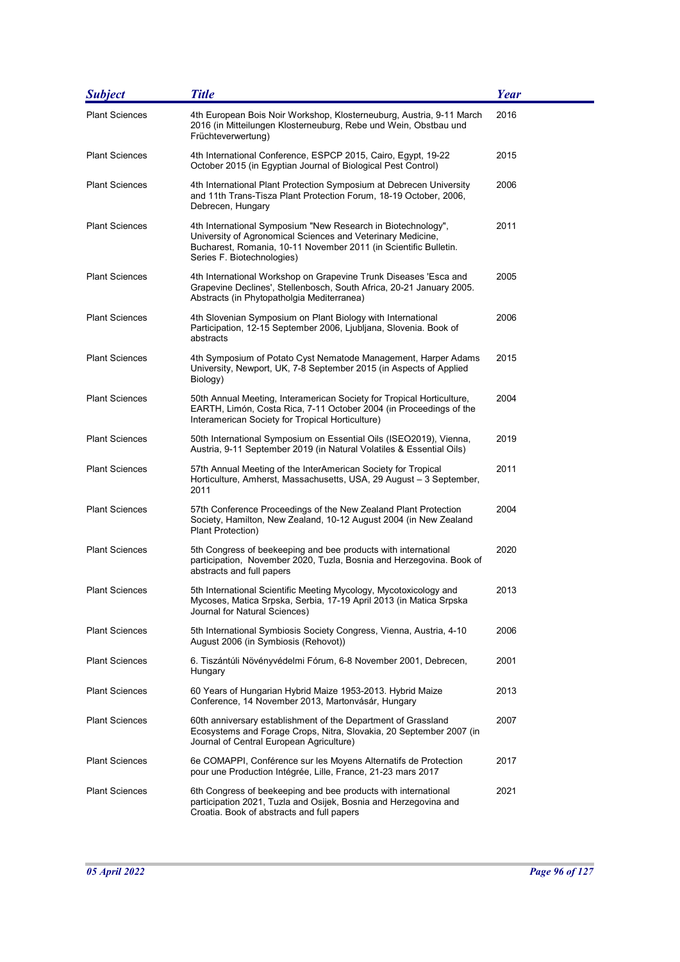| <b>Subject</b>        | <b>Title</b>                                                                                                                                                                                                                  | <b>Year</b> |
|-----------------------|-------------------------------------------------------------------------------------------------------------------------------------------------------------------------------------------------------------------------------|-------------|
| <b>Plant Sciences</b> | 4th European Bois Noir Workshop, Klosterneuburg, Austria, 9-11 March<br>2016 (in Mitteilungen Klosterneuburg, Rebe und Wein, Obstbau und<br>Früchteverwertung)                                                                | 2016        |
| <b>Plant Sciences</b> | 4th International Conference, ESPCP 2015, Cairo, Egypt, 19-22<br>October 2015 (in Egyptian Journal of Biological Pest Control)                                                                                                | 2015        |
| <b>Plant Sciences</b> | 4th International Plant Protection Symposium at Debrecen University<br>and 11th Trans-Tisza Plant Protection Forum, 18-19 October, 2006,<br>Debrecen, Hungary                                                                 | 2006        |
| <b>Plant Sciences</b> | 4th International Symposium "New Research in Biotechnology",<br>University of Agronomical Sciences and Veterinary Medicine,<br>Bucharest, Romania, 10-11 November 2011 (in Scientific Bulletin.<br>Series F. Biotechnologies) | 2011        |
| <b>Plant Sciences</b> | 4th International Workshop on Grapevine Trunk Diseases 'Esca and<br>Grapevine Declines', Stellenbosch, South Africa, 20-21 January 2005.<br>Abstracts (in Phytopatholgia Mediterranea)                                        | 2005        |
| <b>Plant Sciences</b> | 4th Slovenian Symposium on Plant Biology with International<br>Participation, 12-15 September 2006, Ljubljana, Slovenia. Book of<br>abstracts                                                                                 | 2006        |
| <b>Plant Sciences</b> | 4th Symposium of Potato Cyst Nematode Management, Harper Adams<br>University, Newport, UK, 7-8 September 2015 (in Aspects of Applied<br>Biology)                                                                              | 2015        |
| <b>Plant Sciences</b> | 50th Annual Meeting, Interamerican Society for Tropical Horticulture,<br>EARTH, Limón, Costa Rica, 7-11 October 2004 (in Proceedings of the<br>Interamerican Society for Tropical Horticulture)                               | 2004        |
| <b>Plant Sciences</b> | 50th International Symposium on Essential Oils (ISEO2019), Vienna,<br>Austria, 9-11 September 2019 (in Natural Volatiles & Essential Oils)                                                                                    | 2019        |
| <b>Plant Sciences</b> | 57th Annual Meeting of the InterAmerican Society for Tropical<br>Horticulture, Amherst, Massachusetts, USA, 29 August - 3 September,<br>2011                                                                                  | 2011        |
| <b>Plant Sciences</b> | 57th Conference Proceedings of the New Zealand Plant Protection<br>Society, Hamilton, New Zealand, 10-12 August 2004 (in New Zealand<br>Plant Protection)                                                                     | 2004        |
| <b>Plant Sciences</b> | 5th Congress of beekeeping and bee products with international<br>participation, November 2020, Tuzla, Bosnia and Herzegovina. Book of<br>abstracts and full papers                                                           | 2020        |
| <b>Plant Sciences</b> | 5th International Scientific Meeting Mycology, Mycotoxicology and<br>Mycoses, Matica Srpska, Serbia, 17-19 April 2013 (in Matica Srpska<br>Journal for Natural Sciences)                                                      | 2013        |
| <b>Plant Sciences</b> | 5th International Symbiosis Society Congress, Vienna, Austria, 4-10<br>August 2006 (in Symbiosis (Rehovot))                                                                                                                   | 2006        |
| <b>Plant Sciences</b> | 6. Tiszántúli Növényvédelmi Fórum, 6-8 November 2001, Debrecen,<br>Hungary                                                                                                                                                    | 2001        |
| <b>Plant Sciences</b> | 60 Years of Hungarian Hybrid Maize 1953-2013. Hybrid Maize<br>Conference, 14 November 2013, Martonvásár, Hungary                                                                                                              | 2013        |
| <b>Plant Sciences</b> | 60th anniversary establishment of the Department of Grassland<br>Ecosystems and Forage Crops, Nitra, Slovakia, 20 September 2007 (in<br>Journal of Central European Agriculture)                                              | 2007        |
| <b>Plant Sciences</b> | 6e COMAPPI, Conférence sur les Moyens Alternatifs de Protection<br>pour une Production Intégrée, Lille, France, 21-23 mars 2017                                                                                               | 2017        |
| <b>Plant Sciences</b> | 6th Congress of beekeeping and bee products with international<br>participation 2021, Tuzla and Osijek, Bosnia and Herzegovina and<br>Croatia. Book of abstracts and full papers                                              | 2021        |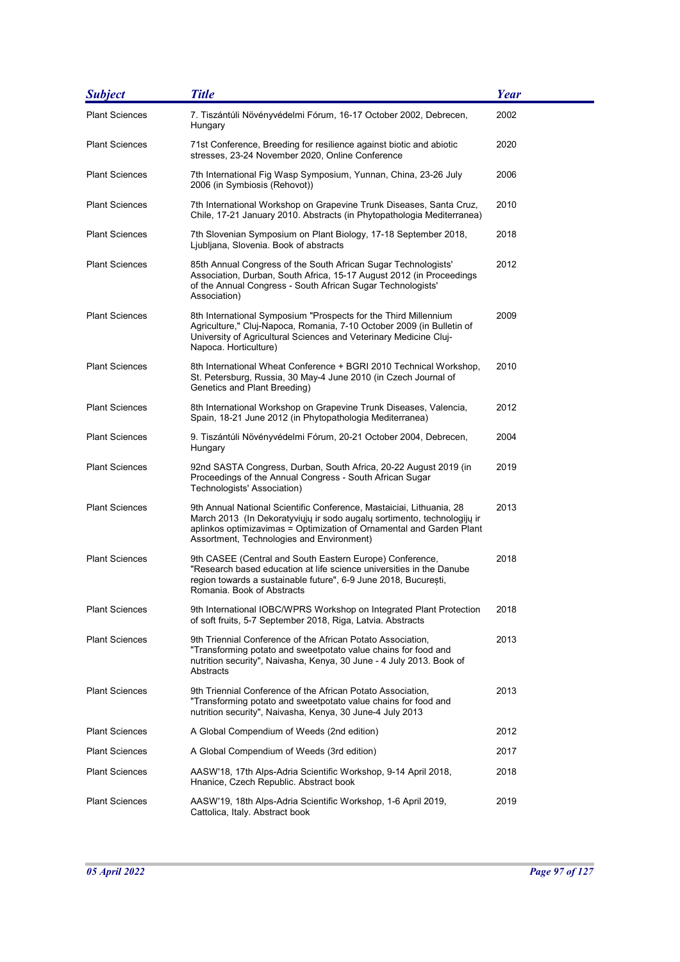| <b>Subject</b>        | <b>Title</b>                                                                                                                                                                                                                                                         | <b>Year</b> |
|-----------------------|----------------------------------------------------------------------------------------------------------------------------------------------------------------------------------------------------------------------------------------------------------------------|-------------|
| <b>Plant Sciences</b> | 7. Tiszántúli Növényvédelmi Fórum, 16-17 October 2002, Debrecen,<br>Hungary                                                                                                                                                                                          | 2002        |
| <b>Plant Sciences</b> | 71st Conference, Breeding for resilience against biotic and abiotic<br>stresses, 23-24 November 2020, Online Conference                                                                                                                                              | 2020        |
| <b>Plant Sciences</b> | 7th International Fig Wasp Symposium, Yunnan, China, 23-26 July<br>2006 (in Symbiosis (Rehovot))                                                                                                                                                                     | 2006        |
| <b>Plant Sciences</b> | 7th International Workshop on Grapevine Trunk Diseases, Santa Cruz,<br>Chile, 17-21 January 2010. Abstracts (in Phytopathologia Mediterranea)                                                                                                                        | 2010        |
| <b>Plant Sciences</b> | 7th Slovenian Symposium on Plant Biology, 17-18 September 2018,<br>Liubliana, Slovenia. Book of abstracts                                                                                                                                                            | 2018        |
| <b>Plant Sciences</b> | 85th Annual Congress of the South African Sugar Technologists'<br>Association, Durban, South Africa, 15-17 August 2012 (in Proceedings<br>of the Annual Congress - South African Sugar Technologists'<br>Association)                                                | 2012        |
| <b>Plant Sciences</b> | 8th International Symposium "Prospects for the Third Millennium<br>Agriculture," Cluj-Napoca, Romania, 7-10 October 2009 (in Bulletin of<br>University of Agricultural Sciences and Veterinary Medicine Cluj-<br>Napoca. Horticulture)                               | 2009        |
| <b>Plant Sciences</b> | 8th International Wheat Conference + BGRI 2010 Technical Workshop,<br>St. Petersburg, Russia, 30 May-4 June 2010 (in Czech Journal of<br>Genetics and Plant Breeding)                                                                                                | 2010        |
| <b>Plant Sciences</b> | 8th International Workshop on Grapevine Trunk Diseases, Valencia,<br>Spain, 18-21 June 2012 (in Phytopathologia Mediterranea)                                                                                                                                        | 2012        |
| <b>Plant Sciences</b> | 9. Tiszántúli Növényvédelmi Fórum, 20-21 October 2004, Debrecen,<br>Hungary                                                                                                                                                                                          | 2004        |
| <b>Plant Sciences</b> | 92nd SASTA Congress, Durban, South Africa, 20-22 August 2019 (in<br>Proceedings of the Annual Congress - South African Sugar<br>Technologists' Association)                                                                                                          | 2019        |
| <b>Plant Sciences</b> | 9th Annual National Scientific Conference, Mastaiciai, Lithuania, 28<br>March 2013 (In Dekoratyviųjų ir sodo augalų sortimento, technologijų ir<br>aplinkos optimizavimas = Optimization of Ornamental and Garden Plant<br>Assortment, Technologies and Environment) | 2013        |
| <b>Plant Sciences</b> | 9th CASEE (Central and South Eastern Europe) Conference,<br>"Research based education at life science universities in the Danube<br>region towards a sustainable future", 6-9 June 2018, București,<br>Romania. Book of Abstracts                                    | 2018        |
| <b>Plant Sciences</b> | 9th International IOBC/WPRS Workshop on Integrated Plant Protection<br>of soft fruits, 5-7 September 2018, Riga, Latvia. Abstracts                                                                                                                                   | 2018        |
| <b>Plant Sciences</b> | 9th Triennial Conference of the African Potato Association,<br>"Transforming potato and sweetpotato value chains for food and<br>nutrition security", Naivasha, Kenya, 30 June - 4 July 2013. Book of<br>Abstracts                                                   | 2013        |
| <b>Plant Sciences</b> | 9th Triennial Conference of the African Potato Association,<br>"Transforming potato and sweetpotato value chains for food and<br>nutrition security", Naivasha, Kenya, 30 June-4 July 2013                                                                           | 2013        |
| <b>Plant Sciences</b> | A Global Compendium of Weeds (2nd edition)                                                                                                                                                                                                                           | 2012        |
| <b>Plant Sciences</b> | A Global Compendium of Weeds (3rd edition)                                                                                                                                                                                                                           | 2017        |
| <b>Plant Sciences</b> | AASW'18, 17th Alps-Adria Scientific Workshop, 9-14 April 2018,<br>Hnanice, Czech Republic. Abstract book                                                                                                                                                             | 2018        |
| <b>Plant Sciences</b> | AASW'19, 18th Alps-Adria Scientific Workshop, 1-6 April 2019,<br>Cattolica, Italy. Abstract book                                                                                                                                                                     | 2019        |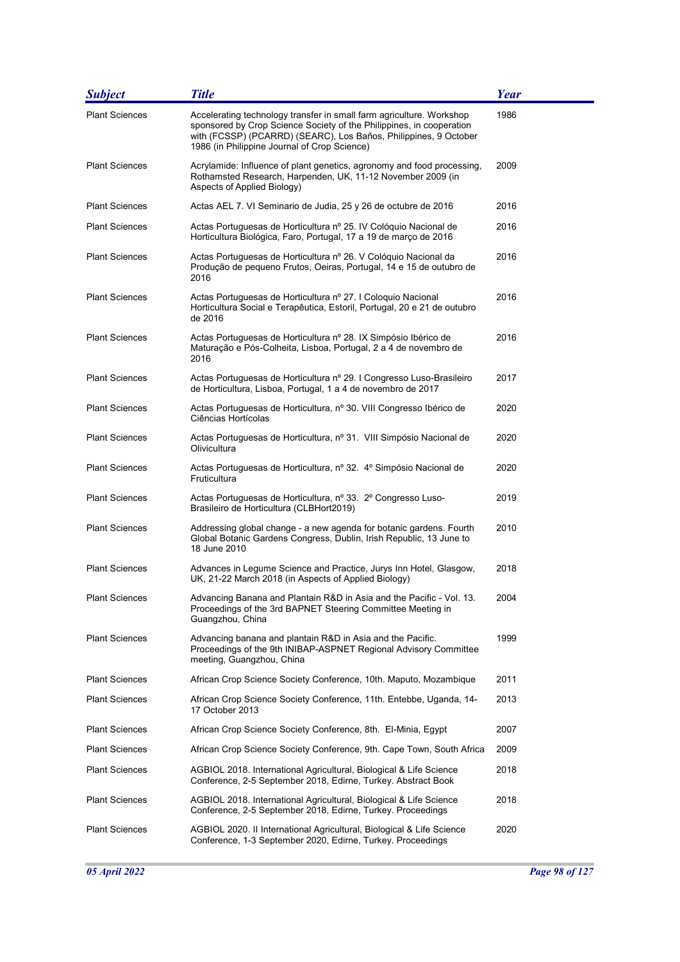| <b>Subject</b>        | <b>Title</b>                                                                                                                                                                                                                                                     | Year |
|-----------------------|------------------------------------------------------------------------------------------------------------------------------------------------------------------------------------------------------------------------------------------------------------------|------|
| <b>Plant Sciences</b> | Accelerating technology transfer in small farm agriculture. Workshop<br>sponsored by Crop Science Society of the Philippines, in cooperation<br>with (FCSSP) (PCARRD) (SEARC), Los Baños, Philippines, 9 October<br>1986 (in Philippine Journal of Crop Science) | 1986 |
| <b>Plant Sciences</b> | Acrylamide: Influence of plant genetics, agronomy and food processing,<br>Rothamsted Research, Harpenden, UK, 11-12 November 2009 (in<br>Aspects of Applied Biology)                                                                                             | 2009 |
| <b>Plant Sciences</b> | Actas AEL 7. VI Seminario de Judia, 25 y 26 de octubre de 2016                                                                                                                                                                                                   | 2016 |
| <b>Plant Sciences</b> | Actas Portuguesas de Horticultura nº 25. IV Colóquio Nacional de<br>Horticultura Biológica, Faro, Portugal, 17 a 19 de março de 2016                                                                                                                             | 2016 |
| <b>Plant Sciences</b> | Actas Portuguesas de Horticultura nº 26. V Colóquio Nacional da<br>Produção de pequeno Frutos, Oeiras, Portugal, 14 e 15 de outubro de<br>2016                                                                                                                   | 2016 |
| <b>Plant Sciences</b> | Actas Portuguesas de Horticultura nº 27. I Coloquio Nacional<br>Horticultura Social e Terapêutica, Estoril, Portugal, 20 e 21 de outubro<br>de 2016                                                                                                              | 2016 |
| <b>Plant Sciences</b> | Actas Portuguesas de Horticultura nº 28. IX Simpósio Ibérico de<br>Maturação e Pós-Colheita, Lisboa, Portugal, 2 a 4 de novembro de<br>2016                                                                                                                      | 2016 |
| <b>Plant Sciences</b> | Actas Portuguesas de Horticultura nº 29. I Congresso Luso-Brasileiro<br>de Horticultura, Lisboa, Portugal, 1 a 4 de novembro de 2017                                                                                                                             | 2017 |
| <b>Plant Sciences</b> | Actas Portuguesas de Horticultura, nº 30. VIII Congresso Ibérico de<br>Ciências Hortícolas                                                                                                                                                                       | 2020 |
| <b>Plant Sciences</b> | Actas Portuguesas de Horticultura, nº 31. VIII Simpósio Nacional de<br>Olivicultura                                                                                                                                                                              | 2020 |
| <b>Plant Sciences</b> | Actas Portuguesas de Horticultura, nº 32. 4º Simpósio Nacional de<br><b>Fruticultura</b>                                                                                                                                                                         | 2020 |
| <b>Plant Sciences</b> | Actas Portuguesas de Horticultura, nº 33. 2º Congresso Luso-<br>Brasileiro de Horticultura (CLBHort2019)                                                                                                                                                         | 2019 |
| <b>Plant Sciences</b> | Addressing global change - a new agenda for botanic gardens. Fourth<br>Global Botanic Gardens Congress, Dublin, Irish Republic, 13 June to<br>18 June 2010                                                                                                       | 2010 |
| <b>Plant Sciences</b> | Advances in Legume Science and Practice, Jurys Inn Hotel, Glasgow,<br>UK, 21-22 March 2018 (in Aspects of Applied Biology)                                                                                                                                       | 2018 |
| Plant Sciences        | Advancing Banana and Plantain R&D in Asia and the Pacific - Vol. 13.<br>Proceedings of the 3rd BAPNET Steering Committee Meeting in<br>Guangzhou, China                                                                                                          | 2004 |
| <b>Plant Sciences</b> | Advancing banana and plantain R&D in Asia and the Pacific.<br>Proceedings of the 9th INIBAP-ASPNET Regional Advisory Committee<br>meeting, Guangzhou, China                                                                                                      | 1999 |
| <b>Plant Sciences</b> | African Crop Science Society Conference, 10th. Maputo, Mozambique                                                                                                                                                                                                | 2011 |
| <b>Plant Sciences</b> | African Crop Science Society Conference, 11th. Entebbe, Uganda, 14-<br>17 October 2013                                                                                                                                                                           | 2013 |
| <b>Plant Sciences</b> | African Crop Science Society Conference, 8th. El-Minia, Egypt                                                                                                                                                                                                    | 2007 |
| Plant Sciences        | African Crop Science Society Conference, 9th. Cape Town, South Africa                                                                                                                                                                                            | 2009 |
| <b>Plant Sciences</b> | AGBIOL 2018. International Agricultural, Biological & Life Science<br>Conference, 2-5 September 2018, Edirne, Turkey. Abstract Book                                                                                                                              | 2018 |
| <b>Plant Sciences</b> | AGBIOL 2018. International Agricultural, Biological & Life Science<br>Conference, 2-5 September 2018, Edirne, Turkey. Proceedings                                                                                                                                | 2018 |
| <b>Plant Sciences</b> | AGBIOL 2020. Il International Agricultural, Biological & Life Science<br>Conference, 1-3 September 2020, Edirne, Turkey. Proceedings                                                                                                                             | 2020 |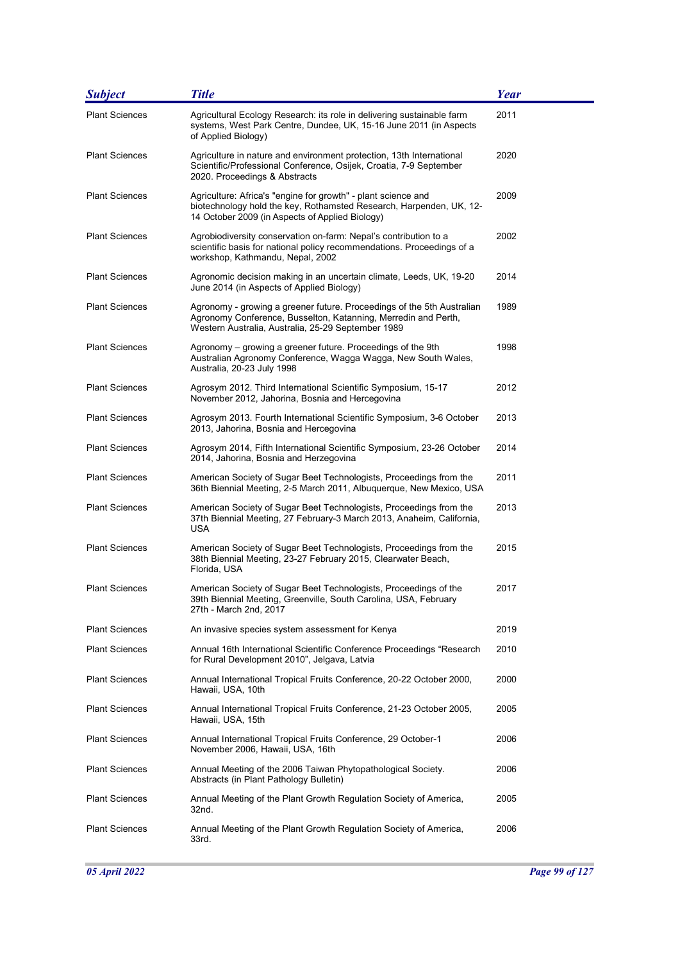| <b>Subject</b>        | <b>Title</b>                                                                                                                                                                                   | <b>Year</b> |
|-----------------------|------------------------------------------------------------------------------------------------------------------------------------------------------------------------------------------------|-------------|
| <b>Plant Sciences</b> | Agricultural Ecology Research: its role in delivering sustainable farm<br>systems, West Park Centre, Dundee, UK, 15-16 June 2011 (in Aspects<br>of Applied Biology)                            | 2011        |
| <b>Plant Sciences</b> | Agriculture in nature and environment protection, 13th International<br>Scientific/Professional Conference, Osijek, Croatia, 7-9 September<br>2020. Proceedings & Abstracts                    | 2020        |
| <b>Plant Sciences</b> | Agriculture: Africa's "engine for growth" - plant science and<br>biotechnology hold the key, Rothamsted Research, Harpenden, UK, 12-<br>14 October 2009 (in Aspects of Applied Biology)        | 2009        |
| <b>Plant Sciences</b> | Agrobiodiversity conservation on-farm: Nepal's contribution to a<br>scientific basis for national policy recommendations. Proceedings of a<br>workshop, Kathmandu, Nepal, 2002                 | 2002        |
| <b>Plant Sciences</b> | Agronomic decision making in an uncertain climate, Leeds, UK, 19-20<br>June 2014 (in Aspects of Applied Biology)                                                                               | 2014        |
| <b>Plant Sciences</b> | Agronomy - growing a greener future. Proceedings of the 5th Australian<br>Agronomy Conference, Busselton, Katanning, Merredin and Perth,<br>Western Australia, Australia, 25-29 September 1989 | 1989        |
| <b>Plant Sciences</b> | Agronomy – growing a greener future. Proceedings of the 9th<br>Australian Agronomy Conference, Wagga Wagga, New South Wales,<br>Australia, 20-23 July 1998                                     | 1998        |
| <b>Plant Sciences</b> | Agrosym 2012. Third International Scientific Symposium, 15-17<br>November 2012, Jahorina, Bosnia and Hercegovina                                                                               | 2012        |
| <b>Plant Sciences</b> | Agrosym 2013. Fourth International Scientific Symposium, 3-6 October<br>2013, Jahorina, Bosnia and Hercegovina                                                                                 | 2013        |
| <b>Plant Sciences</b> | Agrosym 2014, Fifth International Scientific Symposium, 23-26 October<br>2014, Jahorina, Bosnia and Herzegovina                                                                                | 2014        |
| <b>Plant Sciences</b> | American Society of Sugar Beet Technologists, Proceedings from the<br>36th Biennial Meeting, 2-5 March 2011, Albuquerque, New Mexico, USA                                                      | 2011        |
| <b>Plant Sciences</b> | American Society of Sugar Beet Technologists, Proceedings from the<br>37th Biennial Meeting, 27 February-3 March 2013, Anaheim, California,<br>USA                                             | 2013        |
| <b>Plant Sciences</b> | American Society of Sugar Beet Technologists, Proceedings from the<br>38th Biennial Meeting, 23-27 February 2015, Clearwater Beach,<br>Florida, USA                                            | 2015        |
| <b>Plant Sciences</b> | American Society of Sugar Beet Technologists, Proceedings of the<br>39th Biennial Meeting, Greenville, South Carolina, USA, February<br>27th - March 2nd, 2017                                 | 2017        |
| <b>Plant Sciences</b> | An invasive species system assessment for Kenya                                                                                                                                                | 2019        |
| <b>Plant Sciences</b> | Annual 16th International Scientific Conference Proceedings "Research"<br>for Rural Development 2010", Jelgava, Latvia                                                                         | 2010        |
| <b>Plant Sciences</b> | Annual International Tropical Fruits Conference, 20-22 October 2000,<br>Hawaii, USA, 10th                                                                                                      | 2000        |
| <b>Plant Sciences</b> | Annual International Tropical Fruits Conference, 21-23 October 2005,<br>Hawaii, USA, 15th                                                                                                      | 2005        |
| <b>Plant Sciences</b> | Annual International Tropical Fruits Conference, 29 October-1<br>November 2006, Hawaii, USA, 16th                                                                                              | 2006        |
| <b>Plant Sciences</b> | Annual Meeting of the 2006 Taiwan Phytopathological Society.<br>Abstracts (in Plant Pathology Bulletin)                                                                                        | 2006        |
| <b>Plant Sciences</b> | Annual Meeting of the Plant Growth Regulation Society of America,<br>32nd.                                                                                                                     | 2005        |
| <b>Plant Sciences</b> | Annual Meeting of the Plant Growth Regulation Society of America,<br>33rd.                                                                                                                     | 2006        |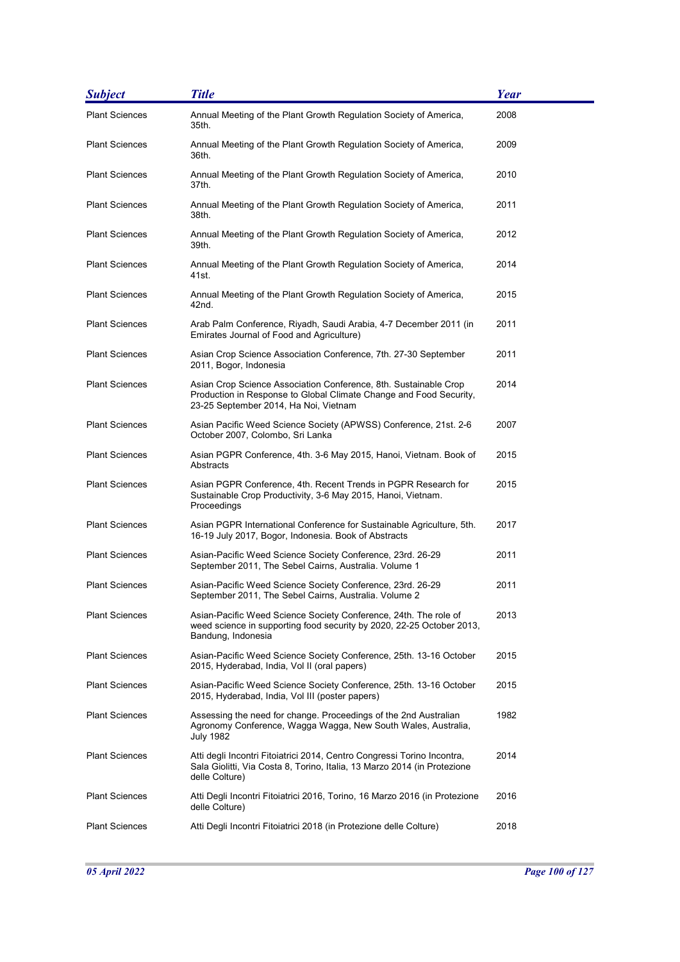| <b>Subject</b>        | <b>Title</b>                                                                                                                                                                    | <b>Year</b> |
|-----------------------|---------------------------------------------------------------------------------------------------------------------------------------------------------------------------------|-------------|
| <b>Plant Sciences</b> | Annual Meeting of the Plant Growth Regulation Society of America,<br>35th.                                                                                                      | 2008        |
| <b>Plant Sciences</b> | Annual Meeting of the Plant Growth Regulation Society of America,<br>36th.                                                                                                      | 2009        |
| <b>Plant Sciences</b> | Annual Meeting of the Plant Growth Regulation Society of America,<br>37th.                                                                                                      | 2010        |
| <b>Plant Sciences</b> | Annual Meeting of the Plant Growth Regulation Society of America,<br>38th.                                                                                                      | 2011        |
| <b>Plant Sciences</b> | Annual Meeting of the Plant Growth Regulation Society of America,<br>39th.                                                                                                      | 2012        |
| <b>Plant Sciences</b> | Annual Meeting of the Plant Growth Regulation Society of America,<br>41st.                                                                                                      | 2014        |
| <b>Plant Sciences</b> | Annual Meeting of the Plant Growth Regulation Society of America,<br>42nd.                                                                                                      | 2015        |
| <b>Plant Sciences</b> | Arab Palm Conference, Riyadh, Saudi Arabia, 4-7 December 2011 (in<br>Emirates Journal of Food and Agriculture)                                                                  | 2011        |
| Plant Sciences        | Asian Crop Science Association Conference, 7th. 27-30 September<br>2011, Bogor, Indonesia                                                                                       | 2011        |
| <b>Plant Sciences</b> | Asian Crop Science Association Conference, 8th. Sustainable Crop<br>Production in Response to Global Climate Change and Food Security,<br>23-25 September 2014, Ha Noi, Vietnam | 2014        |
| <b>Plant Sciences</b> | Asian Pacific Weed Science Society (APWSS) Conference, 21st. 2-6<br>October 2007, Colombo, Sri Lanka                                                                            | 2007        |
| <b>Plant Sciences</b> | Asian PGPR Conference, 4th. 3-6 May 2015, Hanoi, Vietnam. Book of<br>Abstracts                                                                                                  | 2015        |
| <b>Plant Sciences</b> | Asian PGPR Conference, 4th. Recent Trends in PGPR Research for<br>Sustainable Crop Productivity, 3-6 May 2015, Hanoi, Vietnam.<br>Proceedings                                   | 2015        |
| <b>Plant Sciences</b> | Asian PGPR International Conference for Sustainable Agriculture, 5th.<br>16-19 July 2017, Bogor, Indonesia. Book of Abstracts                                                   | 2017        |
| <b>Plant Sciences</b> | Asian-Pacific Weed Science Society Conference, 23rd. 26-29<br>September 2011, The Sebel Cairns, Australia. Volume 1                                                             | 2011        |
| <b>Plant Sciences</b> | Asian-Pacific Weed Science Society Conference, 23rd. 26-29<br>September 2011, The Sebel Cairns, Australia. Volume 2                                                             | 2011        |
| <b>Plant Sciences</b> | Asian-Pacific Weed Science Society Conference, 24th. The role of<br>weed science in supporting food security by 2020, 22-25 October 2013,<br>Bandung, Indonesia                 | 2013        |
| <b>Plant Sciences</b> | Asian-Pacific Weed Science Society Conference, 25th. 13-16 October<br>2015, Hyderabad, India, Vol II (oral papers)                                                              | 2015        |
| <b>Plant Sciences</b> | Asian-Pacific Weed Science Society Conference, 25th. 13-16 October<br>2015, Hyderabad, India, Vol III (poster papers)                                                           | 2015        |
| <b>Plant Sciences</b> | Assessing the need for change. Proceedings of the 2nd Australian<br>Agronomy Conference, Wagga Wagga, New South Wales, Australia,<br><b>July 1982</b>                           | 1982        |
| <b>Plant Sciences</b> | Atti degli Incontri Fitoiatrici 2014, Centro Congressi Torino Incontra,<br>Sala Giolitti, Via Costa 8, Torino, Italia, 13 Marzo 2014 (in Protezione<br>delle Colture)           | 2014        |
| <b>Plant Sciences</b> | Atti Degli Incontri Fitoiatrici 2016, Torino, 16 Marzo 2016 (in Protezione<br>delle Colture)                                                                                    | 2016        |
| <b>Plant Sciences</b> | Atti Degli Incontri Fitoiatrici 2018 (in Protezione delle Colture)                                                                                                              | 2018        |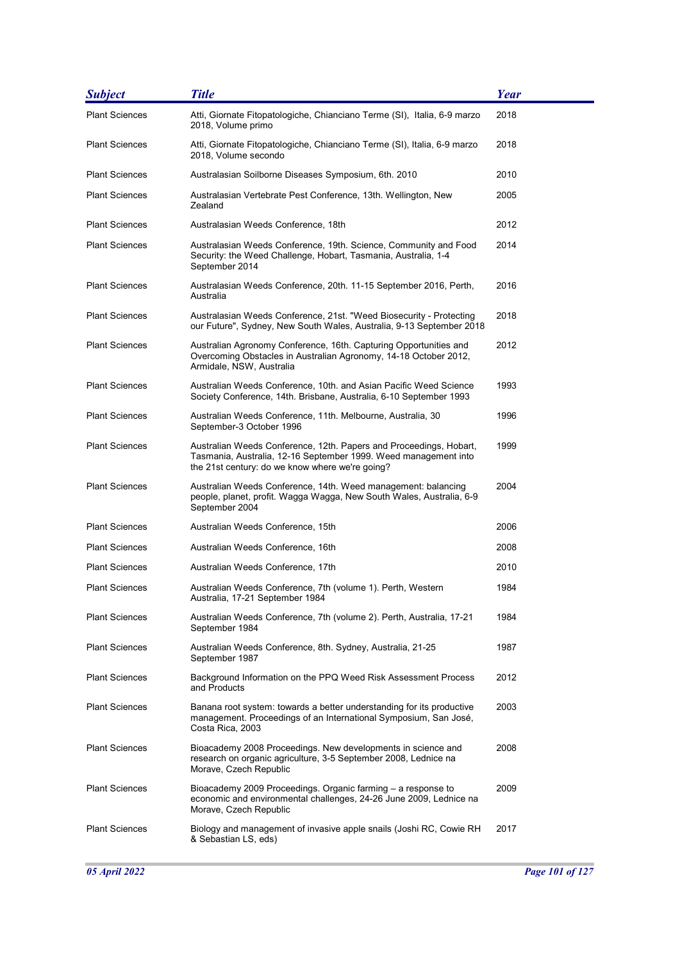| <b>Subject</b>        | <b>Title</b>                                                                                                                                                                             | Year |
|-----------------------|------------------------------------------------------------------------------------------------------------------------------------------------------------------------------------------|------|
| <b>Plant Sciences</b> | Atti, Giornate Fitopatologiche, Chianciano Terme (SI), Italia, 6-9 marzo<br>2018, Volume primo                                                                                           | 2018 |
| <b>Plant Sciences</b> | Atti, Giornate Fitopatologiche, Chianciano Terme (SI), Italia, 6-9 marzo<br>2018, Volume secondo                                                                                         | 2018 |
| <b>Plant Sciences</b> | Australasian Soilborne Diseases Symposium, 6th. 2010                                                                                                                                     | 2010 |
| <b>Plant Sciences</b> | Australasian Vertebrate Pest Conference, 13th. Wellington, New<br>Zealand                                                                                                                | 2005 |
| <b>Plant Sciences</b> | Australasian Weeds Conference, 18th                                                                                                                                                      | 2012 |
| <b>Plant Sciences</b> | Australasian Weeds Conference, 19th. Science, Community and Food<br>Security: the Weed Challenge, Hobart, Tasmania, Australia, 1-4<br>September 2014                                     | 2014 |
| <b>Plant Sciences</b> | Australasian Weeds Conference, 20th. 11-15 September 2016, Perth,<br>Australia                                                                                                           | 2016 |
| <b>Plant Sciences</b> | Australasian Weeds Conference, 21st. "Weed Biosecurity - Protecting<br>our Future", Sydney, New South Wales, Australia, 9-13 September 2018                                              | 2018 |
| <b>Plant Sciences</b> | Australian Agronomy Conference, 16th. Capturing Opportunities and<br>Overcoming Obstacles in Australian Agronomy, 14-18 October 2012,<br>Armidale, NSW, Australia                        | 2012 |
| <b>Plant Sciences</b> | Australian Weeds Conference, 10th. and Asian Pacific Weed Science<br>Society Conference, 14th. Brisbane, Australia, 6-10 September 1993                                                  | 1993 |
| <b>Plant Sciences</b> | Australian Weeds Conference, 11th. Melbourne, Australia, 30<br>September-3 October 1996                                                                                                  | 1996 |
| <b>Plant Sciences</b> | Australian Weeds Conference, 12th. Papers and Proceedings, Hobart,<br>Tasmania, Australia, 12-16 September 1999. Weed management into<br>the 21st century: do we know where we're going? | 1999 |
| <b>Plant Sciences</b> | Australian Weeds Conference, 14th. Weed management: balancing<br>people, planet, profit. Wagga Wagga, New South Wales, Australia, 6-9<br>September 2004                                  | 2004 |
| <b>Plant Sciences</b> | Australian Weeds Conference, 15th                                                                                                                                                        | 2006 |
| <b>Plant Sciences</b> | Australian Weeds Conference, 16th                                                                                                                                                        | 2008 |
| <b>Plant Sciences</b> | Australian Weeds Conference, 17th                                                                                                                                                        | 2010 |
| <b>Plant Sciences</b> | Australian Weeds Conference, 7th (volume 1). Perth, Western<br>Australia, 17-21 September 1984                                                                                           | 1984 |
| <b>Plant Sciences</b> | Australian Weeds Conference, 7th (volume 2). Perth, Australia, 17-21<br>September 1984                                                                                                   | 1984 |
| <b>Plant Sciences</b> | Australian Weeds Conference, 8th. Sydney, Australia, 21-25<br>September 1987                                                                                                             | 1987 |
| <b>Plant Sciences</b> | Background Information on the PPQ Weed Risk Assessment Process<br>and Products                                                                                                           | 2012 |
| <b>Plant Sciences</b> | Banana root system: towards a better understanding for its productive<br>management. Proceedings of an International Symposium, San José,<br>Costa Rica, 2003                            | 2003 |
| <b>Plant Sciences</b> | Bioacademy 2008 Proceedings. New developments in science and<br>research on organic agriculture, 3-5 September 2008, Lednice na<br>Morave, Czech Republic                                | 2008 |
| <b>Plant Sciences</b> | Bioacademy 2009 Proceedings. Organic farming – a response to<br>economic and environmental challenges, 24-26 June 2009, Lednice na<br>Morave, Czech Republic                             | 2009 |
| <b>Plant Sciences</b> | Biology and management of invasive apple snails (Joshi RC, Cowie RH<br>& Sebastian LS, eds)                                                                                              | 2017 |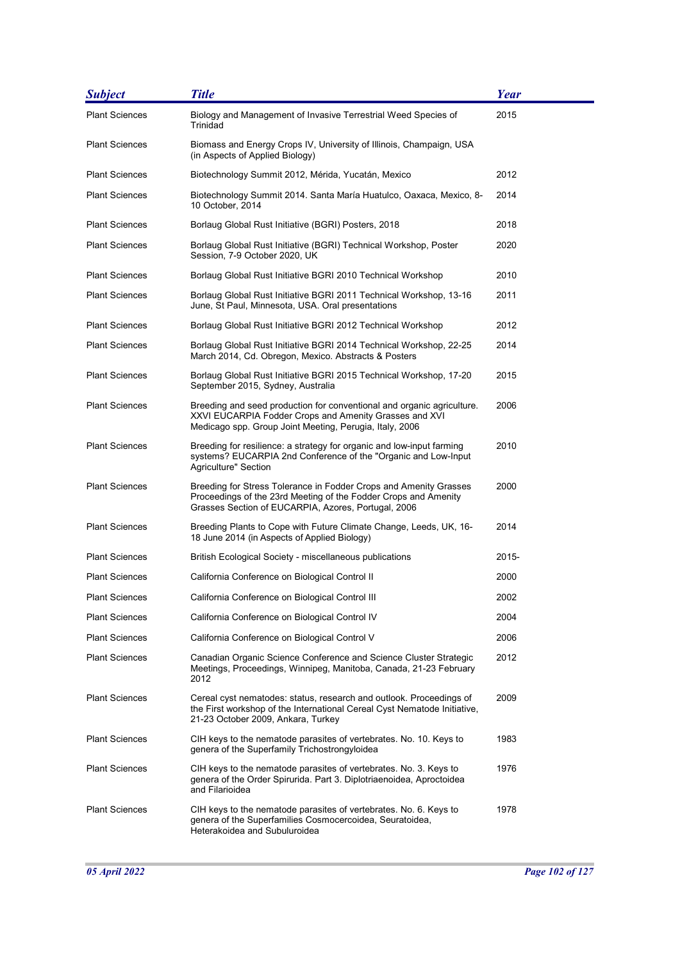| <b>Subject</b>        | <b>Title</b>                                                                                                                                                                                | <b>Year</b> |
|-----------------------|---------------------------------------------------------------------------------------------------------------------------------------------------------------------------------------------|-------------|
| <b>Plant Sciences</b> | Biology and Management of Invasive Terrestrial Weed Species of<br>Trinidad                                                                                                                  | 2015        |
| <b>Plant Sciences</b> | Biomass and Energy Crops IV, University of Illinois, Champaign, USA<br>(in Aspects of Applied Biology)                                                                                      |             |
| <b>Plant Sciences</b> | Biotechnology Summit 2012, Mérida, Yucatán, Mexico                                                                                                                                          | 2012        |
| Plant Sciences        | Biotechnology Summit 2014. Santa María Huatulco, Oaxaca, Mexico, 8-<br>10 October, 2014                                                                                                     | 2014        |
| <b>Plant Sciences</b> | Borlaug Global Rust Initiative (BGRI) Posters, 2018                                                                                                                                         | 2018        |
| <b>Plant Sciences</b> | Borlaug Global Rust Initiative (BGRI) Technical Workshop, Poster<br>Session, 7-9 October 2020, UK                                                                                           | 2020        |
| <b>Plant Sciences</b> | Borlaug Global Rust Initiative BGRI 2010 Technical Workshop                                                                                                                                 | 2010        |
| <b>Plant Sciences</b> | Borlaug Global Rust Initiative BGRI 2011 Technical Workshop, 13-16<br>June, St Paul, Minnesota, USA. Oral presentations                                                                     | 2011        |
| <b>Plant Sciences</b> | Borlaug Global Rust Initiative BGRI 2012 Technical Workshop                                                                                                                                 | 2012        |
| <b>Plant Sciences</b> | Borlaug Global Rust Initiative BGRI 2014 Technical Workshop, 22-25<br>March 2014, Cd. Obregon, Mexico. Abstracts & Posters                                                                  | 2014        |
| <b>Plant Sciences</b> | Borlaug Global Rust Initiative BGRI 2015 Technical Workshop, 17-20<br>September 2015, Sydney, Australia                                                                                     | 2015        |
| <b>Plant Sciences</b> | Breeding and seed production for conventional and organic agriculture.<br>XXVI EUCARPIA Fodder Crops and Amenity Grasses and XVI<br>Medicago spp. Group Joint Meeting, Perugia, Italy, 2006 | 2006        |
| <b>Plant Sciences</b> | Breeding for resilience: a strategy for organic and low-input farming<br>systems? EUCARPIA 2nd Conference of the "Organic and Low-Input<br>Agriculture" Section                             | 2010        |
| <b>Plant Sciences</b> | Breeding for Stress Tolerance in Fodder Crops and Amenity Grasses<br>Proceedings of the 23rd Meeting of the Fodder Crops and Amenity<br>Grasses Section of EUCARPIA, Azores, Portugal, 2006 | 2000        |
| <b>Plant Sciences</b> | Breeding Plants to Cope with Future Climate Change, Leeds, UK, 16-<br>18 June 2014 (in Aspects of Applied Biology)                                                                          | 2014        |
| <b>Plant Sciences</b> | British Ecological Society - miscellaneous publications                                                                                                                                     | 2015-       |
| <b>Plant Sciences</b> | California Conference on Biological Control II                                                                                                                                              | 2000        |
| <b>Plant Sciences</b> | California Conference on Biological Control III                                                                                                                                             | 2002        |
| <b>Plant Sciences</b> | California Conference on Biological Control IV                                                                                                                                              | 2004        |
| <b>Plant Sciences</b> | California Conference on Biological Control V                                                                                                                                               | 2006        |
| <b>Plant Sciences</b> | Canadian Organic Science Conference and Science Cluster Strategic<br>Meetings, Proceedings, Winnipeg, Manitoba, Canada, 21-23 February<br>2012                                              | 2012        |
| <b>Plant Sciences</b> | Cereal cyst nematodes: status, research and outlook. Proceedings of<br>the First workshop of the International Cereal Cyst Nematode Initiative,<br>21-23 October 2009, Ankara, Turkey       | 2009        |
| <b>Plant Sciences</b> | CIH keys to the nematode parasites of vertebrates. No. 10. Keys to<br>genera of the Superfamily Trichostrongyloidea                                                                         | 1983        |
| <b>Plant Sciences</b> | CIH keys to the nematode parasites of vertebrates. No. 3. Keys to<br>genera of the Order Spirurida. Part 3. Diplotriaenoidea, Aproctoidea<br>and Filarioidea                                | 1976        |
| <b>Plant Sciences</b> | CIH keys to the nematode parasites of vertebrates. No. 6. Keys to<br>genera of the Superfamilies Cosmocercoidea, Seuratoidea,<br>Heterakoidea and Subuluroidea                              | 1978        |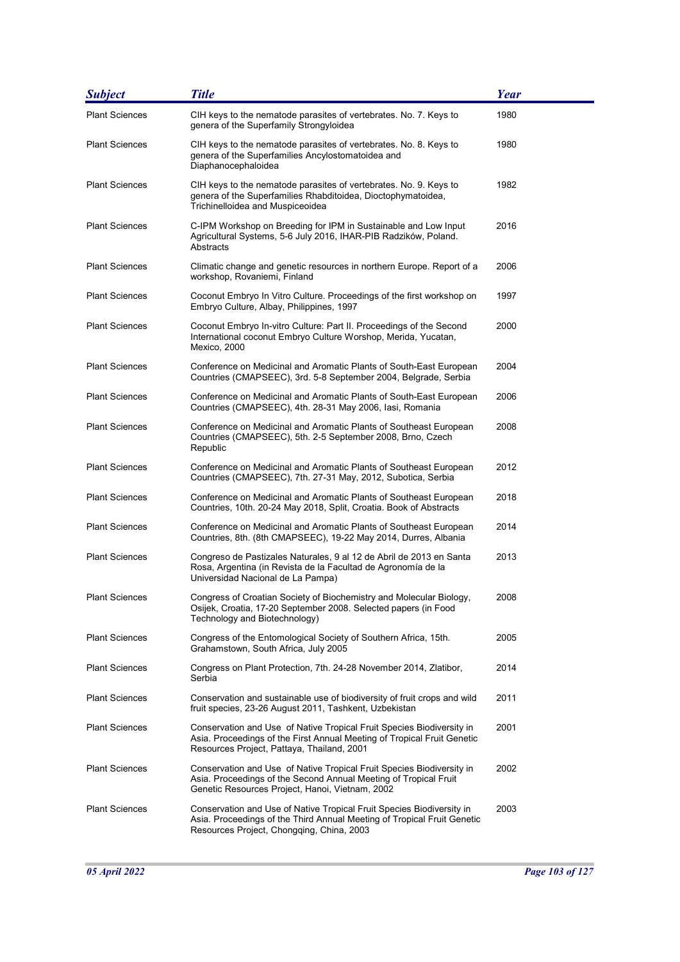| <b>Subject</b>        | <b>Title</b>                                                                                                                                                                                   | Year |
|-----------------------|------------------------------------------------------------------------------------------------------------------------------------------------------------------------------------------------|------|
| <b>Plant Sciences</b> | CIH keys to the nematode parasites of vertebrates. No. 7. Keys to<br>genera of the Superfamily Strongyloidea                                                                                   | 1980 |
| <b>Plant Sciences</b> | CIH keys to the nematode parasites of vertebrates. No. 8. Keys to<br>genera of the Superfamilies Ancylostomatoidea and<br>Diaphanocephaloidea                                                  | 1980 |
| <b>Plant Sciences</b> | CIH keys to the nematode parasites of vertebrates. No. 9. Keys to<br>genera of the Superfamilies Rhabditoidea, Dioctophymatoidea,<br>Trichinelloidea and Muspiceoidea                          | 1982 |
| <b>Plant Sciences</b> | C-IPM Workshop on Breeding for IPM in Sustainable and Low Input<br>Agricultural Systems, 5-6 July 2016, IHAR-PIB Radzików, Poland.<br>Abstracts                                                | 2016 |
| <b>Plant Sciences</b> | Climatic change and genetic resources in northern Europe. Report of a<br>workshop, Rovaniemi, Finland                                                                                          | 2006 |
| <b>Plant Sciences</b> | Coconut Embryo In Vitro Culture. Proceedings of the first workshop on<br>Embryo Culture, Albay, Philippines, 1997                                                                              | 1997 |
| <b>Plant Sciences</b> | Coconut Embryo In-vitro Culture: Part II. Proceedings of the Second<br>International coconut Embryo Culture Worshop, Merida, Yucatan,<br>Mexico, 2000                                          | 2000 |
| <b>Plant Sciences</b> | Conference on Medicinal and Aromatic Plants of South-East European<br>Countries (CMAPSEEC), 3rd. 5-8 September 2004, Belgrade, Serbia                                                          | 2004 |
| <b>Plant Sciences</b> | Conference on Medicinal and Aromatic Plants of South-East European<br>Countries (CMAPSEEC), 4th. 28-31 May 2006, Iasi, Romania                                                                 | 2006 |
| <b>Plant Sciences</b> | Conference on Medicinal and Aromatic Plants of Southeast European<br>Countries (CMAPSEEC), 5th. 2-5 September 2008, Brno, Czech<br>Republic                                                    | 2008 |
| <b>Plant Sciences</b> | Conference on Medicinal and Aromatic Plants of Southeast European<br>Countries (CMAPSEEC), 7th. 27-31 May, 2012, Subotica, Serbia                                                              | 2012 |
| <b>Plant Sciences</b> | Conference on Medicinal and Aromatic Plants of Southeast European<br>Countries, 10th. 20-24 May 2018, Split, Croatia. Book of Abstracts                                                        | 2018 |
| <b>Plant Sciences</b> | Conference on Medicinal and Aromatic Plants of Southeast European<br>Countries, 8th. (8th CMAPSEEC), 19-22 May 2014, Durres, Albania                                                           | 2014 |
| <b>Plant Sciences</b> | Congreso de Pastizales Naturales, 9 al 12 de Abril de 2013 en Santa<br>Rosa, Argentina (in Revista de la Facultad de Agronomía de la<br>Universidad Nacional de La Pampa)                      | 2013 |
| Plant Sciences        | Congress of Croatian Society of Biochemistry and Molecular Biology,<br>Osijek, Croatia, 17-20 September 2008. Selected papers (in Food<br>Technology and Biotechnology)                        | 2008 |
| <b>Plant Sciences</b> | Congress of the Entomological Society of Southern Africa, 15th.<br>Grahamstown, South Africa, July 2005                                                                                        | 2005 |
| <b>Plant Sciences</b> | Congress on Plant Protection, 7th. 24-28 November 2014, Zlatibor,<br>Serbia                                                                                                                    | 2014 |
| <b>Plant Sciences</b> | Conservation and sustainable use of biodiversity of fruit crops and wild<br>fruit species, 23-26 August 2011, Tashkent, Uzbekistan                                                             | 2011 |
| <b>Plant Sciences</b> | Conservation and Use of Native Tropical Fruit Species Biodiversity in<br>Asia. Proceedings of the First Annual Meeting of Tropical Fruit Genetic<br>Resources Project, Pattaya, Thailand, 2001 | 2001 |
| <b>Plant Sciences</b> | Conservation and Use of Native Tropical Fruit Species Biodiversity in<br>Asia. Proceedings of the Second Annual Meeting of Tropical Fruit<br>Genetic Resources Project, Hanoi, Vietnam, 2002   | 2002 |
| <b>Plant Sciences</b> | Conservation and Use of Native Tropical Fruit Species Biodiversity in<br>Asia. Proceedings of the Third Annual Meeting of Tropical Fruit Genetic<br>Resources Project, Chongqing, China, 2003  | 2003 |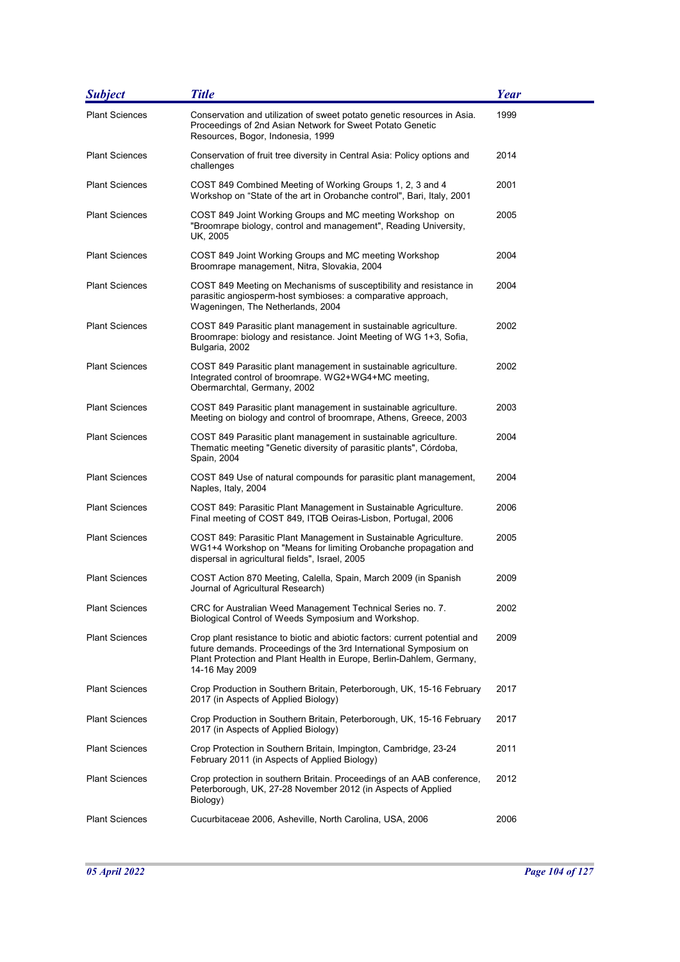| <b>Subject</b>        | <b>Title</b>                                                                                                                                                                                                                              | <b>Year</b> |
|-----------------------|-------------------------------------------------------------------------------------------------------------------------------------------------------------------------------------------------------------------------------------------|-------------|
| <b>Plant Sciences</b> | Conservation and utilization of sweet potato genetic resources in Asia.<br>Proceedings of 2nd Asian Network for Sweet Potato Genetic<br>Resources, Bogor, Indonesia, 1999                                                                 | 1999        |
| <b>Plant Sciences</b> | Conservation of fruit tree diversity in Central Asia: Policy options and<br>challenges                                                                                                                                                    | 2014        |
| <b>Plant Sciences</b> | COST 849 Combined Meeting of Working Groups 1, 2, 3 and 4<br>Workshop on "State of the art in Orobanche control", Bari, Italy, 2001                                                                                                       | 2001        |
| <b>Plant Sciences</b> | COST 849 Joint Working Groups and MC meeting Workshop on<br>"Broomrape biology, control and management", Reading University,<br>UK, 2005                                                                                                  | 2005        |
| <b>Plant Sciences</b> | COST 849 Joint Working Groups and MC meeting Workshop<br>Broomrape management, Nitra, Slovakia, 2004                                                                                                                                      | 2004        |
| <b>Plant Sciences</b> | COST 849 Meeting on Mechanisms of susceptibility and resistance in<br>parasitic angiosperm-host symbioses: a comparative approach,<br>Wageningen, The Netherlands, 2004                                                                   | 2004        |
| <b>Plant Sciences</b> | COST 849 Parasitic plant management in sustainable agriculture.<br>Broomrape: biology and resistance. Joint Meeting of WG 1+3, Sofia,<br>Bulgaria, 2002                                                                                   | 2002        |
| <b>Plant Sciences</b> | COST 849 Parasitic plant management in sustainable agriculture.<br>Integrated control of broomrape. WG2+WG4+MC meeting,<br>Obermarchtal, Germany, 2002                                                                                    | 2002        |
| <b>Plant Sciences</b> | COST 849 Parasitic plant management in sustainable agriculture.<br>Meeting on biology and control of broomrape, Athens, Greece, 2003                                                                                                      | 2003        |
| <b>Plant Sciences</b> | COST 849 Parasitic plant management in sustainable agriculture.<br>Thematic meeting "Genetic diversity of parasitic plants", Córdoba,<br>Spain, 2004                                                                                      | 2004        |
| <b>Plant Sciences</b> | COST 849 Use of natural compounds for parasitic plant management,<br>Naples, Italy, 2004                                                                                                                                                  | 2004        |
| <b>Plant Sciences</b> | COST 849: Parasitic Plant Management in Sustainable Agriculture.<br>Final meeting of COST 849, ITQB Oeiras-Lisbon, Portugal, 2006                                                                                                         | 2006        |
| <b>Plant Sciences</b> | COST 849: Parasitic Plant Management in Sustainable Agriculture.<br>WG1+4 Workshop on "Means for limiting Orobanche propagation and<br>dispersal in agricultural fields", Israel, 2005                                                    | 2005        |
| <b>Plant Sciences</b> | COST Action 870 Meeting, Calella, Spain, March 2009 (in Spanish<br>Journal of Agricultural Research)                                                                                                                                      | 2009        |
| <b>Plant Sciences</b> | CRC for Australian Weed Management Technical Series no. 7.<br>Biological Control of Weeds Symposium and Workshop.                                                                                                                         | 2002        |
| <b>Plant Sciences</b> | Crop plant resistance to biotic and abiotic factors: current potential and<br>future demands. Proceedings of the 3rd International Symposium on<br>Plant Protection and Plant Health in Europe, Berlin-Dahlem, Germany,<br>14-16 May 2009 | 2009        |
| <b>Plant Sciences</b> | Crop Production in Southern Britain, Peterborough, UK, 15-16 February<br>2017 (in Aspects of Applied Biology)                                                                                                                             | 2017        |
| <b>Plant Sciences</b> | Crop Production in Southern Britain, Peterborough, UK, 15-16 February<br>2017 (in Aspects of Applied Biology)                                                                                                                             | 2017        |
| <b>Plant Sciences</b> | Crop Protection in Southern Britain, Impington, Cambridge, 23-24<br>February 2011 (in Aspects of Applied Biology)                                                                                                                         | 2011        |
| <b>Plant Sciences</b> | Crop protection in southern Britain. Proceedings of an AAB conference,<br>Peterborough, UK, 27-28 November 2012 (in Aspects of Applied<br>Biology)                                                                                        | 2012        |
| <b>Plant Sciences</b> | Cucurbitaceae 2006, Asheville, North Carolina, USA, 2006                                                                                                                                                                                  | 2006        |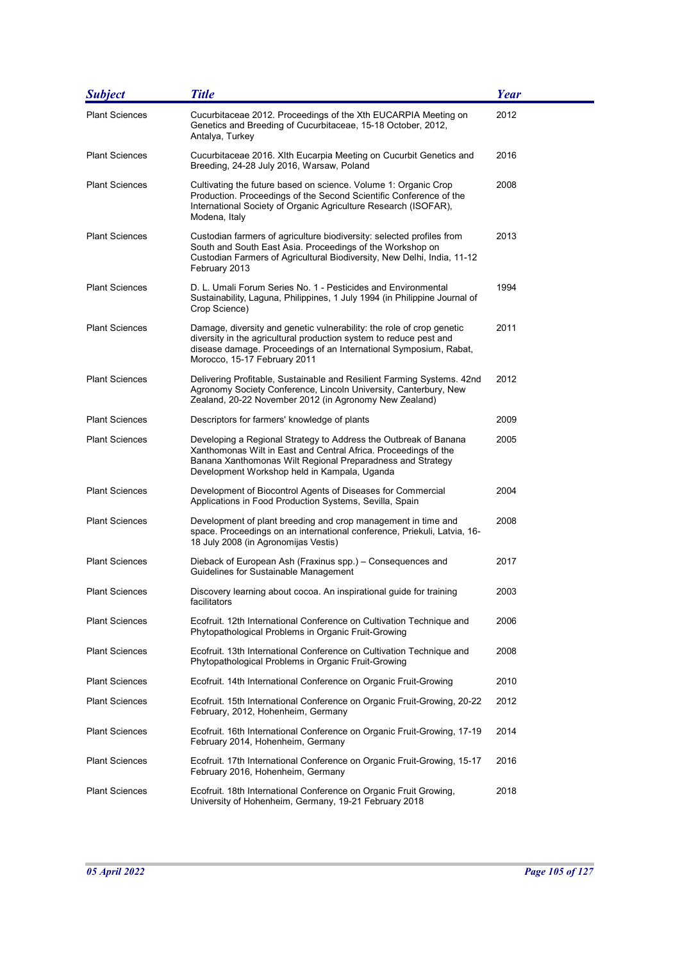| <b>Subject</b>        | <b>Title</b>                                                                                                                                                                                                                                      | Year |
|-----------------------|---------------------------------------------------------------------------------------------------------------------------------------------------------------------------------------------------------------------------------------------------|------|
| <b>Plant Sciences</b> | Cucurbitaceae 2012. Proceedings of the Xth EUCARPIA Meeting on<br>Genetics and Breeding of Cucurbitaceae, 15-18 October, 2012,<br>Antalya, Turkey                                                                                                 | 2012 |
| <b>Plant Sciences</b> | Cucurbitaceae 2016. XIth Eucarpia Meeting on Cucurbit Genetics and<br>Breeding, 24-28 July 2016, Warsaw, Poland                                                                                                                                   | 2016 |
| <b>Plant Sciences</b> | Cultivating the future based on science. Volume 1: Organic Crop<br>Production. Proceedings of the Second Scientific Conference of the<br>International Society of Organic Agriculture Research (ISOFAR),<br>Modena, Italy                         | 2008 |
| <b>Plant Sciences</b> | Custodian farmers of agriculture biodiversity: selected profiles from<br>South and South East Asia. Proceedings of the Workshop on<br>Custodian Farmers of Agricultural Biodiversity, New Delhi, India, 11-12<br>February 2013                    | 2013 |
| <b>Plant Sciences</b> | D. L. Umali Forum Series No. 1 - Pesticides and Environmental<br>Sustainability, Laguna, Philippines, 1 July 1994 (in Philippine Journal of<br>Crop Science)                                                                                      | 1994 |
| <b>Plant Sciences</b> | Damage, diversity and genetic vulnerability: the role of crop genetic<br>diversity in the agricultural production system to reduce pest and<br>disease damage. Proceedings of an International Symposium, Rabat,<br>Morocco, 15-17 February 2011  | 2011 |
| <b>Plant Sciences</b> | Delivering Profitable, Sustainable and Resilient Farming Systems. 42nd<br>Agronomy Society Conference, Lincoln University, Canterbury, New<br>Zealand, 20-22 November 2012 (in Agronomy New Zealand)                                              | 2012 |
| <b>Plant Sciences</b> | Descriptors for farmers' knowledge of plants                                                                                                                                                                                                      | 2009 |
| <b>Plant Sciences</b> | Developing a Regional Strategy to Address the Outbreak of Banana<br>Xanthomonas Wilt in East and Central Africa. Proceedings of the<br>Banana Xanthomonas Wilt Regional Preparadness and Strategy<br>Development Workshop held in Kampala, Uganda | 2005 |
| <b>Plant Sciences</b> | Development of Biocontrol Agents of Diseases for Commercial<br>Applications in Food Production Systems, Sevilla, Spain                                                                                                                            | 2004 |
| <b>Plant Sciences</b> | Development of plant breeding and crop management in time and<br>space. Proceedings on an international conference, Priekuli, Latvia, 16-<br>18 July 2008 (in Agronomijas Vestis)                                                                 | 2008 |
| <b>Plant Sciences</b> | Dieback of European Ash (Fraxinus spp.) – Consequences and<br>Guidelines for Sustainable Management                                                                                                                                               | 2017 |
| <b>Plant Sciences</b> | Discovery learning about cocoa. An inspirational guide for training<br>facilitators                                                                                                                                                               | 2003 |
| <b>Plant Sciences</b> | Ecofruit. 12th International Conference on Cultivation Technique and<br>Phytopathological Problems in Organic Fruit-Growing                                                                                                                       | 2006 |
| <b>Plant Sciences</b> | Ecofruit. 13th International Conference on Cultivation Technique and<br>Phytopathological Problems in Organic Fruit-Growing                                                                                                                       | 2008 |
| <b>Plant Sciences</b> | Ecofruit. 14th International Conference on Organic Fruit-Growing                                                                                                                                                                                  | 2010 |
| <b>Plant Sciences</b> | Ecofruit. 15th International Conference on Organic Fruit-Growing, 20-22<br>February, 2012, Hohenheim, Germany                                                                                                                                     | 2012 |
| <b>Plant Sciences</b> | Ecofruit. 16th International Conference on Organic Fruit-Growing, 17-19<br>February 2014, Hohenheim, Germany                                                                                                                                      | 2014 |
| <b>Plant Sciences</b> | Ecofruit. 17th International Conference on Organic Fruit-Growing, 15-17<br>February 2016, Hohenheim, Germany                                                                                                                                      | 2016 |
| <b>Plant Sciences</b> | Ecofruit. 18th International Conference on Organic Fruit Growing,<br>University of Hohenheim, Germany, 19-21 February 2018                                                                                                                        | 2018 |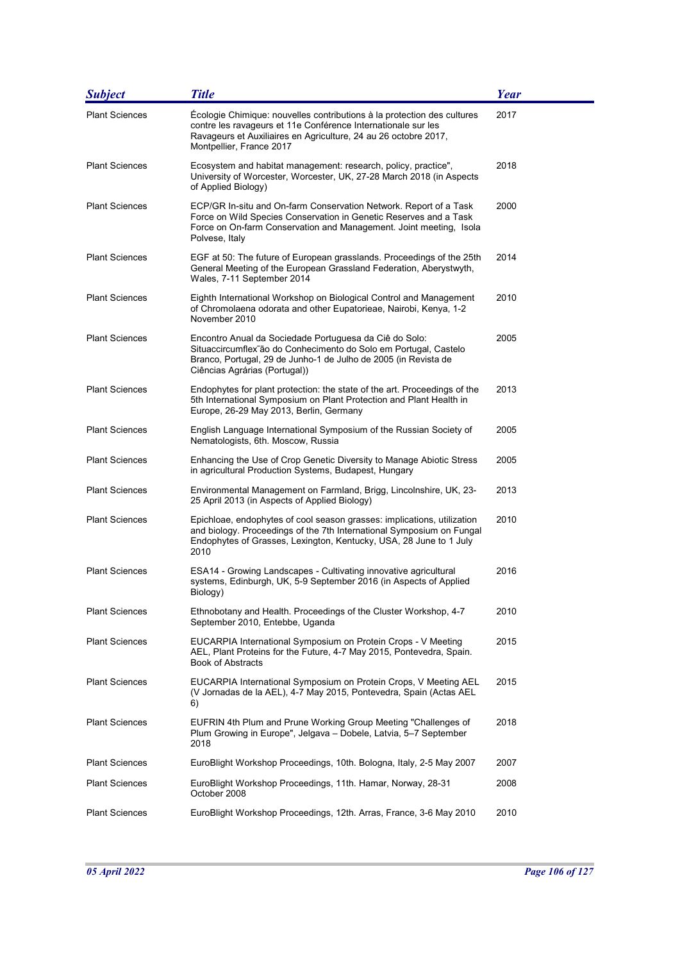| <b>Subject</b>        | <b>Title</b>                                                                                                                                                                                                                            | <b>Year</b> |
|-----------------------|-----------------------------------------------------------------------------------------------------------------------------------------------------------------------------------------------------------------------------------------|-------------|
| <b>Plant Sciences</b> | Écologie Chimique: nouvelles contributions à la protection des cultures<br>contre les ravageurs et 11e Conférence Internationale sur les<br>Ravageurs et Auxiliaires en Agriculture, 24 au 26 octobre 2017,<br>Montpellier, France 2017 | 2017        |
| <b>Plant Sciences</b> | Ecosystem and habitat management: research, policy, practice",<br>University of Worcester, Worcester, UK, 27-28 March 2018 (in Aspects<br>of Applied Biology)                                                                           | 2018        |
| <b>Plant Sciences</b> | ECP/GR In-situ and On-farm Conservation Network. Report of a Task<br>Force on Wild Species Conservation in Genetic Reserves and a Task<br>Force on On-farm Conservation and Management. Joint meeting, Isola<br>Polvese, Italy          | 2000        |
| <b>Plant Sciences</b> | EGF at 50: The future of European grasslands. Proceedings of the 25th<br>General Meeting of the European Grassland Federation, Aberystwyth,<br>Wales, 7-11 September 2014                                                               | 2014        |
| <b>Plant Sciences</b> | Eighth International Workshop on Biological Control and Management<br>of Chromolaena odorata and other Eupatorieae, Nairobi, Kenya, 1-2<br>November 2010                                                                                | 2010        |
| <b>Plant Sciences</b> | Encontro Anual da Sociedade Portuguesa da Ciê do Solo:<br>Situaccircumflex ão do Conhecimento do Solo em Portugal, Castelo<br>Branco, Portugal, 29 de Junho-1 de Julho de 2005 (in Revista de<br>Ciências Agrárias (Portugal))          | 2005        |
| <b>Plant Sciences</b> | Endophytes for plant protection: the state of the art. Proceedings of the<br>5th International Symposium on Plant Protection and Plant Health in<br>Europe, 26-29 May 2013, Berlin, Germany                                             | 2013        |
| <b>Plant Sciences</b> | English Language International Symposium of the Russian Society of<br>Nematologists, 6th. Moscow, Russia                                                                                                                                | 2005        |
| <b>Plant Sciences</b> | Enhancing the Use of Crop Genetic Diversity to Manage Abiotic Stress<br>in agricultural Production Systems, Budapest, Hungary                                                                                                           | 2005        |
| <b>Plant Sciences</b> | Environmental Management on Farmland, Brigg, Lincolnshire, UK, 23-<br>25 April 2013 (in Aspects of Applied Biology)                                                                                                                     | 2013        |
| <b>Plant Sciences</b> | Epichloae, endophytes of cool season grasses: implications, utilization<br>and biology. Proceedings of the 7th International Symposium on Fungal<br>Endophytes of Grasses, Lexington, Kentucky, USA, 28 June to 1 July<br>2010          | 2010        |
| <b>Plant Sciences</b> | ESA14 - Growing Landscapes - Cultivating innovative agricultural<br>systems, Edinburgh, UK, 5-9 September 2016 (in Aspects of Applied<br>Biology)                                                                                       | 2016        |
| <b>Plant Sciences</b> | Ethnobotany and Health. Proceedings of the Cluster Workshop, 4-7<br>September 2010, Entebbe, Uganda                                                                                                                                     | 2010        |
| <b>Plant Sciences</b> | EUCARPIA International Symposium on Protein Crops - V Meeting<br>AEL, Plant Proteins for the Future, 4-7 May 2015, Pontevedra, Spain.<br><b>Book of Abstracts</b>                                                                       | 2015        |
| <b>Plant Sciences</b> | EUCARPIA International Symposium on Protein Crops, V Meeting AEL<br>(V Jornadas de la AEL), 4-7 May 2015, Pontevedra, Spain (Actas AEL<br>6)                                                                                            | 2015        |
| <b>Plant Sciences</b> | EUFRIN 4th Plum and Prune Working Group Meeting "Challenges of<br>Plum Growing in Europe", Jelgava - Dobele, Latvia, 5-7 September<br>2018                                                                                              | 2018        |
| <b>Plant Sciences</b> | EuroBlight Workshop Proceedings, 10th. Bologna, Italy, 2-5 May 2007                                                                                                                                                                     | 2007        |
| <b>Plant Sciences</b> | EuroBlight Workshop Proceedings, 11th. Hamar, Norway, 28-31<br>October 2008                                                                                                                                                             | 2008        |
| <b>Plant Sciences</b> | EuroBlight Workshop Proceedings, 12th. Arras, France, 3-6 May 2010                                                                                                                                                                      | 2010        |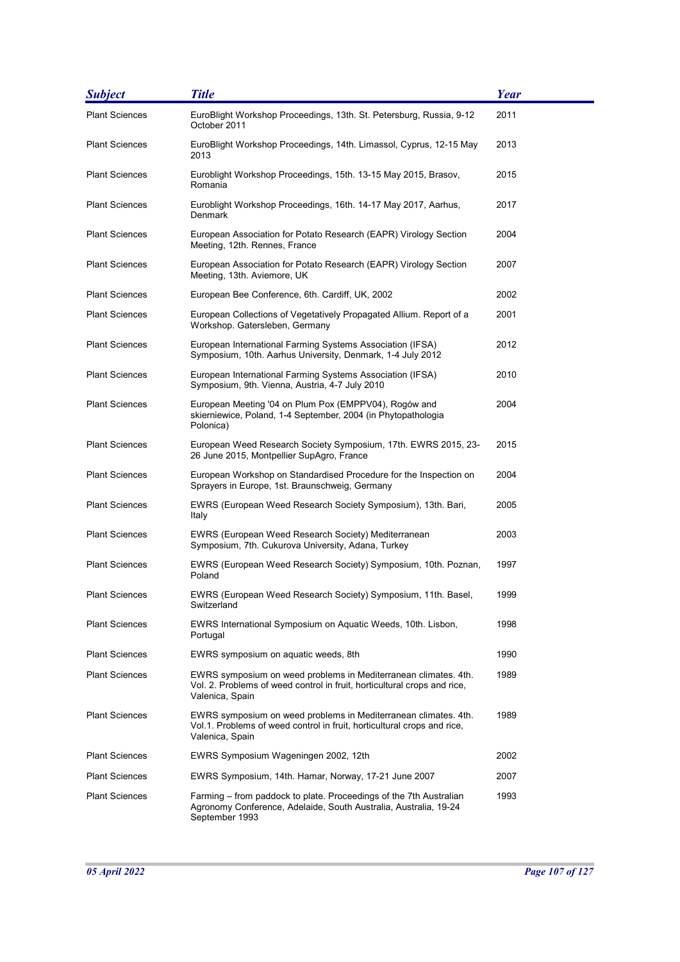| <b>Subject</b>        | <b>Title</b>                                                                                                                                                   | <b>Year</b> |
|-----------------------|----------------------------------------------------------------------------------------------------------------------------------------------------------------|-------------|
| <b>Plant Sciences</b> | EuroBlight Workshop Proceedings, 13th. St. Petersburg, Russia, 9-12<br>October 2011                                                                            | 2011        |
| <b>Plant Sciences</b> | EuroBlight Workshop Proceedings, 14th. Limassol, Cyprus, 12-15 May<br>2013                                                                                     | 2013        |
| <b>Plant Sciences</b> | Euroblight Workshop Proceedings, 15th. 13-15 May 2015, Brasov,<br>Romania                                                                                      | 2015        |
| <b>Plant Sciences</b> | Euroblight Workshop Proceedings, 16th. 14-17 May 2017, Aarhus,<br>Denmark                                                                                      | 2017        |
| <b>Plant Sciences</b> | European Association for Potato Research (EAPR) Virology Section<br>Meeting, 12th. Rennes, France                                                              | 2004        |
| <b>Plant Sciences</b> | European Association for Potato Research (EAPR) Virology Section<br>Meeting, 13th. Aviemore, UK                                                                | 2007        |
| <b>Plant Sciences</b> | European Bee Conference, 6th. Cardiff, UK, 2002                                                                                                                | 2002        |
| <b>Plant Sciences</b> | European Collections of Vegetatively Propagated Allium. Report of a<br>Workshop. Gatersleben, Germany                                                          | 2001        |
| <b>Plant Sciences</b> | European International Farming Systems Association (IFSA)<br>Symposium, 10th. Aarhus University, Denmark, 1-4 July 2012                                        | 2012        |
| <b>Plant Sciences</b> | European International Farming Systems Association (IFSA)<br>Symposium, 9th. Vienna, Austria, 4-7 July 2010                                                    | 2010        |
| <b>Plant Sciences</b> | European Meeting '04 on Plum Pox (EMPPV04), Rogów and<br>skierniewice, Poland, 1-4 September, 2004 (in Phytopathologia<br>Polonica)                            | 2004        |
| <b>Plant Sciences</b> | European Weed Research Society Symposium, 17th. EWRS 2015, 23-<br>26 June 2015, Montpellier SupAgro, France                                                    | 2015        |
| <b>Plant Sciences</b> | European Workshop on Standardised Procedure for the Inspection on<br>Sprayers in Europe, 1st. Braunschweig, Germany                                            | 2004        |
| <b>Plant Sciences</b> | EWRS (European Weed Research Society Symposium), 13th. Bari,<br>Italy                                                                                          | 2005        |
| <b>Plant Sciences</b> | EWRS (European Weed Research Society) Mediterranean<br>Symposium, 7th. Cukurova University, Adana, Turkey                                                      | 2003        |
| <b>Plant Sciences</b> | EWRS (European Weed Research Society) Symposium, 10th. Poznan,<br>Poland                                                                                       | 1997        |
| <b>Plant Sciences</b> | EWRS (European Weed Research Society) Symposium, 11th. Basel,<br>Switzerland                                                                                   | 1999        |
| <b>Plant Sciences</b> | EWRS International Symposium on Aquatic Weeds, 10th. Lisbon,<br>Portugal                                                                                       | 1998        |
| <b>Plant Sciences</b> | EWRS symposium on aquatic weeds, 8th                                                                                                                           | 1990        |
| <b>Plant Sciences</b> | EWRS symposium on weed problems in Mediterranean climates. 4th.<br>Vol. 2. Problems of weed control in fruit, horticultural crops and rice,<br>Valenica, Spain | 1989        |
| <b>Plant Sciences</b> | EWRS symposium on weed problems in Mediterranean climates. 4th.<br>Vol.1. Problems of weed control in fruit, horticultural crops and rice,<br>Valenica, Spain  | 1989        |
| <b>Plant Sciences</b> | EWRS Symposium Wageningen 2002, 12th                                                                                                                           | 2002        |
| <b>Plant Sciences</b> | EWRS Symposium, 14th. Hamar, Norway, 17-21 June 2007                                                                                                           | 2007        |
| <b>Plant Sciences</b> | Farming – from paddock to plate. Proceedings of the 7th Australian<br>Agronomy Conference, Adelaide, South Australia, Australia, 19-24<br>September 1993       | 1993        |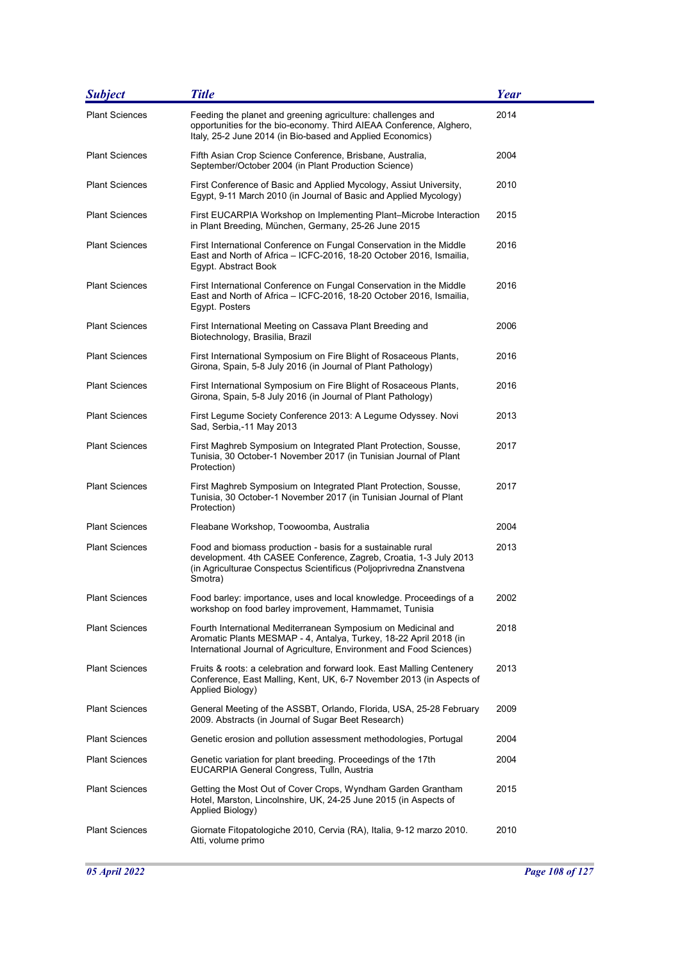| <b>Subject</b>        | <b>Title</b>                                                                                                                                                                                                       | <b>Year</b> |
|-----------------------|--------------------------------------------------------------------------------------------------------------------------------------------------------------------------------------------------------------------|-------------|
| <b>Plant Sciences</b> | Feeding the planet and greening agriculture: challenges and<br>opportunities for the bio-economy. Third AIEAA Conference, Alghero,<br>Italy, 25-2 June 2014 (in Bio-based and Applied Economics)                   | 2014        |
| <b>Plant Sciences</b> | Fifth Asian Crop Science Conference, Brisbane, Australia,<br>September/October 2004 (in Plant Production Science)                                                                                                  | 2004        |
| <b>Plant Sciences</b> | First Conference of Basic and Applied Mycology, Assiut University,<br>Egypt, 9-11 March 2010 (in Journal of Basic and Applied Mycology)                                                                            | 2010        |
| <b>Plant Sciences</b> | First EUCARPIA Workshop on Implementing Plant–Microbe Interaction<br>in Plant Breeding, München, Germany, 25-26 June 2015                                                                                          | 2015        |
| <b>Plant Sciences</b> | First International Conference on Fungal Conservation in the Middle<br>East and North of Africa - ICFC-2016, 18-20 October 2016, Ismailia,<br>Egypt. Abstract Book                                                 | 2016        |
| <b>Plant Sciences</b> | First International Conference on Fungal Conservation in the Middle<br>East and North of Africa - ICFC-2016, 18-20 October 2016, Ismailia,<br>Egypt. Posters                                                       | 2016        |
| <b>Plant Sciences</b> | First International Meeting on Cassava Plant Breeding and<br>Biotechnology, Brasilia, Brazil                                                                                                                       | 2006        |
| <b>Plant Sciences</b> | First International Symposium on Fire Blight of Rosaceous Plants,<br>Girona, Spain, 5-8 July 2016 (in Journal of Plant Pathology)                                                                                  | 2016        |
| <b>Plant Sciences</b> | First International Symposium on Fire Blight of Rosaceous Plants,<br>Girona, Spain, 5-8 July 2016 (in Journal of Plant Pathology)                                                                                  | 2016        |
| <b>Plant Sciences</b> | First Legume Society Conference 2013: A Legume Odyssey. Novi<br>Sad, Serbia,-11 May 2013                                                                                                                           | 2013        |
| <b>Plant Sciences</b> | First Maghreb Symposium on Integrated Plant Protection, Sousse,<br>Tunisia, 30 October-1 November 2017 (in Tunisian Journal of Plant<br>Protection)                                                                | 2017        |
| <b>Plant Sciences</b> | First Maghreb Symposium on Integrated Plant Protection, Sousse,<br>Tunisia, 30 October-1 November 2017 (in Tunisian Journal of Plant<br>Protection)                                                                | 2017        |
| <b>Plant Sciences</b> | Fleabane Workshop, Toowoomba, Australia                                                                                                                                                                            | 2004        |
| <b>Plant Sciences</b> | Food and biomass production - basis for a sustainable rural<br>development. 4th CASEE Conference, Zagreb, Croatia, 1-3 July 2013<br>(in Agriculturae Conspectus Scientificus (Poljoprivredna Znanstvena<br>Smotra) | 2013        |
| <b>Plant Sciences</b> | Food barley: importance, uses and local knowledge. Proceedings of a<br>workshop on food barley improvement, Hammamet, Tunisia                                                                                      | 2002        |
| <b>Plant Sciences</b> | Fourth International Mediterranean Symposium on Medicinal and<br>Aromatic Plants MESMAP - 4, Antalya, Turkey, 18-22 April 2018 (in<br>International Journal of Agriculture, Environment and Food Sciences)         | 2018        |
| <b>Plant Sciences</b> | Fruits & roots: a celebration and forward look. East Malling Centenery<br>Conference, East Malling, Kent, UK, 6-7 November 2013 (in Aspects of<br>Applied Biology)                                                 | 2013        |
| <b>Plant Sciences</b> | General Meeting of the ASSBT, Orlando, Florida, USA, 25-28 February<br>2009. Abstracts (in Journal of Sugar Beet Research)                                                                                         | 2009        |
| <b>Plant Sciences</b> | Genetic erosion and pollution assessment methodologies, Portugal                                                                                                                                                   | 2004        |
| <b>Plant Sciences</b> | Genetic variation for plant breeding. Proceedings of the 17th<br>EUCARPIA General Congress, Tulln, Austria                                                                                                         | 2004        |
| <b>Plant Sciences</b> | Getting the Most Out of Cover Crops, Wyndham Garden Grantham<br>Hotel, Marston, Lincolnshire, UK, 24-25 June 2015 (in Aspects of<br>Applied Biology)                                                               | 2015        |
| <b>Plant Sciences</b> | Giornate Fitopatologiche 2010, Cervia (RA), Italia, 9-12 marzo 2010.<br>Atti, volume primo                                                                                                                         | 2010        |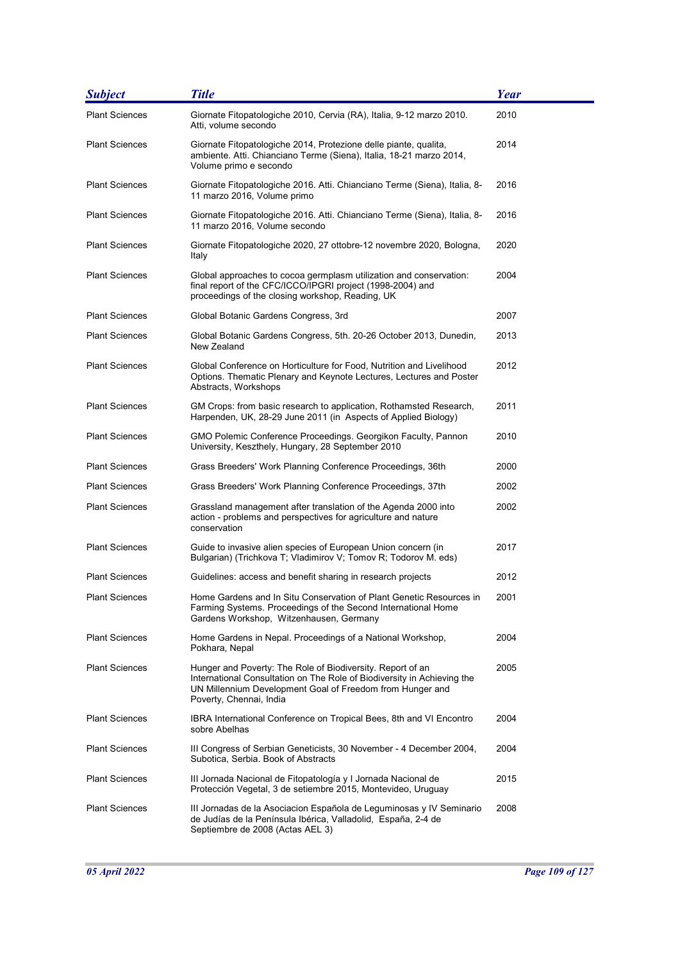| <b>Subject</b>        | <b>Title</b>                                                                                                                                                                                                                  | <b>Year</b> |
|-----------------------|-------------------------------------------------------------------------------------------------------------------------------------------------------------------------------------------------------------------------------|-------------|
| <b>Plant Sciences</b> | Giornate Fitopatologiche 2010, Cervia (RA), Italia, 9-12 marzo 2010.<br>Atti, volume secondo                                                                                                                                  | 2010        |
| <b>Plant Sciences</b> | Giornate Fitopatologiche 2014, Protezione delle piante, qualita,<br>ambiente. Atti. Chianciano Terme (Siena), Italia, 18-21 marzo 2014,<br>Volume primo e secondo                                                             | 2014        |
| <b>Plant Sciences</b> | Giornate Fitopatologiche 2016. Atti. Chianciano Terme (Siena), Italia, 8-<br>11 marzo 2016, Volume primo                                                                                                                      | 2016        |
| <b>Plant Sciences</b> | Giornate Fitopatologiche 2016. Atti. Chianciano Terme (Siena), Italia, 8-<br>11 marzo 2016, Volume secondo                                                                                                                    | 2016        |
| <b>Plant Sciences</b> | Giornate Fitopatologiche 2020, 27 ottobre-12 novembre 2020, Bologna,<br>Italy                                                                                                                                                 | 2020        |
| <b>Plant Sciences</b> | Global approaches to cocoa germplasm utilization and conservation:<br>final report of the CFC/ICCO/IPGRI project (1998-2004) and<br>proceedings of the closing workshop, Reading, UK                                          | 2004        |
| <b>Plant Sciences</b> | Global Botanic Gardens Congress, 3rd                                                                                                                                                                                          | 2007        |
| <b>Plant Sciences</b> | Global Botanic Gardens Congress, 5th. 20-26 October 2013, Dunedin,<br>New Zealand                                                                                                                                             | 2013        |
| <b>Plant Sciences</b> | Global Conference on Horticulture for Food, Nutrition and Livelihood<br>Options. Thematic Plenary and Keynote Lectures, Lectures and Poster<br>Abstracts, Workshops                                                           | 2012        |
| <b>Plant Sciences</b> | GM Crops: from basic research to application, Rothamsted Research,<br>Harpenden, UK, 28-29 June 2011 (in Aspects of Applied Biology)                                                                                          | 2011        |
| <b>Plant Sciences</b> | GMO Polemic Conference Proceedings. Georgikon Faculty, Pannon<br>University, Keszthely, Hungary, 28 September 2010                                                                                                            | 2010        |
| <b>Plant Sciences</b> | Grass Breeders' Work Planning Conference Proceedings, 36th                                                                                                                                                                    | 2000        |
| <b>Plant Sciences</b> | Grass Breeders' Work Planning Conference Proceedings, 37th                                                                                                                                                                    | 2002        |
| <b>Plant Sciences</b> | Grassland management after translation of the Agenda 2000 into<br>action - problems and perspectives for agriculture and nature<br>conservation                                                                               | 2002        |
| <b>Plant Sciences</b> | Guide to invasive alien species of European Union concern (in<br>Bulgarian) (Trichkova T; Vladimirov V; Tomov R; Todorov M. eds)                                                                                              | 2017        |
| <b>Plant Sciences</b> | Guidelines: access and benefit sharing in research projects                                                                                                                                                                   | 2012        |
| Plant Sciences        | Home Gardens and In Situ Conservation of Plant Genetic Resources in<br>Farming Systems. Proceedings of the Second International Home<br>Gardens Workshop, Witzenhausen, Germany                                               | 2001        |
| <b>Plant Sciences</b> | Home Gardens in Nepal. Proceedings of a National Workshop,<br>Pokhara, Nepal                                                                                                                                                  | 2004        |
| <b>Plant Sciences</b> | Hunger and Poverty: The Role of Biodiversity. Report of an<br>International Consultation on The Role of Biodiversity in Achieving the<br>UN Millennium Development Goal of Freedom from Hunger and<br>Poverty, Chennai, India | 2005        |
| <b>Plant Sciences</b> | IBRA International Conference on Tropical Bees, 8th and VI Encontro<br>sobre Abelhas                                                                                                                                          | 2004        |
| <b>Plant Sciences</b> | III Congress of Serbian Geneticists, 30 November - 4 December 2004,<br>Subotica, Serbia. Book of Abstracts                                                                                                                    | 2004        |
| <b>Plant Sciences</b> | III Jornada Nacional de Fitopatología y I Jornada Nacional de<br>Protección Vegetal, 3 de setiembre 2015, Montevideo, Uruguay                                                                                                 | 2015        |
| <b>Plant Sciences</b> | III Jornadas de la Asociacion Española de Leguminosas y IV Seminario<br>de Judías de la Península Ibérica, Valladolid, España, 2-4 de<br>Septiembre de 2008 (Actas AEL 3)                                                     | 2008        |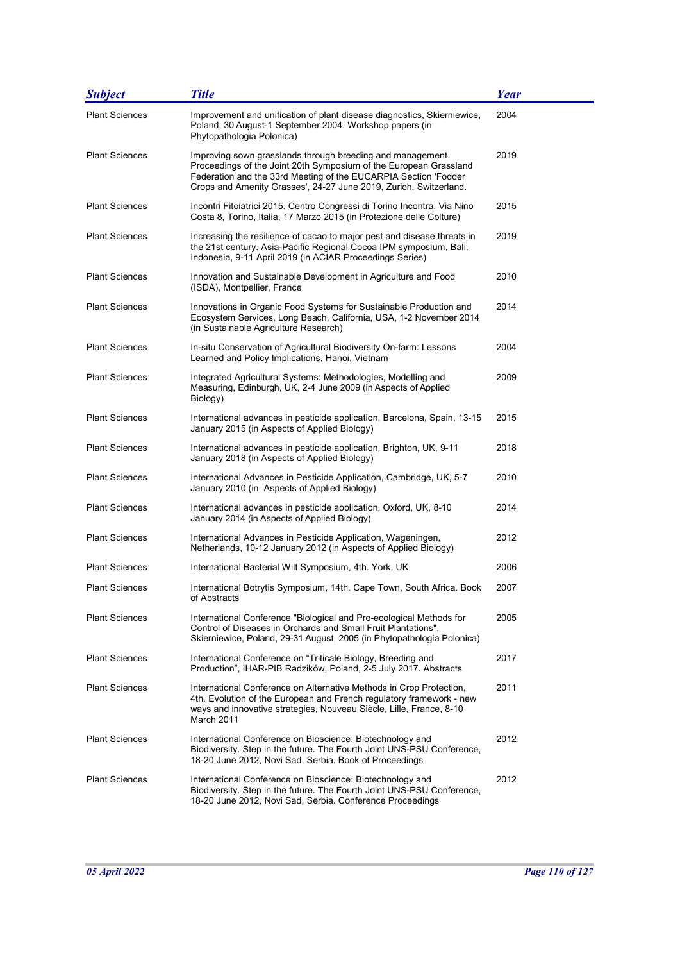| <b>Subject</b>        | <b>Title</b>                                                                                                                                                                                                                                                            | <b>Year</b> |
|-----------------------|-------------------------------------------------------------------------------------------------------------------------------------------------------------------------------------------------------------------------------------------------------------------------|-------------|
| <b>Plant Sciences</b> | Improvement and unification of plant disease diagnostics, Skierniewice,<br>Poland, 30 August-1 September 2004. Workshop papers (in<br>Phytopathologia Polonica)                                                                                                         | 2004        |
| <b>Plant Sciences</b> | Improving sown grasslands through breeding and management.<br>Proceedings of the Joint 20th Symposium of the European Grassland<br>Federation and the 33rd Meeting of the EUCARPIA Section 'Fodder<br>Crops and Amenity Grasses', 24-27 June 2019, Zurich, Switzerland. | 2019        |
| <b>Plant Sciences</b> | Incontri Fitoiatrici 2015. Centro Congressi di Torino Incontra, Via Nino<br>Costa 8, Torino, Italia, 17 Marzo 2015 (in Protezione delle Colture)                                                                                                                        | 2015        |
| <b>Plant Sciences</b> | Increasing the resilience of cacao to major pest and disease threats in<br>the 21st century. Asia-Pacific Regional Cocoa IPM symposium, Bali,<br>Indonesia, 9-11 April 2019 (in ACIAR Proceedings Series)                                                               | 2019        |
| <b>Plant Sciences</b> | Innovation and Sustainable Development in Agriculture and Food<br>(ISDA), Montpellier, France                                                                                                                                                                           | 2010        |
| <b>Plant Sciences</b> | Innovations in Organic Food Systems for Sustainable Production and<br>Ecosystem Services, Long Beach, California, USA, 1-2 November 2014<br>(in Sustainable Agriculture Research)                                                                                       | 2014        |
| <b>Plant Sciences</b> | In-situ Conservation of Agricultural Biodiversity On-farm: Lessons<br>Learned and Policy Implications, Hanoi, Vietnam                                                                                                                                                   | 2004        |
| <b>Plant Sciences</b> | Integrated Agricultural Systems: Methodologies, Modelling and<br>Measuring, Edinburgh, UK, 2-4 June 2009 (in Aspects of Applied<br>Biology)                                                                                                                             | 2009        |
| <b>Plant Sciences</b> | International advances in pesticide application, Barcelona, Spain, 13-15<br>January 2015 (in Aspects of Applied Biology)                                                                                                                                                | 2015        |
| <b>Plant Sciences</b> | International advances in pesticide application, Brighton, UK, 9-11<br>January 2018 (in Aspects of Applied Biology)                                                                                                                                                     | 2018        |
| <b>Plant Sciences</b> | International Advances in Pesticide Application, Cambridge, UK, 5-7<br>January 2010 (in Aspects of Applied Biology)                                                                                                                                                     | 2010        |
| <b>Plant Sciences</b> | International advances in pesticide application, Oxford, UK, 8-10<br>January 2014 (in Aspects of Applied Biology)                                                                                                                                                       | 2014        |
| <b>Plant Sciences</b> | International Advances in Pesticide Application, Wageningen,<br>Netherlands, 10-12 January 2012 (in Aspects of Applied Biology)                                                                                                                                         | 2012        |
| <b>Plant Sciences</b> | International Bacterial Wilt Symposium, 4th. York, UK                                                                                                                                                                                                                   | 2006        |
| <b>Plant Sciences</b> | International Botrytis Symposium, 14th. Cape Town, South Africa. Book<br>of Abstracts                                                                                                                                                                                   | 2007        |
| <b>Plant Sciences</b> | International Conference "Biological and Pro-ecological Methods for<br>Control of Diseases in Orchards and Small Fruit Plantations",<br>Skierniewice, Poland, 29-31 August, 2005 (in Phytopathologia Polonica)                                                          | 2005        |
| <b>Plant Sciences</b> | International Conference on "Triticale Biology, Breeding and<br>Production", IHAR-PIB Radzików, Poland, 2-5 July 2017. Abstracts                                                                                                                                        | 2017        |
| <b>Plant Sciences</b> | International Conference on Alternative Methods in Crop Protection,<br>4th. Evolution of the European and French regulatory framework - new<br>ways and innovative strategies, Nouveau Siècle, Lille, France, 8-10<br>March 2011                                        | 2011        |
| <b>Plant Sciences</b> | International Conference on Bioscience: Biotechnology and<br>Biodiversity. Step in the future. The Fourth Joint UNS-PSU Conference,<br>18-20 June 2012, Novi Sad, Serbia. Book of Proceedings                                                                           | 2012        |
| <b>Plant Sciences</b> | International Conference on Bioscience: Biotechnology and<br>Biodiversity. Step in the future. The Fourth Joint UNS-PSU Conference,<br>18-20 June 2012, Novi Sad, Serbia. Conference Proceedings                                                                        | 2012        |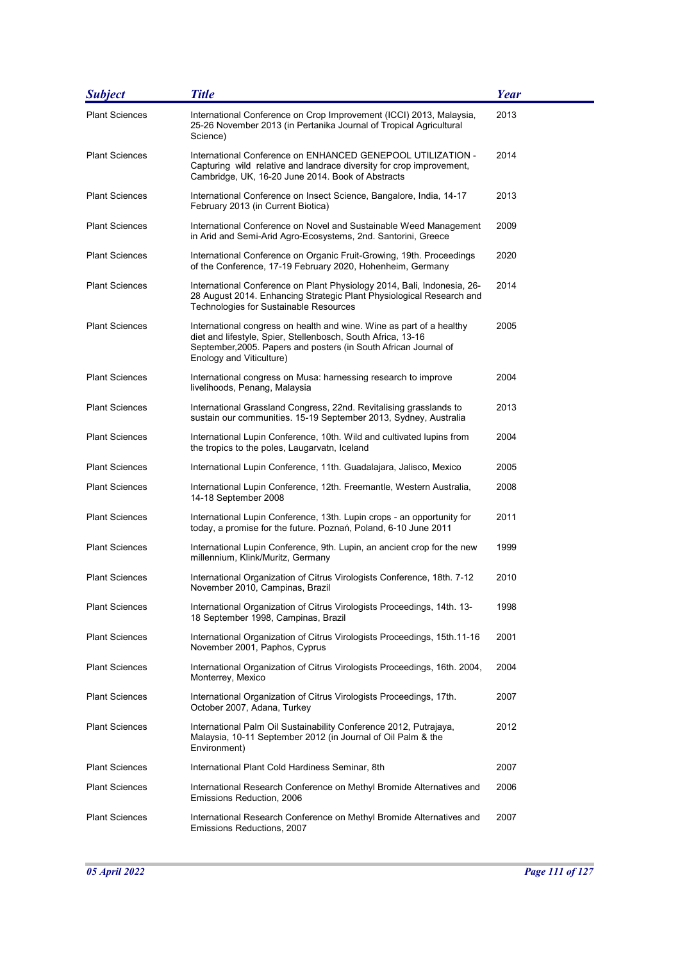| <b>Subject</b>        | <b>Title</b>                                                                                                                                                                                                                         | <b>Year</b> |
|-----------------------|--------------------------------------------------------------------------------------------------------------------------------------------------------------------------------------------------------------------------------------|-------------|
| <b>Plant Sciences</b> | International Conference on Crop Improvement (ICCI) 2013, Malaysia,<br>25-26 November 2013 (in Pertanika Journal of Tropical Agricultural<br>Science)                                                                                | 2013        |
| <b>Plant Sciences</b> | International Conference on ENHANCED GENEPOOL UTILIZATION -<br>Capturing wild relative and landrace diversity for crop improvement,<br>Cambridge, UK, 16-20 June 2014. Book of Abstracts                                             | 2014        |
| <b>Plant Sciences</b> | International Conference on Insect Science, Bangalore, India, 14-17<br>February 2013 (in Current Biotica)                                                                                                                            | 2013        |
| <b>Plant Sciences</b> | International Conference on Novel and Sustainable Weed Management<br>in Arid and Semi-Arid Agro-Ecosystems, 2nd. Santorini, Greece                                                                                                   | 2009        |
| <b>Plant Sciences</b> | International Conference on Organic Fruit-Growing, 19th. Proceedings<br>of the Conference, 17-19 February 2020, Hohenheim, Germany                                                                                                   | 2020        |
| <b>Plant Sciences</b> | International Conference on Plant Physiology 2014, Bali, Indonesia, 26-<br>28 August 2014. Enhancing Strategic Plant Physiological Research and<br>Technologies for Sustainable Resources                                            | 2014        |
| <b>Plant Sciences</b> | International congress on health and wine. Wine as part of a healthy<br>diet and lifestyle, Spier, Stellenbosch, South Africa, 13-16<br>September, 2005. Papers and posters (in South African Journal of<br>Enology and Viticulture) | 2005        |
| <b>Plant Sciences</b> | International congress on Musa: harnessing research to improve<br>livelihoods, Penang, Malaysia                                                                                                                                      | 2004        |
| <b>Plant Sciences</b> | International Grassland Congress, 22nd. Revitalising grasslands to<br>sustain our communities. 15-19 September 2013, Sydney, Australia                                                                                               | 2013        |
| <b>Plant Sciences</b> | International Lupin Conference, 10th. Wild and cultivated lupins from<br>the tropics to the poles, Laugarvatn, Iceland                                                                                                               | 2004        |
| <b>Plant Sciences</b> | International Lupin Conference, 11th. Guadalajara, Jalisco, Mexico                                                                                                                                                                   | 2005        |
| <b>Plant Sciences</b> | International Lupin Conference, 12th. Freemantle, Western Australia,<br>14-18 September 2008                                                                                                                                         | 2008        |
| <b>Plant Sciences</b> | International Lupin Conference, 13th. Lupin crops - an opportunity for<br>today, a promise for the future. Poznań, Poland, 6-10 June 2011                                                                                            | 2011        |
| <b>Plant Sciences</b> | International Lupin Conference, 9th. Lupin, an ancient crop for the new<br>millennium, Klink/Muritz, Germany                                                                                                                         | 1999        |
| <b>Plant Sciences</b> | International Organization of Citrus Virologists Conference, 18th. 7-12<br>November 2010, Campinas, Brazil                                                                                                                           | 2010        |
| <b>Plant Sciences</b> | International Organization of Citrus Virologists Proceedings, 14th. 13-<br>18 September 1998, Campinas, Brazil                                                                                                                       | 1998        |
| <b>Plant Sciences</b> | International Organization of Citrus Virologists Proceedings, 15th.11-16<br>November 2001, Paphos, Cyprus                                                                                                                            | 2001        |
| <b>Plant Sciences</b> | International Organization of Citrus Virologists Proceedings, 16th. 2004,<br>Monterrey, Mexico                                                                                                                                       | 2004        |
| <b>Plant Sciences</b> | International Organization of Citrus Virologists Proceedings, 17th.<br>October 2007, Adana, Turkey                                                                                                                                   | 2007        |
| <b>Plant Sciences</b> | International Palm Oil Sustainability Conference 2012, Putrajaya,<br>Malaysia, 10-11 September 2012 (in Journal of Oil Palm & the<br>Environment)                                                                                    | 2012        |
| <b>Plant Sciences</b> | International Plant Cold Hardiness Seminar, 8th                                                                                                                                                                                      | 2007        |
| <b>Plant Sciences</b> | International Research Conference on Methyl Bromide Alternatives and<br>Emissions Reduction, 2006                                                                                                                                    | 2006        |
| <b>Plant Sciences</b> | International Research Conference on Methyl Bromide Alternatives and<br>Emissions Reductions, 2007                                                                                                                                   | 2007        |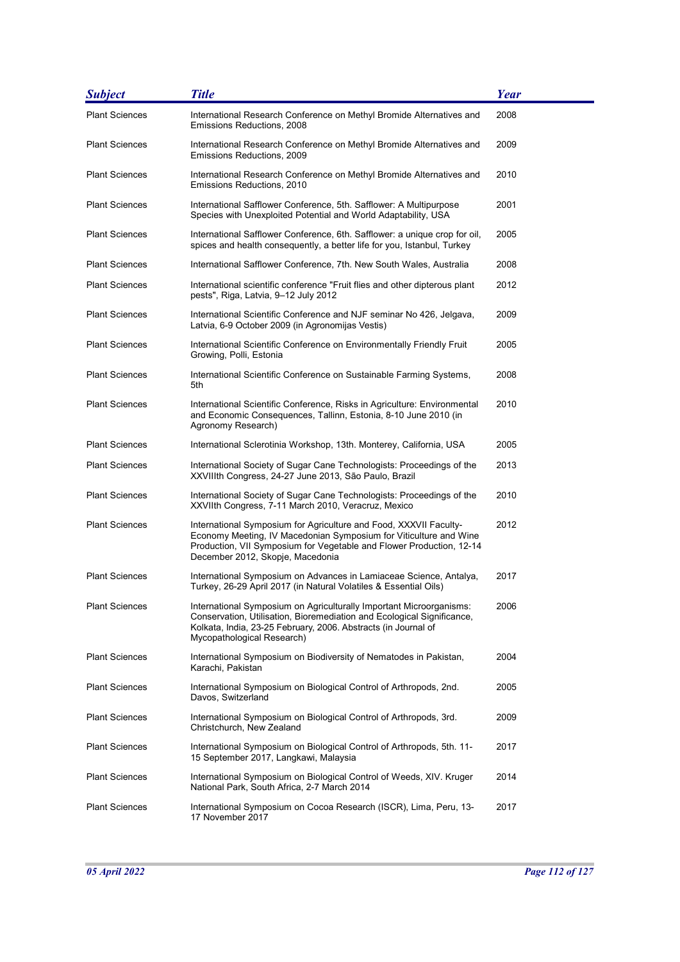| <b>Subject</b>        | <b>Title</b>                                                                                                                                                                                                                                       | Year |
|-----------------------|----------------------------------------------------------------------------------------------------------------------------------------------------------------------------------------------------------------------------------------------------|------|
| <b>Plant Sciences</b> | International Research Conference on Methyl Bromide Alternatives and<br>Emissions Reductions, 2008                                                                                                                                                 | 2008 |
| <b>Plant Sciences</b> | International Research Conference on Methyl Bromide Alternatives and<br>Emissions Reductions, 2009                                                                                                                                                 | 2009 |
| <b>Plant Sciences</b> | International Research Conference on Methyl Bromide Alternatives and<br>Emissions Reductions, 2010                                                                                                                                                 | 2010 |
| <b>Plant Sciences</b> | International Safflower Conference, 5th. Safflower: A Multipurpose<br>Species with Unexploited Potential and World Adaptability, USA                                                                                                               | 2001 |
| <b>Plant Sciences</b> | International Safflower Conference, 6th. Safflower: a unique crop for oil,<br>spices and health consequently, a better life for you, Istanbul, Turkey                                                                                              | 2005 |
| <b>Plant Sciences</b> | International Safflower Conference, 7th. New South Wales, Australia                                                                                                                                                                                | 2008 |
| <b>Plant Sciences</b> | International scientific conference "Fruit flies and other dipterous plant<br>pests", Riga, Latvia, 9-12 July 2012                                                                                                                                 | 2012 |
| <b>Plant Sciences</b> | International Scientific Conference and NJF seminar No 426, Jelgava,<br>Latvia, 6-9 October 2009 (in Agronomijas Vestis)                                                                                                                           | 2009 |
| <b>Plant Sciences</b> | International Scientific Conference on Environmentally Friendly Fruit<br>Growing, Polli, Estonia                                                                                                                                                   | 2005 |
| <b>Plant Sciences</b> | International Scientific Conference on Sustainable Farming Systems,<br>5th                                                                                                                                                                         | 2008 |
| <b>Plant Sciences</b> | International Scientific Conference, Risks in Agriculture: Environmental<br>and Economic Consequences, Tallinn, Estonia, 8-10 June 2010 (in<br>Agronomy Research)                                                                                  | 2010 |
| <b>Plant Sciences</b> | International Sclerotinia Workshop, 13th. Monterey, California, USA                                                                                                                                                                                | 2005 |
| <b>Plant Sciences</b> | International Society of Sugar Cane Technologists: Proceedings of the<br>XXVIIIth Congress, 24-27 June 2013, São Paulo, Brazil                                                                                                                     | 2013 |
| <b>Plant Sciences</b> | International Society of Sugar Cane Technologists: Proceedings of the<br>XXVIIth Congress, 7-11 March 2010, Veracruz, Mexico                                                                                                                       | 2010 |
| <b>Plant Sciences</b> | International Symposium for Agriculture and Food, XXXVII Faculty-<br>Economy Meeting, IV Macedonian Symposium for Viticulture and Wine<br>Production, VII Symposium for Vegetable and Flower Production, 12-14<br>December 2012, Skopje, Macedonia | 2012 |
| <b>Plant Sciences</b> | International Symposium on Advances in Lamiaceae Science, Antalya,<br>Turkey, 26-29 April 2017 (in Natural Volatiles & Essential Oils)                                                                                                             | 2017 |
| <b>Plant Sciences</b> | International Symposium on Agriculturally Important Microorganisms:<br>Conservation, Utilisation, Bioremediation and Ecological Significance,<br>Kolkata, India, 23-25 February, 2006. Abstracts (in Journal of<br>Mycopathological Research)      | 2006 |
| <b>Plant Sciences</b> | International Symposium on Biodiversity of Nematodes in Pakistan,<br>Karachi, Pakistan                                                                                                                                                             | 2004 |
| <b>Plant Sciences</b> | International Symposium on Biological Control of Arthropods, 2nd.<br>Davos, Switzerland                                                                                                                                                            | 2005 |
| <b>Plant Sciences</b> | International Symposium on Biological Control of Arthropods, 3rd.<br>Christchurch, New Zealand                                                                                                                                                     | 2009 |
| <b>Plant Sciences</b> | International Symposium on Biological Control of Arthropods, 5th. 11-<br>15 September 2017, Langkawi, Malaysia                                                                                                                                     | 2017 |
| <b>Plant Sciences</b> | International Symposium on Biological Control of Weeds, XIV. Kruger<br>National Park, South Africa, 2-7 March 2014                                                                                                                                 | 2014 |
| <b>Plant Sciences</b> | International Symposium on Cocoa Research (ISCR), Lima, Peru, 13-<br>17 November 2017                                                                                                                                                              | 2017 |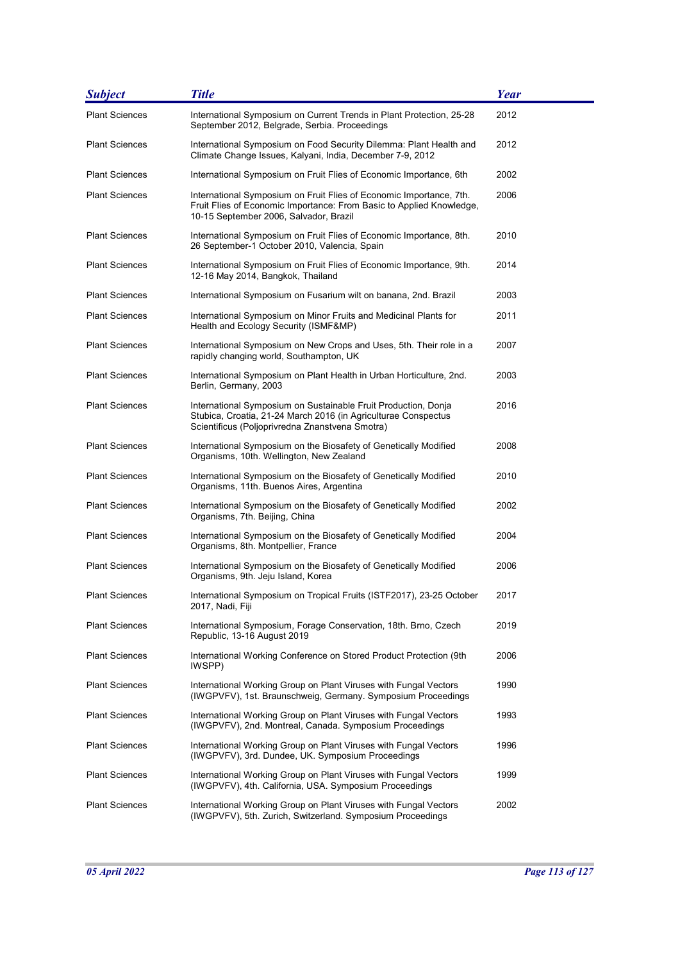| <b>Subject</b>        | <b>Title</b>                                                                                                                                                                          | <b>Year</b> |
|-----------------------|---------------------------------------------------------------------------------------------------------------------------------------------------------------------------------------|-------------|
| <b>Plant Sciences</b> | International Symposium on Current Trends in Plant Protection, 25-28<br>September 2012, Belgrade, Serbia. Proceedings                                                                 | 2012        |
| <b>Plant Sciences</b> | International Symposium on Food Security Dilemma: Plant Health and<br>Climate Change Issues, Kalyani, India, December 7-9, 2012                                                       | 2012        |
| <b>Plant Sciences</b> | International Symposium on Fruit Flies of Economic Importance, 6th                                                                                                                    | 2002        |
| <b>Plant Sciences</b> | International Symposium on Fruit Flies of Economic Importance, 7th.<br>Fruit Flies of Economic Importance: From Basic to Applied Knowledge,<br>10-15 September 2006, Salvador, Brazil | 2006        |
| <b>Plant Sciences</b> | International Symposium on Fruit Flies of Economic Importance, 8th.<br>26 September-1 October 2010, Valencia, Spain                                                                   | 2010        |
| <b>Plant Sciences</b> | International Symposium on Fruit Flies of Economic Importance, 9th.<br>12-16 May 2014, Bangkok, Thailand                                                                              | 2014        |
| <b>Plant Sciences</b> | International Symposium on Fusarium wilt on banana, 2nd. Brazil                                                                                                                       | 2003        |
| <b>Plant Sciences</b> | International Symposium on Minor Fruits and Medicinal Plants for<br>Health and Ecology Security (ISMF&MP)                                                                             | 2011        |
| <b>Plant Sciences</b> | International Symposium on New Crops and Uses, 5th. Their role in a<br>rapidly changing world, Southampton, UK                                                                        | 2007        |
| <b>Plant Sciences</b> | International Symposium on Plant Health in Urban Horticulture, 2nd.<br>Berlin, Germany, 2003                                                                                          | 2003        |
| <b>Plant Sciences</b> | International Symposium on Sustainable Fruit Production, Donja<br>Stubica, Croatia, 21-24 March 2016 (in Agriculturae Conspectus<br>Scientificus (Poljoprivredna Znanstvena Smotra)   | 2016        |
| <b>Plant Sciences</b> | International Symposium on the Biosafety of Genetically Modified<br>Organisms, 10th. Wellington, New Zealand                                                                          | 2008        |
| <b>Plant Sciences</b> | International Symposium on the Biosafety of Genetically Modified<br>Organisms, 11th. Buenos Aires, Argentina                                                                          | 2010        |
| <b>Plant Sciences</b> | International Symposium on the Biosafety of Genetically Modified<br>Organisms, 7th. Beijing, China                                                                                    | 2002        |
| <b>Plant Sciences</b> | International Symposium on the Biosafety of Genetically Modified<br>Organisms, 8th. Montpellier, France                                                                               | 2004        |
| <b>Plant Sciences</b> | International Symposium on the Biosafety of Genetically Modified<br>Organisms, 9th. Jeju Island, Korea                                                                                | 2006        |
| <b>Plant Sciences</b> | International Symposium on Tropical Fruits (ISTF2017), 23-25 October<br>2017, Nadi, Fiji                                                                                              | 2017        |
| <b>Plant Sciences</b> | International Symposium, Forage Conservation, 18th. Brno, Czech<br>Republic, 13-16 August 2019                                                                                        | 2019        |
| <b>Plant Sciences</b> | International Working Conference on Stored Product Protection (9th<br>IWSPP)                                                                                                          | 2006        |
| <b>Plant Sciences</b> | International Working Group on Plant Viruses with Fungal Vectors<br>(IWGPVFV), 1st. Braunschweig, Germany. Symposium Proceedings                                                      | 1990        |
| <b>Plant Sciences</b> | International Working Group on Plant Viruses with Fungal Vectors<br>(IWGPVFV), 2nd. Montreal, Canada. Symposium Proceedings                                                           | 1993        |
| <b>Plant Sciences</b> | International Working Group on Plant Viruses with Fungal Vectors<br>(IWGPVFV), 3rd. Dundee, UK. Symposium Proceedings                                                                 | 1996        |
| <b>Plant Sciences</b> | International Working Group on Plant Viruses with Fungal Vectors<br>(IWGPVFV), 4th. California, USA. Symposium Proceedings                                                            | 1999        |
| <b>Plant Sciences</b> | International Working Group on Plant Viruses with Fungal Vectors<br>(IWGPVFV), 5th. Zurich, Switzerland. Symposium Proceedings                                                        | 2002        |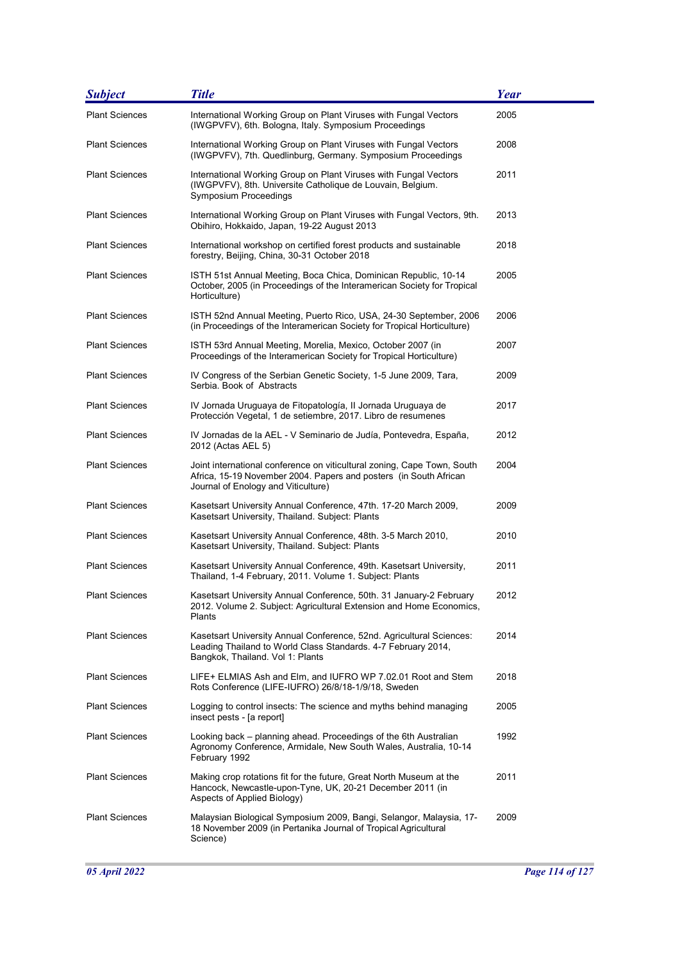| <b>Subject</b>        | <b>Title</b>                                                                                                                                                                        | <b>Year</b> |
|-----------------------|-------------------------------------------------------------------------------------------------------------------------------------------------------------------------------------|-------------|
| <b>Plant Sciences</b> | International Working Group on Plant Viruses with Fungal Vectors<br>(IWGPVFV), 6th. Bologna, Italy. Symposium Proceedings                                                           | 2005        |
| <b>Plant Sciences</b> | International Working Group on Plant Viruses with Fungal Vectors<br>(IWGPVFV), 7th. Quedlinburg, Germany. Symposium Proceedings                                                     | 2008        |
| <b>Plant Sciences</b> | International Working Group on Plant Viruses with Fungal Vectors<br>(IWGPVFV), 8th. Universite Catholique de Louvain, Belgium.<br>Symposium Proceedings                             | 2011        |
| <b>Plant Sciences</b> | International Working Group on Plant Viruses with Fungal Vectors, 9th.<br>Obihiro, Hokkaido, Japan, 19-22 August 2013                                                               | 2013        |
| <b>Plant Sciences</b> | International workshop on certified forest products and sustainable<br>forestry, Beijing, China, 30-31 October 2018                                                                 | 2018        |
| <b>Plant Sciences</b> | ISTH 51st Annual Meeting, Boca Chica, Dominican Republic, 10-14<br>October, 2005 (in Proceedings of the Interamerican Society for Tropical<br>Horticulture)                         | 2005        |
| <b>Plant Sciences</b> | ISTH 52nd Annual Meeting, Puerto Rico, USA, 24-30 September, 2006<br>(in Proceedings of the Interamerican Society for Tropical Horticulture)                                        | 2006        |
| <b>Plant Sciences</b> | ISTH 53rd Annual Meeting, Morelia, Mexico, October 2007 (in<br>Proceedings of the Interamerican Society for Tropical Horticulture)                                                  | 2007        |
| <b>Plant Sciences</b> | IV Congress of the Serbian Genetic Society, 1-5 June 2009, Tara,<br>Serbia, Book of Abstracts                                                                                       | 2009        |
| <b>Plant Sciences</b> | IV Jornada Uruguaya de Fitopatología, II Jornada Uruguaya de<br>Protección Vegetal, 1 de setiembre, 2017. Libro de resumenes                                                        | 2017        |
| <b>Plant Sciences</b> | IV Jornadas de la AEL - V Seminario de Judía, Pontevedra, España,<br>2012 (Actas AEL 5)                                                                                             | 2012        |
| <b>Plant Sciences</b> | Joint international conference on viticultural zoning, Cape Town, South<br>Africa, 15-19 November 2004. Papers and posters (in South African<br>Journal of Enology and Viticulture) | 2004        |
| <b>Plant Sciences</b> | Kasetsart University Annual Conference, 47th. 17-20 March 2009,<br>Kasetsart University, Thailand. Subject: Plants                                                                  | 2009        |
| <b>Plant Sciences</b> | Kasetsart University Annual Conference, 48th. 3-5 March 2010,<br>Kasetsart University, Thailand. Subject: Plants                                                                    | 2010        |
| <b>Plant Sciences</b> | Kasetsart University Annual Conference, 49th. Kasetsart University,<br>Thailand, 1-4 February, 2011. Volume 1. Subject: Plants                                                      | 2011        |
| <b>Plant Sciences</b> | Kasetsart University Annual Conference, 50th. 31 January-2 February<br>2012. Volume 2. Subject: Agricultural Extension and Home Economics,<br>Plants                                | 2012        |
| <b>Plant Sciences</b> | Kasetsart University Annual Conference, 52nd. Agricultural Sciences:<br>Leading Thailand to World Class Standards. 4-7 February 2014,<br>Bangkok, Thailand. Vol 1: Plants           | 2014        |
| <b>Plant Sciences</b> | LIFE+ ELMIAS Ash and Elm, and IUFRO WP 7.02.01 Root and Stem<br>Rots Conference (LIFE-IUFRO) 26/8/18-1/9/18, Sweden                                                                 | 2018        |
| <b>Plant Sciences</b> | Logging to control insects: The science and myths behind managing<br>insect pests - [a report]                                                                                      | 2005        |
| <b>Plant Sciences</b> | Looking back – planning ahead. Proceedings of the 6th Australian<br>Agronomy Conference, Armidale, New South Wales, Australia, 10-14<br>February 1992                               | 1992        |
| <b>Plant Sciences</b> | Making crop rotations fit for the future, Great North Museum at the<br>Hancock, Newcastle-upon-Tyne, UK, 20-21 December 2011 (in<br>Aspects of Applied Biology)                     | 2011        |
| <b>Plant Sciences</b> | Malaysian Biological Symposium 2009, Bangi, Selangor, Malaysia, 17-<br>18 November 2009 (in Pertanika Journal of Tropical Agricultural<br>Science)                                  | 2009        |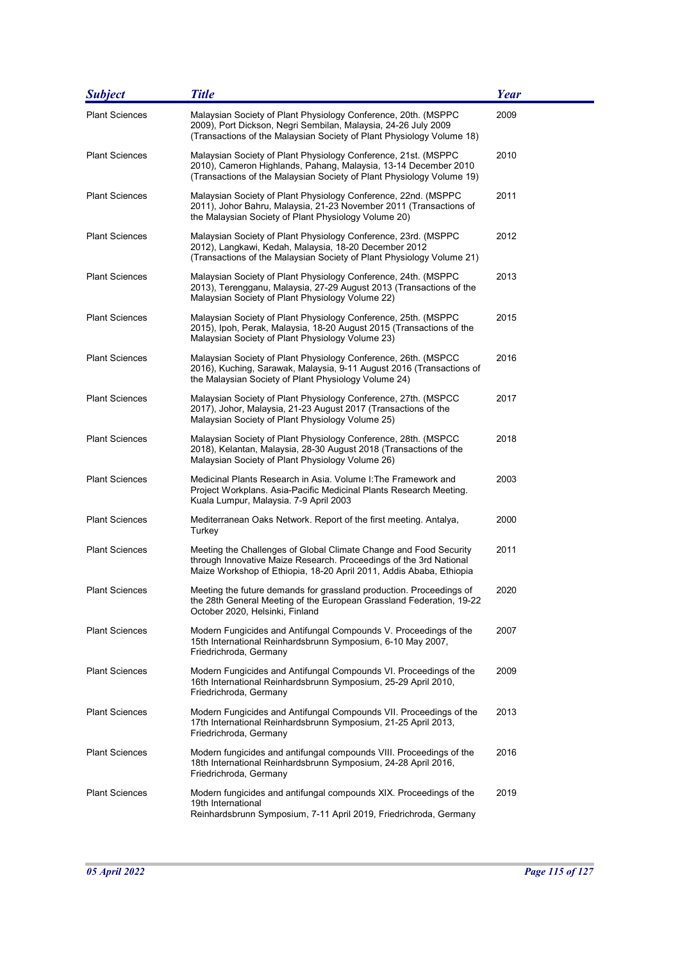| <b>Subject</b>        | <b>Title</b>                                                                                                                                                                                                   | <b>Year</b> |
|-----------------------|----------------------------------------------------------------------------------------------------------------------------------------------------------------------------------------------------------------|-------------|
| <b>Plant Sciences</b> | Malaysian Society of Plant Physiology Conference, 20th. (MSPPC<br>2009), Port Dickson, Negri Sembilan, Malaysia, 24-26 July 2009<br>(Transactions of the Malaysian Society of Plant Physiology Volume 18)      | 2009        |
| <b>Plant Sciences</b> | Malaysian Society of Plant Physiology Conference, 21st. (MSPPC<br>2010), Cameron Highlands, Pahang, Malaysia, 13-14 December 2010<br>(Transactions of the Malaysian Society of Plant Physiology Volume 19)     | 2010        |
| <b>Plant Sciences</b> | Malaysian Society of Plant Physiology Conference, 22nd. (MSPPC<br>2011), Johor Bahru, Malaysia, 21-23 November 2011 (Transactions of<br>the Malaysian Society of Plant Physiology Volume 20)                   | 2011        |
| <b>Plant Sciences</b> | Malaysian Society of Plant Physiology Conference, 23rd. (MSPPC<br>2012), Langkawi, Kedah, Malaysia, 18-20 December 2012<br>(Transactions of the Malaysian Society of Plant Physiology Volume 21)               | 2012        |
| <b>Plant Sciences</b> | Malaysian Society of Plant Physiology Conference, 24th. (MSPPC<br>2013), Terengganu, Malaysia, 27-29 August 2013 (Transactions of the<br>Malaysian Society of Plant Physiology Volume 22)                      | 2013        |
| <b>Plant Sciences</b> | Malaysian Society of Plant Physiology Conference, 25th. (MSPPC<br>2015), Ipoh, Perak, Malaysia, 18-20 August 2015 (Transactions of the<br>Malaysian Society of Plant Physiology Volume 23)                     | 2015        |
| <b>Plant Sciences</b> | Malaysian Society of Plant Physiology Conference, 26th. (MSPCC<br>2016), Kuching, Sarawak, Malaysia, 9-11 August 2016 (Transactions of<br>the Malaysian Society of Plant Physiology Volume 24)                 | 2016        |
| <b>Plant Sciences</b> | Malaysian Society of Plant Physiology Conference, 27th. (MSPCC<br>2017), Johor, Malaysia, 21-23 August 2017 (Transactions of the<br>Malaysian Society of Plant Physiology Volume 25)                           | 2017        |
| <b>Plant Sciences</b> | Malaysian Society of Plant Physiology Conference, 28th. (MSPCC<br>2018), Kelantan, Malaysia, 28-30 August 2018 (Transactions of the<br>Malaysian Society of Plant Physiology Volume 26)                        | 2018        |
| <b>Plant Sciences</b> | Medicinal Plants Research in Asia. Volume I: The Framework and<br>Project Workplans. Asia-Pacific Medicinal Plants Research Meeting.<br>Kuala Lumpur, Malaysia. 7-9 April 2003                                 | 2003        |
| <b>Plant Sciences</b> | Mediterranean Oaks Network. Report of the first meeting. Antalya,<br>Turkey                                                                                                                                    | 2000        |
| <b>Plant Sciences</b> | Meeting the Challenges of Global Climate Change and Food Security<br>through Innovative Maize Research. Proceedings of the 3rd National<br>Maize Workshop of Ethiopia, 18-20 April 2011, Addis Ababa, Ethiopia | 2011        |
| <b>Plant Sciences</b> | Meeting the future demands for grassland production. Proceedings of<br>the 28th General Meeting of the European Grassland Federation, 19-22<br>October 2020, Helsinki, Finland                                 | 2020        |
| <b>Plant Sciences</b> | Modern Fungicides and Antifungal Compounds V. Proceedings of the<br>15th International Reinhardsbrunn Symposium, 6-10 May 2007,<br>Friedrichroda, Germany                                                      | 2007        |
| <b>Plant Sciences</b> | Modern Fungicides and Antifungal Compounds VI. Proceedings of the<br>16th International Reinhardsbrunn Symposium, 25-29 April 2010,<br>Friedrichroda, Germany                                                  | 2009        |
| <b>Plant Sciences</b> | Modern Fungicides and Antifungal Compounds VII. Proceedings of the<br>17th International Reinhardsbrunn Symposium, 21-25 April 2013,<br>Friedrichroda, Germany                                                 | 2013        |
| <b>Plant Sciences</b> | Modern fungicides and antifungal compounds VIII. Proceedings of the<br>18th International Reinhardsbrunn Symposium, 24-28 April 2016,<br>Friedrichroda, Germany                                                | 2016        |
| <b>Plant Sciences</b> | Modern fungicides and antifungal compounds XIX. Proceedings of the<br>19th International<br>Reinhardsbrunn Symposium, 7-11 April 2019, Friedrichroda, Germany                                                  | 2019        |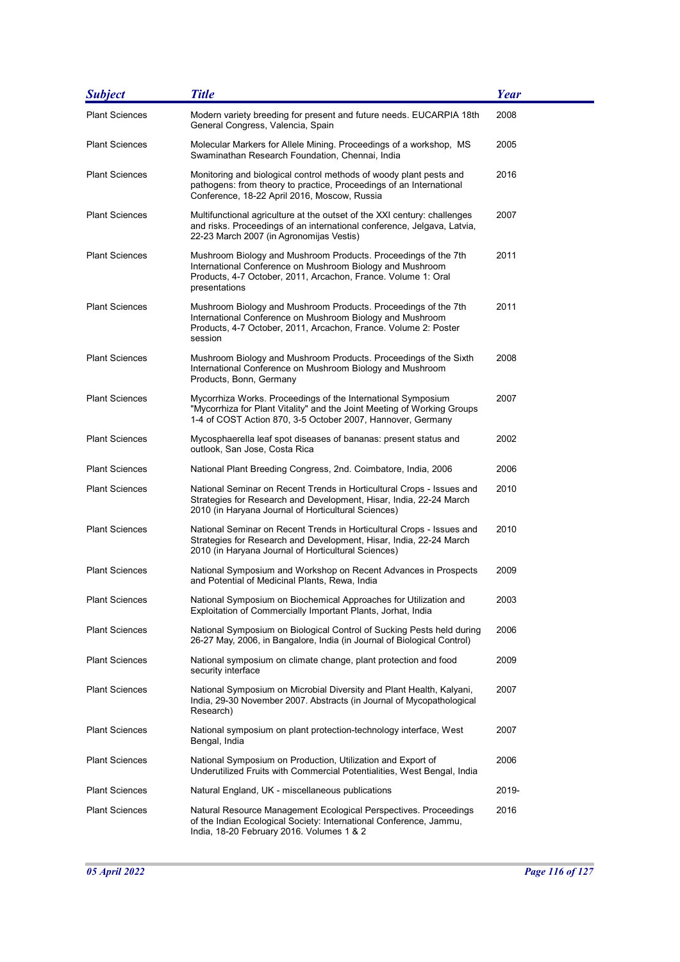| <b>Subject</b>        | <b>Title</b>                                                                                                                                                                                                  | <b>Year</b> |
|-----------------------|---------------------------------------------------------------------------------------------------------------------------------------------------------------------------------------------------------------|-------------|
| <b>Plant Sciences</b> | Modern variety breeding for present and future needs. EUCARPIA 18th<br>General Congress, Valencia, Spain                                                                                                      | 2008        |
| <b>Plant Sciences</b> | Molecular Markers for Allele Mining. Proceedings of a workshop, MS<br>Swaminathan Research Foundation, Chennai, India                                                                                         | 2005        |
| <b>Plant Sciences</b> | Monitoring and biological control methods of woody plant pests and<br>pathogens: from theory to practice, Proceedings of an International<br>Conference, 18-22 April 2016, Moscow, Russia                     | 2016        |
| <b>Plant Sciences</b> | Multifunctional agriculture at the outset of the XXI century: challenges<br>and risks. Proceedings of an international conference, Jelgava, Latvia,<br>22-23 March 2007 (in Agronomijas Vestis)               | 2007        |
| <b>Plant Sciences</b> | Mushroom Biology and Mushroom Products. Proceedings of the 7th<br>International Conference on Mushroom Biology and Mushroom<br>Products, 4-7 October, 2011, Arcachon, France. Volume 1: Oral<br>presentations | 2011        |
| <b>Plant Sciences</b> | Mushroom Biology and Mushroom Products. Proceedings of the 7th<br>International Conference on Mushroom Biology and Mushroom<br>Products, 4-7 October, 2011, Arcachon, France. Volume 2: Poster<br>session     | 2011        |
| <b>Plant Sciences</b> | Mushroom Biology and Mushroom Products. Proceedings of the Sixth<br>International Conference on Mushroom Biology and Mushroom<br>Products, Bonn, Germany                                                      | 2008        |
| <b>Plant Sciences</b> | Mycorrhiza Works. Proceedings of the International Symposium<br>"Mycorrhiza for Plant Vitality" and the Joint Meeting of Working Groups<br>1-4 of COST Action 870, 3-5 October 2007, Hannover, Germany        | 2007        |
| <b>Plant Sciences</b> | Mycosphaerella leaf spot diseases of bananas: present status and<br>outlook, San Jose, Costa Rica                                                                                                             | 2002        |
| <b>Plant Sciences</b> | National Plant Breeding Congress, 2nd. Coimbatore, India, 2006                                                                                                                                                | 2006        |
| <b>Plant Sciences</b> | National Seminar on Recent Trends in Horticultural Crops - Issues and<br>Strategies for Research and Development, Hisar, India, 22-24 March<br>2010 (in Haryana Journal of Horticultural Sciences)            | 2010        |
| <b>Plant Sciences</b> | National Seminar on Recent Trends in Horticultural Crops - Issues and<br>Strategies for Research and Development, Hisar, India, 22-24 March<br>2010 (in Haryana Journal of Horticultural Sciences)            | 2010        |
| <b>Plant Sciences</b> | National Symposium and Workshop on Recent Advances in Prospects<br>and Potential of Medicinal Plants, Rewa, India                                                                                             | 2009        |
| <b>Plant Sciences</b> | National Symposium on Biochemical Approaches for Utilization and<br>Exploitation of Commercially Important Plants, Jorhat, India                                                                              | 2003        |
| <b>Plant Sciences</b> | National Symposium on Biological Control of Sucking Pests held during<br>26-27 May, 2006, in Bangalore, India (in Journal of Biological Control)                                                              | 2006        |
| <b>Plant Sciences</b> | National symposium on climate change, plant protection and food<br>security interface                                                                                                                         | 2009        |
| <b>Plant Sciences</b> | National Symposium on Microbial Diversity and Plant Health, Kalyani,<br>India, 29-30 November 2007. Abstracts (in Journal of Mycopathological<br>Research)                                                    | 2007        |
| <b>Plant Sciences</b> | National symposium on plant protection-technology interface, West<br>Bengal, India                                                                                                                            | 2007        |
| <b>Plant Sciences</b> | National Symposium on Production, Utilization and Export of<br>Underutilized Fruits with Commercial Potentialities, West Bengal, India                                                                        | 2006        |
| <b>Plant Sciences</b> | Natural England, UK - miscellaneous publications                                                                                                                                                              | 2019-       |
| <b>Plant Sciences</b> | Natural Resource Management Ecological Perspectives. Proceedings<br>of the Indian Ecological Society: International Conference, Jammu,<br>India, 18-20 February 2016. Volumes 1 & 2                           | 2016        |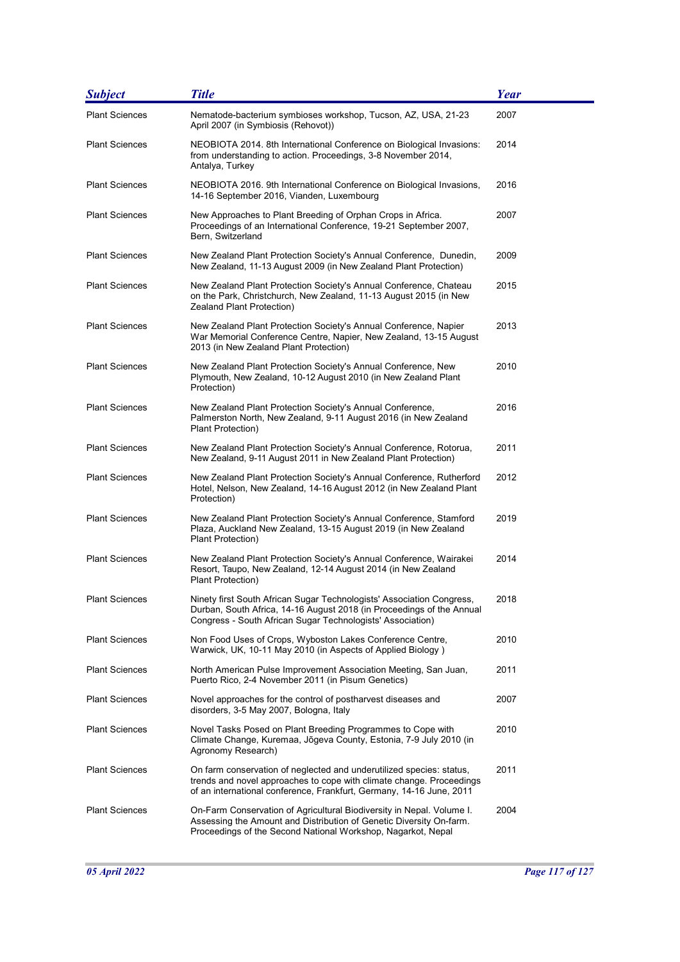| <b>Subject</b>        | <b>Title</b>                                                                                                                                                                                                         | <b>Year</b> |
|-----------------------|----------------------------------------------------------------------------------------------------------------------------------------------------------------------------------------------------------------------|-------------|
| <b>Plant Sciences</b> | Nematode-bacterium symbioses workshop, Tucson, AZ, USA, 21-23<br>April 2007 (in Symbiosis (Rehovot))                                                                                                                 | 2007        |
| <b>Plant Sciences</b> | NEOBIOTA 2014. 8th International Conference on Biological Invasions:<br>from understanding to action. Proceedings, 3-8 November 2014,<br>Antalya, Turkey                                                             | 2014        |
| <b>Plant Sciences</b> | NEOBIOTA 2016. 9th International Conference on Biological Invasions,<br>14-16 September 2016, Vianden, Luxembourg                                                                                                    | 2016        |
| <b>Plant Sciences</b> | New Approaches to Plant Breeding of Orphan Crops in Africa.<br>Proceedings of an International Conference, 19-21 September 2007,<br>Bern, Switzerland                                                                | 2007        |
| <b>Plant Sciences</b> | New Zealand Plant Protection Society's Annual Conference, Dunedin,<br>New Zealand, 11-13 August 2009 (in New Zealand Plant Protection)                                                                               | 2009        |
| <b>Plant Sciences</b> | New Zealand Plant Protection Society's Annual Conference, Chateau<br>on the Park, Christchurch, New Zealand, 11-13 August 2015 (in New<br>Zealand Plant Protection)                                                  | 2015        |
| <b>Plant Sciences</b> | New Zealand Plant Protection Society's Annual Conference, Napier<br>War Memorial Conference Centre, Napier, New Zealand, 13-15 August<br>2013 (in New Zealand Plant Protection)                                      | 2013        |
| <b>Plant Sciences</b> | New Zealand Plant Protection Society's Annual Conference, New<br>Plymouth, New Zealand, 10-12 August 2010 (in New Zealand Plant<br>Protection)                                                                       | 2010        |
| <b>Plant Sciences</b> | New Zealand Plant Protection Society's Annual Conference,<br>Palmerston North, New Zealand, 9-11 August 2016 (in New Zealand<br>Plant Protection)                                                                    | 2016        |
| <b>Plant Sciences</b> | New Zealand Plant Protection Society's Annual Conference, Rotorua,<br>New Zealand, 9-11 August 2011 in New Zealand Plant Protection)                                                                                 | 2011        |
| <b>Plant Sciences</b> | New Zealand Plant Protection Society's Annual Conference, Rutherford<br>Hotel, Nelson, New Zealand, 14-16 August 2012 (in New Zealand Plant<br>Protection)                                                           | 2012        |
| <b>Plant Sciences</b> | New Zealand Plant Protection Society's Annual Conference, Stamford<br>Plaza, Auckland New Zealand, 13-15 August 2019 (in New Zealand<br>Plant Protection)                                                            | 2019        |
| <b>Plant Sciences</b> | New Zealand Plant Protection Society's Annual Conference, Wairakei<br>Resort, Taupo, New Zealand, 12-14 August 2014 (in New Zealand<br>Plant Protection)                                                             | 2014        |
| <b>Plant Sciences</b> | Ninety first South African Sugar Technologists' Association Congress,<br>Durban, South Africa, 14-16 August 2018 (in Proceedings of the Annual<br>Congress - South African Sugar Technologists' Association)         | 2018        |
| <b>Plant Sciences</b> | Non Food Uses of Crops, Wyboston Lakes Conference Centre,<br>Warwick, UK, 10-11 May 2010 (in Aspects of Applied Biology)                                                                                             | 2010        |
| <b>Plant Sciences</b> | North American Pulse Improvement Association Meeting, San Juan,<br>Puerto Rico, 2-4 November 2011 (in Pisum Genetics)                                                                                                | 2011        |
| <b>Plant Sciences</b> | Novel approaches for the control of postharvest diseases and<br>disorders, 3-5 May 2007, Bologna, Italy                                                                                                              | 2007        |
| <b>Plant Sciences</b> | Novel Tasks Posed on Plant Breeding Programmes to Cope with<br>Climate Change, Kuremaa, Jõgeva County, Estonia, 7-9 July 2010 (in<br>Agronomy Research)                                                              | 2010        |
| <b>Plant Sciences</b> | On farm conservation of neglected and underutilized species: status,<br>trends and novel approaches to cope with climate change. Proceedings<br>of an international conference, Frankfurt, Germany, 14-16 June, 2011 | 2011        |
| <b>Plant Sciences</b> | On-Farm Conservation of Agricultural Biodiversity in Nepal. Volume I.<br>Assessing the Amount and Distribution of Genetic Diversity On-farm.<br>Proceedings of the Second National Workshop, Nagarkot, Nepal         | 2004        |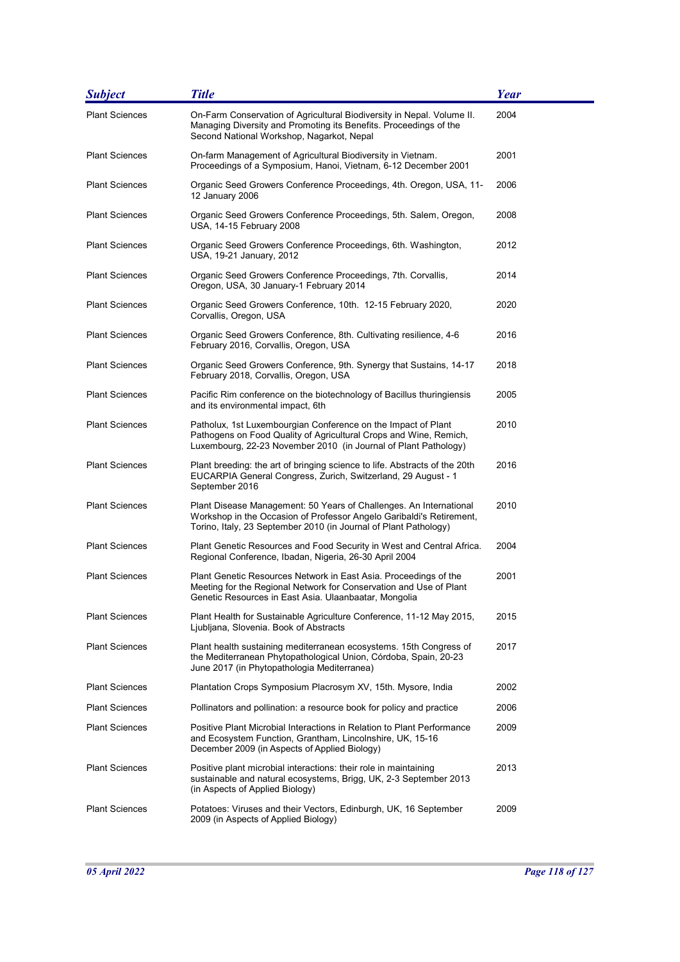| <b>Subject</b>        | <b>Title</b>                                                                                                                                                                                                   | Year |
|-----------------------|----------------------------------------------------------------------------------------------------------------------------------------------------------------------------------------------------------------|------|
| <b>Plant Sciences</b> | On-Farm Conservation of Agricultural Biodiversity in Nepal. Volume II.<br>Managing Diversity and Promoting its Benefits. Proceedings of the<br>Second National Workshop, Nagarkot, Nepal                       | 2004 |
| <b>Plant Sciences</b> | On-farm Management of Agricultural Biodiversity in Vietnam.<br>Proceedings of a Symposium, Hanoi, Vietnam, 6-12 December 2001                                                                                  | 2001 |
| <b>Plant Sciences</b> | Organic Seed Growers Conference Proceedings, 4th. Oregon, USA, 11-<br>12 January 2006                                                                                                                          | 2006 |
| <b>Plant Sciences</b> | Organic Seed Growers Conference Proceedings, 5th. Salem, Oregon,<br>USA, 14-15 February 2008                                                                                                                   | 2008 |
| <b>Plant Sciences</b> | Organic Seed Growers Conference Proceedings, 6th. Washington,<br>USA, 19-21 January, 2012                                                                                                                      | 2012 |
| <b>Plant Sciences</b> | Organic Seed Growers Conference Proceedings, 7th. Corvallis,<br>Oregon, USA, 30 January-1 February 2014                                                                                                        | 2014 |
| <b>Plant Sciences</b> | Organic Seed Growers Conference, 10th. 12-15 February 2020,<br>Corvallis, Oregon, USA                                                                                                                          | 2020 |
| <b>Plant Sciences</b> | Organic Seed Growers Conference, 8th. Cultivating resilience, 4-6<br>February 2016, Corvallis, Oregon, USA                                                                                                     | 2016 |
| <b>Plant Sciences</b> | Organic Seed Growers Conference, 9th. Synergy that Sustains, 14-17<br>February 2018, Corvallis, Oregon, USA                                                                                                    | 2018 |
| <b>Plant Sciences</b> | Pacific Rim conference on the biotechnology of Bacillus thuringiensis<br>and its environmental impact, 6th                                                                                                     | 2005 |
| <b>Plant Sciences</b> | Patholux, 1st Luxembourgian Conference on the Impact of Plant<br>Pathogens on Food Quality of Agricultural Crops and Wine, Remich,<br>Luxembourg, 22-23 November 2010 (in Journal of Plant Pathology)          | 2010 |
| <b>Plant Sciences</b> | Plant breeding: the art of bringing science to life. Abstracts of the 20th<br>EUCARPIA General Congress, Zurich, Switzerland, 29 August - 1<br>September 2016                                                  | 2016 |
| <b>Plant Sciences</b> | Plant Disease Management: 50 Years of Challenges. An International<br>Workshop in the Occasion of Professor Angelo Garibaldi's Retirement,<br>Torino, Italy, 23 September 2010 (in Journal of Plant Pathology) | 2010 |
| <b>Plant Sciences</b> | Plant Genetic Resources and Food Security in West and Central Africa.<br>Regional Conference, Ibadan, Nigeria, 26-30 April 2004                                                                                | 2004 |
| <b>Plant Sciences</b> | Plant Genetic Resources Network in East Asia. Proceedings of the<br>Meeting for the Regional Network for Conservation and Use of Plant<br>Genetic Resources in East Asia. Ulaanbaatar, Mongolia                | 2001 |
| <b>Plant Sciences</b> | Plant Health for Sustainable Agriculture Conference, 11-12 May 2015,<br>Ljubljana, Slovenia. Book of Abstracts                                                                                                 | 2015 |
| <b>Plant Sciences</b> | Plant health sustaining mediterranean ecosystems. 15th Congress of<br>the Mediterranean Phytopathological Union, Córdoba, Spain, 20-23<br>June 2017 (in Phytopathologia Mediterranea)                          | 2017 |
| <b>Plant Sciences</b> | Plantation Crops Symposium Placrosym XV, 15th. Mysore, India                                                                                                                                                   | 2002 |
| <b>Plant Sciences</b> | Pollinators and pollination: a resource book for policy and practice                                                                                                                                           | 2006 |
| <b>Plant Sciences</b> | Positive Plant Microbial Interactions in Relation to Plant Performance<br>and Ecosystem Function, Grantham, Lincolnshire, UK, 15-16<br>December 2009 (in Aspects of Applied Biology)                           | 2009 |
| <b>Plant Sciences</b> | Positive plant microbial interactions: their role in maintaining<br>sustainable and natural ecosystems, Brigg, UK, 2-3 September 2013<br>(in Aspects of Applied Biology)                                       | 2013 |
| <b>Plant Sciences</b> | Potatoes: Viruses and their Vectors, Edinburgh, UK, 16 September<br>2009 (in Aspects of Applied Biology)                                                                                                       | 2009 |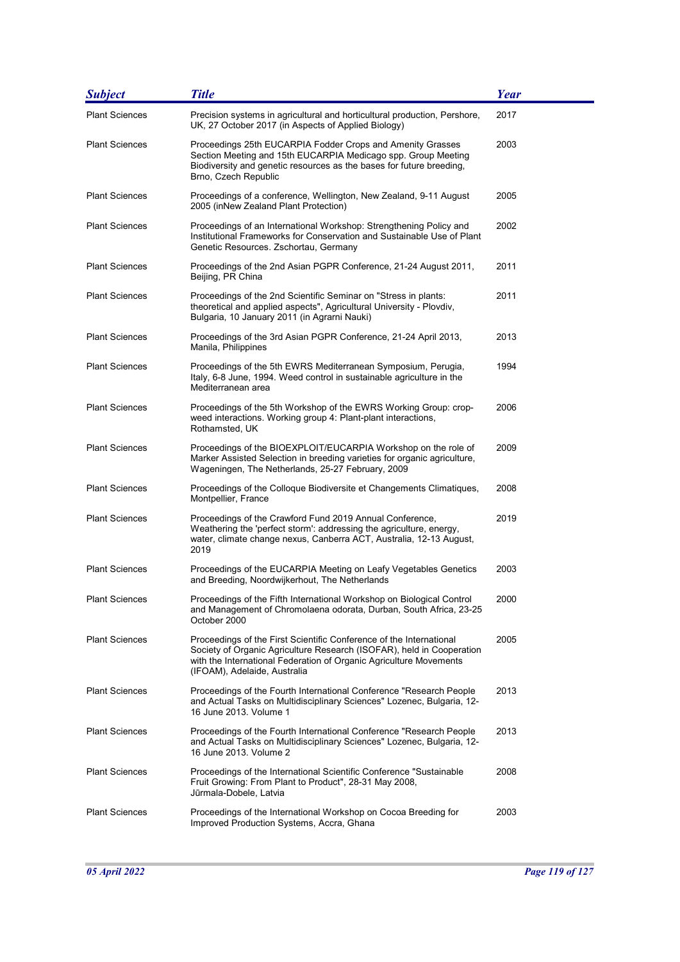| <b>Subject</b>        | <b>Title</b>                                                                                                                                                                                                                                       | <b>Year</b> |
|-----------------------|----------------------------------------------------------------------------------------------------------------------------------------------------------------------------------------------------------------------------------------------------|-------------|
| <b>Plant Sciences</b> | Precision systems in agricultural and horticultural production, Pershore,<br>UK, 27 October 2017 (in Aspects of Applied Biology)                                                                                                                   | 2017        |
| <b>Plant Sciences</b> | Proceedings 25th EUCARPIA Fodder Crops and Amenity Grasses<br>Section Meeting and 15th EUCARPIA Medicago spp. Group Meeting<br>Biodiversity and genetic resources as the bases for future breeding.<br>Brno, Czech Republic                        | 2003        |
| <b>Plant Sciences</b> | Proceedings of a conference, Wellington, New Zealand, 9-11 August<br>2005 (inNew Zealand Plant Protection)                                                                                                                                         | 2005        |
| <b>Plant Sciences</b> | Proceedings of an International Workshop: Strengthening Policy and<br>Institutional Frameworks for Conservation and Sustainable Use of Plant<br>Genetic Resources. Zschortau, Germany                                                              | 2002        |
| <b>Plant Sciences</b> | Proceedings of the 2nd Asian PGPR Conference, 21-24 August 2011,<br>Beijing, PR China                                                                                                                                                              | 2011        |
| <b>Plant Sciences</b> | Proceedings of the 2nd Scientific Seminar on "Stress in plants:<br>theoretical and applied aspects", Agricultural University - Plovdiv,<br>Bulgaria, 10 January 2011 (in Agrarni Nauki)                                                            | 2011        |
| <b>Plant Sciences</b> | Proceedings of the 3rd Asian PGPR Conference, 21-24 April 2013,<br>Manila, Philippines                                                                                                                                                             | 2013        |
| <b>Plant Sciences</b> | Proceedings of the 5th EWRS Mediterranean Symposium, Perugia,<br>Italy, 6-8 June, 1994. Weed control in sustainable agriculture in the<br>Mediterranean area                                                                                       | 1994        |
| <b>Plant Sciences</b> | Proceedings of the 5th Workshop of the EWRS Working Group: crop-<br>weed interactions. Working group 4: Plant-plant interactions,<br>Rothamsted, UK                                                                                                | 2006        |
| <b>Plant Sciences</b> | Proceedings of the BIOEXPLOIT/EUCARPIA Workshop on the role of<br>Marker Assisted Selection in breeding varieties for organic agriculture,<br>Wageningen, The Netherlands, 25-27 February, 2009                                                    | 2009        |
| <b>Plant Sciences</b> | Proceedings of the Colloque Biodiversite et Changements Climatiques,<br>Montpellier, France                                                                                                                                                        | 2008        |
| <b>Plant Sciences</b> | Proceedings of the Crawford Fund 2019 Annual Conference,<br>Weathering the 'perfect storm': addressing the agriculture, energy,<br>water, climate change nexus, Canberra ACT, Australia, 12-13 August,<br>2019                                     | 2019        |
| <b>Plant Sciences</b> | Proceedings of the EUCARPIA Meeting on Leafy Vegetables Genetics<br>and Breeding, Noordwijkerhout, The Netherlands                                                                                                                                 | 2003        |
| <b>Plant Sciences</b> | Proceedings of the Fifth International Workshop on Biological Control<br>and Management of Chromolaena odorata, Durban, South Africa, 23-25<br>October 2000                                                                                        | 2000        |
| <b>Plant Sciences</b> | Proceedings of the First Scientific Conference of the International<br>Society of Organic Agriculture Research (ISOFAR), held in Cooperation<br>with the International Federation of Organic Agriculture Movements<br>(IFOAM), Adelaide, Australia | 2005        |
| <b>Plant Sciences</b> | Proceedings of the Fourth International Conference "Research People<br>and Actual Tasks on Multidisciplinary Sciences" Lozenec, Bulgaria, 12-<br>16 June 2013, Volume 1                                                                            | 2013        |
| <b>Plant Sciences</b> | Proceedings of the Fourth International Conference "Research People<br>and Actual Tasks on Multidisciplinary Sciences" Lozenec, Bulgaria, 12-<br>16 June 2013. Volume 2                                                                            | 2013        |
| <b>Plant Sciences</b> | Proceedings of the International Scientific Conference "Sustainable<br>Fruit Growing: From Plant to Product", 28-31 May 2008,<br>Jūrmala-Dobele, Latvia                                                                                            | 2008        |
| <b>Plant Sciences</b> | Proceedings of the International Workshop on Cocoa Breeding for<br>Improved Production Systems, Accra, Ghana                                                                                                                                       | 2003        |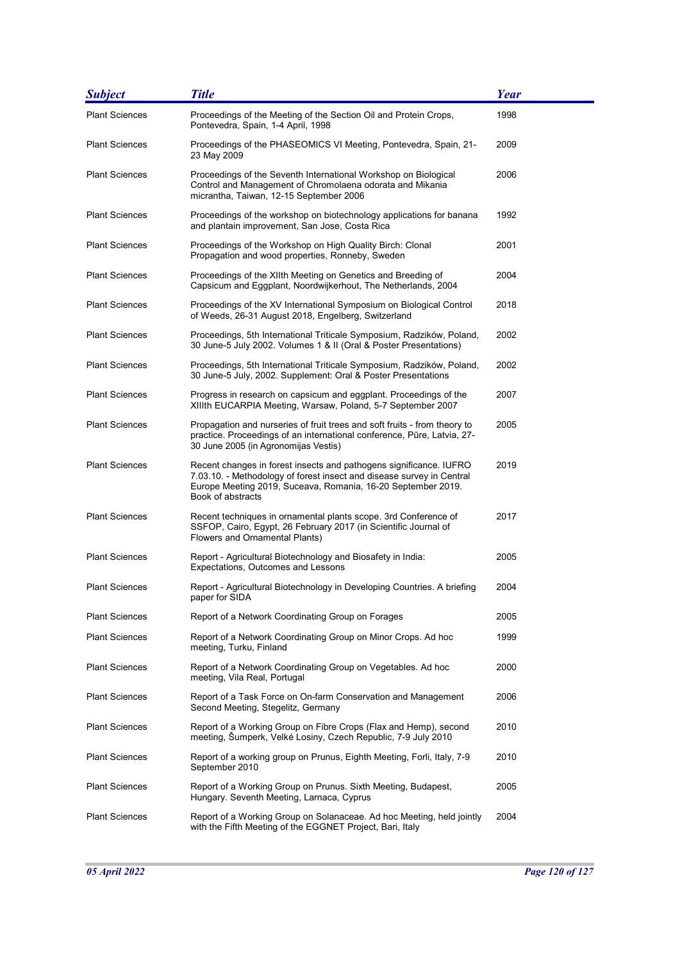| <b>Subject</b>        | <b>Title</b>                                                                                                                                                                                                                     | Year |
|-----------------------|----------------------------------------------------------------------------------------------------------------------------------------------------------------------------------------------------------------------------------|------|
| <b>Plant Sciences</b> | Proceedings of the Meeting of the Section Oil and Protein Crops,<br>Pontevedra, Spain, 1-4 April, 1998                                                                                                                           | 1998 |
| <b>Plant Sciences</b> | Proceedings of the PHASEOMICS VI Meeting, Pontevedra, Spain, 21-<br>23 May 2009                                                                                                                                                  | 2009 |
| <b>Plant Sciences</b> | Proceedings of the Seventh International Workshop on Biological<br>Control and Management of Chromolaena odorata and Mikania<br>micrantha, Taiwan, 12-15 September 2006                                                          | 2006 |
| <b>Plant Sciences</b> | Proceedings of the workshop on biotechnology applications for banana<br>and plantain improvement, San Jose, Costa Rica                                                                                                           | 1992 |
| Plant Sciences        | Proceedings of the Workshop on High Quality Birch: Clonal<br>Propagation and wood properties, Ronneby, Sweden                                                                                                                    | 2001 |
| Plant Sciences        | Proceedings of the XIIth Meeting on Genetics and Breeding of<br>Capsicum and Eggplant, Noordwijkerhout, The Netherlands, 2004                                                                                                    | 2004 |
| Plant Sciences        | Proceedings of the XV International Symposium on Biological Control<br>of Weeds, 26-31 August 2018, Engelberg, Switzerland                                                                                                       | 2018 |
| <b>Plant Sciences</b> | Proceedings, 5th International Triticale Symposium, Radzików, Poland,<br>30 June-5 July 2002. Volumes 1 & II (Oral & Poster Presentations)                                                                                       | 2002 |
| <b>Plant Sciences</b> | Proceedings, 5th International Triticale Symposium, Radzików, Poland,<br>30 June-5 July, 2002. Supplement: Oral & Poster Presentations                                                                                           | 2002 |
| <b>Plant Sciences</b> | Progress in research on capsicum and eggplant. Proceedings of the<br>XIIIth EUCARPIA Meeting, Warsaw, Poland, 5-7 September 2007                                                                                                 | 2007 |
| <b>Plant Sciences</b> | Propagation and nurseries of fruit trees and soft fruits - from theory to<br>practice. Proceedings of an international conference, Pūre, Latvia, 27-<br>30 June 2005 (in Agronomijas Vestis)                                     | 2005 |
| <b>Plant Sciences</b> | Recent changes in forest insects and pathogens significance. IUFRO<br>7.03.10. - Methodology of forest insect and disease survey in Central<br>Europe Meeting 2019, Suceava, Romania, 16-20 September 2019.<br>Book of abstracts | 2019 |
| <b>Plant Sciences</b> | Recent techniques in ornamental plants scope. 3rd Conference of<br>SSFOP, Cairo, Egypt, 26 February 2017 (in Scientific Journal of<br>Flowers and Ornamental Plants)                                                             | 2017 |
| <b>Plant Sciences</b> | Report - Agricultural Biotechnology and Biosafety in India:<br>Expectations, Outcomes and Lessons                                                                                                                                | 2005 |
| <b>Plant Sciences</b> | Report - Agricultural Biotechnology in Developing Countries. A briefing<br>paper for SIDA                                                                                                                                        | 2004 |
| <b>Plant Sciences</b> | Report of a Network Coordinating Group on Forages                                                                                                                                                                                | 2005 |
| <b>Plant Sciences</b> | Report of a Network Coordinating Group on Minor Crops. Ad hoc<br>meeting, Turku, Finland                                                                                                                                         | 1999 |
| <b>Plant Sciences</b> | Report of a Network Coordinating Group on Vegetables. Ad hoc<br>meeting, Vila Real, Portugal                                                                                                                                     | 2000 |
| <b>Plant Sciences</b> | Report of a Task Force on On-farm Conservation and Management<br>Second Meeting, Stegelitz, Germany                                                                                                                              | 2006 |
| <b>Plant Sciences</b> | Report of a Working Group on Fibre Crops (Flax and Hemp), second<br>meeting, Šumperk, Velké Losiny, Czech Republic, 7-9 July 2010                                                                                                | 2010 |
| <b>Plant Sciences</b> | Report of a working group on Prunus, Eighth Meeting, Forli, Italy, 7-9<br>September 2010                                                                                                                                         | 2010 |
| Plant Sciences        | Report of a Working Group on Prunus. Sixth Meeting, Budapest,<br>Hungary. Seventh Meeting, Larnaca, Cyprus                                                                                                                       | 2005 |
| <b>Plant Sciences</b> | Report of a Working Group on Solanaceae. Ad hoc Meeting, held jointly<br>with the Fifth Meeting of the EGGNET Project, Bari, Italy                                                                                               | 2004 |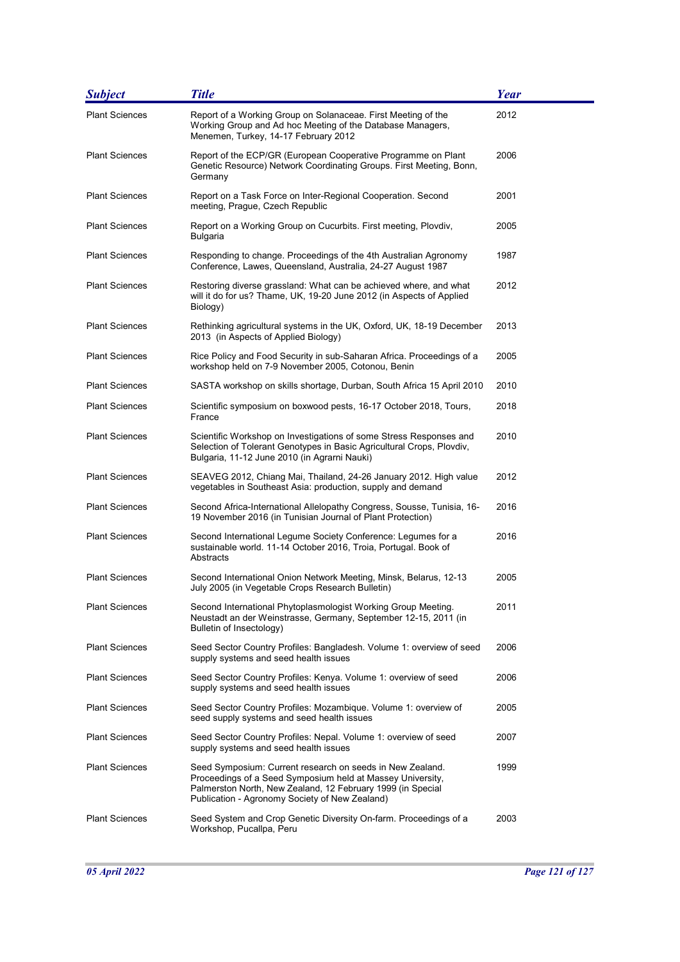| <b>Subject</b>        | <b>Title</b>                                                                                                                                                                                                                             | <b>Year</b> |
|-----------------------|------------------------------------------------------------------------------------------------------------------------------------------------------------------------------------------------------------------------------------------|-------------|
| <b>Plant Sciences</b> | Report of a Working Group on Solanaceae. First Meeting of the<br>Working Group and Ad hoc Meeting of the Database Managers,<br>Menemen, Turkey, 14-17 February 2012                                                                      | 2012        |
| <b>Plant Sciences</b> | Report of the ECP/GR (European Cooperative Programme on Plant<br>Genetic Resource) Network Coordinating Groups. First Meeting, Bonn,<br>Germany                                                                                          | 2006        |
| <b>Plant Sciences</b> | Report on a Task Force on Inter-Regional Cooperation. Second<br>meeting, Prague, Czech Republic                                                                                                                                          | 2001        |
| <b>Plant Sciences</b> | Report on a Working Group on Cucurbits. First meeting, Plovdiv,<br>Bulgaria                                                                                                                                                              | 2005        |
| <b>Plant Sciences</b> | Responding to change. Proceedings of the 4th Australian Agronomy<br>Conference, Lawes, Queensland, Australia, 24-27 August 1987                                                                                                          | 1987        |
| <b>Plant Sciences</b> | Restoring diverse grassland: What can be achieved where, and what<br>will it do for us? Thame, UK, 19-20 June 2012 (in Aspects of Applied<br>Biology)                                                                                    | 2012        |
| <b>Plant Sciences</b> | Rethinking agricultural systems in the UK, Oxford, UK, 18-19 December<br>2013 (in Aspects of Applied Biology)                                                                                                                            | 2013        |
| <b>Plant Sciences</b> | Rice Policy and Food Security in sub-Saharan Africa. Proceedings of a<br>workshop held on 7-9 November 2005, Cotonou, Benin                                                                                                              | 2005        |
| <b>Plant Sciences</b> | SASTA workshop on skills shortage, Durban, South Africa 15 April 2010                                                                                                                                                                    | 2010        |
| <b>Plant Sciences</b> | Scientific symposium on boxwood pests, 16-17 October 2018, Tours,<br>France                                                                                                                                                              | 2018        |
| <b>Plant Sciences</b> | Scientific Workshop on Investigations of some Stress Responses and<br>Selection of Tolerant Genotypes in Basic Agricultural Crops, Plovdiv,<br>Bulgaria, 11-12 June 2010 (in Agrarni Nauki)                                              | 2010        |
| <b>Plant Sciences</b> | SEAVEG 2012, Chiang Mai, Thailand, 24-26 January 2012. High value<br>vegetables in Southeast Asia: production, supply and demand                                                                                                         | 2012        |
| <b>Plant Sciences</b> | Second Africa-International Allelopathy Congress, Sousse, Tunisia, 16-<br>19 November 2016 (in Tunisian Journal of Plant Protection)                                                                                                     | 2016        |
| <b>Plant Sciences</b> | Second International Legume Society Conference: Legumes for a<br>sustainable world. 11-14 October 2016, Troia, Portugal. Book of<br>Abstracts                                                                                            | 2016        |
| <b>Plant Sciences</b> | Second International Onion Network Meeting, Minsk, Belarus, 12-13<br>July 2005 (in Vegetable Crops Research Bulletin)                                                                                                                    | 2005        |
| <b>Plant Sciences</b> | Second International Phytoplasmologist Working Group Meeting.<br>Neustadt an der Weinstrasse, Germany, September 12-15, 2011 (in<br>Bulletin of Insectology)                                                                             | 2011        |
| <b>Plant Sciences</b> | Seed Sector Country Profiles: Bangladesh. Volume 1: overview of seed<br>supply systems and seed health issues                                                                                                                            | 2006        |
| <b>Plant Sciences</b> | Seed Sector Country Profiles: Kenya. Volume 1: overview of seed<br>supply systems and seed health issues                                                                                                                                 | 2006        |
| <b>Plant Sciences</b> | Seed Sector Country Profiles: Mozambique. Volume 1: overview of<br>seed supply systems and seed health issues                                                                                                                            | 2005        |
| <b>Plant Sciences</b> | Seed Sector Country Profiles: Nepal. Volume 1: overview of seed<br>supply systems and seed health issues                                                                                                                                 | 2007        |
| <b>Plant Sciences</b> | Seed Symposium: Current research on seeds in New Zealand.<br>Proceedings of a Seed Symposium held at Massey University,<br>Palmerston North, New Zealand, 12 February 1999 (in Special<br>Publication - Agronomy Society of New Zealand) | 1999        |
| <b>Plant Sciences</b> | Seed System and Crop Genetic Diversity On-farm. Proceedings of a<br>Workshop, Pucallpa, Peru                                                                                                                                             | 2003        |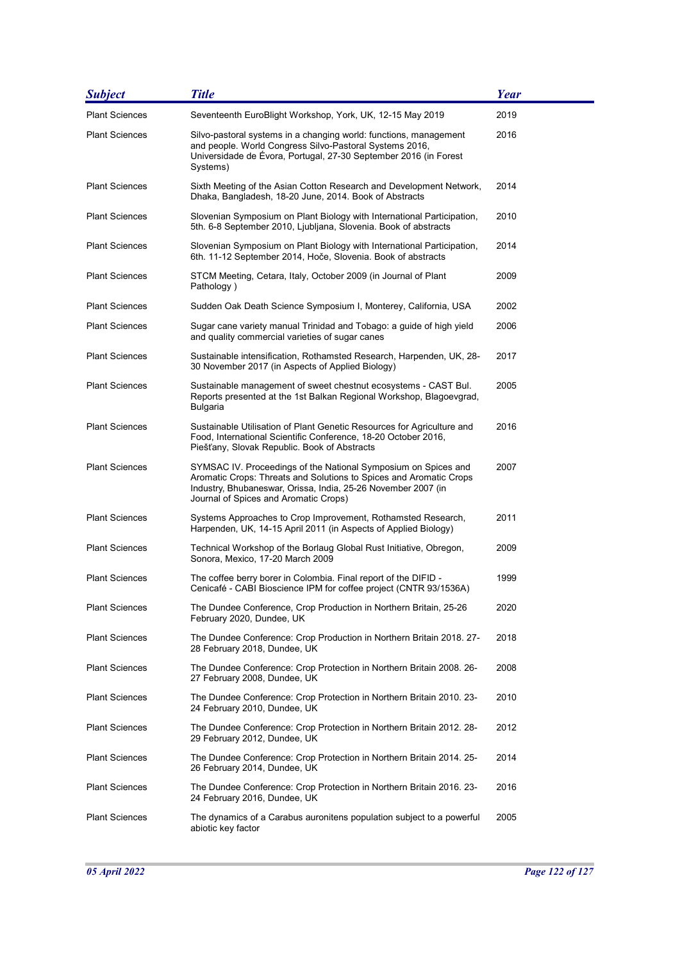| <b>Subject</b>        | <b>Title</b>                                                                                                                                                                                                                                   | Year |
|-----------------------|------------------------------------------------------------------------------------------------------------------------------------------------------------------------------------------------------------------------------------------------|------|
| <b>Plant Sciences</b> | Seventeenth EuroBlight Workshop, York, UK, 12-15 May 2019                                                                                                                                                                                      | 2019 |
| <b>Plant Sciences</b> | Silvo-pastoral systems in a changing world: functions, management<br>and people. World Congress Silvo-Pastoral Systems 2016,<br>Universidade de Évora, Portugal, 27-30 September 2016 (in Forest<br>Systems)                                   | 2016 |
| <b>Plant Sciences</b> | Sixth Meeting of the Asian Cotton Research and Development Network,<br>Dhaka, Bangladesh, 18-20 June, 2014. Book of Abstracts                                                                                                                  | 2014 |
| <b>Plant Sciences</b> | Slovenian Symposium on Plant Biology with International Participation,<br>5th. 6-8 September 2010, Ljubljana, Slovenia. Book of abstracts                                                                                                      | 2010 |
| Plant Sciences        | Slovenian Symposium on Plant Biology with International Participation,<br>6th. 11-12 September 2014, Hoče, Slovenia. Book of abstracts                                                                                                         | 2014 |
| <b>Plant Sciences</b> | STCM Meeting, Cetara, Italy, October 2009 (in Journal of Plant<br>Pathology)                                                                                                                                                                   | 2009 |
| <b>Plant Sciences</b> | Sudden Oak Death Science Symposium I, Monterey, California, USA                                                                                                                                                                                | 2002 |
| <b>Plant Sciences</b> | Sugar cane variety manual Trinidad and Tobago: a guide of high yield<br>and quality commercial varieties of sugar canes                                                                                                                        | 2006 |
| <b>Plant Sciences</b> | Sustainable intensification, Rothamsted Research, Harpenden, UK, 28-<br>30 November 2017 (in Aspects of Applied Biology)                                                                                                                       | 2017 |
| <b>Plant Sciences</b> | Sustainable management of sweet chestnut ecosystems - CAST Bul.<br>Reports presented at the 1st Balkan Regional Workshop, Blagoevgrad,<br><b>Bulgaria</b>                                                                                      | 2005 |
| <b>Plant Sciences</b> | Sustainable Utilisation of Plant Genetic Resources for Agriculture and<br>Food, International Scientific Conference, 18-20 October 2016,<br>Piešťany, Slovak Republic. Book of Abstracts                                                       | 2016 |
| <b>Plant Sciences</b> | SYMSAC IV. Proceedings of the National Symposium on Spices and<br>Aromatic Crops: Threats and Solutions to Spices and Aromatic Crops<br>Industry, Bhubaneswar, Orissa, India, 25-26 November 2007 (in<br>Journal of Spices and Aromatic Crops) | 2007 |
| <b>Plant Sciences</b> | Systems Approaches to Crop Improvement, Rothamsted Research,<br>Harpenden, UK, 14-15 April 2011 (in Aspects of Applied Biology)                                                                                                                | 2011 |
| <b>Plant Sciences</b> | Technical Workshop of the Borlaug Global Rust Initiative, Obregon,<br>Sonora, Mexico, 17-20 March 2009                                                                                                                                         | 2009 |
| <b>Plant Sciences</b> | The coffee berry borer in Colombia. Final report of the DIFID -<br>Cenicafé - CABI Bioscience IPM for coffee project (CNTR 93/1536A)                                                                                                           | 1999 |
| <b>Plant Sciences</b> | The Dundee Conference, Crop Production in Northern Britain, 25-26<br>February 2020, Dundee, UK                                                                                                                                                 | 2020 |
| <b>Plant Sciences</b> | The Dundee Conference: Crop Production in Northern Britain 2018. 27-<br>28 February 2018, Dundee, UK                                                                                                                                           | 2018 |
| <b>Plant Sciences</b> | The Dundee Conference: Crop Protection in Northern Britain 2008. 26-<br>27 February 2008, Dundee, UK                                                                                                                                           | 2008 |
| <b>Plant Sciences</b> | The Dundee Conference: Crop Protection in Northern Britain 2010. 23-<br>24 February 2010, Dundee, UK                                                                                                                                           | 2010 |
| <b>Plant Sciences</b> | The Dundee Conference: Crop Protection in Northern Britain 2012. 28-<br>29 February 2012, Dundee, UK                                                                                                                                           | 2012 |
| <b>Plant Sciences</b> | The Dundee Conference: Crop Protection in Northern Britain 2014. 25-<br>26 February 2014, Dundee, UK                                                                                                                                           | 2014 |
| <b>Plant Sciences</b> | The Dundee Conference: Crop Protection in Northern Britain 2016. 23-<br>24 February 2016, Dundee, UK                                                                                                                                           | 2016 |
| <b>Plant Sciences</b> | The dynamics of a Carabus auronitens population subject to a powerful<br>abiotic key factor                                                                                                                                                    | 2005 |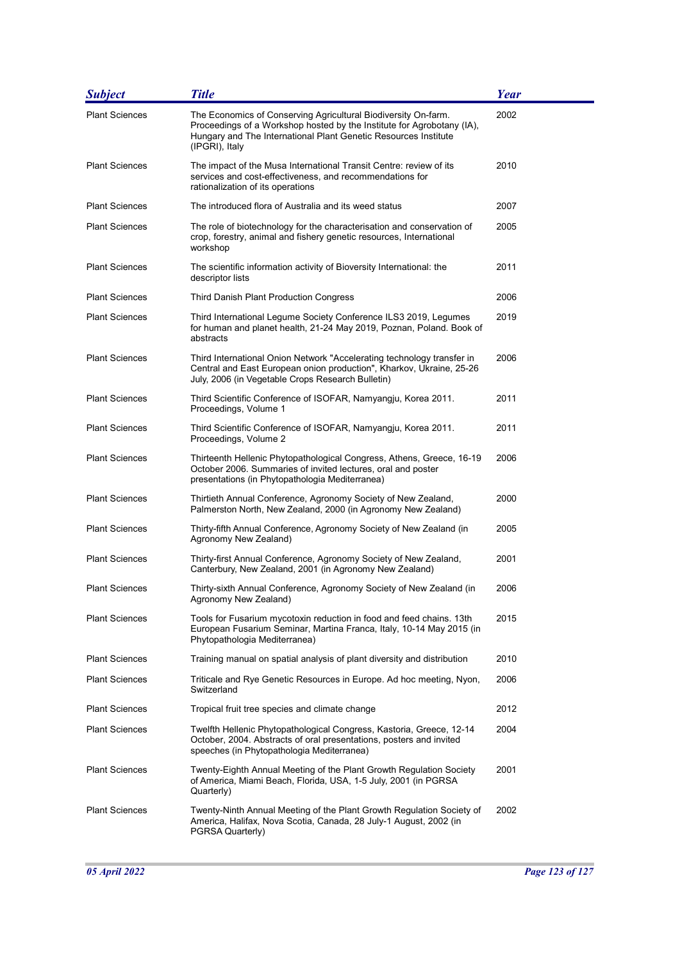| <b>Subject</b>        | <b>Title</b>                                                                                                                                                                                                                  | Year |
|-----------------------|-------------------------------------------------------------------------------------------------------------------------------------------------------------------------------------------------------------------------------|------|
| <b>Plant Sciences</b> | The Economics of Conserving Agricultural Biodiversity On-farm.<br>Proceedings of a Workshop hosted by the Institute for Agrobotany (IA),<br>Hungary and The International Plant Genetic Resources Institute<br>(IPGRI), Italy | 2002 |
| <b>Plant Sciences</b> | The impact of the Musa International Transit Centre: review of its<br>services and cost-effectiveness, and recommendations for<br>rationalization of its operations                                                           | 2010 |
| <b>Plant Sciences</b> | The introduced flora of Australia and its weed status                                                                                                                                                                         | 2007 |
| <b>Plant Sciences</b> | The role of biotechnology for the characterisation and conservation of<br>crop, forestry, animal and fishery genetic resources, International<br>workshop                                                                     | 2005 |
| <b>Plant Sciences</b> | The scientific information activity of Bioversity International: the<br>descriptor lists                                                                                                                                      | 2011 |
| <b>Plant Sciences</b> | Third Danish Plant Production Congress                                                                                                                                                                                        | 2006 |
| <b>Plant Sciences</b> | Third International Legume Society Conference ILS3 2019, Legumes<br>for human and planet health, 21-24 May 2019, Poznan, Poland. Book of<br>abstracts                                                                         | 2019 |
| <b>Plant Sciences</b> | Third International Onion Network "Accelerating technology transfer in<br>Central and East European onion production", Kharkov, Ukraine, 25-26<br>July, 2006 (in Vegetable Crops Research Bulletin)                           | 2006 |
| <b>Plant Sciences</b> | Third Scientific Conference of ISOFAR, Namyangju, Korea 2011.<br>Proceedings, Volume 1                                                                                                                                        | 2011 |
| <b>Plant Sciences</b> | Third Scientific Conference of ISOFAR, Namyangju, Korea 2011.<br>Proceedings, Volume 2                                                                                                                                        | 2011 |
| <b>Plant Sciences</b> | Thirteenth Hellenic Phytopathological Congress, Athens, Greece, 16-19<br>October 2006. Summaries of invited lectures, oral and poster<br>presentations (in Phytopathologia Mediterranea)                                      | 2006 |
| <b>Plant Sciences</b> | Thirtieth Annual Conference, Agronomy Society of New Zealand,<br>Palmerston North, New Zealand, 2000 (in Agronomy New Zealand)                                                                                                | 2000 |
| <b>Plant Sciences</b> | Thirty-fifth Annual Conference, Agronomy Society of New Zealand (in<br>Agronomy New Zealand)                                                                                                                                  | 2005 |
| <b>Plant Sciences</b> | Thirty-first Annual Conference, Agronomy Society of New Zealand,<br>Canterbury, New Zealand, 2001 (in Agronomy New Zealand)                                                                                                   | 2001 |
| <b>Plant Sciences</b> | Thirty-sixth Annual Conference, Agronomy Society of New Zealand (in<br>Agronomy New Zealand)                                                                                                                                  | 2006 |
| <b>Plant Sciences</b> | Tools for Fusarium mycotoxin reduction in food and feed chains. 13th<br>European Fusarium Seminar, Martina Franca, Italy, 10-14 May 2015 (in<br>Phytopathologia Mediterranea)                                                 | 2015 |
| <b>Plant Sciences</b> | Training manual on spatial analysis of plant diversity and distribution                                                                                                                                                       | 2010 |
| <b>Plant Sciences</b> | Triticale and Rye Genetic Resources in Europe. Ad hoc meeting, Nyon,<br>Switzerland                                                                                                                                           | 2006 |
| <b>Plant Sciences</b> | Tropical fruit tree species and climate change                                                                                                                                                                                | 2012 |
| <b>Plant Sciences</b> | Twelfth Hellenic Phytopathological Congress, Kastoria, Greece, 12-14<br>October, 2004. Abstracts of oral presentations, posters and invited<br>speeches (in Phytopathologia Mediterranea)                                     | 2004 |
| <b>Plant Sciences</b> | Twenty-Eighth Annual Meeting of the Plant Growth Regulation Society<br>of America, Miami Beach, Florida, USA, 1-5 July, 2001 (in PGRSA<br>Quarterly)                                                                          | 2001 |
| <b>Plant Sciences</b> | Twenty-Ninth Annual Meeting of the Plant Growth Regulation Society of<br>America, Halifax, Nova Scotia, Canada, 28 July-1 August, 2002 (in<br>PGRSA Quarterly)                                                                | 2002 |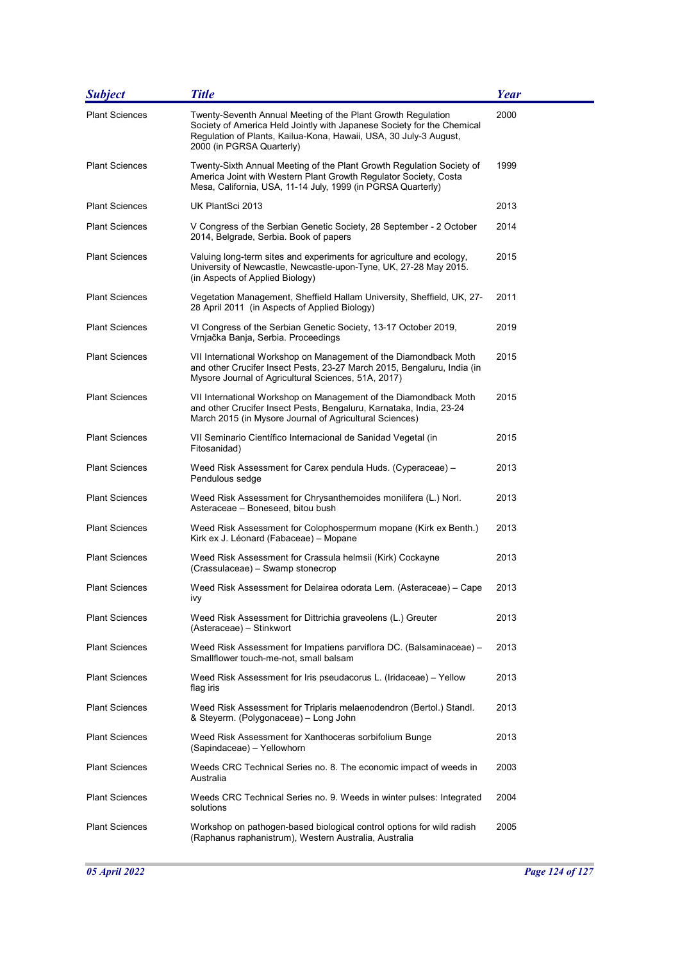| <b>Subject</b>        | <b>Title</b>                                                                                                                                                                                                                             | Year |
|-----------------------|------------------------------------------------------------------------------------------------------------------------------------------------------------------------------------------------------------------------------------------|------|
| <b>Plant Sciences</b> | Twenty-Seventh Annual Meeting of the Plant Growth Regulation<br>Society of America Held Jointly with Japanese Society for the Chemical<br>Regulation of Plants, Kailua-Kona, Hawaii, USA, 30 July-3 August,<br>2000 (in PGRSA Quarterly) | 2000 |
| <b>Plant Sciences</b> | Twenty-Sixth Annual Meeting of the Plant Growth Regulation Society of<br>America Joint with Western Plant Growth Regulator Society, Costa<br>Mesa, California, USA, 11-14 July, 1999 (in PGRSA Quarterly)                                | 1999 |
| <b>Plant Sciences</b> | UK PlantSci 2013                                                                                                                                                                                                                         | 2013 |
| <b>Plant Sciences</b> | V Congress of the Serbian Genetic Society, 28 September - 2 October<br>2014, Belgrade, Serbia. Book of papers                                                                                                                            | 2014 |
| <b>Plant Sciences</b> | Valuing long-term sites and experiments for agriculture and ecology,<br>University of Newcastle, Newcastle-upon-Tyne, UK, 27-28 May 2015.<br>(in Aspects of Applied Biology)                                                             | 2015 |
| <b>Plant Sciences</b> | Vegetation Management, Sheffield Hallam University, Sheffield, UK, 27-<br>28 April 2011 (in Aspects of Applied Biology)                                                                                                                  | 2011 |
| <b>Plant Sciences</b> | VI Congress of the Serbian Genetic Society, 13-17 October 2019,<br>Vrnjačka Banja, Serbia. Proceedings                                                                                                                                   | 2019 |
| <b>Plant Sciences</b> | VII International Workshop on Management of the Diamondback Moth<br>and other Crucifer Insect Pests, 23-27 March 2015, Bengaluru, India (in<br>Mysore Journal of Agricultural Sciences, 51A, 2017)                                       | 2015 |
| <b>Plant Sciences</b> | VII International Workshop on Management of the Diamondback Moth<br>and other Crucifer Insect Pests, Bengaluru, Karnataka, India, 23-24<br>March 2015 (in Mysore Journal of Agricultural Sciences)                                       | 2015 |
| <b>Plant Sciences</b> | VII Seminario Científico Internacional de Sanidad Vegetal (in<br>Fitosanidad)                                                                                                                                                            | 2015 |
| <b>Plant Sciences</b> | Weed Risk Assessment for Carex pendula Huds. (Cyperaceae) -<br>Pendulous sedge                                                                                                                                                           | 2013 |
| <b>Plant Sciences</b> | Weed Risk Assessment for Chrysanthemoides monilifera (L.) Norl.<br>Asteraceae - Boneseed, bitou bush                                                                                                                                     | 2013 |
| <b>Plant Sciences</b> | Weed Risk Assessment for Colophospermum mopane (Kirk ex Benth.)<br>Kirk ex J. Léonard (Fabaceae) - Mopane                                                                                                                                | 2013 |
| <b>Plant Sciences</b> | Weed Risk Assessment for Crassula helmsii (Kirk) Cockayne<br>(Crassulaceae) – Swamp stonecrop                                                                                                                                            | 2013 |
| <b>Plant Sciences</b> | Weed Risk Assessment for Delairea odorata Lem. (Asteraceae) – Cape<br>ivy                                                                                                                                                                | 2013 |
| <b>Plant Sciences</b> | Weed Risk Assessment for Dittrichia graveolens (L.) Greuter<br>(Asteraceae) - Stinkwort                                                                                                                                                  | 2013 |
| <b>Plant Sciences</b> | Weed Risk Assessment for Impatiens parviflora DC. (Balsaminaceae) -<br>Smallflower touch-me-not, small balsam                                                                                                                            | 2013 |
| <b>Plant Sciences</b> | Weed Risk Assessment for Iris pseudacorus L. (Iridaceae) – Yellow<br>flag iris                                                                                                                                                           | 2013 |
| <b>Plant Sciences</b> | Weed Risk Assessment for Triplaris melaenodendron (Bertol.) Standl.<br>& Steyerm. (Polygonaceae) - Long John                                                                                                                             | 2013 |
| <b>Plant Sciences</b> | Weed Risk Assessment for Xanthoceras sorbifolium Bunge<br>(Sapindaceae) - Yellowhorn                                                                                                                                                     | 2013 |
| <b>Plant Sciences</b> | Weeds CRC Technical Series no. 8. The economic impact of weeds in<br>Australia                                                                                                                                                           | 2003 |
| <b>Plant Sciences</b> | Weeds CRC Technical Series no. 9. Weeds in winter pulses: Integrated<br>solutions                                                                                                                                                        | 2004 |
| <b>Plant Sciences</b> | Workshop on pathogen-based biological control options for wild radish<br>(Raphanus raphanistrum), Western Australia, Australia                                                                                                           | 2005 |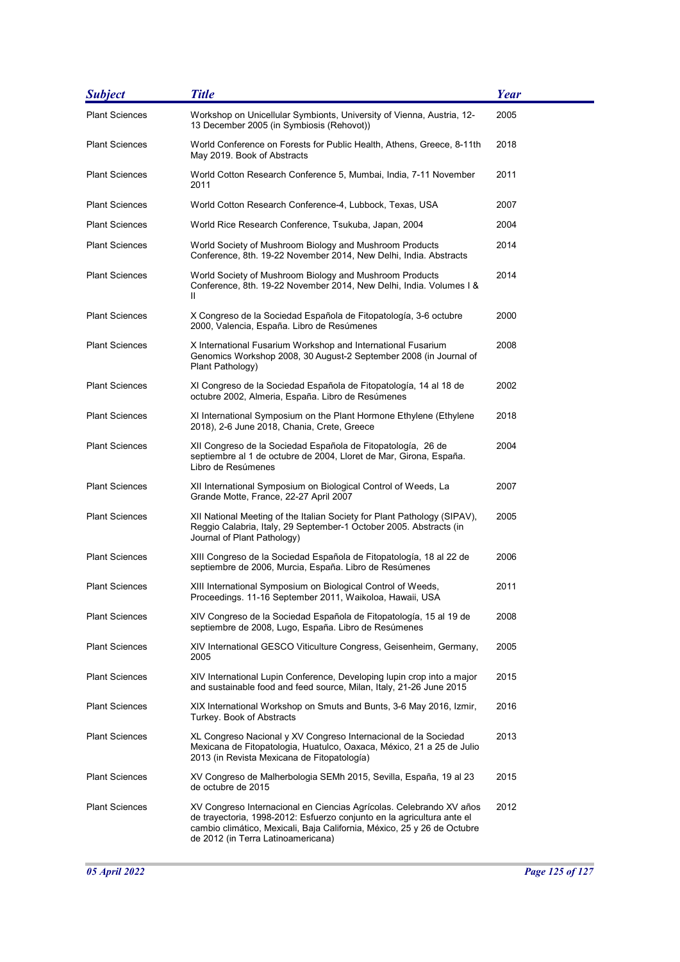| <b>Subject</b>        | <b>Title</b>                                                                                                                                                                                                                                                   | Year |
|-----------------------|----------------------------------------------------------------------------------------------------------------------------------------------------------------------------------------------------------------------------------------------------------------|------|
| <b>Plant Sciences</b> | Workshop on Unicellular Symbionts, University of Vienna, Austria, 12-<br>13 December 2005 (in Symbiosis (Rehovot))                                                                                                                                             | 2005 |
| <b>Plant Sciences</b> | World Conference on Forests for Public Health, Athens, Greece, 8-11th<br>May 2019. Book of Abstracts                                                                                                                                                           | 2018 |
| <b>Plant Sciences</b> | World Cotton Research Conference 5, Mumbai, India, 7-11 November<br>2011                                                                                                                                                                                       | 2011 |
| <b>Plant Sciences</b> | World Cotton Research Conference-4, Lubbock, Texas, USA                                                                                                                                                                                                        | 2007 |
| <b>Plant Sciences</b> | World Rice Research Conference, Tsukuba, Japan, 2004                                                                                                                                                                                                           | 2004 |
| <b>Plant Sciences</b> | World Society of Mushroom Biology and Mushroom Products<br>Conference, 8th. 19-22 November 2014, New Delhi, India. Abstracts                                                                                                                                   | 2014 |
| <b>Plant Sciences</b> | World Society of Mushroom Biology and Mushroom Products<br>Conference, 8th. 19-22 November 2014, New Delhi, India. Volumes I &<br>Ш                                                                                                                            | 2014 |
| <b>Plant Sciences</b> | X Congreso de la Sociedad Española de Fitopatología, 3-6 octubre<br>2000, Valencia, España. Libro de Resúmenes                                                                                                                                                 | 2000 |
| <b>Plant Sciences</b> | X International Fusarium Workshop and International Fusarium<br>Genomics Workshop 2008, 30 August-2 September 2008 (in Journal of<br>Plant Pathology)                                                                                                          | 2008 |
| <b>Plant Sciences</b> | XI Congreso de la Sociedad Española de Fitopatología, 14 al 18 de<br>octubre 2002, Almeria, España. Libro de Resúmenes                                                                                                                                         | 2002 |
| <b>Plant Sciences</b> | XI International Symposium on the Plant Hormone Ethylene (Ethylene<br>2018), 2-6 June 2018, Chania, Crete, Greece                                                                                                                                              | 2018 |
| <b>Plant Sciences</b> | XII Congreso de la Sociedad Española de Fitopatología, 26 de<br>septiembre al 1 de octubre de 2004, Lloret de Mar, Girona, España.<br>Libro de Resúmenes                                                                                                       | 2004 |
| <b>Plant Sciences</b> | XII International Symposium on Biological Control of Weeds, La<br>Grande Motte, France, 22-27 April 2007                                                                                                                                                       | 2007 |
| <b>Plant Sciences</b> | XII National Meeting of the Italian Society for Plant Pathology (SIPAV),<br>Reggio Calabria, Italy, 29 September-1 October 2005. Abstracts (in<br>Journal of Plant Pathology)                                                                                  | 2005 |
| <b>Plant Sciences</b> | XIII Congreso de la Sociedad Española de Fitopatología, 18 al 22 de<br>septiembre de 2006, Murcia, España. Libro de Resúmenes                                                                                                                                  | 2006 |
| <b>Plant Sciences</b> | XIII International Symposium on Biological Control of Weeds,<br>Proceedings. 11-16 September 2011, Waikoloa, Hawaii, USA                                                                                                                                       | 2011 |
| <b>Plant Sciences</b> | XIV Congreso de la Sociedad Española de Fitopatología, 15 al 19 de<br>septiembre de 2008, Lugo, España. Libro de Resúmenes                                                                                                                                     | 2008 |
| <b>Plant Sciences</b> | XIV International GESCO Viticulture Congress, Geisenheim, Germany,<br>2005                                                                                                                                                                                     | 2005 |
| <b>Plant Sciences</b> | XIV International Lupin Conference, Developing lupin crop into a major<br>and sustainable food and feed source, Milan, Italy, 21-26 June 2015                                                                                                                  | 2015 |
| <b>Plant Sciences</b> | XIX International Workshop on Smuts and Bunts, 3-6 May 2016, Izmir,<br>Turkey. Book of Abstracts                                                                                                                                                               | 2016 |
| <b>Plant Sciences</b> | XL Congreso Nacional y XV Congreso Internacional de la Sociedad<br>Mexicana de Fitopatologia, Huatulco, Oaxaca, México, 21 a 25 de Julio<br>2013 (in Revista Mexicana de Fitopatología)                                                                        | 2013 |
| <b>Plant Sciences</b> | XV Congreso de Malherbologia SEMh 2015, Sevilla, España, 19 al 23<br>de octubre de 2015                                                                                                                                                                        | 2015 |
| <b>Plant Sciences</b> | XV Congreso Internacional en Ciencias Agrícolas. Celebrando XV años<br>de trayectoria, 1998-2012: Esfuerzo conjunto en la agricultura ante el<br>cambio climático, Mexicali, Baja California, México, 25 y 26 de Octubre<br>de 2012 (in Terra Latinoamericana) | 2012 |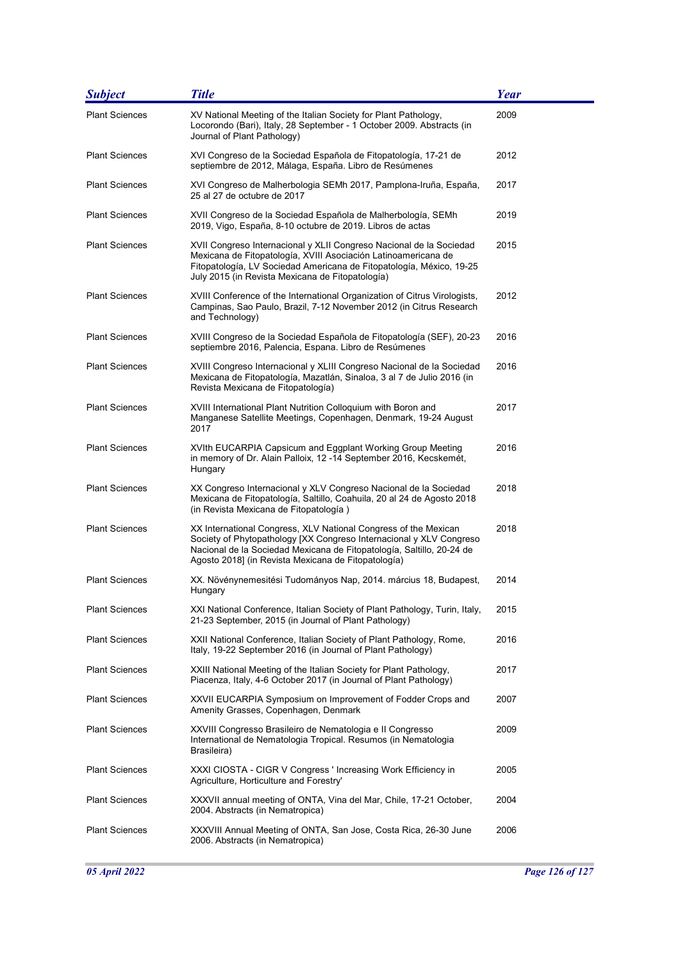| <b>Subject</b>        | <b>Title</b>                                                                                                                                                                                                                                                           | Year |
|-----------------------|------------------------------------------------------------------------------------------------------------------------------------------------------------------------------------------------------------------------------------------------------------------------|------|
| <b>Plant Sciences</b> | XV National Meeting of the Italian Society for Plant Pathology,<br>Locorondo (Bari), Italy, 28 September - 1 October 2009. Abstracts (in<br>Journal of Plant Pathology)                                                                                                | 2009 |
| <b>Plant Sciences</b> | XVI Congreso de la Sociedad Española de Fitopatología, 17-21 de<br>septiembre de 2012, Málaga, España. Libro de Resúmenes                                                                                                                                              | 2012 |
| <b>Plant Sciences</b> | XVI Congreso de Malherbologia SEMh 2017, Pamplona-Iruña, España,<br>25 al 27 de octubre de 2017                                                                                                                                                                        | 2017 |
| <b>Plant Sciences</b> | XVII Congreso de la Sociedad Española de Malherbología, SEMh<br>2019, Vigo, España, 8-10 octubre de 2019. Libros de actas                                                                                                                                              | 2019 |
| <b>Plant Sciences</b> | XVII Congreso Internacional y XLII Congreso Nacional de la Sociedad<br>Mexicana de Fitopatología, XVIII Asociación Latinoamericana de<br>Fitopatología, LV Sociedad Americana de Fitopatología, México, 19-25<br>July 2015 (in Revista Mexicana de Fitopatología)      | 2015 |
| <b>Plant Sciences</b> | XVIII Conference of the International Organization of Citrus Virologists,<br>Campinas, Sao Paulo, Brazil, 7-12 November 2012 (in Citrus Research<br>and Technology)                                                                                                    | 2012 |
| <b>Plant Sciences</b> | XVIII Congreso de la Sociedad Española de Fitopatología (SEF), 20-23<br>septiembre 2016, Palencia, Espana. Libro de Resúmenes                                                                                                                                          | 2016 |
| <b>Plant Sciences</b> | XVIII Congreso Internacional y XLIII Congreso Nacional de la Sociedad<br>Mexicana de Fitopatología, Mazatlán, Sinaloa, 3 al 7 de Julio 2016 (in<br>Revista Mexicana de Fitopatología)                                                                                  | 2016 |
| <b>Plant Sciences</b> | XVIII International Plant Nutrition Colloquium with Boron and<br>Manganese Satellite Meetings, Copenhagen, Denmark, 19-24 August<br>2017                                                                                                                               | 2017 |
| <b>Plant Sciences</b> | XVIth EUCARPIA Capsicum and Eggplant Working Group Meeting<br>in memory of Dr. Alain Palloix, 12-14 September 2016, Kecskemét,<br>Hungary                                                                                                                              | 2016 |
| <b>Plant Sciences</b> | XX Congreso Internacional y XLV Congreso Nacional de la Sociedad<br>Mexicana de Fitopatología, Saltillo, Coahuila, 20 al 24 de Agosto 2018<br>(in Revista Mexicana de Fitopatología)                                                                                   | 2018 |
| <b>Plant Sciences</b> | XX International Congress, XLV National Congress of the Mexican<br>Society of Phytopathology [XX Congreso Internacional y XLV Congreso<br>Nacional de la Sociedad Mexicana de Fitopatología, Saltillo, 20-24 de<br>Agosto 2018] (in Revista Mexicana de Fitopatología) | 2018 |
| <b>Plant Sciences</b> | XX. Növénynemesitési Tudományos Nap, 2014. március 18, Budapest,<br>Hungary                                                                                                                                                                                            | 2014 |
| <b>Plant Sciences</b> | XXI National Conference, Italian Society of Plant Pathology, Turin, Italy,<br>21-23 September, 2015 (in Journal of Plant Pathology)                                                                                                                                    | 2015 |
| <b>Plant Sciences</b> | XXII National Conference, Italian Society of Plant Pathology, Rome,<br>Italy, 19-22 September 2016 (in Journal of Plant Pathology)                                                                                                                                     | 2016 |
| <b>Plant Sciences</b> | XXIII National Meeting of the Italian Society for Plant Pathology,<br>Piacenza, Italy, 4-6 October 2017 (in Journal of Plant Pathology)                                                                                                                                | 2017 |
| <b>Plant Sciences</b> | XXVII EUCARPIA Symposium on Improvement of Fodder Crops and<br>Amenity Grasses, Copenhagen, Denmark                                                                                                                                                                    | 2007 |
| <b>Plant Sciences</b> | XXVIII Congresso Brasileiro de Nematologia e II Congresso<br>International de Nematologia Tropical. Resumos (in Nematologia<br>Brasileira)                                                                                                                             | 2009 |
| <b>Plant Sciences</b> | XXXI CIOSTA - CIGR V Congress ' Increasing Work Efficiency in<br>Agriculture, Horticulture and Forestry'                                                                                                                                                               | 2005 |
| <b>Plant Sciences</b> | XXXVII annual meeting of ONTA, Vina del Mar, Chile, 17-21 October,<br>2004. Abstracts (in Nematropica)                                                                                                                                                                 | 2004 |
| <b>Plant Sciences</b> | XXXVIII Annual Meeting of ONTA, San Jose, Costa Rica, 26-30 June<br>2006. Abstracts (in Nematropica)                                                                                                                                                                   | 2006 |